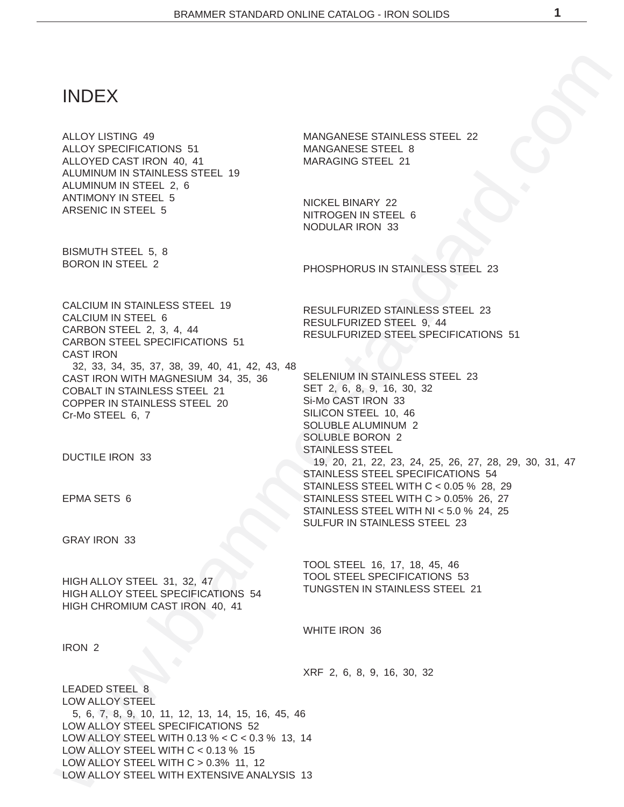# INDEX

ALLOY LISTING 49 ALLOY SPECIFICATIONS 51 ALLOYED CAST IRON 40, 41 ALUMINUM IN STAINLESS STEEL 19 ALUMINUM IN STEEL 2, 6 ANTIMONY IN STEEL 5 ARSENIC IN STEEL 5

BISMUTH STEEL 5, 8 BORON IN STEEL 2

MANGANESE STAINLESS STEEL 22 MANGANESE STEEL 8 MARAGING STEEL 21

NICKEL BINARY 22 NITROGEN IN STEEL 6 NODULAR IRON 33

PHOSPHORUS IN STAINLESS STEEL 23

RESULFURIZED STAINLESS STEEL 23

SELENIUM IN STAINLESS STEEL 23

RESULFURIZED STEEL SPECIFICATIONS 51

19, 20, 21, 22, 23, 24, 25, 26, 27, 28, 29, 30, 31, 47

RESULFURIZED STEEL 9, 44

SET 2, 6, 8, 9, 16, 30, 32 Si-Mo CAST IRON 33 SILICON STEEL 10, 46 SOLUBLE ALUMINUM 2 SOLUBLE BORON 2 STAINLESS STEEL

WEINTRIGHT AND MANUFACTOR CONTROLL AND MANUFACTOR STRUCTURE IN A MANUFACTOR CONTROLL AND A MANUFACTOR CONTROLL AND A MANUFACTOR CONTROLL AND MANUFACTOR CONTROLL AND MANUFACTOR CONTROLL AND MANUFACTOR CONTROLL AND MANUFACT CALCIUM IN STAINLESS STEEL 19 CALCIUM IN STEEL 6 CARBON STEEL 2, 3, 4, 44 CARBON STEEL SPECIFICATIONS 51 CAST IRON 32, 33, 34, 35, 37, 38, 39, 40, 41, 42, 43, 48 CAST IRON WITH MAGNESIUM 34, 35, 36 COBALT IN STAINLESS STEEL 21 COPPER IN STAINLESS STEEL 20 Cr-Mo STEEL 6, 7

DUCTILE IRON 33

EPMA SETS 6

GRAY IRON 33

HIGH ALLOY STEEL 31, 32, 47 HIGH ALLOY STEEL SPECIFICATIONS 54 HIGH CHROMIUM CAST IRON 40, 41

TOOL STEEL 16, 17, 18, 45, 46 TOOL STEEL SPECIFICATIONS 53 TUNGSTEN IN STAINLESS STEEL 21

SULFUR IN STAINLESS STEEL 23

STAINLESS STEEL SPECIFICATIONS 54 STAINLESS STEEL WITH C < 0.05 % 28, 29 STAINLESS STEEL WITH C > 0.05% 26, 27 STAINLESS STEEL WITH NI < 5.0 % 24, 25

WHITE IRON 36

IRON 2

XRF 2, 6, 8, 9, 16, 30, 32

LEADED STEEL 8 LOW ALLOY STEEL 5, 6, 7, 8, 9, 10, 11, 12, 13, 14, 15, 16, 45, 46 LOW ALLOY STEEL SPECIFICATIONS 52 LOW ALLOY STEEL WITH 0.13 % < C < 0.3 % 13, 14 LOW ALLOY STEEL WITH  $C < 0.13$  % 15 LOW ALLOY STEEL WITH C > 0.3% 11, 12 LOW ALLOY STEEL WITH EXTENSIVE ANALYSIS 13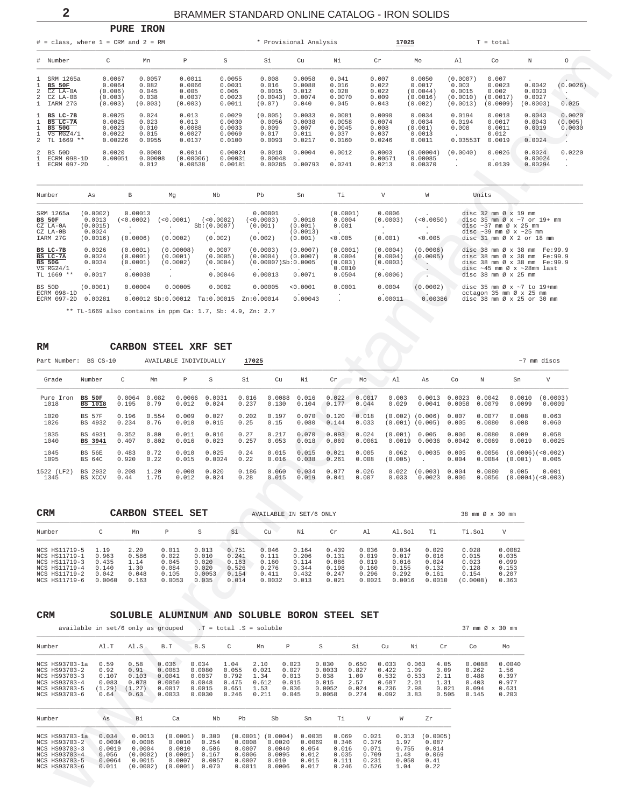$\overline{2}$ 

## BRAMMER STANDARD ONLINE CATALOG - IRON SOLIDS

<span id="page-1-0"></span>

|                                                                         | $#$ = class, where $1$ = CRM and $2$ = RM                                  |                                                   |                                              |                                                |                                                |                                                | * Provisional Analysis                       |                                               |                                              | 17025                                               |                                                     | $T = total$                                      |                                        |                             |
|-------------------------------------------------------------------------|----------------------------------------------------------------------------|---------------------------------------------------|----------------------------------------------|------------------------------------------------|------------------------------------------------|------------------------------------------------|----------------------------------------------|-----------------------------------------------|----------------------------------------------|-----------------------------------------------------|-----------------------------------------------------|--------------------------------------------------|----------------------------------------|-----------------------------|
|                                                                         | # Number                                                                   | C                                                 | Mn                                           | Ρ                                              | S                                              | Si                                             | Cu                                           | Νi                                            | Cr                                           | Mo                                                  | Al                                                  | Co                                               | Ν                                      | $\circ$                     |
|                                                                         | SRM 1265a<br><b>BS 50F</b><br>$2$ $CZ$ $LA-0A$<br>2 CZ LA-0B<br>1 IARM 27G | 0.0067<br>0.0064<br>(0.006)<br>(0.003)<br>(0.003) | 0.0057<br>0.082<br>0.045<br>0.038<br>(0.003) | 0.0011<br>0.0066<br>0.005<br>0.0037<br>(0.003) | 0.0055<br>0.0031<br>0.005<br>0.0023<br>0.0011  | 0.008<br>0.016<br>0.0015<br>(0.0043)<br>(0.07) | 0.0058<br>0.0088<br>0.012<br>0.0074<br>0.040 | 0.041<br>0.016<br>0.028<br>0.0070<br>0.045    | 0.007<br>0.022<br>0.022<br>0.009<br>0.043    | 0.0050<br>0.0017<br>(0.0044)<br>(0.0016)<br>(0.002) | (0.0007)<br>0.003<br>0.0015<br>(0.0010)<br>(0.0013) | 0.007<br>0.0023<br>0.002<br>(0.0017)<br>(0.0009) | 0.0042<br>0.0023<br>0.0027<br>(0.0003) | (0.0026)<br>0.025           |
|                                                                         | BS LC-7B<br>BS LC-7A<br><b>BS 50G</b><br>$VS$ $RG24/1$                     | 0.0025<br>0.0025<br>0.0023<br>0.0022<br>0.00226   | 0.024<br>0.023<br>0.010<br>0.015<br>0.0955   | 0.013<br>0.013<br>0.0088<br>0.0027<br>0.0137   | 0.0029<br>0.0030<br>0.0033<br>0.0069<br>0.0100 | (0.005)<br>0.0056<br>0.009<br>0.017<br>0.0093  | 0.0033<br>0.0038<br>0.007<br>0.011<br>0.0217 | 0.0081<br>0.0058<br>0.0045<br>0.037<br>0.0160 | 0.0090<br>0.0074<br>0.008<br>0.037<br>0.0246 | 0.0034<br>0.0034<br>(0.001)<br>0.0013<br>0.0011     | 0.0194<br>0.0194<br>0.008<br>0.03553T               | 0.0018<br>0.0017<br>0.0011<br>0.012<br>0.0019    | 0.0043<br>0.0043<br>0.0019<br>0.0024   | 0.0020<br>(0.005)<br>0.0030 |
| 2 TL 1669 **<br>50 <sub>D</sub><br>$2$ BS<br>ECRM 098-1D<br>ECRM 097-2D |                                                                            | 0.0020<br>0.00051                                 | 0.0008<br>0.00008<br>0.012                   | 0.0014<br>(0.00006)<br>0.00538                 | 0.00024<br>0.00031<br>0.00181                  | 0.0018<br>0.00048<br>0.00285                   | 0.0004<br>0.00793                            | 0.0012<br>0.0241                              | 0.0003<br>0.00571<br>0.0213                  | (0.00004)<br>0.00085<br>0.00370                     | (0.0040)<br>$\mathbf{r}$                            | 0.0026<br>0.0139                                 | 0.0024<br>0.00024<br>0.00294           | 0.0220                      |

| Number                                                              | As                                                   | В                                                     | Mq                                                        | Nb                                        | Pb                                                       | Sn                                       | Ti                                                |                                                        | W                    | Units                                                                                                                                                                                                                                                                                        |
|---------------------------------------------------------------------|------------------------------------------------------|-------------------------------------------------------|-----------------------------------------------------------|-------------------------------------------|----------------------------------------------------------|------------------------------------------|---------------------------------------------------|--------------------------------------------------------|----------------------|----------------------------------------------------------------------------------------------------------------------------------------------------------------------------------------------------------------------------------------------------------------------------------------------|
| SRM 1265a<br><b>BS 50F</b><br>$CZ$ LA- $0A$<br>CZ LA-0B<br>IARM 27G | (0.0002)<br>0.0013<br>(0.0015)<br>0.0024<br>(0.0016) | 0.00013<br>(50.0002)<br>(0.0006)                      | (<0.0001)<br>(0.0002)                                     | (<0.0002)<br>Sb:(0.0007)<br>(0.002)       | 0.00001<br>(<0.0003)<br>(0.001)<br>(0.002)               | 0.0010<br>(0.001)<br>(0.0013)<br>(0.001) | (0.0001)<br>0.0004<br>0.001<br>$\sim$<br>< 0.005  | 0.0006<br>(0.0003)<br>(0.001)                          | (<0.0050)<br>< 0.005 | disc $32 \text{ mm}$ $\varnothing$ x $19 \text{ mm}$<br>disc 35 mm $\varnothing$ x ~7 or 19+ mm<br>disc $\sim$ 37 mm $\varnothing$ x 25 mm<br>disc $\sim$ 39 mm Ø x $\sim$ 25 mm<br>disc $31 \text{ mm}$ $\emptyset$ X 2 or 18 $\text{mm}$                                                   |
| BS LC-7B<br>BS LC-7A<br><b>BS 50G</b><br>$VS$ RG24/1<br>TL 1669 **  | 0.0026<br>0.0024<br>0.0034<br>$\sim$<br>0.0017       | (0.0001)<br>(0.0001)<br>(0.0001)<br>$\sim$<br>0.00038 | (0.00008)<br>(0.0001)<br>(0.0002)<br>$\ddot{\phantom{1}}$ | 0.0007<br>(0.0005)<br>(0.0004)<br>0.00046 | (0.0003)<br>(0.0004)<br>$(0.00007)$ Sb:0.0005<br>0.00013 | (0.0007)<br>(0.0007)<br>$\sim$<br>0.0071 | (0.0001)<br>0.0004<br>(0.003)<br>0.0010<br>0.0504 | (0.0004)<br>(0.0004)<br>(0.0003)<br>$\sim$<br>(0.0006) | (0.0006)<br>(0.0005) | disc $38 \text{ mm}$ $\varnothing$ x $38 \text{ mm}$<br>Fe:99.9<br>disc $38 \text{ mm}$ $\varnothing$ x $38 \text{ mm}$<br>Fe:99.9<br>disc 38 mm $\varnothing$ x 38 mm $Fe:99.9$<br>disc $\sim$ 45 mm $\varnothing$ x $\sim$ 28mm last<br>disc $38 \text{ mm}$ $\emptyset$ x $25 \text{ mm}$ |
| BS 50D<br>ECRM 098-1D<br>ECRM 097-2D                                | (0.0001)<br>0.00281                                  | 0.00004                                               | 0.00005<br>0.00012 Sb:0.00012                             | 0.0002<br>Ta:0.00015                      | 0.00005<br>Zn:0.00014                                    | < 0.0001<br>$\sim$<br>0.00043            | 0.0001<br>$\cdot$                                 | 0.0004<br>$\sim$<br>0.00011                            | (0.0002)<br>0.00386  | disc 35 mm $\varnothing$ x ~7 to 19+mm<br>octagon 35 mm $\emptyset$ x 25 mm<br>disc $38 \text{ mm}$ $\emptyset$ x $25 \text{ or } 30 \text{ mm}$                                                                                                                                             |

\*\* TL-1669 also contains in ppm Ca: 1.7, Sb: 4.9, Zn: 2.7

#### CARBON STEEL XRF SET  $\mathbb{R}\mathbb{M}$

PURE IRON

| Part Number: | BS CS-10       |        |       | AVAILABLE INDIVIDUALLY |        | 17025 |        |       |       |        |         |                     |        |        |                              | $~\sim$ 7 mm discs |
|--------------|----------------|--------|-------|------------------------|--------|-------|--------|-------|-------|--------|---------|---------------------|--------|--------|------------------------------|--------------------|
| Grade        | Number         | C      | Mn    | P                      | S      | Si    | Cu     | Νi    | Cr    | Mo     | A1      | As                  | Co     | N      | Sn                           | V                  |
| Pure Iron    | <b>BS 50F</b>  | 0.0064 | 0.082 | 0.0066                 | 0.0031 | 0.016 | 0.0088 | 0.016 | 0.022 | 0.0017 | 0.003   | 0.0013              | 0.0023 | 0.0042 | 0.0010                       | (0.0003)           |
| 1018         | <b>BS</b> 1018 | 0.195  | 0.79  | 0.012                  | 0.024  | 0.237 | 0.130  | 0.104 | 0.177 | 0.044  | 0.029   | 0.0041              | 0.0058 | 0.0079 | 0.0099                       | 0.0009             |
| 1020         | <b>BS 57F</b>  | 0.196  | 0.554 | 0.009                  | 0.027  | 0.202 | 0.197  | 0.070 | 0.120 | 0.018  |         | $(0.002)$ $(0.006)$ | 0.007  | 0.0077 | 0.008                        | 0.063              |
| 1026         | BS 4932        | 0.234  | 0.76  | 0.010                  | 0.015  | 0.25  | 0.15   | 0.080 | 0.144 | 0.033  |         | $(0.001)$ $(0.005)$ | 0.005  | 0.0080 | 0.008                        | 0.060              |
| 1035         | BS 4931        | 0.352  | 0.80  | 0.011                  | 0.016  | 0.27  | 0.217  | 0.070 | 0.093 | 0.024  | (0.001) | 0.005               | 0.006  | 0.0080 | 0.009                        | 0.058              |
| 1040         | BS 3941        | 0.407  | 0.802 | 0.016                  | 0.023  | 0.257 | 0.053  | 0.018 | 0.069 | 0.0061 | 0.0019  | 0.0036              | 0.0042 | 0.0069 | 0.0019                       | 0.0025             |
| 1045         | <b>BS 56E</b>  | 0.483  | 0.72  | 0.010                  | 0.025  | 0.24  | 0.015  | 0.015 | 0.021 | 0.005  | 0.062   | 0.0035              | 0.005  | 0.0056 | (0.0006)( <sub>0.002</sub> ) | 0.005              |
| 1095         | BS 64C         | 0.920  | 0.22  | 0.015                  | 0.0024 | 0.22  | 0.016  | 0.038 | 0.261 | 0.008  | (0.005) | $\sim$              | 0.004  | 0.0084 | (0.001)                      |                    |
| 1522 (LF2)   | BS 2932        | 0.208  | 1.20  | 0.008                  | 0.020  | 0.186 | 0.060  | 0.034 | 0.077 | 0.026  | 0.022   | (0.003)             | 0.004  | 0.0080 | 0.005                        | 0.001              |
| 1345         | <b>BS XCCV</b> | 0.44   | 1.75  | 0.012                  | 0.024  | 0.28  | 0.015  | 0.019 | 0.041 | 0.007  | 0.033   | 0.0023              | 0.006  | 0.0056 |                              | (0.0004)(< 0.003)  |

| <b>CRM</b>                                                                                         |                                                    | CARBON                                          | STEEL                                               | SET                                                 |                                                    | AVAILABLE IN SET/6 ONLY                             |                                                    |                                                    |                                                     |                                                     |                                                     | 38 mm Ø x 30 mm                                       |                                                     |
|----------------------------------------------------------------------------------------------------|----------------------------------------------------|-------------------------------------------------|-----------------------------------------------------|-----------------------------------------------------|----------------------------------------------------|-----------------------------------------------------|----------------------------------------------------|----------------------------------------------------|-----------------------------------------------------|-----------------------------------------------------|-----------------------------------------------------|-------------------------------------------------------|-----------------------------------------------------|
| Number                                                                                             |                                                    | Mn                                              | P                                                   |                                                     | Si                                                 | Cu                                                  | Νi                                                 | Cr                                                 | A1                                                  | Al.Sol                                              | тi                                                  | Ti.Sol                                                | V                                                   |
| NCS HS11719-5<br>NCS HS11719-1<br>NCS HS11719-3<br>NCS HS11719-4<br>NCS HS11719-2<br>NCS HS11719-6 | 1.19<br>0.963<br>0.435<br>0.140<br>0.042<br>0.0060 | 2.20<br>0.586<br>1.14<br>1.30<br>0.048<br>0.163 | 0.011<br>0.022<br>0.045<br>0.084<br>0.105<br>0.0053 | 0.013<br>0.010<br>0.020<br>0.020<br>0.0053<br>0.035 | 0.751<br>0.241<br>0.163<br>0.526<br>0.154<br>0.014 | 0.046<br>0.111<br>0.160<br>0.276<br>0.411<br>0.0032 | 0.164<br>0.206<br>0.114<br>0.344<br>0.432<br>0.013 | 0.439<br>0.131<br>0.086<br>0.198<br>0.247<br>0.021 | 0.036<br>0.019<br>0.019<br>0.160<br>0.296<br>0.0021 | 0.034<br>0.017<br>0.016<br>0.155<br>0.292<br>0.0016 | 0.029<br>0.016<br>0.024<br>0.132<br>0.161<br>0.0010 | 0.028<br>0.015<br>0.023<br>0.128<br>0.154<br>(0.0008) | 0.0082<br>0.035<br>0.099<br>0.153<br>0.207<br>0.363 |

#### $\texttt{CRM}$

### SOLUBLE ALUMINUM AND SOLUBLE BORON STEEL SET

| available in set/6 only as grouped                                                                  |                                                       |                                                              |                                                                |                                                         | $.T = total .S = soluble$                                  |                                                 |                                                           |                                                       |                                                    |                                                    |                                                    |                                                 |                                                     | 37 mm Ø x 30 mm                                     |                                                    |
|-----------------------------------------------------------------------------------------------------|-------------------------------------------------------|--------------------------------------------------------------|----------------------------------------------------------------|---------------------------------------------------------|------------------------------------------------------------|-------------------------------------------------|-----------------------------------------------------------|-------------------------------------------------------|----------------------------------------------------|----------------------------------------------------|----------------------------------------------------|-------------------------------------------------|-----------------------------------------------------|-----------------------------------------------------|----------------------------------------------------|
| Number                                                                                              | Al.T                                                  | Al.S                                                         | B.T                                                            | B.S                                                     | C                                                          | Mn                                              | P                                                         | S                                                     |                                                    | Si                                                 | Cu                                                 | Νi                                              | Cr                                                  | Co                                                  | Мo                                                 |
| NCS HS93703-1a<br>NCS HS93703-2<br>NCS HS93703-3<br>NCS HS93703-4<br>NCS HS93703-5<br>NCS HS93703-6 | 0.59<br>0.92<br>0.107<br>0.083<br>(1.29)<br>0.64      | 0.58<br>0.91<br>0.103<br>0.078<br>(1.27)<br>0.63             | 0.036<br>0.0083<br>0.0041<br>0.0050<br>0.0017<br>0.0033        | 0.034<br>0.0080<br>0.0037<br>0.0048<br>0.0015<br>0.0030 | 1.04<br>0.055<br>0.792<br>0.475<br>0.651<br>0.246          | 2.10<br>0.021<br>1.34<br>0.612<br>1.53<br>0.211 | 0.023<br>0.027<br>0.013<br>0.015<br>0.036<br>0.045        | 0.030<br>0.0033<br>0.038<br>0.015<br>0.0052<br>0.0058 |                                                    | 0.650<br>0.827<br>1.09<br>2.57<br>0.024<br>0.274   | 0.033<br>0.422<br>0.532<br>0.687<br>0.236<br>0.092 | 0.063<br>1.09<br>0.533<br>2.01<br>2.98<br>3.83  | 4.05<br>3.09<br>2.11<br>1.31<br>0.021<br>0.505      | 0.0088<br>0.262<br>0.488<br>0.403<br>0.094<br>0.145 | 0.0040<br>1.56<br>0.397<br>0.977<br>0.631<br>0.203 |
| Number                                                                                              | As                                                    | Bi                                                           | Ca                                                             | Nb                                                      | Pb                                                         |                                                 | Sb                                                        | Sn                                                    | Τi                                                 | $\overline{V}$                                     |                                                    | M                                               | Zr                                                  |                                                     |                                                    |
| NCS HS93703-1a<br>NCS HS93703-2<br>NCS HS93703-3<br>NCS HS93703-4<br>NCS HS93703-5<br>NCS HS93703-6 | 0.034<br>0.0034<br>0.0019<br>0.056<br>0.0064<br>0.011 | 0.0013<br>0.0006<br>0.0004<br>(0.0002)<br>0.0015<br>(0.0002) | (0.0001)<br>0.0010<br>0.0010<br>(0.0001)<br>0.0007<br>(0.0001) | 0.300<br>0.254<br>0.506<br>0.167<br>0.0057<br>0.070     | (0.0001)<br>0.0008<br>0.0007<br>0.0006<br>0.0007<br>0.0011 |                                                 | (0.0004)<br>0.0020<br>0.0040<br>0.0095<br>0.010<br>0.0006 | 0.0035<br>0.0069<br>0.054<br>0.012<br>0.015<br>0.017  | 0.069<br>0.346<br>0.016<br>0.035<br>0.111<br>0.246 | 0.021<br>0.376<br>0.071<br>0.709<br>0.231<br>0.526 |                                                    | 0.313<br>1.97<br>0.755<br>1.48<br>0.050<br>1.04 | (0.0005)<br>0.087<br>0.014<br>0.069<br>0.41<br>0.22 |                                                     |                                                    |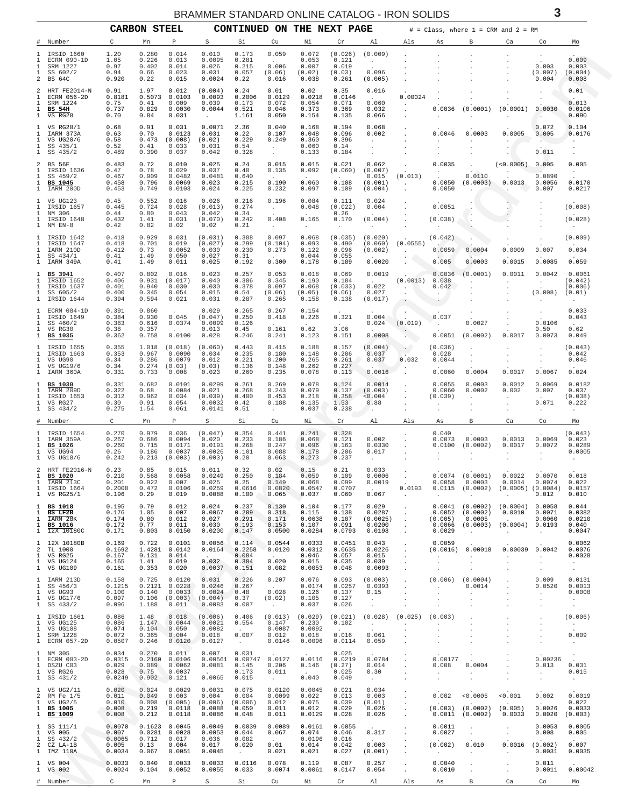<span id="page-2-0"></span>

|                                                              | <b>_______________</b><br>$\check{ }$<br><b>CARBON STEEL</b><br>CONTINUED ON THE NEXT PAGE<br>$\#$ = Class, where 1 = CRM and 2 = RM |                                              |                                            |                                                           |                                                                  |                                                             |                                                                           |                                                                     |                                                               |                                                                 |                                                                             |                                                                       |                                                                    |                                                                                                          |                                                                           |                                                        |
|--------------------------------------------------------------|--------------------------------------------------------------------------------------------------------------------------------------|----------------------------------------------|--------------------------------------------|-----------------------------------------------------------|------------------------------------------------------------------|-------------------------------------------------------------|---------------------------------------------------------------------------|---------------------------------------------------------------------|---------------------------------------------------------------|-----------------------------------------------------------------|-----------------------------------------------------------------------------|-----------------------------------------------------------------------|--------------------------------------------------------------------|----------------------------------------------------------------------------------------------------------|---------------------------------------------------------------------------|--------------------------------------------------------|
|                                                              | Number                                                                                                                               | C                                            | Mn                                         | P                                                         | S                                                                | Si                                                          | Cu                                                                        | Νi                                                                  | Cr                                                            | Al                                                              | Als                                                                         | As                                                                    | В                                                                  | Ca                                                                                                       | Co                                                                        | Mo                                                     |
| 1<br>1<br>1<br>$\mathbf{1}$<br>2                             | IRSID 1660<br>ECRM 090-1D<br>SRM 1227<br>SS 602/2<br>BS 64C                                                                          | 1.20<br>1.05<br>0.97<br>0.94<br>0.920        | 0.280<br>0.226<br>0.402<br>0.66<br>0.22    | 0.014<br>0.013<br>0.014<br>0.023<br>0.015                 | 0.010<br>0.0095<br>0.026<br>0.031<br>0.0024                      | 0.173<br>0.281<br>0.215<br>0.057<br>0.22                    | 0.059<br>$\sim$<br>0.006<br>(0.06)<br>0.016                               | 0.072<br>0.053<br>0.007<br>(0.02)<br>0.038                          | (0.026)<br>0.121<br>0.019<br>(0.03)<br>0.261                  | (0.009)<br>$\sim$<br>0.096<br>(0.005)                           |                                                                             |                                                                       |                                                                    | $\cdot$                                                                                                  | 0.003<br>(0.007)<br>0.004                                                 | 0.009<br>0.003<br>(0.004)<br>0.008                     |
| 2<br>1<br>1<br>$\mathbf{1}$<br>$\mathbf{1}$                  | HRT FE2014-N<br>ECRM 056-2D<br>SRM 1224<br><b>BS 54H</b><br>VS RG28                                                                  | 0.91<br>0.8181<br>0.75<br>0.737<br>0.70      | 1.97<br>0.5073<br>0.41<br>0.829<br>0.84    | 0.012<br>0.0103<br>0.009<br>0.0030<br>0.031               | (0.004)<br>0.0093<br>0.039<br>0.0044<br>$\sim$                   | 0.24<br>0.2006<br>0.173<br>0.521<br>1.161                   | 0.01<br>0.0129<br>0.072<br>0.046<br>0.050                                 | 0.02<br>0.0218<br>0.054<br>0.373<br>0.154                           | 0.35<br>0.0146<br>0.071<br>0.369<br>0.135                     | 0.016<br>$\sim 10^{-11}$<br>0.060<br>0.032<br>0.066             | 0.00024                                                                     | 0.0036                                                                | (0.0001)                                                           | $\ddot{\phantom{0}}$<br>(0.0001)<br>$\ddot{\phantom{a}}$                                                 | 0.0030<br>- 40                                                            | 0.01<br>0.013<br>0.0106<br>0.090                       |
| 1<br>1<br>1<br>1<br>1                                        | VS RG28/1<br>IARM 373A<br>VS UG20/6<br>SS 435/1<br>SS 435/2                                                                          | 0.68<br>0.63<br>0.58<br>0.52<br>0.489        | 0.91<br>0.70<br>0.473<br>0.41<br>0.390     | 0.031<br>0.0123<br>(0.008)<br>0.033<br>0.037              | 0.0071<br>0.031<br>(0.02)<br>0.031<br>0.042                      | 2.36<br>0.22<br>0.229<br>0.54<br>0.328                      | 0.040<br>0.107<br>0.249<br>$\sim$<br>$\ddot{\phantom{0}}$                 | 0.168<br>0.048<br>0.360<br>0.060<br>0.133                           | 0.194<br>0.096<br>0.396<br>0.14<br>0.184                      | 0.068<br>0.002<br>$\sim$<br>$\cdot$<br>$\cdot$                  |                                                                             | 0.0046                                                                | 0.0003                                                             | 0.0005<br>$\bullet$                                                                                      | 0.072<br>0.005<br>0.011                                                   | 0.104<br>0.0176<br>$\cdot$                             |
| 2<br>1<br>1<br>1<br>1                                        | BS 56E<br>IRSID 1636<br>SS 459/2<br>BS 1045<br>IARM 200D                                                                             | 0.483<br>0.47<br>0.467<br>0.458<br>0.453     | 0.72<br>0.78<br>0.909<br>0.796<br>0.749    | 0.010<br>0.029<br>0.0482<br>0.0069<br>0.0103              | 0.025<br>0.037<br>0.0481<br>0.023<br>0.024                       | 0.24<br>0.40<br>0.640<br>0.215<br>0.225                     | 0.015<br>0.135<br>$\sim$<br>0.190<br>0.232                                | 0.015<br>0.092<br>$\sim$<br>0.060<br>0.097                          | 0.021<br>(0.060)<br>0.108<br>0.109                            | 0.062<br>(0.007)<br>0.015<br>(0.001)<br>(0.004)                 | (0.013)<br>$\sim$ $\sim$                                                    | 0.0035<br>$\sim$<br>0.0050<br>0.0050                                  | 0.0110<br>(0.0003)                                                 | (<0.0005)<br>$\sim$<br>0.0013<br>$\sim$                                                                  | 0.005<br>0.0890<br>0.0056<br>0.007                                        | 0.005<br>$\sim$<br>0.0170<br>0.0217                    |
| 1<br>1<br>1<br>1<br>$\mathbf{1}$                             | VS UG123<br>IRSID 1657<br>NM 306<br>IRSID 1648<br>NM EN-8                                                                            | 0.45<br>0.445<br>0.44<br>0.432<br>0.42       | 0.552<br>0.724<br>0.80<br>1.41<br>0.82     | 0.016<br>0.028<br>0.043<br>0.031<br>0.02                  | 0.026<br>(0.013)<br>0.042<br>(0.070)<br>0.02                     | 0.216<br>0.274<br>0.34<br>0.242<br>0.21                     | 0.196<br>$\sim 10^{-11}$<br>0.408<br>$\sim$                               | 0.084<br>0.048<br>$\sim 10^{-11}$<br>0.165<br>$\sim$                | 0.111<br>(0.022)<br>0.26<br>0.170                             | 0.024<br>0.004<br>(0.004)<br>$\sim$                             | $\cdot$                                                                     | 0.0051<br>(0.038)<br>$\cdot$                                          | Ā.<br>$\ddot{\phantom{a}}$                                         |                                                                                                          | $\cdot$                                                                   | (0.008)<br>(0.028)<br>$\cdot$                          |
| $1\,$<br>1<br>1<br>1<br>$\mathbf{1}$                         | IRSID 1642<br>IRSID 1647<br>IARM 210D<br>SS 434/1<br>IARM 349A                                                                       | 0.418<br>0.418<br>0.412<br>0.41<br>0.41      | 0.929<br>0.701<br>0.73<br>1.49<br>1.49     | 0.031<br>0.019<br>0.0052<br>0.050<br>0.011                | (0.031)<br>(0.027)<br>0.030<br>0.027<br>0.025                    | 0.388<br>0.299<br>0.230<br>0.31<br>0.192                    | 0.097<br>(0.104)<br>0.273<br>$\sim$<br>0.300                              | 0.068<br>0.093<br>0.122<br>0.044<br>0.178                           | $\blacksquare$<br>(0.035)<br>0.490<br>0.096<br>0.055<br>0.189 | (0.020)<br>(0.060)<br>(0.002)<br>0.0020                         | (0.0555)<br>$\sim 10^{-11}$<br>$\cdot$                                      | (0.042)<br>0.0059<br>0.005                                            | 0.0004<br>0.0003                                                   | 0.0009<br>0.0015                                                                                         | 0.007<br>0.0085                                                           | (0.009)<br>0.034<br>0.059                              |
| 1<br>1<br>1<br>1<br>1                                        | BS 3941<br>IRSID 1652<br>IRSID 1637<br>SS 605/2<br>IRSID 1644                                                                        | 0.407<br>0.406<br>0.401<br>0.400<br>0.394    | 0.802<br>0.931<br>0.940<br>0.345<br>0.594  | 0.016<br>(0.017)<br>0.030<br>0.054<br>0.021               | 0.023<br>0.040<br>0.030<br>0.015<br>0.031                        | 0.257<br>0.386<br>0.378<br>0.54<br>0.287                    | 0.053<br>0.345<br>0.097<br>(0.06)<br>0.265                                | 0.018<br>0.190<br>0.068<br>(0.05)<br>0.158                          | 0.069<br>0.184<br>(0.033)<br>(0.06)<br>0.138                  | 0.0019<br><b>Contract Contract</b><br>0.022<br>0.027<br>(0.017) | (0.0013)<br>$\sim$                                                          | 0.0036<br>0.038<br>0.042<br>$\sim$ $\sim$<br>$\sim$ $\sim$            | (0.0001)<br>$\cdot$                                                | 0.0011<br>$\cdot$                                                                                        | 0.0042<br>$\sim$ $-$<br>(0.008)                                           | 0.0061<br>(0.042)<br>(0.006)<br>(0.01)                 |
| 1<br>1<br>1<br>1<br>1                                        | ECRM 084-1D<br>IRSID 1649<br>SS 460/2<br>VS RG30<br>BS 1035                                                                          | 0.391<br>0.384<br>0.383<br>0.38<br>0.362     | 0.860<br>0.930<br>0.616<br>0.357<br>0.758  | 0.045<br>0.0374<br>$\sim$<br>0.0100                       | 0.029<br>(0.047)<br>0.0099<br>0.013<br>0.028                     | 0.265<br>0.250<br>0.126<br>0.45<br>0.246                    | 0.267<br>0.418<br>$\sim$<br>0.161<br>0.241                                | 0.154<br>0.226<br><b>Contract Contract</b><br>0.62<br>0.123         | 0.321<br>$\sim$<br>3.06<br>0.151                              | 0.004<br>0.024<br>0.0008                                        | $\sim$<br>(0.019)<br>$\sim$                                                 | 0.037<br>$\sim$<br>0.0051                                             | 0.0027<br>(0.0002)                                                 | 0.0017                                                                                                   | 0.0106<br>0.50<br>0.0073                                                  | 0.033<br>0.043<br>$\sim$<br>0.62<br>0.049              |
| 1<br>1<br>1<br>1<br>1                                        | IRSID 1655<br>IRSID 1663<br>VS UG90<br>VS UG19/6<br>IARM 360A                                                                        | 0.355<br>0.353<br>0.34<br>0.34<br>0.331      | 1.018<br>0.967<br>0.286<br>0.274<br>0.733  | (0.018)<br>0.0090<br>0.0079<br>(0.03)<br>0.008            | (0.060)<br>0.034<br>0.012<br>(0.03)<br>0.023                     | 0.443<br>0.235<br>0.221<br>0.136<br>0.260                   | 0.415<br>0.180<br>0.200<br>0.148<br>0.235                                 | 0.188<br>0.148<br>0.265<br>0.262<br>0.078                           | 0.157<br>0.206<br>0.261<br>0.227<br>0.113                     | (0.004)<br>0.037<br>0.037<br>$\sim$<br>0.0016                   | $\sim$<br>0.032<br>$\cdot$                                                  | (0.036)<br>0.028<br>0.0044<br>0.0060                                  | $\cdot$<br>$\cdot$<br>$\cdot$<br>0.0004                            | $\cdot$<br>0.0017                                                                                        | $\cdot$<br>$\cdot$<br>0.0067                                              | (0.043)<br>0.042<br>0.046<br>0.024                     |
| 1<br>1<br>1<br>1<br>1                                        | <b>BS 1030</b><br>IARM 209D<br>IRSID 1653<br>VS RG27<br>SS 434/2                                                                     | 0.331<br>0.322<br>0.312<br>0.30<br>0.275     | 0.682<br>0.68<br>0.962<br>0.91<br>1.54     | 0.0101<br>0.0084<br>0.034<br>0.054<br>0.061               | 0.0299<br>0.021<br>(0.039)<br>0.0032<br>0.0141                   | 0.261<br>0.268<br>0.400<br>0.42<br>0.51                     | 0.269<br>0.243<br>0.453<br>0.188<br>$\sim$                                | 0.078<br>0.079<br>0.218<br>0.135<br>0.037                           | 0.124<br>0.137<br>0.358<br>1.53<br>0.238                      | 0.0014<br>(0.003)<br>< 0.004<br>0.88<br>$\lambda$               |                                                                             | 0.0055<br>0.0060<br>(0.039)<br>$\cdot$                                | 0.0003<br>0.0002<br>$\ddot{\phantom{a}}$<br>$\cdot$                | 0.0012<br>0.002<br>$\sim$<br>$\cdot$                                                                     | 0.0069<br>0.007<br>$\sim$<br>0.071<br>$\cdot$                             | 0.0182<br>0.037<br>(0.038)<br>0.222<br>$\cdot$         |
|                                                              | Number                                                                                                                               | C                                            | Mn                                         | P                                                         | S                                                                | Si                                                          | Cu                                                                        | Νi                                                                  | Cr                                                            | Al                                                              | Als                                                                         | As                                                                    | R                                                                  | Ca                                                                                                       | Co                                                                        | Mo                                                     |
| ı<br>1<br>1<br>1<br>1                                        | IRSID 1654<br>IARM 359A<br><b>BS 1026</b><br>VS UG94<br>VS UG18/6                                                                    | 0.270<br>0.267<br>0.260<br>0.26<br>0.242     | 0.979<br>0.686<br>0.715<br>0.186<br>0.213  | 0.036<br>0.0094<br>0.0171<br>0.0037<br>(0.003)            | (0.047)<br>0.020<br>0.0191<br>0.0026<br>(0.003)                  | 0.354<br>0.233<br>0.268<br>0.101<br>0.20                    | 0.441<br>0.186<br>0.247<br>0.088<br>0.063                                 | 0.241<br>0.068<br>0.096<br>0.178<br>0.273                           | 0.328<br>0.121<br>0.163<br>0.206<br>0.237                     | 0.002<br>0.0330<br>0.017<br>$\cdot$                             |                                                                             | 0.040<br>0.0073<br>0.0100                                             | 0.0003<br>(0.0002)                                                 | 0.0013<br>0.0017                                                                                         | 0.0069<br>0.0072<br>$\sim$                                                | (0.043)<br>0.023<br>0.0289<br>0.0005                   |
| $\mathbf{1}$<br>$\mathbf{1}$<br>$\mathbf{1}$                 | 2 HRT FE2016-N<br>BS 1020<br>IARM 213C<br>IRSID 1664<br>1 VS RG25/1                                                                  | 0.23<br>0.210<br>0.201<br>0.2008<br>0.196    | 0.85<br>0.568<br>0.922<br>0.472<br>0.29    | 0.015<br>0.0058<br>0.007<br>0.0106<br>0.019               | 0.011<br>0.0249<br>0.025<br>0.0259<br>0.0088                     | 0.32<br>0.250<br>0.25<br>0.0616<br>0.100                    | 0.02<br>0.184<br>0.149<br>0.0820<br>0.065                                 | 0.15<br>0.059<br>0.068<br>0.0547<br>0.037                           | 0.21<br>0.109<br>0.099<br>0.0707<br>0.060                     | 0.033<br>0.0006<br>0.0019<br><b>Carl Corporation</b><br>0.067   | $\sim$<br><b>Contractor</b>                                                 | 0.0058<br><b>Contract</b>                                             | $0.0074$ $(0.0001)$<br>0.0003<br>$\sim$                            | 0.0022<br>0.0014<br>$0.0193$ $0.0115$ $(0.0002)$ $(0.0005)$ $(0.0084)$<br>$\sim$                         | 0.0070<br>0.0074<br>0.012                                                 | 0.018<br>0.022<br>0.0157<br>0.010                      |
| $\mathbf{1}$<br>$\mathbf{1}$<br>$\mathbf{1}$                 | 1 BS 1018<br>BS LF2B<br>IARM 28K<br><b>BS 1016</b><br>$1\quad \overline{12}X\ 10180C$                                                | 0.195<br>0.176<br>0.174<br>0.172<br>0.171    | 0.79<br>1.05<br>0.80<br>0.77<br>0.803      | 0.012<br>0.007<br>0.012<br>0.011<br>0.0150                | 0.024<br>0.0067<br>0.027<br>0.030<br>0.0200                      | 0.237<br>0.209<br>0.291<br>0.193<br>0.147                   | 0.130<br>0.318<br>0.171<br>0.153<br>0.0500                                | 0.104<br>0.115<br>0.0638<br>0.107<br>0.0284                         | 0.177<br>0.138<br>0.107<br>0.091<br>0.0793                    | 0.029<br>0.0287<br>(0.0025)<br>0.0200<br>0.0198                 | $\sim$<br>$\sim$<br>$\ddot{\phantom{a}}$<br>$\sim$<br>$\sim$                | (0.005)<br>0.0029                                                     | $0.0041$ $(0.0002)$<br>$0.0052$ $(0.0002)$<br>0.0005<br>$\sim$     | $(0.0004)$ 0.0058<br>0.0010<br>$\sim$ $\sim$<br>$0.0066$ $(0.0003)$ $(0.0004)$ 0.0193<br><b>Contract</b> | 0.0071<br>0.0060<br>$\sim 100$                                            | 0.044<br>0.0382<br>0.0210<br>0.040<br>0.0047           |
| $\mathbf{1}$<br>2<br>$\mathbf{1}$<br>$\mathbf{1}$            | 12X 10180B<br>TL 1000<br>VS RG25<br>VS UG124<br>1 VS UG109                                                                           | 0.169<br>0.1692<br>0.167<br>0.165<br>0.161   | 0.722<br>1.4281<br>0.131<br>1.41<br>0.353  | 0.0101<br>0.0142<br>0.014<br>0.019<br>0.020               | 0.0056<br>0.0164<br>$\sim$<br>0.032<br>0.0037                    | 0.114<br>0.2258<br>0.084<br>0.384<br>0.151                  | 0.0544<br>0.0120<br><b>Contract Contract</b><br>0.020<br>0.082            | 0.0333<br>0.0312<br>0.046<br>0.015<br>0.0053                        | 0.0451<br>0.0635<br>0.057<br>0.035<br>0.048                   | 0.043<br>0.0226<br>0.015<br>0.039<br>0.0093                     | $\sim$<br>$\sim$<br>$\sim$<br>$\sim$<br>$\sim$                              | 0.0059<br>$\sim 10^{-11}$<br>$\sim$<br>$\sim$                         | (0.0016) 0.00018<br><b>Contract Contract</b><br>$\sim$<br>$\sim$   | <b>Carl Corp.</b><br>$\sim$<br>$\sim$                                                                    | $0.00039$ $0.0042$<br><b>Contract Contract</b><br>$\sim$<br>$\sim$ $\sim$ | 0.0062<br>0.0076<br>0.0028<br>$\sim 100$<br>$\sim$     |
| $\mathbf{1}$<br>$\mathbf{1}$<br>$\mathbf{1}$<br>$\mathbf{1}$ | IARM 213D<br>SS 456/3<br>VS UG93<br>VS UG17/6<br>$1$ SS $433/2$                                                                      | 0.158<br>0.1215<br>0.100<br>0.097<br>0.096   | 0.725<br>0.140<br>0.106<br>1.188           | 0.0120<br>$0.2121$ $0.0228$<br>0.0033<br>(0.003)<br>0.011 | 0.031<br>0.0246<br>0.0024<br>(0.004)<br>0.0083                   | 0.226<br>0.267<br>0.48<br>0.37<br>0.007                     | 0.207<br><b>Contract Contract</b><br>0.028<br>(0.02)<br><b>Contractor</b> | 0.076<br>0.0174<br>0.126<br>0.105<br>0.037                          | 0.093<br>0.0257<br>0.137<br>0.127<br>0.026                    | (0.003)<br>0.0393<br>0.15<br>$\sim 10^{-11}$<br>$\sim$          | $\sim$<br>$\sim$<br>$\sim$<br>$\sim$<br>$\cdot$                             | $\sim$<br>$\cdot$<br>$\cdot$<br>$\cdot$                               | $(0.006)$ $(0.0004)$<br>0.0014<br>$\sim$<br>$\cdot$<br>$\cdot$     | $\sim$<br>$\cdot$ .<br>$\cdot$<br>$\cdot$<br>$\sim$                                                      | 0.009<br>0.0520<br>$\sim$<br>$\cdot$<br>$\cdot$                           | 0.0131<br>0.0013<br>0.0008<br>$\sim$<br>$\sim$         |
| $\mathbf{1}$<br>1<br>1                                       | 1 IRSID 1661<br>VS UG125<br>VS UG108<br>SRM 1228<br>1 ECRM 057-2D                                                                    | 0.086<br>0.086<br>0.074<br>0.072<br>0.0507   | 1.48<br>1.147<br>0.104<br>0.365<br>0.246   | 0.018<br>0.0044<br>0.050<br>0.004<br>0.0120               | (0.006)<br>0.0021<br>0.0082<br>0.018<br>0.0127                   | 0.406<br>0.554<br>$\sim$ $\sim$<br>0.007<br>$\sim 10^{-11}$ | 0.147<br>0.0087<br>0.012<br>0.0146                                        | $(0.013)$ $(0.029)$ $(0.021)$<br>0.230<br>0.0092<br>0.018<br>0.0096 | 0.102<br>0.016<br>0.0114                                      | (0.028)<br>$\sim 1000$ km s $^{-1}$<br>0.061<br>0.059           | $(0.025)$ $(0.003)$<br>$\sim$<br>$\cdot$<br>$\cdot$<br>$\ddot{\phantom{a}}$ | <b>Contract Contract</b><br>$\sim$<br>$\cdot$<br>$\ddot{\phantom{a}}$ | $\cdot$<br>$\cdot$<br>$\cdot$<br>$\bullet$<br>$\ddot{\phantom{a}}$ | $\sim$<br>$\sim$<br>$\sim$<br>$\cdot$                                                                    | $\cdot$<br>$\sim$<br>$\cdot$<br>$\cdot$<br>$\cdot$                        | (0.006)<br><b>Contract</b><br>0.009<br>$\sim 10^{-11}$ |
| $\mathbf{1}$<br>$\mathbf{1}$<br>1<br>1                       | NM 305<br>ECRM 083-2D<br>DSZU C03<br>VS RG26<br>$1$ SS $431/2$                                                                       | 0.034<br>0.0315<br>0.029<br>0.028<br>0.0249  | 0.270<br>0.089<br>0.75<br>0.902            | 0.011<br>0.2160 0.0106<br>0.0062<br>0.0037<br>0.121       | 0.007<br>0.00561<br>0.0081<br><b>Contract Contract</b><br>0.0065 | 0.031<br>0.00747 0.0127<br>0.145<br>0.173<br>0.015          | 0.206<br>0.011<br>$\sim 10^{-10}$ m $^{-1}$                               | 0.0116<br>0.146<br>$\sim 10^{-10}$<br>0.040                         | 0.025<br>0.0219<br>(0.27)<br>0.025<br>0.049                   | 0.0784<br>0.014<br>0.30<br>$\sim$ $-$                           | $\cdot$<br>$\cdot$<br>$\sim$<br>$\sim$                                      | 0.00177<br>0.008<br>$\sim 10^{-11}$<br>$\sim$                         | $\sim 10^{-10}$<br>0.0004<br>$\Delta \sim 10^{-11}$<br>$\cdot$     | $\sim$<br>$\ddot{\phantom{a}}$<br>$\sim$<br>$\sim$                                                       | 0.00236<br>0.013<br>$\sim 10^{-10}$<br>$\sim 10^{-11}$                    | 0.031<br>0.015<br>$\sim$ $-$                           |
| $\mathbf{1}$<br>2<br>$\mathbf{1}$<br>1<br>$\mathbf{1}$       | VS UG2/11<br>RM Fe 1/5<br>VS $UG2/5$<br><b>BS 1005</b><br><b>BS 1009</b>                                                             | 0.020<br>0.011<br>0.010<br>0.008<br>0.008    | 0.024<br>0.049<br>0.008<br>0.219<br>0.212  | 0.0029<br>0.003<br>(0.005)<br>0.0118<br>0.0118            | 0.0031<br>0.004<br>$(0.006)$ $(0.006)$<br>0.0088<br>0.0086       | 0.075<br>0.004<br>0.050<br>0.048                            | 0.0120<br>0.0099<br>0.012<br>0.011<br>0.011                               | 0.0045<br>0.022<br>0.075<br>0.012<br>0.0129                         | 0.021<br>0.013<br>0.039<br>0.029<br>0.028                     | 0.034<br>0.003<br>(0.01)<br>0.026<br>0.026                      | $\cdot$<br>$\sim$<br>$\sim$<br>$\sim$<br>$\sim$                             | 0.002                                                                 | < 0.0005<br>$(0.003)$ $(0.0002)$<br>$0.0011$ $(0.0002)$            | < 0.001<br><b>Contract Contract</b><br>(0.005)<br>0.0033                                                 | 0.002<br><b>Contract</b><br>0.0026<br>0.0020                              | 0.0019<br>0.022<br>0.0033<br>(0.003)                   |
| 1<br>$\mathbf{1}$<br>$\mathbf{1}$<br>2                       | SS 111/1<br>VS 005<br>SS 432/2<br>CZ LA-1B<br>1 IMZ 110A                                                                             | 0.0070<br>0.007<br>0.0065<br>0.005<br>0.0034 | 0.1623<br>0.0281<br>0.712<br>0.13<br>0.067 | 0.0045<br>0.0028<br>0.017<br>0.004<br>0.0051              | 0.0049<br>0.0053<br>0.036<br>0.017<br>0.0045                     | 0.0039<br>0.044<br>0.082<br>0.020<br>$\cdot$                | 0.0089<br>0.067<br><b>Carlos</b><br>0.01<br>0.021                         | 0.0161<br>0.074<br>0.0196<br>0.014<br>0.021                         | 0.0055<br>0.046<br>0.016<br>0.042<br>0.027                    | 0.317<br><b>Contract</b><br>0.003<br>(0.001)                    | $\bullet$<br>$\sim$<br>$\cdot$<br>$\cdot$<br>$\sim$                         | 0.0011<br>0.0027<br>(0.002)<br>$\sim 10^{-11}$                        | $\bullet$<br>$\sim$<br>0.010<br>$\sim$                             | $\bullet$<br>$\sim$<br>0.0016<br>$\sim$                                                                  | 0.0053<br>0.008<br>(0.002)<br>0.0031                                      | 0.0005<br>0.005<br>0.007<br>0.0035                     |
|                                                              | 1 VS 004<br>1 VS 002<br># Number                                                                                                     | 0.0033<br>0.0024<br>$\mathbb{C}$             | 0.040<br>0.104<br>Mn                       | 0.0033<br>0.0052<br>$\mathbb{P}$                          | 0.0033<br>0.0055<br>S                                            | 0.0116<br>0.033<br>Si                                       | 0.078<br>0.0074<br>Cu                                                     | 0.119<br>0.0061<br>Νi                                               | 0.087<br>0.0147<br>Cr                                         | 0.257<br>0.054<br>Al                                            | $\blacksquare$<br>$\cdot$<br>Als                                            | 0.0040<br>0.0010<br>As                                                | $\bullet$<br>$\cdot$<br>$\mathbb B$                                | $\cdot$<br>$\ddot{\phantom{a}}$<br>Ca                                                                    | 0.011<br>0.0011<br>Co                                                     | 0.00042<br>Mo                                          |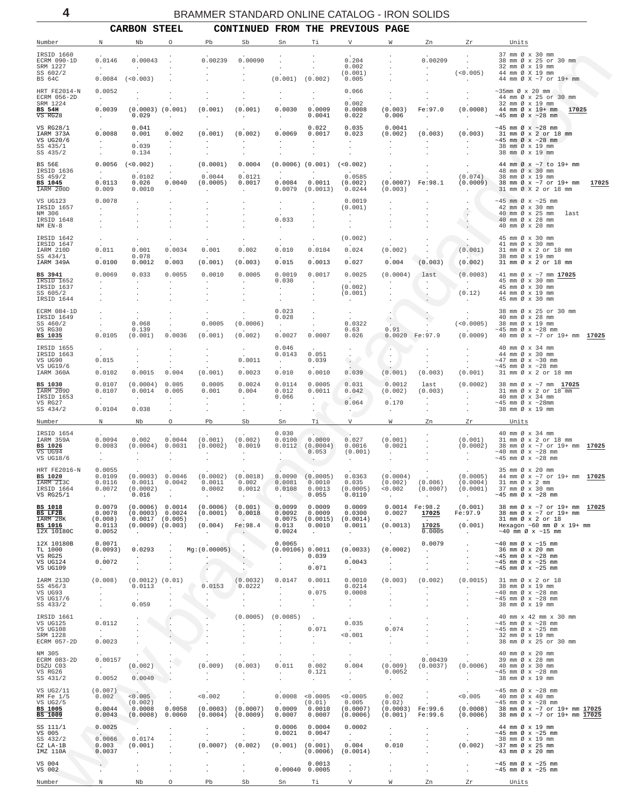<span id="page-3-0"></span>

|                                                                   |                                                      | <b>CARBON STEEL</b>                                               |                                                                    |                                                              |                                                             |                                                             |                                                              | CONTINUED FROM THE PREVIOUS PAGE                                           |                                                                                 |                                             |                                                    |                                                                                                                                           |
|-------------------------------------------------------------------|------------------------------------------------------|-------------------------------------------------------------------|--------------------------------------------------------------------|--------------------------------------------------------------|-------------------------------------------------------------|-------------------------------------------------------------|--------------------------------------------------------------|----------------------------------------------------------------------------|---------------------------------------------------------------------------------|---------------------------------------------|----------------------------------------------------|-------------------------------------------------------------------------------------------------------------------------------------------|
| Number                                                            | Ν                                                    | Nb                                                                | О                                                                  | Pb                                                           | Sb                                                          | Sn                                                          | Τi                                                           | V                                                                          | W                                                                               | Zn                                          | Zr                                                 | Units                                                                                                                                     |
| IRSID 1660<br>ECRM 090-1D<br>SRM 1227<br>SS 602/2                 | 0.0146<br>$\sim$                                     | 0.00043<br>$\sim$                                                 |                                                                    | 0.00239<br>$\sim$                                            | 0.00090<br>$\ddot{\phantom{0}}$                             |                                                             |                                                              | 0.204<br>0.002<br>(0.001)                                                  |                                                                                 | 0.00209<br>$\overline{a}$                   | $\cdot$<br>$\ddot{\phantom{a}}$<br>(<0.005)        | 37 mm Ø x 30 mm<br>38 mm Ø x 25 or 30 mm<br>32 mm Ø x 19 mm<br>44 mm Ø X 19 mm                                                            |
| BS 64C                                                            | 0.0084                                               | (<0.003)                                                          |                                                                    |                                                              |                                                             | (0.001)                                                     | (0.002)                                                      | 0.005                                                                      |                                                                                 |                                             | $\sim$                                             | 44 mm Ø X ~7 or 19+ mm                                                                                                                    |
| HRT FE2014-N<br>ECRM 056-2D<br>SRM 1224                           | 0.0052<br>$\sim$<br>0.0039                           | $\cdot$<br>$(0.0003)$ $(0.001)$                                   |                                                                    | (0.001)                                                      | (0.001)                                                     | $\cdot$                                                     | $\cdot$<br>$\ddot{\phantom{0}}$<br>0.0009                    | 0.066<br>0.002<br>0.0008                                                   |                                                                                 | Fe:97.0                                     | $\cdot$<br>(0.0008)                                | $\sim$ 35mm Ø x 20 mm<br>44 mm Ø x 25 or 30 mm<br>32 mm Ø x 19 mm<br>44 mm Ø x 19+ mm                                                     |
| BS 54H<br>$\overline{\text{VS}}$ RG28                             | <b>Carl Corporation</b>                              | 0.029                                                             | $\mathbf{r}$                                                       | $\ddot{\phantom{a}}$                                         |                                                             | 0.0030<br>$\ddot{\phantom{0}}$                              | 0.0041                                                       | 0.022                                                                      | (0.003)<br>0.006                                                                | $\sim$                                      | $\sim$                                             | 17025<br>$\sim$ 45 mm Ø x $\sim$ 28 mm                                                                                                    |
| VS RG28/1<br>IARM 373A<br>VS UG20/6<br>SS 435/1                   | 0.0088<br><b>Service</b>                             | 0.041<br>0.001<br><b>Carl Corporation</b><br>0.039                | 0.002<br>$\sim$<br>$\cdot$                                         | (0.001)<br>$\ddot{\phantom{0}}$                              | (0.002)                                                     | 0.0069<br>$\sim$                                            | 0.022<br>0.0017<br>$\ddot{\phantom{a}}$                      | 0.035<br>0.023<br>$\sim$                                                   | 0.0041<br>(0.002)<br>$\ddot{\phantom{a}}$                                       | (0.003)<br><b>Contract Contract</b>         | (0.003)<br><b>Contractor</b>                       | $\sim$ 45 mm Ø x $\sim$ 28 mm<br>31 mm Ø x 2 or 18 mm<br>$\sim$ 45 mm Ø x $\sim$ 28 mm<br>38 mm Ø x 19 mm                                 |
| SS 435/2                                                          |                                                      | 0.134                                                             |                                                                    |                                                              |                                                             |                                                             |                                                              |                                                                            |                                                                                 |                                             |                                                    | 38 mm Ø x 19 mm                                                                                                                           |
| BS 56E<br>IRSID 1636<br>SS 459/2<br>BS 1045<br>IARM 200D          | <b>Service</b><br>0.0113<br>0.009                    | $0.0056$ (<0.002)<br>0.0102<br>0.026<br>0.0010                    | $\cdot$<br>$\cdot$<br>0.0040<br>$\ddot{\phantom{a}}$               | (0.0001)<br>0.0044<br>(0.0005)<br>$\ddot{\phantom{a}}$       | 0.0004<br>0.0121<br>0.0017<br>$\ddot{\phantom{a}}$          | $(0.0006)$ $(0.001)$<br>$\sim$ $\sim$<br>0.0084<br>0.0079   | $\sim$<br>0.0011<br>(0.0013)                                 | (< 0.002)<br>0.0585<br>(0.002)<br>0.0244                                   | $\cdot$<br>$\cdot$<br>(0.0007)<br>(0.003)                                       | Fe: 98.1<br>$\sim$                          | $\cdot$<br>(0.074)<br>(0.0009)<br>$\sim$ 100 $\mu$ | 44 mm Ø x ~7 to 19+ mm<br>48 mm Ø x 30 mm<br>38 mm Ø x 19 mm<br>38 mm Ø x ~7 or 19+ mm<br>17025<br>31 mm Ø X 2 or 18 mm                   |
| VS UG123<br>IRSID 1657<br>NM 306                                  | 0.0078<br>$\sim$                                     | $\cdot$                                                           |                                                                    |                                                              |                                                             | $\ddot{\phantom{1}}$<br>$\cdot$                             |                                                              | 0.0019<br>(0.001)<br>$\sim$                                                |                                                                                 |                                             | $\cdot$<br>$\ddot{\phantom{0}}$                    | $\sim$ 45 mm Ø x $\sim$ 25 mm<br>42 mm Ø x 30 mm<br>40 mm Ø x 25 mm<br>last                                                               |
| IRSID 1648<br>NM EN-8                                             | $\sim$<br>$\cdot$                                    |                                                                   |                                                                    |                                                              |                                                             | 0.033<br>$\cdot$                                            |                                                              |                                                                            |                                                                                 |                                             | $\mathcal{C}$ .                                    | 40 mm Ø x 28 mm<br>40 mm Ø x 20 mm                                                                                                        |
| IRSID 1642                                                        | $\cdot$                                              | $\cdot$                                                           | $\cdot$                                                            |                                                              |                                                             | $\cdot$                                                     | $\cdot$                                                      | (0.002)                                                                    | $\cdot$                                                                         |                                             |                                                    | 45 mm Ø x 30 mm                                                                                                                           |
| IRSID 1647<br>IARM 210D<br>SS 434/1<br>IARM 349A                  | 0.011<br>0.0100                                      | 0.001<br>0.078<br>0.0012                                          | 0.0034<br>0.003                                                    | 0.001<br>(0.001)                                             | 0.002<br>(0.003)                                            | 0.010<br>0.015                                              | 0.0104<br>0.0013                                             | 0.024<br>0.027                                                             | (0.002)<br>0.004                                                                | (0.003)                                     | (0.001)<br>(0.002)                                 | 41 mm Ø x 30 mm<br>31 mm Ø x 2 or 18 mm<br>38 mm Ø x 19 mm<br>31 mm Ø x 2 or 18 mm                                                        |
| BS 3941                                                           | 0.0069                                               | 0.033                                                             | 0.0055                                                             | 0.0010                                                       | 0.0005                                                      | 0.0019                                                      | 0.0017                                                       | 0.0025                                                                     | (0.0004)                                                                        | last                                        | (0.0003)                                           | 41 mm $\varnothing$ x ~7 mm 17025                                                                                                         |
| IRSID 1652<br>IRSID 1637<br>SS 605/2<br>IRSID 1644                | $\sim$<br>$\sim$<br>$\ddot{\phantom{0}}$             | $\sim$                                                            | $\cdot$                                                            | $\sim$                                                       | $\sim$                                                      | 0.030<br>$\cdot$                                            | $\sim$                                                       | (0.002)<br>(0.001)<br>$\sim$                                               | $\sim$                                                                          | $\sim$<br>$\sim$<br>$\sim$                  | <b>Contractor</b><br>(0.12)<br>$\sim$              | 45 mm Ø x 30 mm<br>45 mm Ø x 30 mm<br>44 mm Ø x 19 mm<br>45 mm Ø x 30 mm                                                                  |
| ECRM 084-1D<br>IRSID 1649                                         |                                                      |                                                                   |                                                                    | $\cdot$                                                      |                                                             | 0.023<br>0.028                                              |                                                              | $\sim$                                                                     |                                                                                 |                                             | $\cdot$                                            | 38 mm Ø x 25 or 30 mm<br>40 mm Ø x 28 mm                                                                                                  |
| SS 460/2<br>VS RG30<br>BS 1035                                    | 0.0105                                               | 0.068<br>0.139<br>(0.001)                                         | 0.0036                                                             | 0.0005<br>(0.001)                                            | (0.0006)<br>(0.002)                                         | $\sim$ $-$<br>0.0027                                        | 0.0007                                                       | 0.0322<br>0.63<br>0.026                                                    | 0.91                                                                            | 0.0020 Fe:97.9                              | (<0.0005)                                          | 38 mm Ø x 19 mm<br>$\sim$ 45 mm Ø x $\sim$ 28 mm<br>$(0.0009)$ 40 mm Ø x ~7 or 19+ mm 17025                                               |
| IRSID 1655<br>IRSID 1663                                          | $\cdot$                                              |                                                                   |                                                                    | $\cdot$                                                      | $\cdot$                                                     | 0.046<br>0.0143                                             | 0.051                                                        |                                                                            | $\cdot$                                                                         |                                             |                                                    | 40 mm Ø x 34 mm<br>44 mm Ø x 30 mm                                                                                                        |
| VS UG90<br>VS UG19/6<br>IARM 360A                                 | 0.015<br>0.0102                                      | 0.0015                                                            | 0.004                                                              | (0.001)                                                      | 0.0011<br>0.0023                                            | $\sim$ $-$<br>0.010                                         | 0.039<br>0.0010                                              | $\sim$ $\sim$<br>0.039                                                     | $\ddot{\phantom{a}}$<br>(0.001)                                                 | (0.003)                                     | (0.001)                                            | $\sim$ 47 mm Ø x $\sim$ 30 mm<br>$\sim$ 45 mm Ø x $\sim$ 28 mm<br>31 mm Ø x 2 or 18 mm                                                    |
| BS 1030<br>IARM 209D                                              | 0.0107<br>0.0107                                     | (0.0004)<br>0.0014                                                | 0.005<br>0.005                                                     | 0.0005<br>0.001                                              | 0.0024<br>0.004                                             | 0.0114<br>0.012                                             | 0.0005<br>0.0011                                             | 0.031<br>0.042                                                             | 0.0012<br>(0.002)                                                               | last<br>(0.003)                             | (0.0002)<br><b>Contractor</b>                      | 38 mm Ø x ~7 mm <b>17025</b><br>31 mm Ø x 2 or 18 mm                                                                                      |
| IRSID 1653<br>VS RG27<br>SS 434/2                                 | $\sim$<br>0.0104                                     | $\sim$<br>0.038                                                   | $\ddot{\phantom{0}}$<br>$\cdot$                                    | $\ddot{\phantom{0}}$                                         | $\sim$                                                      | 0.066<br>$\cdot$                                            | $\sim$<br>$\ddot{\phantom{0}}$<br>$\bullet$                  | 0.064                                                                      | 0.170<br>$\sim$                                                                 | $\ddot{\phantom{a}}$                        | $\ddot{\phantom{a}}$<br>$\cdot$                    | 40 mm Ø x 34 mm<br>$\sim$ 45 mm Ø x $\sim$ 28mm<br>38 mm Ø x 19 mm                                                                        |
| Number                                                            | N                                                    | Nb                                                                | 0                                                                  | Pb                                                           | Sb                                                          | Sn                                                          | Тi                                                           | V                                                                          | W                                                                               | Zn                                          | Ζr                                                 | Units                                                                                                                                     |
| IRSID 1654<br>IARM 359A<br><b>BS 1026</b><br>VS UG94<br>VS UG18/6 | 0.0094<br>0.0083<br>$\cdot$                          | 0.002<br>(0.0004)<br>$\ddot{\phantom{a}}$                         | 0.0044<br>0.0031<br>$\ddot{\phantom{a}}$                           | (0.001)<br>(0.0002)<br>$\ddot{\phantom{a}}$                  | (0.002)<br>0.0019<br>$\cdot$                                | 0.030<br>0.0100<br>0.0112<br>$\ddot{\phantom{0}}$           | 0.0009<br>(0.0004)<br>0.053                                  | 0.027<br>0.0016<br>(0.001)                                                 | (0.001)<br>0.0021<br><b>Carl Corporation</b>                                    | $\cdot$<br>$\cdot$                          | (0.001)<br>(0.0002)<br><b>Contractor</b>           | 40 mm Ø x 34 mm<br>31 mm Ø x 2 or 18 mm<br>38 mm Ø x ~7 or 19+ mm 17025<br>$\sim$ 40 mm Ø x $\sim$ 28 mm<br>$\sim$ 45 mm Ø x $\sim$ 28 mm |
| HRT FE2016-N                                                      | 0.0055                                               |                                                                   |                                                                    |                                                              |                                                             |                                                             |                                                              |                                                                            |                                                                                 |                                             |                                                    | 35 mm Ø x 20 mm                                                                                                                           |
| BS 1020<br>IARM 213C<br>IRSID 1664<br>VS RG25/1                   | 0.0109<br>0.0116<br>0.0072<br>$\sim$ $\sim$          | (0.0003) 0.0046<br>0.0011<br>(0.0002)<br>0.016                    | 0.0042<br>$\ddot{\phantom{a}}$<br>$\cdot$                          | 0.0011<br>0.0002<br>$\cdot$                                  | $(0.0002)$ $(0.0018)$<br>0.002<br>0.0012<br>$\cdot$         | 0.0090<br>0.0081<br>0.0108<br>$\ddot{\phantom{a}}$          | (0.0005)<br>0.0010<br>0.0013<br>0.055                        | 0.0363<br>0.035<br>(0.0005)<br>0.0110                                      | (0.0004)<br>(0.002)<br>0.002<br>$\ddot{\phantom{0}}$                            | (0.006)<br>(0.0007)<br>$\ddot{\phantom{a}}$ | (0.0005)<br>(0.0004)<br>(0.0001)<br>$\sim$         | 44 mm Ø x ~7 or 19+ mm 17025<br>31 mm Ø x 2 mm<br>37 mm Ø x 30 mm<br>$\sim$ 45 mm Ø x $\sim$ 28 mm                                        |
| BS 1018<br>BS LF2B<br>IARM 28K<br>BS 1016<br>12X 10180C           | 0.0079<br>0.0078<br>(0.008)<br>0.0113<br>0.0052      | (0.0006)<br>(0.0003)<br>0.0017<br>$(0.0009)$ $(0.003)$<br>$\cdot$ | 0.0014<br>0.0024<br>(0.005)<br>$\ddot{\phantom{a}}$                | (0.0006)<br>(0.0001)<br>(0.004)<br>$\ddot{\phantom{a}}$      | (0.001)<br>0.0018<br>. .<br>Fe:98.4<br>$\ddot{\phantom{0}}$ | 0.0099<br>0.0092<br>0.0075<br>0.013<br>0.0024               | 0.0009<br>0.0009<br>(0.0015)<br>0.0010<br>$\sim$             | 0.0009<br>0.0300<br>(0.0014)<br>0.0011<br>$\ddot{\phantom{a}}$             | 0.0014<br>0.0027<br>(0.0013)<br>$\sim 10^{-1}$                                  | Fe: 98.2<br>17025<br>17025<br>0.0005        | (0.001)<br>Fe: 97.9<br>(0.001)<br>$\sim$ $\sim$    | 38 mm Ø x ~7 or 19+ mm 17025<br>38 mm Ø x ~7 or 19+ mm<br>31 mm Ø x 2 or 18<br>Hexagon ~60 mm Ø x 19+ mm<br>$\sim$ 40 mm Ø x $\sim$ 15 mm |
| 12X 10180B<br>TL 1000<br>VS RG25<br>VS UG124<br>VS UG109          | 0.0071<br>(0.0093)<br>0.0072<br>$\cdot$              | 0.0293<br>$\cdot$<br>$\overline{\phantom{a}}$<br>$\cdot$          | $\cdot$<br>$\cdot$<br>$\ddot{\phantom{a}}$<br>$\ddot{\phantom{a}}$ | Mq:(0.00005)<br>$\ddot{\phantom{a}}$<br>$\ddot{\phantom{a}}$ | $\blacksquare$<br>$\cdot$<br>$\sim$<br>$\cdot$              | 0.0065<br>(0.00106) 0.0011<br>$\cdot$<br>$\cdot$<br>$\cdot$ | 0.039<br>$\sim$<br>0.071                                     | (0.0033)<br>0.0043<br>$\sim$                                               | (0.0002)<br>$\sim$<br>$\cdot$<br>$\ddot{\phantom{a}}$                           | 0.0079<br>$\cdot$                           | $\cdot$<br>$\cdot$<br>$\cdot$                      | $\sim$ 40 mm Ø x $\sim$ 15 mm<br>36 mm Ø x 20 mm<br>$~10-45$ mm Ø x $~28$ mm<br>$~10-45$ mm Ø x $~25$ mm<br>$~10-45$ mm Ø x $~25$ mm      |
| IARM 213D<br>SS 456/3<br>VS UG93<br>VS UG17/6<br>SS 433/2         | (0.008)<br>$\sim$<br>$\cdot$<br>$\ddot{\phantom{a}}$ | (0.0012)<br>0.0113<br>$\cdot$<br>0.059                            | (0.01)<br>$\ddot{\phantom{a}}$                                     | - 1<br>0.0153<br>$\cdot$                                     | (0.0032)<br>0.0222<br>$\ddot{\phantom{a}}$                  | 0.0147<br>$\cdot$<br>$\cdot$                                | 0.0011<br>$\sim$<br>0.075<br>$\ddot{\phantom{0}}$<br>$\cdot$ | 0.0010<br>0.0214<br>0.0008<br>$\ddot{\phantom{a}}$<br>$\ddot{\phantom{a}}$ | (0.003)<br>$\ddot{\phantom{a}}$<br>$\ddot{\phantom{a}}$<br>$\ddot{\phantom{a}}$ | (0.002)<br>$\cdot$<br>$\lambda$<br>$\cdot$  | (0.0015)<br>$\cdot$<br>$\mathbf{r}$                | 31 mm Ø x 2 or 18<br>38 mm Ø x 19 mm<br>$~10$ mm Ø x $~28$ mm<br>$~10-45$ mm Ø x $~28$ mm<br>38 mm Ø x 19 mm                              |
| IRSID 1661<br>VS UG125<br>VS UG108<br>SRM 1228<br>ECRM 057-2D     | 0.0112<br>$\sim$<br>0.0023                           | $\overline{\phantom{a}}$                                          | $\cdot$                                                            | $\cdot$<br>$\cdot$                                           | (0.0005)<br>$\cdot$<br>$\cdot$                              | (0.0085)<br>$\cdot$                                         | $\ddot{\phantom{0}}$<br>0.071<br>$\sim$                      | 0.035<br>$\Delta \sim 10^{-11}$<br>0.001<br>$\sim$                         | $\sim$<br>$\sim$<br>0.074<br>$\sim$                                             | $\cdot$<br>$\cdot$                          |                                                    | 40 mm x 42 mm x 30 mm<br>$\sim$ 45 mm Ø x $\sim$ 28 mm<br>$~10-45$ mm Ø x $~25$ mm<br>32 mm Ø x 19 mm<br>38 mm Ø x 25 or 30 mm            |
| NM 305<br>ECRM 083-2D<br>DSZU C03                                 | 0.00157<br>$\sim$                                    | (0.002)                                                           |                                                                    | (0.009)                                                      | $\cdot$<br>(0.003)                                          | $\cdot$<br>0.011                                            | $\ddot{\phantom{a}}$<br>$\sim$<br>0.002                      | $\ddot{\phantom{0}}$<br>0.004                                              | $\ddot{\phantom{0}}$<br>$\cdot$<br>(0.009)                                      | 0.00439<br>(0.0037)                         | $\cdot$<br>(0.0006)                                | 40 mm Ø x 20 mm<br>39 mm Ø x 28 mm<br>40 mm Ø x 30 mm                                                                                     |
| VS RG26<br>SS 431/2<br>VS UG2/11                                  | 0.0052<br>(0.007)                                    | 0.0040                                                            |                                                                    | $\cdot$<br>$\cdot$                                           | $\overline{\phantom{a}}$<br>$\cdot$                         | $\ddot{\phantom{0}}$<br>$\cdot$                             | 0.121<br>$\sim$                                              | $\sim$<br>$\cdot$                                                          | 0.0052<br>$\sim$                                                                | $\ddot{\phantom{a}}$<br>$\cdot$             | $\ddot{\phantom{a}}$<br>$\cdot$                    | $\sim$ 45 mm Ø x $\sim$ 28 mm<br>38 mm Ø x 19 mm<br>$\sim$ 45 mm Ø x $\sim$ 28 mm                                                         |
| RM Fe 1/5<br>VS UG2/5<br>BS 1005<br>BS 1009                       | 0.002<br>0.0044<br>0.0043                            | 0.005<br>(0.002)<br>0.0008<br>(0.0008)                            | $\cdot$<br>0.0058<br>0.0060                                        | < 0.002<br>(0.0003)<br>(0.0004)                              | (0.0007)<br>(0.0009)                                        | 0.0008<br>0.0009<br>0.0007                                  | < 0.0005<br>(0.01)<br>0.0010<br>0.0007                       | 0.0005<br>0.005<br>(0.0007)<br>(0.0006)                                    | 0.002<br>(0.02)<br>(0.0003)<br>(0.001)                                          | $\ddot{\phantom{0}}$<br>Fe:99.6<br>Fe: 99.6 | 0.005<br><b>Contract</b><br>(0.0008)<br>(0.0006)   | 40 mm Ø x 40 mm<br>$\sim$ 45 mm Ø x $\sim$ 28 mm<br>38 mm Ø x ~7 or 19+ mm 17025<br>38 mm Ø x ~7 or 19+ mm 17025                          |
| SS 111/1<br>VS 005                                                | 0.0025                                               | ٠.                                                                | $\cdot$<br>$\cdot$                                                 | $\cdot$<br>$\blacksquare$                                    | $\ddot{\phantom{a}}$                                        | 0.0006<br>0.0021                                            | 0.0004<br>0.0047                                             | 0.0002<br>$\sim$                                                           | $\cdot$<br>$\cdot$                                                              | $\cdot$                                     | $\cdot$<br>$\ddot{\phantom{a}}$                    | 44 mm Ø x 19 mm<br>$\sim$ 45 mm Ø x $\sim$ 25 mm                                                                                          |
| SS 432/2<br>CZ LA-1B<br>IMZ 110A                                  | 0.0066<br>0.003<br>0.0037                            | 0.0174<br>(0.001)<br>$\cdot$                                      | $\ddot{\phantom{0}}$                                               | (0.0007)<br>$\cdot$                                          | (0.002)<br>$\overline{\phantom{a}}$                         | (0.001)<br>$\ddot{\phantom{a}}$                             | (0.001)<br>(0.0006)                                          | 0.004<br>(0.0014)                                                          | 0.010<br>$\cdot$                                                                |                                             | (0.002)<br>$\cdot$                                 | 38 mm Ø x 19 mm<br>$\sim$ 37 mm $\varnothing$ x 25 mm<br>43 mm Ø x 20 mm                                                                  |
| VS 004<br>VS 002                                                  |                                                      |                                                                   |                                                                    | $\cdot$                                                      | $\ddot{\phantom{a}}$                                        | 0.00040                                                     | 0.0013<br>0.0005                                             | $\Delta$                                                                   |                                                                                 | $\cdot$                                     | $\cdot$<br>$\ddot{\phantom{a}}$                    | $\sim$ 45 mm Ø x $\sim$ 25 mm<br>$\sim$ 45 mm Ø x $\sim$ 25 mm                                                                            |
| Number                                                            | Ν                                                    | Nb                                                                | О                                                                  | Pb                                                           | Sb                                                          | Sn                                                          | Тi                                                           | V                                                                          | W                                                                               | Zn                                          | Ζr                                                 | Units                                                                                                                                     |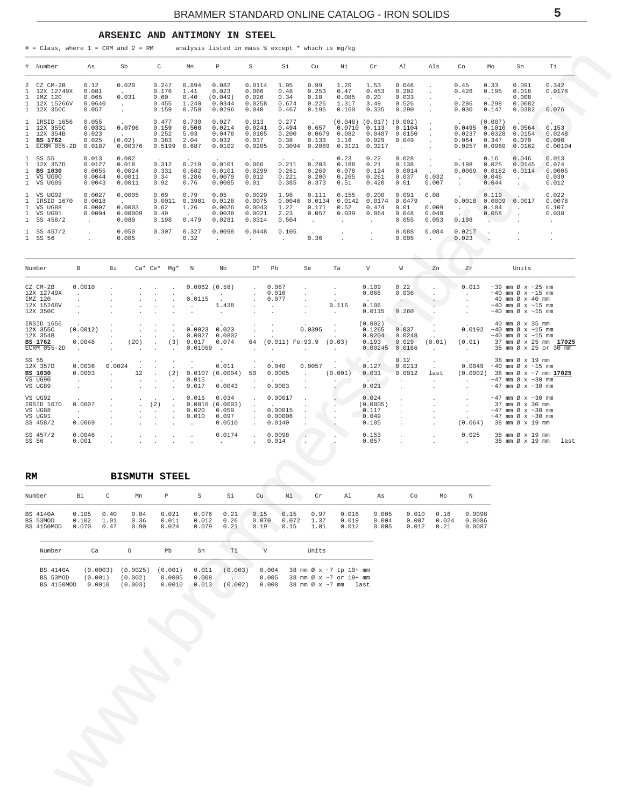#### ARSENIC AND ANTIMONY IN STEEL

<span id="page-4-0"></span> $#$  = Class, where 1 = CRM and 2 = RM analysis listed in mass % except \* which is mg/kg

| Number<br>#                                                                                                             |                      | As                                             |              | Sb                                                      | C                                        |        | Mn                                         | P                                             | S                                              | Si                                        | Cu                                                | Νi                                                       | Cr                                                                  | Al                                        | Als                                       | Co                                       | Mo                                             | Sn                                                                                                                                                  | Ti                                                  |
|-------------------------------------------------------------------------------------------------------------------------|----------------------|------------------------------------------------|--------------|---------------------------------------------------------|------------------------------------------|--------|--------------------------------------------|-----------------------------------------------|------------------------------------------------|-------------------------------------------|---------------------------------------------------|----------------------------------------------------------|---------------------------------------------------------------------|-------------------------------------------|-------------------------------------------|------------------------------------------|------------------------------------------------|-----------------------------------------------------------------------------------------------------------------------------------------------------|-----------------------------------------------------|
| CZ CM-2B<br>2<br>12X 12749X<br>$\mathbf{1}$<br>$\mathbf{1}$<br>IMZ 120<br>12X 15266V<br>1<br>12X 350C<br>$\mathbf{1}$   |                      | 0.12<br>0.081<br>0.065<br>0.0640<br>0.057      | $\mathbf{r}$ | 0.020<br>$\sim$<br>0.031<br>$\mathcal{L}_{\mathcal{A}}$ | 0.247<br>0.176<br>0.60<br>0.455<br>0.159 |        | 0.894<br>1.41<br>0.40<br>1.240<br>0.758    | 0.082<br>0.023<br>(0.049)<br>0.0344<br>0.0296 | 0.0114<br>0.066<br>0.026<br>0.0258<br>0.040    | 1.95<br>0.48<br>0.34<br>0.674<br>0.467    | 0.99<br>0.253<br>0.10<br>0.226<br>0.196           | 1.20<br>0.47<br>0.085<br>1.317<br>0.160                  | 1.53<br>0.453<br>0.20<br>3.49<br>0.335                              | 0.046<br>0.202<br>0.033<br>0.526<br>0.290 | $\lambda$<br>$\ddot{\phantom{a}}$         | 0.45<br>0.426<br>0.286<br>0.030          | 0.33<br>0.195<br>0.298<br>0.147                | 0.091<br>0.018<br>0.008<br>0.0082<br>0.0382                                                                                                         | 0.342<br>0.0178<br>$\cdot$<br>0.076                 |
| 1 IRSID 1656<br>12X 355C<br>$\mathbf{1}$<br>$\mathbf{1}$<br>12X 354B<br>1<br>BS 1762<br>ECRM $055 - 2D$<br>$\mathbf{1}$ |                      | 0.055<br>0.0331<br>0.023<br>0.025<br>0.0187    | $\sim$       | 0.0796<br>(0.02)<br>0.00376                             | 0.477<br>0.159<br>0.252<br>0.363         | 0.5199 | 0.730<br>0.508<br>5.03<br>2.04<br>0.687    | 0.027<br>0.0214<br>0.0478<br>0.032<br>0.0102  | 0.013<br>0.0241<br>0.0105<br>0.037<br>0.0205   | 0.277<br>0.494<br>0.200<br>0.38<br>0.3094 | 0.657<br>0.0679<br>0.133<br>0.2089                | 0.0710<br>0.082<br>1.16<br>0.3121                        | $(0.048)$ $(0.017)$ $(0.002)$<br>0.113<br>0.0487<br>0.929<br>0.3217 | 0.1104<br>0.0150<br>0.049<br>$\sim$       | $\overline{a}$<br>$\lambda$<br>$\cdot$    | 0.0495<br>0.0237<br>0.064<br>0.0257      | (0.007)<br>0.1010<br>0.0328<br>0.347<br>0.0960 | 0.0564<br>0.0154<br>0.079<br>0.0162                                                                                                                 | 0.153<br>0.0248<br>0.096<br>0.00104                 |
| SS 55<br>1<br>$\mathbf{1}$<br>12X 357D<br>$\mathbf{1}$<br><b>BS 1030</b><br>VS UG90<br>$\mathbf{1}$<br>VS UG89<br>1     |                      | 0.013<br>0.0127<br>0.0055<br>0.0044<br>0.0043  |              | 0.002<br>0.018<br>0.0024<br>0.0011<br>0.0011            | 0.312<br>0.331<br>0.34<br>0.92           |        | 0.219<br>0.682<br>0.286<br>0.76            | 0.0101<br>0.0101<br>0.0079<br>0.0085          | 0.066<br>0.0299<br>0.012<br>0.01               | 0.211<br>0.261<br>0.221<br>0.385          | 0.203<br>0.269<br>0.200<br>0.373                  | 0.23<br>0.188<br>0.078<br>0.265<br>0.51                  | 0.22<br>0.21<br>0.124<br>0.261<br>0.420                             | 0.028<br>0.138<br>0.0014<br>0.037<br>0.01 | $\ddot{\phantom{a}}$<br>0.032<br>0.007    | 0.198<br>0.0069 0.0182<br>$\overline{a}$ | 0.16<br>0.025<br>0.046<br>0.044                | 0.046<br>0.0145<br>0.0114<br>$\ddot{\phantom{0}}$                                                                                                   | 0.013<br>0.074<br>0.0005<br>0.039<br>0.012          |
| VS UG92<br>1<br>$\mathbf{1}$<br>IRSID 1670<br>VS UG88<br>1<br>VS UG91<br>1<br>1<br>SS 458/2                             |                      | 0.0027<br>0.0018<br>0.0007<br>0.0004<br>$\sim$ |              | 0.0005<br>$\sim$<br>0.0003<br>0.00009<br>0.089          | 0.69<br>0.62<br>0.49<br>0.198            | 0.0011 | 0.79<br>0.3981<br>1.26<br>$\cdot$<br>0.479 | 0.05<br>0.0128<br>0.0026<br>0.0038<br>0.0281  | 0.0029<br>0.0075<br>0.0043<br>0.0021<br>0.0314 | 1.98<br>0.0046<br>1.22<br>2.23<br>0.504   | 0.111<br>0.0134<br>0.171<br>0.057<br>$\mathbf{r}$ | 0.155<br>0.0142<br>0.52<br>0.039<br>$\ddot{\phantom{a}}$ | 0.200<br>0.0174<br>0.474<br>0.064<br>$\mathbf{r}$                   | 0.091<br>0.0479<br>0.01<br>0.048<br>0.055 | 0.08<br>$\sim$<br>0.009<br>0.048<br>0.053 | 0.0018<br>$\bullet$<br>0.198             | 0.119<br>0.0009<br>0.104<br>0.058              | 0.0017<br>$\blacksquare$                                                                                                                            | 0.022<br>0.0078<br>0.107<br>0.038<br>$\overline{a}$ |
| $1$ SS $457/2$<br>1 SS 56                                                                                               |                      | $\ddot{\phantom{0}}$                           |              | 0.050<br>0.005                                          | 0.307<br>$\cdot$                         |        | 0.327<br>0.32                              | 0.0098<br>i.                                  | 0.0448<br>$\ddot{\phantom{a}}$                 | 0.105<br>$\ddot{\phantom{0}}$             | 0.36                                              |                                                          | $\ddot{\phantom{a}}$                                                | 0.088<br>0.005                            | 0.084<br>$\cdot$                          | 0.0217<br>0.023                          | $\sim$                                         |                                                                                                                                                     |                                                     |
| Number                                                                                                                  | $\, {\bf B}$         |                                                | Βi           |                                                         | Ca* Ce* Mg*                              |        | Ν                                          | Nb                                            | O*                                             | Pb                                        | Se                                                | Ta                                                       | V                                                                   | W                                         | Zn                                        | Zr                                       |                                                | Units                                                                                                                                               |                                                     |
| CZ CM-2B<br>12X 12749X<br>IMZ 120<br>12X 15266V<br>12X 350C                                                             |                      | 0.0010                                         |              |                                                         |                                          |        | 0.0115                                     | $0.0062$ $(0.58)$<br>1.438                    |                                                | 0.087<br>0.016<br>0.077                   |                                                   | $\cdot$<br>0.116                                         | 0.109<br>0.068<br>0.106<br>0.0115                                   | 0.22<br>0.036<br>0.260                    |                                           | 0.013                                    |                                                | $\sim$ 39 mm Ø x $\sim$ 25 mm<br>$\sim$ 40 mm Ø x $\sim$ 15 mm<br>40 mm Ø x 40 mm<br>$\sim$ 40 mm Ø x $\sim$ 15 mm<br>$\sim$ 40 mm Ø x $\sim$ 15 mm |                                                     |
| IRSID 1656<br>12X 355C<br>12X 354B<br><b>BS 1762</b><br>$\overline{ECRM}$ 055-2D                                        | $\ddot{\phantom{a}}$ | (0.0012)<br>0.0048                             |              | (20)                                                    |                                          | (3)    | 0.0023<br>0.0027<br>0.017<br>0.01069       | 0.023<br>0.0802<br>0.074                      | 64                                             | $(0.011)$ Fe: 93.9                        | 0.0395                                            | (0.03)                                                   | (0.002)<br>0.1265<br>0.0204<br>0.193<br>0.00245                     | 0.037<br>0.0248<br>0.029<br>0.0166        | (0.01)                                    | 0.0192<br>(0.01)                         |                                                | 40 mm Ø x 35 mm<br>$\sim$ 40 mm Ø x $\sim$ 15 mm<br>$\sim$ 40 mm Ø x $\sim$ 15 mm                                                                   | 37 mm Ø x 25 mm 17025<br>38 mm Ø x 25 or 30 mm      |
| SS 55<br>12X 357D<br><b>BS 1030</b><br>$VS$ UG90<br>VS UG89                                                             |                      | 0.0036<br>0.0003                               | 0.0024       | 12                                                      |                                          | (2)    | 0.015<br>0.017                             | 0.011<br>0.0107(0.0004)<br>0.0043             | 50                                             | 0.040<br>0.0005<br>0.0003                 | 0.0057                                            | (0.001)                                                  | 0.127<br>0.031<br>0.021                                             | 0.12<br>0.0213<br>0.0012                  | last                                      | 0.0049<br>(0.0002)                       |                                                | 38 mm Ø x 19 mm<br>$\sim$ 40 mm Ø x $\sim$ 15 mm<br>$\sim$ 47 mm Ø x $\sim$ 30 mm<br>$\sim$ 47 mm Ø x $\sim$ 30 mm                                  | 38 mm Ø x ~7 mm 17025                               |
| VS UG92<br>IRSID 1670<br>VS UG88<br>VS UG91<br>SS 458/2                                                                 | $\overline{a}$       | 0.0007<br>0.0069                               |              |                                                         | (2)                                      |        | 0.016<br>0.0016<br>0.020<br>0.010          | 0.034<br>(0.0003)<br>0.059<br>0.097<br>0.0510 |                                                | 0.00017<br>0.00015<br>0.00006<br>0.0140   |                                                   |                                                          | 0.024<br>(0.0005)<br>0.117<br>0.049<br>0.105                        |                                           |                                           | (0.064)                                  |                                                | $\sim$ 47 mm Ø x $\sim$ 30 mm<br>37 mm Ø x 30 mm<br>$\sim$ 47 mm Ø x $\sim$ 30 mm<br>$\sim$ 47 mm Ø x $\sim$ 30 mm<br>38 mm Ø x 19 mm               |                                                     |
| SS 457/2<br>SS 56                                                                                                       |                      | 0.0046<br>0.001                                |              |                                                         | $\bullet$                                |        |                                            | 0.0174                                        |                                                | 0.0098<br>0.014                           |                                                   |                                                          | 0.153<br>0.057                                                      |                                           |                                           | 0.025                                    |                                                | 38 mm Ø x 19 mm<br>38 mm Ø x 19 mm                                                                                                                  | last                                                |

| RM                                        |                         |                      |                      | <b>BISMUTH STEEL</b>    |                         |                      |                       |                       |                      |                         |                         |                         |                       |                            |
|-------------------------------------------|-------------------------|----------------------|----------------------|-------------------------|-------------------------|----------------------|-----------------------|-----------------------|----------------------|-------------------------|-------------------------|-------------------------|-----------------------|----------------------------|
| Number                                    | Bi                      | C                    | Mn                   | $\mathbb{P}$            | S                       | Si                   | Cu                    | Νi                    | Cr                   | Al                      | As                      | Co                      | Мo                    | N                          |
| <b>BS 4140A</b><br>BS 53MOD<br>BS 4150MOD | 0.105<br>0.102<br>0.070 | 0.40<br>1.01<br>0.47 | 0.84<br>0.36<br>0.90 | 0.021<br>0.011<br>0.024 | 0.076<br>0.012<br>0.079 | 0.21<br>0.26<br>0.21 | 0.15<br>0.070<br>0.19 | 0.15<br>0.072<br>0.15 | 0.97<br>1.37<br>1.01 | 0.016<br>0.019<br>0.012 | 0.005<br>0.004<br>0.005 | 0.010<br>0.007<br>0.012 | 0.16<br>0.024<br>0.21 | 0.0098<br>0.0086<br>0.0087 |
| Number                                    | Ca                      |                      | Ο                    | Pb                      | Sn                      | Τi                   |                       |                       | Units                |                         |                         |                         |                       |                            |

| BS 4140A | (0.0003) (0.0025) (0.001) 0.011 (0.003) 0.004 38 mm $\varnothing$ x ~7 to 19+ mm |  |                                            |  |  |  |  |
|----------|----------------------------------------------------------------------------------|--|--------------------------------------------|--|--|--|--|
| BS 53MOD | $(0.001)$ $(0.002)$ $0.0005$ $0.008$                                             |  | . 0.005 38 mm $\varnothing$ x ~7 or 19+ mm |  |  |  |  |
|          | BS 4150MOD 0.0010 (0.003) 0.0010 0.013 (0.002) 0.008 38 mm Øx ~7 mm last         |  |                                            |  |  |  |  |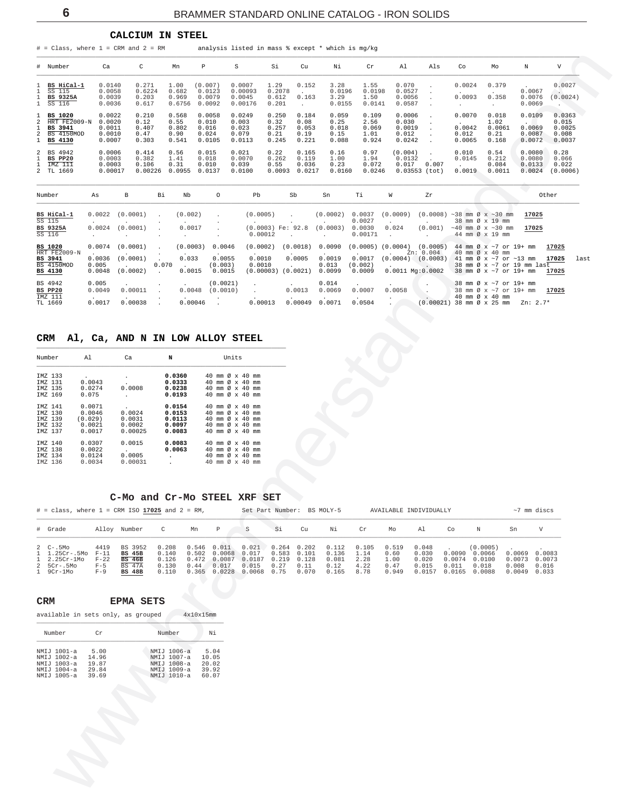CALCIUM IN STEEL

<span id="page-5-0"></span> $\#$  = Class, where 1 = CRM and 2 = RM analysis listed in mass % except \* which is mg/kg

| # Number                                                              | Ca                                             | C                                       | Mn                                      | P                                           | S                                           | Si                                      | Cu                                      | Νi                                      | Cr                                      | A1                                            | Als   | Co                                  | Mo                                       | N                                    | V                                            |
|-----------------------------------------------------------------------|------------------------------------------------|-----------------------------------------|-----------------------------------------|---------------------------------------------|---------------------------------------------|-----------------------------------------|-----------------------------------------|-----------------------------------------|-----------------------------------------|-----------------------------------------------|-------|-------------------------------------|------------------------------------------|--------------------------------------|----------------------------------------------|
| BS HiCal-1<br>SS 115<br>BS 9325A<br>1 SS 116                          | 0.0140<br>0.0058<br>0.0039<br>0.0036           | 0.271<br>0.6224<br>0.203<br>0.617       | 1.00<br>0.682<br>0.969<br>0.6756        | (0.007)<br>0.0123<br>0.0079<br>0.0092       | 0.0007<br>0.00093<br>0.0045<br>0.00176      | 1.29<br>0.2078<br>0.612<br>0.201        | 0.152<br>0.163                          | 3.28<br>0.0196<br>3.29<br>0.0155        | 1.55<br>0.0198<br>1.50<br>0.0141        | 0.070<br>0.0527<br>0.0056<br>0.0587           |       | 0.0024<br>0.0093                    | 0.379<br>0.358                           | 0.0067<br>0.0076<br>0.0069           | 0.0027<br>(0.0024)                           |
| 1 BS 1020<br>2 HRT FE2009-N<br>1 BS 3941<br>2 BS 4150MOD<br>1 BS 4130 | 0.0022<br>0.0020<br>0.0011<br>0.0010<br>0.0007 | 0.210<br>0.12<br>0.407<br>0.47<br>0.303 | 0.568<br>0.55<br>0.802<br>0.90<br>0.541 | 0.0058<br>0.010<br>0.016<br>0.024<br>0.0105 | 0.0249<br>0.003<br>0.023<br>0.079<br>0.0113 | 0.250<br>0.32<br>0.257<br>0.21<br>0.245 | 0.184<br>0.08<br>0.053<br>0.19<br>0.221 | 0.059<br>0.25<br>0.018<br>0.15<br>0.088 | 0.109<br>2.56<br>0.069<br>1.01<br>0.924 | 0.0006<br>0.030<br>0.0019<br>0.012<br>0.0242  |       | 0.0070<br>0.0042<br>0.012<br>0.0065 | 0.018<br>1.02<br>0.0061<br>0.21<br>0.168 | 0.0109<br>0.0069<br>0.0087<br>0.0072 | 0.0363<br>0.015<br>0.0025<br>0.008<br>0.0037 |
| 2 BS 4942<br>BS PP20<br>IMZ 111<br>2 TL 1669                          | 0.0006<br>0.0003<br>0.0003<br>0.00017          | 0.414<br>0.382<br>0.106<br>0.00226      | 0.56<br>1.41<br>0.31<br>0.0955          | 0.015<br>0.018<br>0.010<br>0.0137           | 0.021<br>0.0070<br>0.039<br>0.0100          | 0.22<br>0.262<br>0.55<br>0.0093         | 0.165<br>0.119<br>0.036<br>0.0217       | 0.16<br>1.00<br>0.23<br>0.0160          | 0.97<br>1.94<br>0.072<br>0.0246         | (0.004)<br>0.0132<br>0.017<br>$0.03553$ (tot) | 0.007 | 0.010<br>0.0145<br>0.0019           | 0.54<br>0.212<br>0.084<br>0.0011         | 0.0080<br>0.0080<br>0.0133<br>0.0024 | 0.28<br>0.066<br>0.022<br>(0.0006)           |

| Number                                                             | As                                  | в                                | Bi    | Nb                          | $\circ$                                          | Pb                                      | Sb                                                  | Sn                                  | Τi                                                   | W                 | Zr                                                         |                                                                                                                                              | Other                   |     |
|--------------------------------------------------------------------|-------------------------------------|----------------------------------|-------|-----------------------------|--------------------------------------------------|-----------------------------------------|-----------------------------------------------------|-------------------------------------|------------------------------------------------------|-------------------|------------------------------------------------------------|----------------------------------------------------------------------------------------------------------------------------------------------|-------------------------|-----|
| BS HiCal-1<br>SS 115<br><b>BS 9325A</b>                            | 0.0022<br>0.0024                    | (0.0001)<br>(0.0001)             |       | (0.002)<br>0.0017           |                                                  | (0.0005)<br>$(0.0003)$ Fe: 92.8         |                                                     | (0.0002)<br>(0.0003)                | 0.0037<br>0.0027<br>0.0030                           | (0.0009)<br>0.024 | (0.001)                                                    | $(0.0008)$ ~38 mm $\emptyset$ x ~30 mm<br>38 mm Ø x 19 mm<br>$\sim$ 40 mm Ø x $\sim$ 30 mm                                                   | 17025<br>17025          |     |
| SS 116                                                             |                                     |                                  |       |                             |                                                  | 0.00012                                 |                                                     |                                     | 0.00171                                              |                   |                                                            | 44 mm Ø x 19 mm                                                                                                                              |                         |     |
| <b>BS 1020</b><br>HRT FE2009-N<br>BS 3941<br>BS 4150MOD<br>BS 4130 | 0.0074<br>0.0036<br>0.005<br>0.0048 | (0.0001)<br>(0.0001)<br>(0.0002) | 0.070 | (0.0003)<br>0.033<br>0.0015 | 0.0046<br>$\cdot$<br>0.0055<br>(0.003)<br>0.0015 | (0.0002)<br>$\cdot$<br>0.0010<br>0.0010 | (0.0018)<br>$\cdot$<br>0.0005<br>(0.00003) (0.0021) | 0.0090<br>0.0019<br>0.013<br>0.0099 | $(0.0005)$ $(0.0004)$<br>0.0017<br>(0.002)<br>0.0009 | (0.0004)          | (0.0005)<br>Zn: 0.004<br>(0.0003)<br>$0.0011$ Mq: $0.0002$ | 44 mm Ø x ~7 or 19+ mm<br>40 mm $\varnothing \times 40$ mm<br>41 mm Ø x ~7 or ~13 mm<br>38 mm Ø x ~7 or 19 mm last<br>38 mm Ø x ~7 or 19+ mm | 17025<br>17025<br>17025 | las |
| BS 4942<br>BS PP20<br>IMZ 111<br>TL 1669                           | 0.005<br>0.0049<br>0.0017           | 0.00011<br>0.00038               |       | 0.0048<br>0.00046           | (0.0021)<br>(0.0010)                             | 0.00013                                 | 0.0013<br>0.00049                                   | 0.014<br>0.0069<br>$\sim$<br>.0071  | 0.0007<br>0.0504                                     | 0.0058            | (0.00021                                                   | 38 mm Ø x ~7 or 19+ mm<br>38 mm Ø x ~7 or 19+ mm<br>40 mm Ø x 40 mm<br>38 mm Ø x 25 mm                                                       | 17025<br>$Zn: 2.7*$     |     |

#### CRM Al, Ca, AND N IN LOW ALLOY STEEL

| Number                                              | A1                                              | Ca                                               | N                                              |                                                                 | Units                                                                                  |               |                            |
|-----------------------------------------------------|-------------------------------------------------|--------------------------------------------------|------------------------------------------------|-----------------------------------------------------------------|----------------------------------------------------------------------------------------|---------------|----------------------------|
| TMZ 133<br>TMZ 131<br>TMZ 135<br>TMZ 169            | $\sim$<br>0.0043<br>0.0274<br>0.075             | $\mathbf{r}$<br>$\mathbf{r}$<br>0.0008           | 0.0360<br>0.0333<br>0.0238<br>0.0193           | 40 mm Ø x 40<br>40<br>40<br>40 mm Ø x 40                        | $mm \varnothing \times 40$<br>mm <sub>0</sub>                                          | $\times$ 40   | mm<br>mm<br>mm<br>mm       |
| TMZ 141<br>TMZ 130<br>IMZ 139<br>IMZ 132<br>IMZ 137 | 0.0071<br>0.0046<br>(0.029)<br>0.0021<br>0.0017 | $\cdot$<br>0.0024<br>0.0031<br>0.0002<br>0.00025 | 0.0154<br>0.0153<br>0.0113<br>0.0097<br>0.0083 | 40 mm Ø x 40<br>40<br>40<br>40<br>40 mm $\varnothing \times 40$ | mm $\varnothing \times 40$<br>mm $\varnothing \times 40$<br>mm $\varnothing \times 40$ |               | mm<br>mm<br>mm<br>mm<br>mm |
| TMZ 140<br>IMZ 138<br>IMZ 134<br>IMZ 136            | 0.0307<br>0.0022<br>0.0124<br>0.0034            | 0.0015<br>0.0005<br>0.00031                      | 0.0083<br>0.0063<br>۰<br>٠                     | 40 mm Ø x 40<br>40<br>40<br>40<br>mm                            | $mm \varnothing \times 40$<br>$mm \varnothing \times 40$                               | Ø $\times$ 40 | mm<br>mm<br>mm<br>mm       |

#### C-Mo and Cr-Mo STEEL XRF SET

| $\#$ = class, where $1$ = CRM ISO 17025 and $2$ = RM,                       |                                    |                                                                             |                                           | Set Part Number: BS MOLY-5 |                             |                                                                                                   | AVAILABLE INDIVIDUALLY |               |                                                    |                              |                                              | $~\sim$ 7 mm discs      |                                         |                                              |                                            |                          |
|-----------------------------------------------------------------------------|------------------------------------|-----------------------------------------------------------------------------|-------------------------------------------|----------------------------|-----------------------------|---------------------------------------------------------------------------------------------------|------------------------|---------------|----------------------------------------------------|------------------------------|----------------------------------------------|-------------------------|-----------------------------------------|----------------------------------------------|--------------------------------------------|--------------------------|
| # Grade                                                                     |                                    | Alloy Number                                                                |                                           | Mn                         | P                           | s                                                                                                 | Si                     | Cu            | Νi                                                 | Cr                           | Mo                                           | Al                      | Co                                      |                                              | Sn                                         | V                        |
| $2$ C-.5Mo<br>1 1.25Cr-.5Mo F-11<br>1 2.25Cr-1Mo<br>2 5Cr-.5Mo<br>1 9Cr-1Mo | 4419<br>$F-22$<br>$F - 5$<br>$F-9$ | BS 3952<br><b>BS 45B</b><br><b>BS 46B</b><br><b>BS 47A</b><br><b>BS 48B</b> | 0.208<br>0.140<br>0.126<br>0.130<br>0.110 | $0.546$ $0.011$<br>0.44    | 0.502 0.0068 0.017<br>0.017 | $0.021$ $0.264$ $0.202$<br>$0.472$ 0.0087 0.0187 0.219 0.128<br>0.015<br>0.365 0.0228 0.0068 0.75 | 0.583 0.101<br>0.27    | 0.11<br>0.070 | $0.112$ $0.105$<br>0.136<br>0.081<br>0.12<br>0.165 | 1.14<br>2.28<br>4.22<br>8.78 | 0.519 0.048<br>0.60<br>1.00<br>0.47<br>0.949 | 0.030<br>0.020<br>0.015 | 0.0074<br>0.011<br>0.0157 0.0165 0.0088 | (0.0005)<br>0.0090 0.0066<br>0.0100<br>0.018 | 0.0069<br>0.0073 0.0073<br>0.008<br>0.0049 | 0.0083<br>0.016<br>0.033 |

available in sets only, as grouped  $4x10x15nm$ 

| Number      | Οr    | Number      | Νi    |
|-------------|-------|-------------|-------|
| NMIJ 1001-a | 5.00  | NMIJ 1006-a | 5.04  |
| NMIJ 1002-a | 14.96 | NMIJ 1007-a | 10.05 |
| NMIJ 1003-a | 19.87 | NMIJ 1008-a | 20.02 |
| NMIJ 1004-a | 29.84 | NMIJ 1009-a | 39.92 |
| NMIJ 1005-a | 39.69 | NMIJ 1010-a | 60.07 |

st.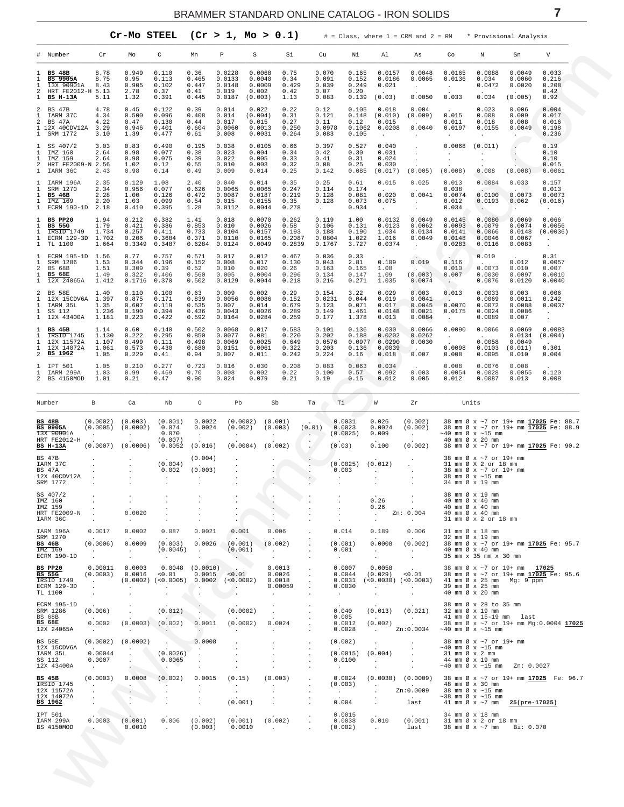<span id="page-6-0"></span>

|                                                                     |                                                                                        |                                         |                                            | Cr-Mo STEEL                                 |                                           |                                               | (Cr > 1, Mo > 0.1)                             |                                            |                                             |                                           |                                                    |                                                 |                                                |                                                | # = Class, where 1 = CRM and 2 = RM * Provisional Analysis |                                                             |
|---------------------------------------------------------------------|----------------------------------------------------------------------------------------|-----------------------------------------|--------------------------------------------|---------------------------------------------|-------------------------------------------|-----------------------------------------------|------------------------------------------------|--------------------------------------------|---------------------------------------------|-------------------------------------------|----------------------------------------------------|-------------------------------------------------|------------------------------------------------|------------------------------------------------|------------------------------------------------------------|-------------------------------------------------------------|
|                                                                     | # Number                                                                               | Cr                                      | Mo                                         | C                                           | Mn                                        | Р                                             | S                                              | Si                                         | Cu                                          | Νi                                        | Al                                                 | As                                              | Co                                             | N                                              | Sn                                                         | V                                                           |
| 1<br>1<br>1<br>2<br>1                                               | <b>BS 48B</b><br><b>BS 9905A</b><br>13X 90901A<br>HRT FE2012-H 5.13<br><b>BS H-13A</b> | 8.78<br>8.75<br>8.43<br>5.11            | 0.949<br>0.95<br>0.905<br>2.78<br>1.32     | 0.110<br>0.113<br>0.102<br>0.37<br>0.391    | 0.36<br>0.465<br>0.447<br>0.41<br>0.445   | 0.0228<br>0.0133<br>0.0148<br>0.019<br>0.0187 | 0.0068<br>0.0040<br>0.0009<br>0.002<br>(0.003) | 0.75<br>0.34<br>0.429<br>0.42<br>1.13      | 0.070<br>0.091<br>0.039<br>0.07<br>0.083    | 0.165<br>0.152<br>0.249<br>0.20<br>0.139  | 0.0157<br>0.0186<br>0.021<br>(0.03)                | 0.0048<br>0.0065<br>0.0050                      | 0.0165<br>0.0136<br>$\overline{a}$<br>0.033    | 0.0088<br>0.034<br>0.0472<br>0.034             | 0.0049<br>0.0060<br>0.0020<br>(0.005)                      | 0.033<br>0.216<br>0.208<br>0.42<br>0.92                     |
| 2<br>$\mathbf{1}$<br>2<br>$\mathbf{1}$                              | <b>BS 47B</b><br>IARM 37C<br><b>BS 47A</b><br>1 12X 40CDV12A<br>SRM 1772               | 4.78<br>4.34<br>4.22<br>3.29<br>3.10    | 0.45<br>0.500<br>0.47<br>0.946<br>1.39     | 0.122<br>0.096<br>0.130<br>0.401<br>0.477   | 0.39<br>0.408<br>0.44<br>0.604<br>0.61    | 0.014<br>0.014<br>0.017<br>0.0060<br>0.008    | 0.022<br>(0.004)<br>0.015<br>0.0013<br>0.0031  | 0.22<br>0.31<br>0.27<br>0.250<br>0.264     | 0.12<br>0.121<br>0.11<br>0.0978<br>0.083    | 0.105<br>0.148<br>0.12<br>0.1062<br>0.105 | 0.018<br>(0.010)<br>0.015<br>0.0208<br>$\cdot$     | 0.004<br>(0.009)<br>0.0040<br>$\cdot$           | 0.015<br>0.011<br>0.0197                       | 0.023<br>0.008<br>0.018<br>0.0155<br>$\cdot$   | 0.006<br>0.009<br>0.008<br>0.0049<br>$\cdot$               | 0.004<br>0.017<br>0.016<br>0.198<br>0.236                   |
| $\mathbf{1}$<br>$\mathbf{1}$<br>1<br>2<br>1                         | SS 407/2<br>IMZ 160<br>IMZ 159<br>HRT FE2009-N 2.56<br>IARM 36C                        | 3.03<br>2.64<br>2.64<br>2.43            | 0.83<br>0.98<br>0.98<br>1.02<br>0.98       | 0.490<br>0.077<br>0.075<br>0.12<br>0.14     | 0.195<br>0.38<br>0.39<br>0.55<br>0.49     | 0.038<br>0.023<br>0.022<br>0.010<br>0.009     | 0.0105<br>0.004<br>0.005<br>0.003<br>0.014     | 0.66<br>0.34<br>0.33<br>0.32<br>0.25       | 0.397<br>0.42<br>0.41<br>0.08<br>0.142      | 0.527<br>0.30<br>0.31<br>0.25<br>0.085    | 0.040<br>0.031<br>0.024<br>0.030<br>(0.017)        | (0.005)                                         | 0.0068<br>(0.008)                              | (0.011)<br>0.008                               | (0.008)                                                    | 0.19<br>0.10<br>0.10<br>0.015<br>0.0061                     |
| 1<br>1<br>1<br>1<br>1                                               | IARM 196A<br>SRM 1270<br><b>BS 46B</b><br>IMZ 169<br>ECRM 190-1D                       | 2.35<br>2.34<br>2.28<br>2.20<br>2.18    | 0.129<br>0.956<br>1.00<br>1.03<br>0.410    | 1.08<br>0.077<br>0.126<br>0.099<br>0.395    | 2.40<br>0.626<br>0.472<br>0.54<br>1.28    | 0.040<br>0.0065<br>0.0087<br>0.015<br>0.0112  | 0.014<br>0.0065<br>0.0187<br>0.0155<br>0.0044  | 0.35<br>0.247<br>0.219<br>0.35<br>0.278    | 0.25<br>0.114<br>0.128<br>0.128<br>$\sim$   | 0.61<br>0.174<br>0.081<br>0.073<br>0.934  | 0.015<br>$\mathbf{r}$<br>0.020<br>0.075<br>$\cdot$ | 0.025<br>0.0041<br>$\bullet$                    | 0.013<br>0.038<br>0.0074<br>0.012<br>0.034     | 0.0084<br>0.0100<br>0.0193<br>$\Box$           | 0.033<br>0.0073<br>0.062                                   | 0.157<br>0.013<br>0.0073<br>(0.016)<br>$\cdot$              |
| $\mathbf{1}$<br>1<br>1<br>1<br>$\mathbf{1}$                         | BS PP20<br>BS<br>55G<br>IRSID 1749<br>ECRM 129-3D<br>TL 1100                           | 1.94<br>1.79<br>1.734<br>1.702<br>1.664 | 0.212<br>0.421<br>0.257<br>0.206<br>0.3349 | 0.382<br>0.386<br>0.411<br>0.3684<br>0.3487 | 1.41<br>0.853<br>0.733<br>0.371<br>0.6284 | 0.018<br>0.010<br>0.0104<br>0.0110<br>0.0124  | 0.0070<br>0.0026<br>0.0157<br>0.0165<br>0.0049 | 0.262<br>0.58<br>0.193<br>0.2087<br>0.2839 | 0.119<br>0.106<br>0.188<br>0.0804<br>0.1767 | 1.00<br>0.131<br>0.190<br>1.022<br>3.727  | 0.0132<br>0.0123<br>1.034<br>1.016<br>0.0374       | 0.0049<br>0.0062<br>0.0134<br>0.0049<br>$\cdot$ | 0.0145<br>0.0093<br>0.0141<br>0.0148<br>0.0283 | 0.0080<br>0.0079<br>0.0066<br>0.0046<br>0.0116 | 0.0069<br>0.0074<br>0.0148<br>0.0067<br>0.0083             | 0.066<br>0.0056<br>(0.0036)<br>$\ddot{\phantom{a}}$         |
| 1<br>1<br>$\overline{2}$<br>1<br>$\mathbf{1}$                       | <b>ECRM 195-1D</b><br>SRM 1286<br><b>BS</b><br>68B<br><b>BS 68E</b><br>12X 24065A      | 1.56<br>1.53<br>1.51<br>1.49<br>1.412   | 0.77<br>0.344<br>0.309<br>0.322<br>0.1716  | 0.757<br>0.196<br>0.39<br>0.406<br>0.370    | 0.571<br>0.152<br>0.52<br>0.560<br>0.502  | 0.017<br>0.008<br>0.010<br>0.005<br>0.0129    | 0.012<br>0.017<br>0.020<br>0.0004<br>0.0044    | 0.467<br>0.130<br>0.26<br>0.296<br>0.218   | 0.036<br>0.043<br>0.163<br>0.134<br>0.216   | 0.33<br>2.81<br>0.165<br>0.147<br>0.271   | 0.109<br>1.08<br>1.09<br>1.035                     | 0.019<br>(0.003)<br>0.0074                      | 0.116<br>0.010<br>0.007<br>$\cdot$ .           | 0.010<br>0.0073<br>0.0030<br>0.0076            | 0.012<br>0.010<br>0.0097<br>0.0120                         | 0.31<br>0.0057<br>0.007<br>0.0010<br>0.0040                 |
| 2<br>1<br>1<br>1<br>$\mathbf{1}$                                    | <b>BS 58E</b><br>12X 15CDV6A<br>IARM 35L<br>SS 112<br>12X 43400A                       | 1.40<br>1.397<br>1.35<br>1.236<br>1.181 | 0.110<br>0.875<br>0.607<br>0.190<br>0.223  | 0.100<br>0.171<br>0.119<br>0.394<br>0.422   | 0.63<br>0.839<br>0.535<br>0.436<br>0.592  | 0.009<br>0.0056<br>0.007<br>0.0043<br>0.0164  | 0.002<br>0.0086<br>0.014<br>0.0026<br>0.0284   | 0.29<br>0.152<br>0.679<br>0.289<br>0.259   | 0.154<br>0.0231<br>0.123<br>0.149<br>0.177  | 3.22<br>0.044<br>0.071<br>1.461<br>1.378  | 0.029<br>0.019<br>0.017<br>0.0148<br>0.013         | 0.003<br>0.0041<br>0.0045<br>0.0021<br>0.0084   | 0.013<br>- 4<br>0.0070<br>0.0175               | 0.0033<br>0.0069<br>0.0072<br>0.0024<br>0.0089 | 0.003<br>0.0011<br>0.0088<br>0.0086<br>0.007               | 0.006<br>0.242<br>0.0037<br>$\cdot$                         |
| $\mathbf{1}$<br>1<br>$\mathbf{1}$<br>$\mathbf{1}$<br>$\overline{a}$ | <b>BS 45B</b><br>IRSID 1745<br>12X 11572A<br>12X 14072A<br>BS 1962                     | 1.14<br>1.130<br>1.107<br>1.061<br>1.05 | 0.60<br>0.222<br>0.499<br>0.573<br>0.229   | 0.140<br>0.295<br>0.111<br>0.430<br>0.41    | 0.502<br>0.850<br>0.498<br>0.680<br>0.94  | 0.0068<br>0.0077<br>0.0069<br>0.0151<br>0.007 | 0.017<br>0.081<br>0.0025<br>0.0061<br>0.011    | 0.583<br>0.220<br>0.649<br>0.322<br>0.242  | 0.101<br>0.202<br>0.0576<br>0.203<br>0.224  | 0.136<br>0.188<br>0.0977<br>0.136<br>0.16 | 0.030<br>0.0202<br>0.0290<br>0.0039<br>0.018       | 0.0066<br>0.0262<br>0.0030<br>0.007             | 0.0090<br>0.0098<br>0.008                      | 0.0066<br>0.0058<br>0.0103<br>0.0095           | 0.0069<br>0.0134<br>0.0049<br>(0.011)<br>0.010             | 0.0083<br>(0.004)<br>$\ddot{\phantom{a}}$<br>0.301<br>0.004 |
| 1<br>1                                                              | IPT 501<br>IARM 299A<br>2 BS 4150MOD                                                   | 1.05<br>1.03<br>1.01                    | 0.210<br>0.99<br>0.21                      | 0.277<br>0.469<br>0.47                      | 0.723<br>0.70<br>0.90                     | 0.016<br>0.008<br>0.024                       | 0.030<br>0.002<br>0.079                        | 0.208<br>0.22<br>0.21                      | 0.083<br>0.100<br>0.19                      | 0.063<br>0.57<br>0.15                     | 0.034<br>0.092<br>0.012                            | 0.003<br>0.005                                  | 0.008<br>0.0054<br>0.012                       | 0.0076<br>0.0028<br>0.0087                     | 0.008<br>0.0055<br>0.013                                   | 0.120<br>0.008                                              |

|                                             | # Number                                                                        | Cr                                                          | Мo                                                                           | С                                              | Mn                                        | Р                                                                               | S                                                                     | Si                                         | Cu                                                 | Νi                                        | Al                                             | As                                                                         | Co                                                 | Ν                                                                                                               | Sn                                                        | V                                                                                                                       |  |
|---------------------------------------------|---------------------------------------------------------------------------------|-------------------------------------------------------------|------------------------------------------------------------------------------|------------------------------------------------|-------------------------------------------|---------------------------------------------------------------------------------|-----------------------------------------------------------------------|--------------------------------------------|----------------------------------------------------|-------------------------------------------|------------------------------------------------|----------------------------------------------------------------------------|----------------------------------------------------|-----------------------------------------------------------------------------------------------------------------|-----------------------------------------------------------|-------------------------------------------------------------------------------------------------------------------------|--|
| 1<br>1<br>1<br>2<br>$\mathbf{1}$            | <b>BS 48B</b><br><b>BS 9905A</b><br>13X 90901A<br>HRT FE2012-H 5.13<br>BS H-13A | 8.78<br>8.75<br>8.43<br>5.11                                | 0.949<br>0.95<br>0.905<br>2.78<br>1.32                                       | 0.110<br>0.113<br>0.102<br>0.37<br>0.391       | 0.36<br>0.465<br>0.447<br>0.41<br>0.445   | 0.0228<br>0.0133<br>0.0148<br>0.019<br>0.0187                                   | 0.0068<br>0.0040<br>0.0009<br>0.002<br>(0.003)<br>1.13                | 0.75<br>0.34<br>0.429<br>0.42              | 0.070<br>0.091<br>0.039<br>0.07<br>0.083           | 0.165<br>0.152<br>0.249<br>0.20<br>0.139  | 0.0157<br>0.0186<br>0.021<br>(0.03)            | 0.0048<br>0.0065<br>$\sim$<br>0.0050                                       | 0.0165<br>0.0136<br>$\sim$<br>0.033                | 0.0088<br>0.034<br>0.0472<br>0.034                                                                              | 0.0049<br>0.0060<br>0.0020<br>(0.005)                     | 0.033<br>0.216<br>0.208<br>0.42<br>0.92                                                                                 |  |
| 2<br>1<br>2                                 | BS 47B<br>IARM 37C<br>BS 47A<br>1 12X 40CDV12A<br>1 SRM 1772                    | 4.78<br>4.34<br>4.22<br>3.29<br>3.10                        | 0.45<br>0.500<br>0.47<br>0.946<br>1.39                                       | 0.122<br>0.096<br>0.130<br>0.401<br>0.477      | 0.39<br>0.408<br>0.44<br>0.604<br>0.61    | 0.014<br>0.014<br>0.017<br>0.0060<br>0.008                                      | 0.022<br>0.22<br>(0.004)<br>0.31<br>0.015<br>0.27<br>0.0013<br>0.0031 | 0.250<br>0.264                             | 0.12<br>0.121<br>0.11<br>0.0978<br>0.083           | 0.105<br>0.148<br>0.12<br>0.1062<br>0.105 | 0.018<br>(0.010)<br>0.015<br>0.0208<br>$\cdot$ | 0.004<br>(0.009)<br>$\ddot{\phantom{a}}$<br>0.0040<br>$\ddot{\phantom{a}}$ | 0.015<br>0.011<br>0.0197<br>$\cdot$                | 0.023<br>0.008<br>0.018<br>0.0155<br>$\cdot$                                                                    | 0.006<br>0.009<br>0.008<br>0.0049<br>$\ddot{\phantom{a}}$ | 0.004<br>0.017<br>0.016<br>0.198<br>0.236                                                                               |  |
| $\mathbf{1}$<br>1<br>1<br>2<br>$\mathbf{1}$ | SS 407/2<br>IMZ 160<br>IMZ 159<br>HRT FE2009-N 2.56<br>IARM 36C                 | 3.03<br>2.64<br>2.64<br>2.43                                | 0.83<br>0.98<br>0.98<br>1.02<br>0.98                                         | 0.490<br>0.077<br>0.075<br>0.12<br>0.14        | 0.195<br>0.38<br>0.39<br>0.55<br>0.49     | 0.038<br>0.023<br>0.022<br>0.010<br>0.009                                       | 0.0105<br>0.004<br>0.34<br>0.005<br>0.33<br>0.003<br>0.014<br>0.25    | 0.66<br>0.32                               | 0.397<br>0.42<br>0.41<br>0.08<br>0.142             | 0.527<br>0.30<br>0.31<br>0.25<br>0.085    | 0.040<br>0.031<br>0.024<br>0.030<br>(0.017)    | $\cdot$<br>$\cdot$<br>$\cdot$<br>(0.005)                                   | 0.0068<br>(0.008)                                  | (0.011)<br>$\cdot$<br>0.008                                                                                     | $\cdot$<br>$\cdot$<br>$\cdot$<br>(0.008)                  | 0.19<br>0.10<br>0.10<br>0.015<br>0.0061                                                                                 |  |
| $\mathbf{1}$<br>1<br>1<br>1<br>1            | IARM 196A<br>SRM 1270<br><b>BS 46B</b><br>IMZ 169<br>ECRM 190-1D                | 2.35<br>2.34<br>2.28<br>2.20<br>2.18                        | 0.129<br>0.956<br>1.00<br>1.03<br>0.410                                      | 1.08<br>0.077<br>0.126<br>0.099<br>0.395       | 2.40<br>0.626<br>0.472<br>0.54<br>1.28    | 0.040<br>0.0065<br>0.0087<br>0.015<br>0.0112                                    | 0.014<br>0.0065<br>0.0187<br>0.0155<br>0.35<br>0.0044                 | 0.35<br>0.247<br>0.219<br>0.278            | 0.25<br>0.114<br>0.128<br>0.128<br>$\sim$          | 0.61<br>0.174<br>0.081<br>0.073<br>0.934  | 0.015<br>$\sim$<br>0.020<br>0.075<br>$\cdot$   | 0.025<br>$\sim$<br>0.0041<br>$\sim$<br>$\ddot{\phantom{a}}$                | 0.013<br>0.038<br>0.0074<br>0.012<br>0.034         | 0.0084<br>0.0100<br>0.0193<br>$\cdot$                                                                           | 0.033<br>0.0073<br>0.062<br>$\sim$                        | 0.157<br>0.013<br>0.0073<br>(0.016)<br>$\epsilon$                                                                       |  |
| 1<br>1<br>1<br>1<br>1                       | BS PP20<br>BS 55G<br>IRSID 1749<br>ECRM 129-3D<br>TL 1100                       | 1.94<br>1.79<br>1.734<br>1.702<br>1.664                     | 0.212<br>0.421<br>0.257<br>0.206<br>0.3349                                   | 0.382<br>0.386<br>0.411<br>0.3684<br>0.3487    | 1.41<br>0.853<br>0.733<br>0.371<br>0.6284 | 0.018<br>0.010<br>0.0104<br>0.0110<br>0.0124                                    | 0.0070<br>0.0026<br>0.0157<br>0.0165<br>0.0049                        | 0.262<br>0.58<br>0.193<br>0.2087<br>0.2839 | 0.119<br>0.106<br>0.188<br>0.0804<br>0.1767        | 1.00<br>0.131<br>0.190<br>1.022<br>3.727  | 0.0132<br>0.0123<br>1.034<br>1.016<br>0.0374   | 0.0049<br>0.0062<br>0.0134<br>0.0049<br>$\sim$                             | 0.0145<br>0.0093<br>0.0141<br>0.0148<br>0.0283     | 0.0080<br>0.0079<br>0.0066<br>0.0046<br>0.0116                                                                  | 0.0069<br>0.0074<br>0.0148<br>0.0067<br>0.0083            | 0.066<br>0.0056<br>(0.0036)<br>$\cdot$<br>$\ddot{\phantom{a}}$                                                          |  |
| $\mathbf{1}$<br>1<br>2<br>1<br>1            | ECRM 195-1D<br>SRM 1286<br><b>BS 68B</b><br><b>BS 68E</b><br>12X 24065A         | 1.56<br>1.53<br>1.51<br>1.49<br>1.412                       | 0.77<br>0.344<br>0.309<br>0.322<br>0.1716                                    | 0.757<br>0.196<br>0.39<br>0.406<br>0.370       | 0.571<br>0.152<br>0.52<br>0.560<br>0.502  | 0.017<br>0.008<br>0.010<br>0.005<br>0.0129                                      | 0.012<br>0.017<br>0.020<br>0.0004<br>0.0044                           | 0.467<br>0.130<br>0.26<br>0.296<br>0.218   | 0.036<br>0.043<br>0.163<br>0.134<br>0.216          | 0.33<br>2.81<br>0.165<br>0.147<br>0.271   | 0.109<br>1.08<br>1.09<br>1.035                 | $\sim$<br>0.019<br><b>Allen</b><br>(0.003)<br>0.0074                       | 0.116<br>0.010<br>0.007<br>$\langle \cdot \rangle$ | 0.010<br>$\sim$<br>0.0073<br>0.0030<br>0.0076                                                                   | 0.012<br>0.010<br>0.0097<br>0.0120                        | 0.31<br>0.0057<br>0.007<br>0.0010<br>0.0040                                                                             |  |
| 2<br>1<br>1<br>$\mathbf{1}$<br>$\mathbf{1}$ | <b>BS 58E</b><br>12X 15CDV6A 1.397<br>IARM 35L<br>SS 112<br>12X 43400A          | 1.40<br>1.35<br>1.236<br>1.181                              | 0.110<br>0.875<br>0.607<br>0.190<br>0.223                                    | 0.100<br>0.171<br>0.119<br>0.394<br>0.422      | 0.63<br>0.839<br>0.535<br>0.436<br>0.592  | 0.009<br>0.0056<br>0.007<br>0.0043<br>0.0164                                    | 0.002<br>0.0086<br>0.014<br>0.0026<br>0.0284                          | 0.29<br>0.152<br>0.679<br>0.289<br>0.259   | 0.154<br>0.0231<br>0.123<br>0.149<br>0.177         | 3.22<br>0.044<br>0.071<br>1.461<br>1.378  | 0.029<br>0.019<br>0.017<br>0.0148<br>0.013     | 0.003<br>0.0041<br>0.0045<br>0.0021<br>0.0084                              | 0.013<br>$\sim$<br>0.0070<br>0.0175<br>$\sim$      | 0.0033<br>0.0069<br>0.0072<br>0.0024<br>0.0089                                                                  | 0.003<br>0.0011<br>0.0088<br>0.0086<br>0.007              | 0.006<br>0.242<br>0.0037<br>$\ddot{\phantom{a}}$                                                                        |  |
| 1<br>1<br>1<br>1<br>2                       | <b>BS 45B</b><br>IRSID 1745<br>12X 11572A<br>12X 14072A<br>BS 1962              | 1.14<br>1.130<br>1.107<br>1.061<br>1.05                     | 0.60<br>0.222<br>0.499<br>0.573<br>0.229                                     | 0.140<br>0.295<br>0.111<br>0.430<br>0.41       | 0.502<br>0.850<br>0.498<br>0.680<br>0.94  | 0.0068<br>0.0077<br>0.0069<br>0.0151<br>0.007                                   | 0.017<br>0.081<br>0.0025<br>0.0061<br>0.011                           | 0.583<br>0.220<br>0.649<br>0.322<br>0.242  | 0.101<br>0.202<br>0.0576<br>0.203<br>0.224         | 0.136<br>0.188<br>0.0977<br>0.136<br>0.16 | 0.030<br>0.0202<br>0.0290<br>0.0039<br>0.018   | 0.0066<br>0.0262<br>0.0030<br>$7.4 -$<br>0.007                             | 0.0090<br>$\sim$<br>0.0098<br>0.008                | 0.0066<br>$\sim$<br>0.0058<br>0.0103<br>0.0095                                                                  | 0.0069<br>0.0134<br>0.0049<br>(0.011)<br>0.010            | 0.0083<br>(0.004)<br>0.301<br>0.004                                                                                     |  |
| 1<br>1<br>2                                 | IPT 501<br>IARM 299A<br>BS 4150MOD                                              | 1.05<br>1.03<br>1.01                                        | 0.210<br>0.99<br>0.21                                                        | 0.277<br>0.469<br>0.47                         | 0.723<br>0.70<br>0.90                     | 0.016<br>0.008<br>0.024                                                         | 0.030<br>0.002<br>0.079<br>0.21                                       | 0.208<br>0.22                              | 0.083<br>0.100<br>0.19                             | 0.063<br>0.57<br>0.15                     | 0.034<br>0.092<br>0.012                        | 0.003<br>0.005                                                             | 0.008<br>0.0054<br>0.012                           | 0.0076<br>0.0028<br>0.0087                                                                                      | 0.008<br>0.0055<br>0.013                                  | 0.120<br>0.008                                                                                                          |  |
|                                             | Number                                                                          | В                                                           | Ca                                                                           | Nb                                             | $\circ$                                   | Pb                                                                              | Sb                                                                    | Ta                                         | Тi                                                 |                                           | W                                              | Zr                                                                         |                                                    | Units                                                                                                           |                                                           |                                                                                                                         |  |
|                                             | BS 48B<br>BS 9905A<br>13X 90901A<br>HRT FE2012-H<br>BS H-13A                    | (0.0002)<br>(0.0005)<br>$\ddot{\phantom{0}}$<br>(0.0007)    | (0.003)<br>(0.0002)<br>$\cdot$<br>(0.0006)                                   | (0.001)<br>0.074<br>0.070<br>(0.007)<br>0.0052 | 0.0022<br>0.0024<br>$\cdot$<br>(0.016)    | (0.0002)<br>(0.002)<br>$\cdot$<br>(0.0004)                                      | (0.001)<br>(0.003)<br>$\blacksquare$<br>(0.002)                       | (0.01)<br>$\sim$                           | (0.03)                                             | 0.0031<br>0.0023<br>(0.0025)              | 0.026<br>0.0024<br>0.009<br>0.100              | (0.002)<br>(0.002)<br>$\sim$<br>(0.002)                                    |                                                    | $\sim$ 40 mm Ø x $\sim$ 15 mm<br>40 mm Ø x 20 mm                                                                |                                                           | 38 mm Ø x ~7 or 19+ mm 17025 Fe: 88.7<br>38 mm Ø x ~7 or 19+ mm 17025 Fe: 88.9<br>38 mm Ø x ~7 or 19+ mm 17025 Fe: 90.2 |  |
|                                             | BS 47B<br>IARM 37C<br>BS 47A<br>12X 40CDV12A<br>SRM 1772                        |                                                             |                                                                              | (0.004)<br>0.002                               | (0.004)<br>(0.003)                        |                                                                                 |                                                                       | $\blacksquare$<br>$\cdot$<br>$\cdot$       | 0.003                                              | (0.0025)                                  | (0.012)<br>$\cdot$                             |                                                                            |                                                    | 38 mm Ø x ~7 or 19+ mm<br>31 mm Ø X 2 or 18 mm<br>38 mm Ø x ~7 or 19+ mm<br>38 mm Ø x ~15 mm<br>34 mm Ø x 19 mm |                                                           |                                                                                                                         |  |
|                                             | SS 407/2<br>IMZ 160<br>IMZ 159<br>HRT FE2009-N<br>IARM 36C                      | $\cdot$<br>$\cdot$                                          | $\cdot$<br>0.0020<br>$\sim$                                                  |                                                | $\cdot$                                   | $\bullet$<br>$\cdot$                                                            | $\cdot$<br>$\cdot$<br>$\cdot$                                         |                                            | $\cdot$                                            |                                           | 0.26<br>0.26<br>$\cdot$<br>$\cdot$             | Zn: 0.004<br>$\cdot$                                                       |                                                    | 38 mm Ø x 19 mm<br>40 mm Ø x 40 mm<br>40 mm Ø x 40 mm<br>40 mm Ø x 40 mm<br>31 mm Ø x 2 or 18 mm                |                                                           |                                                                                                                         |  |
|                                             | IARM 196A<br>SRM 1270<br>BS 46B<br>IMZ 169<br>ECRM 190-1D                       | 0.0017<br>(0.0006)<br>$\cdot$                               | 0.0002<br>0.0009<br>$\sim$<br>$\cdot$                                        | 0.087<br>(0.003)<br>(0.0045)<br>$\cdot$        | 0.0021<br>0.0026<br>$\cdot$               | 0.001<br>$\cdot$<br>(0.001)<br>(0.001)<br>$\ddot{\phantom{0}}$                  | 0.006<br>(0.002)<br>$\ddot{\phantom{a}}$                              |                                            | 0.014<br>(0.001)<br>0.001<br>$\cdot$               |                                           | 0.189<br>0.0008<br>$\cdot$<br>$\cdot$          | 0.006<br>(0.002)<br>$\ddot{\phantom{a}}$                                   |                                                    | 31 mm Ø x 18 mm<br>32 mm Ø x 19 mm<br>40 mm Ø x 40 mm<br>35 mm x 35 mm x 30 mm                                  |                                                           | 38 mm Ø x ~7 or 19+ mm 17025 Fe: 95.7                                                                                   |  |
|                                             | BS PP20<br>BS 55G<br>IRSID 1749<br>ECRM 129-3D<br>TL 1100                       | 0.00011<br>(0.0003)<br>$\cdot$<br>$\cdot$<br>$\cdot$        | 0.0003<br>0.0016<br>$\cdot$                                                  | 0.0048<br>0.01<br>$\cdot$                      | (0.0010)<br>0.0015<br>$\cdot$             | 0.01<br>$(0.0002)$ $(<0.0005)$ 0.0002 $(<0.0002)$<br>$\ddot{\phantom{a}}$<br>٠. | 0.0013<br>0.0026<br>0.0018<br>0.00059<br>$\cdot$                      | $\cdot$<br>$\cdot$                         | $\sim$                                             | 0.0007<br>0.0044<br>0.0031<br>0.0030      | 0.0058<br>(0.029)<br>$\cdot$<br>$\cdot$        | < 0.01<br>$(<0.0030)$ $(<0.0003)$<br>$\cdot$                               |                                                    | 39 mm Ø x 25 mm<br>40 mm Ø x 20 mm                                                                              | 38 mm Ø x ~7 or 19+ mm 17025<br>41 mm Ø x 25 mm Mg: 9 ppm | 38 mm Ø x ~7 or 19+ mm 17025 Fe: 95.6                                                                                   |  |
|                                             | ECRM 195-1D<br>SRM 1286<br>BS 68B<br>BS 68E<br>12X 24065A                       | (0.006)<br>0.0002<br>$\ddot{\phantom{0}}$                   | $\cdot$<br>(0.0003)<br>$\cdot$                                               | (0.012)<br>(0.002)<br>$\cdot$                  | 0.0011<br>$\sim$                          | (0.0002)<br>(0.0002)<br>$\cdot$                                                 | $\cdot$<br>0.0024<br>$\cdot$                                          |                                            | 0.040<br>0.005                                     | 0.0012<br>0.0028                          | (0.013)<br>$\sim$<br>(0.002)<br>$\sim$ $\sim$  | (0.021)<br>$\sim$<br>$\sim$<br>Zn:0.0034                                   |                                                    | 38 mm Ø x 28 to 35 mm<br>32 mm Ø x 19 mm<br>$\sim$ 40 mm Ø x $\sim$ 15 mm                                       | 41 mm Ø x 15-19 mm last                                   | 38 mm Ø x ~7 or 19+ mm Mg:0.0004 17025                                                                                  |  |
|                                             | <b>BS 58E</b><br>12X 15CDV6A<br>IARM 35L<br>SS 112<br>12X 43400A                | (0.0002)<br>0.00044<br>0.0007<br>$\cdot$                    | (0.0002)<br>$\cdot$<br>$\cdot$<br>$\sim$                                     | (0.0026)<br>0.0065                             | 0.0008<br>$\cdot$                         |                                                                                 | $\bullet$<br>$\cdot$<br>$\cdot$<br>$\cdot$                            |                                            | (0.002)<br>$\cdot$                                 | (0.0015)<br>0.0100                        | $\cdot$<br>(0.004)<br>$\ddot{\phantom{a}}$     |                                                                            | 31 mm Ø x 2 mm                                     | 38 mm Ø x ~7 or 19+ mm<br>$\sim$ 40 mm Ø x $\sim$ 15 mm<br>44 mm Ø x 19 mm<br>$\sim$ 40 mm Ø x $\sim$ 15 mm     | Zn: 0.0027                                                |                                                                                                                         |  |
|                                             | <b>BS 45B</b><br>IRSID 1745<br>12X 11572A<br>12X 14072A<br>BS 1962              | (0.0003)<br>$\cdot$<br>$\ddot{\phantom{0}}$<br>$\mathbf{r}$ | 0.0008<br>$\ddot{\phantom{0}}$<br>$\cdot$<br>$\cdot$<br>$\ddot{\phantom{a}}$ | (0.002)<br>$\cdot$                             | 0.0015<br>$\cdot$<br>$\cdot$              | (0.15)<br>$\cdot$<br>$\cdot$<br>(0.001)                                         | (0.003)                                                               |                                            | (0.003)<br>$\sim$<br>$\ddot{\phantom{a}}$<br>0.004 | 0.0024                                    | $\cdot$<br>$\cdot$<br>$\cdot$<br>$\cdot$       | $(0.0038)$ $(0.0009)$<br>$\overline{\phantom{a}}$<br>Zn:0.0009<br>last     |                                                    | 48 mm Ø x 30 mm<br>38 mm Ø x ~15 mm<br>$\sim$ 38 mm Ø x $\sim$ 15 mm<br>41 mm $\varnothing$ x $\sim$ 7 mm       | 25(pre-17025)                                             | 38 mm Ø x ~7 or 19+ mm 17025 Fe: 96.7                                                                                   |  |
|                                             | IPT 501                                                                         | 0.0003                                                      | (0.001)                                                                      | 0.006                                          | (0.002)                                   | (0.001)                                                                         | (0.002)                                                               | $\cdot$<br>$\cdot$                         |                                                    | 0.0015<br>0.0038                          | 0.010                                          | (0.001)                                                                    |                                                    | 34 mm Ø x 18 mm<br>31 mm Ø x 2 or 18 mm                                                                         |                                                           |                                                                                                                         |  |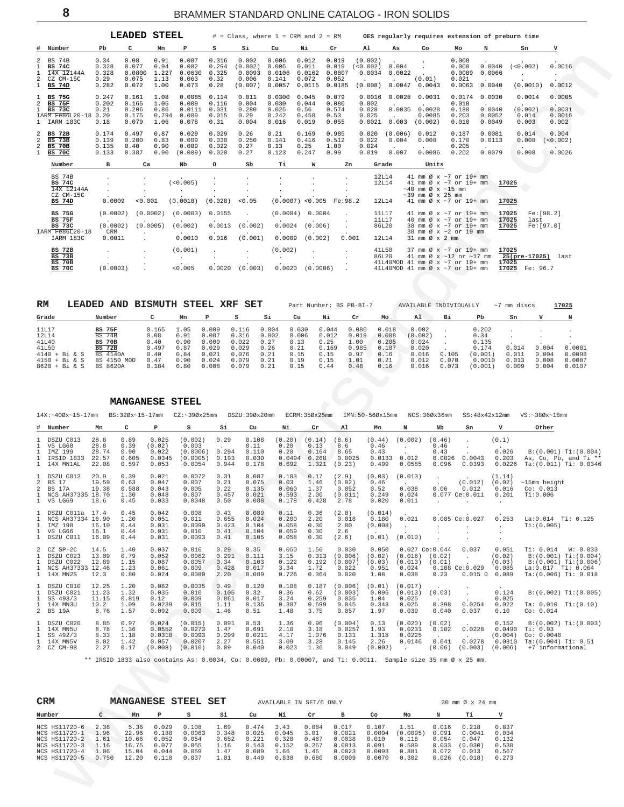<span id="page-7-0"></span>

|                                                                    |                                                                                 |                                         | <b>LEADED</b>                             | <b>STEEL</b>                          |                                             |                                          | $#$ = Class, where $1$ = CRM and $2$ = RM      |                                             |                                             |                                             |                                                                   |                                  | OES regularly requires extension of preburn time                                                                                                                                |                                             |                                      |                                                          |                                       |
|--------------------------------------------------------------------|---------------------------------------------------------------------------------|-----------------------------------------|-------------------------------------------|---------------------------------------|---------------------------------------------|------------------------------------------|------------------------------------------------|---------------------------------------------|---------------------------------------------|---------------------------------------------|-------------------------------------------------------------------|----------------------------------|---------------------------------------------------------------------------------------------------------------------------------------------------------------------------------|---------------------------------------------|--------------------------------------|----------------------------------------------------------|---------------------------------------|
|                                                                    | # Number                                                                        | P <sub>b</sub>                          | C                                         | Mn                                    | P                                           | s                                        | Si                                             | Cu                                          | Ni                                          | Cr                                          | Al                                                                | As                               | Co                                                                                                                                                                              | Mo                                          | N                                    | Sn                                                       | v                                     |
| 2<br>$\mathbf{1}$<br>$\overline{a}$<br>$\mathbf{1}$                | <b>BS 74B</b><br><b>BS 74C</b><br>14X 12144A<br>CZ CM-15C<br><b>BS 74D</b>      | 0.34<br>0.328<br>0.328<br>0.29<br>0.282 | 0.08<br>0.077<br>0.0800<br>0.075<br>0.072 | 0.91<br>0.94<br>1.227<br>1.13<br>1.00 | 0.087<br>0.082<br>0.0630<br>0.063<br>0.073  | 0.316<br>0.294<br>0.325<br>0.32<br>0.28  | 0.002<br>(0.002)<br>0.0093<br>0.006<br>(0.007) | 0.006<br>0.005<br>0.0106<br>0.141<br>0.0057 | 0.012<br>0.011<br>0.0162<br>0.072<br>0.0115 | 0.019<br>0.019<br>0.0807<br>0.052<br>0.0185 | (0.002)<br>(< 0.002)<br>0.0034<br>$\ddot{\phantom{a}}$<br>(0.008) | 0.004<br>0.0022<br>0.0047        | (0.01)<br>0.0043                                                                                                                                                                | 0.008<br>0.008<br>0.0089<br>0.021<br>0.0063 | 0.0040<br>0.0066<br>0.0040           | (< 0.002)<br>(0.0010)                                    | 0.0016<br>0.0012                      |
| 1<br>$\overline{a}$<br>$\mathbf{1}$                                | <b>BS 75G</b><br>$BS$ 75 $F$<br><b>BS 73C</b><br>IARM Fe86L20-18<br>1 IARM 183C | 0.247<br>0.202<br>0.21<br>0.20<br>0.18  | 0.161<br>0.165<br>0.206<br>0.175<br>0.079 | 1.08<br>1.05<br>0.86<br>0.794<br>1.06 | 0.0085<br>0.009<br>0.0111<br>0.009<br>0.078 | 0.114<br>0.116<br>0.031<br>0.015<br>0.31 | 0.011<br>0.004<br>0.280<br>0.29<br>0.004       | 0.0300<br>0.030<br>0.025<br>0.242<br>0.016  | 0.045<br>0.044<br>0.56<br>0.458<br>0.019    | 0.079<br>0.080<br>0.574<br>0.53<br>0.055    | 0.0016<br>0.002<br>0.028<br>0.025<br>0.0021                       | 0.0028<br>0.0035<br>0.003        | 0.0031<br>0.0028<br>0.0085<br>(0.002)                                                                                                                                           | 0.0174<br>0.018<br>0.180<br>0.203<br>0.010  | 0.0030<br>0.0040<br>0.0052<br>0.0049 | 0.0014<br>(0.002)<br>0.014<br>0.003                      | 0.0005<br>0.0031<br>0.0016<br>0.002   |
| $\overline{a}$<br>$\overline{a}$<br>$\overline{a}$<br>$\mathbf{1}$ | <b>BS 72B</b><br>$BS$ 73 $B$<br><b>BS 70B</b><br><b>BS 70C</b>                  | 0.174<br>0.139<br>0.135<br>0.133        | 0.497<br>0.200<br>0.40<br>0.387           | 0.87<br>0.83<br>0.90<br>0.90          | 0.029<br>0.009<br>0.009<br>(0.009)          | 0.029<br>0.030<br>0.022<br>0.020         | 0.26<br>0.250<br>0.27<br>0.27                  | 0.21<br>0.141<br>0.13<br>0.123              | 0.169<br>0.416<br>0.25<br>0.247             | 0.985<br>0.512<br>1.00<br>0.99              | 0.020<br>0.022<br>0.024<br>0.019                                  | (0.006)<br>0.004<br>0.007        | 0.012<br>0.008<br>0.0086                                                                                                                                                        | 0.187<br>0.170<br>0.205<br>0.202            | 0.0081<br>0.0113<br>0.0079           | 0.014<br>0.008<br>$\sim$<br>0.008                        | 0.004<br>(<0.002)<br>$\sim$<br>0.0026 |
|                                                                    | Number                                                                          | $\mathbf{B}$                            | Ca                                        |                                       | Nb                                          | $\circ$                                  | Sb                                             | Ti                                          | w                                           | Zn                                          |                                                                   | Grade                            | Units                                                                                                                                                                           |                                             |                                      |                                                          |                                       |
|                                                                    | <b>BS 74B</b><br><b>BS 74C</b><br>14X 12144A<br>CZ CM-15C<br><b>BS 74D</b>      | 0.0009                                  | $\cdot$<br>< 0.001                        |                                       | (< 0.005)<br>$\cdot$<br>(0.0018)            | (0.028)                                  | < 0.05                                         |                                             | $(0.0007)$ <0.005                           | $\mathbf{r}$<br>$\bullet$<br>Fe:98.2        |                                                                   | 12L14<br>12L14<br>12L14          | 41 mm $\varnothing$ x $\sim$ 7 or 19+ mm<br>41 mm Ø x ~7 or 19+ mm<br>$\sim$ 40 mm Ø x $\sim$ 15 mm<br>$\sim$ 39 mm Ø x 25 mm<br>41 mm Ø x ~7 or 19+ mm                         |                                             |                                      | 17025<br>17025                                           |                                       |
|                                                                    | <b>BS 75G</b><br>$BS$ 75 $F$<br><b>BS 73C</b><br>IARM Fe86L20-18<br>IARM 183C   | (0.0002)<br>(0.0002)<br>CRM<br>0.0011   |                                           | (0.0002)<br>(0.0005)                  | (0.0003)<br>(0.002)<br>0.0010               | 0.0155<br>0.0013<br>0.016                | (0.002)<br>(0.001)                             | (0.0004)<br>0.0024<br>0.0009                | 0.0004<br>(0.006)<br>(0.002)                | $\sim$<br>$\cdot$<br>0.001                  |                                                                   | 11L17<br>11L17<br>86L20<br>12L14 | 41 mm $\varnothing$ x $\sim$ 7 or 19+ mm<br>40 mm Ø x ~7 or 19+ mm<br>38 mm Ø x ~7 or 19+ mm<br>38 mm Ø x ~ 2 or 19 mm<br>$31 \text{ mm}$ $\varnothing$ $\times$ $2 \text{ mm}$ |                                             |                                      | 17025<br>17025<br>last<br>17025                          | Fe:[98.2]<br>Fe: [97.0]               |
|                                                                    | <b>BS 72B</b><br><b>BS 73B</b><br><b>BS 70B</b><br><b>BS 70C</b>                | (0.0003)                                |                                           |                                       | (0.001)<br>< 0.005                          | $\cdot$<br>0.0020                        | (0.003)                                        | (0.002)<br>0.0020                           | $\mathbf{r}$<br>(0.0006)                    | $\cdot$<br>$\sim$                           |                                                                   | 41L50<br>86L20                   | 37 mm $\varnothing$ x $\sim$ 7 or 19+ mm<br>41 mm Ø x ~12 or ~17 mm<br>41L40MOD 41 mm $\varnothing$ x $\sim$ 7 or 19+ mm<br>41L40MOD 41 mm $\varnothing$ x ~7 or 19+ mm         |                                             |                                      | 17025<br>$25(pre-17025)$ last<br>17025<br>17025 Fe: 96.7 |                                       |

| RM              | LEADED | AND             | <b>BISMUTH STEEL XRF</b> |      |       | SET   |       |       |       | Part Number: BS PB-BI-7 |       | AVAILABLE INDIVIDUALLY |       |         | $~\sim$ 7 mm discs |        | 17025  |
|-----------------|--------|-----------------|--------------------------|------|-------|-------|-------|-------|-------|-------------------------|-------|------------------------|-------|---------|--------------------|--------|--------|
| Grade           |        | Number          |                          | Mn   | P     | s     | Si    | Cu    | Ni    | Cr                      | Mo    | Al                     | вi    | Pb      | Sn                 |        |        |
| <b>11L17</b>    |        | <b>BS 75F</b>   | 0.165                    | .05  | 0.009 | 0.116 | 0.004 | 0.030 | 0.044 | 0.080                   | 0.018 | 0.002                  |       | 0.202   |                    |        |        |
| 12L14           |        | <b>BS 74B</b>   | 0.08                     | 0.91 | 0.087 | 0.316 | 0.002 | 0.006 | 0.012 | 0.019                   | 0.008 | (0.002)                |       | 0.34    |                    |        |        |
| 41L40           |        | <b>BS 70B</b>   | 0.40                     | 0.90 | 0.009 | 0.022 | 0.27  | 0.13  | 0.25  | ⊥.00                    | 0.205 | 0.024                  |       | 0.135   |                    |        |        |
| 41L50           |        | <b>BS 72B</b>   | 0.497                    | 0.87 | 0.029 | 0.029 | 0.26  | 0.21  | 0.169 | 0.985                   | 0.187 | 0.020                  |       | 0.174   |                    | n. 004 | 0.0081 |
| $4140 + Bi & S$ |        | <b>BS 4140A</b> | 0.40                     | 0.84 | 0.021 | 0.076 | 0.21  | 0.15  | 0.15  | 0.97                    | 0.16  | 0.016                  | 0.105 | (0.001) | 0.011              | 0.004  | 0.0098 |
| $4150 + Bi & S$ |        | BS 4150 MOD     | 0.47                     | 0.90 | 0.024 | 0.079 | 0.21  | 0.19  | 0.15  | 1.01                    | 0.21  | 0.012                  | 0.070 | 0.0010  | 0.013              | 0.008  | 0.0087 |
| 8620 + Bi & S   |        | BS 8620A        | 0.184                    | 0.80 | 0.008 | 0.079 | 0.21  | 0.15  | 0.44  | 0.48                    | 0.16  | 0.016                  | 0.073 | (0.001  | 0.009              | 0.004  | 0.0107 |

 **MANGANESE STEEL**

WARD ROW COMPANY COMPANY COMPANY COMPANY COMPANY COMPANY COMPANY COMPANY COMPANY COMPANY COMPANY COMPANY COMPANY COMPANY COMPANY COMPANY COMPANY COMPANY COMPANY COMPANY COMPANY COMPANY COMPANY COMPANY COMPANY COMPANY COMPA 14X:~40Øx~15-17mm BS:32Øx~15-17mm CZ:~39Øx25mm DSZU:39Øx20mm ECRM:35Øx25mm IMN:50-56Øx15mm NCS:36Øx36mm SS:48x42x12mm VS:~38Øx~18mm **# Number Mn C P S Si Cu Ni Cr Al Mo N Nb Sn V Other**  $\begin{array}{cccccccccccc} 1 & DSZU C013 & 28.8 & 0.89 & 0.025 & (0.002) & 0.29 & 0.108 & (0.20) & (0.14) & (8.6) & (0.44) & (0.002) & (0.46) & . & (0.1) \\ 1 & VSL G68 & 28.8 & 0.39 & (0.02) & 0.003 & . & 0.11 & 0.20 & 0.13 & 8.6 & 0.46 & . & 0.46 & . \\ 1 & IMZ 199 & 28.74 & 0.90 & 0.022 & (0.0$ 1 VS LG68 28.8 0.39 (0.02) 0.003 . 0.11 0.20 0.13 8.6 0.46 . 0.46 . . 1 IMZ 199 28.74 0.90 0.022 (0.0006) 0.294 0.110 0.20 0.164 8.65 0.43 . 0.43 . 0.026 B:(0.001) Ti:(0.004) 1 IRSID 1833 22.57 0.605 0.0345 (0.0005) 0.193 0.030 0.0494 0.268 0.0025 0.0133 0.012 0.0026 0.0043 0.203 As,Co,Pb,andTi\*\*<br>1 14XMN1AL 22.08 0.597 0.053 0.0054 0.944 0.178 0.692 1.321 (0.23) 0.499 0.0585 0.096 0.0393 0.0226 1 DSZU C012 20.9 0.39 0.021 0.0072 0.31 0.087 0.103 0.17 (2.9) (0.03) (0.013) . . (1.14) 2 BS 17 19.59 0.63 0.047 0.007 0.21 0.075 0.03 1.46 (0.02) 0.46 . . (0.012) (0.02) ~15mm height 2 BS 17A 19.38 0.588 0.043 0.005 0.22 0.135 0.060 1.37 0.052 0.52 0.038 0.06 0.012 0.016 Co: 0.013 1 NCS AH37335 18.70 1.30 0.048 0.047 0.007 0.21 0.075 0.03 1.46 (0.02) 0.46 .<br>
2 BS 17 19.38 0.588 0.043 0.005 0.22 0.135 0.060 1.37 0.052 0.52 0.038 0.06 0.012 0.016 Co:0.013<br>
1 NCS AH37335 18.70 1.301 0.024 0.029 0.021 0 1 VS LG69 18.6 0.45 0.033 0.0048 0.50 0.088 0.178 0.428 2.78 0.020 0.011 . . . 1 DSZU C011a 17.4 0.45 0.042 0.008 0.43 0.089 0.11 0.36 (2.8) (0.014) . . . . 1 DSZUCO11a 17.4 0.45 0.042 0.008 0.43 0.089 0.11 0.36 (2.8) (0.014) .<br>1 NCS AH37334 16.90 1.20 0.051 0.011 0.655 0.024 0.200 2.20 0.018 0.180 0.021 0.085 Ce:0.027 0.253 La:0.014 Ti: 0.125<br>1 IMZ 198 16.10 0.44 0.031 0.0090 1 NGC 2011 16.30 0.120 0.051 0.001 0.655 0.024 0.200 2.20 0.018 0.180 0.021 0.085 Ce:0.027 0.<br>1 IMZ 198 16.10 0.44 0.031 0.0090 0.423 0.104 0.058 0.30 2.80 (0.008) .<br>1 VS 1G66 16.1 0.44 0.031 0.010 0.41 0.104 0.059 0.30 2. 1 VS LG66 16.1 0.44 0.031 0.010 0.41 0.104 0.059 0.30 2.6 . . . . . 1 DSZU C011 16.09 0.44 0.031 0.0093 0.41 0.105 0.058 0.30 (2.6) (0.01) (0.010) . . . 2 CZ SP-2C 14.5 1.40 0.037 0.016 0.29 0.35 0.050 1.56 0.030 0.050 0.027 Co:0.044 0.037 0.051 Ti: 0.014 W: 0.033 1 DSZUC023 13.09 0.79 0.052 0.0062 0.291 0.111 3.15 0.313 (0.006) (0.02) (0.018) (0.02) . (0.02) B:(0.001)Ti:(0.004)<br>1 DSZUC022 12.89 1.15 0.087 0.0057 0.34 0.103 0.122 0.192 (0.007) (0.03) (0.013) (0.01) . (0.03) B:(0.00  $\begin{array}{cccccccccccc} 1 & 1627 & -202 & 13.09 & 0.79 & 0.052 & 0.0062 & 0.291 & 0.111 & 3.15 & 0.313 & (0.006) & (0.02) & (0.02) & 0.020 & 0.020 & 0.020 & 0.021 & 0.011 & 0.004 & 0.006 & 0.006 & 0.006 & 0.006 & 0.006 & 0.006 & 0.006 & 0.006 & 0.006 & 0.006 & 0.006 &$ 1 DSZU C010 12.25 1.20 0.082 0.0035 0.49 0.120 0.108 0.187 (0.006) (0.01) (0.017) . . . 1 DSZU C021 11.23 1.32 0.035 0.010 0.105 0.32 0.36 0.62 (0.003) 0.096 (0.013) (0.03) . 0.124 B:(0.002) Ti:(0.005) 1 SS 493/3 11.15 0.819 0.12 0.009 0.861 0.017 3.24 0.259 0.035 1.04 0.025 . . 0.025 1 14X MN3U 10.2 1.09 0.0239 0.015 1.11 0.135 0.387 0.599 0.045 0.343 0.025 0.398 0.0254 0.022 Ta: 0.010 Ti:(0.10)<br>1 14X MN3U 10.2 1.09 0.0239 0.015 1.11 0.135 0.387 0.599 0.045 0.343 0.025 0.398 0.0254 0.022 Ta: 0.010 Ti:( 2 BS 19A 8.76 1.57 0.092 0.009 1.46 0.51 1.48 3.75 0.057 1.97 0.039 0.040 0.037 0.10 Co: 0.014 1 DSZU C020 8.85 0.97 (0.0001) 0.0001 0.631 1.47 0.691 2.10 3.18 0.0257 1.93 0.0201 (0.021 0.0228 0.0490 Ti:0.031<br>1 14XMN5U 8.78 1.36 0.0552 0.0273 1.47 0.691 2.10 3.18 0.0257 1.93 0.0231 0.0231 0.0228 0.0490 Ti:0.93 1.18

\*\* IRSID 1833 also contains As: 0.0034, Co: 0.0089, Pb: 0.00007, and Ti: 0.0011. Sample size 35 mm Ø x 25 mm.

| CRM           |       | <b>MANGANESE</b> |       | STEEL  | SET   |       | AVAILABLE IN SET/6 ONLY |       |        |        | 30 mm Ø x 24 mm |       |         |       |
|---------------|-------|------------------|-------|--------|-------|-------|-------------------------|-------|--------|--------|-----------------|-------|---------|-------|
| Number        |       | Mn               |       | s      | Si    | Cu    | Νi                      | Cr    | в      | Co     | Mo              |       | тi      |       |
| NCS HS11720-6 | 2.38  | 5.36             | 0.029 | 0.108  | 1.69  | 0.474 | 3.43                    | 0.084 | 0.017  | 0.107  | 1.51            | 0.016 | 0.218   | 0.837 |
| NCS HS11720-1 | 1.96  | 22.96            | 0.188 | 0.0063 | 0.348 | 0.025 | 0.045                   | 3.01  | 0.0021 | 0.0094 | (0.0095)        | 0.091 | 0.0041  | 0.034 |
| NCS HS11720-2 | 1.61  | 10.66            | 0.052 | 0.054  | 0.652 | 0.221 | 0.328                   | 0.467 | 0.0038 | 0.010  | 0.118           | 0.054 | 0.047   | 0.132 |
| NCS HS11720-3 | 1.16  | 16.75            | 0.077 | 0.055  | 1.16  | 0.143 | 0.152                   | 0.257 | 0.0013 | 0.091  | 0.589           | 0.033 | (0.030) | 0.530 |
| NCS HS11720-4 | 1.06  | 15.04            | 0.044 | 0.059  | 1.47  | 0.089 | 1.66                    | 1.45  | 0.0023 | 0.0093 | 0.881           | 0.072 | 0.013   | 0.567 |
| NCS HS11720-5 | 0.750 | 12.20            | 0.118 | 0.037  | 1.01  | 0.449 | 0.838                   | 0.680 | 0.0009 | 0.0070 | 0.302           | 0.026 | (0.018) | 0.273 |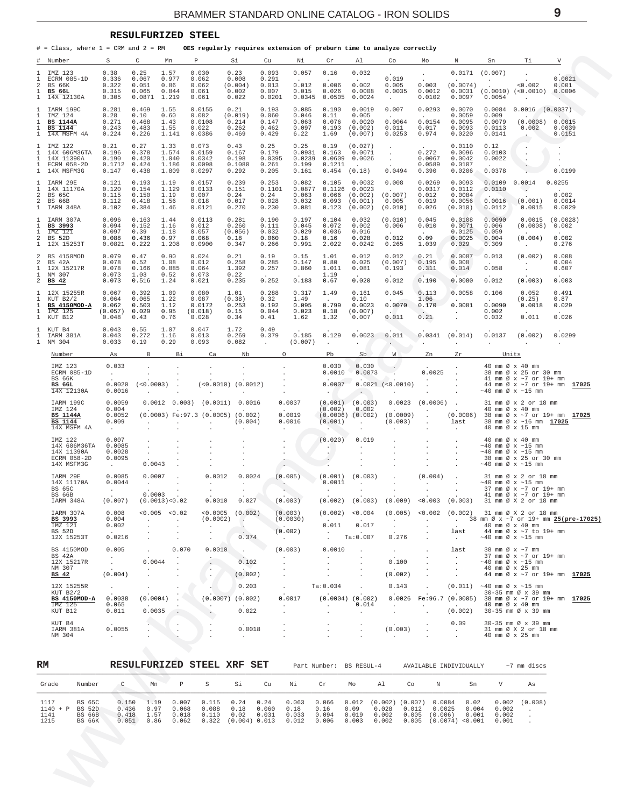#### **RESULFURIZED STEEL**

<span id="page-8-0"></span># = Class, where 1 = CRM and 2 = RM **OES regularly requires extension of preburn time to analyze correctly**

| #  | Number                                                                                   | S                                                           | С                                         | Mn                                       | Ρ                                                    | Si                                                     | Cu                                         | Νi                                                        | Cr                                                | Al                                                         | Co                                                                        | Mo                                                       | Ν                                                                         | Sn                                            | Тi                                                                                                                                          | V                                                 |
|----|------------------------------------------------------------------------------------------|-------------------------------------------------------------|-------------------------------------------|------------------------------------------|------------------------------------------------------|--------------------------------------------------------|--------------------------------------------|-----------------------------------------------------------|---------------------------------------------------|------------------------------------------------------------|---------------------------------------------------------------------------|----------------------------------------------------------|---------------------------------------------------------------------------|-----------------------------------------------|---------------------------------------------------------------------------------------------------------------------------------------------|---------------------------------------------------|
|    | IMZ 123<br>ECRM 085-1D<br><b>BS 66K</b><br><b>BS 66L</b><br>14X 12130A                   | 0.38<br>0.336<br>0.322<br>0.315<br>0.305                    | 0.25<br>0.067<br>0.051<br>0.065<br>0.0871 | 1.57<br>0.977<br>0.86<br>0.844<br>1.219  | 0.030<br>0.062<br>0.062<br>0.061<br>0.061            | 0.23<br>0.008<br>(0.004)<br>0.002<br>0.022             | 0.093<br>0.291<br>0.013<br>0.007<br>0.0201 | 0.057<br>$\ddot{\phantom{1}}$<br>0.012<br>0.015<br>0.0345 | 0.16<br>$\cdot$<br>0.006<br>0.026<br>0.0505       | 0.032<br>$\ddot{\phantom{a}}$<br>0.002<br>0.0008<br>0.0024 | 0.019<br>0.005<br>0.0035<br>$\sim$                                        | $\cdot$<br>0.003<br>0.0012<br>0.0102                     | 0.0171<br>(0.0074)<br>0.0031<br>0.0097                                    | (0.007)<br>$\ddot{\phantom{a}}$<br>0.0054     | $\cdot$<br>0.002<br>$(0.0010)$ $(<0.0010)$<br>$\cdot$                                                                                       | 0.0021<br>0.001<br>0.0006<br>$\ddot{\phantom{0}}$ |
|    | IARM 199C<br>IMZ 124<br><b>BS 1144A</b><br>BS 1144<br>14X MSFM 4A                        | 0.281<br>0.28<br>0.271<br>0.243<br>0.224                    | 0.469<br>0.10<br>0.468<br>0.483<br>0.226  | 1.55<br>0.60<br>1.43<br>1.55<br>1.141    | 0.0155<br>0.082<br>0.0108<br>0.022<br>0.0386         | 0.21<br>(0.019)<br>0.214<br>0.262<br>0.469             | 0.193<br>0.060<br>0.147<br>0.462<br>0.429  | 0.085<br>0.046<br>0.063<br>0.097<br>6.22                  | 0.190<br>0.11<br>0.076<br>0.193<br>1.69           | 0.0019<br>0.005<br>0.0020<br>(0.002)<br>(0.007)            | 0.007<br>$\sim$<br>0.0064<br>0.011<br>0.0253                              | 0.0293<br>$\Delta$<br>0.0154<br>0.017<br>0.974           | 0.0070<br>0.0059<br>0.0095<br>0.0093<br>0.0220                            | 0.0084<br>0.009<br>0.0079<br>0.0113<br>0.0141 | $0.0016$ $(0.0037)$<br>$\ddot{\phantom{a}}$<br>(0.0008)<br>0.002                                                                            | 0.0015<br>0.0039<br>0.0151                        |
|    | IMZ 122<br>14X 606M36TA<br>14X 11390A<br>ECRM 058-2D<br>14X MSFM3G                       | 0.21<br>0.196<br>0.190<br>0.1712<br>0.147                   | 0.27<br>0.378<br>0.420<br>0.424<br>0.438  | 1.33<br>1.574<br>1.040<br>1.186<br>1.809 | 0.073<br>0.0159<br>0.0342<br>0.0098<br>0.0297        | 0.43<br>0.167<br>0.198<br>0.1080<br>0.292              | 0.25<br>0.179<br>0.0395<br>0.261<br>0.205  | 0.25<br>0.0931<br>0.0239<br>0.199<br>0.161                | 0.19<br>0.163<br>0.0609<br>0.1211<br>0.454        | (0.027)<br>0.0071<br>0.0026<br>(0.18)                      | $\cdot$<br>$\ddot{\phantom{a}}$<br>0.0494                                 | 0.272<br>0.0067<br>0.0589<br>0.390                       | 0.0110<br>0.0096<br>0.0042<br>0.0107<br>0.0206                            | 0.12<br>0.0103<br>0.0022<br>$\sim$<br>0.0378  | $\cdot$<br>$\cdot$<br>$\ddot{\phantom{a}}$                                                                                                  | 0.0199                                            |
| 2  | IARM 29E<br>14X 11170A<br>BS 65C<br><b>BS 66B</b><br>IARM 348A                           | 0.121<br>0.120<br>0.115<br>0.112<br>0.102                   | 0.193<br>0.154<br>0.150<br>0.418<br>0.384 | 1.19<br>1.129<br>1.19<br>1.56<br>1.46    | 0.0157<br>0.0133<br>0.007<br>0.018<br>0.0121         | 0.239<br>0.151<br>0.24<br>0.017<br>0.270               | 0.253<br>0.1101<br>0.24<br>0.028<br>0.230  | 0.082<br>0.0877<br>0.063<br>0.032<br>0.081                | 0.105<br>0.1126<br>0.066<br>0.093<br>0.123        | 0.0032<br>0.0023<br>(0.002)<br>(0.001)<br>(0.002)          | 0.008<br>(0.007)<br>0.005<br>(0.010)                                      | 0.0269<br>0.0317<br>0.012<br>0.019<br>0.026              | 0.0093<br>0.0112<br>0.0084<br>0.0056<br>(0.010)                           | 0.0109<br>0.0110<br>0.0016<br>0.0112          | 0.0014<br>$\sim$<br>(0.001)<br>0.0015                                                                                                       | 0.0255<br>0.002<br>0.0014<br>0.0029               |
| 2  | IARM 307A<br>BS 3993<br>IMZ 121<br>BS 52D<br>12X 15253T                                  | 0.096<br>0.094<br>0.097<br>0.088<br>0.0821                  | 0.163<br>0.152<br>0.39<br>0.436<br>0.222  | 1.44<br>1.16<br>1.18<br>0.97<br>1.208    | 0.0113<br>0.012<br>0.057<br>0.068<br>0.0900          | 0.281<br>0.260<br>(0.056)<br>0.18<br>0.347             | 0.190<br>0.111<br>0.032<br>0.060<br>0.266  | 0.197<br>0.045<br>0.029<br>0.18<br>0.991                  | 0.104<br>0.072<br>0.036<br>0.16<br>2.022          | 0.032<br>0.002<br>0.016<br>0.028<br>0.0242                 | (0.010)<br>0.006<br>0.012<br>0.265                                        | 0.045<br>0.010<br>$\cdot$<br>0.09<br>1.039               | 0.0108<br>0.0071<br>0.0125<br>0.0025<br>0.029                             | 0.0090<br>0.006<br>0.059<br>0.004<br>0.309    | 0.0015<br>(0.0008)<br>(0.004)<br>$\ddot{\phantom{a}}$                                                                                       | (0.0028)<br>0.002<br>0.002<br>0.276               |
| 2  | BS 4150MOD<br>BS 42A<br>12X 15217R<br>NM 307<br>BS 42                                    | 0.079<br>0.078<br>0.078<br>0.073<br>0.073                   | 0.47<br>0.52<br>0.166<br>1.03<br>0.516    | 0.90<br>1.08<br>0.885<br>0.52<br>1.24    | 0.024<br>0.012<br>0.064<br>0.073<br>0.021            | 0.21<br>0.258<br>1.392<br>0.22<br>0.235                | 0.19<br>0.285<br>0.257<br>$\sim$<br>0.252  | 0.15<br>0.147<br>0.860<br>$\sim$<br>0.183                 | 1.01<br>0.80<br>1.011<br>1.19<br>0.67             | 0.012<br>0.025<br>0.081<br>$\sim$<br>0.020                 | 0.012<br>(0.007)<br>0.193<br>0.012                                        | 0.21<br>0.195<br>0.311<br>$\sim$<br>0.190                | 0.0087<br>0.008<br>0.014<br>0.0080                                        | 0.013<br>$\mathbf{r}$<br>0.058<br>0.012       | (0.002)<br>$\cdot$<br>$\cdot$<br>(0.003)                                                                                                    | 0.008<br>0.004<br>0.607<br>0.003                  |
|    | 12X 15255R<br>KUT B2/2<br>BS 4150MOD-A<br>IMZ 125<br>KUT B12                             | 0.067<br>0.064<br>0.062<br>(0.057)<br>0.048                 | 0.392<br>0.065<br>0.503<br>0.029<br>0.43  | 1.09<br>1.22<br>1.12<br>0.95<br>0.76     | 0.080<br>0.087<br>0.0172<br>(0.018)<br>0.028         | 1.01<br>(0.38)<br>0.253<br>0.15<br>0.34                | 0.288<br>0.32<br>0.192<br>0.044<br>0.41    | 0.317<br>1.49<br>0.095<br>0.023<br>1.62                   | 1.49<br>$\sim$<br>0.799<br>0.18<br>1.32           | 0.161<br>0.10<br>0.0023<br>(0.007)<br>0.007                | 0.045<br>0.0070<br>0.011                                                  | 0.113<br>1.06<br>0.170<br>$\cdot$<br>0.21                | 0.0058<br>0.0081                                                          | 0.106<br>$\sim$<br>0.0090<br>0.002<br>0.032   | 0.052<br>(0.25)<br>0.0018<br>$\sim$<br>0.011                                                                                                | 0.491<br>0.87<br>0.029<br>0.026                   |
|    | KUT B4<br>IARM 381A<br>NM 304<br>Number                                                  | 0.043<br>0.043<br>0.033<br>As                               | 0.55<br>0.272<br>0.19<br>В                | 1.07<br>1.16<br>0.29<br>Bi               | 0.047<br>0.013<br>0.093<br>Ca                        | 1.72<br>0.269<br>0.082<br>Nb                           | 0.49<br>0.379<br>$\ddot{\phantom{1}}$<br>O | 0.185<br>(0.007)                                          | 0.129<br>$\mathbf{r}$<br>Pb                       | 0.0023<br>Sb                                               | 0.011<br>W                                                                | 0.0341<br>Zn                                             | (0.014)<br>Zr                                                             | 0.0137<br>Units                               | (0.002)                                                                                                                                     | 0.0299<br>$\sim$                                  |
|    | IMZ 123<br>ECRM 085-1D<br>BS 66K<br><b>BS 66L</b><br>14X 12130A                          | 0.033<br>$\ddot{\phantom{0}}$<br>0.0020<br>0.0016           | (<0.0003)                                 |                                          | (<0.0010)                                            | (0.0012)                                               |                                            |                                                           | 0.030<br>0.0010<br>0.0007<br>$\ddot{\phantom{a}}$ | 0.030<br>0.0073<br>$\cdot$                                 | $0.0021$ (<0.0010)                                                        | 0.0025<br>$\cdot$                                        | $\cdot$                                                                   |                                               | 40 mm Ø x 40 mm<br>38 mm Ø x 25 or 30 mm<br>41 mm Ø x ~7 or 19+ mm<br>44 mm Ø x ~7 or 19+ mm<br>$\sim\!40$ mm Ø x $\sim\!15$ mm             | 17025                                             |
|    | IARM 199C<br>IMZ 124<br><b>BS 1144A</b><br>BS 1144<br>14X MSFM 4A                        | 0.0059<br>0.004<br>0.0052<br>0.009<br>$\cdot$               | 0.0012                                    | 0.003)                                   | (0.0011)<br>$(0.0003)$ Fe: 97.3 $(0.0005)$ $(0.002)$ | 0.0016<br>(0.004)                                      |                                            | 0.0037<br>0.0019<br>0.0016                                | (0.001)<br>(0.002)<br>(0.001)                     | (0.003)<br>0.002<br>$(0.0006)$ $(0.002)$                   | 0.0023<br>(0.0009)<br>(0.003)                                             | (0.0006)<br>$\ddot{\phantom{a}}$<br>$\ddot{\phantom{a}}$ | (0.0006)<br>last                                                          |                                               | 31 mm Ø x 2 or 18 mm<br>40 mm Ø x 40 mm<br>38 mm Ø x ~7 or 19+ mm<br>38 mm Ø x ~16 mm <b>17025</b><br>40 mm Ø x 15 mm                       | 17025                                             |
|    | IMZ 122<br>14X 606M36TA<br>14X 11390A<br>ECRM 058-2D<br>14X MSFM3G                       | 0.007<br>0.0085<br>0.0028<br>0.0095<br>$\ddot{\phantom{a}}$ | 0.0043                                    |                                          |                                                      |                                                        | $\cdot$<br>$\cdot$<br>$\cdot$              |                                                           | (0.020)                                           | 0.019                                                      |                                                                           |                                                          |                                                                           |                                               | 40 mm Ø x 40 mm<br>$\sim$ 40 mm Ø x $\sim$ 15 mm<br>$\sim$ 40 mm Ø x $\sim$ 15 mm<br>38 mm Ø x 25 or 30 mm<br>$\sim$ 40 mm Ø x $\sim$ 15 mm |                                                   |
|    | IARM 29E<br>14X 11170A<br>BS 65C<br><b>BS 66B</b><br>IARM 348A                           | 0.0085<br>0.0044<br>$\cdot$<br>(0.007)                      | 0.0007<br>$\cdot$<br>0.0003               | (0.0013) < 0.02                          | 0.0012<br>$\overline{a}$<br>$\cdot$<br>0.0010        | 0.0024<br>$\overline{\phantom{a}}$<br>0.027            | $\cdot$                                    | (0.005)<br>(0.003)                                        | (0.001)<br>0.0011<br>$\cdot$<br>(0.002)           | (0.003)<br>(0.003)                                         | (0.009)                                                                   | (0.004)<br>$\overline{\phantom{a}}$<br>< 0.003           | $\lambda$<br>(0.003)                                                      |                                               | 31 mm Ø x 2 or 18 mm<br>$\sim\!40$ mm Ø x $\sim\!15$ mm<br>37 mm Ø x ~7 or 19+ mm<br>41 mm Ø x ~7 or 19+ mm<br>31 mm Ø X 2 or 18 mm         |                                                   |
|    | IARM 307A<br>BS 3993<br>IMZ 121<br>BS 52D<br>12X 15253T                                  | 0.008<br>0.004<br>0.002<br>0.0216                           | 0.005<br>$\cdot$                          | 0.02<br>$\cdot$<br>$\cdot$               | 0.0005<br>(0.0002)<br>$\cdot$<br>$\cdot$             | (0.002)<br>$\sim$<br>$\blacksquare$<br>$\sim$<br>0.374 | $\cdot$                                    | (0.003)<br>(0.0030)<br>(0.002)                            | (0.002)<br>0.011<br>$\cdot$<br>$\cdot$            | 0.004<br>0.017<br>Ta:0.007                                 | (0.005)<br>0.276                                                          | < 0.002<br>$\cdot$                                       | (0.002)<br>$\ddot{\phantom{0}}$<br>$\sim$<br>last<br>$\ddot{\phantom{0}}$ |                                               | 31 mm Ø X 2 or 18 mm<br>40 mm Ø x 40 mm<br>44 mm Ø x ~7 to 19+ mm<br>$\sim$ 40 mm Ø x $\sim$ 15 mm                                          | 38 mm Ø x ~7 or 19+ mm 25(pre-17025)              |
|    | BS 4150MOD<br>BS 42A<br>12X 15217R<br>NM 307<br>BS 42                                    | 0.005<br>$\cdot$<br>(0.004)                                 | $\ddot{\phantom{a}}$<br>0.0044            | 0.070                                    | 0.0010<br>$\Box$<br>$\Box$                           | $\ddot{\phantom{a}}$<br>0.102<br>(0.002)               | $\cdot$<br>$\cdot$                         | (0.003)                                                   | 0.0010                                            |                                                            | $\ddot{\phantom{a}}$<br>0.100<br>(0.002)                                  | $\ddot{\phantom{a}}$                                     | last<br>$\cdot$<br>$\cdot$<br>$\blacksquare$                              |                                               | 38 mm $\varnothing$ x $\sim$ 7 mm<br>37 mm Ø x ~7 or 19+ mm<br>$\sim$ 40 mm Ø x $\sim$ 15 mm<br>40 mm Ø x 25 mm                             | 44 mm Ø x ~7 or 19+ mm 17025                      |
|    | 12X 15255R<br>KUT B2/2<br>BS 4150MOD-A<br>IMZ 125<br>KUT B12                             | $\cdot$<br>0.0038<br>0.065<br>0.011                         | (0.0004)<br>0.0035                        |                                          | $\cdot$<br>(0.0007)                                  | 0.203<br>(0.002)<br>0.022                              | $\cdot$                                    | 0.0017                                                    | Ta:0.034<br>$\cdot$                               | $(0.0004)$ $(0.002)$<br>0.014<br>$\cdot$                   | 0.143<br>0.0026<br>$\cdot$<br>$\cdot$                                     | Fe: 96.7<br>$\cdot$<br>$\cdot$                           | (0.0005)<br>(0.002)                                                       |                                               | $(0.011)$ ~40 mm Ø x ~15 mm<br>30-35 mm Ø x 39 mm<br>40 mm Ø x 40 mm<br>30-35 mm Ø x 39 mm                                                  | 38 mm Ø x ~7 or 19+ mm 17025                      |
|    | KUT B4<br>IARM 381A<br>NM 304                                                            | 0.0055<br>$\cdot$                                           | v.<br>$\ddot{\phantom{0}}$                |                                          |                                                      | 0.0018<br>$\cdot$                                      |                                            |                                                           |                                                   |                                                            | (0.003)<br>$\cdot$                                                        | $\cdot$<br>$\cdot$<br>$\overline{\phantom{a}}$           | 0.09<br>$\sim$<br>$\mathbf{r}$                                            |                                               | 30-35 mm Ø x 39 mm<br>31 mm Ø X 2 or 18 mm<br>40 mm Ø x 25 mm                                                                               |                                                   |
| RM |                                                                                          |                                                             |                                           |                                          | RESULFURIZED STEEL XRF SET                           |                                                        |                                            |                                                           | Part Number: BS RESUL-4                           |                                                            |                                                                           |                                                          | AVAILABLE INDIVIDUALLY                                                    |                                               | $~\sim$ 7 mm discs                                                                                                                          |                                                   |
|    | Grade<br>Number                                                                          | C                                                           | Mn                                        | Р                                        | S                                                    | Si                                                     | Cu                                         | Νi                                                        | Cr                                                | Mo                                                         | Al<br>Co                                                                  | Ν                                                        | Sn                                                                        | V                                             | Αs                                                                                                                                          |                                                   |
|    | 1117<br>BS 65C<br>$1140 + P$<br><b>BS 52D</b><br>1141<br><b>BS 66B</b><br>1215<br>BS 66K | 0.150<br>0.436<br>0.418<br>0.051                            | 1.19<br>0.97<br>1.57<br>0.86              | 0.007<br>0.068<br>0.018<br>0.062         | 0.115<br>0.088<br>0.110<br>0.322                     | 0.24<br>0.18<br>0.02<br>(0.004) 0.013                  | 0.24<br>0.060<br>0.031                     | 0.063<br>0.18<br>0.033<br>0.012                           | 0.066<br>0.16<br>0.094<br>0.006                   | 0.012<br>0.09<br>0.019<br>0.003                            | $(0.002)$ $(0.007)$<br>0.028<br>0.012<br>0.002<br>0.005<br>0.002<br>0.005 | 0.0084<br>0.0025<br>(0.006)                              | 0.02<br>0.004<br>0.001<br>$(0.0074)$ < 0.001                              | 0.002<br>0.002<br>0.002<br>0.001              | (0.008)<br>$\sim$<br>$\cdot$<br>$\ddot{\phantom{a}}$                                                                                        |                                                   |
|    |                                                                                          |                                                             |                                           |                                          |                                                      |                                                        |                                            |                                                           |                                                   |                                                            |                                                                           |                                                          |                                                                           |                                               |                                                                                                                                             |                                                   |
|    |                                                                                          |                                                             |                                           |                                          |                                                      |                                                        |                                            |                                                           |                                                   |                                                            |                                                                           |                                                          |                                                                           |                                               |                                                                                                                                             |                                                   |

| RM                                 |                                                                  |                                  |                              |                                  | RESULFURIZED STEEL XRF SET       |                                       |                        |                                 | Part Number:                    | BS RESUL-4                      |                         |                                                | AVAILABLE INDIVIDUALLY                           |                        |                                  | $~\sim$ 7 mm discs                                      |
|------------------------------------|------------------------------------------------------------------|----------------------------------|------------------------------|----------------------------------|----------------------------------|---------------------------------------|------------------------|---------------------------------|---------------------------------|---------------------------------|-------------------------|------------------------------------------------|--------------------------------------------------|------------------------|----------------------------------|---------------------------------------------------------|
| Grade                              | Number                                                           | C                                | Mn                           | P                                | S                                | Si                                    | Cu                     | Νi                              | Cr                              | Mo                              | Al                      | Co                                             | N                                                | Sn                     | V                                | As                                                      |
| 1117<br>$1140 + P$<br>1141<br>1215 | <b>BS 65C</b><br><b>BS 52D</b><br><b>BS 66B</b><br><b>BS 66K</b> | 0.150<br>0.436<br>0.418<br>0.051 | 1.19<br>0.97<br>1.57<br>0.86 | 0.007<br>0.068<br>0.018<br>0.062 | 0.115<br>0.088<br>0.110<br>0.322 | 0.24<br>0.18<br>0.02<br>(0.004) 0.013 | 0.24<br>0.060<br>0.031 | 0.063<br>0.18<br>0.033<br>0.012 | 0.066<br>0.16<br>0.094<br>0.006 | 0.012<br>0.09<br>0.019<br>0.003 | 0.028<br>0.002<br>0.002 | $(0.002)$ $(0.007)$<br>0.012<br>0.005<br>0.005 | 0.0084<br>0.0025<br>(0.006)<br>$(0.0074)$ <0.001 | 0.02<br>0.004<br>0.001 | 0.002<br>0.002<br>0.002<br>0.001 | (0.008)<br>$\cdot$<br>$\ddot{\phantom{0}}$<br>$\lambda$ |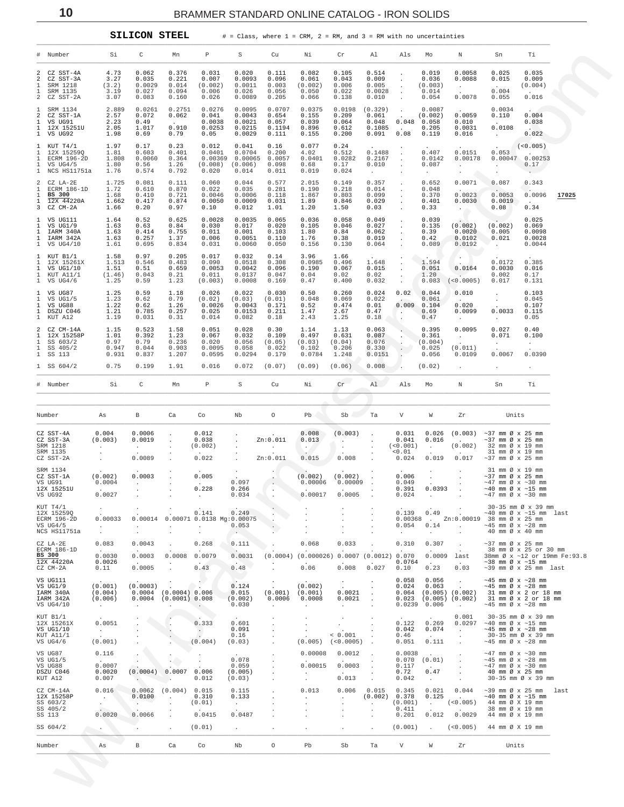|  | SILICON STEEI |
|--|---------------|
|  |               |

 $10$ 

# = Class, where  $1$  = CRM,  $2$  = RM, and  $3$  = RM with no uncertainties L,

<span id="page-9-0"></span>

| Si<br>C<br>P<br>Τi<br># Number<br>Mn<br>S<br>Cu<br>Νi<br>Cr<br>Al<br>Als<br>Ν<br>Sn<br>Mo<br>0.062<br>0.376<br>0.031<br>0.082<br>0.514<br>0.019<br>0.0058<br>0.025<br>0.035<br>2 CZ SST-4A<br>4.73<br>0.020<br>0.111<br>0.105<br>$\cdot$<br>0.009<br>0.0088<br>0.009<br>2<br>CZ SST-3A<br>3.27<br>0.035<br>0.221<br>0.007<br>0.0093<br>0.096<br>0.061<br>0.043<br>0.036<br>0.015<br>$\cdot$<br>0.005<br>(0.004)<br>SRM 1218<br>(3.2)<br>0.0029<br>0.014<br>(0.002)<br>0.0011<br>0.003<br>(0.002)<br>0.006<br>(0.003)<br>$\cdot$<br>$\sim$<br>$\sim$<br>0.0028<br>0.004<br>SRM 1135<br>3.19<br>0.027<br>0.094<br>0.006<br>0.026<br>0.056<br>0.050<br>0.022<br>0.014<br>$\sim 10^{-11}$<br>$\ddot{\phantom{0}}$<br>2 CZ SST-2A<br>3.07<br>0.083<br>0.026<br>0.0089<br>0.010<br>0.054<br>0.0078<br>0.016<br>0.160<br>0.205<br>0.066<br>0.138<br>0.055<br>0.2751<br>0.0707<br>0.0375<br>SRM 1134<br>2.889<br>0.0261<br>0.0276<br>0.0095<br>0.0198<br>(0.329)<br>0.0087<br>0.0034<br>2.57<br>0.0043<br>0.0059<br>0.004<br>2<br>CZ SST-1A<br>0.072<br>0.062<br>0.041<br>0.654<br>0.155<br>0.209<br>0.061<br>(0.002)<br>0.110<br>0.0038<br>0.0021<br>$0.048$ 0.058<br>2.23<br>0.49<br>0.057<br>0.039<br>0.064<br>0.048<br>0.010<br>0.038<br><b>Carl Corp.</b><br><b>Contract</b><br>1.017<br>0.910<br>0.0253<br>0.1085<br>0.0031<br>0.0108<br>2.05<br>0.0215<br>0.1194<br>0.896<br>0.612<br>0.205<br><b>COLLA</b><br>$\sim$ $-$<br>0.0029<br>0.091<br>0.119<br>0.016<br>0.022<br>1.98<br>0.69<br>0.79<br>0.05<br>0.111<br>0.155<br>0.200<br>0.08<br>$\sim 10^{-11}$<br>0.17<br>0.23<br>0.077<br>0.24<br>1.97<br>0.012<br>0.041<br>0.16<br>(<0.005)<br>1.81<br>0.0704<br>0.1488<br>0.407<br>0.0151<br>0.053<br>12X 15259Q<br>0.603<br>0.401<br>0.0401<br>0.200<br>4.02<br>0.512<br><b>Contract</b><br>1.808<br>0.00369<br>0.2167<br>$0.00047$ 0.00253<br>ECRM 196-2D<br>0.0060<br>0.364<br>0.00065<br>0.0057<br>0.0401<br>0.0282<br>0.0142<br>0.00178<br>$\cdot$<br>1.80<br>0.010<br>0.56<br>1.26<br>(0.008)<br>(0.006)<br>0.098<br>0.68<br>0.17<br>0.087<br>0.17<br>$\sim$<br>$\cdot$<br>$\cdot$<br>1 NCS HS11751a<br>1.76<br>0.574<br>0.792<br>0.020<br>0.014<br>0.011<br>0.019<br>0.024<br>$\sim 10^{-11}$<br>$\sim$ $\sim$<br>$\sim$<br>0.111<br>2.015<br>0.149<br>0.357<br>0.652<br>1.725<br>0.081<br>0.060<br>0.044<br>0.577<br>0.0071<br>0.087<br>0.343<br>$\cdot$<br>1.72<br>0.035<br>0.014<br>ECRM 186-1D<br>0.610<br>0.870<br>0.022<br>0.281<br>0.190<br>0.218<br>0.048<br>$\sim$ $\sim$<br><b>Contract Contract</b><br>$\sim$ 400 $\sim$<br>$\cdot$<br>BS 300<br>0.0006<br>0.099<br>0.0023<br>0.0053<br>0.0096<br>1.68<br>0.410<br>0.721<br>0.0046<br>0.118<br>1.867<br>0.803<br>0.370<br>17025<br>$\cdot$<br>0.0050<br>0.846<br>0.029<br>0.401<br>1.662<br>0.417<br>0.874<br>0.0009<br>0.031<br>1.89<br>0.0030<br>0.0019<br>$\sim 100$ km s $^{-1}$<br>$\cdot$<br>0.012<br>0.34<br>1.66<br>0.20<br>0.97<br>0.10<br>1.01<br>1.20<br>1.50<br>0.03<br>0.33<br>0.08<br>$\sim$ $\sim$<br>0.52<br>0.625<br>0.0035<br>0.065<br>0.036<br>0.058<br>0.049<br>0.039<br>0.025<br>1.64<br>0.0028<br>$\cdot$<br>0.017<br>0.027<br>(0.002)<br>(0.002)<br>VS UG1/9<br>1.63<br>0.63<br>0.84<br>0.030<br>0.020<br>0.105<br>0.046<br>0.135<br>0.069<br>$\blacksquare$<br>0.755<br>0.001<br>0.062<br>0.0098<br>1.63<br>0.414<br>0.011<br>0.103<br>1.80<br>0.84<br>0.39<br>0.0020<br>0.005<br>$\cdot$<br>1.63<br>0.0051<br>0.019<br>0.42<br>0.0102<br>0.0028<br>0.257<br>1.37<br>0.006<br>0.110<br>1.76<br>0.38<br>0.021<br>$\cdot$<br>0.0060<br>0.130<br>0.064<br>0.089<br>0.0192<br>1.61<br>0.695<br>0.834<br>0.031<br>0.050<br>0.156<br>0.0044<br>$\sim 10^{-11}$<br>0.205<br>0.017<br>0.032<br>3.96<br>1.58<br>0.97<br>0.14<br>1.66<br>$\left( \frac{1}{2} \right)$<br>1.513<br>0.546<br>0.0518<br>0.308<br>1.648<br>1.594<br>0.0172<br>0.385<br>12X 15261X<br>0.483<br>0.090<br>0.0985<br>0.496<br>0.0053<br>0.067<br>0.015<br>1.51<br>0.51<br>0.659<br>0.0042<br>0.096<br>0.190<br>0.051<br>0.0164<br>0.0030<br>0.016<br>(1.46)<br>0.043<br>0.21<br>0.011<br>0.0137<br>0.047<br>0.04<br>0.02<br>0.02<br>1.20<br>$\sim$<br>0.002<br>0.17<br>1.25<br>(0.003)<br>0.0008<br>0.083<br>(<0.0005)<br>0.59<br>1.23<br>0.169<br>0.47<br>0.400<br>0.032<br>0.017<br>0.131<br>0.59<br>0.022<br>0.50<br>0.260<br>0.02 0.044<br>0.103<br>1.25<br>1.18<br>0.026<br>0.030<br>0.024<br>0.010<br>VS UG1/5<br>1.23<br>0.62<br>0.79<br>(0.02)<br>(0.03)<br>(0.01)<br>0.048<br>0.069<br>0.022<br>0.061<br>0.045<br><b>Contract</b><br>$\sim$<br>$\mathcal{A}^{\mathcal{A}}$ and $\mathcal{A}^{\mathcal{A}}$<br>1.22<br>0.474<br>0.01<br>0.009 0.104<br>0.020<br>0.107<br>VS UG88<br>0.62<br>1.26<br>0.0026<br>0.0043<br>0.171<br>0.52<br>1.21<br>0.257<br>0.0153<br>2.67<br>0.0033<br>0.785<br>0.025<br>0.211<br>1.47<br>0.47<br>0.69<br>0.0099<br>0.115<br><b>A</b><br>1.19<br>0.082<br>1.25<br>0.031<br>0.31<br>0.014<br>0.18<br>2.43<br>0.18<br>0.47<br>0.05<br>$\cdot$<br>$\sim$<br>$\sim 100$<br>1.58<br>0.028<br>0.063<br>0.395<br>0.0095<br>0.027<br>0.40<br>1.15<br>0.523<br>0.051<br>0.30<br>1.14<br>1.13<br>1.01<br>0.032<br>0.087<br>0.392<br>1.23<br>0.067<br>0.109<br>0.497<br>0.631<br>0.361<br>0.071<br>0.100<br>$\sim 10^{-11}$<br>0.97<br>0.076<br>0.79<br>0.236<br>0.020<br>0.056<br>(0.05)<br>(0.03)<br>(0.04)<br>(0.004)<br>$\sim 100$<br>$\sim$ $\sim$<br>0.947<br>0.206<br>0.025<br>(0.011)<br>0.044<br>0.903<br>0.0095<br>0.058<br>0.022<br>0.102<br>0.330<br>0.931<br>0.0067<br>0.0390<br>0.837<br>1.207<br>0.0595<br>0.0294<br>0.179<br>0.0784<br>1.248<br>0.0151<br>0.056<br>0.0109<br>0.75<br>$1$ SS $604/2$<br>0.199<br>1.91<br>0.016<br>0.072<br>(0.07)<br>(0.09)<br>(0.06)<br>0.008<br>(0.02)<br>Cr<br>Si<br>C<br>$\, {\mathbb P}$<br>S<br>Cu<br>Νi<br>Al .<br>Τi<br># Number<br>Mn<br>Als<br>Mo<br>Ν<br>Sn<br>Co<br>Nb<br>$\circ$<br>Pb<br>Sb<br>$\boldsymbol{\mathrm{V}}$<br>W<br>Units<br>Number<br>В<br>Ca<br>Ta<br>Zr<br>As<br>0.004<br>0.0006<br>0.012<br>0.008<br>(0.003)<br>$0.026$ $(0.003)$<br>0.031<br>$\sim$ 37 mm $\varnothing$ x 25 mm<br>$\Box$<br>$\cdot$<br>$\cdot$<br>Zn:0.011<br>CZ SST-3A<br>(0.003)<br>0.0019<br>0.038<br>0.013<br>0.041<br>0.016<br>$\sim$ 37 mm Ø x 25 mm<br>$\blacksquare$<br>$\triangle$ $\rightarrow$ $\Box$<br>$\blacksquare$<br><b>Contractor</b><br>$\cdot$<br>(<0.001)<br>(0.002)<br>(0.002)<br>32 mm Ø x 19 mm<br>$\sim 10^{-11}$<br><b>Contract</b><br>$\sim$<br>$\cdot$<br>< 0.01<br>31 mm Ø x 19 mm<br>0.0089<br>0.022<br>Zn:0.011<br>0.015<br>0.008<br>0.019<br>0.017<br>0.024<br>$\sim$ 37 mm $\varnothing$ x 25 mm<br>$\cdot$<br>31 mm Ø x 19 mm<br>$\cdot$<br>(0.002)<br>0.0003<br>0.005<br>(0.002)<br>(0.002)<br>0.006<br>$\sim$ 37 mm Ø x 25 mm<br>$\bullet$<br>0.0004<br>0.097<br>0.00006<br>0.049<br>$\sim 10^{-10}$<br>0.00009<br>$\sim$ 47 mm Ø x $\sim$ 30 mm<br><b>Service</b><br>$\sim$<br>0.228<br>0.391<br>0.0393<br>0.266<br>$\sim$ 40 mm Ø x $\sim$ 15 mm<br>$\sim$<br><b>Contract</b><br>0.00017<br>0.0027<br>0.0005<br>0.034<br>0.024<br>$\sim$ 47 mm Ø x $\sim$ 30 mm<br><b>Contract</b><br>$\sim$ $\sim$<br>30-35 mm Ø x 39 mm<br>0.141<br>0.249<br>0.139<br>0.49<br>$~10$ mm $\varnothing$ x $~15$ mm last<br>0.00033<br>0.00014<br>0.00071 0.0138 Mg:0.00075<br>$0.00368$ . $Zn:0.00019$ 38 mm $\emptyset \times 25$ mm<br>0.053<br>0.054<br>0.14<br>$~10-45$ mm Ø x $~28$ mm<br>$\sim$<br>$\cdot$<br>$\sim$<br>40 mm Ø x 40 mm<br>$\cdot$<br>$\cdot$<br>0.083<br>0.0043<br>0.268<br>0.111<br>0.068<br>0.033<br>0.310<br>0.307<br>$\sim$ 37 mm $\varnothing$ x 25 mm<br>38 mm Ø x 25 or 30 mm<br>$\sim$<br>BS 300<br>0.0079<br>(0.0012) 0.070<br>0.0030<br>0.0003<br>0.0008<br>0.0031<br>(0.0004)<br>(0.000026)<br>0.0007<br>0.0009<br>38mm Ø x ~12 or 19mm Fe:93.8<br>last<br>0.0026<br>0.0764<br>$\sim$ 38 mm Ø x $\sim$ 15 mm<br>$\sim$ $-$<br>$\sim$<br>0.008<br>0.11<br>0.0005<br>0.43<br>0.48<br>0.06<br>0.027<br>0.10<br>0.23<br>0.03<br>$\sim$ 39 mm Ø x 25 mm last<br>0.058<br>0.056<br>$~10-45$ mm Ø x $~128$ mm<br>$\cdot$<br>$\sim$<br>(0.001)<br>(0.0003)<br>0.124<br>(0.002)<br>0.024<br>0.063<br>$\sim$ 45 mm Ø x $\sim$ 28 mm<br>$\ddot{\phantom{a}}$<br>$\sim$<br>$\cdot$<br>0.0021<br>(0.004)<br>$0.0004$ (0.0004) 0.006<br>0.015<br>(0.001)<br>(0.001)<br>0.064<br>$(0.005)$ $(0.002)$<br>31 mm Ø x 2 or 18 mm<br>(0.006)<br>$0.0004$ (0.0001) 0.008<br>(0.002)<br>0.0006<br>0.0008<br>0.0021<br>$0.023$ $(0.005)$ $(0.002)$<br>31 mm Ø x 2 or 18 mm<br>0.030<br>$0.0239$ $0.006$<br>$\sim$ 45 mm Ø x $\sim$ 28 mm<br>$\sim$<br>$\sim$<br>$\sim$<br><b>Contract</b><br>$\sim$<br>0.001<br>30-35 mm Ø x 39 mm<br>0.122<br>0.0297<br>0.0051<br>0.333<br>0.601<br>0.269<br>$\sim$ 40 mm Ø x $\sim$ 15 mm<br>0.091<br>0.042<br>0.074<br>$\sim$ 45 mm Ø x $\sim$ 28 mm<br>$\sim$<br>$\sim$<br><b>CALL COV</b><br>< 0.001<br>0.16<br>0.46<br>30-35 mm Ø x 39 mm<br><b>Carlos</b><br>$\cdot$<br>(0.001)<br>(0.004)<br>(0.03)<br>(0.005)<br>(<0.0005)<br>0.051<br>0.111<br>$~10-45$ mm Ø x $~28$ mm<br>$\cdot$<br>0.116<br>0.00008<br>0.0012<br>0.0038<br>$~17$ mm Ø x $~10$ mm<br>0.078<br>$0.070$ $(0.01)$<br>$~10 - 45$ mm Ø x $~128$ mm<br>$\sim$ $\sim$<br>0.0007<br>0.00015<br>0.059<br>0.0003<br>0.117<br>$~17$ mm Ø x $~10$ mm<br><b>Carlos</b><br>0.47<br>0.0020<br>(0.0004)<br>0.0007<br>0.006<br>(0.005)<br>0.72<br>40 mm Ø x 25 mm<br>0.007<br>0.012<br>0.013<br>0.042<br>30-35 mm Ø x 39 mm<br>(0.03)<br>$\sim$<br>$\overline{\phantom{a}}$<br>0.016<br>0.0062<br>(0.004)<br>0.015<br>0.115<br>0.013<br>0.006<br>0.015<br>0.345<br>0.021<br>0.044<br>$\sim$ 39 mm Ø x 25 mm<br>last<br>0.0100<br>0.310<br>0.133<br>(0.002)<br>0.378<br>0.125<br>$\sim$ 40 mm Ø x $\sim$ 15 mm<br><b>Contract</b><br><b>Contract</b><br>$\cdot$<br>$\sim$<br>$\cdot$<br>(0.01)<br>(0.001)<br>(<0.005)<br>44 mm Ø X 19 mm<br>$\cdot$<br>$\sim 10^{-11}$<br>$\blacksquare$<br>$\sim$<br>0.411<br>38 mm Ø x 19 mm<br>$\cdot$<br>0.0020<br>0.0066<br>0.0415<br>0.0487<br>0.201<br>0.012<br>0.0029<br>44 mm Ø x 19 mm<br>SS 604/2<br>(0.01)<br>(<0.005)<br>(0.001)<br>44 mm Ø X 19 mm<br>Number<br>$\, {\bf B}$<br>Nb<br>$\circ$<br>Pb<br>Sb<br>V<br>W<br>As<br>Ca<br>Co<br>Ta<br>Zr<br>Units |                                                                          |  |  |  |  |  |  |  |  |
|-------------------------------------------------------------------------------------------------------------------------------------------------------------------------------------------------------------------------------------------------------------------------------------------------------------------------------------------------------------------------------------------------------------------------------------------------------------------------------------------------------------------------------------------------------------------------------------------------------------------------------------------------------------------------------------------------------------------------------------------------------------------------------------------------------------------------------------------------------------------------------------------------------------------------------------------------------------------------------------------------------------------------------------------------------------------------------------------------------------------------------------------------------------------------------------------------------------------------------------------------------------------------------------------------------------------------------------------------------------------------------------------------------------------------------------------------------------------------------------------------------------------------------------------------------------------------------------------------------------------------------------------------------------------------------------------------------------------------------------------------------------------------------------------------------------------------------------------------------------------------------------------------------------------------------------------------------------------------------------------------------------------------------------------------------------------------------------------------------------------------------------------------------------------------------------------------------------------------------------------------------------------------------------------------------------------------------------------------------------------------------------------------------------------------------------------------------------------------------------------------------------------------------------------------------------------------------------------------------------------------------------------------------------------------------------------------------------------------------------------------------------------------------------------------------------------------------------------------------------------------------------------------------------------------------------------------------------------------------------------------------------------------------------------------------------------------------------------------------------------------------------------------------------------------------------------------------------------------------------------------------------------------------------------------------------------------------------------------------------------------------------------------------------------------------------------------------------------------------------------------------------------------------------------------------------------------------------------------------------------------------------------------------------------------------------------------------------------------------------------------------------------------------------------------------------------------------------------------------------------------------------------------------------------------------------------------------------------------------------------------------------------------------------------------------------------------------------------------------------------------------------------------------------------------------------------------------------------------------------------------------------------------------------------------------------------------------------------------------------------------------------------------------------------------------------------------------------------------------------------------------------------------------------------------------------------------------------------------------------------------------------------------------------------------------------------------------------------------------------------------------------------------------------------------------------------------------------------------------------------------------------------------------------------------------------------------------------------------------------------------------------------------------------------------------------------------------------------------------------------------------------------------------------------------------------------------------------------------------------------------------------------------------------------------------------------------------------------------------------------------------------------------------------------------------------------------------------------------------------------------------------------------------------------------------------------------------------------------------------------------------------------------------------------------------------------------------------------------------------------------------------------------------------------------------------------------------------------------------------------------------------------------------------------------------------------------------------------------------------------------------------------------------------------------------------------------------------------------------------------------------------------------------------------------------------------------------------------------------------------------------------------------------------------------------------------------------------------------------------------------------------------------------------------------------------------------------------------------------------------------------------------------------------------------------------------------------------------------------------------------------------------------------------------------------------------------------------------------------------------------------------------------------------------------------------------------------------------------------------------------------------------------------------------------------------------------------------------------------------------------------------------------------------------------------------------------------------------------------------------------------------------------------------------------------------------------------------------------------------------------------------------------------------------------------------------------------------------------------------------------------------------------------------------------------------------------------------------------------------------------------------------------------------------------------------------------------------------------------------------------------------------------------------------------------------------------------------------------------------------------------------------------------------------------------------------------------------------------------------------------------------------------------------------------------------------------------------------------------------------------------------------------------------------------------------------------------------------------------------------------------------------------------------------------------------------------------------------------------------------------------------------------------------------------------------------------------------------------------------------------------------------------------------------------------------------------------------------------------------------------------------------------------------------------------------------------------------------------------------------------------------------------------------------------------------------------------------------------------------------------------------------------------------------------------------------------------------------------------------------------------------------------------------------------------------------------------------------------------------------------------------------------------------------------------------------------------------------------------------------------------------------------------------------------------------------------------------------------------------------------------------------------------------------------------------------------------------------------------------------------------------------------------------------------------------------------------------------------------------------------------------------------------------------------------------------------------------------------------------------------------------------------------------------------------------------------------------------------------------------------------------------------------------------------------------------------------------------------------------------------------------------------------------------------------------------------------------------------------------------------------------------------------------------------------------------------------------------------------------------------------------------------------------------------|--------------------------------------------------------------------------|--|--|--|--|--|--|--|--|
|                                                                                                                                                                                                                                                                                                                                                                                                                                                                                                                                                                                                                                                                                                                                                                                                                                                                                                                                                                                                                                                                                                                                                                                                                                                                                                                                                                                                                                                                                                                                                                                                                                                                                                                                                                                                                                                                                                                                                                                                                                                                                                                                                                                                                                                                                                                                                                                                                                                                                                                                                                                                                                                                                                                                                                                                                                                                                                                                                                                                                                                                                                                                                                                                                                                                                                                                                                                                                                                                                                                                                                                                                                                                                                                                                                                                                                                                                                                                                                                                                                                                                                                                                                                                                                                                                                                                                                                                                                                                                                                                                                                                                                                                                                                                                                                                                                                                                                                                                                                                                                                                                                                                                                                                                                                                                                                                                                                                                                                                                                                                                                                                                                                                                                                                                                                                                                                                                                                                                                                                                                                                                                                                                                                                                                                                                                                                                                                                                                                                                                                                                                                                                                                                                                                                                                                                                                                                                                                                                                                                                                                                                                                                                                                                                                                                                                                                                                                                                                                                                                                                                                                                                                                                                                                                                                                                                                                                                                                                                                                                                                                                                                                                                                                                                                                                                                                                                                                                                                                                                                                                                                                                                                                                                                                                                                                                                                                                                                                                                                                                                                                                                                                                                                                                                                                                                                                                                                                                                                                                                                                                                                                                                                                                                                                                                                                                                                                                                                                                                                                                                                                                                                                                                                         |                                                                          |  |  |  |  |  |  |  |  |
|                                                                                                                                                                                                                                                                                                                                                                                                                                                                                                                                                                                                                                                                                                                                                                                                                                                                                                                                                                                                                                                                                                                                                                                                                                                                                                                                                                                                                                                                                                                                                                                                                                                                                                                                                                                                                                                                                                                                                                                                                                                                                                                                                                                                                                                                                                                                                                                                                                                                                                                                                                                                                                                                                                                                                                                                                                                                                                                                                                                                                                                                                                                                                                                                                                                                                                                                                                                                                                                                                                                                                                                                                                                                                                                                                                                                                                                                                                                                                                                                                                                                                                                                                                                                                                                                                                                                                                                                                                                                                                                                                                                                                                                                                                                                                                                                                                                                                                                                                                                                                                                                                                                                                                                                                                                                                                                                                                                                                                                                                                                                                                                                                                                                                                                                                                                                                                                                                                                                                                                                                                                                                                                                                                                                                                                                                                                                                                                                                                                                                                                                                                                                                                                                                                                                                                                                                                                                                                                                                                                                                                                                                                                                                                                                                                                                                                                                                                                                                                                                                                                                                                                                                                                                                                                                                                                                                                                                                                                                                                                                                                                                                                                                                                                                                                                                                                                                                                                                                                                                                                                                                                                                                                                                                                                                                                                                                                                                                                                                                                                                                                                                                                                                                                                                                                                                                                                                                                                                                                                                                                                                                                                                                                                                                                                                                                                                                                                                                                                                                                                                                                                                                                                                                                         | 1<br>$\mathbf{1}$                                                        |  |  |  |  |  |  |  |  |
|                                                                                                                                                                                                                                                                                                                                                                                                                                                                                                                                                                                                                                                                                                                                                                                                                                                                                                                                                                                                                                                                                                                                                                                                                                                                                                                                                                                                                                                                                                                                                                                                                                                                                                                                                                                                                                                                                                                                                                                                                                                                                                                                                                                                                                                                                                                                                                                                                                                                                                                                                                                                                                                                                                                                                                                                                                                                                                                                                                                                                                                                                                                                                                                                                                                                                                                                                                                                                                                                                                                                                                                                                                                                                                                                                                                                                                                                                                                                                                                                                                                                                                                                                                                                                                                                                                                                                                                                                                                                                                                                                                                                                                                                                                                                                                                                                                                                                                                                                                                                                                                                                                                                                                                                                                                                                                                                                                                                                                                                                                                                                                                                                                                                                                                                                                                                                                                                                                                                                                                                                                                                                                                                                                                                                                                                                                                                                                                                                                                                                                                                                                                                                                                                                                                                                                                                                                                                                                                                                                                                                                                                                                                                                                                                                                                                                                                                                                                                                                                                                                                                                                                                                                                                                                                                                                                                                                                                                                                                                                                                                                                                                                                                                                                                                                                                                                                                                                                                                                                                                                                                                                                                                                                                                                                                                                                                                                                                                                                                                                                                                                                                                                                                                                                                                                                                                                                                                                                                                                                                                                                                                                                                                                                                                                                                                                                                                                                                                                                                                                                                                                                                                                                                                                         | $\mathbf{1}$<br>1 VS UG91<br>1 12X 15251U<br>1 VS UG92                   |  |  |  |  |  |  |  |  |
|                                                                                                                                                                                                                                                                                                                                                                                                                                                                                                                                                                                                                                                                                                                                                                                                                                                                                                                                                                                                                                                                                                                                                                                                                                                                                                                                                                                                                                                                                                                                                                                                                                                                                                                                                                                                                                                                                                                                                                                                                                                                                                                                                                                                                                                                                                                                                                                                                                                                                                                                                                                                                                                                                                                                                                                                                                                                                                                                                                                                                                                                                                                                                                                                                                                                                                                                                                                                                                                                                                                                                                                                                                                                                                                                                                                                                                                                                                                                                                                                                                                                                                                                                                                                                                                                                                                                                                                                                                                                                                                                                                                                                                                                                                                                                                                                                                                                                                                                                                                                                                                                                                                                                                                                                                                                                                                                                                                                                                                                                                                                                                                                                                                                                                                                                                                                                                                                                                                                                                                                                                                                                                                                                                                                                                                                                                                                                                                                                                                                                                                                                                                                                                                                                                                                                                                                                                                                                                                                                                                                                                                                                                                                                                                                                                                                                                                                                                                                                                                                                                                                                                                                                                                                                                                                                                                                                                                                                                                                                                                                                                                                                                                                                                                                                                                                                                                                                                                                                                                                                                                                                                                                                                                                                                                                                                                                                                                                                                                                                                                                                                                                                                                                                                                                                                                                                                                                                                                                                                                                                                                                                                                                                                                                                                                                                                                                                                                                                                                                                                                                                                                                                                                                                                         | 1 KUT T4/1<br>$\mathbf{1}$<br>$\mathbf{1}$<br>1 VS UG4/5                 |  |  |  |  |  |  |  |  |
|                                                                                                                                                                                                                                                                                                                                                                                                                                                                                                                                                                                                                                                                                                                                                                                                                                                                                                                                                                                                                                                                                                                                                                                                                                                                                                                                                                                                                                                                                                                                                                                                                                                                                                                                                                                                                                                                                                                                                                                                                                                                                                                                                                                                                                                                                                                                                                                                                                                                                                                                                                                                                                                                                                                                                                                                                                                                                                                                                                                                                                                                                                                                                                                                                                                                                                                                                                                                                                                                                                                                                                                                                                                                                                                                                                                                                                                                                                                                                                                                                                                                                                                                                                                                                                                                                                                                                                                                                                                                                                                                                                                                                                                                                                                                                                                                                                                                                                                                                                                                                                                                                                                                                                                                                                                                                                                                                                                                                                                                                                                                                                                                                                                                                                                                                                                                                                                                                                                                                                                                                                                                                                                                                                                                                                                                                                                                                                                                                                                                                                                                                                                                                                                                                                                                                                                                                                                                                                                                                                                                                                                                                                                                                                                                                                                                                                                                                                                                                                                                                                                                                                                                                                                                                                                                                                                                                                                                                                                                                                                                                                                                                                                                                                                                                                                                                                                                                                                                                                                                                                                                                                                                                                                                                                                                                                                                                                                                                                                                                                                                                                                                                                                                                                                                                                                                                                                                                                                                                                                                                                                                                                                                                                                                                                                                                                                                                                                                                                                                                                                                                                                                                                                                                                         | 2 CZ LA-2E<br>$\mathbf{1}$<br>$\mathbf{1}$<br>1 12X 44220A<br>3 CZ CM-2A |  |  |  |  |  |  |  |  |
|                                                                                                                                                                                                                                                                                                                                                                                                                                                                                                                                                                                                                                                                                                                                                                                                                                                                                                                                                                                                                                                                                                                                                                                                                                                                                                                                                                                                                                                                                                                                                                                                                                                                                                                                                                                                                                                                                                                                                                                                                                                                                                                                                                                                                                                                                                                                                                                                                                                                                                                                                                                                                                                                                                                                                                                                                                                                                                                                                                                                                                                                                                                                                                                                                                                                                                                                                                                                                                                                                                                                                                                                                                                                                                                                                                                                                                                                                                                                                                                                                                                                                                                                                                                                                                                                                                                                                                                                                                                                                                                                                                                                                                                                                                                                                                                                                                                                                                                                                                                                                                                                                                                                                                                                                                                                                                                                                                                                                                                                                                                                                                                                                                                                                                                                                                                                                                                                                                                                                                                                                                                                                                                                                                                                                                                                                                                                                                                                                                                                                                                                                                                                                                                                                                                                                                                                                                                                                                                                                                                                                                                                                                                                                                                                                                                                                                                                                                                                                                                                                                                                                                                                                                                                                                                                                                                                                                                                                                                                                                                                                                                                                                                                                                                                                                                                                                                                                                                                                                                                                                                                                                                                                                                                                                                                                                                                                                                                                                                                                                                                                                                                                                                                                                                                                                                                                                                                                                                                                                                                                                                                                                                                                                                                                                                                                                                                                                                                                                                                                                                                                                                                                                                                                                         | 1 VS UG111<br>$\mathbf{1}$<br>1 IARM 340A<br>1 IARM 342A<br>1 VS UG4/10  |  |  |  |  |  |  |  |  |
|                                                                                                                                                                                                                                                                                                                                                                                                                                                                                                                                                                                                                                                                                                                                                                                                                                                                                                                                                                                                                                                                                                                                                                                                                                                                                                                                                                                                                                                                                                                                                                                                                                                                                                                                                                                                                                                                                                                                                                                                                                                                                                                                                                                                                                                                                                                                                                                                                                                                                                                                                                                                                                                                                                                                                                                                                                                                                                                                                                                                                                                                                                                                                                                                                                                                                                                                                                                                                                                                                                                                                                                                                                                                                                                                                                                                                                                                                                                                                                                                                                                                                                                                                                                                                                                                                                                                                                                                                                                                                                                                                                                                                                                                                                                                                                                                                                                                                                                                                                                                                                                                                                                                                                                                                                                                                                                                                                                                                                                                                                                                                                                                                                                                                                                                                                                                                                                                                                                                                                                                                                                                                                                                                                                                                                                                                                                                                                                                                                                                                                                                                                                                                                                                                                                                                                                                                                                                                                                                                                                                                                                                                                                                                                                                                                                                                                                                                                                                                                                                                                                                                                                                                                                                                                                                                                                                                                                                                                                                                                                                                                                                                                                                                                                                                                                                                                                                                                                                                                                                                                                                                                                                                                                                                                                                                                                                                                                                                                                                                                                                                                                                                                                                                                                                                                                                                                                                                                                                                                                                                                                                                                                                                                                                                                                                                                                                                                                                                                                                                                                                                                                                                                                                                                         | 1 KUT B1/1<br>$\mathbf{1}$<br>1 VS UG1/10<br>1 KUT A11/1<br>1 VS UG4/6   |  |  |  |  |  |  |  |  |
|                                                                                                                                                                                                                                                                                                                                                                                                                                                                                                                                                                                                                                                                                                                                                                                                                                                                                                                                                                                                                                                                                                                                                                                                                                                                                                                                                                                                                                                                                                                                                                                                                                                                                                                                                                                                                                                                                                                                                                                                                                                                                                                                                                                                                                                                                                                                                                                                                                                                                                                                                                                                                                                                                                                                                                                                                                                                                                                                                                                                                                                                                                                                                                                                                                                                                                                                                                                                                                                                                                                                                                                                                                                                                                                                                                                                                                                                                                                                                                                                                                                                                                                                                                                                                                                                                                                                                                                                                                                                                                                                                                                                                                                                                                                                                                                                                                                                                                                                                                                                                                                                                                                                                                                                                                                                                                                                                                                                                                                                                                                                                                                                                                                                                                                                                                                                                                                                                                                                                                                                                                                                                                                                                                                                                                                                                                                                                                                                                                                                                                                                                                                                                                                                                                                                                                                                                                                                                                                                                                                                                                                                                                                                                                                                                                                                                                                                                                                                                                                                                                                                                                                                                                                                                                                                                                                                                                                                                                                                                                                                                                                                                                                                                                                                                                                                                                                                                                                                                                                                                                                                                                                                                                                                                                                                                                                                                                                                                                                                                                                                                                                                                                                                                                                                                                                                                                                                                                                                                                                                                                                                                                                                                                                                                                                                                                                                                                                                                                                                                                                                                                                                                                                                                                         | 1 VS UG87<br>1<br>$\mathbf{1}$<br>1 DSZU C046<br>1 KUT A12               |  |  |  |  |  |  |  |  |
|                                                                                                                                                                                                                                                                                                                                                                                                                                                                                                                                                                                                                                                                                                                                                                                                                                                                                                                                                                                                                                                                                                                                                                                                                                                                                                                                                                                                                                                                                                                                                                                                                                                                                                                                                                                                                                                                                                                                                                                                                                                                                                                                                                                                                                                                                                                                                                                                                                                                                                                                                                                                                                                                                                                                                                                                                                                                                                                                                                                                                                                                                                                                                                                                                                                                                                                                                                                                                                                                                                                                                                                                                                                                                                                                                                                                                                                                                                                                                                                                                                                                                                                                                                                                                                                                                                                                                                                                                                                                                                                                                                                                                                                                                                                                                                                                                                                                                                                                                                                                                                                                                                                                                                                                                                                                                                                                                                                                                                                                                                                                                                                                                                                                                                                                                                                                                                                                                                                                                                                                                                                                                                                                                                                                                                                                                                                                                                                                                                                                                                                                                                                                                                                                                                                                                                                                                                                                                                                                                                                                                                                                                                                                                                                                                                                                                                                                                                                                                                                                                                                                                                                                                                                                                                                                                                                                                                                                                                                                                                                                                                                                                                                                                                                                                                                                                                                                                                                                                                                                                                                                                                                                                                                                                                                                                                                                                                                                                                                                                                                                                                                                                                                                                                                                                                                                                                                                                                                                                                                                                                                                                                                                                                                                                                                                                                                                                                                                                                                                                                                                                                                                                                                                                                         | 2 CZ CM-14A<br>1 12X 15258P<br>$1$ SS 603/2<br>1 SS 405/2<br>1 SS 113    |  |  |  |  |  |  |  |  |
|                                                                                                                                                                                                                                                                                                                                                                                                                                                                                                                                                                                                                                                                                                                                                                                                                                                                                                                                                                                                                                                                                                                                                                                                                                                                                                                                                                                                                                                                                                                                                                                                                                                                                                                                                                                                                                                                                                                                                                                                                                                                                                                                                                                                                                                                                                                                                                                                                                                                                                                                                                                                                                                                                                                                                                                                                                                                                                                                                                                                                                                                                                                                                                                                                                                                                                                                                                                                                                                                                                                                                                                                                                                                                                                                                                                                                                                                                                                                                                                                                                                                                                                                                                                                                                                                                                                                                                                                                                                                                                                                                                                                                                                                                                                                                                                                                                                                                                                                                                                                                                                                                                                                                                                                                                                                                                                                                                                                                                                                                                                                                                                                                                                                                                                                                                                                                                                                                                                                                                                                                                                                                                                                                                                                                                                                                                                                                                                                                                                                                                                                                                                                                                                                                                                                                                                                                                                                                                                                                                                                                                                                                                                                                                                                                                                                                                                                                                                                                                                                                                                                                                                                                                                                                                                                                                                                                                                                                                                                                                                                                                                                                                                                                                                                                                                                                                                                                                                                                                                                                                                                                                                                                                                                                                                                                                                                                                                                                                                                                                                                                                                                                                                                                                                                                                                                                                                                                                                                                                                                                                                                                                                                                                                                                                                                                                                                                                                                                                                                                                                                                                                                                                                                                                         |                                                                          |  |  |  |  |  |  |  |  |
|                                                                                                                                                                                                                                                                                                                                                                                                                                                                                                                                                                                                                                                                                                                                                                                                                                                                                                                                                                                                                                                                                                                                                                                                                                                                                                                                                                                                                                                                                                                                                                                                                                                                                                                                                                                                                                                                                                                                                                                                                                                                                                                                                                                                                                                                                                                                                                                                                                                                                                                                                                                                                                                                                                                                                                                                                                                                                                                                                                                                                                                                                                                                                                                                                                                                                                                                                                                                                                                                                                                                                                                                                                                                                                                                                                                                                                                                                                                                                                                                                                                                                                                                                                                                                                                                                                                                                                                                                                                                                                                                                                                                                                                                                                                                                                                                                                                                                                                                                                                                                                                                                                                                                                                                                                                                                                                                                                                                                                                                                                                                                                                                                                                                                                                                                                                                                                                                                                                                                                                                                                                                                                                                                                                                                                                                                                                                                                                                                                                                                                                                                                                                                                                                                                                                                                                                                                                                                                                                                                                                                                                                                                                                                                                                                                                                                                                                                                                                                                                                                                                                                                                                                                                                                                                                                                                                                                                                                                                                                                                                                                                                                                                                                                                                                                                                                                                                                                                                                                                                                                                                                                                                                                                                                                                                                                                                                                                                                                                                                                                                                                                                                                                                                                                                                                                                                                                                                                                                                                                                                                                                                                                                                                                                                                                                                                                                                                                                                                                                                                                                                                                                                                                                                                         |                                                                          |  |  |  |  |  |  |  |  |
|                                                                                                                                                                                                                                                                                                                                                                                                                                                                                                                                                                                                                                                                                                                                                                                                                                                                                                                                                                                                                                                                                                                                                                                                                                                                                                                                                                                                                                                                                                                                                                                                                                                                                                                                                                                                                                                                                                                                                                                                                                                                                                                                                                                                                                                                                                                                                                                                                                                                                                                                                                                                                                                                                                                                                                                                                                                                                                                                                                                                                                                                                                                                                                                                                                                                                                                                                                                                                                                                                                                                                                                                                                                                                                                                                                                                                                                                                                                                                                                                                                                                                                                                                                                                                                                                                                                                                                                                                                                                                                                                                                                                                                                                                                                                                                                                                                                                                                                                                                                                                                                                                                                                                                                                                                                                                                                                                                                                                                                                                                                                                                                                                                                                                                                                                                                                                                                                                                                                                                                                                                                                                                                                                                                                                                                                                                                                                                                                                                                                                                                                                                                                                                                                                                                                                                                                                                                                                                                                                                                                                                                                                                                                                                                                                                                                                                                                                                                                                                                                                                                                                                                                                                                                                                                                                                                                                                                                                                                                                                                                                                                                                                                                                                                                                                                                                                                                                                                                                                                                                                                                                                                                                                                                                                                                                                                                                                                                                                                                                                                                                                                                                                                                                                                                                                                                                                                                                                                                                                                                                                                                                                                                                                                                                                                                                                                                                                                                                                                                                                                                                                                                                                                                                                         |                                                                          |  |  |  |  |  |  |  |  |
|                                                                                                                                                                                                                                                                                                                                                                                                                                                                                                                                                                                                                                                                                                                                                                                                                                                                                                                                                                                                                                                                                                                                                                                                                                                                                                                                                                                                                                                                                                                                                                                                                                                                                                                                                                                                                                                                                                                                                                                                                                                                                                                                                                                                                                                                                                                                                                                                                                                                                                                                                                                                                                                                                                                                                                                                                                                                                                                                                                                                                                                                                                                                                                                                                                                                                                                                                                                                                                                                                                                                                                                                                                                                                                                                                                                                                                                                                                                                                                                                                                                                                                                                                                                                                                                                                                                                                                                                                                                                                                                                                                                                                                                                                                                                                                                                                                                                                                                                                                                                                                                                                                                                                                                                                                                                                                                                                                                                                                                                                                                                                                                                                                                                                                                                                                                                                                                                                                                                                                                                                                                                                                                                                                                                                                                                                                                                                                                                                                                                                                                                                                                                                                                                                                                                                                                                                                                                                                                                                                                                                                                                                                                                                                                                                                                                                                                                                                                                                                                                                                                                                                                                                                                                                                                                                                                                                                                                                                                                                                                                                                                                                                                                                                                                                                                                                                                                                                                                                                                                                                                                                                                                                                                                                                                                                                                                                                                                                                                                                                                                                                                                                                                                                                                                                                                                                                                                                                                                                                                                                                                                                                                                                                                                                                                                                                                                                                                                                                                                                                                                                                                                                                                                                                         | CZ SST-4A                                                                |  |  |  |  |  |  |  |  |
|                                                                                                                                                                                                                                                                                                                                                                                                                                                                                                                                                                                                                                                                                                                                                                                                                                                                                                                                                                                                                                                                                                                                                                                                                                                                                                                                                                                                                                                                                                                                                                                                                                                                                                                                                                                                                                                                                                                                                                                                                                                                                                                                                                                                                                                                                                                                                                                                                                                                                                                                                                                                                                                                                                                                                                                                                                                                                                                                                                                                                                                                                                                                                                                                                                                                                                                                                                                                                                                                                                                                                                                                                                                                                                                                                                                                                                                                                                                                                                                                                                                                                                                                                                                                                                                                                                                                                                                                                                                                                                                                                                                                                                                                                                                                                                                                                                                                                                                                                                                                                                                                                                                                                                                                                                                                                                                                                                                                                                                                                                                                                                                                                                                                                                                                                                                                                                                                                                                                                                                                                                                                                                                                                                                                                                                                                                                                                                                                                                                                                                                                                                                                                                                                                                                                                                                                                                                                                                                                                                                                                                                                                                                                                                                                                                                                                                                                                                                                                                                                                                                                                                                                                                                                                                                                                                                                                                                                                                                                                                                                                                                                                                                                                                                                                                                                                                                                                                                                                                                                                                                                                                                                                                                                                                                                                                                                                                                                                                                                                                                                                                                                                                                                                                                                                                                                                                                                                                                                                                                                                                                                                                                                                                                                                                                                                                                                                                                                                                                                                                                                                                                                                                                                                                         | SRM 1218<br>SRM 1135<br>CZ SST-2A                                        |  |  |  |  |  |  |  |  |
|                                                                                                                                                                                                                                                                                                                                                                                                                                                                                                                                                                                                                                                                                                                                                                                                                                                                                                                                                                                                                                                                                                                                                                                                                                                                                                                                                                                                                                                                                                                                                                                                                                                                                                                                                                                                                                                                                                                                                                                                                                                                                                                                                                                                                                                                                                                                                                                                                                                                                                                                                                                                                                                                                                                                                                                                                                                                                                                                                                                                                                                                                                                                                                                                                                                                                                                                                                                                                                                                                                                                                                                                                                                                                                                                                                                                                                                                                                                                                                                                                                                                                                                                                                                                                                                                                                                                                                                                                                                                                                                                                                                                                                                                                                                                                                                                                                                                                                                                                                                                                                                                                                                                                                                                                                                                                                                                                                                                                                                                                                                                                                                                                                                                                                                                                                                                                                                                                                                                                                                                                                                                                                                                                                                                                                                                                                                                                                                                                                                                                                                                                                                                                                                                                                                                                                                                                                                                                                                                                                                                                                                                                                                                                                                                                                                                                                                                                                                                                                                                                                                                                                                                                                                                                                                                                                                                                                                                                                                                                                                                                                                                                                                                                                                                                                                                                                                                                                                                                                                                                                                                                                                                                                                                                                                                                                                                                                                                                                                                                                                                                                                                                                                                                                                                                                                                                                                                                                                                                                                                                                                                                                                                                                                                                                                                                                                                                                                                                                                                                                                                                                                                                                                                                                         | SRM 1134<br>CZ SST-1A<br>VS UG91<br>12X 15251U<br>VS UG92                |  |  |  |  |  |  |  |  |
|                                                                                                                                                                                                                                                                                                                                                                                                                                                                                                                                                                                                                                                                                                                                                                                                                                                                                                                                                                                                                                                                                                                                                                                                                                                                                                                                                                                                                                                                                                                                                                                                                                                                                                                                                                                                                                                                                                                                                                                                                                                                                                                                                                                                                                                                                                                                                                                                                                                                                                                                                                                                                                                                                                                                                                                                                                                                                                                                                                                                                                                                                                                                                                                                                                                                                                                                                                                                                                                                                                                                                                                                                                                                                                                                                                                                                                                                                                                                                                                                                                                                                                                                                                                                                                                                                                                                                                                                                                                                                                                                                                                                                                                                                                                                                                                                                                                                                                                                                                                                                                                                                                                                                                                                                                                                                                                                                                                                                                                                                                                                                                                                                                                                                                                                                                                                                                                                                                                                                                                                                                                                                                                                                                                                                                                                                                                                                                                                                                                                                                                                                                                                                                                                                                                                                                                                                                                                                                                                                                                                                                                                                                                                                                                                                                                                                                                                                                                                                                                                                                                                                                                                                                                                                                                                                                                                                                                                                                                                                                                                                                                                                                                                                                                                                                                                                                                                                                                                                                                                                                                                                                                                                                                                                                                                                                                                                                                                                                                                                                                                                                                                                                                                                                                                                                                                                                                                                                                                                                                                                                                                                                                                                                                                                                                                                                                                                                                                                                                                                                                                                                                                                                                                                                         | KUT T4/1<br>12X 15259Q<br>ECRM 196-2D<br>VS UG4/5<br>NCS HS11751a        |  |  |  |  |  |  |  |  |
|                                                                                                                                                                                                                                                                                                                                                                                                                                                                                                                                                                                                                                                                                                                                                                                                                                                                                                                                                                                                                                                                                                                                                                                                                                                                                                                                                                                                                                                                                                                                                                                                                                                                                                                                                                                                                                                                                                                                                                                                                                                                                                                                                                                                                                                                                                                                                                                                                                                                                                                                                                                                                                                                                                                                                                                                                                                                                                                                                                                                                                                                                                                                                                                                                                                                                                                                                                                                                                                                                                                                                                                                                                                                                                                                                                                                                                                                                                                                                                                                                                                                                                                                                                                                                                                                                                                                                                                                                                                                                                                                                                                                                                                                                                                                                                                                                                                                                                                                                                                                                                                                                                                                                                                                                                                                                                                                                                                                                                                                                                                                                                                                                                                                                                                                                                                                                                                                                                                                                                                                                                                                                                                                                                                                                                                                                                                                                                                                                                                                                                                                                                                                                                                                                                                                                                                                                                                                                                                                                                                                                                                                                                                                                                                                                                                                                                                                                                                                                                                                                                                                                                                                                                                                                                                                                                                                                                                                                                                                                                                                                                                                                                                                                                                                                                                                                                                                                                                                                                                                                                                                                                                                                                                                                                                                                                                                                                                                                                                                                                                                                                                                                                                                                                                                                                                                                                                                                                                                                                                                                                                                                                                                                                                                                                                                                                                                                                                                                                                                                                                                                                                                                                                                                                         | CZ LA-2E<br><b>ECRM 186-1D</b><br>12X 44220A<br>CZ CM-2A                 |  |  |  |  |  |  |  |  |
|                                                                                                                                                                                                                                                                                                                                                                                                                                                                                                                                                                                                                                                                                                                                                                                                                                                                                                                                                                                                                                                                                                                                                                                                                                                                                                                                                                                                                                                                                                                                                                                                                                                                                                                                                                                                                                                                                                                                                                                                                                                                                                                                                                                                                                                                                                                                                                                                                                                                                                                                                                                                                                                                                                                                                                                                                                                                                                                                                                                                                                                                                                                                                                                                                                                                                                                                                                                                                                                                                                                                                                                                                                                                                                                                                                                                                                                                                                                                                                                                                                                                                                                                                                                                                                                                                                                                                                                                                                                                                                                                                                                                                                                                                                                                                                                                                                                                                                                                                                                                                                                                                                                                                                                                                                                                                                                                                                                                                                                                                                                                                                                                                                                                                                                                                                                                                                                                                                                                                                                                                                                                                                                                                                                                                                                                                                                                                                                                                                                                                                                                                                                                                                                                                                                                                                                                                                                                                                                                                                                                                                                                                                                                                                                                                                                                                                                                                                                                                                                                                                                                                                                                                                                                                                                                                                                                                                                                                                                                                                                                                                                                                                                                                                                                                                                                                                                                                                                                                                                                                                                                                                                                                                                                                                                                                                                                                                                                                                                                                                                                                                                                                                                                                                                                                                                                                                                                                                                                                                                                                                                                                                                                                                                                                                                                                                                                                                                                                                                                                                                                                                                                                                                                                                         | VS UG111<br>VS UG1/9<br>IARM 340A<br>IARM 342A<br>VS UG4/10              |  |  |  |  |  |  |  |  |
|                                                                                                                                                                                                                                                                                                                                                                                                                                                                                                                                                                                                                                                                                                                                                                                                                                                                                                                                                                                                                                                                                                                                                                                                                                                                                                                                                                                                                                                                                                                                                                                                                                                                                                                                                                                                                                                                                                                                                                                                                                                                                                                                                                                                                                                                                                                                                                                                                                                                                                                                                                                                                                                                                                                                                                                                                                                                                                                                                                                                                                                                                                                                                                                                                                                                                                                                                                                                                                                                                                                                                                                                                                                                                                                                                                                                                                                                                                                                                                                                                                                                                                                                                                                                                                                                                                                                                                                                                                                                                                                                                                                                                                                                                                                                                                                                                                                                                                                                                                                                                                                                                                                                                                                                                                                                                                                                                                                                                                                                                                                                                                                                                                                                                                                                                                                                                                                                                                                                                                                                                                                                                                                                                                                                                                                                                                                                                                                                                                                                                                                                                                                                                                                                                                                                                                                                                                                                                                                                                                                                                                                                                                                                                                                                                                                                                                                                                                                                                                                                                                                                                                                                                                                                                                                                                                                                                                                                                                                                                                                                                                                                                                                                                                                                                                                                                                                                                                                                                                                                                                                                                                                                                                                                                                                                                                                                                                                                                                                                                                                                                                                                                                                                                                                                                                                                                                                                                                                                                                                                                                                                                                                                                                                                                                                                                                                                                                                                                                                                                                                                                                                                                                                                                                         | KUT B1/1<br>12X 15261X<br>VS UG1/10<br>KUT A11/1<br>VS UG4/6             |  |  |  |  |  |  |  |  |
|                                                                                                                                                                                                                                                                                                                                                                                                                                                                                                                                                                                                                                                                                                                                                                                                                                                                                                                                                                                                                                                                                                                                                                                                                                                                                                                                                                                                                                                                                                                                                                                                                                                                                                                                                                                                                                                                                                                                                                                                                                                                                                                                                                                                                                                                                                                                                                                                                                                                                                                                                                                                                                                                                                                                                                                                                                                                                                                                                                                                                                                                                                                                                                                                                                                                                                                                                                                                                                                                                                                                                                                                                                                                                                                                                                                                                                                                                                                                                                                                                                                                                                                                                                                                                                                                                                                                                                                                                                                                                                                                                                                                                                                                                                                                                                                                                                                                                                                                                                                                                                                                                                                                                                                                                                                                                                                                                                                                                                                                                                                                                                                                                                                                                                                                                                                                                                                                                                                                                                                                                                                                                                                                                                                                                                                                                                                                                                                                                                                                                                                                                                                                                                                                                                                                                                                                                                                                                                                                                                                                                                                                                                                                                                                                                                                                                                                                                                                                                                                                                                                                                                                                                                                                                                                                                                                                                                                                                                                                                                                                                                                                                                                                                                                                                                                                                                                                                                                                                                                                                                                                                                                                                                                                                                                                                                                                                                                                                                                                                                                                                                                                                                                                                                                                                                                                                                                                                                                                                                                                                                                                                                                                                                                                                                                                                                                                                                                                                                                                                                                                                                                                                                                                                                         | VS UG87<br>VS UG1/5<br>VS UG88<br>DSZU C046<br>KUT A12                   |  |  |  |  |  |  |  |  |
|                                                                                                                                                                                                                                                                                                                                                                                                                                                                                                                                                                                                                                                                                                                                                                                                                                                                                                                                                                                                                                                                                                                                                                                                                                                                                                                                                                                                                                                                                                                                                                                                                                                                                                                                                                                                                                                                                                                                                                                                                                                                                                                                                                                                                                                                                                                                                                                                                                                                                                                                                                                                                                                                                                                                                                                                                                                                                                                                                                                                                                                                                                                                                                                                                                                                                                                                                                                                                                                                                                                                                                                                                                                                                                                                                                                                                                                                                                                                                                                                                                                                                                                                                                                                                                                                                                                                                                                                                                                                                                                                                                                                                                                                                                                                                                                                                                                                                                                                                                                                                                                                                                                                                                                                                                                                                                                                                                                                                                                                                                                                                                                                                                                                                                                                                                                                                                                                                                                                                                                                                                                                                                                                                                                                                                                                                                                                                                                                                                                                                                                                                                                                                                                                                                                                                                                                                                                                                                                                                                                                                                                                                                                                                                                                                                                                                                                                                                                                                                                                                                                                                                                                                                                                                                                                                                                                                                                                                                                                                                                                                                                                                                                                                                                                                                                                                                                                                                                                                                                                                                                                                                                                                                                                                                                                                                                                                                                                                                                                                                                                                                                                                                                                                                                                                                                                                                                                                                                                                                                                                                                                                                                                                                                                                                                                                                                                                                                                                                                                                                                                                                                                                                                                                                         | CZ CM-14A<br>12X 15258P<br>SS 603/2<br>SS 405/2<br>SS 113                |  |  |  |  |  |  |  |  |
|                                                                                                                                                                                                                                                                                                                                                                                                                                                                                                                                                                                                                                                                                                                                                                                                                                                                                                                                                                                                                                                                                                                                                                                                                                                                                                                                                                                                                                                                                                                                                                                                                                                                                                                                                                                                                                                                                                                                                                                                                                                                                                                                                                                                                                                                                                                                                                                                                                                                                                                                                                                                                                                                                                                                                                                                                                                                                                                                                                                                                                                                                                                                                                                                                                                                                                                                                                                                                                                                                                                                                                                                                                                                                                                                                                                                                                                                                                                                                                                                                                                                                                                                                                                                                                                                                                                                                                                                                                                                                                                                                                                                                                                                                                                                                                                                                                                                                                                                                                                                                                                                                                                                                                                                                                                                                                                                                                                                                                                                                                                                                                                                                                                                                                                                                                                                                                                                                                                                                                                                                                                                                                                                                                                                                                                                                                                                                                                                                                                                                                                                                                                                                                                                                                                                                                                                                                                                                                                                                                                                                                                                                                                                                                                                                                                                                                                                                                                                                                                                                                                                                                                                                                                                                                                                                                                                                                                                                                                                                                                                                                                                                                                                                                                                                                                                                                                                                                                                                                                                                                                                                                                                                                                                                                                                                                                                                                                                                                                                                                                                                                                                                                                                                                                                                                                                                                                                                                                                                                                                                                                                                                                                                                                                                                                                                                                                                                                                                                                                                                                                                                                                                                                                                                         |                                                                          |  |  |  |  |  |  |  |  |
|                                                                                                                                                                                                                                                                                                                                                                                                                                                                                                                                                                                                                                                                                                                                                                                                                                                                                                                                                                                                                                                                                                                                                                                                                                                                                                                                                                                                                                                                                                                                                                                                                                                                                                                                                                                                                                                                                                                                                                                                                                                                                                                                                                                                                                                                                                                                                                                                                                                                                                                                                                                                                                                                                                                                                                                                                                                                                                                                                                                                                                                                                                                                                                                                                                                                                                                                                                                                                                                                                                                                                                                                                                                                                                                                                                                                                                                                                                                                                                                                                                                                                                                                                                                                                                                                                                                                                                                                                                                                                                                                                                                                                                                                                                                                                                                                                                                                                                                                                                                                                                                                                                                                                                                                                                                                                                                                                                                                                                                                                                                                                                                                                                                                                                                                                                                                                                                                                                                                                                                                                                                                                                                                                                                                                                                                                                                                                                                                                                                                                                                                                                                                                                                                                                                                                                                                                                                                                                                                                                                                                                                                                                                                                                                                                                                                                                                                                                                                                                                                                                                                                                                                                                                                                                                                                                                                                                                                                                                                                                                                                                                                                                                                                                                                                                                                                                                                                                                                                                                                                                                                                                                                                                                                                                                                                                                                                                                                                                                                                                                                                                                                                                                                                                                                                                                                                                                                                                                                                                                                                                                                                                                                                                                                                                                                                                                                                                                                                                                                                                                                                                                                                                                                                                         |                                                                          |  |  |  |  |  |  |  |  |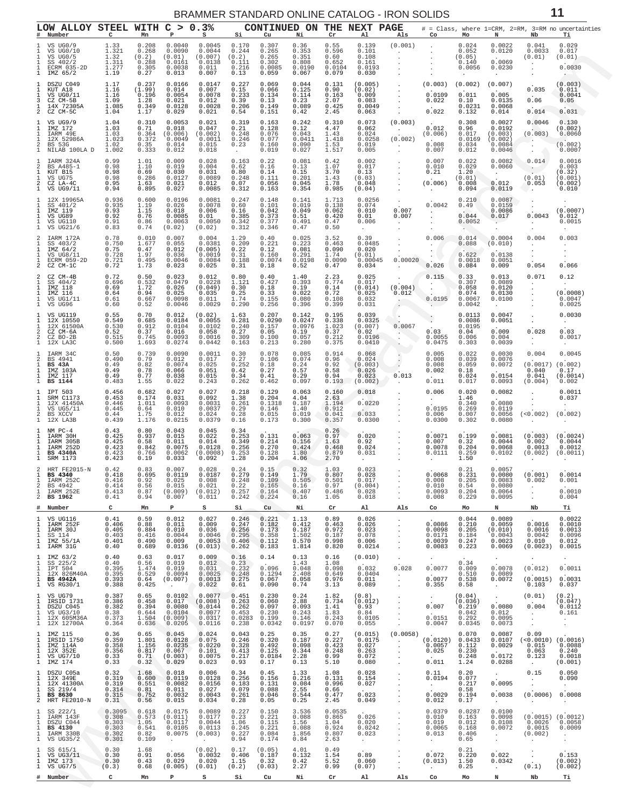<span id="page-10-0"></span>

| с                                                     | Mn                                                      | Р                                                          | S.                                                         | Si                                                     | Cu                                                                             | Ni                                                           | Cr                                                    | Al                                                                           | Als                                                                            | Co                                               | Mo                                                     | N                                                             | Nb                                                           | Тi                                                                                                                                                                                                                           |
|-------------------------------------------------------|---------------------------------------------------------|------------------------------------------------------------|------------------------------------------------------------|--------------------------------------------------------|--------------------------------------------------------------------------------|--------------------------------------------------------------|-------------------------------------------------------|------------------------------------------------------------------------------|--------------------------------------------------------------------------------|--------------------------------------------------|--------------------------------------------------------|---------------------------------------------------------------|--------------------------------------------------------------|------------------------------------------------------------------------------------------------------------------------------------------------------------------------------------------------------------------------------|
| 1.33<br>1.321<br>$1.32$<br>$1.311$<br>1.277<br>1.19   | 0.208<br>0.268<br>$(0.2)$<br>$0.288$<br>0.305<br>0.27   | 0.0040<br>0.0090<br>(0.01)<br>0.0161<br>0.0038<br>0.013    | 0.0045<br>0.0044<br>(0.007)<br>0.0138<br>0.011<br>0.007    | 0.170<br>0.244<br>(0.2)<br>0.111<br>0.216<br>0.13      | 0.307<br>0.265<br>0.265<br>0.302<br>0.0085<br>0.059                            | 0.36<br>0.353<br>0.351<br>0.808<br>0.0190<br>0.067           | 0.55<br>0.596<br>0.60<br>0.652<br>0.0104<br>0.079     | 0.139<br>0.101<br>0.108<br>0.161<br>0.0193<br>0.030                          | (0.001)<br>$\sim$<br>$\sim$<br>$\sim$<br>$\sim$ $-$                            | $\sim$                                           | 0.024<br>0.052<br>(0.05)<br>0.140<br>0.0056<br>$\sim$  | 0.0022<br>0.0120<br>0.0069<br>0.0230<br>$\sim$                | 0.041<br>0.0033<br>(0.01)<br>$\cdot$<br>$\sim$<br>$\sim$     | 0.029<br>0.017<br>(0.01)<br>0.0030<br>$\mathcal{L}_{\mathcal{A}}$                                                                                                                                                            |
| 1.17<br>1.16<br>1.16<br>1.09<br>1.085<br>1.04         | 0.237<br>(1.99)<br>0.196<br>1.28<br>0.349<br>1.17       | 0.0166<br>0.014<br>0.0054<br>0.021<br>0.0128<br>0.029      | 0.0147<br>0.007<br>0.0078<br>0.012<br>0.0028<br>0.021      | 0.227<br>0.15<br>0.233<br>0.39<br>0.206<br>0.54        | 0.069<br>0.066<br>0.134<br>0.13<br>0.149<br>0.151                              | $0.044$<br>$0.125$<br>0.114<br>0.23<br>0.089<br>0.42         | 0.131<br>0.90<br>0.163<br>2.07<br>0.425<br>2.45       | (0.005)<br>(0.02)<br>0.009<br>0.083<br>0.0049<br>0.063                       | <b>Contract Contract</b><br>$\sim$<br>$\sim$<br>$\sim$                         | 0.0109<br>0.022<br>0.022                         | (0.002)<br>0.011<br>0.10<br>0.0231<br>0.132            | (0.007)<br>0.005<br>0.0135<br>0.0068<br>0.014                 | 0.035<br>$\sim$<br>0.06<br>0.014                             | (0.003)<br>0.011<br>0.0041<br>0.05<br>0.031                                                                                                                                                                                  |
| 1.04<br>1.03<br>1.03<br>1.023<br>1.02<br>1.002        | 0.310<br>0.71<br>0.364<br>0.372<br>0.35<br>0.333        | 0.0053<br>0.018<br>(0.006)<br>0.0049<br>0.014<br>0.012     | 0.021<br>0.047<br>(0.002)<br>0.0011<br>0.015<br>0.018      | 0.319<br>0.21<br>0.248<br>0.246<br>0.23<br>$\sim$      | 0.163<br>0.128<br>0.076<br>0.077<br>0.160<br>0.019                             | 0.242<br>0.12<br>0.043<br>0.0411<br>0.090<br>0.027           | 0.310<br>4.47<br>1.43<br>1.418<br>1.53<br>1.517       | 0.073<br>0.062<br>0.024<br>0.0258<br>0.019<br>0.005                          | (0.003)<br><b>Contractor</b><br>(0.002)<br>$\sim 100$<br>$\sim$                | 0.012<br>(0.006)<br>0.008<br>0.007               | 0.308<br>0.96<br>0.017<br>0.0169<br>0.034<br>0.012     | 0.0027<br>0.0192<br>(0.003)<br>(0.002)<br>0.0084<br>0.0046    | 0.0046<br>(0.003)<br>$\sim$ $\sim$<br>$\sim$<br>$\sim$       | 0.130<br>(0.002)<br>0.0060<br>(0.002)<br>0.0007                                                                                                                                                                              |
| 0.99<br>0.98<br>0.98<br>0.98<br>0.95<br>0.94          | 1.01<br>1.10<br>0.69<br>0.286<br>1.63<br>0.895          | 0.009<br>0.019<br>0.030<br>0.0127<br>0.021<br>0.027        | 0.028<br>0.004<br>0.031<br>0.0089<br>0.012<br>0.0085       | 0.163<br>0.62<br>0.80<br>0.248<br>0.07<br>0.312        | 0.22<br>0.16<br>0.14<br>0.111<br>0.056<br>0.163                                | 0.081<br>0.13<br>0.15<br>0.201<br>0.045<br>0.354             | 0.42<br>1.07<br>3.70<br>1.43<br>1.78<br>0.985         | 0.002<br>0.017<br>0.13<br>(0.03)<br>0.048<br>(0.04)                          | $\sim$<br><b>Contract</b><br>$\sim 10^{-11}$<br>$\sim 10^6$                    | 0.007<br>0.010<br>0.21                           | 0.022<br>0.029<br>1.20<br>(0.01)<br>0.008<br>0.094     | 0.0082<br>0.0060<br>$\sim$<br>0.012<br>0.0119                 | 0.014<br>$\sim 10^{-10}$<br>(0.01)<br>0.053                  | 0.0016<br>0.003<br>(0.32)<br>(0.001)<br>(0.002)<br>0.010                                                                                                                                                                     |
| 0.936<br>0.935<br>0.93<br>0.92<br>0.91<br>0.83        | 0.600<br>1.19<br>1.15<br>0.76<br>$0.86$<br>$0.74$       | 0.0196<br>0.026<br>0.018<br>0.0085<br>0.0063<br>(0.02)     | 0.0081<br>0.0078<br>0.006<br>0.01<br>0.0050<br>(0.02)      | 0.247<br>0.60<br>0.16<br>0.385<br>0.342<br>0.312       | 0.148<br>0.101<br>0.042<br>0.373<br>0.377<br>0.346                             | 0.141<br>0.019<br>0.049<br>0.51<br>0.491<br>0.47             | 1.713<br>0.138<br>0.062<br>0.420<br>0.47<br>0.50      | 0.0256<br>0.074<br>0.010<br>0.01<br>0.006<br><b>Contract</b>                 | $\mathcal{L}^{\mathcal{L}}$<br>0.007<br>0.007<br>$\sim 10^{-11}$<br>$\sim$ $-$ | 0.0042<br>$\sim$ $-$<br>$\sim$                   | 0.210<br>0.49<br>0.044<br>0.0052<br><b>Section</b>     | 0.0087<br>0.0159<br>0.0086<br>0.017<br>$\cdot$                | $\sim$<br>$\sim$<br>0.0043<br>$\sim$<br>$\ddot{\phantom{1}}$ | $\cdot$<br>(0.0007)<br>0.012<br>0.0015<br>$\sim$                                                                                                                                                                             |
| 0.78<br>0.750<br>$0.75$<br>0.728<br>0.721<br>0.72     | 0.010<br>1.677<br>0.47<br>1.97<br>0.495<br>1.73         | 0.007<br>0.055<br>0.012<br>0.036<br>0.0046<br>0.023        | 0.004<br>0.0381<br>(0.005)<br>0.0019<br>0.0084<br>0.025    | 1.29<br>0.209<br>0.22<br>0.31<br>0.188<br>0.31         | 0.40<br>0.221<br>0.12<br>0.160<br>0.0074<br>0.18                               | 0.025<br>0.223<br>$0.081$<br>$0.291$<br>0.0198<br>0.52       | 3.52<br>0.463<br>0.090<br>1.74<br>0.0090<br>0.47      | 0.39<br>0.0485<br>0.020<br>(0.01)<br>0.00045<br>0.034                        | $\sim 100$<br>$\sim$<br>0.00020<br>$\sim$                                      | 0.006<br>$\sim$<br>$\cdot$ $\backslash$<br>0.026 | 0.014<br>0.088<br>0.622<br>0.0018<br>0.084             | 0.0004<br>(0.010)<br>0.0138<br>0.0051<br>0.009                | 0.004<br>$\cdot$<br>$\sim$<br>0.054                          | 0.003<br>$\cdot$<br>$\cdot$<br>$\cdot$<br>0.066                                                                                                                                                                              |
| 0.72<br>0.696<br>0.69<br>0.64<br>0.61<br>0.60         | $0.50$<br>$0.532$<br>1.72<br>0.94<br>0.667<br>0.52      | 0.023<br>0.0479<br>0.026<br>0.025<br>0.0098<br>0.0046      | 0.012<br>0.0228<br>(0.049)<br>0.035<br>0.011<br>0.0029     | 0.80<br>1.121<br>0.30<br>0.25<br>1.74<br>0.290         | 0.40<br>0.427<br>0.18<br>0.33<br>0.155<br>0.256                                | $1.40$<br>$0.393$<br>0.19<br>0.022<br>0.080<br>0.396         | $2.23$<br>0.774<br>0.14<br>0.72<br>0.108<br>0.399     | 0.025<br>0.017<br>(0.014)<br>0.025<br>0.032<br>0.031                         | <b>Contract</b><br>(0.004)<br>0.012<br>$\sim$                                  | 0.115<br>0.0195<br>San Francisco                 | 0.33<br>0.307<br>0.058<br>0.074<br>0.0067<br>0.0042    | 0.013<br>0.0089<br>0.0120<br>0.0130<br>0.0100<br>$\sim$       | 0.071<br>$\sim$<br>$\sim$<br>$\sim$                          | 0.12<br>$\sim$<br>(0.0008)<br>0.0047<br>0.0025                                                                                                                                                                               |
| 0.55<br>0.549<br>0.530<br>0.52<br>0.515<br>0.500      | 0.70<br>0.685<br>0.912<br>0.37<br>0.745<br>1.693        | 0.012<br>0.0184<br>0.0104<br>0.016<br>0.0093<br>0.0274     | (0.02)<br>0.0055<br>0.0102<br>0.058<br>0.0016<br>0.0442    | 1.63<br>0.281<br>0.240<br>0.27<br>0.309<br>0.163       | 0.207<br>0.0290<br>0.157<br>0.05<br>0.100<br>0.213                             | 0.142<br>0.0247<br>0.0976<br>0.19<br>0.057<br>0.280          | 0.195<br>0.338<br>1.023<br>0.37<br>0.212<br>0.375     | 0.039<br>0.0325<br>(0.007)<br>0.02<br>0.0196<br>0.0410                       | <b>College</b><br>0.0067<br><b>AND</b><br>$\cdot$<br>$\sim$                    | 0.03<br>0.0055<br>0.0475                         | 0.0113<br>0.0086<br>0.0195<br>0.04<br>0.006<br>0.303   | 0.0047<br>0.0051<br>0.009<br>0.004<br>0.0039                  | $\sim$<br>$\sim$<br>0.028<br>$\sim$ $-$<br>$\cdot$           | 0.0030<br>$\sim$<br>0.03<br>0.0017<br>$\sim$                                                                                                                                                                                 |
| 0.50<br>0.490<br>0.49<br>0.49<br>0.49<br>0.483        | 0.739<br>0.79<br>0.82<br>0.78<br>0.77<br>1.55           | 0.0090<br>0.012<br>0.0074<br>0.066<br>0.038<br>0.022       | 0.0011<br>0.017<br>0.025<br>0.051<br>0.015<br>0.243        | 0.30<br>0.27<br>0.252<br>0.42<br>0.34<br>0.262         | 0.078<br>0.106<br>0.18<br>0.27<br>0.41<br>0.462                                | 0.085<br>0.074<br>0.24<br>0.57<br>0.29<br>0.097              | 0.914<br>$0.96$<br>$0.92$<br>0.58<br>0.94<br>0.193    | 0.068<br>0.024<br>(0.003)<br>0.026<br>0.023                                  | $\ddot{\phantom{0}}$<br>0.013                                                  | 0.005<br>0.008<br>0.008<br>0.002<br>0.011        | 0.022<br>0.039<br>0.059<br>0.18<br>0.024<br>0.017      | 0.0030<br>0.0076<br>0.0072<br>0.0154<br>0.0093                | 0.004<br>0.040<br>0.041<br>(0.004)                           | 0.0045<br>0.17<br>(0.0014)<br>0.002                                                                                                                                                                                          |
| 0.456<br>0.453<br>0.446<br>0.445<br>$0.44$<br>0.439   | 0.682<br>0.174<br>1.011<br>0.64<br>$\frac{1.75}{1.176}$ | 0.027<br>0.031<br>0.0093<br>0.010<br>0.012<br>0.0215       | 0.027<br>0.092<br>0.0031<br>0.0037<br>0.024<br>0.0379      | 0.218<br>1.38<br>0.261<br>0.29<br>0.28<br>0.16         | 0.129<br>0.204<br>0.1318<br>0.146<br>0.015<br>0.173                            | 0.063<br>4.04<br>0.187<br>1.40<br>0.019<br>0.300             | 0.160<br>2.63<br>1.194<br>0.912<br>0.041<br>0.357     | 0.018<br><b>TAN TELEVISION</b><br>0.0220<br>$\sim$ $\sim$<br>0.033<br>0.0300 | <b>Service</b><br><b>Contractor</b>                                            | 0.006<br>$\sim$ $-$<br>0.0195<br>0.006<br>0.0300 | 0.020<br>1.46<br>0.340<br>0.269<br>0.007<br>0.302      | 0.0082<br>0.0080<br>0.0119<br>0.0056<br>0.0080                | $\bullet$<br>$\cdot$<br>$\sim$<br>$\sim$                     | 0.0011<br>0.037<br>$\cdot$<br>$\sim$                                                                                                                                                                                         |
| 0.43<br>0.425<br>0.425<br>0.423<br>0.423<br>0.423     | 0.80<br>0.937<br>0.58<br>0.842<br>0.766<br>0.19         | 0.043<br>0.015<br>0.011<br>0.0075<br>0.0062<br>0.033       | 0.045<br>0.022<br>0.014<br>0.0128<br>(0.0008)<br>0.092     | 0.34<br>0.253<br>0.349<br>0.256<br>0.253<br>1.28       | 0.131<br>$\begin{smallmatrix} 0.214 0.270 \end{smallmatrix}$<br>0.128<br>0.204 | 0.063<br>0.156<br>0.424<br>1.80<br>4.06                      | 0.26<br>0.97<br>1.63<br>0.468<br>0.879<br>2.70        | 0.020<br>0.92<br>0.024<br>0.031<br>$\cdot$                                   | $\sim 100$<br>$\mathcal{L}^{\mathcal{L}}$                                      | 0.0071<br>$0.007$<br>$0.0078$<br>0.0111          | 0.199<br>$\substack{0.32 \\ 0.204}$<br>0.259<br>1.50   | 0.0081<br>0.0044<br>0.0068<br>0.0102                          | 0.002<br>0.0013                                              | 0.0044<br>0.0012                                                                                                                                                                                                             |
| 0.42<br>0.418<br>0.416<br>0.414<br>0.413<br>0.41<br>c | 0.83<br>0.695<br>0.92<br>0.56<br>0.87<br>0.94<br>Mn     | 0.007<br>0.0119<br>0.025<br>0.015<br>(0.009)<br>0.007<br>Р | 0.028<br>0.0187<br>0.008<br>0.021<br>(0.012)<br>0.011<br>s | 0.24<br>0.279<br>0.248<br>0.22<br>0.257<br>0.242<br>Si | 0.15<br>0.149<br>0.109<br>0.165<br>0.164<br>0.224<br>Cu                        | $0.32$<br>$1.79$<br>0.505<br>0.16<br>0.407<br>0.16<br>Ni     | 1.03<br>0.807<br>0.501<br>0.97<br>0.486<br>1.05<br>Cr | 0.023<br>0.028<br>0.017<br>(0.004)<br>0.028<br>0.018<br>Al                   | $\sim 100$ km s $^{-1}$<br>Als                                                 | 0.008<br>0.010<br>0.0093<br>0.008<br>Co          | 0.21<br>0.205<br>0.54<br>0.204<br>0.229<br>Mo          | 0.0057<br>0.0080<br>0.0083<br>0.0080<br>0.0064<br>0.0095<br>N | 0.002<br>$\cdot$<br>$\mathbf{r}$<br>Nb                       | 0.001<br>0.0010<br>0.004<br>Тi                                                                                                                                                                                               |
| 0.41<br>0.406<br>0.405<br>0.403<br>0.401<br>0.40      | 0.59<br>0.88<br>0.884<br>0.416<br>0.490<br>0.689        | 0.012<br>0.011<br>0.010<br>0.0044<br>0.009<br>0.0136       | 0.027<br>0.009<br>0.036<br>0.0046<br>0.0053<br>(0.013)     | 0.246<br>0.247<br>0.256<br>0.295<br>0.406<br>0.262     | 0.221<br>0.182<br>0.173<br>0.358<br>0.112<br>0.183                             | 1.13<br>0.412<br>0.187<br>1.502<br>0.570<br>1.814            | 0.89<br>0.463<br>0.972<br>0.187<br>0.998<br>0.820     | 0.026<br>0.026<br>0.023<br>0.078<br>0.006<br>0.0214                          | $\ddot{\phantom{a}}$<br>$\cdot$<br>$\cdot$                                     | 0.0086<br>0.0098<br>0.0171<br>0.0039<br>0.0083   | 0.044<br>0.210<br>0.205<br>0.184<br>0.247<br>0.223     | 0.0089<br>0.0059<br>(0.010)<br>0.0043<br>0.0023<br>0.0069     | 0.0016<br>0.0016<br>0.0042<br>0.010<br>(0.0023)              | 0.0022<br>0.0010<br>0.0013<br>0.0096<br>0.012<br>0.0015                                                                                                                                                                      |
| 0.40<br>0.40<br>0.395<br>0.395<br>0.393<br>0.388      | 0.63<br>0.56<br>1.474<br>0.529<br>0.64<br>0.425         | 0.017<br>0.019<br>0.019<br>0.0094<br>(0.007)<br>$\cdot$    | 0.009<br>0.012<br>0.031<br>0.0025<br>0.0013<br>0.022       | 0.16<br>0.23<br>0.232<br>0.248<br>0.275<br>0.61        | 0.14<br>0.096<br>0.1294<br>0.067<br>0.090                                      | 0.13<br>1.43<br>0.048<br>2.408<br>0.058<br>0.74              | 0.16<br>1.08<br>0.098<br>0.649<br>0.976<br>3.13       | (0.010)<br>0.032<br>0.0404<br>0.011<br>0.089                                 | $\cdot$<br>0.028<br>$\cdot$<br>$\ddot{\phantom{a}}$                            | $\bullet$<br>0.0077<br>0.0077<br>0.355           | 0.34<br>0.009<br>0.510<br>0.538<br>0.58                | $\bullet$<br>0.0078<br>0.0089<br>0.0072<br>$\Delta$           | (0.012)<br>(0.0015)<br>0.103                                 | 0.0011<br>0.0031<br>0.037                                                                                                                                                                                                    |
| 0.387<br>0.386<br>0.382<br>0.38<br>0.373<br>0.364     | 0.65<br>0.458<br>0.394<br>0.644<br>1.504<br>0.636       | 0.0102<br>0.017<br>0.0080<br>0.0104<br>(0.009)<br>0.0205   | 0.0077<br>(0.008)<br>0.0144<br>0.0077<br>0.0317<br>0.0116  | 0.451<br>0.263<br>0.262<br>0.453<br>0.0283<br>0.238    | 0.230<br>0.060<br>0.097<br>0.230<br>0.199<br>0.0342                            | 0.24<br>2.88<br>0.093<br>0.243<br>0.146<br>0.0197            | 1.82<br>0.734<br>1.41<br>1.83<br>0.243<br>0.070       | (0.8)<br>(0.012)<br>0.93<br>0.84<br>0.0105<br>0.055                          | $\ddot{\phantom{a}}$<br>$\cdot$                                                | 0.007<br>0.0151<br>0.0047                        | (0.04)<br>(0.036)<br>0.219<br>0.042<br>0.292<br>0.0345 | $\ddot{\phantom{a}}$<br>0.0080<br>0.012<br>0.0095<br>0.0073   | (0.01)<br>0.004<br>$\cdot$<br>$\cdot$<br>$\cdot$             | (0.2)<br>(0.047)<br>0.0112<br>0.161<br>$\cdot$<br>$\cdot$                                                                                                                                                                    |
| $0.36$<br>$0.359$<br>0.358<br>0.356<br>0.33<br>0.33   | 0.65<br>1.801<br>1.156<br>0.817<br>0.71<br>0.32         | 0.045<br>0.0128<br>0.0235<br>0.067<br>(0.003)<br>0.029     | 0.024<br>0.075<br>0.0220<br>0.101<br>0.0075<br>0.023       | 0.043<br>0.246<br>0.328<br>0.413<br>0.217<br>0.93      | $0.25$<br>$0.320$<br>0.492<br>0.125<br>0.0184<br>0.17                          | $\substack{0.35 \\ 0.187}$<br>0.098<br>0.344<br>2.28<br>0.13 | 0.27<br>0.227<br>0.423<br>0.248<br>0.99<br>5.10       | (0.015)<br>0.0175<br>0.027<br>0.263<br>0.072<br>0.080                        | (0.0058)<br>$\ddot{\phantom{a}}$<br>$\cdot$<br>$\cdot$<br>$\cdot$              | (0.0120)<br>0.0057<br>0.025<br>0.011             | 0.070<br>0.0433<br>0.112<br>0.230<br>0.248<br>1.24     | 0.0087<br>0.0107<br>0.0029<br>0.0172<br>0.0288                | 0.09<br>0.015<br>0.063<br>0.123<br>$\cdot$                   | 0.0088<br>0.240<br>0.0018<br>(0.001)                                                                                                                                                                                         |
| 0.32<br>0.319<br>0.319<br>0.314<br>0.315<br>0.31      | 1.68<br>0.600<br>0.551<br>0.81<br>0.752<br>0.56         | 0.018<br>0.0119<br>0.0082<br>0.011<br>0.0032<br>0.015      | 0.006<br>0.0128<br>0.0156<br>0.027<br>0.0043<br>0.034      | 0.34<br>0.256<br>0.183<br>0.079<br>0.261<br>0.28       | 0.45<br>0.156<br>0.131<br>0.088<br>0.046<br>0.05                               | 1.33<br>0.216<br>0.084<br>2.55<br>0.544<br>0.25              | 1.08<br>0.131<br>0.996<br>0.66<br>0.477<br>2.45       | 0.028<br>0.154<br>0.027<br>0.023<br>0.049                                    | $\cdot$<br>$\cdot$                                                             | 0.11<br>0.0194<br>0.0029<br>0.012                | 0.20<br>0.077<br>0.217<br>0.58<br>0.194<br>0.17        | $\cdot$<br>0.0095<br>0.0038<br>$\sim$                         | 0.15<br>$\blacksquare$<br>(0.0006)<br>$\cdot$                | 0.050<br>0.090<br>$\cdot$<br>0.0008<br>$\cdot$                                                                                                                                                                               |
| 0.3095<br>0.308<br>0.303<br>0.303<br>0.302<br>0.301   | 0.618<br>0.573<br>1.05<br>0.541<br>0.82<br>0.109        | 0.0175<br>(0.011)<br>0.0117<br>0.0105<br>0.0075            | 0.0089<br>0.0177<br>0.0044<br>0.0113<br>(0.003)            | 0.227<br>0.23<br>1.06<br>0.245<br>0.227<br>0.94        | 0.150<br>0.221<br>0.115<br>0.221<br>0.084<br>0.174                             | 3.536<br>0.088<br>1.56<br>0.088<br>1.856<br>0.84             | 0.0535<br>0.865<br>1.04<br>0.924<br>0.807<br>2.63     | 0.026<br>0.020<br>0.0242<br>0.023<br>$\cdot$                                 | $\cdot$<br>$\cdot$                                                             | 0.0379<br>0.010<br>0.019<br>0.0065<br>0.013      | 0.0287<br>0.163<br>0.012<br>0.168<br>0.406<br>0.65     | 0.0100<br>0.0098<br>0.0108<br>0.0072<br>$\sim$                | 0.0026<br>0.0015<br>(0.002)                                  | 0.0058<br>0.0009<br>$\cdot$                                                                                                                                                                                                  |
| 0.30<br>0.30<br>0.30<br>(0.3)                         | 1.68<br>0.91<br>0.43<br>0.68                            | 0.056<br>0.029<br>(0.005)                                  | (0.02)<br>0.0032<br>0.020<br>(0.01)                        | 0.17<br>0.406<br>1.15<br>(0.2)                         | (0.05)<br>0.187<br>0.32<br>(0.03)                                              | 4.01<br>0.132<br>0.42<br>2.27                                | 0.49<br>1.54<br>5.52<br>0.99                          | 0.89<br>0.060<br>(0.07)                                                      | $\cdot$<br>$\cdot$                                                             | 0.072<br>(0.013)                                 | 0.21<br>0.220<br>1.50<br>0.25                          | 0.022<br>0.0342                                               | $\cdot$<br>(0.1)                                             | 0.153<br>(0.002)<br>(0.002)                                                                                                                                                                                                  |
|                                                       |                                                         |                                                            |                                                            | LOW ALLOY STEEL WITH C > 0.3%                          |                                                                                |                                                              |                                                       | CONTINUED ON                                                                 |                                                                                | THE NEXT PAGE<br>(0.002)                         | (0.003)<br>(0.006)                                     | $0.0068$ $0.231$                                              |                                                              | # = Class, where 1=CRM, 2=RM, 3=RM no uncertainties<br>$(0.0017)$ $(0.002)$<br>$(<0.002)$ $(0.002)$<br>$(0.003)$ $(0.0024)$<br>$(0.002)$ $(0.0011)$<br>$(0.001)$ $0.0014$<br>$(<0.0010)$ $(0.0016)$<br>$(0.0015)$ $(0.0012)$ |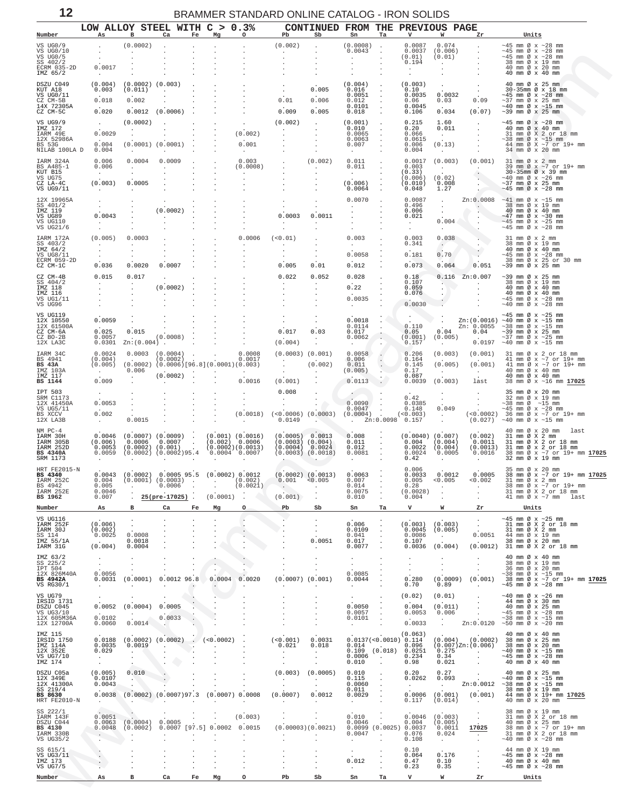<span id="page-11-0"></span>

| Number                                                                                                |                                     | в                                        | LOW ALLOY STEEL WITH C > 0.3%<br>Ca                                                                                                                                                                                                  | Fe                       | Mg                   | $\circ$              | Pb                                                                                                                                                             | CONTINUED FROM THE PREVIOUS PAGE<br>Sb | Sn                             | Та                              | V                                        | W                                                                     | Zr                          | Units                                                                                                                                                                                                                                                                                                                                                                                                          |
|-------------------------------------------------------------------------------------------------------|-------------------------------------|------------------------------------------|--------------------------------------------------------------------------------------------------------------------------------------------------------------------------------------------------------------------------------------|--------------------------|----------------------|----------------------|----------------------------------------------------------------------------------------------------------------------------------------------------------------|----------------------------------------|--------------------------------|---------------------------------|------------------------------------------|-----------------------------------------------------------------------|-----------------------------|----------------------------------------------------------------------------------------------------------------------------------------------------------------------------------------------------------------------------------------------------------------------------------------------------------------------------------------------------------------------------------------------------------------|
| VS UG0/9                                                                                              |                                     | (0.0002)                                 |                                                                                                                                                                                                                                      |                          |                      |                      | (0.002)                                                                                                                                                        |                                        | (0.0008)                       |                                 | 0.0087                                   | 0.074                                                                 |                             | $\sim$ 45 mm Ø x $\sim$ 28 mm                                                                                                                                                                                                                                                                                                                                                                                  |
| VS UG0/10<br>VS UGO/5                                                                                 |                                     | $\cdot$                                  |                                                                                                                                                                                                                                      |                          |                      |                      | $\sim$                                                                                                                                                         |                                        | 0.0043                         |                                 | 0.0037<br>(0.01)                         | (0.006)<br>(0.01)                                                     |                             | $\sim$ 45 mm Ø x $\sim$ 28 mm<br>$\sim$ 45 mm Ø x $\sim$ 28 mm                                                                                                                                                                                                                                                                                                                                                 |
| SS 402/2<br>ECRM 035-2D<br>IMZ 65/2                                                                   | 0.0017<br>$\sim$ 100 $\sim$         |                                          |                                                                                                                                                                                                                                      |                          |                      |                      |                                                                                                                                                                |                                        |                                |                                 | 0.194<br>$\sim$<br>$\sim$                | $\sim$<br>$\sim$                                                      |                             | 38 mm Ø x 19 mm<br>40 mm Ø x 20 mm<br>40 mm Ø x 40 mm                                                                                                                                                                                                                                                                                                                                                          |
| DSZU C049                                                                                             | (0.004)                             | $(0.0002)$ $(0.003)$                     |                                                                                                                                                                                                                                      |                          |                      |                      |                                                                                                                                                                |                                        | $(0.004)$ .                    |                                 | (0.003)                                  |                                                                       |                             | 40 mm Ø x 25 mm                                                                                                                                                                                                                                                                                                                                                                                                |
| KUT A18<br>VS UG0/11<br>CZ CM-5B                                                                      | 0.003<br>0.018                      | (0.011)<br>0.002                         |                                                                                                                                                                                                                                      |                          |                      |                      | $\sim$<br>0.01                                                                                                                                                 | 0.005<br>0.006                         | 0.016<br>0.0051<br>0.012       |                                 | 0.10<br>0.0035                           | 0.0032                                                                | $\sim$                      | 30-35mm Ø x 18 mm<br>$\sim$ 45 mm Ø x $\sim$ 28 mm                                                                                                                                                                                                                                                                                                                                                             |
| 14X 72305A<br>CZ CM-5C                                                                                | 0.020                               |                                          | $0.0012$ $(0.0006)$                                                                                                                                                                                                                  |                          |                      |                      | 0.009                                                                                                                                                          | 0.005                                  | 0.0101<br>0.018                | $\sim$                          | 0.06<br>0.0045<br>0.106                  | 0.03<br>0.034                                                         | 0.09<br>(0.07)              | $\sim$ 37 mm Ø x 25 mm<br>$\sim$ 40 mm Ø x $\sim$ 15 mm<br>$\sim$ 39 mm Ø x 25 mm                                                                                                                                                                                                                                                                                                                              |
| VS UG9/9                                                                                              |                                     | (0.0002)                                 |                                                                                                                                                                                                                                      |                          |                      |                      | (0.002)                                                                                                                                                        |                                        | (0.001)                        |                                 | 0.215                                    | 1.60                                                                  |                             | $~10-45$ mm Ø x $~28$ mm                                                                                                                                                                                                                                                                                                                                                                                       |
| IMZ 172<br>IARM 49E                                                                                   | 0.0029                              | $\cdot$                                  |                                                                                                                                                                                                                                      |                          |                      | (0.002)              |                                                                                                                                                                | $\cdot$                                | 0.010<br>0.0065                |                                 | 0.20<br>0.066                            | 0.011<br>$\sim 100$                                                   |                             | 40 mm Ø x 40 mm<br>31 mm Ø X 2 or 18 mm                                                                                                                                                                                                                                                                                                                                                                        |
| 12X 52986A<br>BS 53G                                                                                  | 0.004                               |                                          | $(0.0001)$ $(0.0001)$                                                                                                                                                                                                                |                          |                      | 0.001                |                                                                                                                                                                |                                        | 0.0063<br>0.007                | $\cdot$                         | 0.0615<br>0.006                          | (0.13)                                                                |                             | $\begin{array}{r@{\hspace{1em}}c@{\hspace{1em}}c@{\hspace{1em}}c@{\hspace{1em}}c@{\hspace{1em}}c@{\hspace{1em}}c@{\hspace{1em}}c@{\hspace{1em}}c@{\hspace{1em}}c@{\hspace{1em}}c@{\hspace{1em}}c@{\hspace{1em}}c@{\hspace{1em}}c@{\hspace{1em}}c@{\hspace{1em}}c@{\hspace{1em}}c@{\hspace{1em}}c@{\hspace{1em}}c@{\hspace{1em}}c@{\hspace{1em}}c@{\hspace{1em}}c@{\hspace{1em}}c@{\hspace{1em}}c@{\hspace{1em$ |
| NILAB 100LA D<br>IARM 324A                                                                            | 0.004<br>0.006                      | $\sim$<br>0.0004                         | $\cdot$<br>0.0009                                                                                                                                                                                                                    |                          |                      | $\sim$<br>0.003      |                                                                                                                                                                | (0.002)                                | $\sim$<br>0.011                |                                 | 0.004<br>0.0017                          | $\sim$<br>(0.003)                                                     |                             | 34 mm Ø x 20 mm<br>$(0.001)$ 31 mm $\emptyset$ x 2 mm                                                                                                                                                                                                                                                                                                                                                          |
| BS A485-1<br>KUT B15                                                                                  | 0.006<br>$\sim$ $-$                 | $\sim$<br>$\cdot$                        | $\cdot$                                                                                                                                                                                                                              |                          |                      | (0.0008)             |                                                                                                                                                                |                                        | 0.011<br>$\sim$                |                                 | 0.003<br>(0.33)                          | <b>Contract</b>                                                       | $\sim 10^{-11}$             | 39 mm Ø x ~7 or 19+ mm<br>30-35mm Ø x 39 mm                                                                                                                                                                                                                                                                                                                                                                    |
| VS UG75<br>CZ LA-4C                                                                                   | (0.003)                             | 0.0005                                   |                                                                                                                                                                                                                                      |                          |                      |                      |                                                                                                                                                                |                                        | (0.006)                        |                                 | $(0.006)$ $(0.02)$<br>(0.010)            | 0.008                                                                 |                             | $\sim$ 40 mm Ø x $\sim$ 26 mm<br>$\sim$ 37 mm Ø x 25 mm                                                                                                                                                                                                                                                                                                                                                        |
| VS UG9/11<br>12X 19965A                                                                               |                                     | $\sim$                                   |                                                                                                                                                                                                                                      |                          |                      |                      |                                                                                                                                                                |                                        | 0.0064<br>0.0070               |                                 | 0.048<br>0.0087                          | 1.27                                                                  |                             | $\sim$ 45 mm Ø x $\sim$ 28 mm<br>$Zn:0.0008$ ~41 mm Ø x ~15 mm                                                                                                                                                                                                                                                                                                                                                 |
| SS 401/2<br>IMZ 119                                                                                   | $\cdot$<br>$\sim$                   | $\cdot$                                  | (0.0002)                                                                                                                                                                                                                             |                          |                      |                      |                                                                                                                                                                |                                        |                                |                                 | 0.496<br>0.006                           | $\sim$<br>$\sim$<br>$\sim$                                            | $\sim$ $\sim$               | 38 mm Ø x 19 mm<br>40 mm Ø x 40 mm                                                                                                                                                                                                                                                                                                                                                                             |
| VS UG89<br>VS UG110                                                                                   | 0.0043                              |                                          |                                                                                                                                                                                                                                      |                          |                      |                      | 0.0003                                                                                                                                                         | 0.0011                                 |                                |                                 | 0.021<br>$\sim$                          | 0.004                                                                 |                             | $\sim$ 47 mm Ø x $\sim$ 30 mm<br>$-$ ~45 mm Ø x ~25 mm                                                                                                                                                                                                                                                                                                                                                         |
| VS UG21/6                                                                                             |                                     |                                          |                                                                                                                                                                                                                                      |                          |                      |                      |                                                                                                                                                                |                                        |                                |                                 | $\sim$                                   | $\sim$ $-$                                                            |                             | $\sim$ 45 mm Ø x $\sim$ 28 mm                                                                                                                                                                                                                                                                                                                                                                                  |
| IARM 172A<br>$SS$ 403/2                                                                               | (0.005)<br>$\sim$                   | 0.0003<br>$\cdot$                        |                                                                                                                                                                                                                                      |                          |                      | 0.0006               | (<0.01)                                                                                                                                                        |                                        | 0.003                          |                                 | 0.003<br>0.341                           | 0.038<br>$\cdot$                                                      |                             | 31 mm Ø x 2 mm<br>38 mm Ø x 19 mm<br>40 mm Ø x 40 mm                                                                                                                                                                                                                                                                                                                                                           |
| IMZ 64/2<br>VS UG8/11<br>ECRM 059-2D                                                                  | $\cdot$                             | $\cdot$                                  |                                                                                                                                                                                                                                      |                          |                      |                      |                                                                                                                                                                |                                        | 0.0058                         |                                 | 0.181                                    | 0.70                                                                  |                             | $\sim$ 45 mm Ø x $\sim$ 28 mm<br>38 mm Ø x 25 or 30 mm                                                                                                                                                                                                                                                                                                                                                         |
| CZ CM-1C                                                                                              | 0.036                               | 0.0020                                   | 0.0007                                                                                                                                                                                                                               |                          |                      |                      | 0.005                                                                                                                                                          | 0.01                                   | 0.012                          |                                 | 0.073                                    | 0.064                                                                 | 0.051                       | ~39 mm Ø x 25 mm                                                                                                                                                                                                                                                                                                                                                                                               |
| CZ CM-4B<br>SS 404/2                                                                                  | 0.015<br>$\sim$                     | 0.017<br>$\cdot$                         |                                                                                                                                                                                                                                      |                          |                      |                      | 0.022<br>$\ddot{\phantom{0}}$                                                                                                                                  | 0.052<br>$\ddot{\phantom{0}}$          | 0.028                          |                                 | 0.18<br>0.107                            |                                                                       | $0.116 - Zn:0.007$          | $\sim$ 39 mm Ø x 25 mm<br>38 mm Ø x 19 mm                                                                                                                                                                                                                                                                                                                                                                      |
| IMZ 118<br>IMZ 116                                                                                    |                                     |                                          | (0.0002)                                                                                                                                                                                                                             |                          |                      |                      |                                                                                                                                                                |                                        | 0.22<br>0.0035                 |                                 | 0.059<br>0.076                           | $\sim$ $\sim$                                                         |                             | 40 mm Ø x 40 mm<br>40 mm Ø x 40 mm                                                                                                                                                                                                                                                                                                                                                                             |
| VS UG1/11<br>VS UG96                                                                                  |                                     |                                          |                                                                                                                                                                                                                                      |                          |                      |                      |                                                                                                                                                                |                                        | <b>Contract Contract</b>       |                                 | 0.0030                                   |                                                                       |                             | $\sim$ 45 mm Ø x $\sim$ 28 mm<br>$\sim$ 40 mm Ø x $\sim$ 28 mm                                                                                                                                                                                                                                                                                                                                                 |
| VS UG119<br>12X 10550                                                                                 | 0.0059                              | $\cdot$                                  |                                                                                                                                                                                                                                      |                          |                      |                      | $\cdot$                                                                                                                                                        | $\sim$                                 | 0.0018                         |                                 |                                          |                                                                       |                             | $\sim$ 45 mm Ø x $\sim$ 25 mm<br>$Zn:(0.0016)$ ~40 mm Ø x ~15 mm                                                                                                                                                                                                                                                                                                                                               |
| 12X 61500A<br>CZ CM-6A<br>CZ BO-2B                                                                    | 0.025                               | 0.015                                    |                                                                                                                                                                                                                                      |                          |                      |                      | 0.017                                                                                                                                                          | 0.03                                   | 0.0114<br>0.017                |                                 | 0.110<br>0.05                            | 0.04                                                                  | 0.04                        | Zn: $0.0055 - 38$ mm $\emptyset$ x ~15 mm<br>$\sim$ 39 mm Ø x 25 mm                                                                                                                                                                                                                                                                                                                                            |
| 12X LA3C                                                                                              | 0.0057                              | <b>Allen</b><br>$0.0301$ Zn: $(0.004)$ . | $(0.0008)$ .                                                                                                                                                                                                                         |                          |                      |                      | (0.004)                                                                                                                                                        | $\ddot{\phantom{0}}$                   | 0.0062<br>$\sim$               | <b>College</b>                  | (0.001)<br>0.157                         | (0.005)<br>$\sim$                                                     |                             | $\sim$ 37 mm Ø x $\sim$ 25 mm<br>$0.0197 - 40$ mm Ø x ~15 mm                                                                                                                                                                                                                                                                                                                                                   |
| IARM 34C<br>BS 4941                                                                                   | 0.0024<br>(0.004)                   |                                          | $0.0003$ $(0.0004)$ .<br>(0.0002)                                                                                                                                                                                                    |                          |                      | 0.0008<br>0.0017     | $(0.0003)$ $(0.001)$                                                                                                                                           |                                        | 0.0058<br>0.006                |                                 | 0.206<br>0.164                           | (0.003)                                                               | (0.001)                     | 31 mm Ø x 2 or 18 mm<br>41 mm Ø x ~7 or 19+ mm                                                                                                                                                                                                                                                                                                                                                                 |
| BS 43A<br>IMZ 103A                                                                                    | (0.005)<br><b>Contract Contract</b> | 0.006                                    | $(0.0002)$ $(0.0006)$ [96.8] $(0.0001)$ $(0.003)$                                                                                                                                                                                    |                          |                      | $\sim 100$           | $\ddot{\phantom{a}}$<br>$\sim$                                                                                                                                 | (0.002)<br>$\ddot{\phantom{0}}$        | 0.011<br>(0.005)               |                                 | 0.145<br>0.17                            | (0.005)<br><b>Contract</b>                                            | (0.001)<br><b>Contract</b>  | 41 mm Ø x ~7 or 19+ mm<br>40 mm Ø x 40 mm                                                                                                                                                                                                                                                                                                                                                                      |
| IMZ 117<br>BS 1144                                                                                    | 0.009                               | $\sim$                                   | $(0.0002)$ .                                                                                                                                                                                                                         |                          |                      | 0.0016               | (0.001)                                                                                                                                                        |                                        | 0.0113                         |                                 | 0.087<br>0.0039                          | (0.003)                                                               | last                        | 40 mm Ø x 40 mm<br>38 mm Ø x ~16 mm 17025                                                                                                                                                                                                                                                                                                                                                                      |
| IPT 503                                                                                               | $\cdot$                             |                                          |                                                                                                                                                                                                                                      |                          |                      |                      | 0.008                                                                                                                                                          |                                        |                                |                                 |                                          |                                                                       |                             | 35 mm Ø x 20 mm                                                                                                                                                                                                                                                                                                                                                                                                |
| SRM C1173<br>12X 41450A                                                                               | 0.0053                              |                                          |                                                                                                                                                                                                                                      |                          |                      | $\sim$               | <b>Contract</b><br>$\sim$                                                                                                                                      | <u> 10</u>                             | 0.0090<br>0.0047               | $\sim$ $\sim$                   | 0.42<br>0.0385                           | $\sim$<br>0.049                                                       | $\sim$<br>$\sim$            | 32 mm Ø x 19 mm<br>$\sim$ 38 mm Ø $\sim$ 15 mm<br>$\sim$ 45 mm Ø x $\sim$ 28 mm                                                                                                                                                                                                                                                                                                                                |
| VS UG5/11<br>BS XCCV<br>12X LA3B                                                                      | 0.002<br><b>Contract Contract</b>   | 0.0015                                   |                                                                                                                                                                                                                                      |                          |                      |                      | $(0.0018) \quad (\times 0.0006) \quad (0.0003) \quad (0.0004) \qquad (\times 0.003) \\ 0.0149 \qquad \qquad \dots \qquad \qquad \text{Zn:} 0.0098 \quad 0.157$ |                                        |                                |                                 | 0.148<br>(< 0.003)                       | <b>Contract Contract</b>                                              |                             | $\begin{array}{rrrr} (&<0.0002) & 36 & \text{mm} & \text{\&} & x & \sim7 & \text{or} & 19+ & \text{mm}\\ & & (0.027) & \sim40 & \text{mm} & \text{\&} & x & \sim15 & \text{mm} \end{array}$                                                                                                                                                                                                                    |
| $NM$ $PC-4$                                                                                           |                                     |                                          |                                                                                                                                                                                                                                      |                          |                      |                      |                                                                                                                                                                |                                        |                                |                                 |                                          |                                                                       |                             | 40 mm Ø x 20 mm last                                                                                                                                                                                                                                                                                                                                                                                           |
| IARM 30H<br>IARM 305B                                                                                 |                                     |                                          | $0.0046$ (0.0007) (0.0009).                                                                                                                                                                                                          |                          |                      | $(0.001)$ $(0.0016)$ | $(0.0003) \ (0.004) \qquad 0.011$<br>$(0.0004) \qquad 0.0024 \qquad 0.012$<br>$(0.0003) \ (0.0018) \qquad 0.0081$                                              | (0.0005) 0.0013                        | $0.008$ .                      |                                 | $(0.0040)$ $(0.007)$                     | $\begin{array}{cccc} 0.004 & (0.004) \\ 0.0022 & (0.004) \end{array}$ | (0.002)                     | 31 mm Ø X 2 mm<br>0.0011 31 mm $\varnothing$ x 2 or 18 mm<br>(0.0013) 31 mm $\varnothing$ x 2 or 18 mm<br>0.0016 38 mm $\varnothing$ x $\sim$ 7 or 19+ mm 17025                                                                                                                                                                                                                                                |
| IARM 252D<br>BS 4340A<br>SRM 1173                                                                     | $\ddot{\phantom{1}}$                |                                          |                                                                                                                                                                                                                                      |                          |                      |                      |                                                                                                                                                                |                                        | $\cdot$                        | $\sim 10^{-11}$                 | 0.42                                     | $0.0024$ 0.0005<br>$\sim$                                             | $\sim$                      | 32 mm Ø x 19 mm                                                                                                                                                                                                                                                                                                                                                                                                |
| HRT FE2015-N                                                                                          |                                     |                                          |                                                                                                                                                                                                                                      |                          |                      |                      |                                                                                                                                                                |                                        |                                |                                 |                                          |                                                                       |                             | 0.006<br>0.0012 0.0005 38 mm Ø x 20 mm<br>0.0033 0.0012 0.0005 38 mm Ø x ~7 or 19+ mm $\frac{17025}{1000}$                                                                                                                                                                                                                                                                                                     |
| BS 4340<br>IARM 252C                                                                                  | 0.004                               |                                          | $(0.0001)$ $(0.0003)$                                                                                                                                                                                                                | $\sim$                   | $\ddot{\phantom{0}}$ | (0.002)              | $0.0043$ (0.0002) 0.0005 95.5 (0.0002) 0.0012 (0.0002) (0.0013) 0.0063 .<br>0.001                                                                              | 0.005                                  | 0.007                          | $\cdot$                         | $0.005 \le 0.005$                        |                                                                       | < 0.002                     | 31 mm Ø x 2 mm                                                                                                                                                                                                                                                                                                                                                                                                 |
| BS 4942<br>IARM 252E                                                                                  | 0.005<br>0.0046                     | $\sim$                                   | 0.0006                                                                                                                                                                                                                               | $\cdot$                  |                      | (0.0021)             | <b>Carl Corp.</b>                                                                                                                                              | $\sim$ $-$                             | 0.014<br>0.0075                | $\cdot$<br>$\cdot$              | 0.28<br>(0.0028)                         | $\sim$ $\sim$                                                         | $\sim$ $-$                  | 38 mm Ø x ~7 or 19+ mm<br>31 mm Ø X 2 or 18 mm<br>41 mm $\varnothing$ x $\sim$ 7 mm last                                                                                                                                                                                                                                                                                                                       |
| BS 1962<br>Number                                                                                     | 0.007<br>As                         | B                                        | 25(pre-17025).<br>Ca                                                                                                                                                                                                                 | Fe                       | $(0.0001)$ .<br>Mg   | o                    | (0.001)<br>Pb                                                                                                                                                  | Sb                                     | 0.010<br>Sn                    | Ta                              | 0.004<br>$\mathbf v$                     | w                                                                     | Zr                          | Units                                                                                                                                                                                                                                                                                                                                                                                                          |
| VS UG116                                                                                              |                                     |                                          |                                                                                                                                                                                                                                      |                          |                      |                      |                                                                                                                                                                |                                        |                                |                                 |                                          |                                                                       | $\sim$                      | $\sim$ 45 mm Ø x $\sim$ 25 mm                                                                                                                                                                                                                                                                                                                                                                                  |
| IARM 252F<br>IARM 30J                                                                                 | (0.006)<br>(0.002)                  |                                          |                                                                                                                                                                                                                                      |                          |                      |                      |                                                                                                                                                                | $\cdot$                                | 0.006<br>0.0109                |                                 | (0.003)<br>0.0045                        | (0.003)<br>(0.005)                                                    | $\sim$                      | 31 mm Ø X 2 or 18 mm<br>31 mm Ø X 2 mm                                                                                                                                                                                                                                                                                                                                                                         |
| SS 114<br>IMZ 55/1A<br>IARM 31G                                                                       | 0.0025<br>(0.004)                   | 0.0008<br>0.0018<br>0.0004               | $\cdot$                                                                                                                                                                                                                              |                          | $\cdot$              | $\cdot$              | $\cdot$                                                                                                                                                        | 0.0051<br>$\sim$                       | 0.041<br>0.017<br>0.0077       | $\cdot$<br>$\cdot$              | 0.0086<br>0.107<br>0.0036                | $\sim$ $\sim$<br>(0.004)                                              | 0.0051                      | 44 mm Ø x 19 mm<br>38 mm Ø x 20 mm<br>(0.0012) 31 mm Ø X 2 or 18 mm                                                                                                                                                                                                                                                                                                                                            |
| IMZ 63/2                                                                                              | $\cdot$                             | $\cdot$                                  |                                                                                                                                                                                                                                      |                          |                      |                      | $\cdot$                                                                                                                                                        | $\cdot$                                |                                | $\cdot$                         |                                          |                                                                       |                             | 40 mm Ø x 40 mm                                                                                                                                                                                                                                                                                                                                                                                                |
| SS 225/2<br>IPT 504                                                                                   | $\sim$                              | $\cdot$                                  | $\cdot$                                                                                                                                                                                                                              | $\cdot$                  | ò.<br>$\cdot$        |                      | $\cdot$                                                                                                                                                        | $\cdot$                                | $\cdot$                        | $\cdot$<br>$\cdot$              | $\cdot$<br>$\cdot$                       | $\cdot$                                                               | $\cdot$                     | 38 mm Ø x 19 mm<br>36 mm Ø x 20 mm                                                                                                                                                                                                                                                                                                                                                                             |
| 12X 826M40A<br><b>BS 4942A</b>                                                                        | 0.0056                              |                                          | $0.0031$ $(0.0001)$ $0.0012$ 96.8                                                                                                                                                                                                    |                          | 0.0004               | 0.0020               | $(0.0007)$ $(0.001)$                                                                                                                                           |                                        | 0.0085<br>0.0044               |                                 | 0.280                                    | (0.0009)                                                              | (0.001)                     | $\sim$ 38 mm Ø x $\sim$ 15 mm<br>38 mm Ø x ~7 or 19+ mm 17025                                                                                                                                                                                                                                                                                                                                                  |
| VS RG30/1<br>VS UG79                                                                                  | $\sim$ $\sim$                       | $\cdot$                                  | $\cdot$                                                                                                                                                                                                                              | $\overline{\phantom{a}}$ | $\ddot{\phantom{0}}$ |                      | $\cdot$                                                                                                                                                        | $\sim$                                 | $\cdot$                        |                                 | 0.70<br>(0.02)                           | 0.89<br>(0.01)                                                        | $\sim$                      | $\sim$ 45 mm Ø x $\sim$ 28 mm<br>$\sim$ 40 mm Ø x $\sim$ 26 mm                                                                                                                                                                                                                                                                                                                                                 |
| IRSID 1731<br>DSZU C045                                                                               |                                     | $0.0052$ $(0.0004)$                      | 0.0005                                                                                                                                                                                                                               |                          |                      |                      |                                                                                                                                                                |                                        | 0.0050                         |                                 | 0.004                                    | (0.011)                                                               | $\cdot$                     | 44 mm Ø x 30 mm<br>40 mm Ø x 25 mm                                                                                                                                                                                                                                                                                                                                                                             |
| VS UG3/10<br>12X 605M36A                                                                              | 0.0102                              | $\sim$                                   | 0.0033                                                                                                                                                                                                                               |                          |                      |                      |                                                                                                                                                                |                                        | 0.0057<br>0.0101               | $\ddot{\phantom{a}}$<br>$\cdot$ | 0.0053                                   | 0.006                                                                 | $\cdot$                     | $\sim$ 45 mm Ø x $\sim$ 28 mm<br>$\sim$ 38 mm Ø x $\sim$ 15 mm                                                                                                                                                                                                                                                                                                                                                 |
| 12X 12700A                                                                                            | 0.0060                              | 0.0014                                   | <b>Contract of the Contract of the Contract of the Contract of the Contract of the Contract of the Contract of the Contract of the Contract of the Contract of the Contract of the Contract of The Contract of The Contract of T</b> |                          |                      |                      | $\cdot$                                                                                                                                                        | $\ddot{\phantom{a}}$                   | <b>Contract</b>                |                                 | 0.0033                                   | $\sim$ $\sim$                                                         |                             | $Zn:0.0120$ ~50 mm Ø x ~20 mm                                                                                                                                                                                                                                                                                                                                                                                  |
| IMZ 115<br>IRSID 1750<br>IMZ 114A                                                                     | 0.0188<br>0.0035                    | 0.0019                                   | $(0.0002)$ $(0.0002)$<br>$\sim$                                                                                                                                                                                                      |                          | (5.0002)             |                      | (<0.001)<br>0.021                                                                                                                                              | 0.0031<br>0.018                        | 0.014                          | $\sim$                          | (0.063)<br>0.0137(0.0010) 0.114<br>0.096 |                                                                       |                             | 40 mm Ø x 40 mm<br>$(0.004)$ $(0.0002)$ 38 mm Ø x 25 mm<br>$(0.007)$ Zn: $(0.006)$ 38 mm Ø x 20 mm                                                                                                                                                                                                                                                                                                             |
| 12X 352E<br>VS UG7/10                                                                                 | 0.029<br>$\sim$ 100 $\mu$           | <b>Service</b>                           | $\cdot$<br>$\bullet$                                                                                                                                                                                                                 |                          |                      |                      | $\ddot{\phantom{a}}$<br>$\bullet$                                                                                                                              | $\sim$                                 | $0.109$ $(0.018)$<br>0.0006    | $\sim 100$                      | 0.0251<br>0.234                          | 0.275<br>0.34                                                         | <b>Contract</b>             | $\sim$ 40 mm Ø x $\sim$ 15 mm<br>$\sim$ 45 mm Ø x $\sim$ 28 mm                                                                                                                                                                                                                                                                                                                                                 |
| IMZ 174                                                                                               | $\cdot$                             |                                          | $\left\langle \cdot \right\rangle$<br>$\blacksquare$                                                                                                                                                                                 |                          |                      |                      |                                                                                                                                                                |                                        | 0.010                          | $\ddot{\phantom{a}}$            | 0.98                                     | 0.021                                                                 |                             | 40 mm Ø x 40 mm                                                                                                                                                                                                                                                                                                                                                                                                |
| DSZU C05a<br>12X 349E                                                                                 | (0.005)<br>0.0107                   | 0.010<br>$\sim$ $\sim$                   | $\cdot$                                                                                                                                                                                                                              |                          |                      |                      | (0.003)<br>$\sim$                                                                                                                                              | (0.0005)<br>$\cdot$                    | 0.010<br>0.115                 | $\sim$ $\sim$<br>$\sim$         | 0.20<br>0.0262                           | 0.27<br>0.093                                                         | $\sim 100$                  | 40 mm Ø x 25 mm<br>$\sim$ 40 mm Ø x $\sim$ 15 mm                                                                                                                                                                                                                                                                                                                                                               |
| 12X 41300A<br>SS 219/4                                                                                | 0.0043                              |                                          |                                                                                                                                                                                                                                      |                          |                      |                      |                                                                                                                                                                |                                        | 0.0060<br>0.011                | $\cdot$<br>$\cdot$              | <b>Contract</b>                          | <b>Service</b>                                                        |                             | $2n:0.0012 -38$ mm Ø x ~15 mm<br>38 mm Ø x 19 mm                                                                                                                                                                                                                                                                                                                                                               |
| BS 8630<br>HRT FE2010-N                                                                               | 0.0038<br><b>Contract</b>           |                                          | $(0.0002)$ $(0.0007)97.3$                                                                                                                                                                                                            |                          |                      | (0.0007) 0.0008      | (0.0007)<br>$\cdot$                                                                                                                                            | 0.0012<br>$\sim$                       | 0.0029<br>$\sim$               | $\sim$                          | 0.0006<br>0.117                          | (0.001)<br>(0.014)                                                    | (0.001)<br>$\sim$ 100 $\mu$ | 44 mm Ø x 19+ mm 17025<br>40 mm Ø x 20 mm                                                                                                                                                                                                                                                                                                                                                                      |
| SS 222/1<br>IARM 143F                                                                                 | $\sqrt{2}$<br>0.0051                |                                          |                                                                                                                                                                                                                                      |                          |                      | (0.003)              | $\cdot$                                                                                                                                                        |                                        | 0.010                          |                                 | 0.0046                                   | (0.003)                                                               |                             | 38 mm Ø x 19 mm<br>31 mm Ø X 2 or 18 mm                                                                                                                                                                                                                                                                                                                                                                        |
|                                                                                                       | 0.0063                              | (0.0004) 0.0005                          | $0.0048$ (0.0002) 0.0007 [97.5] 0.0002 0.0015                                                                                                                                                                                        |                          |                      |                      |                                                                                                                                                                | (0.00003)(0.0021)                      | 0.0046                         |                                 | 0.004<br>$0.0099$ (0.0025) 0.0037        | (0.005)<br>0.0011                                                     | 17025                       | 40 mm Ø x 25 mm<br>38 mm Ø x ~7 or 19+ mm                                                                                                                                                                                                                                                                                                                                                                      |
|                                                                                                       | $\sim$ 10 $\sim$                    | $\ddot{\phantom{a}}$                     |                                                                                                                                                                                                                                      |                          |                      |                      | $\ddot{\phantom{a}}$                                                                                                                                           | $\sim$                                 | 0.0047<br>$\ddot{\phantom{a}}$ | $\sim$                          | 0.076<br>0.108                           | 0.024<br>$\sim$ $-$                                                   | $\sim 10^{-11}$             | 31 mm Ø X 2 or 18 mm<br>$\sim$ 40 mm Ø x $\sim$ 28 mm                                                                                                                                                                                                                                                                                                                                                          |
|                                                                                                       |                                     |                                          |                                                                                                                                                                                                                                      |                          |                      |                      |                                                                                                                                                                |                                        |                                |                                 |                                          |                                                                       |                             | 44 mm Ø X 19 mm                                                                                                                                                                                                                                                                                                                                                                                                |
|                                                                                                       |                                     |                                          |                                                                                                                                                                                                                                      |                          |                      |                      |                                                                                                                                                                |                                        | $\cdot$                        | $\cdot$                         | 0.10                                     |                                                                       |                             |                                                                                                                                                                                                                                                                                                                                                                                                                |
| DSZU C044<br><b>BS 4130</b><br>IARM 330B<br>VS UG35/2<br>SS 615/1<br>VS UG3/11<br>IMZ 173<br>VS UG7/5 | $\cdot$<br>$\cdot$                  |                                          | $\cdot$                                                                                                                                                                                                                              | $\bullet$                | $\cdot$              | $\cdot$              | $\ddot{\phantom{a}}$<br>$\cdot$                                                                                                                                | $\cdot$                                | 0.012<br>$\sim$                | $\cdot$<br>$\cdot$              | 0.064<br>0.47<br>0.23                    | 0.176<br>0.10<br>0.35                                                 | $\cdot$                     | $\sim$ 45 mm Ø x $\sim$ 28 mm<br>40 mm Ø x 40 mm<br>$\sim$ 45 mm Ø x $\sim$ 28 mm                                                                                                                                                                                                                                                                                                                              |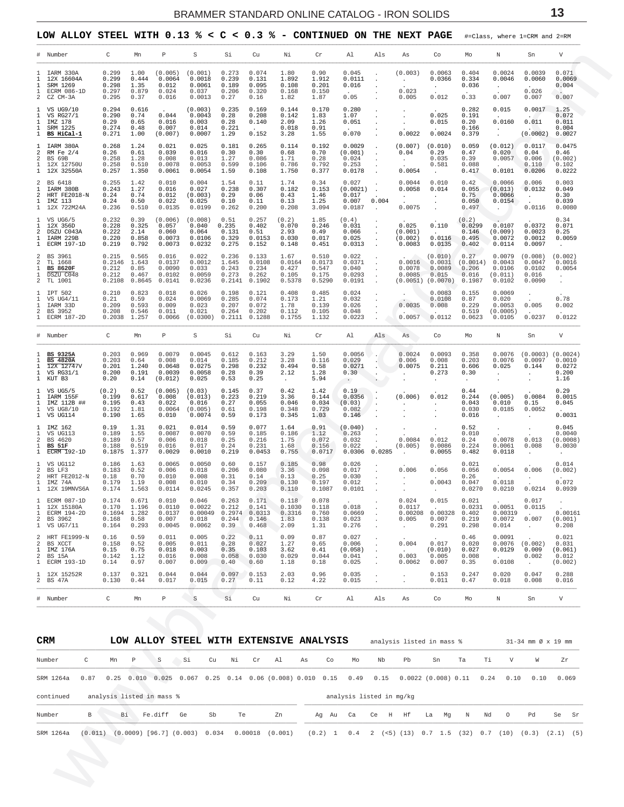<span id="page-12-0"></span>LOW ALLOY STEEL WITH  $0.13$  % < C < 0.3 % - CONTINUED ON THE NEXT PAGE #=Class, where 1=CRM and 2=RM

|                                                                   | # Number                                                                  | C                                           | Mn                                        | $\mathbb P$                                    | S                                               | Si                                         | Cu                                          | Νi                                         | Cr                                          | Al                                            | Als    | As                                            | Co                                               | Mo                                           | Ν                                               | Sn                                                | V                                             |
|-------------------------------------------------------------------|---------------------------------------------------------------------------|---------------------------------------------|-------------------------------------------|------------------------------------------------|-------------------------------------------------|--------------------------------------------|---------------------------------------------|--------------------------------------------|---------------------------------------------|-----------------------------------------------|--------|-----------------------------------------------|--------------------------------------------------|----------------------------------------------|-------------------------------------------------|---------------------------------------------------|-----------------------------------------------|
| 1<br>$\mathbf{1}$<br>$\mathbf{1}$<br>2                            | 1 IARM 330A<br>12X 16604A<br>SRM 1269<br>ECRM 086-1D<br>CZ CM-3A          | 0.299<br>0.299<br>0.298<br>0.297<br>0.295   | 1.00<br>0.444<br>1.35<br>0.879<br>0.37    | (0.005)<br>0.0064<br>0.012<br>0.024<br>0.016   | (0.001)<br>0.0018<br>0.0061<br>0.037<br>0.0013  | 0.273<br>0.239<br>0.189<br>0.206<br>0.27   | 0.074<br>0.131<br>0.095<br>0.320<br>0.16    | 1.80<br>1.892<br>0.108<br>0.168<br>1.82    | 0.90<br>1.912<br>0.201<br>0.150<br>1.87     | 0.045<br>0.0111<br>0.016<br>0.05              |        | (0.003)<br>$\sim$ $-$<br>0.023<br>0.005       | 0.0063<br>0.0366<br>0.012                        | 0.404<br>0.334<br>0.036<br>0.33              | 0.0024<br>0.0046<br>$\sim$<br>0.007             | 0.0039<br>0.0060<br>0.026<br>0.007                | 0.071<br>0.0069<br>0.004<br>м.<br>0.007       |
| 1<br>$\mathbf{1}$<br>$\mathbf{1}$<br>$\mathbf{1}$<br>$\mathbf{1}$ | VS UG9/10<br>VS RG27/1<br>IMZ 178<br>SRM 1225<br>BS HiCal-1               | 0.294<br>0.290<br>0.29<br>0.274<br>0.271    | 0.616<br>0.74<br>0.65<br>0.48<br>1.00     | 0.044<br>0.016<br>0.007<br>(0.007)             | (0.003)<br>0.0043<br>0.003<br>0.014<br>0.0007   | 0.235<br>0.28<br>0.28<br>0.221<br>1.29     | 0.169<br>0.208<br>0.140<br>0.152            | 0.144<br>0.142<br>2.09<br>0.018<br>3.28    | 0.170<br>1.83<br>1.26<br>0.91<br>1.55       | 0.280<br>1.07<br>0.051<br>0.070               |        | 0.0022                                        | 0.025<br>0.015<br>0.0024                         | 0.282<br>0.191<br>0.20<br>0.166<br>0.379     | 0.015<br>0.0160<br>$\cdot$                      | 0.0017<br>0.011<br>(0.0002)                       | 1.25<br>0.072<br>0.011<br>0.004<br>0.0027     |
| $\mathbf{1}$<br>2<br>2<br>$\mathbf{1}$                            | IARM 380A<br>RM Fe $2/4$<br>BS 69B<br>12X 12750U<br>1 12X 32550A          | 0.268<br>0.26<br>0.258<br>0.258<br>0.257    | 1.24<br>0.61<br>1.28<br>0.510<br>1.350    | 0.021<br>0.039<br>0.008<br>0.0078<br>0.0061    | 0.025<br>0.016<br>0.013<br>0.0053<br>0.0054     | 0.181<br>0.30<br>1.27<br>0.599<br>1.59     | 0.265<br>0.30<br>0.086<br>0.106<br>0.108    | 0.114<br>0.68<br>1.71<br>0.786<br>1.750    | 0.192<br>0.70<br>0.28<br>0.792<br>0.377     | 0.0029<br>(0.001)<br>0.024<br>0.253<br>0.0178 |        | (0.007)<br>0.04<br>$\sim$ $\sim$<br>0.0054    | (0.010)<br>0.29<br>0.035<br>0.581                | 0.059<br>0.47<br>0.39<br>0.088<br>0.417      | (0.012)<br>0.020<br>0.0057<br>0.0101            | 0.0117<br>0.04<br>0.006<br>0.110<br>0.0206        | 0.0475<br>0.46<br>(0.002)<br>0.102<br>0.0222  |
| 2<br>$\mathbf{1}$<br>2<br>$\mathbf{1}$                            | BS 6418<br>IARM 380B<br>HRT FE2018-N<br>IMZ 113<br>1 12X 722M24A          | 0.255<br>0.243<br>0.24<br>0.24<br>0.236     | 1.42<br>1.27<br>0.74<br>0.50<br>0.510     | 0.010<br>0.016<br>0.012<br>0.022<br>0.0135     | 0.004<br>0.027<br>(0.003)<br>0.025<br>0.0199    | 1.54<br>0.238<br>0.29<br>0.10<br>0.262     | 0.11<br>0.307<br>0.06<br>0.11<br>0.200      | 1.74<br>0.182<br>0.43<br>0.13<br>0.208     | 0.34<br>0.153<br>1.46<br>1.25<br>3.094      | 0.027<br>(0.0021)<br>0.017<br>0.007<br>0.0187 | 0.004  | 0.0044<br>0.0058<br>$\sim$<br>0.0075          | 0.010<br>0.014                                   | 0.42<br>0.055<br>0.75<br>0.050<br>0.497      | 0.0066<br>(0.013)<br>0.0066<br>0.0154           | 0.006<br>0.0132<br>$\ddot{\phantom{0}}$<br>0.0116 | 0.003<br>0.049<br>0.30<br>0.039<br>0.0080     |
| 1<br>$\mathbf{1}$<br>2<br>$\mathbf{1}$<br>$\mathbf{1}$            | VS UG6/5<br>12X 356D<br>DSZU C043A<br>IARM 229B<br><b>ECRM 197-1D</b>     | 0.232<br>0.228<br>0.222<br>0.220<br>0.219   | 0.39<br>0.325<br>2.14<br>0.858<br>0.792   | (0.006)<br>0.057<br>0.060<br>0.0073<br>0.0073  | (0.008)<br>0.040<br>0.064<br>0.0106<br>0.0232   | 0.51<br>0.235<br>0.131<br>0.329<br>0.275   | 0.257<br>0.402<br>0.51<br>0.0153<br>0.152   | (0.2)<br>0.070<br>2.93<br>0.030<br>0.148   | 1.85<br>0.246<br>0.49<br>0.017<br>0.451     | (0.4)<br>0.031<br>0.066<br>0.025<br>0.0313    |        | 0.025<br>(0.001)<br>(0.002)<br>0.0083         | 0.110<br>0.0116<br>0.0135                        | (0.2)<br>0.0299<br>0.146<br>0.495<br>0.402   | 0.0107<br>(0.009)<br>0.0072<br>0.0114           | 0.0372<br>0.0023<br>0.0012<br>0.0097              | 0.34<br>0.071<br>0.25<br>0.0059               |
| 2<br>2<br>1<br>$\mathbf{1}$<br>2                                  | BS 3961<br>TL 1668<br><b>BS 8620F</b><br>DSZU C048<br>TL 1001             | 0.215<br>0.2146<br>0.212<br>0.212<br>0.2108 | 0.565<br>1.643<br>0.85<br>0.467<br>0.8645 | 0.016<br>0.0137<br>0.0090<br>0.0102<br>0.0141  | 0.022<br>0.0012<br>0.033<br>0.0059<br>0.0236    | 0.236<br>1.645<br>0.243<br>0.273<br>0.2141 | 0.133<br>0.0108<br>0.234<br>0.262<br>0.1902 | 1.67<br>0.0164<br>0.427<br>0.105<br>0.5378 | 0.510<br>0.0173<br>0.547<br>0.175<br>0.5290 | 0.022<br>0.0371<br>0.040<br>0.0293<br>0.0191  |        | 0.0016<br>0.0078<br>0.0085<br>(0.0051)        | (0.010)<br>0.0031<br>0.0089<br>0.015<br>(0.0070) | 0.27<br>(0.0014)<br>0.206<br>0.016<br>0.1987 | 0.0079<br>0.0043<br>0.0106<br>(0.011)<br>0.0102 | (0.008)<br>0.0047<br>0.0102<br>0.016<br>0.0090    | (0.002)<br>0.0016<br>0.0054<br>$\cdot$        |
| $\mathbf{1}$<br>$\mathbf{1}$<br>$\mathbf{1}$<br>2                 | IPT 502<br>VS UG4/11<br>IARM 33D<br>BS 3952<br>1 ECRM 187-2D              | 0.210<br>0.21<br>0.209<br>0.208<br>0.2038   | 0.823<br>0.59<br>0.593<br>0.546<br>1.257  | 0.018<br>0.024<br>0.009<br>0.011<br>0.0066     | 0.026<br>0.0069<br>0.023<br>0.021<br>(0.0300)   | 0.198<br>0.285<br>0.207<br>0.264<br>0.2111 | 0.121<br>0.074<br>0.072<br>0.202<br>0.1288  | 0.408<br>0.173<br>1.78<br>0.112<br>0.1755  | 0.485<br>1.21<br>0.139<br>0.105<br>1.132    | 0.024<br>0.032<br>0.026<br>0.048<br>0.0223    |        | 0.0035<br>0.0057                              | 0.0083<br>0.0108<br>0.008<br>0.0112              | 0.155<br>0.87<br>0.229<br>0.519<br>0.0623    | 0.0069<br>0.020<br>0.0053<br>(0.0005)<br>0.0105 | 0.005<br>0.0237                                   | 0.78<br>0.002<br>0.0122                       |
|                                                                   |                                                                           |                                             |                                           |                                                |                                                 |                                            |                                             |                                            |                                             |                                               |        |                                               |                                                  |                                              |                                                 |                                                   |                                               |
|                                                                   | # Number                                                                  | C                                           | Mn                                        | P                                              | S                                               | Si                                         | Cu                                          | Νi                                         | Cr                                          | Al                                            | Als    | As                                            | Co                                               | Mo                                           | Ν                                               | Sn                                                | V                                             |
| 1<br>1<br>$\mathbf{1}$<br>$\mathbf{1}$                            | <b>BS 9325A</b><br><b>BS 4820A</b><br>12X 12747V<br>VS RG31/1<br>1 KUT B3 | 0.203<br>0.203<br>0.201<br>0.200<br>0.20    | 0.969<br>0.64<br>1.240<br>0.191<br>0.14   | 0.0079<br>0.008<br>0.0648<br>0.0039<br>(0.012) | 0.0045<br>0.014<br>0.0275<br>0.0058<br>0.025    | 0.612<br>0.185<br>0.298<br>0.28<br>0.53    | 0.163<br>0.212<br>0.232<br>0.39<br>0.25     | 3.29<br>3.28<br>0.494<br>2.12<br>$\sim$    | 1.50<br>0.116<br>0.58<br>1.28<br>5.94       | 0.0056<br>0.029<br>0.0271<br>0.30             |        | 0.0024<br>0.006<br>0.0075                     | 0.0093<br>0.008<br>0.211<br>0.273                | 0.358<br>0.203<br>0.606<br>0.30              | 0.0076<br>0.0076<br>0.025<br>$\bullet$          | $(0.0003)$ $(0.0024)$<br>0.0097<br>0.144          | 0.0010<br>0.0272<br>0.200<br>1.16             |
| $\mathbf{1}$<br>$\mathbf{1}$<br>$\mathbf{1}$<br>$\mathbf{1}$      | VS UG5/5<br>IARM 155F<br>IMZ 112B ##<br>VS UG8/10<br>1 VS UG114           | (0.2)<br>0.199<br>0.195<br>0.192<br>0.190   | 0.52<br>0.617<br>0.43<br>1.81<br>1.65     | (0.005)<br>0.008<br>0.022<br>0.0064<br>0.010   | (0.03)<br>(0.013)<br>0.016<br>(0.005)<br>0.0074 | 0.145<br>0.223<br>0.27<br>0.61<br>0.59     | 0.37<br>0.219<br>0.055<br>0.198<br>0.173    | 0.42<br>3.36<br>0.046<br>0.348<br>0.345    | 1.42<br>0.144<br>0.034<br>0.729<br>1.03     | 0.19<br>0.0356<br>(0.03)<br>0.082<br>0.146    |        | (0.006)                                       | 0.012                                            | 0.44<br>0.244<br>0.043<br>0.030<br>0.016     | (0.005)<br>0.010<br>0.0185                      | 0.0084<br>0.15<br>0.0052                          | 0.29<br>0.0015<br>0.045<br>0.0031             |
| -1.<br>$\mathbf{1}$<br>2<br>$\mathbf{1}$<br>$\mathbf{1}$          | IMZ 162<br>VS UG113<br>BS 4620<br>BS 51F<br>$\overline{ECRM}$ 192-1D      | 0.19<br>0.189<br>0.189<br>0.188<br>0.1875   | 1.31<br>1.55<br>0.57<br>0.519<br>1.377    | 0.021<br>0.0087<br>0.006<br>0.016<br>0.0029    | 0.014<br>0.0070<br>0.018<br>0.017<br>0.0010     | 0.59<br>0.59<br>0.25<br>0.24<br>0.219      | 0.077<br>0.185<br>0.216<br>0.231<br>0.0453  | 1.64<br>0.186<br>1.75<br>1.68<br>0.755     | 0.91<br>1.12<br>0.072<br>0.156<br>0.0717    | (0.040)<br>0.263<br>0.032<br>0.022<br>0.0306  | 0.0285 | 0.0084<br>(0.005)                             | 0.012<br>0.0086<br>0.0055                        | 0.52<br>0.010<br>0.24<br>0.224<br>0.482      | 0.0078<br>0.0061<br>0.0118                      | 0.013<br>0.008                                    | 0.045<br>0.0040<br>(0.0008<br>0.0030          |
| 1<br>2<br>2<br>$\mathbf{1}$                                       | VS UG112<br>BS LF3<br>HRT FE2012-N<br>IMZ 74A<br>1 12X 19MNVS6A           | 0.186<br>0.183<br>0.18<br>0.179<br>0.174    | 1.63<br>0.52<br>0.70<br>1.19<br>1.563     | 0.0065<br>0.006<br>0.010<br>0.008<br>0.0114    | 0.0050<br>0.018<br>0.008<br>0.010<br>0.0245     | 0.60<br>0.206<br>0.31<br>0.34<br>0.357     | 0.157<br>0.080<br>0.14<br>0.209<br>0.203    | 0.185<br>3.36<br>0.13<br>0.130<br>0.110    | 0.98<br>0.098<br>0.25<br>0.197<br>0.1087    | 0.026<br>0.017<br>0.030<br>0.012<br>0.0101    |        | 0.006<br>$\sim$<br>$\sim 10^{-11}$            | 0.056<br>0.0043                                  | 0.021<br>0.056<br>0.26<br>0.047<br>0.0270    | 0.0054<br>0.0118<br>0.0210                      | 0.006<br>0.0214                                   | 0.014<br>(0.002)<br>0.072<br>0.0939           |
| 1<br>$\mathbf{1}$<br>$\mathbf{1}$<br>2                            | ECRM 087-1D<br>12X 15180A<br><b>ECRM 194-2D</b><br>BS 3962<br>1 VS UG7/11 | 0.174<br>0.170<br>0.1694<br>0.168<br>0.164  | 0.671<br>1.196<br>1.282<br>0.58<br>0.293  | 0.010<br>0.0110<br>0.0137<br>0.007<br>0.0045   | 0.046<br>0.0022<br>0.00049<br>0.018<br>0.0062   | 0.263<br>0.212<br>0.2974<br>0.244<br>0.39  | 0.171<br>0.141<br>0.0313<br>0.146<br>0.468  | 0.118<br>0.1030<br>0.3316<br>1.83<br>2.09  | 0.078<br>0.118<br>0.760<br>0.138<br>1.31    | 0.018<br>0.0669<br>0.023<br>0.276             |        | 0.024<br>0.0117<br>0.00208<br>0.005<br>$\sim$ | 0.015<br>0.00328<br>0.007<br>0.291               | 0.021<br>0.0231<br>0.402<br>0.219<br>0.298   | 0.0051<br>0.00319<br>0.0072<br>0.014            | 0.017<br>0.0115<br>0.007<br>$\ddot{\phantom{0}}$  | 0.00161<br>(0.001)<br>0.208                   |
| 2<br>2<br>$\mathbf{1}$<br>2                                       | HRT FE1999-N<br>BS XCCT<br>IMZ 176A<br>BS 15A<br>1 ECRM 193-1D            | 0.16<br>0.158<br>0.15<br>0.142<br>0.14      | 0.59<br>0.52<br>0.75<br>1.12<br>0.97      | 0.011<br>0.005<br>0.018<br>0.016<br>0.007      | 0.005<br>0.011<br>0.003<br>0.008<br>0.009       | 0.22<br>0.28<br>0.35<br>0.058<br>0.40      | 0.11<br>0.027<br>0.103<br>0.030<br>0.60     | 0.09<br>1.27<br>3.62<br>0.029<br>1.18      | 0.87<br>0.65<br>0.41<br>0.044<br>0.18       | 0.027<br>0.006<br>(0.058)<br>0.041<br>0.025   |        | 0.004<br>0.003<br>0.0062                      | 0.017<br>(0.010)<br>0.005<br>0.007               | 0.46<br>0.020<br>0.027<br>0.008<br>0.35      | 0.0091<br>0.0076<br>0.0129<br>0.0108            | (0.002)<br>0.009<br>0.002<br>$\sim$               | 0.021<br>0.031<br>(0.061)<br>0.012<br>(0.002) |
|                                                                   | 1 12X 15252R<br>2 BS 47A                                                  | 0.137<br>0.130                              | 0.321<br>0.44                             | 0.044<br>0.017                                 | 0.044<br>0.015                                  | 0.097<br>0.27                              | 0.153<br>0.11                               | 2.03<br>0.12                               | 0.96<br>4.22                                | 0.035<br>0.015                                |        | $\cdot$<br>$\cdot$                            | 0.153<br>0.011                                   | 0.247<br>0.47                                | 0.020<br>0.018                                  | 0.047<br>0.008                                    | 0.288<br>0.016                                |

| <b>CRM</b> |               |    |   |                           |                                   |          |    |    | LOW ALLOY STEEL WITH EXTENSIVE ANALYSIS                                                       |    |           |                          |         | analysis listed in mass % |                 |       |      |      |              | $31-34$ mm $\varnothing \times 19$ mm |             |       |
|------------|---------------|----|---|---------------------------|-----------------------------------|----------|----|----|-----------------------------------------------------------------------------------------------|----|-----------|--------------------------|---------|---------------------------|-----------------|-------|------|------|--------------|---------------------------------------|-------------|-------|
| Number     | $\mathcal{C}$ | Mn | Þ | S                         | Si                                | $C_{11}$ | Ni | Cr | A <sub>1</sub>                                                                                | As | Co        | Mo                       | Nb      | Ph                        |                 | Sn    | Ta   | Ti   | $\mathbf{V}$ | W                                     |             | Zr.   |
| SRM 1264a  | 0.87          |    |   | $0.25$ $0.010$ $0.025$    |                                   |          |    |    | $0.067$ $0.25$ $0.14$ $0.06$ $(0.008)$ $0.010$ $0.15$ $0.49$ $0.15$ $0.0022$ $(0.008)$ $0.11$ |    |           |                          |         |                           |                 |       |      | 0.24 | 0.10         | 0.10                                  |             | 0.069 |
| continued  |               |    |   | analysis listed in mass % |                                   |          |    |    |                                                                                               |    |           | analysis listed in mg/kg |         |                           |                 |       |      |      |              |                                       |             |       |
| Number     | B             | Вi |   | Fe.diff Ge                |                                   | Sb       | Te |    | Zn                                                                                            |    | Aq Au Ca  |                          | Ce H Hf |                           |                 | La Mq | N    | Nd   | $\circ$      | Pd                                    |             | Se Sr |
| SRM 1264a  | (0.011)       |    |   |                           | $(0.0009)$ [96.7] $(0.003)$ 0.034 |          |    |    | $0.00018$ $(0.001)$                                                                           |    | $(0.2)$ 1 | $0.4$ 2                  |         | $(<5)$ (13)               | $0.7 \quad 1.5$ |       | (32) | 0.7  | (10)         | (0.3)                                 | $(2.1)$ (5) |       |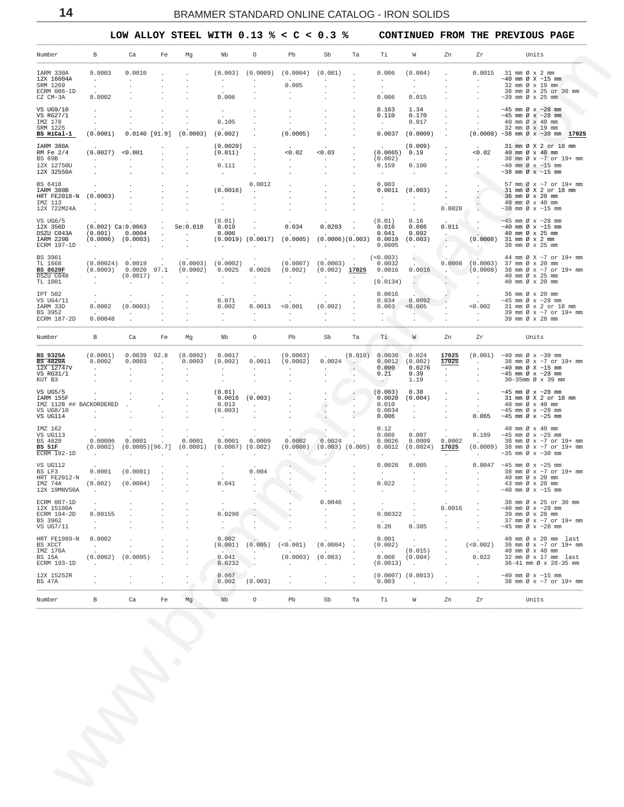<span id="page-13-0"></span> $\_$  , and the state of the state of the state of the state of the state of the state of the state of the state of the state of the state of the state of the state of the state of the state of the state of the state of the

 **LOW ALLOY STEEL WITH 0.13 % < C < 0.3 % CONTINUED FROM THE PREVIOUS PAGE**

| 0.0010<br>0.0003<br>IARM 330A<br>12X 16604A<br>$\sim$<br>$\sim$<br>SRM 1269<br>$\sim$<br>ECRM 086-1D<br>0.0002<br>CZ CM-3A<br>VS UG9/10<br>VS RG27/1<br>IMZ 178<br>SRM 1225<br>BS HiCal-1<br>(0.0001)<br>IARM 380A<br>$(0.0027)$ <0.001<br>RM Fe 2/4<br>BS 69B<br><b>Contract</b><br>$\sim$<br>12X 12750U<br>$\mathcal{L}_{\mathcal{A}}$<br>12X 32550A<br>BS 6418<br>$\sim$<br>IARM 380B<br>(0.0003)<br>HRT FE2018-N<br>IMZ 113<br><b>Service</b><br>12X 722M24A<br>VS UG6/5<br>$(0.002)$ Ca: $0.0063$<br>12X 356D<br>$(0.001)$ 0.0004<br>DSZU C043A<br>$(0.0006)$ $(0.0003)$<br>IARM 229B<br>ECRM 197-1D<br>$\sim$ 100 $\sim$<br>$\sim$<br>BS 3961<br>(0.00024) 0.0019<br>$\sim 100$<br>TL 1668<br>$(0.0003)$ $0.0020$ 97.1<br>BS 8620F<br>DSZU C048<br>$(0.0017)$ .<br>$\sim$<br>TL 1001<br>$\overline{a}$<br>IPT 502<br>$\cdot$<br>$\cdot$<br>VS UG4/11<br>0.0002<br>(0.0003)<br>IARM 33D<br>BS 3952<br>$\sim$<br>ECRM 187-2D<br>0.00048<br>$\cdot$<br>Number<br>B<br>Ca<br>BS 9325A<br>(0.0001)<br>$0.0039$ 92.8<br>0.0002<br>0.0003<br>BS 4820A<br>$\sim 100$<br>12X 12747V<br>$\sim$<br>$\sim$<br>VS RG31/1<br>$\mathbf{r}$<br>KUT B3<br>$\cdot$<br>VS UG5/5<br>$\mathbf{r}$<br>IARM 155F<br>$\sim$<br>IMZ 112B ## BACKORDERED<br>VS UG8/10<br>$\sim$<br>VS UG114<br>IMZ 162<br>VS UG113<br>0.00006<br>0.0001<br>BS 4620<br>$(0.0002)$ $(0.0005)[96.7]$<br>BS 51F<br>ECRM 192-1D<br>$\sim$ 100 $\sim$<br>$\sim$<br>VS UG112<br>0.0001<br>(0.0001)<br>BS LF3<br><b>HRT FE2012-N</b><br>(0.002)<br>(0.0004)<br>IMZ 74A<br>12X 19MNVS6A<br>$\sim$<br>$\overline{a}$<br>ECRM 087-1D<br>$\cdot$<br>12X 15180A<br>ECRM 194-2D<br>0.00155<br>BS 3962<br>$\cdot$ | $\cdot$<br>$0.0140$ [91.9] $(0.0003)$<br>$\sim$<br>$\ddot{\phantom{a}}$<br>$\sim$<br>$\sim$<br>$.$ Se: $0.010$<br><b>Contract Contract</b><br>$\sim$ $-$<br>$\sim$<br>$\sim$<br>(0.0003)<br>(0.0002)<br>$\sim$<br>$\ddot{\phantom{0}}$<br>Fe<br>Mq<br>(0.0002)<br>0.0003<br>$\sim$<br>$\ddot{\phantom{a}}$<br>$\ddot{\phantom{a}}$<br>$\cdot$<br>$\cdot$<br>$\sim$<br>$\cdot$<br>$\sim$<br>$\ddot{\phantom{a}}$<br>$\cdot$<br>0.0001 | $\sim$<br>0.006<br>$\bullet$<br>0.105<br>(0.002)<br>(0.0020)<br>(0.011)<br>0.111<br>$\ddot{\phantom{a}}$<br>(0.0016)<br><b>Contract Contract</b><br>$\ddot{\phantom{a}}$<br>$\cdot$<br>(0.01)<br>0.019<br>0.006<br>$\sim$<br>(0.0002)<br>0.0025<br>$\sim$<br>0.071<br>0.002<br>$\sim$<br>$\cdot$<br>Nb<br>0.0017<br>(0.002)<br>$\sim$ $\sim$<br>$\overline{\phantom{a}}$<br>(0.01)<br>0.013<br>(0.003)<br>$\mathbf{r}$ | $\cdot$<br>$\cdot$<br>$\cdot$<br>0.0012<br>$\sim$<br>$\cdot$<br>$\mathbf{r}$<br>$\cdot$<br>$\sim$ 100 $\mu$<br>$\sim 100$ km s $^{-1}$<br>$(0.0019)$ $(0.0017)$<br>$\sim$<br>$\sim$<br>0.0026<br>$\ddot{\phantom{0}}$<br>$\cdot$<br>0.0013<br>$\sim$<br>$\circ$<br>0.0011<br>$\sim$<br>$\mathbf{r}$<br>$0.0016$ $(0.003)$<br><b>Contract Contract</b> | $(0.003)$ $(0.0009)$ $(0.0004)$ $(0.001)$<br>0.005<br>$\cdot$<br>(0.0005)<br>< 0.02<br>$\sim$<br>$\ddot{\phantom{a}}$<br>0.034<br>$(0.0005)$ $(0.0006)(0.003)$ 0.0019<br><b>Contract Contract</b><br>(0.002)<br>$\cdot$<br>$\sim$<br>< 0.001<br>$\sim$<br>Pb<br>(0.0003)<br>(0.0002)<br><b>Contract Contract</b><br>$\ddot{\phantom{a}}$ | $\cdot$<br>0.03<br>$\sim$<br>$\ddot{\phantom{a}}$<br>$\sim$<br>$\Delta$<br>0.0203<br><b>Contract Contract</b><br>$(0.0007)$ $(0.0003)$ .<br>$(0.002)$ 17025<br>$\sim$<br>$\cdot$<br>$\ddot{\phantom{a}}$<br>(0.002)<br>$\sim$ $\sim$<br>$\cdot$<br>Sb<br>$\sim 10^{-11}$<br>$0.0024$ .<br>$\sim 10^{-11}$<br>$\mathbf{r}$<br>$\ddot{\phantom{0}}$<br>$\sim$ $\,$ | $\sim$<br>$\cdot$<br>$\cdot$<br>$\cdot$<br>$\cdot$<br>$\cdot$<br>$\cdot$<br>$\cdot$<br>$\cdot$<br>$\cdot$<br>$\sim 10^{-1}$<br>$\sim$ $\sim$<br>$\sim$<br>$\cdot$<br>$\cdot$<br>Ta<br>$\sim$ | 0.006<br>$\sim$<br>$\sim$<br>0.006<br>0.163<br>0.110<br>$\sim$<br>$(0.0065)$ 0.19<br>(0.002)<br>0.159<br>$\sim$<br>0.003<br>$0.0011$ $(0.003)$<br><b>Service</b><br>$\mathbf{r}$<br>(0.01)<br>0.016<br>0.041<br>0.0005<br>$\tag{0.003}$<br>0.0032<br>0.0016<br>(0.0134)<br>0.0016<br>0.034<br>0.003<br>$\sim$<br>$\mathcal{L}$<br>Ti<br>(0.010) 0.0030<br>$0.0012$ (0.002)<br>0.099<br>0.21<br>$\sim$ $\sim$<br>(0.003)<br>0.0020<br>0.010 | (0.004)<br>$\sim$<br>$\cdot$<br>0.015<br>1.34<br>0.170<br>0.017<br>$0.0037$ $(0.0009)$<br>(0.009)<br>$\sim 10^{-11}$<br>0.100<br>$\sim$ $-$<br><b>Contract Contract</b><br>$\cdot$<br>$\sim$<br>0.16<br>0.086<br>0.092<br>(0.003)<br>$\sim$<br>0.0016<br>$\sim$<br>÷.<br>$0.0092$ .<br>< 0.005<br><b>AND</b><br>$\sim$<br>W<br>0.024<br>0.0276<br>0.39<br>1.19<br>0.38<br>(0.004) | $\cdot$<br>$\sim$<br>$\cdot$<br>$\sim$<br>$\sim$<br>$\sim$<br>$\sim$<br>$\sim$<br>$\ddot{\phantom{a}}$<br>$\cdot$<br>$\sim$<br>$\sim 100$<br>0.0028<br>0.011<br>$\sim$<br>$\sim$<br>$\sim$<br>- 1<br>Zn<br>17025<br>17025<br><b>All Card</b><br>$\sim$<br>$\sim$<br>$\sim$<br>$\sim$ | $\sim$<br>$\cdot$<br>$\sim$<br>$\sim$<br>$\sim$<br>< 0.02<br>$\sim 10^{-11}$<br>$\sim$<br>$\sim$ $\sim$<br>$\mathcal{O}(\mathcal{E})$<br>$\sim$<br>$\sim$ $\sim$<br>$\sim 10^{-11}$<br><b>Contractor</b><br>$\sim$<br>< 0.002<br><b>Contractor</b><br>Zr<br><b>Contractor</b><br>$\sim$<br>$\sim$<br>$\sim$ $\sim$<br>$\sim$ $-$ | $0.0015$ 31 mm $\emptyset$ x 2 mm<br>$\sim$ 40 mm Ø X $\sim$ 15 mm<br>32 mm Ø x 19 mm<br>38 mm Ø x 25 or 30 mm<br>$\sim$ 39 mm Ø x 25 mm<br>$~10-45$ mm Ø x $~28$ mm<br>$\sim$ 45 mm Ø x $\sim$ 28 mm<br>40 mm $\varnothing \times 40$ mm<br>32 mm Ø x 19 mm<br>$(0.0008)$ ~38 mm Ø x ~30 mm 17025<br>31 mm Ø X 2 or 18 mm<br>40 mm Ø x 40 mm<br>38 mm Ø x ~7 or 19+ mm<br>$\sim$ 40 mm Ø x $\sim$ 15 mm<br>$\sim$ 38 mm Ø x $\sim$ 15 mm<br>57 mm Ø x ~7 or 19+ mm<br>31 mm Ø X 2 or 18 mm<br>36 mm Ø x 20 mm<br>40 mm Ø x 40 mm<br>$\sim$ 38 mm Ø x $\sim$ 15 mm<br>$\sim$ 45 mm Ø x $\sim$ 28 mm<br>$\sim$ 40 mm Ø x $\sim$ 15 mm<br>40 mm Ø x 25 mm<br>$(0.0008)$ 31 mm $\emptyset$ x 2 mm<br>38 mm Ø x 25 mm<br>44 mm Ø X ~7 or 19+ mm<br>$0.0008$ (0.0003) 37 mm Ø x 20 mm<br>. $(0.0008)$ 38 mm Ø x ~7 or 19+ mm<br>40 mm Ø x 25 mm<br>40 mm Ø x 20 mm<br>36 mm Ø x 20 mm<br>$\sim$ 45 mm Ø x $\sim$ 28 mm<br>31 mm Ø x 2 or 18 mm<br>39 mm Ø x ~7 or 19+ mm<br>39 mm Ø x 28 mm<br>Units<br>$(0.001)$ ~40 mm Ø x ~30 mm<br>38 mm Ø x ~7 or 19+ mm<br>$~10$ mm $\varnothing$ X $~15$ mm<br>$~10-45$ mm Ø x $~128$ mm<br>30-35mm Ø x 39 mm<br>$~10-45$ mm Ø x $~28$ mm<br>31 mm Ø X 2 or 18 mm<br>40 mm Ø x 40 mm |
|----------------------------------------------------------------------------------------------------------------------------------------------------------------------------------------------------------------------------------------------------------------------------------------------------------------------------------------------------------------------------------------------------------------------------------------------------------------------------------------------------------------------------------------------------------------------------------------------------------------------------------------------------------------------------------------------------------------------------------------------------------------------------------------------------------------------------------------------------------------------------------------------------------------------------------------------------------------------------------------------------------------------------------------------------------------------------------------------------------------------------------------------------------------------------------------------------------------------------------------------------------------------------------------------------------------------------------------------------------------------------------------------------------------------------------------------------------------------------------------------------------------------------------------------------------------------------------------------------------------------------------------------------------------|--------------------------------------------------------------------------------------------------------------------------------------------------------------------------------------------------------------------------------------------------------------------------------------------------------------------------------------------------------------------------------------------------------------------------------------|------------------------------------------------------------------------------------------------------------------------------------------------------------------------------------------------------------------------------------------------------------------------------------------------------------------------------------------------------------------------------------------------------------------------|-------------------------------------------------------------------------------------------------------------------------------------------------------------------------------------------------------------------------------------------------------------------------------------------------------------------------------------------------------|------------------------------------------------------------------------------------------------------------------------------------------------------------------------------------------------------------------------------------------------------------------------------------------------------------------------------------------|------------------------------------------------------------------------------------------------------------------------------------------------------------------------------------------------------------------------------------------------------------------------------------------------------------------------------------------------------------------|----------------------------------------------------------------------------------------------------------------------------------------------------------------------------------------------|--------------------------------------------------------------------------------------------------------------------------------------------------------------------------------------------------------------------------------------------------------------------------------------------------------------------------------------------------------------------------------------------------------------------------------------------|-----------------------------------------------------------------------------------------------------------------------------------------------------------------------------------------------------------------------------------------------------------------------------------------------------------------------------------------------------------------------------------|--------------------------------------------------------------------------------------------------------------------------------------------------------------------------------------------------------------------------------------------------------------------------------------|----------------------------------------------------------------------------------------------------------------------------------------------------------------------------------------------------------------------------------------------------------------------------------------------------------------------------------|------------------------------------------------------------------------------------------------------------------------------------------------------------------------------------------------------------------------------------------------------------------------------------------------------------------------------------------------------------------------------------------------------------------------------------------------------------------------------------------------------------------------------------------------------------------------------------------------------------------------------------------------------------------------------------------------------------------------------------------------------------------------------------------------------------------------------------------------------------------------------------------------------------------------------------------------------------------------------------------------------------------------------------------------------------------------------------------------------------------------------------------------------------------------------------------------------------------------|
|                                                                                                                                                                                                                                                                                                                                                                                                                                                                                                                                                                                                                                                                                                                                                                                                                                                                                                                                                                                                                                                                                                                                                                                                                                                                                                                                                                                                                                                                                                                                                                                                                                                                |                                                                                                                                                                                                                                                                                                                                                                                                                                      |                                                                                                                                                                                                                                                                                                                                                                                                                        |                                                                                                                                                                                                                                                                                                                                                       |                                                                                                                                                                                                                                                                                                                                          |                                                                                                                                                                                                                                                                                                                                                                  |                                                                                                                                                                                              |                                                                                                                                                                                                                                                                                                                                                                                                                                            |                                                                                                                                                                                                                                                                                                                                                                                   |                                                                                                                                                                                                                                                                                      |                                                                                                                                                                                                                                                                                                                                  |                                                                                                                                                                                                                                                                                                                                                                                                                                                                                                                                                                                                                                                                                                                                                                                                                                                                                                                                                                                                                                                                                                                                                                                                                        |
|                                                                                                                                                                                                                                                                                                                                                                                                                                                                                                                                                                                                                                                                                                                                                                                                                                                                                                                                                                                                                                                                                                                                                                                                                                                                                                                                                                                                                                                                                                                                                                                                                                                                |                                                                                                                                                                                                                                                                                                                                                                                                                                      |                                                                                                                                                                                                                                                                                                                                                                                                                        |                                                                                                                                                                                                                                                                                                                                                       |                                                                                                                                                                                                                                                                                                                                          |                                                                                                                                                                                                                                                                                                                                                                  |                                                                                                                                                                                              |                                                                                                                                                                                                                                                                                                                                                                                                                                            |                                                                                                                                                                                                                                                                                                                                                                                   |                                                                                                                                                                                                                                                                                      |                                                                                                                                                                                                                                                                                                                                  |                                                                                                                                                                                                                                                                                                                                                                                                                                                                                                                                                                                                                                                                                                                                                                                                                                                                                                                                                                                                                                                                                                                                                                                                                        |
|                                                                                                                                                                                                                                                                                                                                                                                                                                                                                                                                                                                                                                                                                                                                                                                                                                                                                                                                                                                                                                                                                                                                                                                                                                                                                                                                                                                                                                                                                                                                                                                                                                                                |                                                                                                                                                                                                                                                                                                                                                                                                                                      |                                                                                                                                                                                                                                                                                                                                                                                                                        |                                                                                                                                                                                                                                                                                                                                                       |                                                                                                                                                                                                                                                                                                                                          |                                                                                                                                                                                                                                                                                                                                                                  |                                                                                                                                                                                              |                                                                                                                                                                                                                                                                                                                                                                                                                                            |                                                                                                                                                                                                                                                                                                                                                                                   |                                                                                                                                                                                                                                                                                      |                                                                                                                                                                                                                                                                                                                                  |                                                                                                                                                                                                                                                                                                                                                                                                                                                                                                                                                                                                                                                                                                                                                                                                                                                                                                                                                                                                                                                                                                                                                                                                                        |
|                                                                                                                                                                                                                                                                                                                                                                                                                                                                                                                                                                                                                                                                                                                                                                                                                                                                                                                                                                                                                                                                                                                                                                                                                                                                                                                                                                                                                                                                                                                                                                                                                                                                |                                                                                                                                                                                                                                                                                                                                                                                                                                      |                                                                                                                                                                                                                                                                                                                                                                                                                        |                                                                                                                                                                                                                                                                                                                                                       |                                                                                                                                                                                                                                                                                                                                          |                                                                                                                                                                                                                                                                                                                                                                  |                                                                                                                                                                                              |                                                                                                                                                                                                                                                                                                                                                                                                                                            |                                                                                                                                                                                                                                                                                                                                                                                   |                                                                                                                                                                                                                                                                                      |                                                                                                                                                                                                                                                                                                                                  |                                                                                                                                                                                                                                                                                                                                                                                                                                                                                                                                                                                                                                                                                                                                                                                                                                                                                                                                                                                                                                                                                                                                                                                                                        |
|                                                                                                                                                                                                                                                                                                                                                                                                                                                                                                                                                                                                                                                                                                                                                                                                                                                                                                                                                                                                                                                                                                                                                                                                                                                                                                                                                                                                                                                                                                                                                                                                                                                                |                                                                                                                                                                                                                                                                                                                                                                                                                                      |                                                                                                                                                                                                                                                                                                                                                                                                                        |                                                                                                                                                                                                                                                                                                                                                       |                                                                                                                                                                                                                                                                                                                                          |                                                                                                                                                                                                                                                                                                                                                                  |                                                                                                                                                                                              |                                                                                                                                                                                                                                                                                                                                                                                                                                            |                                                                                                                                                                                                                                                                                                                                                                                   |                                                                                                                                                                                                                                                                                      |                                                                                                                                                                                                                                                                                                                                  |                                                                                                                                                                                                                                                                                                                                                                                                                                                                                                                                                                                                                                                                                                                                                                                                                                                                                                                                                                                                                                                                                                                                                                                                                        |
|                                                                                                                                                                                                                                                                                                                                                                                                                                                                                                                                                                                                                                                                                                                                                                                                                                                                                                                                                                                                                                                                                                                                                                                                                                                                                                                                                                                                                                                                                                                                                                                                                                                                |                                                                                                                                                                                                                                                                                                                                                                                                                                      |                                                                                                                                                                                                                                                                                                                                                                                                                        |                                                                                                                                                                                                                                                                                                                                                       |                                                                                                                                                                                                                                                                                                                                          |                                                                                                                                                                                                                                                                                                                                                                  |                                                                                                                                                                                              |                                                                                                                                                                                                                                                                                                                                                                                                                                            |                                                                                                                                                                                                                                                                                                                                                                                   |                                                                                                                                                                                                                                                                                      |                                                                                                                                                                                                                                                                                                                                  |                                                                                                                                                                                                                                                                                                                                                                                                                                                                                                                                                                                                                                                                                                                                                                                                                                                                                                                                                                                                                                                                                                                                                                                                                        |
|                                                                                                                                                                                                                                                                                                                                                                                                                                                                                                                                                                                                                                                                                                                                                                                                                                                                                                                                                                                                                                                                                                                                                                                                                                                                                                                                                                                                                                                                                                                                                                                                                                                                |                                                                                                                                                                                                                                                                                                                                                                                                                                      |                                                                                                                                                                                                                                                                                                                                                                                                                        |                                                                                                                                                                                                                                                                                                                                                       |                                                                                                                                                                                                                                                                                                                                          |                                                                                                                                                                                                                                                                                                                                                                  |                                                                                                                                                                                              |                                                                                                                                                                                                                                                                                                                                                                                                                                            |                                                                                                                                                                                                                                                                                                                                                                                   |                                                                                                                                                                                                                                                                                      |                                                                                                                                                                                                                                                                                                                                  |                                                                                                                                                                                                                                                                                                                                                                                                                                                                                                                                                                                                                                                                                                                                                                                                                                                                                                                                                                                                                                                                                                                                                                                                                        |
|                                                                                                                                                                                                                                                                                                                                                                                                                                                                                                                                                                                                                                                                                                                                                                                                                                                                                                                                                                                                                                                                                                                                                                                                                                                                                                                                                                                                                                                                                                                                                                                                                                                                |                                                                                                                                                                                                                                                                                                                                                                                                                                      |                                                                                                                                                                                                                                                                                                                                                                                                                        |                                                                                                                                                                                                                                                                                                                                                       |                                                                                                                                                                                                                                                                                                                                          |                                                                                                                                                                                                                                                                                                                                                                  |                                                                                                                                                                                              |                                                                                                                                                                                                                                                                                                                                                                                                                                            |                                                                                                                                                                                                                                                                                                                                                                                   |                                                                                                                                                                                                                                                                                      |                                                                                                                                                                                                                                                                                                                                  |                                                                                                                                                                                                                                                                                                                                                                                                                                                                                                                                                                                                                                                                                                                                                                                                                                                                                                                                                                                                                                                                                                                                                                                                                        |
|                                                                                                                                                                                                                                                                                                                                                                                                                                                                                                                                                                                                                                                                                                                                                                                                                                                                                                                                                                                                                                                                                                                                                                                                                                                                                                                                                                                                                                                                                                                                                                                                                                                                |                                                                                                                                                                                                                                                                                                                                                                                                                                      |                                                                                                                                                                                                                                                                                                                                                                                                                        |                                                                                                                                                                                                                                                                                                                                                       |                                                                                                                                                                                                                                                                                                                                          |                                                                                                                                                                                                                                                                                                                                                                  |                                                                                                                                                                                              |                                                                                                                                                                                                                                                                                                                                                                                                                                            |                                                                                                                                                                                                                                                                                                                                                                                   |                                                                                                                                                                                                                                                                                      |                                                                                                                                                                                                                                                                                                                                  |                                                                                                                                                                                                                                                                                                                                                                                                                                                                                                                                                                                                                                                                                                                                                                                                                                                                                                                                                                                                                                                                                                                                                                                                                        |
|                                                                                                                                                                                                                                                                                                                                                                                                                                                                                                                                                                                                                                                                                                                                                                                                                                                                                                                                                                                                                                                                                                                                                                                                                                                                                                                                                                                                                                                                                                                                                                                                                                                                |                                                                                                                                                                                                                                                                                                                                                                                                                                      |                                                                                                                                                                                                                                                                                                                                                                                                                        |                                                                                                                                                                                                                                                                                                                                                       |                                                                                                                                                                                                                                                                                                                                          |                                                                                                                                                                                                                                                                                                                                                                  |                                                                                                                                                                                              |                                                                                                                                                                                                                                                                                                                                                                                                                                            |                                                                                                                                                                                                                                                                                                                                                                                   |                                                                                                                                                                                                                                                                                      |                                                                                                                                                                                                                                                                                                                                  |                                                                                                                                                                                                                                                                                                                                                                                                                                                                                                                                                                                                                                                                                                                                                                                                                                                                                                                                                                                                                                                                                                                                                                                                                        |
|                                                                                                                                                                                                                                                                                                                                                                                                                                                                                                                                                                                                                                                                                                                                                                                                                                                                                                                                                                                                                                                                                                                                                                                                                                                                                                                                                                                                                                                                                                                                                                                                                                                                |                                                                                                                                                                                                                                                                                                                                                                                                                                      |                                                                                                                                                                                                                                                                                                                                                                                                                        |                                                                                                                                                                                                                                                                                                                                                       |                                                                                                                                                                                                                                                                                                                                          |                                                                                                                                                                                                                                                                                                                                                                  |                                                                                                                                                                                              |                                                                                                                                                                                                                                                                                                                                                                                                                                            |                                                                                                                                                                                                                                                                                                                                                                                   |                                                                                                                                                                                                                                                                                      |                                                                                                                                                                                                                                                                                                                                  |                                                                                                                                                                                                                                                                                                                                                                                                                                                                                                                                                                                                                                                                                                                                                                                                                                                                                                                                                                                                                                                                                                                                                                                                                        |
|                                                                                                                                                                                                                                                                                                                                                                                                                                                                                                                                                                                                                                                                                                                                                                                                                                                                                                                                                                                                                                                                                                                                                                                                                                                                                                                                                                                                                                                                                                                                                                                                                                                                |                                                                                                                                                                                                                                                                                                                                                                                                                                      |                                                                                                                                                                                                                                                                                                                                                                                                                        |                                                                                                                                                                                                                                                                                                                                                       |                                                                                                                                                                                                                                                                                                                                          |                                                                                                                                                                                                                                                                                                                                                                  |                                                                                                                                                                                              |                                                                                                                                                                                                                                                                                                                                                                                                                                            |                                                                                                                                                                                                                                                                                                                                                                                   |                                                                                                                                                                                                                                                                                      |                                                                                                                                                                                                                                                                                                                                  |                                                                                                                                                                                                                                                                                                                                                                                                                                                                                                                                                                                                                                                                                                                                                                                                                                                                                                                                                                                                                                                                                                                                                                                                                        |
|                                                                                                                                                                                                                                                                                                                                                                                                                                                                                                                                                                                                                                                                                                                                                                                                                                                                                                                                                                                                                                                                                                                                                                                                                                                                                                                                                                                                                                                                                                                                                                                                                                                                |                                                                                                                                                                                                                                                                                                                                                                                                                                      |                                                                                                                                                                                                                                                                                                                                                                                                                        |                                                                                                                                                                                                                                                                                                                                                       |                                                                                                                                                                                                                                                                                                                                          |                                                                                                                                                                                                                                                                                                                                                                  |                                                                                                                                                                                              |                                                                                                                                                                                                                                                                                                                                                                                                                                            |                                                                                                                                                                                                                                                                                                                                                                                   |                                                                                                                                                                                                                                                                                      |                                                                                                                                                                                                                                                                                                                                  |                                                                                                                                                                                                                                                                                                                                                                                                                                                                                                                                                                                                                                                                                                                                                                                                                                                                                                                                                                                                                                                                                                                                                                                                                        |
|                                                                                                                                                                                                                                                                                                                                                                                                                                                                                                                                                                                                                                                                                                                                                                                                                                                                                                                                                                                                                                                                                                                                                                                                                                                                                                                                                                                                                                                                                                                                                                                                                                                                |                                                                                                                                                                                                                                                                                                                                                                                                                                      |                                                                                                                                                                                                                                                                                                                                                                                                                        |                                                                                                                                                                                                                                                                                                                                                       |                                                                                                                                                                                                                                                                                                                                          |                                                                                                                                                                                                                                                                                                                                                                  |                                                                                                                                                                                              |                                                                                                                                                                                                                                                                                                                                                                                                                                            |                                                                                                                                                                                                                                                                                                                                                                                   |                                                                                                                                                                                                                                                                                      |                                                                                                                                                                                                                                                                                                                                  |                                                                                                                                                                                                                                                                                                                                                                                                                                                                                                                                                                                                                                                                                                                                                                                                                                                                                                                                                                                                                                                                                                                                                                                                                        |
|                                                                                                                                                                                                                                                                                                                                                                                                                                                                                                                                                                                                                                                                                                                                                                                                                                                                                                                                                                                                                                                                                                                                                                                                                                                                                                                                                                                                                                                                                                                                                                                                                                                                |                                                                                                                                                                                                                                                                                                                                                                                                                                      |                                                                                                                                                                                                                                                                                                                                                                                                                        |                                                                                                                                                                                                                                                                                                                                                       |                                                                                                                                                                                                                                                                                                                                          |                                                                                                                                                                                                                                                                                                                                                                  |                                                                                                                                                                                              |                                                                                                                                                                                                                                                                                                                                                                                                                                            |                                                                                                                                                                                                                                                                                                                                                                                   |                                                                                                                                                                                                                                                                                      |                                                                                                                                                                                                                                                                                                                                  |                                                                                                                                                                                                                                                                                                                                                                                                                                                                                                                                                                                                                                                                                                                                                                                                                                                                                                                                                                                                                                                                                                                                                                                                                        |
|                                                                                                                                                                                                                                                                                                                                                                                                                                                                                                                                                                                                                                                                                                                                                                                                                                                                                                                                                                                                                                                                                                                                                                                                                                                                                                                                                                                                                                                                                                                                                                                                                                                                |                                                                                                                                                                                                                                                                                                                                                                                                                                      |                                                                                                                                                                                                                                                                                                                                                                                                                        |                                                                                                                                                                                                                                                                                                                                                       |                                                                                                                                                                                                                                                                                                                                          |                                                                                                                                                                                                                                                                                                                                                                  |                                                                                                                                                                                              |                                                                                                                                                                                                                                                                                                                                                                                                                                            |                                                                                                                                                                                                                                                                                                                                                                                   |                                                                                                                                                                                                                                                                                      |                                                                                                                                                                                                                                                                                                                                  |                                                                                                                                                                                                                                                                                                                                                                                                                                                                                                                                                                                                                                                                                                                                                                                                                                                                                                                                                                                                                                                                                                                                                                                                                        |
|                                                                                                                                                                                                                                                                                                                                                                                                                                                                                                                                                                                                                                                                                                                                                                                                                                                                                                                                                                                                                                                                                                                                                                                                                                                                                                                                                                                                                                                                                                                                                                                                                                                                |                                                                                                                                                                                                                                                                                                                                                                                                                                      |                                                                                                                                                                                                                                                                                                                                                                                                                        |                                                                                                                                                                                                                                                                                                                                                       |                                                                                                                                                                                                                                                                                                                                          |                                                                                                                                                                                                                                                                                                                                                                  |                                                                                                                                                                                              |                                                                                                                                                                                                                                                                                                                                                                                                                                            |                                                                                                                                                                                                                                                                                                                                                                                   |                                                                                                                                                                                                                                                                                      |                                                                                                                                                                                                                                                                                                                                  |                                                                                                                                                                                                                                                                                                                                                                                                                                                                                                                                                                                                                                                                                                                                                                                                                                                                                                                                                                                                                                                                                                                                                                                                                        |
|                                                                                                                                                                                                                                                                                                                                                                                                                                                                                                                                                                                                                                                                                                                                                                                                                                                                                                                                                                                                                                                                                                                                                                                                                                                                                                                                                                                                                                                                                                                                                                                                                                                                |                                                                                                                                                                                                                                                                                                                                                                                                                                      |                                                                                                                                                                                                                                                                                                                                                                                                                        |                                                                                                                                                                                                                                                                                                                                                       |                                                                                                                                                                                                                                                                                                                                          |                                                                                                                                                                                                                                                                                                                                                                  |                                                                                                                                                                                              |                                                                                                                                                                                                                                                                                                                                                                                                                                            |                                                                                                                                                                                                                                                                                                                                                                                   |                                                                                                                                                                                                                                                                                      |                                                                                                                                                                                                                                                                                                                                  |                                                                                                                                                                                                                                                                                                                                                                                                                                                                                                                                                                                                                                                                                                                                                                                                                                                                                                                                                                                                                                                                                                                                                                                                                        |
|                                                                                                                                                                                                                                                                                                                                                                                                                                                                                                                                                                                                                                                                                                                                                                                                                                                                                                                                                                                                                                                                                                                                                                                                                                                                                                                                                                                                                                                                                                                                                                                                                                                                |                                                                                                                                                                                                                                                                                                                                                                                                                                      |                                                                                                                                                                                                                                                                                                                                                                                                                        |                                                                                                                                                                                                                                                                                                                                                       |                                                                                                                                                                                                                                                                                                                                          |                                                                                                                                                                                                                                                                                                                                                                  |                                                                                                                                                                                              |                                                                                                                                                                                                                                                                                                                                                                                                                                            |                                                                                                                                                                                                                                                                                                                                                                                   |                                                                                                                                                                                                                                                                                      |                                                                                                                                                                                                                                                                                                                                  |                                                                                                                                                                                                                                                                                                                                                                                                                                                                                                                                                                                                                                                                                                                                                                                                                                                                                                                                                                                                                                                                                                                                                                                                                        |
|                                                                                                                                                                                                                                                                                                                                                                                                                                                                                                                                                                                                                                                                                                                                                                                                                                                                                                                                                                                                                                                                                                                                                                                                                                                                                                                                                                                                                                                                                                                                                                                                                                                                |                                                                                                                                                                                                                                                                                                                                                                                                                                      |                                                                                                                                                                                                                                                                                                                                                                                                                        |                                                                                                                                                                                                                                                                                                                                                       |                                                                                                                                                                                                                                                                                                                                          |                                                                                                                                                                                                                                                                                                                                                                  |                                                                                                                                                                                              |                                                                                                                                                                                                                                                                                                                                                                                                                                            |                                                                                                                                                                                                                                                                                                                                                                                   |                                                                                                                                                                                                                                                                                      |                                                                                                                                                                                                                                                                                                                                  |                                                                                                                                                                                                                                                                                                                                                                                                                                                                                                                                                                                                                                                                                                                                                                                                                                                                                                                                                                                                                                                                                                                                                                                                                        |
|                                                                                                                                                                                                                                                                                                                                                                                                                                                                                                                                                                                                                                                                                                                                                                                                                                                                                                                                                                                                                                                                                                                                                                                                                                                                                                                                                                                                                                                                                                                                                                                                                                                                |                                                                                                                                                                                                                                                                                                                                                                                                                                      |                                                                                                                                                                                                                                                                                                                                                                                                                        |                                                                                                                                                                                                                                                                                                                                                       |                                                                                                                                                                                                                                                                                                                                          |                                                                                                                                                                                                                                                                                                                                                                  |                                                                                                                                                                                              |                                                                                                                                                                                                                                                                                                                                                                                                                                            |                                                                                                                                                                                                                                                                                                                                                                                   |                                                                                                                                                                                                                                                                                      |                                                                                                                                                                                                                                                                                                                                  |                                                                                                                                                                                                                                                                                                                                                                                                                                                                                                                                                                                                                                                                                                                                                                                                                                                                                                                                                                                                                                                                                                                                                                                                                        |
|                                                                                                                                                                                                                                                                                                                                                                                                                                                                                                                                                                                                                                                                                                                                                                                                                                                                                                                                                                                                                                                                                                                                                                                                                                                                                                                                                                                                                                                                                                                                                                                                                                                                |                                                                                                                                                                                                                                                                                                                                                                                                                                      |                                                                                                                                                                                                                                                                                                                                                                                                                        |                                                                                                                                                                                                                                                                                                                                                       |                                                                                                                                                                                                                                                                                                                                          |                                                                                                                                                                                                                                                                                                                                                                  |                                                                                                                                                                                              |                                                                                                                                                                                                                                                                                                                                                                                                                                            |                                                                                                                                                                                                                                                                                                                                                                                   |                                                                                                                                                                                                                                                                                      |                                                                                                                                                                                                                                                                                                                                  |                                                                                                                                                                                                                                                                                                                                                                                                                                                                                                                                                                                                                                                                                                                                                                                                                                                                                                                                                                                                                                                                                                                                                                                                                        |
|                                                                                                                                                                                                                                                                                                                                                                                                                                                                                                                                                                                                                                                                                                                                                                                                                                                                                                                                                                                                                                                                                                                                                                                                                                                                                                                                                                                                                                                                                                                                                                                                                                                                |                                                                                                                                                                                                                                                                                                                                                                                                                                      |                                                                                                                                                                                                                                                                                                                                                                                                                        |                                                                                                                                                                                                                                                                                                                                                       |                                                                                                                                                                                                                                                                                                                                          |                                                                                                                                                                                                                                                                                                                                                                  |                                                                                                                                                                                              |                                                                                                                                                                                                                                                                                                                                                                                                                                            |                                                                                                                                                                                                                                                                                                                                                                                   |                                                                                                                                                                                                                                                                                      |                                                                                                                                                                                                                                                                                                                                  |                                                                                                                                                                                                                                                                                                                                                                                                                                                                                                                                                                                                                                                                                                                                                                                                                                                                                                                                                                                                                                                                                                                                                                                                                        |
|                                                                                                                                                                                                                                                                                                                                                                                                                                                                                                                                                                                                                                                                                                                                                                                                                                                                                                                                                                                                                                                                                                                                                                                                                                                                                                                                                                                                                                                                                                                                                                                                                                                                |                                                                                                                                                                                                                                                                                                                                                                                                                                      |                                                                                                                                                                                                                                                                                                                                                                                                                        |                                                                                                                                                                                                                                                                                                                                                       |                                                                                                                                                                                                                                                                                                                                          |                                                                                                                                                                                                                                                                                                                                                                  |                                                                                                                                                                                              |                                                                                                                                                                                                                                                                                                                                                                                                                                            |                                                                                                                                                                                                                                                                                                                                                                                   |                                                                                                                                                                                                                                                                                      |                                                                                                                                                                                                                                                                                                                                  |                                                                                                                                                                                                                                                                                                                                                                                                                                                                                                                                                                                                                                                                                                                                                                                                                                                                                                                                                                                                                                                                                                                                                                                                                        |
|                                                                                                                                                                                                                                                                                                                                                                                                                                                                                                                                                                                                                                                                                                                                                                                                                                                                                                                                                                                                                                                                                                                                                                                                                                                                                                                                                                                                                                                                                                                                                                                                                                                                |                                                                                                                                                                                                                                                                                                                                                                                                                                      |                                                                                                                                                                                                                                                                                                                                                                                                                        |                                                                                                                                                                                                                                                                                                                                                       |                                                                                                                                                                                                                                                                                                                                          |                                                                                                                                                                                                                                                                                                                                                                  |                                                                                                                                                                                              |                                                                                                                                                                                                                                                                                                                                                                                                                                            |                                                                                                                                                                                                                                                                                                                                                                                   |                                                                                                                                                                                                                                                                                      |                                                                                                                                                                                                                                                                                                                                  |                                                                                                                                                                                                                                                                                                                                                                                                                                                                                                                                                                                                                                                                                                                                                                                                                                                                                                                                                                                                                                                                                                                                                                                                                        |
|                                                                                                                                                                                                                                                                                                                                                                                                                                                                                                                                                                                                                                                                                                                                                                                                                                                                                                                                                                                                                                                                                                                                                                                                                                                                                                                                                                                                                                                                                                                                                                                                                                                                |                                                                                                                                                                                                                                                                                                                                                                                                                                      |                                                                                                                                                                                                                                                                                                                                                                                                                        |                                                                                                                                                                                                                                                                                                                                                       |                                                                                                                                                                                                                                                                                                                                          |                                                                                                                                                                                                                                                                                                                                                                  |                                                                                                                                                                                              | 0.0034                                                                                                                                                                                                                                                                                                                                                                                                                                     | <b>Contract Contract</b><br>$\sim$                                                                                                                                                                                                                                                                                                                                                | $\sim$                                                                                                                                                                                                                                                                               | $\sim$ $-$                                                                                                                                                                                                                                                                                                                       | $~10-45$ mm Ø x $~28$ mm                                                                                                                                                                                                                                                                                                                                                                                                                                                                                                                                                                                                                                                                                                                                                                                                                                                                                                                                                                                                                                                                                                                                                                                               |
|                                                                                                                                                                                                                                                                                                                                                                                                                                                                                                                                                                                                                                                                                                                                                                                                                                                                                                                                                                                                                                                                                                                                                                                                                                                                                                                                                                                                                                                                                                                                                                                                                                                                |                                                                                                                                                                                                                                                                                                                                                                                                                                      |                                                                                                                                                                                                                                                                                                                                                                                                                        |                                                                                                                                                                                                                                                                                                                                                       |                                                                                                                                                                                                                                                                                                                                          |                                                                                                                                                                                                                                                                                                                                                                  |                                                                                                                                                                                              | 0.006                                                                                                                                                                                                                                                                                                                                                                                                                                      | $\sim$                                                                                                                                                                                                                                                                                                                                                                            |                                                                                                                                                                                                                                                                                      | 0.065                                                                                                                                                                                                                                                                                                                            | $\sim$ 45 mm Ø x $\sim$ 25 mm                                                                                                                                                                                                                                                                                                                                                                                                                                                                                                                                                                                                                                                                                                                                                                                                                                                                                                                                                                                                                                                                                                                                                                                          |
|                                                                                                                                                                                                                                                                                                                                                                                                                                                                                                                                                                                                                                                                                                                                                                                                                                                                                                                                                                                                                                                                                                                                                                                                                                                                                                                                                                                                                                                                                                                                                                                                                                                                |                                                                                                                                                                                                                                                                                                                                                                                                                                      | $\cdot$                                                                                                                                                                                                                                                                                                                                                                                                                | $\cdot$<br>$0.0001$ 0.0009                                                                                                                                                                                                                                                                                                                            | 0.0002                                                                                                                                                                                                                                                                                                                                   | $0.0024$ .                                                                                                                                                                                                                                                                                                                                                       |                                                                                                                                                                                              | 0.12<br>0.006<br>0.0026                                                                                                                                                                                                                                                                                                                                                                                                                    | 0.007<br>0.0009                                                                                                                                                                                                                                                                                                                                                                   | 0.0002                                                                                                                                                                                                                                                                               | <b>Contract</b>                                                                                                                                                                                                                                                                                                                  | 40 mm Ø x 40 mm<br>$0.169$ ~45 mm Ø x ~25 mm<br>38 mm Ø x ~7 or 19+ mm                                                                                                                                                                                                                                                                                                                                                                                                                                                                                                                                                                                                                                                                                                                                                                                                                                                                                                                                                                                                                                                                                                                                                 |
|                                                                                                                                                                                                                                                                                                                                                                                                                                                                                                                                                                                                                                                                                                                                                                                                                                                                                                                                                                                                                                                                                                                                                                                                                                                                                                                                                                                                                                                                                                                                                                                                                                                                | $\sim$<br>$\ddot{\phantom{0}}$                                                                                                                                                                                                                                                                                                                                                                                                       | $(0.0001)$ $(0.0007)$ $(0.002)$<br>$\cdot$                                                                                                                                                                                                                                                                                                                                                                             | $\cdot$                                                                                                                                                                                                                                                                                                                                               | $\sim$                                                                                                                                                                                                                                                                                                                                   | $(0.0008)$ $(0.003)$ $(0.005)$ 0.0012<br>$\sim$                                                                                                                                                                                                                                                                                                                  |                                                                                                                                                                                              | $\sim$                                                                                                                                                                                                                                                                                                                                                                                                                                     | (0.0024)<br>$\sim$ $-$                                                                                                                                                                                                                                                                                                                                                            | 17025<br>$\cdot$                                                                                                                                                                                                                                                                     | <b>Contract Contract</b>                                                                                                                                                                                                                                                                                                         | $(0.0009)$ 38 mm Ø x ~7 or 19+ mm<br>$\sim$ 35 mm Ø x $\sim$ 30 mm                                                                                                                                                                                                                                                                                                                                                                                                                                                                                                                                                                                                                                                                                                                                                                                                                                                                                                                                                                                                                                                                                                                                                     |
|                                                                                                                                                                                                                                                                                                                                                                                                                                                                                                                                                                                                                                                                                                                                                                                                                                                                                                                                                                                                                                                                                                                                                                                                                                                                                                                                                                                                                                                                                                                                                                                                                                                                |                                                                                                                                                                                                                                                                                                                                                                                                                                      |                                                                                                                                                                                                                                                                                                                                                                                                                        |                                                                                                                                                                                                                                                                                                                                                       |                                                                                                                                                                                                                                                                                                                                          |                                                                                                                                                                                                                                                                                                                                                                  |                                                                                                                                                                                              | 0.0028                                                                                                                                                                                                                                                                                                                                                                                                                                     | 0.005                                                                                                                                                                                                                                                                                                                                                                             | $\sim$                                                                                                                                                                                                                                                                               |                                                                                                                                                                                                                                                                                                                                  | $0.0047 -45$ mm Ø x ~25 mm                                                                                                                                                                                                                                                                                                                                                                                                                                                                                                                                                                                                                                                                                                                                                                                                                                                                                                                                                                                                                                                                                                                                                                                             |
|                                                                                                                                                                                                                                                                                                                                                                                                                                                                                                                                                                                                                                                                                                                                                                                                                                                                                                                                                                                                                                                                                                                                                                                                                                                                                                                                                                                                                                                                                                                                                                                                                                                                | $\sim$                                                                                                                                                                                                                                                                                                                                                                                                                               | $\sim$                                                                                                                                                                                                                                                                                                                                                                                                                 | 0.004<br>$\sim$                                                                                                                                                                                                                                                                                                                                       |                                                                                                                                                                                                                                                                                                                                          |                                                                                                                                                                                                                                                                                                                                                                  |                                                                                                                                                                                              | <b>All Corporation</b>                                                                                                                                                                                                                                                                                                                                                                                                                     | $\sim$                                                                                                                                                                                                                                                                                                                                                                            | $\sim$                                                                                                                                                                                                                                                                               | $\Delta \sim 10^{-1}$                                                                                                                                                                                                                                                                                                            | 38 mm Ø x ~7 or 19+ mm<br>40 mm Ø x 20 mm                                                                                                                                                                                                                                                                                                                                                                                                                                                                                                                                                                                                                                                                                                                                                                                                                                                                                                                                                                                                                                                                                                                                                                              |
|                                                                                                                                                                                                                                                                                                                                                                                                                                                                                                                                                                                                                                                                                                                                                                                                                                                                                                                                                                                                                                                                                                                                                                                                                                                                                                                                                                                                                                                                                                                                                                                                                                                                | $\sim$                                                                                                                                                                                                                                                                                                                                                                                                                               | 0.041<br>$\ddot{\phantom{0}}$                                                                                                                                                                                                                                                                                                                                                                                          |                                                                                                                                                                                                                                                                                                                                                       |                                                                                                                                                                                                                                                                                                                                          |                                                                                                                                                                                                                                                                                                                                                                  |                                                                                                                                                                                              | 0.022<br>$\sim$                                                                                                                                                                                                                                                                                                                                                                                                                            |                                                                                                                                                                                                                                                                                                                                                                                   |                                                                                                                                                                                                                                                                                      | $\sim$                                                                                                                                                                                                                                                                                                                           | 43 mm Ø x 20 mm<br>$\sim$ 40 mm Ø x $\sim$ 15 mm                                                                                                                                                                                                                                                                                                                                                                                                                                                                                                                                                                                                                                                                                                                                                                                                                                                                                                                                                                                                                                                                                                                                                                       |
|                                                                                                                                                                                                                                                                                                                                                                                                                                                                                                                                                                                                                                                                                                                                                                                                                                                                                                                                                                                                                                                                                                                                                                                                                                                                                                                                                                                                                                                                                                                                                                                                                                                                |                                                                                                                                                                                                                                                                                                                                                                                                                                      |                                                                                                                                                                                                                                                                                                                                                                                                                        |                                                                                                                                                                                                                                                                                                                                                       |                                                                                                                                                                                                                                                                                                                                          | 0.0046                                                                                                                                                                                                                                                                                                                                                           | $\cdot$                                                                                                                                                                                      |                                                                                                                                                                                                                                                                                                                                                                                                                                            |                                                                                                                                                                                                                                                                                                                                                                                   | 0.0016                                                                                                                                                                                                                                                                               |                                                                                                                                                                                                                                                                                                                                  | 38 mm Ø x 25 or 30 mm<br>$\sim$ 40 mm Ø x $\sim$ 20 mm                                                                                                                                                                                                                                                                                                                                                                                                                                                                                                                                                                                                                                                                                                                                                                                                                                                                                                                                                                                                                                                                                                                                                                 |
|                                                                                                                                                                                                                                                                                                                                                                                                                                                                                                                                                                                                                                                                                                                                                                                                                                                                                                                                                                                                                                                                                                                                                                                                                                                                                                                                                                                                                                                                                                                                                                                                                                                                |                                                                                                                                                                                                                                                                                                                                                                                                                                      | 0.0290<br>$\sim$                                                                                                                                                                                                                                                                                                                                                                                                       |                                                                                                                                                                                                                                                                                                                                                       |                                                                                                                                                                                                                                                                                                                                          |                                                                                                                                                                                                                                                                                                                                                                  |                                                                                                                                                                                              | 0.00322                                                                                                                                                                                                                                                                                                                                                                                                                                    | $\sim$                                                                                                                                                                                                                                                                                                                                                                            | $\sim$                                                                                                                                                                                                                                                                               |                                                                                                                                                                                                                                                                                                                                  | 39 mm Ø x 28 mm<br>37 mm Ø x ~7 or 19+ mm                                                                                                                                                                                                                                                                                                                                                                                                                                                                                                                                                                                                                                                                                                                                                                                                                                                                                                                                                                                                                                                                                                                                                                              |
| VS UG7/11<br>$\cdot$                                                                                                                                                                                                                                                                                                                                                                                                                                                                                                                                                                                                                                                                                                                                                                                                                                                                                                                                                                                                                                                                                                                                                                                                                                                                                                                                                                                                                                                                                                                                                                                                                                           |                                                                                                                                                                                                                                                                                                                                                                                                                                      |                                                                                                                                                                                                                                                                                                                                                                                                                        |                                                                                                                                                                                                                                                                                                                                                       |                                                                                                                                                                                                                                                                                                                                          |                                                                                                                                                                                                                                                                                                                                                                  |                                                                                                                                                                                              | 0.20                                                                                                                                                                                                                                                                                                                                                                                                                                       | 0.385                                                                                                                                                                                                                                                                                                                                                                             |                                                                                                                                                                                                                                                                                      |                                                                                                                                                                                                                                                                                                                                  | $\sim$ 45 mm Ø x $\sim$ 28 mm                                                                                                                                                                                                                                                                                                                                                                                                                                                                                                                                                                                                                                                                                                                                                                                                                                                                                                                                                                                                                                                                                                                                                                                          |
| HRT FE1999-N<br>0.0002<br>BS XCCT<br>$\sim$                                                                                                                                                                                                                                                                                                                                                                                                                                                                                                                                                                                                                                                                                                                                                                                                                                                                                                                                                                                                                                                                                                                                                                                                                                                                                                                                                                                                                                                                                                                                                                                                                    |                                                                                                                                                                                                                                                                                                                                                                                                                                      | 0.002<br>(0.001)                                                                                                                                                                                                                                                                                                                                                                                                       | (0.005)                                                                                                                                                                                                                                                                                                                                               | (<0.001)                                                                                                                                                                                                                                                                                                                                 | (0.0004)                                                                                                                                                                                                                                                                                                                                                         |                                                                                                                                                                                              | 0.001<br>(0.002)                                                                                                                                                                                                                                                                                                                                                                                                                           | $\sim$                                                                                                                                                                                                                                                                                                                                                                            |                                                                                                                                                                                                                                                                                      | (<0.002)                                                                                                                                                                                                                                                                                                                         | 40 mm Ø x 20 mm last<br>36 mm Ø x ~7 or 19+ mm                                                                                                                                                                                                                                                                                                                                                                                                                                                                                                                                                                                                                                                                                                                                                                                                                                                                                                                                                                                                                                                                                                                                                                         |
| IMZ 176A<br>BS 15A<br>(0.0002)<br>(0.0005)                                                                                                                                                                                                                                                                                                                                                                                                                                                                                                                                                                                                                                                                                                                                                                                                                                                                                                                                                                                                                                                                                                                                                                                                                                                                                                                                                                                                                                                                                                                                                                                                                     |                                                                                                                                                                                                                                                                                                                                                                                                                                      | 0.041                                                                                                                                                                                                                                                                                                                                                                                                                  | $\ddot{\phantom{a}}$                                                                                                                                                                                                                                                                                                                                  | (0.0003)                                                                                                                                                                                                                                                                                                                                 | (0.003)                                                                                                                                                                                                                                                                                                                                                          |                                                                                                                                                                                              | <b>Contract Contract</b><br>0.008                                                                                                                                                                                                                                                                                                                                                                                                          | (0.015)<br>(0.004)                                                                                                                                                                                                                                                                                                                                                                |                                                                                                                                                                                                                                                                                      | $\sim$ $\sim$<br>0.022                                                                                                                                                                                                                                                                                                           | 40 mm Ø x 40 mm<br>32 mm Ø x 17 mm last                                                                                                                                                                                                                                                                                                                                                                                                                                                                                                                                                                                                                                                                                                                                                                                                                                                                                                                                                                                                                                                                                                                                                                                |
| ECRM 193-1D<br>$\ddot{\phantom{a}}$<br>12X 15252R                                                                                                                                                                                                                                                                                                                                                                                                                                                                                                                                                                                                                                                                                                                                                                                                                                                                                                                                                                                                                                                                                                                                                                                                                                                                                                                                                                                                                                                                                                                                                                                                              | $\lambda$                                                                                                                                                                                                                                                                                                                                                                                                                            | 0.0232<br>0.067                                                                                                                                                                                                                                                                                                                                                                                                        | $\overline{\phantom{a}}$                                                                                                                                                                                                                                                                                                                              | $\ddot{\phantom{1}}$                                                                                                                                                                                                                                                                                                                     | $\ddot{\phantom{a}}$                                                                                                                                                                                                                                                                                                                                             |                                                                                                                                                                                              | (0.0013)<br>$(0.0007)$ $(0.0013)$                                                                                                                                                                                                                                                                                                                                                                                                          | <b>Contract</b>                                                                                                                                                                                                                                                                                                                                                                   | $\ddot{\phantom{1}}$                                                                                                                                                                                                                                                                 | $\sim 10^{-10}$<br>$\sim$                                                                                                                                                                                                                                                                                                        | 36-41 mm Ø x 28-35 mm<br>$\sim$ 40 mm Ø x $\sim$ 15 mm                                                                                                                                                                                                                                                                                                                                                                                                                                                                                                                                                                                                                                                                                                                                                                                                                                                                                                                                                                                                                                                                                                                                                                 |
| $\cdot$<br>BS 47A                                                                                                                                                                                                                                                                                                                                                                                                                                                                                                                                                                                                                                                                                                                                                                                                                                                                                                                                                                                                                                                                                                                                                                                                                                                                                                                                                                                                                                                                                                                                                                                                                                              |                                                                                                                                                                                                                                                                                                                                                                                                                                      | 0.002                                                                                                                                                                                                                                                                                                                                                                                                                  | (0.003)                                                                                                                                                                                                                                                                                                                                               |                                                                                                                                                                                                                                                                                                                                          |                                                                                                                                                                                                                                                                                                                                                                  | $\cdot$                                                                                                                                                                                      | 0.003                                                                                                                                                                                                                                                                                                                                                                                                                                      | $\mathbf{r}$                                                                                                                                                                                                                                                                                                                                                                      |                                                                                                                                                                                                                                                                                      |                                                                                                                                                                                                                                                                                                                                  | 38 mm Ø x ~7 or 19+ mm                                                                                                                                                                                                                                                                                                                                                                                                                                                                                                                                                                                                                                                                                                                                                                                                                                                                                                                                                                                                                                                                                                                                                                                                 |
| $\mathbf B$<br>Ca                                                                                                                                                                                                                                                                                                                                                                                                                                                                                                                                                                                                                                                                                                                                                                                                                                                                                                                                                                                                                                                                                                                                                                                                                                                                                                                                                                                                                                                                                                                                                                                                                                              | Fe<br>Mg                                                                                                                                                                                                                                                                                                                                                                                                                             | Nb                                                                                                                                                                                                                                                                                                                                                                                                                     | $\circ$                                                                                                                                                                                                                                                                                                                                               | Pb                                                                                                                                                                                                                                                                                                                                       | Sb                                                                                                                                                                                                                                                                                                                                                               | Ta                                                                                                                                                                                           | Ti                                                                                                                                                                                                                                                                                                                                                                                                                                         | W                                                                                                                                                                                                                                                                                                                                                                                 | Zn                                                                                                                                                                                                                                                                                   | Zr                                                                                                                                                                                                                                                                                                                               | Units                                                                                                                                                                                                                                                                                                                                                                                                                                                                                                                                                                                                                                                                                                                                                                                                                                                                                                                                                                                                                                                                                                                                                                                                                  |
| Number                                                                                                                                                                                                                                                                                                                                                                                                                                                                                                                                                                                                                                                                                                                                                                                                                                                                                                                                                                                                                                                                                                                                                                                                                                                                                                                                                                                                                                                                                                                                                                                                                                                         |                                                                                                                                                                                                                                                                                                                                                                                                                                      |                                                                                                                                                                                                                                                                                                                                                                                                                        |                                                                                                                                                                                                                                                                                                                                                       |                                                                                                                                                                                                                                                                                                                                          |                                                                                                                                                                                                                                                                                                                                                                  |                                                                                                                                                                                              |                                                                                                                                                                                                                                                                                                                                                                                                                                            |                                                                                                                                                                                                                                                                                                                                                                                   |                                                                                                                                                                                                                                                                                      |                                                                                                                                                                                                                                                                                                                                  |                                                                                                                                                                                                                                                                                                                                                                                                                                                                                                                                                                                                                                                                                                                                                                                                                                                                                                                                                                                                                                                                                                                                                                                                                        |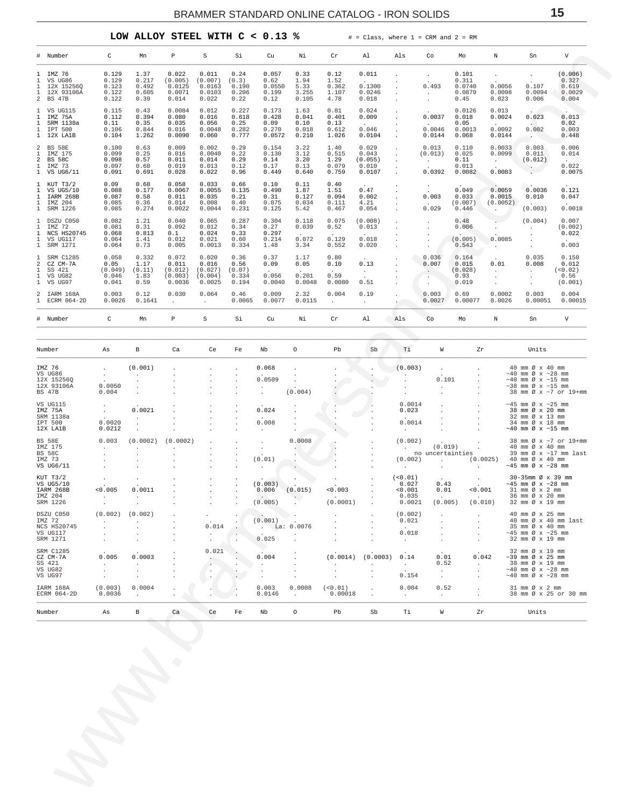LOW ALLOY STEEL WITH  $C < 0.13$  %

 $#$  = Class, where 1 = CRM and 2 = RM

<span id="page-14-0"></span>

|                                                              | # Number                                            | $\mathtt{C}$                     | Mn                              | P                                    | $\mathtt S$                          | Si                              | Cu                               | Νi                             | $\operatorname{\sf Cr}$        | Al                                    | Als             | Co                          | Mo                                 | $\, {\rm N}$                 | Sn                                                                                               | $\mathbf{V}$                               |
|--------------------------------------------------------------|-----------------------------------------------------|----------------------------------|---------------------------------|--------------------------------------|--------------------------------------|---------------------------------|----------------------------------|--------------------------------|--------------------------------|---------------------------------------|-----------------|-----------------------------|------------------------------------|------------------------------|--------------------------------------------------------------------------------------------------|--------------------------------------------|
| $\mathbf{1}$<br>$\mathbf{1}$<br>1<br>$\mathbf{1}$            | IMZ 76<br>VS UG86<br>12X 15256Q<br>12X 93106A       | 0.129<br>0.129<br>0.123<br>0.122 | 1.37<br>0.217<br>0.492<br>0.605 | 0.022<br>(0.005)<br>0.0125<br>0.0071 | 0.011<br>(0.007)<br>0.0163<br>0.0103 | 0.24<br>(0.3)<br>0.190<br>0.206 | 0.057<br>0.62<br>0.0550<br>0.199 | 0.33<br>1.94<br>5.33<br>3.255  | 0.12<br>1.52<br>0.362<br>1.107 | 0.011<br>0.1300<br>0.0246             |                 | $\sim$<br>0.493             | 0.101<br>0.311<br>0.0740<br>0.0879 | 0.0056<br>0.0098             | $\overline{a}$<br>0.107<br>0.0094                                                                | (0.006)<br>0.327<br>0.619<br>0.0029        |
| $\overline{a}$                                               | BS 47B                                              | 0.122                            | 0.39                            | 0.014                                | 0.022                                | 0.22                            | 0.12                             | 0.105                          | 4.78                           | 0.018                                 |                 |                             | 0.45                               | 0.023                        | 0.006                                                                                            | 0.004                                      |
| $\mathbf{1}$<br>$\mathbf{1}$<br>$\mathbf{1}$<br>$\mathbf{1}$ | VS UG115<br>IMZ 75A<br>SRM 1138a<br>IPT 500         | 0.115<br>0.112<br>0.11<br>0.106  | 0.43<br>0.394<br>0.35<br>0.844  | 0.0084<br>0.080<br>0.035<br>0.016    | 0.012<br>0.016<br>0.056<br>0.0048    | 0.227<br>0.618<br>0.25<br>0.282 | 0.173<br>0.428<br>0.09<br>0.270  | 1.63<br>0.041<br>0.10<br>0.018 | 0.81<br>0.401<br>0.13<br>0.612 | 0.024<br>0.009<br>$\sim$ $-$<br>0.046 |                 | 0.0037<br>0.0046            | 0.0126<br>0.018<br>0.05<br>0.0013  | 0.013<br>0.0024<br>0.0092    | 0.023<br><b>Contract Contract</b><br>0.002                                                       | 0.013<br>0.02<br>0.003                     |
|                                                              | 1 12X LA1B                                          | 0.104                            | 1.262                           | 0.0090                               | 0.060                                | 0.777                           | 0.0572                           | 0.210                          | 1.026                          | 0.0104                                |                 | 0.0144                      | 0.068                              | 0.0144                       |                                                                                                  | 0.448                                      |
| 2<br>$\mathbf{1}$<br>$\overline{a}$<br>$\mathbf{1}$          | <b>BS 58E</b><br>IMZ 175<br><b>BS 58C</b><br>IMZ 73 | 0.100<br>0.099<br>0.098<br>0.097 | 0.63<br>0.25<br>0.57<br>0.68    | 0.009<br>0.016<br>0.011<br>0.019     | 0.002<br>0.0040<br>0.014<br>0.013    | 0.29<br>0.22<br>0.29<br>0.12    | 0.154<br>0.130<br>0.14<br>0.17   | 3.22<br>3.12<br>3.20<br>0.13   | 1.40<br>0.515<br>1.29<br>0.079 | 0.029<br>0.043<br>(0.055)<br>0.010    |                 | 0.013<br>(0.013)<br>$\sim$  | 0.110<br>0.025<br>0.11<br>0.013    | 0.0033<br>0.0099<br>$\sim$   | 0.003<br>0.011<br>(0.012)                                                                        | 0.006<br>0.014<br>$\sim 10^{-11}$<br>0.022 |
| $\mathbf{1}$                                                 | VS UG6/11                                           | 0.091                            | 0.691                           | 0.028                                | 0.022                                | 0.96                            | 0.449                            | 0.640                          | 0.759                          | 0.0107                                |                 | 0.0392                      | 0.0082                             | 0.0083                       |                                                                                                  | 0.0075                                     |
| $\mathbf{1}$<br>$\mathbf{1}$<br>$\mathbf{1}$<br>$\mathbf{1}$ | KUT T3/2<br>VS UG5/10<br>IARM 268B<br>IMZ 204       | 0.09<br>0.088<br>0.087<br>0.085  | 0.60<br>0.177<br>0.58<br>0.36   | 0.058<br>0.0067<br>0.011<br>0.014    | 0.033<br>0.0055<br>0.035<br>0.008    | 0.66<br>0.135<br>0.21<br>0.40   | 0.10<br>0.490<br>0.31<br>0.075   | 0.11<br>1.87<br>0.127<br>0.034 | 0.40<br>1.51<br>0.094<br>0.111 | 0.47<br>0.002<br>4.21                 |                 | 0.003                       | 0.049<br>0.033<br>(0.007)          | 0.0059<br>0.0015<br>(0.0052) | 0.0036<br>0.010<br><b>Contract</b>                                                               | 0.121<br>0.047                             |
| $\mathbf{1}$                                                 | SRM 1226                                            | 0.085                            | 0.274                           | 0.0022                               | 0.0044                               | 0.231                           | 0.125                            | 5.42                           | 0.467                          | 0.054                                 |                 | 0.029                       | 0.446                              |                              | (0.003)                                                                                          | 0.0018                                     |
| $\mathbf{1}$<br>$\mathbf{1}$<br>$\mathbf{1}$                 | DSZU C050<br>IMZ 72<br>NCS HS20745                  | 0.082<br>0.081<br>0.068          | 1.21<br>0.31<br>0.813           | 0.040<br>0.092<br>0.1                | 0.065<br>0.012<br>0.024              | 0.287<br>0.34<br>0.33           | 0.304<br>0.27<br>0.297           | 0.118<br>0.039                 | 0.075<br>0.52<br>$\sim$        | (0.008)<br>0.013                      |                 |                             | 0.48<br>0.006                      |                              | (0.004)                                                                                          | 0.007<br>(0.002)<br>0.022                  |
| $\mathbf{1}$<br>$\mathbf{1}$                                 | VS UG117<br>SRM 1271                                | 0.064<br>0.064                   | 1.41<br>0.73                    | 0.012<br>0.005                       | 0.021<br>0.0013                      | 0.60<br>0.334                   | 0.214<br>1.48                    | 0.072<br>3.34                  | 0.129<br>0.552                 | 0.018<br>0.020                        |                 |                             | (0.005)<br>0.543                   | 0.0085                       |                                                                                                  | 0.003                                      |
| $\mathbf{1}$<br>$\overline{a}$<br>$\mathbf{1}$               | <b>SRM C1285</b><br>CZ CM-7A<br>SS 421              | 0.058<br>0.05<br>(0.049)         | 0.332<br>1.17<br>(0.11)         | 0.072<br>0.011<br>(0.012)            | 0.020<br>0.016<br>(0.027)            | 0.36<br>0.56<br>(0.07)          | 0.37<br>0.09                     | 1.17<br>0.05                   | 0.80<br>0.10                   | 0.13                                  |                 | 0.036<br>0.007              | 0.164<br>0.015<br>(0.028)          | 0.01                         | 0.035<br>0.008                                                                                   | 0.150<br>0.012<br>(< 0.02)                 |
| $\mathbf{1}$<br>$\mathbf{1}$                                 | VS UG82<br>VS UG97                                  | 0.046<br>0.041                   | 1.83<br>0.59                    | (0.003)<br>0.0036                    | (0.004)<br>0.0025                    | 0.334<br>0.194                  | 0.056<br>0.0040                  | 0.201<br>0.0048                | 0.59<br>0.0080                 | $\sim$<br>0.51                        |                 | $\sim$ $-$                  | 0.93<br>0.019                      | $\sim$                       | $\sim$<br>$\cdot$                                                                                | 0.56<br>(0.001)                            |
| $\mathbf{1}$                                                 | 2 IARM 168A<br>ECRM 064-2D                          | 0.003<br>0.0026                  | 0.12<br>0.1641                  | 0.030                                | 0.064<br>$\sim$                      | 0.46<br>0.0065                  | 0.009<br>0.0077                  | 2.32<br>0.0115                 | 0.004<br>$\ddot{\phantom{0}}$  | 0.19<br>$\cdot$                       |                 | 0.003<br>0.0027             | 0.69<br>0.00077                    | 0.0002<br>0.0026             | 0.003<br>0.00051                                                                                 | 0.004<br>0.00015                           |
|                                                              | # Number                                            | $\mathtt{C}$                     | Mn                              | $\mathbf{P}$                         | $\rm S$                              | Si                              | Cu                               | Νi                             | Cr                             | Al                                    | Als             | Co                          | Mo                                 | $\mathbb N$                  | Sn                                                                                               | $\boldsymbol{\mathrm{V}}$                  |
|                                                              |                                                     |                                  |                                 |                                      |                                      |                                 |                                  |                                |                                |                                       |                 |                             |                                    |                              |                                                                                                  |                                            |
|                                                              | Number                                              | As                               | B                               | Ca                                   | Ce                                   | Fe                              | Nb                               | $\circ$                        | Pb                             | Sb                                    | Тi              | W                           | Zr                                 |                              | Units                                                                                            |                                            |
|                                                              | IMZ 76                                              | $\sim$                           | (0.001)                         |                                      |                                      |                                 | 0.068                            |                                |                                |                                       | (0.003)         |                             |                                    |                              | 40 mm Ø x 40 mm                                                                                  |                                            |
|                                                              | VS UG86<br>12X 15256Q                               | $\frac{1}{2}$                    |                                 |                                      |                                      |                                 | 0.0509                           |                                |                                |                                       |                 | 0.101                       |                                    |                              | $\sim$ 40 mm Ø x $\sim$ 28 mm<br>$~\sim$ 40 mm Ø x $~\sim$ 15 mm                                 |                                            |
|                                                              | 12X 93106A<br>BS 47B                                | 0.0050<br>0.004                  |                                 |                                      |                                      |                                 |                                  | (0.004)                        |                                |                                       |                 |                             |                                    |                              | $\sim$ 38 mm Ø x $\sim$ 15 mm<br>38 mm Ø x ~7 or 19+mm                                           |                                            |
|                                                              | VS UG115<br>IMZ 75A                                 |                                  | 0.0021                          |                                      |                                      |                                 | 0.024                            |                                |                                |                                       | 0.0014<br>0.023 |                             |                                    |                              | $\sim$ 45 mm Ø x $\sim$ 25 mm<br>38 mm Ø x 20 mm                                                 |                                            |
|                                                              | SRM 1138a                                           |                                  |                                 |                                      |                                      |                                 |                                  |                                |                                |                                       |                 |                             |                                    |                              | 32 mm Ø x 13 mm                                                                                  |                                            |
|                                                              | IPT 500<br>12X LA1B                                 | 0.0020<br>0.0212                 |                                 |                                      |                                      |                                 | 0.008                            |                                |                                |                                       | 0.0014          |                             |                                    |                              | 34 mm Ø x 18 mm<br>$~10$ mm Ø x $~15$ mm                                                         |                                            |
|                                                              |                                                     | 0.003                            | (0.0002)                        |                                      |                                      |                                 |                                  | 0.0008                         |                                |                                       | (0.002)         |                             |                                    |                              | 38 mm Ø x ~7 or 19+mm                                                                            |                                            |
|                                                              | BS 58E<br>IMZ 175<br>DC 52C                         | $\sim 10^{-11}$                  |                                 | (0.0002)                             |                                      |                                 |                                  |                                |                                |                                       |                 | (0.019)<br>no ungertainties |                                    |                              | 40 mm Ø x 40 mm<br>$20 \, \text{mm}$ $\alpha \, \text{v}$ $\sim 17 \, \text{mm}$ $1 \, \text{m}$ |                                            |

| Number                                                     | As                                                                              | B                                 | Ca                           | Ce                                                         | Fe                                         | Nb                                                  | $\circ$                                                 | Pb                            | Sb                      | Ti                                                | W                                                                    | Zr                                                                           | Units                                                                                                                          |
|------------------------------------------------------------|---------------------------------------------------------------------------------|-----------------------------------|------------------------------|------------------------------------------------------------|--------------------------------------------|-----------------------------------------------------|---------------------------------------------------------|-------------------------------|-------------------------|---------------------------------------------------|----------------------------------------------------------------------|------------------------------------------------------------------------------|--------------------------------------------------------------------------------------------------------------------------------|
| IARM 168A<br>ECRM 064-2D                                   | (0.003)<br>0.0036                                                               | 0.0004                            |                              |                                                            |                                            | 0.003<br>0.0146                                     | 0.0008<br>$\sim$                                        | (0.01)<br>0.00018             | $\cdot$                 | 0.004<br>$\ddot{\phantom{0}}$                     | 0.52<br>$\ddot{\phantom{0}}$                                         | $\mathbf{r}$<br>$\mathbf{r}$                                                 | 31 mm Ø x 2 mm<br>38 mm Ø x 25 or 30 mm                                                                                        |
| SRM C1285<br>CZ CM-7A<br>SS 421<br>VS UG82<br>VS UG97      | $\sim$<br>0.005<br>$\ddot{\phantom{0}}$<br>$\mathbf{r}$                         | $\cdot$<br>0.0003<br>$\mathbf{r}$ | $\mathbf{r}$                 | 0.021<br>$\ddot{\phantom{0}}$                              |                                            | 0.004                                               |                                                         | (0.0014)                      | (0.0003)                | $\ddot{\phantom{0}}$<br>0.14<br>$\cdot$<br>0.154  | $\ddot{\phantom{0}}$<br>0.01<br>0.52<br>$\mathbf{r}$<br>$\mathbf{r}$ | $\ddot{\phantom{0}}$<br>0.042<br>$\sim$<br>$\mathbf{r}$<br>$\sim$            | 32 mm Ø x 19 mm<br>$\sim$ 39 mm Ø x 25 mm<br>38 mm Ø x 19 mm<br>$\sim$ 40 mm Ø x $\sim$ 28 mm<br>$\sim$ 40 mm Ø x $\sim$ 28 mm |
| DSZU C050<br>IMZ 72<br>NCS HS20745<br>VS UG117<br>SRM 1271 | (0.002)<br>$\mathbf{r}$                                                         | (0.002)                           | $\mathbf{r}$<br>$\mathbf{r}$ | $\overline{a}$<br>$\cdot$<br>0.014<br>$\ddot{\phantom{0}}$ | $\cdot$<br>$\ddot{\phantom{a}}$<br>$\cdot$ | $\cdot$ .<br>(0.001)<br>$.La$ :<br>$\cdot$<br>0.025 | 0.0076<br>$\ddot{\phantom{0}}$                          |                               | $\cdot$                 | (0.002)<br>0.021<br><b>All Contracts</b><br>0.018 | $\mathbf{r}$<br>$\lambda$<br>$\mathbf{r}$<br>$\ddot{\phantom{0}}$    | $\mathbf{r}$<br>$\mathbf{r}$<br>$\mathbf{r}$<br>$\mathbf{r}$<br>$\mathbf{r}$ | 40 mm Ø x 25 mm<br>40 mm Ø x 40 mm last<br>35 mm Ø x 40 mm<br>$\sim$ 45 mm Ø x $\sim$ 25 mm<br>32 mm Ø x 19 mm                 |
| KUT T3/2<br>VS UG5/10<br>IARM 268B<br>IMZ 204<br>SRM 1226  | $\ddot{\phantom{1}}$<br>$\ddot{\phantom{0}}$<br>< 0.005<br>$\ddot{\phantom{0}}$ | $\cdot$<br>0.0011<br>$\mathbf{r}$ |                              |                                                            | $\cdot$<br>$\mathbf{r}$                    | (0.003)<br>0.006<br>$\sim$ $\sim$<br>(0.005)        | $\ddot{\phantom{0}}$<br>$\ddot{\phantom{0}}$<br>(0.015) | < 0.003<br>$\sim$<br>(0.0001) | $\cdot$<br>$\mathbf{r}$ | $(0.01)$<br>0.027<br>< 0.001<br>0.035<br>0.0021   | $\sim$<br>0.43<br>0.01<br>$\ddot{\phantom{0}}$<br>(0.005)            | $\mathbf{r}$<br>$\sim$<br>< 0.001<br>$\sim$<br>(0.010)                       | 30-35mm Ø x 39 mm<br>$\sim$ 45 mm Ø x $\sim$ 28 mm<br>31 mm Ø x 2 mm<br>36 mm Ø x 20 mm<br>32 mm Ø x 19 mm                     |
| IMZ 175<br><b>BS 58C</b><br>IMZ 73<br>VS UG6/11            | $\ddot{\phantom{a}}$<br>$\cdot$<br>$\ddot{\phantom{a}}$                         |                                   | $\mathbf{r}$                 | $\sim$                                                     | $\mathbf{r}$                               | (0.01)                                              |                                                         |                               | $\mathbf{r}$            | $\mathbf{r}$<br>(0.002)                           | (0.019)<br>no uncertainties<br>$\mathbf{r}$                          | (0.0025)<br>$\sim$                                                           | 40 mm $\varnothing \times 40$ mm<br>39 mm $\varnothing$ x ~17 mm last<br>40 mm Ø x 40 mm<br>$\sim$ 45 mm Ø x $\sim$ 28 mm      |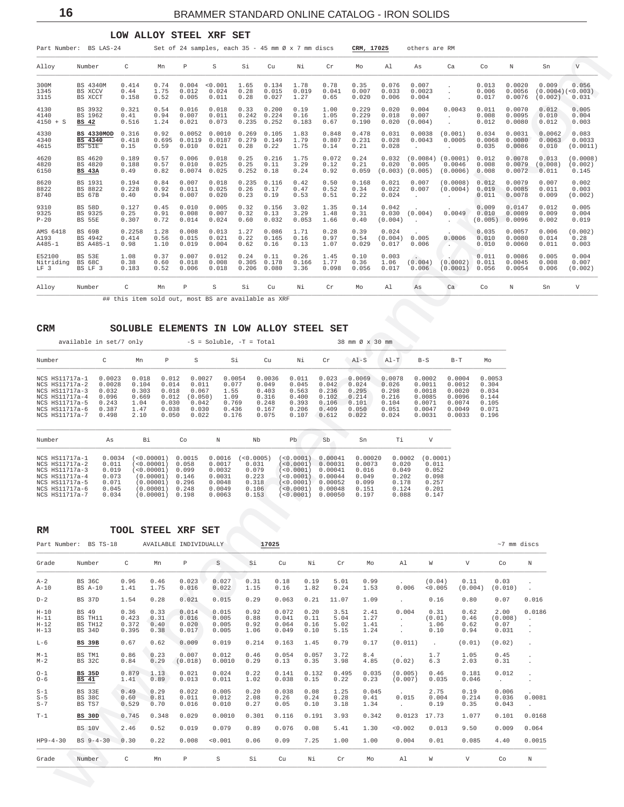#### LOW ALLOY STEEL XRF SET

<span id="page-15-0"></span>

| Part Number:                           | BS LAS-24                              |                                                     |                       |                           | Set of 24 samples, each $35 - 45$ mm $\emptyset \times 7$ mm discs |                        |                         |                       |                        | CRM, 17025              |                           | others are RM                               |                                           |                           |                            |                                      |                              |
|----------------------------------------|----------------------------------------|-----------------------------------------------------|-----------------------|---------------------------|--------------------------------------------------------------------|------------------------|-------------------------|-----------------------|------------------------|-------------------------|---------------------------|---------------------------------------------|-------------------------------------------|---------------------------|----------------------------|--------------------------------------|------------------------------|
| Alloy                                  | Number                                 | C                                                   | Mn                    | $\, {\mathbb P}$          | S                                                                  | Si                     | Cu                      | Νi                    | $\operatorname{Cr}$    | Mo                      | Al                        | As                                          | Ca                                        | Co                        | N                          | Sn                                   | V                            |
| 300M<br>1345<br>3115                   | BS 4340M<br>BS XCCV<br>BS XCCT         | 0.414<br>0.44<br>0.158                              | 0.74<br>1.75<br>0.52  | 0.004<br>0.012<br>0.005   | < 0.001<br>0.024<br>0.011                                          | 1.65<br>0.28<br>0.28   | 0.134<br>0.015<br>0.027 | 1.78<br>0.019<br>1.27 | 0.78<br>0.041<br>0.65  | 0.35<br>0.007<br>0.020  | 0.076<br>0.033<br>0.006   | 0.007<br>0.0023<br>0.004                    |                                           | 0.013<br>0.006<br>0.017   | 0.0020<br>0.0056<br>0.0076 | 0.009<br>(0.0004)(<0.003)<br>(0.002) | 0.056<br>0.031               |
| 4130<br>4140<br>$4150 + S$             | BS 3932<br>BS 1962<br>BS 42            | 0.321<br>0.41<br>0.516                              | 0.54<br>0.94<br>1.24  | 0.016<br>0.007<br>0.021   | 0.018<br>0.011<br>0.073                                            | 0.33<br>0.242<br>0.235 | 0.200<br>0.224<br>0.252 | 0.19<br>0.16<br>0.183 | 1.00<br>1.05<br>0.67   | 0.229<br>0.229<br>0.190 | 0.020<br>0.018<br>0.020   | 0.004<br>0.007<br>(0.004)                   | 0.0043<br>$\ddot{\phantom{0}}$            | 0.011<br>0.008<br>0.012   | 0.0070<br>0.0095<br>0.0080 | 0.012<br>0.010<br>0.012              | 0.005<br>0.004<br>0.003      |
| 4330<br>4340<br>4615                   | BS 4330MOD<br><b>BS</b> 4340<br>BS 51E | 0.316<br>0.418<br>0.15                              | 0.92<br>0.695<br>0.59 | 0.0052<br>0.0119<br>0.010 | 0.0010<br>0.0187<br>0.021                                          | 0.269<br>0.279<br>0.28 | 0.105<br>0.149<br>0.22  | 1.83<br>1.79<br>1.75  | 0.848<br>0.807<br>0.14 | 0.478<br>0.231<br>0.21  | 0.031<br>0.028<br>0.028   | 0.0038<br>0.0043<br>$\cdot$                 | (0.001)<br>0.0005<br>$\ddot{\phantom{0}}$ | 0.034<br>0.0068<br>0.035  | 0.0031<br>0.0080<br>0.0086 | 0.0062<br>0.0063<br>0.010            | 0.083<br>0.0033<br>(0.0011)  |
| 4620<br>4820<br>6150                   | BS 4620<br>BS 4820<br><b>BS 43A</b>    | 0.189<br>0.188<br>0.49                              | 0.57<br>0.57<br>0.82  | 0.006<br>0.010<br>0.0074  | 0.018<br>0.025<br>0.025                                            | 0.25<br>0.25<br>0.252  | 0.216<br>0.11<br>0.18   | 1.75<br>3.29<br>0.24  | 0.072<br>0.12<br>0.92  | 0.24<br>0.21<br>0.059   | 0.032<br>0.020<br>(0.003) | $(0.0084)$ $(0.0001)$<br>0.005<br>(0.005)   | 0.0046<br>(0.0006)                        | 0.012<br>0.008<br>0.008   | 0.0078<br>0.0079<br>0.0072 | 0.013<br>(0.008)<br>0.011            | (0.0008)<br>(0.002)<br>0.145 |
| 8620<br>8822<br>8740                   | BS 1931<br>BS 8822<br>BS 67B           | 0.194<br>0.228<br>0.40                              | 0.84<br>0.92<br>0.94  | 0.007<br>0.011<br>0.007   | 0.018<br>0.025<br>0.020                                            | 0.235<br>0.26<br>0.23  | 0.116<br>0.17<br>0.19   | 0.42<br>0.47<br>0.53  | 0.50<br>0.52<br>0.51   | 0.168<br>0.34<br>0.22   | 0.021<br>0.022<br>0.024   | 0.007<br>0.007<br>$\cdot$                   | (0.0008)<br>(0.0004)                      | 0.012<br>0.019<br>0.011   | 0.0079<br>0.0085<br>0.0078 | 0.007<br>0.011<br>0.009              | 0.002<br>0.003<br>(0.002)    |
| 9310<br>9325<br>$P-20$                 | BS 58D<br>BS 9325<br><b>BS 55E</b>     | 0.127<br>0.25<br>0.307                              | 0.45<br>0.91<br>0.72  | 0.010<br>0.008<br>0.014   | 0.005<br>0.007<br>0.024                                            | 0.32<br>0.32<br>0.60   | 0.156<br>0.13<br>0.032  | 3.02<br>3.29<br>0.053 | 1.35<br>1.48<br>1.66   | 0.14<br>0.31<br>0.40    | 0.042<br>0.030<br>(0.004) | (0.004)<br>$\ddot{\phantom{a}}$             | 0.0049                                    | 0.009<br>0.010<br>(0.005) | 0.0147<br>0.0089<br>0.0096 | 0.012<br>0.009<br>0.002              | 0.005<br>0.004<br>0.019      |
| AMS 6418<br>A193<br>$A485 - 1$         | BS 69B<br>BS 4942<br>BS A485-1         | 0.2258<br>0.414<br>0.98                             | 1.28<br>0.56<br>1.10  | 0.008<br>0.015<br>0.019   | 0.013<br>0.021<br>0.004                                            | 1.27<br>0.22<br>0.62   | 0.086<br>0.165<br>0.16  | 1.71<br>0.16<br>0.13  | 0.28<br>0.97<br>1.07   | 0.39<br>0.54<br>0.029   | 0.024<br>(0.004)<br>0.017 | 0.005<br>0.006                              | 0.0006<br>٠.                              | 0.035<br>0.010<br>0.010   | 0.0057<br>0.0080<br>0.0060 | 0.006<br>0.014<br>0.011              | (0.002)<br>0.28<br>0.003     |
| E52100<br>Nitriding<br>LF <sub>3</sub> | BS 53E<br><b>BS 68C</b><br>BS LF 3     | 1.08<br>0.38<br>0.183                               | 0.37<br>0.60<br>0.52  | 0.007<br>0.018<br>0.006   | 0.012<br>0.008<br>0.018                                            | 0.24<br>0.305<br>0.206 | 0.11<br>0.178<br>0.080  | 0.26<br>0.166<br>3.36 | 1.45<br>1.77<br>0.098  | 0.10<br>0.36<br>0.056   | 0.003<br>1.06<br>0.017    | $\langle \cdot \rangle$<br>(0.004)<br>0.006 | (0.0002)<br>(0.0001)                      | 0.011<br>0.011<br>0.056   | 0.0086<br>0.0045<br>0.0054 | 0.005<br>0.008<br>0.006              | 0.004<br>0.007<br>(0.002)    |
| Alloy                                  | Number                                 | C                                                   | Mn                    | P                         | S                                                                  | Si                     | Cu                      | Νi                    | $\operatorname{Cr}$    | Mo                      | Al                        | As                                          | Ca                                        | Co                        | $\mathbb N$                | Sn                                   | V                            |
|                                        |                                        | ## this item sold out, most BS are available as XRF |                       |                           |                                                                    |                        |                         |                       |                        |                         |                           |                                             |                                           |                           |                            |                                      |                              |

## CRM SOLUBLE ELEMENTS IN LOW ALLOY STEEL SET

| available in set/7 only                                                                                                    |                                                               |                                                          |                                                             |                                                                | $-S = Soluble, -T = Total$                                 |                                                              |                                                             |                                                             | 38 mm Ø x 30 mm                                              |                                                              |                                                                    |                                                                    |                                                             |
|----------------------------------------------------------------------------------------------------------------------------|---------------------------------------------------------------|----------------------------------------------------------|-------------------------------------------------------------|----------------------------------------------------------------|------------------------------------------------------------|--------------------------------------------------------------|-------------------------------------------------------------|-------------------------------------------------------------|--------------------------------------------------------------|--------------------------------------------------------------|--------------------------------------------------------------------|--------------------------------------------------------------------|-------------------------------------------------------------|
| Number                                                                                                                     | C                                                             | Mn                                                       | P                                                           | S                                                              | Si                                                         | Cu                                                           | Νi                                                          | Cr                                                          | $AI-S$                                                       | $A1-T$                                                       | $B-S$                                                              | $B-T$                                                              | Mo                                                          |
| NCS HS11717a-1<br>NCS HS11717a-2<br>NCS HS11717a-3<br>NCS HS11717a-4<br>NCS HS11717a-5<br>NCS HS11717a-6<br>NCS HS11717a-7 | 0.0023<br>0.0028<br>0.032<br>0.096<br>0.243<br>0.387<br>0.498 | 0.018<br>0.104<br>0.303<br>0.669<br>1.04<br>1.47<br>2.10 | 0.012<br>0.014<br>0.018<br>0.012<br>0.030<br>0.038<br>0.050 | 0.0027<br>0.011<br>0.067<br>(0.050)<br>0.042<br>0.030<br>0.022 | 0.0054<br>0.077<br>1.55<br>1.09<br>0.769<br>0.436<br>0.176 | 0.0036<br>0.049<br>0.403<br>0.316<br>0.248<br>0.167<br>0.075 | 0.011<br>0.045<br>0.563<br>0.400<br>0.393<br>0.206<br>0.107 | 0.023<br>0.042<br>0.236<br>0.102<br>0.106<br>0.409<br>0.612 | 0.0069<br>0.024<br>0.295<br>0.214<br>0.101<br>0.050<br>0.022 | 0.0078<br>0.026<br>0.298<br>0.216<br>0.104<br>0.051<br>0.024 | 0.0002<br>0.0011<br>0.0018<br>0.0085<br>0.0071<br>0.0047<br>0.0031 | 0.0004<br>0.0012<br>0.0020<br>0.0096<br>0.0074<br>0.0049<br>0.0033 | 0.005<br>0.304<br>0.034<br>0.144<br>0.105<br>0.071<br>0.196 |

| Number         | As     | Вi                | Co     |        | Nb        | Pb.                      | .sb     | Sn      | Τi     |          |
|----------------|--------|-------------------|--------|--------|-----------|--------------------------|---------|---------|--------|----------|
| NCS HS11717a-1 | 0.0034 | ( < 0.00001 )     | 0.0015 | 0.0016 | (<0.0005) | ( < 0.0001 )             | 0.00041 | 0.00020 | 0.0002 | (0.0001) |
| NCS HS11717a-2 | 0.011  | (<0.00001)        | 0.058  | 0.0017 | 0.031     | (<0.0001)                | 0.00031 | 0.0073  | 0.020  | 0.011    |
| NCS HS11717a-3 | 0.019  | (<0.00001)        | 0.099  | 0.0032 | 0.079     | (< 0.0001)               | 0.00041 | 0.016   | 0.049  | 0.052    |
| NCS HS11717a-4 | 0.073  | $(0.00001)$ 0.146 |        | 0.0031 | 0.223     | ( < 0.0001 ) 0.00044     |         | 0.049   | 0.202  | 0.098    |
| NCS HS11717a-5 | 0.071  | $(0.00001)$ 0.296 |        | 0.0048 | 0.318     | (<0.0001)        0.00052 |         | 0.099   | 0.178  | 0.257    |
| NCS HS11717a-6 | 0.045  | (0.00001)         | 0.248  | 0.0049 | 0.106     | $< 0.0001$ )             | 0.00048 | 0.151   | 0.124  | 0.201    |
| NCS HS11717a-7 | 0.034  | (0.00001)         | 0.198  | 0.0063 | 0.153     | (50.0001)                | 0.00050 | 0.197   | 0.088  | 0.147    |

| RM                                     |                                                     |                                 |                              | TOOL STEEL XRF SET               |                                  |                              |                                  |                              |                              |                              |                                 |                                |                              |                                  |                                              |
|----------------------------------------|-----------------------------------------------------|---------------------------------|------------------------------|----------------------------------|----------------------------------|------------------------------|----------------------------------|------------------------------|------------------------------|------------------------------|---------------------------------|--------------------------------|------------------------------|----------------------------------|----------------------------------------------|
|                                        | Part Number: BS TS-18                               |                                 |                              | AVAILABLE INDIVIDUALLY           |                                  | 17025                        |                                  |                              |                              |                              |                                 |                                |                              | $~\sim$ 7 mm discs               |                                              |
| Grade                                  | Number                                              | C                               | Mn                           | P                                | S                                | Si                           | Cu                               | Νi                           | Cr                           | Mo                           | A1                              | W                              | V                            | Co                               | N                                            |
| $A-2$<br>$A-10$                        | <b>BS 36C</b><br><b>BS A-10</b>                     | 0.96<br>1.41                    | 0.46<br>1.75                 | 0.023<br>0.016                   | 0.027<br>0.022                   | 0.31<br>1.15                 | 0.18<br>0.16                     | 0.19<br>1.82                 | 5.01<br>0.24                 | 0.99<br>1.53                 | $\sim$<br>0.006                 | (0.04)<br>< 0.005              | 0.11<br>(0.004)              | 0.03<br>(0.010)                  | $\ddot{\phantom{a}}$                         |
| $D-2$                                  | BS 37D                                              | 1.54                            | 0.28                         | 0.021                            | 0.015                            | 0.29                         | 0.063                            | 0.21                         | 11.07                        | 1.09                         | $\sim$                          | 0.16                           | 0.80                         | 0.07                             | 0.016                                        |
| $H-10$<br>$H-11$<br>$H-12$<br>$H - 13$ | <b>BS 49</b><br>BS TH11<br>BS TH12<br><b>BS 34D</b> | 0.36<br>0.423<br>0.372<br>0.395 | 0.33<br>0.31<br>0.40<br>0.38 | 0.014<br>0.016<br>0.020<br>0.017 | 0.015<br>0.005<br>0.005<br>0.005 | 0.92<br>0.88<br>0.92<br>1.06 | 0.072<br>0.041<br>0.064<br>0.049 | 0.20<br>0.11<br>0.16<br>0.10 | 3.51<br>5.04<br>5.02<br>5.15 | 2.41<br>1.27<br>1.41<br>1.24 | 0.004<br>$\sim$<br>$\mathbf{r}$ | 0.31<br>(0.01)<br>1.06<br>0.10 | 0.62<br>0.46<br>0.62<br>0.94 | 2.00<br>(0.008)<br>0.07<br>0.031 | 0.0186<br>$\sim$<br>$\ddot{\phantom{a}}$     |
| $L-6$                                  | <b>BS 39B</b>                                       | 0.67                            | 0.62                         | 0.009                            | 0.019                            | 0.214                        | 0.163                            | 1.45                         | 0.79                         | 0.17                         | (0.011)                         | $\sim$                         | (0.01)                       | (0.02)                           | $\ddot{\phantom{a}}$                         |
| $M-1$<br>$M-2$                         | BS TM1<br><b>BS 32C</b>                             | 0.86<br>0.84                    | 0.23<br>0.29                 | 0.007<br>(0.018)                 | 0.012<br>0.0010                  | 0.46<br>0.29                 | 0.054<br>0.13                    | 0.057<br>0.35                | 3.72<br>3.98                 | 8.4<br>4.85                  | $\sim$ $\sim$<br>(0.02)         | 1.7<br>6.3                     | 1.05<br>2.03                 | 0.45<br>0.31                     | $\ddot{\phantom{a}}$<br>$\ddot{\phantom{a}}$ |
| $O - 1$<br>$O - 6$                     | <b>BS 35D</b><br><b>BS</b> 41                       | 0.879<br>1.41                   | 1.13<br>0.89                 | 0.021<br>0.013                   | 0.024<br>0.011                   | 0.22<br>1.02                 | 0.141<br>0.038                   | 0.132<br>0.15                | 0.495<br>0.22                | 0.035<br>0.23                | (0.005)<br>(0.007)              | 0.46<br>0.035                  | 0.181<br>0.046               | 0.012<br>$\sim 10^{-11}$         | $\ddot{\phantom{a}}$<br>$\cdot$              |
| $S-1$<br>$S-5$<br>$S-7$                | BS 33E<br><b>BS 38C</b><br>BS TS7                   | 0.49<br>0.60<br>0.529           | 0.29<br>0.81<br>0.70         | 0.022<br>0.011<br>0.016          | 0.005<br>0.012<br>0.010          | 0.20<br>2.08<br>0.27         | 0.038<br>0.26<br>0.05            | 0.08<br>0.24<br>0.10         | 1.25<br>0.28<br>3.18         | 0.045<br>0.41<br>1.34        | $\sim$<br>0.015<br>$\sim$       | 2.75<br>0.004<br>0.19          | 0.19<br>0.214<br>0.35        | 0.006<br>0.036<br>0.043          | 0.0081<br>$\cdot$                            |
| $T-1$                                  | BS 30D                                              | 0.745                           | 0.348                        | 0.029                            | 0.0010                           | 0.301                        | 0.116                            | 0.191                        | 3.93                         | 0.342                        | 0.0123                          | 17.73                          | 1.077                        | 0.101                            | 0.0168                                       |
|                                        | BS 10V                                              | 2.46                            | 0.52                         | 0.019                            | 0.079                            | 0.89                         | 0.076                            | 0.08                         | 5.41                         | 1.30                         | < 0.002                         | 0.013                          | 9.50                         | 0.009                            | 0.064                                        |
| $HP9 - 4 - 30$                         | $BS \, 9 - 4 - 30$                                  | 0.30                            | 0.22                         | 0.008                            | < 0.001                          | 0.06                         | 0.09                             | 7.25                         | 1.00                         | 1.00                         | 0.004                           | 0.01                           | 0.085                        | 4.40                             | 0.0015                                       |
| Grade                                  | Number                                              | C                               | Mn                           | P                                | S                                | Si                           | Cu                               | Νi                           | Cr                           | Mo                           | A1                              | W                              | V                            | Co                               | N                                            |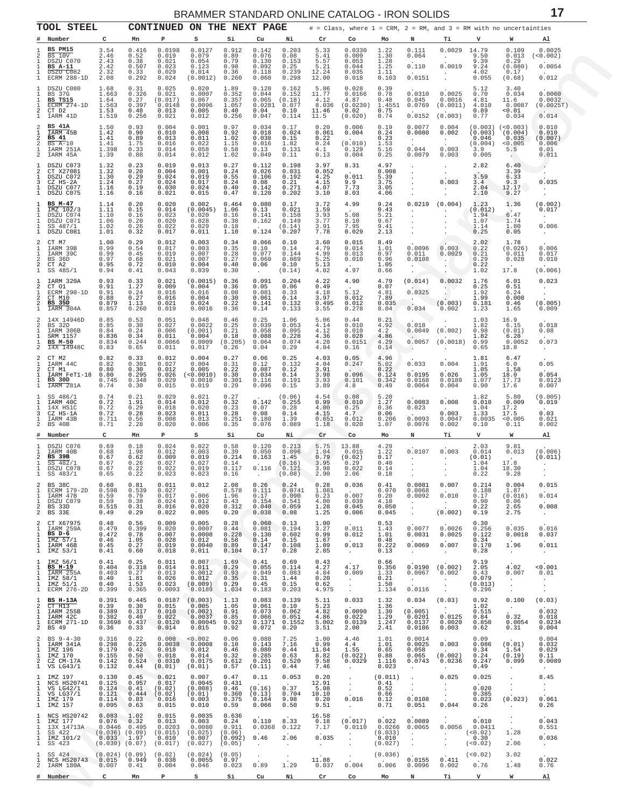<span id="page-16-0"></span>

|                                                               | סטוםטט זוטאוד סטבומער שמבווים טומנומונט אומוזומות<br><b>TOOL STEEL</b><br>CONTINUED ON THE NEXT PAGE<br># = Class, where $1 = \text{CRM}$ , $2 = \text{RM}$ , and $3 = \text{RM}$ with no uncertainties |                                                                                              |                                                 |                                                                   |                                                                 |                                                       |                                                     |                                                          |                                                   |                                                                           |                                                    |                                                                   |                                                                 |                                                   |                                                                    |                                                                           |
|---------------------------------------------------------------|---------------------------------------------------------------------------------------------------------------------------------------------------------------------------------------------------------|----------------------------------------------------------------------------------------------|-------------------------------------------------|-------------------------------------------------------------------|-----------------------------------------------------------------|-------------------------------------------------------|-----------------------------------------------------|----------------------------------------------------------|---------------------------------------------------|---------------------------------------------------------------------------|----------------------------------------------------|-------------------------------------------------------------------|-----------------------------------------------------------------|---------------------------------------------------|--------------------------------------------------------------------|---------------------------------------------------------------------------|
|                                                               | Number                                                                                                                                                                                                  | c                                                                                            | Mn                                              | Р                                                                 | s                                                               | Si                                                    | Cu                                                  | Ni                                                       | Cr                                                | Co                                                                        | Mo                                                 | N                                                                 | Тi                                                              | v                                                 | W                                                                  | Al                                                                        |
| 1.<br>2<br>$\mathbf{1}$<br>1<br>$\mathbf{1}$<br>1             | BS PM15<br>BS 10V<br>DSZU C070<br><b>BS A-11</b><br>DSZU C082<br>ECRM 288-1D                                                                                                                            | 3.54<br>2.46<br>2.43<br>2.42<br>2.32<br>2.08                                                 | 0.416<br>0.52<br>0.38<br>0.507<br>0.33<br>0.292 | 0.0198<br>0.019<br>0.021<br>0.023<br>0.029<br>0.024               | 0.0127<br>0.079<br>0.054<br>0.123<br>0.014<br>(0.0012)          | 0.912<br>0.89<br>0.79<br>0.98<br>0.36<br>0.260        | 0.142<br>0.076<br>0.130<br>0.092<br>0.118<br>0.060  | 0.203<br>0.08<br>0.153<br>0.25<br>0.239<br>0.298         | 5.33<br>5.41<br>5.57<br>5.21<br>12.24<br>12.00    | 0.0330<br>0.009<br>0.053<br>0.044<br>0.035<br>0.018                       | 1.22<br>1.30<br>1.28<br>1.25<br>1.11<br>0.103      | 0.111<br>0.064<br>0.110<br>0.0151                                 | 0.0029<br><b>Contract</b><br>0.0019<br>$\cdot$<br>$\cdot$       | 14.79<br>9.50<br>9.39<br>9.24<br>4.02<br>0.055    | 0.109<br>0.013<br>0.29<br>(0.080)<br>0.17<br>(0.68)                | 0.0025<br>(< 0.002)<br>0.0054<br>0.012                                    |
| 1<br>1<br>1<br>1<br>2<br>$\mathbf{1}$                         | DSZU C080<br>BS 37G<br>BS TS15<br>ECRM $274-1D$<br>CT D2<br>IARM 41D                                                                                                                                    | 1.68<br>1.663<br>1.64<br>1.563<br>1.53<br>1.519                                              | 0.31<br>0.326<br>0.27<br>0.397<br>0.48<br>0.256 | 0.025<br>0.021<br>(0.017)<br>0.0148<br>0.013<br>0.021             | 0.020<br>0.0007<br>0.067<br>0.0096<br>0.005<br>0.012            | 1.89<br>0.352<br>0.357<br>1.057<br>0.40<br>0.256      | 0.120<br>0.044<br>0.065<br>0.0281<br>0.04<br>0.047  | 0.162<br>0.152<br>(0.18)<br>0.077<br>0.10<br>0.114       | 5.06<br>11.77<br>4.12<br>8.036<br>11.46<br>11.5   | 0.028<br>0.0166<br>4.87<br>(0.0230)<br>0.02<br>(0.020)                    | $0.39$<br>$0.78$<br>0.48<br>1.4551<br>0.75<br>0.74 | 0.0310<br>0.045<br>0.0769<br>0.0152                               | 0.0025<br>0.0016<br>(0.0011)<br>(0.003)                         | 5.12<br>0.70<br>4.81<br>4.010<br>0.89<br>0.77     | 3.40<br>0.034<br>11.6<br>0.0087<br>0.01<br>0.034                   | 0.0060<br>0.0032<br>(0.0025T)<br>0.014                                    |
| 2<br>1<br>$\mathfrak{D}$<br>$\overline{2}$<br>1<br>2          | BS 41A<br>IARM 45B<br>BS 41<br>$BS A-10$<br>IARM 251A<br>IARM 45A                                                                                                                                       | 1.50<br>1.42<br>1.41<br>1.41<br>1.398<br>1.39                                                | 0.93<br>0.90<br>0.89<br>1.75<br>0.33<br>0.88    | 0.004<br>0.010<br>0.013<br>0.016<br>0.014<br>0.014                | 0.001<br>0.008<br>0.011<br>0.022<br>0.058<br>0.012              | 0.97<br>0.92<br>1.02<br>1.15<br>0.58<br>1.02          | 0.034<br>0.018<br>0.038<br>0.016<br>0.13<br>0.049   | 0.17<br>0.024<br>0.15<br>1.82<br>0.131<br>0.11           | 0.20<br>0.061<br>0.22<br>0.24<br>4.1<br>0.13      | 0.006<br>0.004<br>(0.010)<br>0.129<br>0.004                               | 0.19<br>0.24<br>0.23<br>1.53<br>5.16<br>0.25       | 0.0077<br>0.0080<br>$\sim$<br>0.044<br>0.0079                     | 0.004<br>0.002<br>$\sim$<br>0.003<br>0.003                      | (0.003)<br>0.046<br>(0.004)<br>3.9<br>0.005       | $(0.003)$ $(<0.003)$<br>(0.004)<br>0.035<br>0.005<br>5.5<br>$\sim$ | 0.010<br>0.010<br>(0.007)<br>0.006<br>0.01<br>0.011                       |
| -1<br>2<br>1<br>3<br>1<br>1                                   | DSZU C073<br>CT X27081<br>DSZU C072<br>CZ HS-2A<br>DSZU C077<br>DSZU C075                                                                                                                               | 1.32<br>1.32<br>1.30<br>1.24<br>1.16<br>1.16                                                 | 0.23<br>0.20<br>0.29<br>0.27<br>0.19<br>0.16    | 0.019<br>0.004<br>0.024<br>0.024<br>0.030<br>0.021                | 0.013<br>0.001<br>0.019<br>0.017<br>0.024<br>0.015              | 0.27<br>0.24<br>0.55<br>0.24<br>0.40<br>0.47          | 0.112<br>0.026<br>0.106<br>0.08<br>0.142<br>0.120   | 0.198<br>0.031<br>0.192<br>0.21<br>0.271<br>0.202        | 3.97<br>0.052<br>4.25<br>4.15<br>4.07<br>3.10     | 8.31<br>0.011<br>9.9<br>7.73<br>8.03                                      | 4.97<br>0.008<br>5.39<br>3.75<br>3.05<br>4.06      | $\cdot$<br>$\cdot$<br>$\cdot$<br>$\cdot$                          | $\sim$<br>0.003<br>$\sim$                                       | 2.82<br>3.59<br>3.4<br>2.04<br>2.10               | 6.40<br>3.39<br>6.33<br>9.3<br>12.17<br>9.27                       | ٠.<br>0.035<br>$\bullet$                                                  |
| 1<br>-1.<br>1<br>1<br>1<br>1                                  | BS M-47<br>IMZ 102/3<br>DSZU C074<br>DSZU C071<br>SS 487/1<br>DSZU C081                                                                                                                                 | 1.14<br>1.11<br>1.10<br>1.06<br>1.02<br>1.01                                                 | 0.20<br>0.15<br>0.16<br>0.20<br>0.26<br>0.32    | 0.020<br>0.014<br>0.023<br>0.020<br>0.022<br>0.017                | 0.002<br>(0.0045)<br>0.020<br>0.028<br>0.029<br>0.011           | 0.464<br>1.06<br>0.16<br>0.38<br>0.18<br>1.10         | 0.080<br>0.13<br>0.141<br>0.162<br>0.124            | 0.17<br>0.021<br>0.158<br>0.149<br>(0.14)<br>0.207       | 3.72<br>1.59<br>3.93<br>3.77<br>3.91<br>7.78      | 4.99<br>5.08<br>8.10<br>7.95<br>0.029                                     | 9.24<br>0.43<br>5.21<br>9.67<br>9.41<br>2.13       | 0.0219<br>$\cdot$<br>$\cdot$<br>$\cdot$<br>$\sim$<br>$\sim$       | (0.004)<br>$\cdot$<br>$\cdot$<br>$\cdot$                        | 1.23<br>(0.012)<br>1.94<br>1.07<br>1.14<br>0.25   | 1.36<br>6.47<br>1.74<br>1.80<br>0.05                               | (0.002)<br>0.017<br>$\sim$<br>0.006<br>$\cdot$                            |
| 2<br>1<br>1<br>$\overline{2}$<br>$\overline{\mathbf{c}}$<br>1 | CT M7<br>IARM 39B<br>IARM 39C<br>BS 36D<br>CT A2<br>SS 485/1                                                                                                                                            | 1.00<br>0.99<br>0.99<br>0.97<br>0.95<br>0.94                                                 | 0.29<br>0.54<br>0.45<br>0.68<br>0.72<br>0.41    | 0.012<br>0.017<br>0.019<br>0.021<br>0.010<br>0.043                | 0.003<br>0.003<br>0.007<br>0.007<br>0.004<br>0.039              | 0.34<br>0.35<br>0.28<br>0.27<br>0.40<br>0.30          | 0.066<br>0.10<br>0.077<br>0.060<br>0.06             | 0.10<br>0.14<br>0.144<br>0.089<br>0.10<br>(0.14)         | 3.60<br>4.79<br>4.99<br>5.25<br>5.13<br>4.02      | 0.015<br>0.014<br>0.013<br>0.010<br>4.97                                  | 8.49<br>1.01<br>0.97<br>0.96<br>1.05<br>0.66       | 0.0096<br>0.011<br>0.0108                                         | 0.003<br>0.0029<br>$\sim$                                       | 2.02<br>0.22<br>0.21<br>0.29<br>0.22<br>1.02      | 1.78<br>(0.026)<br>0.011<br>0.028<br>17.8                          | 0.006<br>0.017<br>0.010<br>(0.006)                                        |
| 1<br>2<br>1<br>2<br>$\overline{\mathbf{c}}$<br>$\mathbf{1}$   | IARM 320A<br>CT 01<br>ECRM $290-1D$<br>CT M10<br><b>BS 35D</b><br>IARM 304A                                                                                                                             | 0.93<br>0.91<br>0.91<br>0.88<br>0.879<br>0.857                                               | 0.33<br>1.27<br>0.24<br>0.27<br>1.13<br>0.260   | 0.021<br>0.009<br>0.016<br>0.016<br>0.021<br>0.019                | (0.0015)<br>0.004<br>0.016<br>0.004<br>0.024<br>0.0016          | 0.36<br>0.36<br>0.08<br>0.30<br>0.22<br>0.36          | 0.091<br>0.05<br>0.081<br>0.061<br>0.141<br>0.14    | 0.204<br>0.06<br>0.33<br>0.14<br>0.132<br>0.133          | 4.22<br>0.49<br>4.18<br>3.97<br>0.495<br>3.55     | 4.90<br>5.12<br>0.012<br>0.012<br>0.278                                   | 4.79<br>0.07<br>4.81<br>7.89<br>0.035<br>8.04      | (0.014)<br>0.0325<br>. <u>. .</u><br>0.034                        | 0.0032<br>. .<br>(0.003)<br>0.002                               | 1.76<br>0.25<br>1.92<br>1.99<br>0.181<br>1.23     | 6.01<br>0.51<br>6.24<br>0.008<br>0.46<br>1.65                      | 0.023<br>$\cdot$<br>(0.005)<br>0.009                                      |
| $\mathfrak{D}$<br>2<br>1<br>1<br>1<br>2                       | 14X 14946D<br>BS 32D<br>IARM 306B<br>SRM 1157<br>BS M-50<br>14X 14948C                                                                                                                                  | 0.85<br>0.85<br>0.84<br>0.836<br>0.834<br>0.83                                               | 0.53<br>0.30<br>0.24<br>0.34<br>0.244<br>0.65   | 0.051<br>0.027<br>0.006<br>0.011<br>0.0066<br>0.011               | 0.048<br>0.0022<br>(0.001)<br>0.004<br>0.0009<br>0.017          | 0.46<br>0.25<br>0.21<br>0.18<br>(0.205)<br>0.26       | 0.25<br>0.039<br>0.058<br>0.088<br>0.064<br>0.04    | 1.06<br>0.053<br>0.095<br>0.228<br>0.074<br>0.29         | 5.06<br>4.14<br>4.12<br>4.36<br>4.28<br>4.04      | 0.44<br>0.010<br>0.010<br>0.028<br>0.0151<br>0.16                         | 0.21<br>4.92<br>4.2<br>4.86<br>4.29<br>0.14        | 0.018<br>0.0049<br>0.0057<br>$\rightarrow$                        | (0.002)<br>(0.0018)                                             | 1.03<br>1.82<br>0.98<br>1.82<br>0.99<br>0.65      | 16.9<br>6.15<br>(0.01)<br>6.28<br>0.0052<br>18.8                   | 0.018<br>0.08<br>0.073<br>$\sim$                                          |
| 2<br>1.<br>2<br>-1.<br>1<br>1                                 | CT M2<br>IARM 44C<br>CT M1<br>IARM FeT1-18<br>BS 30D<br>IARM 281A                                                                                                                                       | 0.82<br>0.82<br>0.80<br>0.80<br>0.745<br>0.74                                                | 0.33<br>0.301<br>0.30<br>0.295<br>0.348<br>0.30 | 0.012<br>0.027<br>0.012<br>0.026<br>0.029<br>0.015                | 0.004<br>0.004<br>0.005<br>(<0.0010)<br>0.0010<br>0.019         | 0.27<br>0.31<br>0.22<br>0.30<br>0.301<br>0.29         | 0.06<br>0.12<br>0.087<br>0.034<br>0.116<br>0.096    | 0.25<br>0.132<br>0.12<br>0.14<br>0.191<br>0.15           | 4.03<br>4.04<br>3.91<br>3.98<br>3.93<br>3.89      | 0.05<br>0.247<br>0.096<br>0.101<br>4.8                                    | 4.96<br>5.02<br>8.22<br>0.124<br>0.342<br>0.49     | 0.033<br>0.0195<br>0.0168<br>0.0064                               | 0.004<br>0.026<br>0.0189<br>0.004                               | 1.81<br>1.91<br>1.05<br>1.05<br>1.077<br>0.90     | 6.47<br>6.0<br>1.58<br>18.0<br>17.73<br>17.6                       | 0.05<br>0.054<br>0.0123<br>0.007                                          |
| 1<br>1<br>1<br>3<br>$\mathbf{1}$<br>$\overline{c}$            | SS 486/1<br>IARM 40C<br>14X HS1C<br>CZ HS-1A<br>IARM 43B<br>BS 40B                                                                                                                                      | 0.74<br>0.72<br>0.72<br>0.72<br>0.711<br>0.71                                                | 0.21<br>1.91<br>0.29<br>0.28<br>0.56<br>2.28    | 0.029<br>0.014<br>0.018<br>0.023<br>0.008<br>0.020                | 0.021<br>0.012<br>0.020<br>0.011<br>0.013<br>0.006              | 0.27<br>0.32<br>0.23<br>0.28<br>0.251<br>0.35         | 0.142<br>0.07<br>0.08<br>0.180<br>0.076             | (0.06)<br>0.255<br>0.28<br>0.14<br>1.39<br>0.089         | 4.54<br>0.99<br>4.00<br>4.15<br>0.651<br>1.18     | 0.08<br>0.010<br>0.25<br>4.7<br>0.012<br>0.020                            | 5.20<br>1.27<br>0.36<br>0.06<br>0.206<br>1.07      | 0.0083<br>0.023<br>0.0093<br>0.0076                               | 0.008<br>0.003<br>0.0047<br>0.002                               | 1.82<br>0.010<br>1.04<br>1.33<br>0.0035<br>0.10   | 5.80<br>0.009<br>17.2<br>17.5<br>< 0.005<br>0.11                   | (0.005)<br>0.019<br>0.03<br>0.021<br>0.002                                |
| #                                                             | Number                                                                                                                                                                                                  | C                                                                                            | Mn                                              | P                                                                 | s                                                               | Si                                                    | Cu                                                  | Ni                                                       | $\operatorname{\sf Cr}$                           | Co                                                                        | Mo                                                 | N                                                                 | Тi                                                              | v                                                 | W                                                                  | Al                                                                        |
| 1<br>1<br>2<br>$\mathbf{1}$<br>1<br>÷.                        | DSZU C076<br>IARM 40B<br><b>BS 39B</b><br>SS 482/1<br>DSZU C078<br>SS 483/1                                                                                                                             | 0.69<br>0.68<br>0.67<br>0.67<br>0.67<br>0.65                                                 | 0.18<br>1.98<br>0.62<br>0.26<br>0.22<br>0.22    | 0.024<br>0.012<br>0.009<br>0.027<br>0.022<br>0.023                | 0.022<br>0.003<br>0.019<br>0.027<br>0.019<br>0.023              | 0.58<br>0.39<br>0.214<br>0.14<br>0.117<br>0.16        | 0.120<br>0.050<br>0.163<br>0.116                    | 0.213<br>0.096<br>1.45<br>(0.16)<br>0.121<br>(0.08)      | 5.75<br>1.04<br>0.79<br>3.95<br>3.98<br>2.90      | 13.88<br>0.015<br>(0.02)<br>0.29<br>0.022<br>2.06                         | 4.29<br>1.22<br>0.17<br>0.40<br>0.14<br>0.18       | 0.0107<br>$\sim$<br>$\cdot$<br>$\sim$                             | 0.003<br>$\cdot$<br>$\cdot$<br>$\ddot{\phantom{1}}$             | 2.03<br>0.014<br>(0.01)<br>1.04<br>1.04<br>0.22   | 9.81<br>0.013<br>17.8<br>18.30<br>9.28                             | (0.006)<br>(0.011)                                                        |
| $\mathfrak{D}$<br>1<br>-1.<br>1.<br>2<br>2                    | <b>BS 38C</b><br>ECRM 179-2D<br>IARM 47B<br>DSZU C079<br>BS 33D<br>BS 33E                                                                                                                               | 0.60<br>0.598<br>0.59<br>0.59<br>0.515<br>0.49                                               | 0.81<br>0.539<br>0.79<br>0.38<br>0.31<br>0.29   | 0.011<br>0.027<br>0.017<br>0.024<br>0.016<br>0.022                | 0.012<br>$\sim$<br>0.006<br>0.012<br>0.020<br>0.005             | 2.08<br>0.578<br>1.96<br>0.43<br>0.312<br>0.20        | 0.26<br>0.111<br>0.17<br>0.154<br>0.040<br>0.038    | 0.24<br>0.0741<br>0.090<br>0.541<br>0.059<br>0.08        | 0.28<br>1.081<br>0.23<br>4.00<br>1.28<br>1.25     | 0.036<br>0.007<br>0.039<br>0.045<br>0.006                                 | 0.41<br>0.070<br>0.20<br>4.10<br>0.050<br>0.045    | 0.0081<br>0.0068<br>0.0092<br>$\sim$<br>$\cdot$<br>$\sim$         | 0.007<br>0.010<br><b>Contract</b><br>(0.002)                    | 0.214<br>0.188<br>0.17<br>0.90<br>0.22<br>0.19    | 0.004<br>1.87<br>(0.016)<br>0.06<br>2.65<br>2.75                   | 0.015<br>0.014<br>0.008<br>$\sim$                                         |
| 2<br>$\mathbf{1}$<br>1<br>-1.<br>1                            | CT X67975<br>IARM 259A<br>BS D-6<br>IMZ 57/1<br>IARM 46B<br>$1$ IMZ 53/1                                                                                                                                | 0.48<br>0.479<br>0.472<br>0.46<br>0.45<br>0.41                                               | 0.56<br>0.399<br>0.78<br>1.05<br>0.27<br>0.60   | 0.009<br>0.020<br>0.007<br>0.028<br>0.019<br>0.018                | 0.005<br>0.0007<br>0.0008<br>0.012<br>0.0040<br>0.011           | 0.28<br>0.44<br>0.228<br>0.58<br>0.89<br>0.104        | 0.060<br>0.081<br>0.130<br>0.14<br>0.147<br>0.17    | 0.13<br>0.194<br>0.602<br>0.15<br>0.108<br>0.28          | 1.00<br>3.27<br>0.99<br>1.67<br>1.09<br>2.85      | 0.011<br>0.012<br>0.013<br>$\sim 10^{-11}$                                | 0.53<br>1.43<br>1.01<br>0.48<br>0.222<br>0.13      | 0.0077<br>0.0031<br>0.0069<br>$\sim$                              | 0.0026<br>0.0025<br>0.007<br>$\sim$                             | 0.30<br>0.256<br>0.122<br>0.34<br>0.170<br>0.28   | 0.035<br>0.0018<br>1.96<br>$\sim 10^{-11}$                         | 0.016<br>0.037<br>0.011<br>$\sim$ 4 $\sim$                                |
| 1<br>1<br>1<br>1<br>1<br>1                                    | IMZ 56/1<br><b>BS H-19</b><br>IARM 255A<br>IMZ 58/1<br>IMZ 51/1<br>ECRM 276-2D                                                                                                                          | 0.41<br>0.404<br>0.403<br>0.40<br>0.40<br>0.399                                              | 0.25<br>0.318<br>0.27<br>1.81<br>1.53<br>0.365  | 0.011<br>0.014<br>0.013<br>0.026<br>0.023<br>0.0093               | 0.007<br>0.011<br>0.0012<br>0.012<br>(0.009)<br>0.0189          | 1.69<br>0.29<br>0.93<br>0.35<br>0.29<br>1.034         | 0.41<br>0.055<br>0.049<br>0.31<br>0.45<br>0.183     | 0.69<br>0.114<br>0.083<br>1.44<br>0.15<br>0.203          | 0.43<br>4.27<br>4.84<br>0.20<br>0.62<br>4.975     | 4.17<br>0.009<br><b>Contract</b><br>$\sim$ $-$<br><b>Contractor</b>       | 0.66<br>0.356<br>1.33<br>0.21<br>1.50<br>1.134     | 0.0067<br>$\sim$ $-$<br>0.0116                                    | $0.0190$ (0.002)<br>0.002<br>$\sim$<br>$\cdot$<br>$\sim$ $\sim$ | 0.19<br>2.05<br>0.43<br>0.079<br>(0.013)<br>0.296 | 4.02<br>0.007<br>$\sim$ $\sim$<br>$\sim$<br>$\sim$                 | < 0.001<br>0.01<br>$\sim$<br>$\ddot{\phantom{a}}$<br>$\ddot{\phantom{0}}$ |
| 1<br>2<br>1<br>1<br>$\mathbf{1}$<br>2                         | BS H-13A<br>$CT$ H13<br>IARM 255B<br>IARM 42C<br>ECRM 271-1D<br>BS 49                                                                                                                                   | 0.391<br>0.39<br>0.389<br>0.382<br>0.36                                                      | 0.445<br>0.30<br>0.317<br>0.40<br>0.33          | 0.0187<br>0.015<br>0.010<br>0.022<br>0.3698 0.437 0.0120<br>0.014 | (0.003)<br>0.005<br>(0.002)<br>0.0037<br>0.00045 0.923<br>0.015 | 1.13<br>1.05<br>0.91<br>0.85<br>0.92                  | 0.083<br>0.061<br>0.073<br>0.066<br>0.072           | 0.139<br>0.10<br>0.062<br>0.051<br>0.1371 0.1552<br>0.20 | 5.11<br>5.23<br>4.82<br>4.86<br>5.002<br>3.51     | 0.033<br>0.0090<br>0.022<br>0.0139<br>2.00                                | 1.32<br>1.36<br>1.30<br>1.29<br>1.247<br>2.41      | 0.034<br>(0.005)<br>0.0201<br>0.0137<br>0.0186                    | (0.03)<br><b>Contract Contract</b><br>0.0125<br>0.0020<br>0.003 | 0.92<br>1.02<br>0.515<br>0.84<br>0.850<br>0.62    | 0.100<br><b>Contract</b><br>0.32<br>0.0054<br>0.31                 | (0.03)<br>0.032<br>0.018<br>0.0234<br>0.004                               |
| 2<br>1<br>-1.<br>1<br>2<br>$\mathbf{1}$                       | $BS \, 9 - 4 - 30$<br>IARM 341A<br>IMZ 196<br>IMZ 170<br>CZ CM-17A<br>VS LG43/1                                                                                                                         | 0.316<br>0.298<br>0.179<br>0.155<br>0.142<br>0.132                                           | 0.22<br>0.226<br>0.42<br>0.50<br>0.524<br>0.44  | 0.008<br>0.0038<br>0.018<br>0.018<br>0.0310<br>(0.01)             | < 0.002<br>0.0008<br>0.012<br>0.014<br>0.0175<br>(0.01)         | 0.06<br>0.10<br>0.46<br>0.32<br>0.612<br>0.57         | 0.088<br>0.143<br>0.080<br>0.285<br>0.201<br>(0.11) | 7.25<br>7.16<br>0.44<br>0.63<br>0.520<br>0.44            | 1.00<br>0.99<br>11.04<br>8.82<br>9.58<br>7.46     | 4.46<br>4.4<br>1.55<br>(0.022)<br>0.0329<br>$\sim$ $-$                    | 1.01<br>1.01<br>0.65<br>0.88<br>1.116<br>0.023     | 0.0014<br>0.0025<br>0.058<br>0.065<br>0.0743<br>$\sim$            | 0.003<br>(0.002)<br>0.0236<br>$\cdot$                           | 0.09<br>0.086<br>0.34<br>0.24<br>0.247<br>0.49    | (0.01)<br>1.54<br>(0.19)<br>0.099<br>$\cdot$                       | 0.004<br>0.032<br>0.029<br>0.11<br>0.0089<br>$\sim$                       |
| -1.<br>1<br>1<br>1<br>1<br>1                                  | IMZ 197<br>NCS HS20741<br>VS LG42/1<br>VS LG37/1<br>IMZ 179<br>IMZ 157                                                                                                                                  | 0.130<br>0.125<br>0.124<br>0.121<br>0.114<br>0.095                                           | 0.45<br>0.957<br>0.41<br>0.444<br>0.83<br>0.63  | 0.021<br>0.017<br>(0.02)<br>(0.02)<br>0.016<br>0.015              | 0.007<br>0.0045<br>(0.008)<br>(0.01)<br>0.003<br>0.010          | 0.47<br>0.431<br>0.46<br>0.360<br>0.375<br>0.59       | 0.11<br>(0.16)<br>(0.13)<br>0.164<br>0.066          | 0.053<br>0.37<br>0.704<br>9.98<br>0.50                   | 0.20<br>12.91<br>5.08<br>10.10<br>0.20<br>9.51    | $\sim$ $\sim$<br>$\sim$ $\sim$<br>$\sim$ $-$<br>$\sim$<br>0.016<br>$\sim$ | (0.011)<br>0.41<br>0.52<br>0.66<br>0.12<br>0.71    | $\cdot$<br>$\sim$<br>$\ddot{\phantom{0}}$<br>0.0108<br>0.051      | 0.025<br>$\sim$<br>$\cdot$<br>$\sim$<br>0.044                   | 0.025<br>0.020<br>0.385<br>0.023<br>0.26          | $\cdot$<br>$\sim$<br>$\sim$<br>(0.023)<br>$\sim$                   | 8.45<br>$\sim$<br>$\sim$<br>0.061<br>0.26                                 |
| -1.<br>1<br>1<br>$\mathbf{1}$<br>$\mathbf{1}$<br>$\mathbf{1}$ | NCS HS20742<br>IMZ 177<br>13X 14713A<br>SS 422<br>IMZ 101/2<br>SS 423                                                                                                                                   | 0.083<br>0.076<br>$0.0446$ 0.495<br>$(0.036)$ $(0.09)$<br>$0.033$ 1.97<br>$(0.030)$ $(0.07)$ | 1.02<br>0.32                                    | 0.015<br>0.013<br>0.0203<br>(0.015)<br>0.010<br>(0.017)           | 0.0035<br>0.003<br>0.0080<br>(0.025)<br>0.007<br>(0.027)        | 0.636<br>0.24<br>0.911<br>(0.06)<br>(0.092)<br>(0.05) | 0.110<br>0.0368<br>0.46<br>$\blacksquare$ .         | 8.33<br>0.122<br>2.06<br>$\sim$                          | 16.58<br>0.18<br>7.17<br>0.035<br>$\sim 10^{-11}$ | (0.017)<br>0.0110<br>$\sim$<br>$\cdot$                                    | 0.022<br>0.0266<br>(0.033)<br>0.010<br>(0.027)     | 0.0089<br>0.0065<br><b>Contract Contract</b><br>$\sim$<br>$\cdot$ | 0.0056<br><b>Allen</b><br>$\sim$                                | 0.010<br>0.0411<br>(< 0.02)<br>0.30<br>(< 0.02)   | $\sim$<br>1.28<br>$\sim$<br>2.06                                   | 0.043<br>0.551<br>0.036<br>$\sim$ $\sim$                                  |
| $\mathbf{1}$<br>2<br>#                                        | SS 424<br>NCS HS20743<br>IARM 180A<br>Number                                                                                                                                                            | $(0.024)$ $(0.09)$<br>0.015<br>0.007<br>c                                                    | 0.949<br>0.41<br>Mn                             | (0.02)<br>0.038<br>0.004<br>P                                     | (0.024)<br>0.0055<br>0.046<br>s                                 | (0.05)<br>0.97<br>0.023<br>Si                         | $\cdot$<br>0.89<br>Cu                               | $\sim$<br>1.29<br>Ni                                     | 11.88<br>0.037<br>Cr                              | $\sim$<br>0.004<br>Co                                                     | (0.036)<br>0.006<br>Mo                             | 0.0155<br>0.0096<br>N                                             | 0.411<br>0.002<br>Тi                                            | (< 0.02)<br>0.76<br>v                             | 3.02<br>1.48<br>W                                                  | 0.022<br>0.76<br>Al                                                       |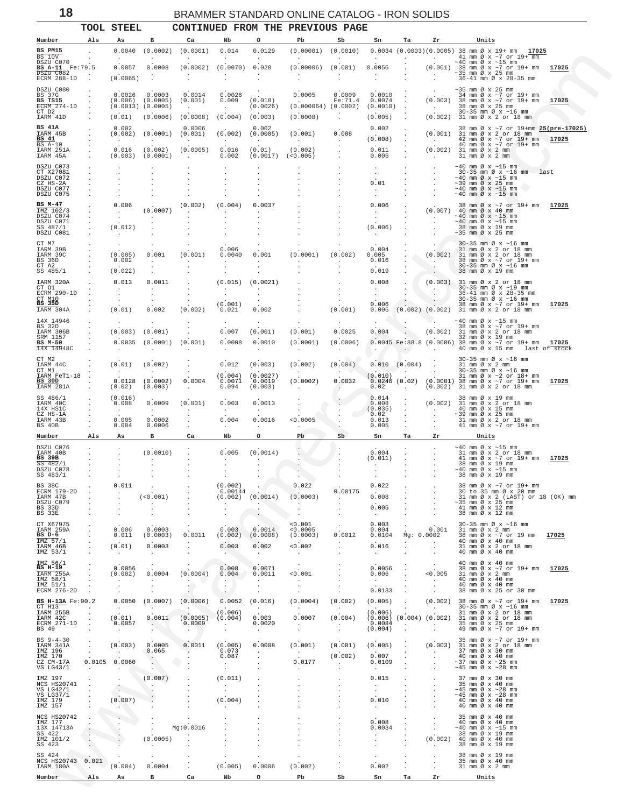<span id="page-17-0"></span>

|                                                                    |                          | TOOL STEEL                                 |                                    |                                               |                                                              |                                            | CONTINUED FROM THE PREVIOUS PAGE        |                                 |                                         |                                  |                                            |                                                                                                                                                     |
|--------------------------------------------------------------------|--------------------------|--------------------------------------------|------------------------------------|-----------------------------------------------|--------------------------------------------------------------|--------------------------------------------|-----------------------------------------|---------------------------------|-----------------------------------------|----------------------------------|--------------------------------------------|-----------------------------------------------------------------------------------------------------------------------------------------------------|
| Number                                                             | Als                      | As                                         | в                                  | Ca                                            | Nb                                                           | o                                          | Pb                                      | Sb                              | Sn                                      | Ta                               | Zr                                         | Units                                                                                                                                               |
| BS PM15<br><b>BS 10V</b><br>DSZU C070                              |                          | 0.0040<br>$\cdot$                          | (0.0002)                           | (0.0001)                                      | 0.014                                                        | 0.0129<br>$\cdot$                          | (0.00001)<br>$\cdot$                    | (0.0010)                        | $\cdot$                                 |                                  | $\sim$                                     | $0.0034$ (0.0003)(0.0005) 38 mm $\emptyset$ x 19+ mm 17025<br>41 mm $\varnothing$ x ~7 or 19+ mm<br>$\sim$ 40 mm Ø x $\sim$ 15 mm                   |
| BS A-11 Fe:79.5<br>DSZU C082<br>ECRM 288-1D                        | $\overline{\phantom{a}}$ | 0.0057<br>(0.0065)                         | 0.0008                             | (0.0002)<br>$\overline{\phantom{a}}$          | (0.0070)                                                     | 0.028                                      | (0.00006)<br>$\ddot{\phantom{a}}$       | (0.001)                         | 0.0055<br>$\cdot$                       |                                  |                                            | $(0.001)$ 38 mm Ø x ~7 or 19+ mm<br>17025<br>$\sim\!35\,$ mm $\varnothing\,$ x $\,$ 25 $\,$ mm $\,$<br>36-41 mm Ø x 28-35 mm                        |
| DSZU C080<br>BS 37G                                                |                          | 0.0026                                     | 0.0003                             | 0.0014                                        | 0.0026                                                       |                                            | 0.0005                                  | 0.0009                          | 0.0010                                  | $\cdot$                          |                                            | $\sim$ 35 mm Ø x 25 mm<br>34 mm Ø x ~7 or 19+ mm                                                                                                    |
| BS TS15<br>$ECRM$ 274-1D<br>CT D2<br>IARM 41D                      |                          | (0.006)<br>$(0.0013)$ $(0.0005)$<br>(0.01) | (0.0005)<br>(0.0006)               | (0.001)<br>$\cdot$<br>(0.0008)                | 0.009<br>$\cdot$<br>(0.004)                                  | (0.018)<br>(0.0026)<br>(0.003)             | (0.000064)<br>(0.0008)                  | Fe:71.4<br>(0.0002)             | 0.0074<br>(0.0010)<br>(0.005)           |                                  | (0.003)<br>$\sim$ $\sim$<br>(0.002)        | 38 mm Ø x ~7 or 19+ mm<br>17025<br>38 mm Ø x 25 mm<br>30-35 mm Ø x ~16 mm<br>31 mm Ø x 2 or 18 mm                                                   |
| <b>BS 41A</b>                                                      |                          | 0.002                                      |                                    | 0.0006                                        |                                                              | 0.002                                      |                                         |                                 | 0.002                                   |                                  |                                            | 38 mm Ø x ~7 or 19+mm 25(pre-17025)                                                                                                                 |
| IARM 45B<br>BS 41<br>$BS A-10$                                     |                          | (0.002)<br>$\sim$                          | (0.0001)<br>$\cdot$                | (0.001)<br>$\cdot$                            | (0.002)<br>$\sim$ $\sim$                                     | (0.0005)<br>$\cdot$                        | (0.001)<br>$\sim$                       | 0.008<br>$\ddot{\phantom{a}}$   | (0.008)                                 | $\cdot$                          | (0.001)<br>$\sim$                          | 31 mm Ø x 2 or 18 mm<br>42 mm Ø x ~7 or 19+ mm<br>17025<br>40 mm Ø x ~7 or 19+ mm                                                                   |
| IARM 251A<br>IARM 45A                                              |                          | 0.016<br>(0.003)                           | (0.002)<br>(0.0001)                | (0.0005)<br>$\ddot{\phantom{a}}$              | 0.016<br>0.002                                               | (0.01)<br>(0.0017)                         | (0.002)<br>(<0.005)                     | $\cdot$                         | 0.011<br>0.005                          |                                  | (0.002)<br>$\ddot{\phantom{a}}$            | 31 mm Ø x 2 mm<br>31 mm Ø x 2 mm                                                                                                                    |
| DSZU C073<br>CT X27081<br>DSZU C072                                |                          |                                            |                                    |                                               | $\cdot$                                                      |                                            |                                         |                                 | $\cdot$<br>$\cdot$                      |                                  |                                            | $\sim$ 40 mm Ø x $\sim$ 15 mm<br>$30-35$ mm $\emptyset$ x ~16 mm last<br>$~10$ mm Ø x $~15$ mm                                                      |
| CZ HS-2A<br>DSZU C077                                              |                          | $\cdot$                                    |                                    |                                               | $\cdot$<br>$\cdot$                                           |                                            |                                         |                                 | 0.01<br>$\cdot$                         |                                  |                                            | $\sim$ 39 mm Ø x 25 mm<br>$\sim$ 40 mm Ø x $\sim$ 15 mm                                                                                             |
| DSZU C075<br>BS M-47                                               |                          | 0.006                                      |                                    | (0.002)                                       | (0.004)                                                      | 0.0037                                     |                                         |                                 | $\cdot$<br>0.006                        |                                  |                                            | $~10$ mm Ø x $~15$ mm<br>38 mm Ø x ~7 or 19+ mm<br>17025                                                                                            |
| $IMZ$ 102/3<br>DSZU C074<br>DSZU C071                              |                          | $\cdot$                                    | (0.0007)                           |                                               | $\cdot$                                                      |                                            |                                         |                                 | $\cdot$<br>$\cdot$                      |                                  | $\sim$                                     | $(0.007)$ 40 mm $\emptyset$ x 40 mm<br>$\sim$ 40 mm Ø x $\sim$ 15 mm<br>$\sim$ 40 mm Ø x $\sim$ 15 mm                                               |
| SS 487/1<br>DSZU C081                                              |                          | (0.012)<br>$\cdot$                         |                                    |                                               |                                                              |                                            |                                         |                                 | (0.006)<br>$\sim$                       |                                  |                                            | 38 mm Ø x 19 mm<br>$\sim$ 35 mm Ø x 25 mm                                                                                                           |
| CT M7<br>IARM 39B<br>IARM 39C                                      |                          |                                            |                                    |                                               | 0.006                                                        |                                            | (0.0001)                                | (0.002)                         | 0.004<br>0.005                          |                                  | (0.002)                                    | 30-35 mm Ø x ~16 mm<br>31 mm Ø x 2 or 18 mm<br>31 mm Ø x 2 or 18 mm                                                                                 |
| BS 36D<br>CT A2                                                    |                          | (0.005)<br>0.002                           | 0.001<br>$\cdot$                   | (0.001)<br>$\ddot{\phantom{a}}$               | 0.0040<br>$\cdot$<br>$\cdot$                                 | 0.001<br>$\cdot$                           |                                         | $\cdot$                         | 0.016                                   |                                  | - 10                                       | 38 mm Ø x ~7 or 19+ mm<br>$30-35$ mm $\varnothing$ x ~16 mm                                                                                         |
| SS 485/1<br>IARM 320A                                              |                          | (0.022)<br>0.013                           | $\cdot$<br>0.0011                  |                                               | $\cdot$<br>(0.015)                                           | (0.0021)                                   |                                         | $\cdot$                         | 0.019<br>0.008                          |                                  | $\sim$<br>(0.003)                          | 38 mm Ø x 19 mm<br>31 mm Ø x 2 or 18 mm                                                                                                             |
| CT 01<br>ECRM 290-1D<br>CT M10                                     |                          |                                            | $\cdot$<br>$\cdot$                 |                                               | $\cdot$                                                      | $\cdot$                                    |                                         |                                 | $\cdot$                                 |                                  | $\cdot$                                    | 30-35 mm $\varnothing$ x $\sim$ 19 mm<br>36-41 mm Ø x 28-35 mm<br>$30-35$ mm $\varnothing$ x $\sim$ 16 mm                                           |
| <b>BS 35D</b><br>IARM 304A                                         |                          | (0.01)                                     | 0.002                              | (0.002)                                       | (0.001)<br>0.021                                             | 0.002                                      |                                         | (0.001)                         | 0.006<br>0.006                          |                                  | $(0.002)$ $(0.002)$                        | 38 mm Ø x ~7 or 19+ mm<br>17025<br>31 mm Ø x 2 or 18 mm                                                                                             |
| 14X 14946<br>BS 32D                                                |                          |                                            |                                    |                                               | $\cdot$                                                      |                                            |                                         |                                 |                                         |                                  |                                            | $\sim$ 40 mm Ø x $\sim$ 15 mm<br>38 mm Ø x ~7 or 19+ mm                                                                                             |
| IARM 306B<br>SRM 1157<br>BS M-50                                   |                          | (0.003)<br>0.0035                          | (0.001)<br>(0.0001)                | (0.001)                                       | 0.007<br>0.0008                                              | (0.001)<br>0.0010                          | (0.001)<br>(0.0001)                     | 0.0025<br>(0.0006)              | 0.004                                   | 0.0045 Fe:88.8                   | (0.002)                                    | 31 mm Ø x 2 or 18 mm<br>32 mm Ø x 19 mm<br>$(0.0006)$ 38 mm Ø x ~7 or 19+ mm 17025                                                                  |
| 14X 14948C<br>CT M2                                                |                          | $\cdot$                                    | $\cdot$                            |                                               | $\ddot{\phantom{a}}$                                         | $\ddot{\phantom{a}}$                       | $\ddot{\phantom{a}}$                    | $\cdot$                         | $\sim$                                  | $\sim$ $\sim$                    |                                            | 40 mm Ø x 15 mm last of stock<br>30-35 mm Ø x ~16 mm                                                                                                |
| IARM 44C<br>CT M1<br>IARM FeT1-18                                  |                          | (0.01)<br>$\sim$                           | (0.002)<br>$\cdot$                 |                                               | 0.012<br>(0.004)                                             | (0.003)<br>(0.0027)                        | (0.002)<br>$\cdot$                      | (0.004)<br>$\cdot$              | 0.010<br>(0.010)                        | (0.004)<br>$\sim$                | $\ddot{\phantom{a}}$                       | 31 mm Ø x 2 mm<br>30-35 mm Ø x ~16 mm<br>31 mm Ø x ~2 or 18+ mm                                                                                     |
| BS 30D<br>IARM 281A                                                |                          | 0.0128<br>(0.02)                           | (0.0002)<br>(0.003)                | 0.0004<br>$\ddot{\phantom{a}}$                | 0.0071<br>0.094                                              | 0.0019<br>(0.003)                          | (0.0002)<br>$\cdot$                     | 0.0032<br>$\cdot$               | 0.0246(0.02)<br>0.02                    | $\ddot{\phantom{a}}$             |                                            | $(0.0001)$ 38 mm $\varnothing$ x ~7 or 19+ mm<br>17025<br>$(0.002)$ 31 mm $\emptyset$ x 2 or 18 mm                                                  |
| SS 486/1<br>IARM 40C                                               |                          | (0.016)<br>0.008                           | 0.0009                             | (0.001)                                       | 0.003                                                        | 0.0013                                     |                                         |                                 | 0.014<br>0.008                          | $\overline{\phantom{a}}$         | (0.002)                                    | 38 mm Ø x 19 mm<br>31 mm Ø x 2 or 18 mm                                                                                                             |
| 14X HS1C<br>CZ HS-1A<br>IARM 43B                                   |                          | $\ddot{\phantom{a}}$<br>0.005              | $\sim$<br>0.0002                   | $\cdot$                                       | $\sim$<br>0.004                                              | $\sim$<br>0.0016                           | $\overline{\phantom{a}}$<br>< 0.0005    |                                 | (0.035)<br>0.02<br>0.013                | $\ddot{\phantom{a}}$<br>$\cdot$  | $\sim$                                     | 40 mm Ø x 15 mm<br>$~39$ mm Ø x 25 mm<br>31 mm Ø x 2 or 18 mm                                                                                       |
| BS 40B<br>Number                                                   | Als                      | 0.004<br>As                                | 0.0006<br>в                        | $\cdot$<br>$ca$                               | $\cdot$<br>Nb                                                | $\cdot$<br>o                               | $\cdot$<br>Pb                           | S <sub>b</sub>                  | 0.005<br>Sn                             | $\ddot{\phantom{0}}$<br>Ta       | $\sim$<br>Zr                               | 41 mm Ø x ~7 or 19+ mm<br>Units                                                                                                                     |
| DSZU C076<br>IARM 40B<br>BS 39B<br>$SS$ 482/1                      |                          |                                            | (0.0010)                           |                                               | 0.005                                                        | (0.0014)                                   | ×.<br>$\cdot$<br>$\cdot$                |                                 | 0.004<br>(0.011)<br>$\cdot$             |                                  |                                            | $\sim$ 40 mm Ø x $\sim$ 15 mm<br>31 mm Ø x 2 or 18 mm<br>41 mm Ø x ~7 or 19+ mm<br>17025<br>38 mm Ø x 19 mm                                         |
| DSZU C078<br>SS 483/1                                              |                          |                                            |                                    |                                               |                                                              |                                            | $\ddot{\phantom{a}}$                    |                                 |                                         |                                  |                                            | $\sim$ 40 mm Ø x $\sim$ 15 mm<br>38 mm Ø x 19 mm                                                                                                    |
| BS 38C<br>ECRM 179-2D<br>IARM 47B<br>DSZU C079<br>BS 33D<br>BS 33E |                          | 0.011<br>$\cdot$                           | (<0.001)<br>$\cdot$                | $\cdot$                                       | (0.002)<br>0.00144<br>$\cdot$                                | $(0.002)$ $(0.0014)$                       | 0.022<br>(0.0003)<br>$\cdot$<br>$\cdot$ | 0.00175<br>$\ddot{\phantom{a}}$ | 0.022<br>0.008<br>0.005<br>$\sim$       |                                  |                                            | 38 mm Ø x ~7 or 19+ mm<br>30 to 35 mm Ø x 20 mm<br>31 mm Ø x 2 (LAST) or 18 (OK) mm<br>$\sim$ 35 mm Ø x 25 mm<br>41 mm Ø x 12 mm<br>38 mm Ø x 12 mm |
| CT X67975<br>IARM 259A                                             |                          | 0.006                                      | 0.0003                             |                                               | 0.003                                                        | 0.0014                                     | 0.001<br>< 0.0005                       | $\cdot$                         | 0.003<br>0.004                          |                                  | 0.001                                      | 30-35 mm Ø x ~16 mm<br>$31 \text{ mm } \emptyset \times 2 \text{ mm}$                                                                               |
| BS D-6<br>$IMZ$ 57/1<br>IARM 46B                                   |                          | 0.011<br>(0.01)                            | (0.0003)<br>0.0003                 | 0.0011<br>$\cdot$<br>$\cdot$                  | (0.002)<br>0.003                                             | (0.0008)<br>0.002                          | (0.0003)<br>0.002                       | 0.0012<br>$\cdot$<br>$\cdot$    | 0.0104<br>0.016                         | Mg:<br>$\blacksquare$<br>$\cdot$ | 0.0002<br>$\cdot$                          | 38 mm Ø x ~7 or 19 mm<br>17025<br>40 mm Ø x 40 mm<br>31 mm Ø x 2 or 18 mm                                                                           |
| IMZ 53/1<br>IMZ 56/1                                               |                          | $\cdot$                                    | $\cdot$                            |                                               |                                                              | $\cdot$                                    | $\blacksquare$                          |                                 | $\ddot{\phantom{a}}$                    |                                  |                                            | 40 mm Ø x 40 mm<br>40 mm Ø x 40 mm                                                                                                                  |
| BS H-19<br>IARM 255A                                               |                          | 0.0056<br>(0.002)                          | $\cdot$<br>0.0004                  | (0.0004)                                      | 0.008<br>0.004                                               | 0.0071<br>0.0011                           | $\blacksquare$<br>0.001                 |                                 | 0.0056<br>0.006                         |                                  | $\cdot$<br>< 0.005                         | 38 mm Ø x ~7 or 19+ mm<br>17025<br>31 mm Ø x 2 mm                                                                                                   |
| IMZ 58/1<br>TMZ 51/1<br>ECRM 276-2D                                |                          | $\cdot$                                    | $\cdot$                            | $\ddot{\phantom{a}}$                          | $\cdot$<br>$\cdot$                                           |                                            | $\sim$<br>$\overline{\phantom{a}}$      |                                 | $\ddot{\phantom{a}}$<br>0.0133          |                                  | $\ddot{\phantom{a}}$<br>$\mathbf{r}$       | 40 mm Ø x 40 mm<br>40 mm Ø x 40 mm<br>38 mm Ø x 25 or 30 mm                                                                                         |
| BS H-13A Fe: 90.2<br>CT H13                                        | $\cdot$                  | 0.0050<br>$\cdot$                          | (0.0007)                           | (0.0006)<br>$\cdot$                           | 0.0052                                                       | (0.016)<br>$\cdot$                         | (0.0004)<br>$\cdot$                     | (0.002)<br>$\cdot$              | (0.005)                                 |                                  | (0.002)<br>$\ddot{\phantom{0}}$            | 38 mm Ø x ~7 or 19+ mm<br>17025<br>30-35 mm $\varnothing$ x ~16 mm                                                                                  |
| IARM 255B<br>IARM 42C<br>ECRM 271-1D<br>BS 49                      | $\overline{\phantom{a}}$ | (0.01)<br>0.0057<br>$\cdot$                | 0.0011<br>$\sim$ $\sim$            | (0.0005)<br>0.0009<br>$\cdot$                 | (0.006)<br>(0.004)<br>$\sim$<br>$\cdot$                      | 0.003<br>0.0020<br>$\sim$                  | 0.0007<br>$\sim$<br>$\cdot$             | (0.004)<br>$\cdot$<br>$\cdot$   | (0.006)<br>(0.006)<br>0.0084<br>(0.004) | (0.004)<br>$\ddot{\phantom{a}}$  | (0.002)<br>$\ddot{\phantom{a}}$            | 31 mm Ø x 2 or 18 mm<br>31 mm Ø x 2 or 18 mm<br>35 mm Ø x 25 mm<br>49 mm Ø x ~7 or 19+ mm                                                           |
| $BS \ 9 - 4 - 30$<br>IARM 341A<br>IMZ 196                          |                          | (0.003)                                    | 0.0005                             | 0.0011                                        | (0.005)                                                      | 0.0008                                     | (0.001)                                 | (0.001)                         | (0.005)                                 |                                  | (0.003)                                    | 35 mm Ø x ~7 or 19+ mm<br>31 mm Ø x 2 or 18 mm<br>37 mm Ø x 30 mm                                                                                   |
| IMZ 170<br>CZ CM-17A                                               | 0.0105                   | $\cdot$<br>0.0060                          | 0.065<br>$\cdot$<br>$\blacksquare$ | $\mathcal{L}_{\bullet}$<br>$\cdot$<br>$\cdot$ | 0.073<br>0.087<br>$\cdot$                                    | $\ddot{\phantom{a}}$<br>$\cdot$<br>$\cdot$ | $\sim$<br>0.0177                        | (0.002)<br>$\blacksquare$       | 0.007<br>0.0109                         |                                  | $\ddot{\phantom{a}}$<br>$\cdot$<br>$\cdot$ | 40 mm Ø x 40 mm<br>$\sim$ 37 mm Ø x $\sim$ 25 mm                                                                                                    |
| VS LG43/1<br>IMZ 197                                               |                          |                                            | (0.007)                            |                                               | (0.011)                                                      |                                            | $\cdot$                                 |                                 | $\cdot$<br>0.015                        |                                  |                                            | $~10$ mm $\varnothing$ x $~128$ mm<br>37 mm Ø x 30 mm                                                                                               |
| NCS HS20741<br>VS LG42/1<br>VS LG37/1<br>IMZ 179<br>IMZ 157        |                          | $\bullet$<br>$\sim$<br>(0.007)             | $\cdot$<br>$\blacksquare$          |                                               | $\cdot$<br>$\blacksquare$<br>(0.004)<br>$\ddot{\phantom{a}}$ |                                            | $\cdot$<br>$\cdot$                      | $\cdot$                         | $\sim$<br>$\cdot$<br>0.010<br>$\cdot$   | $\cdot$                          | $\cdot$                                    | 35 mm Ø x 40 mm<br>$\sim$ 45 mm Ø x $\sim$ 28 mm<br>$\sim$ 45 mm Ø x $\sim$ 28 mm<br>40 mm Ø x 40 mm<br>40 mm Ø x 40 mm                             |
| NCS HS20742<br>IMZ 177                                             |                          | $\cdot$                                    |                                    |                                               |                                                              |                                            |                                         |                                 | 0.008                                   |                                  |                                            | 35 mm Ø x 40 mm<br>40 mm Ø x 40 mm                                                                                                                  |
| 13X 14713A<br>SS 422<br>IMZ 101/2                                  |                          |                                            | (0.0005)                           | Mg:0.0016                                     |                                                              |                                            |                                         |                                 | 0.0034<br>$\cdot$                       |                                  | (0.002)                                    | $\sim$ 40 mm Ø x $\sim$ 15 mm<br>38 mm Ø x 19 mm<br>40 mm Ø x 40 mm                                                                                 |
| SS 423                                                             |                          | $\cdot$                                    |                                    |                                               | $\cdot$                                                      | $\cdot$                                    | $\ddot{\phantom{a}}$                    |                                 | $\cdot$                                 |                                  |                                            | 38 mm Ø x 19 mm                                                                                                                                     |
| SS 424<br>NCS HS20743<br>IARM 180A                                 | 0.021<br>$\sim$          | (0.004)                                    | 0.0004                             | $\cdot$                                       | $\cdot$<br>(0.005)                                           | 0.0006                                     | (0.002)                                 |                                 | $\cdot$<br>0.002                        | $\cdot$                          | $\cdot$<br>$\cdot$<br>$\mathbf{r}$         | 38 mm Ø x 19 mm<br>35 mm Ø x 40 mm<br>31 mm Ø x 2 mm                                                                                                |
| Number                                                             | Als                      | As                                         | в                                  | Ca                                            | Nb                                                           | $\circ$                                    | Pb                                      | Sb                              | Sn                                      | Ta                               | Zr                                         | Units                                                                                                                                               |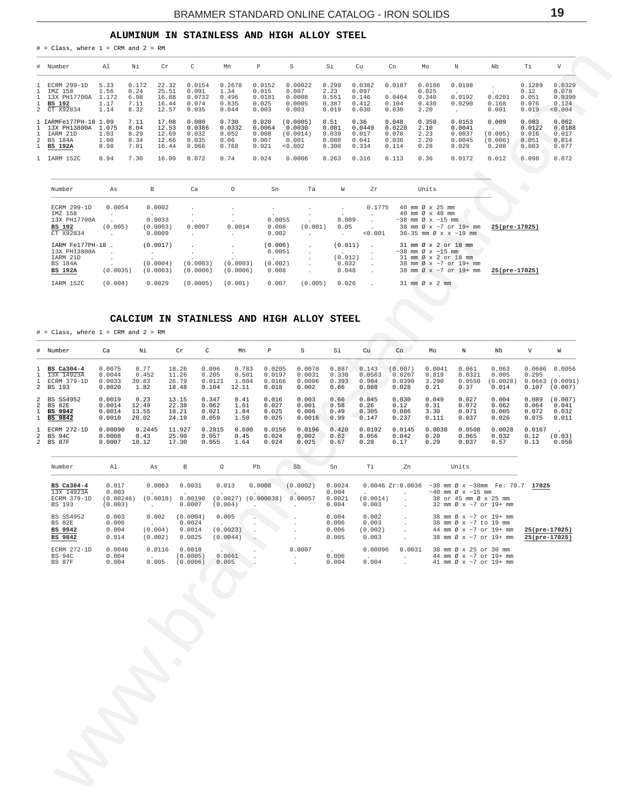## ALUMINUM IN STAINLESS AND HIGH ALLOY STEEL

| # Number                                                                           | Al                                    | Νi                                    | Cr                                        | C                                           | Mn                                        | Р                                           | S                                                  | Si                                       | Cu                                         | Co                                         | Mo                                        | Ν                                             | Nb                                   | Τi                                         | V                                             |
|------------------------------------------------------------------------------------|---------------------------------------|---------------------------------------|-------------------------------------------|---------------------------------------------|-------------------------------------------|---------------------------------------------|----------------------------------------------------|------------------------------------------|--------------------------------------------|--------------------------------------------|-------------------------------------------|-----------------------------------------------|--------------------------------------|--------------------------------------------|-----------------------------------------------|
| 1 ECRM 299-1D<br>1 IMZ 158<br>1 13X PH17700A<br>1 BS 192<br>2 CT X92834            | 5.33<br>1.56<br>1.172<br>1.17<br>1.14 | 0.172<br>0.24<br>6.98<br>7.11<br>8.32 | 22.32<br>25.51<br>16.88<br>16.44<br>12.57 | 0.0154<br>0.091<br>0.0732<br>0.074<br>0.035 | 0.2678<br>1.34<br>0.496<br>0.835<br>0.044 | 0.0152<br>0.015<br>0.0181<br>0.025<br>0.003 | 0.00022<br>0.007<br>0.0008<br>0.0005<br>0.003      | 0.299<br>2.23<br>0.551<br>0.387<br>0.019 | 0.0382<br>0.097<br>0.146<br>0.412<br>0.030 | 0.0187<br>0.0464<br>0.104<br>0.030         | 0.0186<br>0.025<br>0.340<br>0.430<br>2.20 | 0.0198<br>0.0192<br>0.0290                    | 0.0201<br>0.168<br>0.001             | 0.1289<br>0.12<br>0.051<br>0.076<br>0.019  | 0.0329<br>0.078<br>0.0390<br>0.124<br>< 0.004 |
| 1 IARMFe177PH-18 1.09<br>1 13X PH13800A<br>IARM 21D<br>2 BS 184A<br><b>BS 192A</b> | 1.075<br>1.03<br>1.00<br>0.98         | 7.11<br>8.04<br>8.29<br>8.34<br>7.01  | 17.08<br>12.53<br>12.69<br>12.66<br>16.44 | 0.080<br>0.0386<br>0.032<br>0.035<br>0.066  | 0.730<br>0.0332<br>0.052<br>0.06<br>0.768 | 0.020<br>0.0064<br>0.008<br>0.007<br>0.021  | (0.0005)<br>0.0030<br>(0.0014)<br>0.001<br>< 0.002 | 0.51<br>0.081<br>0.039<br>0.080<br>0.300 | 0.36<br>0.0449<br>0.017<br>0.041<br>0.334  | 0.048<br>0.0220<br>0.078<br>0.036<br>0.114 | 0.350<br>2.10<br>2.23<br>2.20<br>0.28     | 0.0153<br>0.0041<br>0.0037<br>0.0045<br>0.029 | 0.009<br>(0.005)<br>(0.006)<br>0.208 | 0.083<br>0.0122<br>0.016<br>0.051<br>0.083 | 0.062<br>0.0188<br>0.017<br>0.014<br>0.077    |
| 1 IARM 152C                                                                        | 0.94                                  | 7.30                                  | 16.99                                     | 0.072                                       | 0.74                                      | 0.024                                       | 0.0006                                             | 0.263                                    | 0.316                                      | 0.113                                      | 0.36                                      | 0.0172                                        | 0.012                                | 0.098                                      | 0.072                                         |

| Number                                                                          | As                | B                                      | Ca                   | $\circ$              | Sn                                    | Ta                                  | W                                                      | Zr      | Units                                                                                                                                                 |               |
|---------------------------------------------------------------------------------|-------------------|----------------------------------------|----------------------|----------------------|---------------------------------------|-------------------------------------|--------------------------------------------------------|---------|-------------------------------------------------------------------------------------------------------------------------------------------------------|---------------|
| ECRM 299-1D<br>IMZ 158<br>13X PH17700A<br><b>BS 192</b>                         | 0.0054<br>(0.005) | 0.0002<br>$\sim$<br>0.0033<br>(0.0003) | 0.0007               | 0.0014               | 0.0055<br>0.008                       | $\overline{\phantom{a}}$<br>(0.001) | $\sim$<br>0.009<br>0.05                                | 0.1775  | 40 mm Ø x 25 mm<br>40 mm $\varnothing \times 40$ mm<br>$\sim$ 38 mm Ø x $\sim$ 15 mm<br>38 mm Ø x ~7 or 19+ mm                                        | 25(pre-17025) |
| CT X92834                                                                       |                   | 0.0009                                 |                      |                      | 0.002                                 | $\mathbf{r}$                        |                                                        | < 0.001 | $30-35$ mm $\emptyset$ x x $\sim$ 19 mm                                                                                                               |               |
| IARM Fe177PH-18<br>13X PH13800A<br>IARM 21D<br><b>BS 184A</b><br><b>BS 192A</b> | (0.0035)          | (0.0017)<br>(0.0004)<br>(0.0003)       | (0.0003)<br>(0.0006) | (0.0003)<br>(0.0006) | (0.006)<br>0.0051<br>(0.002)<br>0.008 | $\mathbf{r}$<br>$\overline{a}$      | (0.011)<br>$\overline{a}$<br>(0.012)<br>0.032<br>0.048 |         | 31 mm Ø x 2 or 18 mm<br>$\sim$ 38 mm Ø x $\sim$ 15 mm<br>$31 \text{ mm}$ $\emptyset$ x 2 or 18 mm<br>38 mm Ø x ~7 or 19+ mm<br>38 mm Ø x ~7 or 19+ mm | 25(pre-17025) |
| IARM 152C                                                                       | (0.004)           | 0.0029                                 | (0.0005)             | (0.001)              | 0.007                                 | (0.005)                             | 0.026                                                  |         | $31 \text{ mm} \varnothing \times 2 \text{ mm}$                                                                                                       |               |

## CALCIUM IN STAINLESS AND HIGH ALLOY STEEL

 $#$  = Class, where 1 = CRM and 2 = RM

<span id="page-18-0"></span> $#$  = Class, where 1 = CRM and 2 = RM

| # Number                                                    | Ca                                   | Νi                              | Cr                               | C                                 | Mn                               | P                                   | S                                   | Si                              | Cu                                | Co                                   | Mo                               | N                                 | Nb                                  | V                                | W                                    |
|-------------------------------------------------------------|--------------------------------------|---------------------------------|----------------------------------|-----------------------------------|----------------------------------|-------------------------------------|-------------------------------------|---------------------------------|-----------------------------------|--------------------------------------|----------------------------------|-----------------------------------|-------------------------------------|----------------------------------|--------------------------------------|
| $1$ BS Ca304-4<br>1 13X 14923A<br>1 ECRM 379-1D<br>2 BS 193 | 0.0075<br>0.0044<br>0.0033<br>0.0020 | 8.77<br>0.452<br>30.83<br>1.82  | 18.26<br>11.26<br>26.79<br>18.48 | 0.096<br>0.205<br>0.0121<br>0.104 | 0.783<br>0.501<br>1.804<br>12.11 | 0.0205<br>0.0197<br>0.0166<br>0.018 | 0.0070<br>0.0031<br>0.0006<br>0.002 | 0.887<br>0.330<br>0.393<br>0.66 | 0.143<br>0.0563<br>0.984<br>0.088 | (0.007)<br>0.0207<br>0.0390<br>0.028 | 0.0041<br>0.819<br>3.290<br>0.21 | 0.061<br>0.0321<br>0.0550<br>0.37 | 0.063<br>0.005<br>(0.0028)<br>0.014 | 0.295<br>0.0663<br>0.107         | 0.0686 0.0056<br>(0.0091)<br>(0.007) |
| 2 BS SS4952<br>2 BS 82E<br>1 BS 9942<br>$1$ BS $9842$       | 0.0019<br>0.0014<br>0.0014<br>0.0010 | 0.23<br>12.49<br>13.55<br>20.02 | 13.15<br>22.38<br>18.21<br>24.19 | 0.347<br>0.062<br>0.021<br>0.059  | 0.41<br>1.61<br>1.84<br>1.50     | 0.016<br>0.027<br>0.025<br>0.025    | 0.003<br>0.001<br>0.006<br>0.0016   | 0.66<br>0.58<br>0.49<br>0.99    | 0.045<br>0.26<br>0.305<br>0.147   | 0.030<br>0.12<br>0.086<br>0.237      | 0.049<br>0.31<br>3.30<br>0.111   | 0.027<br>0.072<br>0.071<br>0.037  | 0.004<br>0.062<br>0.005<br>0.026    | 0.089<br>0.064<br>0.072<br>0.075 | (0.007)<br>0.041<br>0.032<br>0.011   |
| 1 ECRM 272-1D<br>2 BS 94C<br>2 BS 87F                       | 0.00090<br>0.0008<br>0.0007          | 0.2445<br>0.43<br>10.12         | 11.927<br>25.90<br>17.30         | 0.2815<br>0.057<br>0.055          | 0.600<br>0.45<br>1.64            | 0.0156<br>0.024<br>0.024            | 0.0196<br>0.002<br>0.025            | 0.420<br>0.62<br>0.67           | 0.0192<br>0.056<br>0.28           | 0.0145<br>0.042<br>0.17              | 0.0030<br>0.20<br>0.29           | 0.0508<br>0.065<br>0.037          | 0.0028<br>0.032<br>0.57             | 0.0167<br>0.12<br>0.13           | (0.03)<br>0.050                      |

| Number                                            | A1                                     | As                          | B                                      | $\circ$                       | Pb                   | Sb                       | Sn                                 | Ti                                 | Zn               | Units                                                                                                                                  |                                |
|---------------------------------------------------|----------------------------------------|-----------------------------|----------------------------------------|-------------------------------|----------------------|--------------------------|------------------------------------|------------------------------------|------------------|----------------------------------------------------------------------------------------------------------------------------------------|--------------------------------|
| BS Ca304-4<br>13X 14923A<br>ECRM 379-1D<br>BS 193 | 0.017<br>0.003<br>(0.00246)<br>(0.003) | 0.0063<br>(0.0018)          | 0.0031<br>0.00190<br>0.0007            | 0.013<br>(0.0027)<br>(0.004)  | 0.0008<br>(0.000038) | (0.0002)<br>0.00057      | 0.0024<br>0.004<br>0.0021<br>0.004 | (0.0014)<br>0.003                  | 0.0046 Zr:0.0036 | $\sim$ 38 mm Ø x $\sim$ 38 mm Fe: 70.7<br>$\sim$ 40 mm $\varnothing$ x $\sim$ 15 mm<br>38 or 45 mm Ø x 25 mm<br>32 mm Ø x ~7 or 19+ mm | 17025                          |
| <b>BS SS4952</b><br>BS 82E<br>BS 9942<br>BS 9842  | 0.003<br>0.006<br>0.004<br>0.014       | 0.002<br>(0.004)<br>(0.002) | (0.0004)<br>0.0024<br>0.0014<br>0.0025 | 0.005<br>(0.0023)<br>(0.0044) |                      |                          | 0.004<br>0.006<br>0.006<br>0.005   | 0.002<br>0.003<br>(0.002)<br>0.003 |                  | 38 mm Ø x ~7 or 19+ mm<br>38 mm Ø x ~7 to 19 mm<br>44 mm Ø x ~7 or 19+ mm<br>38 mm Ø x ~7 or 19+ mm                                    | 25(pre-17025)<br>25(pre-17025) |
| ECRM 272-1D<br><b>BS 94C</b><br><b>BS 87F</b>     | 0.0046<br>0.004<br>0.004               | 0.0116<br>0.005             | 0.0018<br>(0.0005)<br>(0.0006)         | 0.0061<br>0.005               |                      | 0.0007<br>$\overline{a}$ | 0.006<br>0.004                     | 0.00096<br>$\sim$<br>0.004         | 0.0031           | 38 mm Ø x 25 or 30 mm<br>44 mm Ø x ~7 or 19+ mm<br>41 mm $\varnothing$ x $\sim$ 7 or 19+ mm                                            |                                |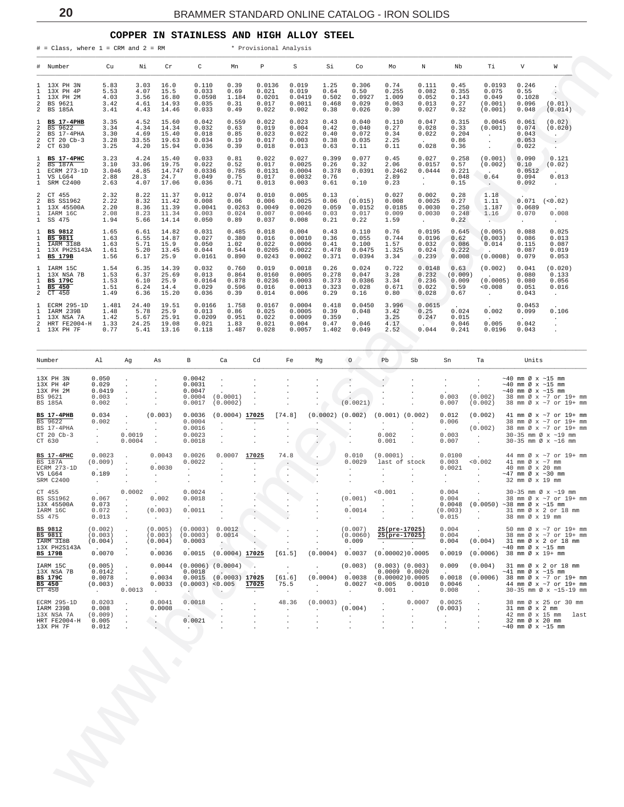#### **COPPER IN STAINLESS AND HIGH ALLOY STEEL**

<span id="page-19-0"></span>

|                                                                   | $\#$ = Class, where 1 = CRM and 2 = RM                                  |                                                                  |                                          |                                                                  |                                                                 |                                                    | * Provisional Analysis                              |                                                                     |                                         |                                                        |                                                                      |                                                             |                                                        |                                                          |                                                                                                          |                                                                                                                          |
|-------------------------------------------------------------------|-------------------------------------------------------------------------|------------------------------------------------------------------|------------------------------------------|------------------------------------------------------------------|-----------------------------------------------------------------|----------------------------------------------------|-----------------------------------------------------|---------------------------------------------------------------------|-----------------------------------------|--------------------------------------------------------|----------------------------------------------------------------------|-------------------------------------------------------------|--------------------------------------------------------|----------------------------------------------------------|----------------------------------------------------------------------------------------------------------|--------------------------------------------------------------------------------------------------------------------------|
|                                                                   | # Number                                                                | Cu                                                               | Νi                                       | Cr                                                               | C                                                               | Mn                                                 | Р                                                   | S                                                                   | Si                                      | Co                                                     | Mo                                                                   | Ν                                                           | Nb                                                     | Тi                                                       | V                                                                                                        | W                                                                                                                        |
| $\mathbf{1}$<br>1<br>2<br>2                                       | 1 13X PH 3N<br>13X PH 4P<br>13X PH 2M<br>BS 9621<br>BS 185A             | 5.83<br>5.53<br>4.03<br>3.42<br>3.41                             | 3.03<br>4.07<br>3.56<br>4.61<br>4.43     | 16.0<br>15.5<br>16.80<br>14.93<br>14.46                          | 0.110<br>0.033<br>0.0598<br>0.035<br>0.033                      | 0.39<br>0.69<br>1.184<br>0.31<br>0.49              | 0.0136<br>0.021<br>0.0201<br>0.017<br>0.022         | 0.019<br>0.019<br>0.0419<br>0.0011<br>0.002                         | 1.25<br>0.64<br>0.502<br>0.468<br>0.38  | 0.306<br>0.50<br>0.0927<br>0.029<br>0.026              | 0.74<br>0.255<br>1.009<br>0.063<br>0.30                              | 0.111<br>0.082<br>0.052<br>0.013<br>0.027                   | 0.45<br>0.355<br>0.143<br>0.27<br>0.32                 | 0.0193<br>0.075<br>0.049<br>(0.001)<br>(0.001)           | 0.246<br>0.55<br>0.1028<br>0.096<br>0.048                                                                | $\bullet$<br>(0.01)<br>(0.014)                                                                                           |
| 1<br>2<br>2<br>2<br>2                                             | <b>BS 17-4PHB</b><br>BS 9622<br>BS 17-4PHA<br>$CT 20$ $Cb-3$<br>CT 630  | 3.35<br>3.34<br>3.30<br>3.28<br>3.25                             | 4.52<br>4.34<br>4.69<br>33.55<br>4.20    | 15.60<br>14.34<br>15.40<br>19.63<br>15.94                        | 0.042<br>0.032<br>0.018<br>0.034<br>0.036                       | 0.559<br>0.63<br>0.85<br>0.19<br>0.39              | 0.022<br>0.019<br>0.023<br>0.017<br>0.018           | 0.023<br>0.004<br>0.022<br>0.003<br>0.013                           | 0.43<br>0.42<br>0.40<br>0.38<br>0.63    | 0.040<br>0.040<br>0.072<br>0.035<br>0.11               | 0.110<br>0.27<br>0.34<br>2.25<br>0.11                                | 0.047<br>0.028<br>0.022<br>0.028                            | 0.315<br>0.33<br>0.204<br>0.86<br>0.36                 | 0.0045<br>(0.001)<br>$\cdot$<br>$\cdot$<br>$\cdot$       | 0.061<br>0.074<br>0.043<br>0.053<br>0.022                                                                | (0.02)<br>(0.020)<br>$\sim$ $\sim$<br>$\sim$ $-$<br>$\sim$                                                               |
| 1<br>2<br>1<br>1<br>$\mathbf{1}$                                  | <b>BS 17-4PHC</b><br>BS 187A<br>ECRM 273-1D<br>VS LG64<br>SRM C2400     | 3.23<br>3.10<br>3.046<br>2.88<br>2.63                            | 4.24<br>33.06<br>4.85<br>28.3<br>4.07    | 15.40<br>19.75<br>14.747<br>24.7<br>17.06                        | 0.033<br>0.022<br>0.0336<br>0.049<br>0.036                      | 0.81<br>0.52<br>0.785<br>0.75<br>0.71              | 0.022<br>0.017<br>0.0131<br>0.017<br>0.013          | 0.027<br>0.0025<br>0.0004<br>0.0032<br>0.003                        | 0.399<br>0.26<br>0.378<br>0.76<br>0.61  | 0.077<br>0.32<br>0.0391<br>0.10                        | 0.45<br>2.06<br>0.2462<br>2.89<br>0.23                               | 0.027<br>0.0157<br>0.0444<br>$\sim$<br>$\ddot{\phantom{0}}$ | 0.258<br>0.57<br>0.221<br>0.048<br>0.15                | (0.001)<br>(0.002)<br>$\sim$<br>0.64<br>$\sim$ $\sim$    | 0.090<br>0.10<br>0.0512<br>0.094<br>0.092                                                                | 0.121<br>(0.02)<br>0.013<br>$\sim$                                                                                       |
| 2<br>2<br>1<br>1<br>$\mathbf{1}$                                  | CT 455<br><b>BS SS1962</b><br>13X 45500A<br>IARM 16C<br>SS 475          | 2.32<br>2.22<br>2.20<br>2.08<br>1.94                             | 8.22<br>8.32<br>8.36<br>8.23<br>5.66     | 11.37<br>11.42<br>11.39<br>11.34<br>14.14                        | 0.012<br>0.008<br>0.0041<br>0.003<br>0.050                      | 0.074<br>0.06<br>0.024<br>0.89                     | 0.010<br>0.006<br>$0.0263$ 0.0049<br>0.007<br>0.037 | 0.005<br>0.0025<br>0.0020<br>0.0046<br>0.008                        | 0.13<br>0.06<br>0.059<br>0.03<br>0.21   | (0.015)<br>0.0152<br>0.017<br>0.22                     | 0.027<br>0.008<br>0.0185<br>0.009<br>1.59                            | 0.002<br>0.0025<br>0.0030<br>0.0030<br>$\sim$               | 0.28<br>0.27<br>0.250<br>0.248<br>0.22                 | 1.18<br>1.11<br>1.187<br>1.16<br>No. 1                   | 0.071<br>0.0689<br>0.070<br>$\ddot{\phantom{a}}$                                                         | (< 0.02)<br>0.008<br>$\sim$                                                                                              |
| $\mathbf{1}$<br>1<br>$\mathbf{1}$<br>$\mathbf{1}$<br>$\mathbf{1}$ | BS 9812<br>BS 9811<br>IARM 318B<br>13X PH2S143A<br>BS 179B              | 1.65<br>1.63<br>1.63<br>1.61<br>1.56                             | 6.61<br>6.55<br>5.71<br>5.20<br>6.17     | 14.82<br>14.87<br>15.9<br>13.45<br>25.9                          | 0.031<br>0.027<br>0.050<br>0.044<br>0.0161                      | 0.485<br>0.380<br>1.02<br>0.544<br>0.890           | 0.018<br>0.016<br>0.022<br>0.0205<br>0.0243         | 0.004<br>0.0010<br>0.0006<br>0.0022<br>0.0002                       | 0.43<br>0.36<br>0.41<br>0.478<br>0.371  | 0.110<br>0.055<br>0.100<br>0.0475<br>0.0394            | 0.76<br>0.744<br>1.57<br>1.325<br>3.34                               | 0.0195<br>0.0196<br>0.032<br>0.024<br>0.239                 | 0.645<br>0.62<br>0.086<br>0.222<br>0.008               | (0.005)<br>(0.003)<br>0.014                              | 0.088<br>0.086<br>0.115<br>0.087<br>(0.0008) 0.079                                                       | 0.025<br>0.013<br>0.087<br>0.019<br>0.053                                                                                |
| 1<br>1<br>1<br>$\mathbf{1}$<br>$\overline{a}$                     | IARM 15C<br>13X NSA 7B<br><b>BS 179C</b><br>BS 450<br>CT 450            | 1.54<br>1.53<br>1.53<br>1.51<br>1.49                             | 6.35<br>6.37<br>6.10<br>6.24<br>6.36     | 14.39<br>25.69<br>25.9<br>14.4<br>15.20                          | 0.032<br>0.013<br>0.0164<br>0.029<br>0.036                      | 0.760<br>0.864<br>0.878<br>0.596<br>0.39           | 0.019<br>0.0160<br>0.0236<br>0.016<br>0.014         | 0.0018<br>0.0005<br>0.0003<br>0.0013<br>0.006                       | 0.26<br>0.278<br>0.373<br>0.323<br>0.29 | 0.024<br>0.047<br>0.0386<br>0.028<br>0.16              | 0.722<br>3.28<br>3.34<br>0.671<br>0.80                               | 0.0148<br>0.232<br>0.236<br>0.022<br>0.028                  | 0.63<br>(0.009)<br>0.009<br>0.59<br>0.67               | (0.002)<br>$\sim$<br>0.008<br>$\sim$                     | 0.041<br>0.080<br>(0.0005) 0.080<br>0.051<br>0.043                                                       | (0.020)<br>0.133<br>0.056<br>0.016<br>$\sim$                                                                             |
| 1<br>1<br>1                                                       | ECRM 295-1D<br>IARM 239B<br>13X NSA 7A<br>2 HRT FE2004-H<br>1 13X PH 7F | 1.481<br>1.48<br>1.42<br>1.33<br>0.77                            | 24.40<br>5.78<br>5.67<br>24.25<br>5.41   | 19.51<br>25.9<br>25.91<br>19.08<br>13.16                         | 0.0166<br>0.013<br>0.0209<br>0.021<br>0.118                     | 1.758<br>0.86<br>0.951<br>1.83<br>1.487            | 0.0167<br>0.025<br>0.022<br>0.021<br>0.028          | 0.0004<br>0.0005<br>0.0009<br>0.004<br>0.0057                       | 0.418<br>0.39<br>0.359<br>0.47<br>1.402 | 0.0450<br>0.048<br>0.046<br>0.049                      | 3.996<br>3.42<br>3.25<br>4.17<br>2.52                                | 0.0615<br>0.25<br>0.247<br>$\ddot{\phantom{a}}$<br>0.044    | 0.024<br>0.015<br>0.046<br>0.241                       | 0.002<br>$\sim$<br>0.005<br>0.0196                       | 0.0453<br>0.099<br>0.042<br>0.043                                                                        | 0.106<br>$\cdot$<br>$\cdot$                                                                                              |
|                                                                   | Number                                                                  | Al                                                               | Αg                                       | As                                                               | В                                                               | Ca                                                 | Cd                                                  | Fe                                                                  | Mg                                      | $\circ$                                                | Pb                                                                   | Sb                                                          | Sn                                                     | Ta                                                       | Units                                                                                                    |                                                                                                                          |
|                                                                   | 13X PH 3N<br>13X PH 4P<br>13X PH 2M<br>BS 9621<br><b>BS 185A</b>        | 0.050<br>0.029<br>0.0419<br>0.003<br>0.002                       | $\cdot$<br>$\cdot$<br>$\cdot$<br>$\cdot$ |                                                                  | 0.0042<br>0.0031<br>0.0047<br>0.0004<br>0.0017                  | $\cdot$<br>$\cdot$<br>(0.0001)<br>(0.0002)         | $\cdot$<br>$\cdot$                                  |                                                                     |                                         | (0.0021)                                               | ю,<br>$\cdot$<br>$\cdot$<br>$\cdot$                                  | $\cdot$                                                     | $\cdot$<br>$\cdot$<br>0.003<br>0.007                   | $\cdot$<br>$\cdot$<br>(0.002)<br>(0.002)                 | $\sim$ 40 mm Ø x $\sim$ 15 mm<br>$\sim$ 40 mm Ø x $\sim$ 15 mm<br>$\sim$ 40 mm Ø x $\sim$ 15 mm          | 38 mm Ø x ~7 or 19+ mm<br>38 mm Ø x ~7 or 19+ mm                                                                         |
|                                                                   | <b>BS 17-4PHB</b><br>BS 9622<br>BS 17-4PHA<br>CT 20 Cb-3<br>CT 630      | 0.034<br>0.002<br>$\cdot$<br>$\sim$<br>$\ddot{\phantom{a}}$      | $\cdot$<br>$\cdot$<br>0.0019<br>0.0004   | (0.003)<br>$\cdot$<br>$\cdot$<br>$\cdot$<br>$\ddot{\phantom{a}}$ | 0.0036<br>0.0004<br>0.0016<br>0.0023<br>0.0018                  | $(0.0004)$ 17025<br>$\cdot$<br>$\cdot$<br>$\cdot$  | $\cdot$<br>$\cdot$                                  | [74.8]<br>$\cdot$                                                   | $\cdot$<br>$\mathbf{L}_{\mathrm{max}}$  | $(0.0002)$ $(0.002)$<br>$\sim$<br>$\ddot{\phantom{a}}$ | $(0.001)$ $(0.002)$<br>$\sim$ $-$<br>0.002<br>0.001                  | $\sim$                                                      | 0.012<br>0.006<br>$\Delta \sim 10^4$<br>0.003<br>0.007 | (0.002)<br><b>Contract Contract</b><br>(0.002)<br>$\sim$ |                                                                                                          | 41 mm Ø x ~7 or 19+ mm<br>38 mm Ø x ~7 or 19+ mm<br>38 mm Ø x ~7 or 19+ mm<br>30-35 mm Ø x ~19 mm<br>30-35 mm Ø x ~16 mm |
|                                                                   | BS 17-4PHC<br>BS 187A<br>ECRM 273-1D<br>VS LG64<br>SRM C2400            | 0.0023<br>(0.009)<br><b>Contract Contract</b><br>0.189<br>$\sim$ | $\sim$<br>$\cdot$<br>$\cdot$<br>$\cdot$  | 0.0043<br>0.0030<br>$\cdot$                                      | 0.0026<br>0.0022<br>$\cdot$                                     | 0.0007<br>$\cdot$<br>$\cdot$                       | 17025<br>$\cdot$<br>$\cdot$<br>$\cdot$              | 74.8<br>$\sim$ $\sim$<br>$\cdot$<br>$\ddot{\phantom{a}}$<br>$\cdot$ | $\cdot$<br>$\cdot$<br>$\cdot$           | 0.010<br>0.0029<br>$\cdot$<br>$\cdot$                  | $(0.0001)$ .<br>last of stock<br>$\cdot$<br>$\cdot$                  | $\sim$                                                      | 0.0100<br>0.003<br>0.0021<br>$\cdot$<br>$\cdot$        | 0.002<br><b>Contract</b><br>$\cdot$                      | 41 mm $\varnothing$ x $\sim$ 7 mm<br>40 mm Ø x 20 mm<br>$\sim$ 47 mm Ø x $\sim$ 30 mm<br>32 mm Ø x 19 mm | 44 mm Ø x ~7 or 19+ mm                                                                                                   |
|                                                                   | CT 455<br>BS SS1962<br>13X 45500A<br>IARM 16C<br>SS 475                 | 0.067<br>0.073<br>0.072<br>0.013                                 | 0.0002                                   | 0.002<br>(0.003)<br>$\sim$                                       | 0.0024<br>0.0018<br>0.0011                                      | $\cdot$                                            | $\sim$                                              |                                                                     | $\sim$                                  | (0.001)<br>0.0014<br>$\sim$                            | 0.001                                                                |                                                             | 0.004<br>0.004<br>0.0048<br>(0.003)<br>0.015           | $(0.0050)$ ~38 mm Ø x ~15 mm<br>$\sim$                   | 38 mm Ø x 19 mm                                                                                          | 30-35 mm Ø x ~19 mm<br>38 mm Ø x ~7 or 19+ mm<br>31 mm Ø x 2 or 18 mm                                                    |
|                                                                   | BS 9812<br><b>BS 9811</b><br>IARM 318B<br>13X PH2S143A<br>BS 179B       | (0.002)<br>(0.003)<br>(0.004)<br>0.0070                          |                                          | (0.005)<br>(0.003)<br>(0.004)<br>0.0036                          | (0.0003)<br>(0.0003)<br>0.0003<br>0.0015                        | 0.0012<br>0.0014<br><b>. .</b><br>$(0.0004)$ 17025 |                                                     | [61.5]                                                              | (0.0004)                                | (0.007)<br>(0.0060)<br>0.009<br>0.0037                 | 25(pre-17025)<br>25(pre-17025)<br>$\cdot$<br>(0.00002)0.0005         | $\cdot$                                                     | 0.004<br>0.004<br>0.004<br>0.0019                      | (0.004)<br>$(0.0006)$ 38 mm Ø x 19+ mm                   | $\sim$ 40 mm Ø x $\sim$ 15 mm                                                                            | 50 mm Ø x ~7 or 19+ mm<br>38 mm Ø x ~7 or 19+ mm<br>31 mm Ø x 2 or 18 mm                                                 |
|                                                                   | IARM 15C<br>13X NSA 7B<br><b>BS 179C</b><br>BS 450<br>CT 450            | (0.005)<br>0.0142<br>0.0078<br>(0.003)<br><b>All Cards</b>       | 0.0013                                   | 0.0044<br>0.0034<br>0.0033<br>$\cdot$                            | $(0.0006)$ $(0.0004)$<br>0.0018<br>0.0015<br>(0.0003)<br>$\sim$ | $(0.0003)$ 17025<br>< 0.005                        | 17025<br>$\cdot$                                    | $\cdot$<br>[61.6]<br>75.5<br>$\sim$                                 | (0.0004)<br>$\cdot$<br>$\cdot$          | (0.003)<br>0.0038<br>0.0027 < 0.005<br>$\sim$          | $(0.003)$ $(0.003)$<br>$0.0009$ $0.0020$<br>(0.00002)0.0005<br>0.001 | 0.0010<br>$\blacksquare$                                    | 0.009<br>0.0018<br>0.0046<br>0.008                     | (0.004)<br>$\cdot$<br>$\cdot$                            | $\sim 41$ mm Ø x $\sim 15$ mm                                                                            | 31 mm Ø x 2 or 18 mm<br>$(0.0006)$ 38 mm Ø x ~7 or 19+ mm<br>44 mm Ø x ~7 or 19+ mm<br>30-35 mm Ø x ~15-19 mm            |
|                                                                   | ECRM 295-1D<br>IARM 239B<br>13X NSA 7A<br>HRT FE2004-H<br>13X PH 7F     | 0.0203<br>0.008<br>(0.009)<br>0.005<br>0.012                     |                                          | 0.0041<br>0.0008<br>$\cdot$                                      | 0.0018<br>$\cdot$<br>0.0021                                     |                                                    |                                                     | 48.36<br>$\blacksquare$<br>$\cdot$<br>$\cdot$                       | (0.0003)<br>$\cdot$                     | (0.004)<br>$\cdot$                                     |                                                                      | 0.0007<br>$\cdot$                                           | 0.0025<br>(0.003)<br>$\cdot$<br>$\cdot$                |                                                          | 31 mm Ø x 2 mm<br>42 mm Ø x 15 mm<br>32 mm Ø x 20 mm<br>$\sim$ 40 mm Ø x $\sim$ 15 mm                    | 38 mm Ø x 25 or 30 mm<br>last                                                                                            |
|                                                                   |                                                                         |                                                                  |                                          |                                                                  |                                                                 |                                                    |                                                     |                                                                     |                                         |                                                        |                                                                      |                                                             |                                                        |                                                          |                                                                                                          |                                                                                                                          |
|                                                                   |                                                                         |                                                                  |                                          |                                                                  |                                                                 |                                                    |                                                     |                                                                     |                                         |                                                        |                                                                      |                                                             |                                                        |                                                          |                                                                                                          |                                                                                                                          |

| Number                                                                   | Al                                                                   | Aq               | As                                                         | B                                              | Ca                                                   | Cd    | Fe                        | Mg                   | $\circ$                                         | Pb                                                                   | Sb                                       | Sn                                                           | Ta                                            | Units                                                                                                                                                          |
|--------------------------------------------------------------------------|----------------------------------------------------------------------|------------------|------------------------------------------------------------|------------------------------------------------|------------------------------------------------------|-------|---------------------------|----------------------|-------------------------------------------------|----------------------------------------------------------------------|------------------------------------------|--------------------------------------------------------------|-----------------------------------------------|----------------------------------------------------------------------------------------------------------------------------------------------------------------|
| 13X PH 3N<br>13X PH 4P<br>13X PH 2M<br>BS 9621<br><b>BS 185A</b>         | 0.050<br>0.029<br>0.0419<br>0.003<br>0.002                           |                  |                                                            | 0.0042<br>0.0031<br>0.0047<br>0.0004<br>0.0017 | (0.0001)<br>(0.0002)                                 |       |                           |                      | (0.0021)                                        |                                                                      |                                          | 0.003<br>0.007                                               | (0.002)<br>(0.002)                            | $\sim$ 40 mm Ø x $\sim$ 15 mm<br>$~\sim$ 40 mm Ø x $~\sim$ 15 mm<br>$\sim$ 40 mm Ø x $\sim$ 15 mm<br>38 mm Ø x ~7 or 19+ mm<br>38 mm Ø x ~7 or 19+ mm          |
| BS 17-4PHB<br>BS 9622<br>BS 17-4PHA<br>CT 20 Cb-3<br>CT 630              | 0.034<br>0.002<br>$\ddot{\phantom{0}}$<br>$\sim$                     | 0.0019<br>0.0004 | (0.003)<br>$\mathbf{r}$                                    | 0.0036<br>0.0004<br>0.0016<br>0.0023<br>0.0018 | $(0.0004)$ 17025                                     |       | 174.81                    | $(0.0002)$ $(0.002)$ |                                                 | $(0.001)$ $(0.002)$<br>0.002<br>0.001                                |                                          | 0.012<br>0.006<br>$\sim$<br>0.003<br>0.007                   | (0.002)<br>(0.002)<br>$\sim$                  | 41 mm Ø x ~7 or 19+ mm<br>38 mm Ø x ~7 or 19+ mm<br>38 mm Ø x ~7 or 19+ mm<br>$30 - 35$ mm $\varnothing$ x $\sim 19$ mm<br>$30 - 35$ mm $\varnothing$ x ~16 mm |
| BS 17-4PHC<br><b>BS 187A</b><br>ECRM 273-1D<br>VS LG64<br>SRM C2400      | 0.0023<br>(0.009)<br>$\sim$ 100 $\pm$<br>0.189<br>$\sim$ 100 $\pm$   |                  | 0.0043<br>$\sim$<br>0.0030<br>$\sim$                       | 0.0026<br>0.0022                               | 0.0007                                               | 17025 | 74.8                      |                      | 0.010<br>0.0029                                 | (0.0001)<br>last of stock                                            |                                          | 0.0100<br>0.003<br>0.0021<br>$\cdot$<br>$\ddot{\phantom{0}}$ | < 0.002                                       | 44 mm Ø x ~7 or 19+ mm<br>41 mm $\varnothing$ x $\sim$ 7 mm<br>40 mm Ø x 20 mm<br>$\sim$ 47 mm Ø x $\sim$ 30 mm<br>32 mm Ø x 19 mm                             |
| CT 455<br><b>BS SS1962</b><br>13X 45500A<br>IARM 16C<br>SS 475           | 0.067<br>0.073<br>0.072<br>0.013                                     | 0.0002           | 0.002<br>$\sim$<br>(0.003)                                 | 0.0024<br>0.0018<br>$\sim$<br>0.0011           |                                                      |       |                           |                      | (0.001)<br>$\sim 10^{-11}$<br>0.0014            | < 0.001                                                              |                                          | 0.004<br>0.004<br>0.0048<br>(0.003)<br>0.015                 | (0.0050)                                      | 30-35 mm $\varnothing$ x ~19 mm<br>38 mm Ø x ~7 or 19+ mm<br>$~138$ mm Ø x $~15$ mm<br>31 mm Ø x 2 or 18 mm<br>38 mm Ø x 19 mm                                 |
| BS 9812<br><b>BS 9811</b><br>IARM 318B<br>13X PH2S143A<br><b>BS 179B</b> | (0.002)<br>(0.003)<br>(0.004)<br><b>Contract Contract</b><br>0.0070  |                  | (0.005)<br>(0.003)<br>(0.004)<br><b>Contract</b><br>0.0036 | (0.0003)<br>(0.0003)<br>0.0003<br>0.0015       | 0.0012<br>0.0014<br>ALC: U<br>$(0.0004)$ 17025       |       | [61.5]                    | (0.0004)             | (0.007)<br>(0.0060)<br>0.009<br>0.0037          | 25(pre-17025)<br>25(pre-17025)<br>(0.00002)0.0005                    |                                          | 0.004<br>0.004<br>0.004<br>0.0019                            | (0.004)<br>(0.0006)                           | 50 mm Ø x ~7 or 19+ mm<br>38 mm Ø x ~7 or 19+ mm<br>31 mm Ø x 2 or 18 mm<br>$\sim$ 40 mm Ø x $\sim$ 15 mm<br>38 mm Ø x 19+ mm                                  |
| IARM 15C<br>13X NSA 7B<br><b>BS 179C</b><br><b>BS</b> 450<br>$CT$ 450    | (0.005)<br>0.0142<br>0.0078<br>(0.003)<br>$\mathcal{L}^{\text{max}}$ | 0.0013           | 0.0044<br>0.0034<br>0.0033<br>$\sim$                       | 0.0018<br>0.0015<br>(0.0003)                   | $(0.0006)$ $(0.0004)$<br>$(0.0003)$ 17025<br>< 0.005 | 17025 | [61.6]<br>75.5<br>$\cdot$ | (0.0004)<br>$\sim$   | (0.003)<br>0.0038<br>0.0027<br>$\sim$ 100 $\pm$ | $(0.003)$ $(0.003)$<br>0.0009<br>(0.00002)0.0005<br>< 0.005<br>0.001 | 0.0020<br>0.0010<br>$\ddot{\phantom{0}}$ | 0.009<br>$\sim$<br>0.0018<br>0.0046<br>0.008                 | (0.004)<br>(0.0006)<br>$\sim$<br>$\mathbf{r}$ | 31 mm Ø x 2 or 18 mm<br>$\sim$ 41 mm Ø x $\sim$ 15 mm<br>38 mm Ø x ~7 or 19+ mm<br>44 mm Ø x ~7 or 19+ mm<br>30-35 mm Ø x ~15-19 mm                            |
| ECRM 295-1D<br>IARM 239B<br>13X NSA 7A<br>HRT FE2004-H<br>13X PH 7F      | 0.0203<br>0.008<br>(0.009)<br>0.005<br>0.012                         |                  | 0.0041<br>0.0008<br>$\ddot{\phantom{a}}$                   | 0.0018<br>$\Delta$<br>0.0021                   |                                                      |       | 48.36                     | (0.0003)             | (0.004)                                         |                                                                      | 0.0007<br>$\ddot{\phantom{0}}$           | 0.0025<br>(0.003)                                            |                                               | 38 mm Ø x 25 or 30 mm<br>31 mm Ø x 2 mm<br>last<br>42 mm Ø x 15 mm<br>32 mm Ø x 20 mm<br>$\sim$ 40 mm Ø x $\sim$ 15 mm                                         |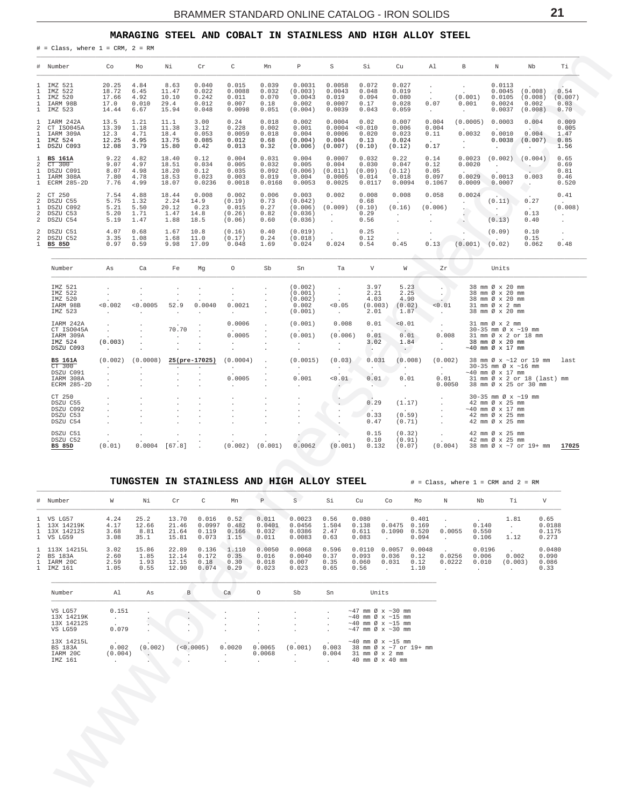## MARAGING STEEL AND COBALT IN STAINLESS AND HIGH ALLOY STEEL

<span id="page-20-0"></span>

|                                                                                  | $#$ = Class, where $1 = CRM$ , $2 = RM$                           |                                          |                                       |                                           |                                           |                                              |                                            |                                                              |                                                             |                                                 |                                                              |                                                   |                                               |                                                                                                                |                                                       |                                                |
|----------------------------------------------------------------------------------|-------------------------------------------------------------------|------------------------------------------|---------------------------------------|-------------------------------------------|-------------------------------------------|----------------------------------------------|--------------------------------------------|--------------------------------------------------------------|-------------------------------------------------------------|-------------------------------------------------|--------------------------------------------------------------|---------------------------------------------------|-----------------------------------------------|----------------------------------------------------------------------------------------------------------------|-------------------------------------------------------|------------------------------------------------|
| #                                                                                | Number                                                            | Co                                       | Mo                                    | Νi                                        | Cr                                        | $\mathsf C$                                  | Mn                                         | $\mathbb P$                                                  | S                                                           | Si                                              | Cu                                                           | Al                                                | B                                             | $\mathbb N$                                                                                                    | Nb                                                    | Τi                                             |
| $\mathbf{1}$<br>$\mathbf 1$<br>$\mathbf{1}$<br>$\mathbf{1}$<br>$\mathbf{1}$      | IMZ 521<br>IMZ 522<br>IMZ 520<br>IARM 98B<br>IMZ 523              | 20.25<br>18.72<br>17.66<br>17.0<br>14.44 | 4.84<br>6.45<br>4.92<br>0.010<br>6.67 | 8.63<br>11.47<br>10.10<br>29.4<br>15.94   | 0.040<br>0.022<br>0.242<br>0.012<br>0.048 | 0.015<br>0.0088<br>0.011<br>0.007<br>0.0098  | 0.039<br>0.032<br>0.070<br>0.18<br>0.051   | 0.0031<br>(0.003)<br>0.0043<br>0.002<br>(0.004)              | 0.0058<br>0.0043<br>0.019<br>0.0007<br>0.0039               | 0.072<br>0.048<br>0.094<br>0.17<br>0.043        | 0.027<br>0.019<br>0.080<br>0.028<br>0.059                    | $\cdot$<br>0.07<br>$\sim$                         | (0.001)<br>0.001<br>$\cdot$                   | 0.0113<br>0.0045<br>0.0105<br>0.0024<br>0.0037                                                                 | (0.008)<br>(0.008)<br>0.002<br>(0.008)                | 0.54<br>(0.007)<br>0.03<br>0.70                |
| $\mathbf{1}$<br>2<br>$\mathbf{1}$<br>$\mathbf{1}$<br>$\mathbf{1}$                | IARM 242A<br>CT ISO045A<br>IARM 309A<br>IMZ 524<br>DSZU C093      | 13.5<br>13.39<br>12.3<br>12.25<br>12.08  | 1.21<br>1.18<br>4.71<br>4.95<br>3.79  | 11.1<br>11.38<br>18.4<br>13.75<br>15.80   | 3.00<br>3.12<br>0.053<br>0.085<br>0.42    | 0.24<br>0.228<br>0.0059<br>0.012<br>0.013    | 0.018<br>0.002<br>0.018<br>0.68<br>0.32    | 0.002<br>0.001<br>0.004<br>(0.004)<br>(0.006)                | 0.0004<br>0.0004<br>0.0006<br>0.004<br>(0.007)              | 0.02<br>< 0.010<br>0.020<br>0.13<br>(0.10)      | 0.007<br>0.006<br>0.023<br>0.024<br>(0.12)                   | 0.004<br>0.004<br>0.11<br>$\sim$<br>0.17          | (0.0005)<br>i.<br>0.0032<br>$\sim$<br>$\cdot$ | 0.0003<br>$\mathbf{r}$<br>0.0010<br>0.0038                                                                     | 0.004<br><b>STATE</b><br>0.004<br>(0.007)             | 0.009<br>0.005<br>1.47<br>0.85<br>1.56         |
| $\mathbf{1}$<br>$\overline{\mathbf{c}}$<br>1<br>1<br>$\mathbf 1$                 | <b>BS 161A</b><br>CT 300<br>DSZU C091<br>IARM 308A<br>ECRM 285-2D | 9.22<br>9.07<br>8.07<br>7.80<br>7.76     | 4.82<br>4.97<br>4.98<br>4.78<br>4.99  | 18.40<br>18.51<br>18.20<br>18.53<br>18.07 | 0.12<br>0.034<br>0.12<br>0.023<br>0.0236  | 0.004<br>0.005<br>0.035<br>0.003<br>0.0018   | 0.031<br>0.032<br>0.092<br>0.019<br>0.0168 | 0.004<br>0.005<br>(0.006)<br>0.004<br>0.0053                 | 0.0007<br>0.004<br>(0.011)<br>0.0005<br>0.0025              | 0.032<br>0.030<br>(0.09)<br>0.014<br>0.0117     | 0.22<br>0.047<br>(0.12)<br>0.018<br>0.0094                   | 0.14<br>0.12<br>0.05<br>0.097<br>0.1067           | 0.0023<br>0.0020<br>0.0029<br>0.0009          | (0.002)<br>$\cdot$<br>0.0013<br>0.0007                                                                         | (0.004)<br>0.003                                      | 0.65<br>0.69<br>0.81<br>0.46<br>0.520          |
| $\overline{\mathbf{c}}$<br>$\,2$<br>$\mathbf{1}$<br>$\overline{\mathbf{c}}$<br>2 | CT 250<br>DSZU C55<br>DSZU C092<br>DSZU C53<br>DSZU C54           | 7.54<br>5.75<br>5.21<br>5.20<br>5.19     | 4.88<br>1.32<br>5.50<br>1.71<br>1.47  | 18.44<br>2.24<br>20.12<br>1.47<br>1.88    | 0.008<br>14.9<br>0.23<br>14.8<br>18.5     | 0.002<br>(0.19)<br>0.015<br>(0.26)<br>(0.06) | 0.006<br>0.73<br>0.27<br>0.82<br>0.60      | 0.003<br>(0.042)<br>(0.006)<br>(0.036)<br>(0.036)            | 0.002<br>$\sim$<br>(0.009)<br>$\mathcal{L}^{\pm}$<br>$\Box$ | 0.008<br>0.68<br>(0.10)<br>0.29<br>0.56         | 0.008<br>$\sim$<br>(0.16)<br>$\ddot{\phantom{a}}$<br>$\cdot$ | 0.058<br>(0.006)                                  | 0.0024<br>$\cdot$<br><b>PAGE</b>              | (0.11)<br>$\cdot$<br>(0.13)                                                                                    | 0.27<br>$\sim$<br>0.13<br>0.40                        | 0.41<br>$\sim$<br>(0.008)<br>$\sim$<br>$\cdot$ |
| $\overline{\mathbf{c}}$<br>2<br>$\mathbf{1}$                                     | DSZU C51<br>DSZU C52<br><b>BS 85D</b>                             | 4.07<br>3.35<br>0.97                     | 0.68<br>1.08<br>0.59                  | 1.67<br>1.68<br>9.98                      | 10.8<br>11.0<br>17.09                     | (0.16)<br>(0.17)<br>0.048                    | 0.40<br>0.24<br>1.69                       | (0.019)<br>(0.018)<br>0.024                                  | $\sim$<br>0.024                                             | 0.25<br>0.12<br>0.54                            | $\cdot$<br>0.45                                              | 0.13                                              | (0.001)                                       | (0.09)<br>(0.02)                                                                                               | 0.10<br>0.15<br>0.062                                 | $\ddot{\phantom{a}}$<br>0.48                   |
|                                                                                  | Number                                                            | As                                       | Ca                                    | Fe                                        | Mg                                        | $\circ$                                      | Sb                                         | Sn                                                           | Ta                                                          | $\mathbf{V}$                                    | W                                                            | Zr                                                |                                               | Units                                                                                                          |                                                       |                                                |
|                                                                                  | IMZ 521<br>IMZ 522<br>IMZ 520<br>IARM 98B<br>IMZ 523<br>IARM 242A | < 0.002                                  | < 0.0005                              | 52.9                                      | 0.0040<br>$\ddot{\phantom{a}}$<br>$\cdot$ | 0.0021<br>0.0006                             |                                            | (0.002)<br>(0.001)<br>(0.002)<br>0.002<br>(0.001)<br>(0.001) | $\cdot$<br>< 0.05<br>$\ddot{\phantom{0}}$<br>0.008          | 3.97<br>2.21<br>4.03<br>(0.003)<br>2.01<br>0.01 | 5.23<br>2.25<br>4.90<br>(0.02)<br>1.87<br>0.01               | $\cdot$<br>0.01                                   |                                               | 38 mm Ø x 20 mm<br>38 mm Ø x 20 mm<br>38 mm Ø x 20 mm<br>31 mm Ø x 2 mm<br>38 mm Ø x 20 mm<br>31 mm Ø x 2 mm   |                                                       |                                                |
|                                                                                  | CT ISO045A<br>IARM 309A<br>IMZ 524<br>DSZU C093                   | (0.003)                                  |                                       | 70.70                                     |                                           | 0.0005                                       |                                            | (0.001)                                                      | (0.006)<br>$\cdot$<br>$\cdot$                               | 0.01<br>3.02<br>$\sim$                          | $\sim$<br>0.01<br>1.84<br>$\overline{\mathcal{C}}$           | 0.008<br>$\mathbf{r}$<br>$\blacksquare$           |                                               | 30-35 mm Ø x ~19 mm<br>31 mm Ø x 2 or 18 mm<br>38 mm Ø x 20 mm<br>$~17$ mm $\varnothing$ x 17 mm               |                                                       |                                                |
|                                                                                  | <b>BS 161A</b><br>CT 300<br>DSZU C091<br>IARM 308A<br>ECRM 285-2D | (0.002)                                  | (0.0008)                              | $\mathbf{r}$                              | 25(pre-17025)<br>$\mathbf{r}$             | (0.0004)<br>$\sim$<br>0.0005                 |                                            | (0.0015)<br>$\cdot$<br>0.001                                 | (0.03)<br>$\ddot{\phantom{0}}$<br>0.01                      | 0.031<br>$\cdot$<br>0.01                        | (0.008)<br>$\sim$<br>0.01<br>$\ddot{\phantom{0}}$            | (0.002)<br>$\ddot{\phantom{a}}$<br>0.01<br>0.0050 |                                               | 30-35 mm Ø x ~16 mm<br>$\sim$ 40 mm $\varnothing$ x 17 mm<br>38 mm Ø x 25 or 30 mm                             | 38 mm Ø x ~12 or 19 mm<br>31 mm Ø x 2 or 18 (last) mm | last                                           |
|                                                                                  | CT 250<br>DSZU C55<br>DSZU C092<br>DSZU C53<br>DSZU C54           |                                          |                                       |                                           |                                           |                                              |                                            |                                                              |                                                             | 0.29<br>$\cdot$<br>0.33<br>0.47                 | (1.17)<br>(0.59)<br>(0.71)                                   |                                                   |                                               | 30-35 mm Ø x ~19 mm<br>42 mm Ø x 25 mm<br>$~17$ mm $\varnothing$ x 17 mm<br>42 mm Ø x 25 mm<br>42 mm Ø x 25 mm |                                                       |                                                |
|                                                                                  | DSZU C51<br>DSZU C52<br><b>BS 85D</b>                             | (0.01)                                   | 0.0004                                | [67.8]                                    |                                           | (0.002)                                      | (0.001)                                    | 0.0062                                                       | (0.001)                                                     | 0.15<br>0.10<br>0.132                           | (0.32)<br>(0.91)<br>(0.07)                                   | (0.004)                                           |                                               | 42 mm Ø x 25 mm<br>42 mm Ø x 25 mm                                                                             | 38 mm Ø x ~7 or 19+ mm                                | 17025                                          |

|                   |                                                      |                                                      |                               | TUNGSTEN IN STAINLESS AND HIGH ALLOY STEEL |                                                                     |                                   |                                                                      |                                                           |                                           |                                                                                                                                  |                                  |                             |                                          | $\#$ = Class, where 1 = CRM and 2 = RM             |                                   |
|-------------------|------------------------------------------------------|------------------------------------------------------|-------------------------------|--------------------------------------------|---------------------------------------------------------------------|-----------------------------------|----------------------------------------------------------------------|-----------------------------------------------------------|-------------------------------------------|----------------------------------------------------------------------------------------------------------------------------------|----------------------------------|-----------------------------|------------------------------------------|----------------------------------------------------|-----------------------------------|
|                   | # Number                                             | W                                                    | Νi                            | C<br>$\operatorname{Cr}$                   | Mn                                                                  | $\mathbb P$                       | S.                                                                   | Si                                                        | Cu                                        | Co                                                                                                                               | Mo                               | N                           | Nb                                       | Τi                                                 | V                                 |
| $\mathbf{1}$      | 1 VS LG57<br>13X 14219K<br>1 13X 14212S<br>1 VS LG59 | 4.24<br>4.17<br>3.68<br>3.08                         | 25.2<br>12.66<br>8.81<br>35.1 | 13.70<br>21.46<br>21.64<br>15.81           | 0.016<br>0.52<br>0.0997<br>0.482<br>0.119<br>0.166<br>0.073<br>1.15 | 0.011<br>0.0401<br>0.032<br>0.011 | 0.0023<br>0.0456<br>0.0386<br>0.0083                                 | 0.56<br>1.504<br>2.47<br>0.63                             | 0.080<br>0.138<br>0.611<br>0.083          | $\mathbf{r}$<br>0.0475<br>0.1090                                                                                                 | 0.401<br>0.169<br>0.520<br>0.094 | $\cdot$<br>0.0055<br>$\sim$ | $\sim$<br>0.140<br>0.550<br>0.106        | 1.81<br>$\sim$<br>1.12                             | 0.65<br>0.0188<br>0.1175<br>0.273 |
| 2<br>$\mathbf{1}$ | 1 113X 14215L<br>BS 183A<br>IARM 20C<br>1 IMZ 161    | 3.02<br>2.60<br>2.59<br>1.05                         | 15.86<br>1.85<br>1.93<br>0.55 | 22.89<br>12.14<br>12.15<br>0.18<br>12.90   | 0.136<br>1.110<br>0.172<br>0.35<br>0.30<br>0.074<br>0.29            | 0.0050<br>0.016<br>0.018<br>0.023 | 0.0068<br>0.0040<br>0.007<br>0.023                                   | 0.596<br>0.37<br>0.35<br>0.65                             | 0.0110<br>0.093<br>0.060<br>0.56          | 0.0057<br>0.036<br>0.031<br>$\epsilon$                                                                                           | 0.0048<br>0.12<br>0.12<br>1.10   | 0.0256<br>0.0222<br>$\cdot$ | 0.0196<br>0.006<br>0.010<br>$\mathbf{r}$ | $\sim$<br>0.002<br>(0.003)<br>$\ddot{\phantom{0}}$ | 0.0480<br>0.090<br>0.086<br>0.33  |
|                   | Number                                               | A1                                                   | As                            | <sub>B</sub>                               | Ca                                                                  | $\circ$                           | Sb                                                                   | Sn                                                        |                                           | Units                                                                                                                            |                                  |                             |                                          |                                                    |                                   |
|                   | VS LG57<br>13X 14219K<br>13X 14212S<br>VS LG59       | 0.151<br>$\sim$<br>$\overline{\phantom{a}}$<br>0.079 | $\mathbf{r}$<br>Ò.<br>$\cdot$ |                                            |                                                                     | $\ddot{\phantom{0}}$              | $\ddot{\phantom{0}}$<br>$\ddot{\phantom{0}}$<br>$\ddot{\phantom{0}}$ | $\sim$<br>$\ddot{\phantom{0}}$<br>$\cdot$<br>$\mathbf{r}$ |                                           | $\sim$ 47 mm Ø x $\sim$ 30 mm<br>$\sim$ 40 mm Ø x $\sim$ 15 mm<br>$\sim$ 40 mm Ø x $\sim$ 15 mm<br>$\sim$ 47 mm Ø x $\sim$ 30 mm |                                  |                             |                                          |                                                    |                                   |
|                   | 13X 14215L<br><b>BS 183A</b>                         | $\cdot$<br>0.002                                     | (0.002)                       | < 0.0005                                   | 0.0020                                                              | 0.0065                            | $\ddot{\phantom{1}}$<br>(0.001)                                      |                                                           | $0.003$ 38 mm $0 \times \sim 7$ or 19+ mm | $\sim$ 40 mm Ø x $\sim$ 15 mm                                                                                                    |                                  |                             |                                          |                                                    |                                   |

| ---------- |         |         |            |        |        |                  |                                      | $\sim$ $\sim$ $\sim$ $\sim$                      |  | . |  |
|------------|---------|---------|------------|--------|--------|------------------|--------------------------------------|--------------------------------------------------|--|---|--|
| BS 183A    | 0.002   | (0.002) | (< 0.0005) | 0.0020 |        | $0.0065$ (0.001) | 0.003                                | 38 mm Ø x ~7 or 19+                              |  |   |  |
| IARM 20C   | (0.004) |         |            |        | 0.0068 |                  | $0.004$ 31 mm $\varnothing \ge 2$ mm |                                                  |  |   |  |
| IMZ 161    |         |         |            |        |        |                  |                                      | $40 \text{ mm} \varnothing \times 40 \text{ mm}$ |  |   |  |
|            |         |         |            |        |        |                  |                                      |                                                  |  |   |  |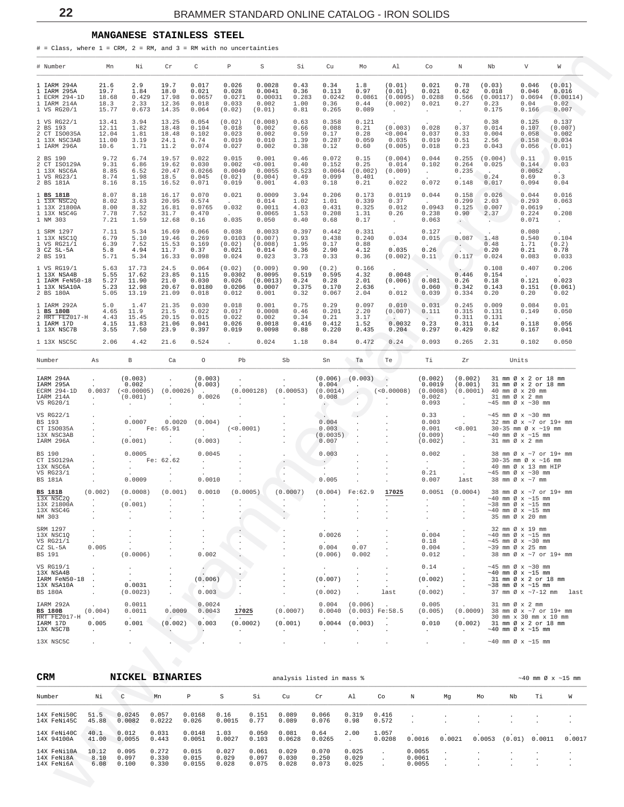#### **MANGANESE STAINLESS STEEL**

<span id="page-21-0"></span># = Class, where  $1 = \text{CRM}$ ,  $2 = \text{RM}$ , and  $3 = \text{RM}$  with no uncertainties \_\_\_\_\_\_\_\_\_\_\_\_\_\_\_\_\_\_\_\_\_\_\_\_\_\_\_\_\_\_\_\_\_\_\_\_\_\_\_\_\_\_\_\_\_\_\_\_\_\_\_\_\_\_\_\_\_\_\_\_\_\_\_\_\_\_\_\_\_\_\_\_\_\_\_\_\_\_\_\_\_\_\_\_\_\_\_\_\_\_\_\_\_\_\_\_\_\_\_\_\_\_\_\_\_\_\_\_\_\_\_\_\_\_\_\_\_\_\_\_\_\_\_\_\_\_\_\_\_\_\_\_\_\_\_\_\_\_\_\_\_\_\_\_\_\_\_\_\_

| # Number                                                                   | Mn                                                             | Νi                                                                      | Cr                                          | С                                                                | Р                                                      | S                                                | Si                                     | Cu                                                                                | Mo                                                                                | Al                                                            | Co                                                    |         | Ν                                                          | Nb                                                                                       | V      |                                                                                                                           | W                                             |
|----------------------------------------------------------------------------|----------------------------------------------------------------|-------------------------------------------------------------------------|---------------------------------------------|------------------------------------------------------------------|--------------------------------------------------------|--------------------------------------------------|----------------------------------------|-----------------------------------------------------------------------------------|-----------------------------------------------------------------------------------|---------------------------------------------------------------|-------------------------------------------------------|---------|------------------------------------------------------------|------------------------------------------------------------------------------------------|--------|---------------------------------------------------------------------------------------------------------------------------|-----------------------------------------------|
| 1 IARM 294A<br>1 IARM 295A<br>1 ECRM 294-1D<br>1 IARM 214A<br>1 VS RG20/1  | 21.6<br>19.7<br>18.68<br>18.3<br>15.77                         | 2.9<br>1.84<br>0.429<br>2.33<br>0.673                                   | 19.7<br>18.0<br>17.98<br>12.36<br>14.35     | 0.017<br>0.021<br>0.0657<br>0.018<br>0.064                       | 0.026<br>0.028<br>0.0271<br>0.033<br>(0.02)            | 0.0028<br>0.0041<br>0.00031<br>0.002<br>(0.01)   | 0.43<br>0.36<br>0.283<br>1.00<br>0.81  | 0.34<br>0.113<br>0.0242<br>0.36<br>0.265                                          | 1.8<br>0.97<br>0.0861<br>0.44<br>0.089                                            | (0.01)<br>(0.01)<br>(0.0095)<br>(0.002)<br>$\sim$             | 0.021<br>0.021<br>0.0288<br>0.021<br>$\cdot$          |         | 0.78<br>0.62<br>0.566<br>0.27<br>$\ddot{\phantom{a}}$      | (0.03)<br>0.018<br>(0.00117)<br>0.23<br>0.175                                            |        | 0.046<br>0.046<br>0.0694<br>0.04<br>0.166                                                                                 | (0.01)<br>0.016<br>(0.00114)<br>0.02<br>0.007 |
| 1 VS RG22/1<br>2 BS 193<br>2 CT ISO035A<br>1 13X NSC3AB<br>1 IARM 296A     | 13.41<br>12.11<br>12.04<br>11.00<br>10.6                       | 3.94<br>1.82<br>1.81<br>3.19<br>1.71                                    | 13.25<br>18.48<br>18.48<br>24.1<br>11.2     | 0.054<br>0.104<br>0.102<br>0.74<br>0.074                         | (0.02)<br>0.018<br>0.023<br>0.019<br>0.027             | (0.008)<br>0.002<br>0.002<br>0.010<br>0.002      | 0.63<br>0.66<br>0.59<br>1.39<br>0.38   | 0.358<br>0.088<br>0.17<br>0.287<br>0.12                                           | 0.121<br>0.21<br>0.28<br>0.059<br>0.60                                            | (0.003)<br>0.004<br>0.035<br>(0.005)                          | 0.028<br>0.037<br>0.019<br>0.018                      |         | 0.37<br>0.33<br>0.51<br>0.23                               | 0.38<br>0.014<br>0.004<br>2.56<br>0.043                                                  |        | 0.125<br>0.107<br>0.058<br>0.158<br>0.056                                                                                 | 0.137<br>(0.007)<br>0.002<br>0.034<br>(0.01)  |
| 2 BS 190<br>2 CT ISO129A<br>1 13X NSC6A<br>1 VS RG23/1<br>2 BS 181A        | 9.72<br>9.31<br>8.85<br>8.74<br>8.16                           | 6.74<br>6.86<br>6.52<br>1.98<br>8.15                                    | 19.57<br>19.62<br>20.47<br>18.5<br>16.52    | 0.022<br>0.030<br>0.0266<br>0.045<br>0.071                       | 0.015<br>0.002<br>0.0049<br>(0.02)<br>0.019            | 0.001<br>< 0.001<br>0.0055<br>(0.004)<br>0.001   | 0.46<br>0.40<br>0.523<br>0.49<br>4.03  | 0.072<br>0.152<br>0.0064<br>0.099<br>0.18                                         | 0.15<br>0.25<br>(0.002)<br>0.401<br>0.21                                          | (0.004)<br>0.014<br>(0.009)<br><b>College</b><br>0.022        | 0.044<br>0.102<br>$\sim$<br>0.072                     |         | 0.255<br>0.264<br>0.235<br>$\sim$<br>0.148                 | (0.004)<br>0.025<br>$\sim 10^{-11}$<br>0.24<br>0.017                                     |        | 0.11<br>0.144<br>0.0052<br>0.69<br>0.094                                                                                  | 0.015<br>0.03<br>0.3<br>0.04                  |
| 1 BS 181B<br>1 13X NSC2Q<br>1 13X 21800A<br>1 13X NSC4G<br>1 NM 303        | 8.07<br>8.02<br>8.00<br>7.78<br>7.21                           | 8.18<br>3.63<br>8.32<br>7.52<br>1.59                                    | 16.17<br>20.95<br>16.81<br>31.7<br>12.68    | 0.070<br>0.574<br>0.0765<br>0.470<br>0.16                        | 0.021<br>$\sim$ $-$<br>0.032<br><b>Carlos</b><br>0.035 | 0.0009<br>0.014<br>0.0011<br>0.0065<br>0.050     | 3.94<br>1.02<br>4.03<br>1.53<br>0.40   | 0.206<br>1.01<br>0.431<br>0.208<br>0.68                                           | 0.173<br>0.339<br>0.325<br>1.31<br>0.17                                           | 0.0119<br>0.37<br>0.012<br>0.26<br>$\sim$                     | 0.044<br><b>Allen</b><br>0.0943<br>0.238<br>0.063     |         | 0.158<br>0.299<br>0.125<br>0.90<br>$\left( \cdot \right)$  | 0.026<br>2.03<br>0.007<br>2.37<br>Service Co                                             |        | 0.044<br>0.293<br>0.0619<br>0.224<br>0.071                                                                                | 0.016<br>0.063<br>0.208<br>$\sim$             |
| 1 SRM 1297<br>1 13X NSC1Q<br>1 VS RG21/1<br>3 CZ SL-5A<br>2 BS 191         | 7.11<br>6.79<br>6.39<br>5.8<br>5.71                            | 5.34<br>5.10<br>7.52<br>4.94<br>5.34                                    | 16.69<br>19.46<br>15.53<br>11.7<br>16.33    | 0.066<br>0.269<br>0.169<br>0.37<br>0.098                         | 0.038<br>0.0103<br>(0.02)<br>0.021<br>0.024            | 0.0033<br>(0.007)<br>(0.008)<br>0.014<br>0.023   | 0.397<br>0.93<br>1.95<br>0.36<br>3.73  | 0.442<br>0.438<br>0.17<br>2.90<br>0.33                                            | 0.331<br>0.240<br>0.88<br>4.12<br>0.36                                            | 0.034<br>$\sim$<br>0.035<br>(0.002)                           | 0.127<br>0.015<br>$\Delta \sim 10$<br>0.26<br>0.11    |         | 0.087<br>$\mathbb{R}^2$<br>0.117                           | 1.48<br>0.48<br>0.20<br>0.024                                                            |        | 0.080<br>0.540<br>1.71<br>0.21<br>0.083                                                                                   | 0.104<br>(0.2)<br>0.78<br>0.033               |
| 1 VS RG19/1<br>1 13X NSA4B<br>1 IARM FeN50-18<br>1 13X NSA10A<br>2 BS 180A | 5.63<br>5.55<br>5.27<br>5.23<br>5.05                           | 17.73<br>17.62<br>11.90<br>12.98<br>13.19                               | 24.5<br>23.85<br>21.0<br>20.67<br>21.09     | 0.064<br>0.115<br>0.030<br>0.0180<br>0.018                       | (0.02)<br>0.0302<br>0.026<br>0.0206<br>0.012           | (0.009)<br>0.0095<br>(0.0013)<br>0.0007<br>0.001 | 0.90<br>0.519<br>0.24<br>0.375<br>0.32 | (0.2)<br>0.595<br>0.28<br>0.170<br>0.067                                          | 0.166<br>4.32<br>2.01<br>2.636<br>2.04                                            | 0.0048<br>(0.006)<br>$\sim$<br>0.012                          | $\sim$<br>0.081<br>0.060<br>0.039                     |         | 0.446<br>0.26<br>0.342<br>0.334                            | 0.108<br>0.154<br>0.18<br>0.143<br>0.20                                                  |        | 0.407<br>$\sim 10^{-11}$<br>0.121<br>0.151<br>0.20                                                                        | 0.206<br>$\sim$<br>0.023<br>(0.061)<br>0.02   |
| 1 IARM 292A<br>1 BS 180B<br>2 HRT FE2017-H<br>1 IARM 17D<br>1 13X NSC7B    | 5.0<br>4.65<br>4.43<br>4.15<br>3.55                            | 1.47<br>11.9<br>15.45<br>11.83<br>7.50                                  | 21.35<br>21.5<br>20.15<br>21.06<br>23.9     | 0.030<br>0.022<br>0.015<br>0.041<br>0.397                        | 0.018<br>0.017<br>0.022<br>0.026<br>0.019              | 0.001<br>0.0008<br>0.002<br>0.0018<br>0.0098     | 0.75<br>0.46<br>0.34<br>0.416<br>0.88  | 0.29<br>0.201<br>0.21<br>0.412<br>0.220                                           | 0.097<br>2.20<br>3.17<br>1.52<br>0.435                                            | 0.010<br>(0.007)<br>$\sim$ .<br>0.0032<br>0.204               | 0.031<br>0.111<br>$\sim$<br>0.23<br>0.297             |         | 0.245<br>0.315<br>0.311<br>0.311<br>0.429                  | 0.009<br>0.131<br>0.131<br>0.14<br>0.82                                                  |        | 0.084<br>0.149<br>0.118<br>0.167                                                                                          | 0.01<br>0.050<br>0.056<br>0.041               |
| 1 13X NSC5C                                                                | 2.06                                                           | 4.42                                                                    | 21.6                                        | 0.524                                                            |                                                        | 0.024                                            | 1.18                                   | 0.84                                                                              | 0.472                                                                             | 0.24                                                          | 0.093                                                 |         | 0.265                                                      | 2.31                                                                                     |        | 0.102                                                                                                                     | 0.050                                         |
| Number<br>IARM 294A<br>IARM 295A<br>ECRM 294-1D<br>IARM 214A<br>VS RG20/1  | As<br>$\cdot$<br>0.0037<br>$\sim$<br>$\ddot{\phantom{a}}$      | В<br>(0.003)<br>0.002<br>(< 0.00005)<br>(0.001)<br>$\ddot{\phantom{a}}$ | Ca<br>$\cdot$<br>(0.00026)<br>$\sim$        | 0<br>(0.003)<br>(0.003)<br><b>Contractor</b><br>0.0026<br>$\sim$ | Pb<br>$\sim$                                           |                                                  | Sb<br>$\sim$                           | Sn<br>(0.006)<br>0.004<br>$(0.000128)$ $(0.00053)$ $(0.0014)$<br>0.008<br>$\cdot$ | Ta<br>(0.003)<br>$\ddot{\phantom{a}}$<br>$\sim$<br>$\sim$<br>$\ddot{\phantom{1}}$ | Te<br>$\ddot{\phantom{a}}$<br>$\sim$<br>(<0.00008)<br>$\cdot$ | Тi<br>(0.002)<br>0.0019<br>(0.0008)<br>0.002<br>0.093 |         | Ζr<br>(0.002)<br>(0.001)<br>(0.0001)<br>$\cdot$<br>$\cdot$ | 40 mm Ø x 20 mm<br>31 mm Ø x 2 mm                                                        | Units  | 31 mm Ø x 2 or 18 mm<br>31 mm Ø x 2 or 18 mm<br>$\sim$ 45 mm Ø x $\sim$ 30 mm                                             |                                               |
| VS RG22/1<br><b>BS 193</b><br>CT ISO035A<br>13X NSC3AB<br>IARM 296A        |                                                                | $\cdot$<br>0.0007<br>$\sim$<br>(0.001)                                  | $\cdot$<br>0.0020<br>Fe: 65.91              | $\cdot$<br>(0.004)<br>$\sim$<br>(0.003)                          | (<0.0001)                                              |                                                  |                                        | $\left\langle \cdot ,\cdot \right\rangle$<br>0.004<br>0.003<br>(0.0035)<br>0.007  |                                                                                   |                                                               | 0.33<br>0.003<br>0.001<br>(0.009)<br>(0.002)          |         | $\cdot$<br>< 0.001<br>$\cdot$                              | 31 mm Ø x 2 mm                                                                           |        | $\sim$ 45 mm Ø x $\sim$ 30 mm<br>32 mm Ø x ~7 or 19+ mm<br>30-35 mm Ø x ~19 mm<br>$\sim$ 40 mm Ø x $\sim$ 15 mm           |                                               |
| BS 190<br>CT ISO129A<br>13X NSC6A<br>VS RG23/1<br><b>BS 181A</b>           | $\ddot{\phantom{a}}$<br>$\blacksquare$<br>$\ddot{\phantom{a}}$ | 0.0005<br><b>Service</b><br>$\cdot$<br>0.0009                           | Fe: 62.62<br>$\sim$<br>$\ddot{\phantom{0}}$ | 0.0045<br>$\cdot$<br>$\cdot$<br>0.0010                           |                                                        |                                                  | $\bullet$<br>$\sim$<br>$\blacksquare$  | 0.003<br>$\sim$ $\sim$<br>$\sim$<br>0.005                                         |                                                                                   |                                                               | 0.002<br>$\sim$<br>0.21<br>0.007                      |         | $\cdot$<br>$\cdot$<br>$\ddot{\phantom{a}}$<br>last         | 38 mm Ø x ~7 mm                                                                          |        | 38 mm Ø x ~7 or 19+ mm<br>$30-35$ mm $\varnothing$ x $\sim$ 16 mm<br>40 mm Ø x 13 mm HIP<br>$\sim$ 45 mm Ø x $\sim$ 30 mm |                                               |
| <b>BS 181B</b><br>13X NSC2Q<br>13X 21800A<br>13X NSC4G<br>NM 303           | (0.002)                                                        | (0.0008)<br>(0.001)                                                     | (0.001)                                     | 0.0010                                                           | (0.0005)                                               |                                                  | (0.0007)                               |                                                                                   | $(0.004)$ Fe:62.9                                                                 | 17025                                                         | 0.0051                                                |         | (0.0004)                                                   | $\sim$ 38 mm Ø x $\sim$ 15 mm<br>$\sim 40$ mm Ø x $\sim 15$ mm                           |        | 38 mm Ø x ~7 or 19+ mm<br>$\sim\!40\,$ mm $\,\emptyset\,$ x $\,\sim\!15\,$ mm<br>35 mm Ø x 20 mm                          |                                               |
| SRM 1297<br>13X NSC1Q<br>VS RG21/1<br>CZ SL-5A<br><b>BS</b> 191            | $\cdot$<br>0.005<br>$\mathcal{L}$                              | (0.0006)                                                                |                                             | 0.002                                                            |                                                        |                                                  |                                        | 0.0026<br>0.004<br>(0.006)                                                        | 0.07<br>0.002                                                                     | $\cdot$<br>$\cdot$                                            | 0.004<br>0.18<br>0.004<br>0.012                       |         | $\cdot$                                                    | $\sim$ 40 mm Ø x $\sim$ 15 mm<br>$\sim$ 45 mm Ø x $\sim$ 30 mm<br>$\sim$ 39 mm Ø x 25 mm |        | 32 mm Ø x 19 mm<br>38 mm Ø x ~7 or 19+ mm                                                                                 |                                               |
| VS RG19/1<br>13X NSA4B<br>IARM FeN50-18<br>13X NSA10A<br><b>BS 180A</b>    | $\cdot$<br>$\cdot$<br>$\cdot$                                  | $\cdot$<br>$\cdot$<br>0.0031<br>(0.0023)                                | $\ddot{\phantom{a}}$<br>$\blacksquare$      | $\ddot{\phantom{0}}$<br>(0.006)<br>$\sim$<br>0.003               | $\bullet$<br>$\cdot$                                   |                                                  | $\cdot$                                | $\cdot$<br>(0.007)<br>$\sim$<br>(0.002)                                           |                                                                                   | last                                                          | 0.14<br>(0.002)<br>$\sim$ $\sim$<br>(0.002)           |         | $\cdot$<br>$\cdot$                                         |                                                                                          |        | $\sim$ 45 mm Ø x $\sim$ 30 mm<br>$\sim$ 40 mm Ø x $\sim$ 15 mm<br>31 mm Ø x 2 or 18 mm<br>$\sim$ 38 mm Ø x $\sim$ 15 mm   | 37 mm Ø x ~7-12 mm last                       |
| IARM 292A<br><b>BS 180B</b><br>HRT FE2017-H<br>IARM 17D<br>13X NSC7B       | (0.004)<br>0.005<br>$\cdot$                                    | 0.0011<br>0.0011<br>0.001<br>$\cdot$                                    | 0.0009<br>(0.002)                           | 0.0024<br>0.0043<br>0.003<br>$\cdot$                             | 17025<br>(0.0002)<br>$\cdot$                           |                                                  | (0.0007)<br>(0.001)<br>$\cdot$         | 0.004<br>0.0040<br>0.0044<br>$\ddot{\phantom{a}}$                                 | (0.006)<br>(0.003)<br>$\cdot$                                                     | $(0.003)$ Fe:58.5                                             | 0.005<br>(0.005)<br>0.010<br>$\cdot$                  |         | (0.0009)<br>(0.002)<br>$\cdot$                             | 31 mm Ø x 2 mm                                                                           |        | 38 mm Ø x ~7 or 19+ mm<br>30 mm x 30 mm x 10 mm<br>31 mm Ø x 2 or 18 mm<br>$\sim$ 40 mm Ø x $\sim$ 15 mm                  |                                               |
| 13X NSC5C                                                                  |                                                                |                                                                         |                                             |                                                                  |                                                        |                                                  |                                        | $\cdot$                                                                           |                                                                                   |                                                               |                                                       |         | $\mathbf{r}$                                               | $\sim$ 40 mm Ø x $\sim$ 15 mm                                                            |        |                                                                                                                           |                                               |
| CRM                                                                        |                                                                |                                                                         | NICKEL BINARIES                             |                                                                  |                                                        |                                                  |                                        | analysis listed in mass %                                                         |                                                                                   |                                                               |                                                       |         |                                                            |                                                                                          |        |                                                                                                                           | $\sim$ 40 mm Ø x $\sim$ 15 mm                 |
| Number                                                                     | Νi                                                             | C                                                                       | Mn                                          | Р                                                                | S                                                      | Si                                               | Cu                                     | Cr                                                                                | Al                                                                                | Co                                                            | Ν                                                     | Mg      | Mo                                                         |                                                                                          | Nb     | Тi                                                                                                                        | W                                             |
| 14X FeNi50C<br>14X FeNi45C                                                 | 51.5<br>45.88                                                  | 0.0245<br>0.0082                                                        | 0.057<br>0.0222                             | 0.0168<br>0.026                                                  | 0.16<br>0.0015                                         | 0.151<br>0.77                                    | 0.089<br>0.089                         | 0.066<br>0.076                                                                    | 0.319<br>0.98                                                                     | 0.416<br>0.572                                                | $\cdot$                                               |         |                                                            |                                                                                          |        |                                                                                                                           |                                               |
| 14X FeNi40C<br>14X 94100A                                                  | 40.1<br>41.00                                                  | 0.012<br>0.0055                                                         | 0.031<br>0.443                              | 0.0148<br>0.0051                                                 | 1.03<br>0.0027                                         | 0.050<br>0.103                                   | 0.081<br>0.0628                        | 0.64<br>0.0265                                                                    | 2.00<br>$\sim$                                                                    | 1.057<br>0.0208                                               | 0.0016                                                | 0.0021  |                                                            | 0.0053                                                                                   | (0.01) | 0.0011                                                                                                                    | 0.0017                                        |
|                                                                            | 10.12                                                          | 0.095                                                                   | 0.272<br>0.330                              | 0.015<br>0.015                                                   | 0.027<br>0.029                                         | 0.061<br>0.097                                   | 0.029<br>0.030                         | 0.070<br>0.250                                                                    | 0.025<br>0.029                                                                    | $\cdot$                                                       | 0.0055<br>0.0061                                      | $\cdot$ | $\cdot$                                                    |                                                                                          |        |                                                                                                                           | $\cdot$                                       |

| <b>CRM</b>                              |                       | <b>NICKEL</b>           | <b>BINARIES</b>         |                          |                         |                         |                         | analysis listed in mass % |                         |                 |                            |        |        |        | $\sim$ 40 mm Ø x $\sim$ 15 mm |        |
|-----------------------------------------|-----------------------|-------------------------|-------------------------|--------------------------|-------------------------|-------------------------|-------------------------|---------------------------|-------------------------|-----------------|----------------------------|--------|--------|--------|-------------------------------|--------|
| Number                                  | Νi                    | ۱C.                     | Mn                      | P                        | S                       | Si                      | Cu                      | Cr                        | Al                      | Co              | N                          | Mq     | Mо     | Nb     | Тi                            | W      |
| 14X FeNi50C<br>14X FeNi45C              | 51.5<br>45.88         | 0.0245<br>0.0082        | 0.057<br>0.0222         | 0.0168<br>0.026          | 0.16<br>0.0015          | 0.151<br>0.77           | 0.089<br>0.089          | 0.066<br>0.076            | 0.319<br>0.98           | 0.416<br>0.572  |                            |        |        |        |                               |        |
| 14X FeNi40C<br>14X 94100A               | 40.1<br>41.00         | 0.012<br>0.0055         | 0.031<br>0.443          | 0.0148<br>0.0051         | 1.03<br>0.0027          | 0.050<br>0.103          | 0.081<br>0.0628         | 0.64<br>0.0265            | 2.00                    | 1.057<br>0.0208 | 0.0016                     | 0.0021 | 0.0053 | (0.01) | 0.0011                        | 0.0017 |
| 14X FeNi10A<br>14X FeNi8A<br>14X FeNi6A | 10.12<br>8.10<br>6.08 | 0.095<br>0.097<br>0.100 | 0.272<br>0.330<br>0.330 | 0.015<br>0.015<br>0.0155 | 0.027<br>0.029<br>0.028 | 0.061<br>0.097<br>0.075 | 0.029<br>0.030<br>0.028 | 0.070<br>0.250<br>0.073   | 0.025<br>0.029<br>0.025 |                 | 0.0055<br>0.0061<br>0.0055 |        |        |        | $\cdot$                       |        |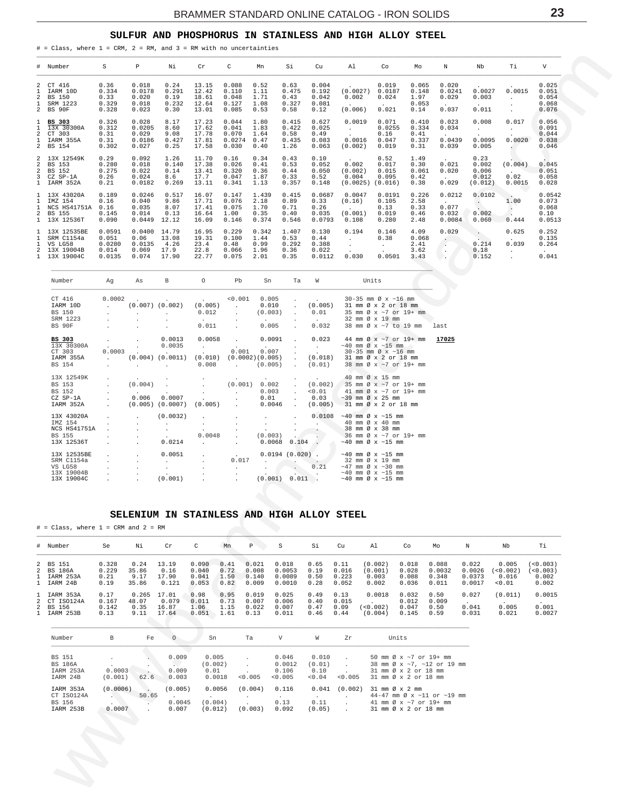### SULFUR AND PHOSPHORUS IN STAINLESS AND HIGH ALLOY STEEL

<span id="page-22-0"></span># = Class, where  $1$  = CRM,  $2$  = RM, and  $3$  = RM with no uncertainties

|                | # Number                                                                                | S                                            | P                                                      | Νi                                     | Cr                                        | C                                          | Mn                                     | Si                                      | Cu                                        | Al                                                                 | Co                                         | Mo                                      | N                                                          | Nb                                                      | Тi                                                                 | V                                                            |
|----------------|-----------------------------------------------------------------------------------------|----------------------------------------------|--------------------------------------------------------|----------------------------------------|-------------------------------------------|--------------------------------------------|----------------------------------------|-----------------------------------------|-------------------------------------------|--------------------------------------------------------------------|--------------------------------------------|-----------------------------------------|------------------------------------------------------------|---------------------------------------------------------|--------------------------------------------------------------------|--------------------------------------------------------------|
| $\overline{a}$ | 2 CT 416<br>1 IARM 10D<br>BS 150<br>1 SRM 1223<br>2 BS 90F                              | 0.36<br>0.334<br>0.33<br>0.329<br>0.328      | 0.018<br>0.0178<br>0.020<br>0.018<br>0.023             | 0.24<br>0.291<br>0.19<br>0.232<br>0.30 | 13.15<br>12.42<br>18.61<br>12.64<br>13.01 | 0.088<br>0.110<br>0.048<br>0.127<br>0.085  | 0.52<br>1.11<br>1.71<br>1.08<br>0.53   | 0.63<br>0.475<br>0.43<br>0.327<br>0.58  | 0.004<br>0.192<br>0.042<br>0.081<br>0.12  | $\ddot{\phantom{0}}$<br>(0.0027)<br>0.002<br>$\sim$ $-$<br>(0.006) | 0.019<br>0.0187<br>0.024<br>0.021          | 0.065<br>0.148<br>1.97<br>0.053<br>0.14 | 0.020<br>0.0241<br>0.029<br>$\sim 10^{-11}$<br>0.037       | $\sim$<br>0.0027<br>0.003<br>$\sim$ 100 $\pm$<br>0.011  | $\sim$ $\sim$<br>0.0015<br>$\mathbf{r}$                            | 0.025<br>0.051<br>0.054<br>0.068<br>0.076                    |
|                | 1 BS 303<br>$1\quad \overline{13}X\quad 30}300A$<br>2 CT 303<br>1 IARM 355A<br>2 BS 154 | 0.326<br>0.312<br>0.31<br>0.31<br>0.302      | 0.028<br>0.0205<br>0.029<br>0.0186<br>0.027            | 8.17<br>8.60<br>9.08<br>0.427<br>0.25  | 17.23<br>17.62<br>17.78<br>17.81<br>17.58 | 0.044<br>0.041<br>0.070<br>0.0274<br>0.030 | 1.80<br>1.83<br>1.64<br>0.47<br>0.40   | 0.415<br>0.422<br>0.58<br>0.435<br>1.26 | 0.627<br>0.025<br>0.49<br>0.083<br>0.063  | 0.0019<br>$\sim$<br>$\sim 10^{-1}$<br>0.0016<br>(0.002)            | 0.071<br>0.0255<br>0.16<br>0.047<br>0.019  | 0.410<br>0.334<br>0.41<br>0.337<br>0.31 | 0.023<br>0.034<br><b>Allen Control</b><br>0.0439<br>0.039  | 0.008<br>$\sim$<br>$\sim$<br>0.0095<br>0.005            | 0.017<br><b>Service</b><br>$\cdot$<br>0.0020                       | 0.056<br>0.091<br>0.044<br>0.038<br>0.046                    |
|                | 2 13X 12549K<br>2 BS 153<br>2 BS 152<br>3 CZ SP-1A<br>1 IARM 352A                       | 0.29<br>0.280<br>0.275<br>0.26<br>0.21       | 0.092<br>0.018<br>0.022<br>0.024<br>0.0182             | 1.26<br>0.140<br>0.14<br>8.6<br>0.269  | 11.70<br>17.38<br>13.41<br>17.7<br>13.11  | 0.16<br>0.026<br>0.320<br>0.047<br>0.341   | 0.34<br>0.41<br>0.36<br>1.87<br>1.13   | 0.43<br>0.53<br>0.44<br>0.33<br>0.357   | 0.10<br>0.052<br>0.050<br>0.52<br>0.148   | <b>Allen</b><br>0.002<br>(0.002)<br>0.004<br>(0.0025)              | 0.52<br>0.017<br>0.015<br>0.095<br>(0.016) | 1.49<br>0.30<br>0.061<br>0.42<br>0.38   | $\sim 10^{-10}$<br>0.021<br>0.020<br><b>Allen</b><br>0.029 | 0.23<br>0.002<br>0.006<br>0.012<br>(0.012)              | (0.004)<br><b>Contract Contract</b><br>0.02<br>0.0015              | 0.045<br>0.051<br>0.058<br>0.028                             |
|                | 1 13X 43020A<br>1 IMZ 154<br>1 NCS HS41751A<br>2 BS 155<br>1 13X 12536T                 | 0.189<br>0.16<br>0.16<br>0.145<br>0.090      | 0.0246<br>0.040<br>0.035<br>0.014<br>$0.0449$ 12.12    | 0.517<br>9.86<br>8.07<br>0.13          | 16.07<br>17.71<br>17.41<br>16.64<br>16.09 | 0.147<br>0.076<br>0.075<br>1.00<br>0.146   | 1.439<br>2.18<br>1.70<br>0.35<br>0.374 | 0.415<br>0.89<br>0.71<br>0.40<br>0.546  | 0.0687<br>0.33<br>0.26<br>0.035<br>0.0793 | 0.0047<br>(0.16)<br>(0.001)<br>0.108                               | 0.0191<br>0.105<br>0.13<br>0.019<br>0.280  | 0.226<br>2.58<br>0.33<br>0.46<br>2.48   | 0.0212<br>$\sim 10^{-10}$<br>0.077<br>0.032<br>0.0084      | 0.0102<br>$\sim 10^{-11}$<br>0.002<br>0.060             | <b>CONTRACTOR</b><br>1.00<br>$\left  \cdot \right\rangle$<br>0.444 | 0.0542<br>0.073<br>0.068<br>0.10<br>0.0513                   |
|                | 1 13X 12535BE<br>SRM C1154a<br>1 VS LG58<br>2 13X 19004B<br>1 13X 19004C                | 0.0591<br>0.051<br>0.0280<br>0.014<br>0.0135 | 0.0400 14.79<br>0.06<br>0.0135<br>0.069<br>0.074 17.90 | 13.08<br>4.26<br>17.9                  | 16.95<br>19.31<br>23.4<br>22.8<br>22.77   | 0.229<br>0.100<br>0.48<br>0.066<br>0.075   | 0.342<br>1.44<br>0.99<br>1.96<br>2.01  | 1.407<br>0.53<br>0.292<br>0.36<br>0.35  | 0.130<br>0.44<br>0.388<br>0.022<br>0.0112 | 0.194<br>$\sim$<br>$\sim$<br>$\mathcal{L}^{\text{max}}$<br>0.030   | 0.146<br>0.38<br>$\sim$<br>0.0501          | 4.09<br>0.068<br>2.41<br>3.62<br>3.43   | 0.029<br>$\sim$<br><b>COLLEGE</b>                          | $\Delta$ .<br><b>Contract</b><br>0.214<br>0.18<br>0.152 | 0.625<br><b>Contractor</b><br>0.039<br>$\sim$<br>$\sim$            | 0.252<br>0.135<br>0.264<br><b>Contract Contract</b><br>0.041 |

| Number                                                           | Aq                                   | As                                                               | $\mathbf{B}$                                                                                                                                                                             | $\circ$                                                                           | Pb                                                                                              | Sn                                                                    | Ta                                                               | W                                                                       | Units                                                                                                                                                               |       |
|------------------------------------------------------------------|--------------------------------------|------------------------------------------------------------------|------------------------------------------------------------------------------------------------------------------------------------------------------------------------------------------|-----------------------------------------------------------------------------------|-------------------------------------------------------------------------------------------------|-----------------------------------------------------------------------|------------------------------------------------------------------|-------------------------------------------------------------------------|---------------------------------------------------------------------------------------------------------------------------------------------------------------------|-------|
| CT 416<br>IARM 10D<br><b>BS 150</b><br>SRM 1223                  | 0.0002<br>$\mathcal{L}^{\text{max}}$ | $\sim$<br>$\sim$                                                 | <b>Contract Contract Contract</b><br>$(0.007)$ $(0.002)$<br>$\mathbf{r}$                                                                                                                 | <b>Contract Contract Contract</b><br>(0.005)<br>0.012<br><b>Contract Contract</b> | < 0.001<br>$\sim$ $\sim$<br>$\sim$<br>$\ddot{\phantom{0}}$                                      | 0.005<br>0.010<br>(0.003)<br><b>Contract Contract</b>                 | $\sim$<br>$\mathbf{r}$<br>$\ddot{\phantom{0}}$                   | <b>Contract Contract</b><br>(0.005)<br>0.01<br><b>Contract Contract</b> | $30 - 35$ mm $\emptyset$ x ~16 mm<br>31 mm Ø x 2 or 18 mm<br>35 mm Ø x ~7 or 19+ mm<br>32 mm Ø x 19 mm                                                              |       |
| BS 90F                                                           |                                      |                                                                  |                                                                                                                                                                                          | 0.011                                                                             | $\mathbf{r}$                                                                                    | 0.005                                                                 | $\mathbf{r}$                                                     | 0.032                                                                   | 38 mm Ø x ~7 to 19 mm                                                                                                                                               | last  |
| <b>BS 303</b><br>13X 30300A<br>CT 303<br>IARM 355A<br>BS 154     | $\mathbf{r}$<br>0.0003               | $\sim$                                                           | 0.0013<br>0.0035<br><b>Contract Contract</b><br>$(0.004)$ $(0.0011)$<br>and the company of the company of the company of the company of the company of the company of the company of the | 0.0058<br><b>Contract Contract Contract</b><br><b>Contract</b>                    | <b>Contract</b><br><b>Carl Corporation</b><br>0.001<br>$(0.010)$ $(0.0002)(0.005)$<br>$0.008$ . | 0.0091<br><b>Contract Contract Contract</b><br>0.007<br>(0.005)       | $\mathbf{r}$<br>$\sim$<br>$\mathbf{r}$<br>$\mathbf{r}$<br>$\sim$ | 0.023<br><b>Contract Contract</b><br>$\sim$<br>(0.018)<br>(0.01)        | 44 mm $\varnothing$ x ~7 or 19+ mm<br>$\sim$ 40 mm Ø x $\sim$ 15 mm<br>$30-35$ mm $\varnothing$ x $\sim$ 16 mm<br>31 mm Ø x 2 or 18 mm<br>38 mm Ø x ~7 or 19+ mm    | 17025 |
| 13X 12549K<br>BS 153<br>BS 152<br>CZ SP-1A<br>IARM 352A          | a.                                   | $\sim$ 100 $\mu$<br>(0.004)<br><b>Contract Contract</b><br>0.006 | $\mathbf{r}$<br>$\cdot$<br>0.0007<br>$(0.005)$ $(0.0007)$                                                                                                                                | $\sim$<br>$\ddot{\phantom{a}}$<br>$(0.005)$ .                                     | (0.001)<br>$\mathbf{r}$<br>$\mathbf{r}$                                                         | <b>Contract Contract Contract</b><br>0.002<br>0.003<br>0.01<br>0.0046 | $\ddot{\phantom{0}}$<br>$\sim$<br>$\mathbf{r}$<br>$\sim$         | <b>Contract Contract Contract</b><br>(0.002)<br>< 0.01<br>0.03          | 40 mm Ø x 15 mm<br>35 mm $\emptyset$ x $\sim$ 7 or 19+ mm<br>41 mm $\emptyset$ x ~7 or 19+ mm<br>$\sim$ 39 mm Ø x 25 mm<br>$(0.005)$ 31 mm $\emptyset$ x 2 or 18 mm |       |
| 13X 43020A<br>IMZ 154<br>NCS HS41751A<br>BS 155<br>13X 12536T    |                                      | $\mathbf{r}$                                                     | (0.0032)<br>$\mathbf{r}$<br>$\ddot{\phantom{a}}$<br>$\cdot$<br>0.0214                                                                                                                    | 0.0048<br><b>Service</b>                                                          | $\mathbf{r}$<br>$\mathbf{r}$                                                                    | (0.003)<br>0.0068                                                     | $\mathbf{r}$<br>$\bullet$<br>$\ddot{\phantom{0}}$                | 0.0108<br>$\sim$<br>$0.104$ .                                           | $\sim$ 40 mm Ø x $\sim$ 15 mm<br>40 mm $\varnothing \times 40$ mm<br>38 mm Ø x 38 mm<br>36 mm Ø x ~7 or 19+ mm<br>$\sim$ 40 mm Ø x $\sim$ 15 mm                     |       |
| 13X 12535BE<br>SRM C1154a<br>VS LG58<br>13X 19004B<br>13X 19004C |                                      | $\mathbf{r}$                                                     | 0.0051<br>$\mathbf{r}$<br>(0.001)                                                                                                                                                        | $\ddot{\phantom{0}}$<br>$\ddot{\phantom{0}}$                                      | <b>Contract Contract</b><br>0.017<br>$\mathbf{r}$<br>$\mathbf{r}$                               | $0.0194(0.020)$ .<br>(0.001)                                          | <b>Contract Contract</b><br>and the contract of the con-         | <b>Contract Contract</b><br>0.21<br>$0.011$ .                           | $\sim$ 40 mm Ø x $\sim$ 15 mm<br>32 mm Ø x 19 mm<br>$\sim$ 47 mm Ø x $\sim$ 30 mm<br>$\sim$ 40 mm Ø x $\sim$ 15 mm<br>$\sim$ 40 mm Ø x $\sim$ 15 mm                 |       |

### SELENIUM IN STAINLESS AND HIGH ALLOY STEEL

 $#$  = Class, where 1 = CRM and 2 = RM

| # Number                                               | Se                             | Νi                             | Cr                               | $\mathbf{C}$                     | Mn                           | P                                | S                                   | Si                           | Cu                              | A1                                   | Co                               | Mo                                | N                                   | Nb                                   | Тi                                       |
|--------------------------------------------------------|--------------------------------|--------------------------------|----------------------------------|----------------------------------|------------------------------|----------------------------------|-------------------------------------|------------------------------|---------------------------------|--------------------------------------|----------------------------------|-----------------------------------|-------------------------------------|--------------------------------------|------------------------------------------|
| 2 BS 151<br>2 BS 186A<br>1 IARM 253A<br>1 IARM 24B     | 0.328<br>0.229<br>0.21<br>0.19 | 0.24<br>35.86<br>9.17<br>35.86 | 13.19<br>0.16<br>17.90<br>0.121  | 0.090<br>0.040<br>0.041<br>0.053 | 0.41<br>0.72<br>1.50<br>0.82 | 0.021<br>0.008<br>0.140<br>0.009 | 0.018<br>0.0053<br>0.0089<br>0.0010 | 0.65<br>0.19<br>0.50<br>0.28 | 0.11<br>0.016<br>0.223<br>0.052 | (0.002)<br>(0.001)<br>0.003<br>0.002 | 0.018<br>0.028<br>0.088<br>0.036 | 0.088<br>0.0032<br>0.348<br>0.011 | 0.022<br>0.0026<br>0.0373<br>0.0017 | 0.005<br>(<0.002)<br>0.016<br>< 0.01 | ( < 0.003)<br>(<0.003)<br>0.002<br>0.002 |
| 1 IARM 353A<br>2 CT ISO124A<br>2 BS 156<br>1 IARM 253B | 0.17<br>0.167<br>0.142<br>0.13 | 0.265<br>48.07<br>0.35<br>9.11 | 17.01<br>0.079<br>16.87<br>17.64 | 0.98<br>0.011<br>1.06<br>0.051   | 0.95<br>0.73<br>1.15<br>1.61 | 0.019<br>0.007<br>0.022<br>0.13  | 0.025<br>0.006<br>0.007<br>0.011    | 0.49<br>0.40<br>0.47<br>0.46 | 0.13<br>0.015<br>0.09<br>0.44   | 0.0018<br>(<0.002)<br>(0.004)        | 0.032<br>0.012<br>0.047<br>0.145 | 0.50<br>0.009<br>0.50<br>0.59     | 0.027<br>0.041<br>0.031             | (0.011)<br>0.005<br>0.021            | 0.0015<br>0.001<br>0.0027                |

| Number                                                   | B.                                  | Fe    | $\Omega$                   | Sn                                 | Ta                 | V                                      | W                                         | Zr      | Units                                                                                                                                                                                                                               |
|----------------------------------------------------------|-------------------------------------|-------|----------------------------|------------------------------------|--------------------|----------------------------------------|-------------------------------------------|---------|-------------------------------------------------------------------------------------------------------------------------------------------------------------------------------------------------------------------------------------|
| <b>BS 151</b><br><b>BS 186A</b><br>IARM 253A<br>IARM 24B | $\overline{a}$<br>0.0003<br>(0.001) | 62.6  | 0.009<br>0.009<br>0.003    | 0.005<br>(0.002)<br>0.01<br>0.0018 | < 0.005            | 0.046<br>0.0012<br>0.106<br>< 0.005    | 0.010<br>(0.01)<br>0.10<br>< 0.04         | < 0.005 | 50 mm $\varnothing$ x $\sim$ 7 or 19+ mm<br>38 mm $\varnothing$ x $\sim$ 7. $\sim$ 12 or 19 mm<br>$31 \text{ mm}$ $\emptyset$ $\times$ $2 \text{ or } 18 \text{ mm}$<br>$31 \text{ mm}$ $\emptyset$ $\times$ $2$ or $18 \text{ mm}$ |
| IARM 353A<br>CT ISO124A<br>BS 156<br>IARM 253B           | (0.0006)<br>0.0007                  | 50.65 | (0.005)<br>0.0045<br>0.007 | 0.0056<br>(0.004)<br>(0.012)       | (0.004)<br>(0.003) | 0.116<br>$\mathbf{r}$<br>0.13<br>0.092 | 0.041<br>$\overline{a}$<br>0.11<br>(0.05) | (0.002) | $31 \text{ mm} \varnothing \times 2 \text{ mm}$<br>44-47 mm $\varnothing$ x ~11 or ~19 mm<br>41 mm $\emptyset$ x $\sim$ 7 or 19+ mm<br>$31 \text{ mm}$ $\emptyset$ $\times$ $2 \text{ or } 18 \text{ mm}$                           |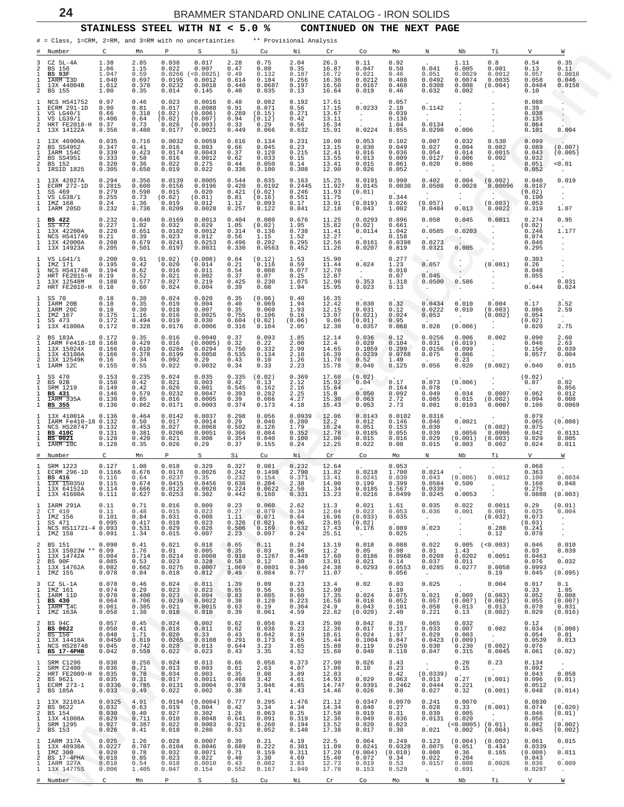**STAINLESS STEEL WITH NI < 5.0 % CONTINUED ON THE NEXT PAGE**

<span id="page-23-0"></span>

|                            | # = Class, 1=CRM, 2=RM, and 3=RM with no uncertainties                                           |                                                     |                                                  |                                                         |                                                             |                                                    |                                                       | ** Provisional Analysis                            |                                                        |                                                            |                                                     |                                                       |                                                                         |                                                          |                                                        |                                                                          |
|----------------------------|--------------------------------------------------------------------------------------------------|-----------------------------------------------------|--------------------------------------------------|---------------------------------------------------------|-------------------------------------------------------------|----------------------------------------------------|-------------------------------------------------------|----------------------------------------------------|--------------------------------------------------------|------------------------------------------------------------|-----------------------------------------------------|-------------------------------------------------------|-------------------------------------------------------------------------|----------------------------------------------------------|--------------------------------------------------------|--------------------------------------------------------------------------|
| #                          | Number                                                                                           | С                                                   | Mn                                               | Ρ                                                       | S                                                           | Si                                                 | Cu                                                    | Νi                                                 | Cr                                                     | Co                                                         | Mo                                                  | N                                                     | Nb                                                                      | Тi                                                       | V                                                      | W                                                                        |
| 3<br>2<br>2                | CZ SL-4A<br>BS 156<br><b>BS 93F</b><br>IARM 13D<br>13X 44004B<br>BS 155                          | 1.38<br>1.06<br>1.047<br>1.040<br>1.012<br>1.00     | 2.85<br>1.15<br>0.59<br>0.697<br>0.378<br>0.35   | 0.038<br>0.022<br>0.0266<br>0.0195<br>0.0232<br>0.014   | 0.017<br>0.007<br>(< 0.0025)<br>0.0012<br>0.0018<br>0.145   | 2.28<br>0.47<br>0.49<br>0.614<br>0.440<br>0.40     | 0.75<br>0.09<br>0.132<br>0.184<br>0.0687<br>0.035     | 2.04<br>0.35<br>0.187<br>0.256<br>0.197<br>0.13    | 26.3<br>16.87<br>16.72<br>16.36<br>16.50<br>16.64      | 0.11<br>0.047<br>0.021<br>0.0212<br>0.0167<br>0.019        | 0.92<br>0.50<br>0.46<br>0.488<br>0.468<br>0.46      | 0.041<br>0.051<br>0.0492<br>0.0308<br>0.032           | 1.11<br>0.005<br>0.0029<br>0.0074<br>0.008<br>0.002                     | 0.8<br>0.001<br>0.0012<br>0.0035<br>(0.004)<br>$\cdot$   | 0.54<br>0.13<br>0.057<br>0.058<br>0.0484<br>0.10       | 0.35<br>0.11<br>0.0016<br>0.046<br>0.0156<br>ч.,                         |
| 2                          | NCS HS41752<br>ECRM 291-1D<br>VS LG40/1<br>VS LG39/1<br>HRT FE2018-H<br>13X 14122A               | 0.97<br>0.90<br>0.66<br>0.406<br>0.37<br>0.356      | 0.46<br>0.81<br>0.318<br>0.64<br>0.73<br>0.480   | 0.023<br>0.017<br>(0.02)<br>(0.02)<br>0.026<br>0.0177   | 0.0016<br>0.0088<br>(0.006)<br>(0.007)<br>(0.003)<br>0.0021 | 0.48<br>0.91<br>0.289<br>0.94<br>0.33<br>0.449     | 0.082<br>0.071<br>(0.15)<br>(0.12)<br>0.29<br>0.066   | 0.192<br>0.56<br>0.271<br>0.42<br>0.56<br>0.632    | $17.61$<br>$17.15$<br>13.67<br>13.11<br>16.34<br>15.91 | 0.0233<br>$\sim$<br>$\sim$<br>0.0224                       | 0.057<br>2.10<br>0.039<br>0.136<br>1.04<br>0.855    | 0.1142<br>$\cdot$<br>0.0134<br>0.0290                 | $\cdot$<br>0.006                                                        |                                                          | 0.088<br>0.39<br>0.038<br>0.135<br>0.064<br>0.101      | $\ddot{\phantom{0}}$<br>0.004                                            |
| 2<br>2<br>2                | 13X 40900A<br>BS SS4952<br>IARM 154C<br><b>BS SS4951</b><br>BS 152<br>IRSID 1825                 | 0.035<br>0.347<br>0.339<br>0.333<br>0.320<br>0.305  | 0.716<br>0.41<br>0.423<br>0.58<br>0.36<br>0.650  | 0.0032<br>0.016<br>0.0174<br>0.016<br>0.022<br>0.019    | 0.0059<br>0.003<br>0.0043<br>0.0012<br>0.275<br>0.022       | 0.616<br>0.66<br>0.37<br>0.62<br>0.44<br>0.336     | 0.134<br>0.045<br>0.120<br>0.033<br>0.050<br>0.100    | 0.231<br>0.23<br>0.215<br>0.15<br>0.14<br>0.308    | 10.98<br>13.15<br>12.41<br>13.55<br>13.41<br>12.90     | 0.053<br>0.030<br>0.016<br>0.013<br>0.015<br>0.026         | 0.102<br>0.049<br>0.036<br>0.009<br>0.061<br>0.052  | 0.007<br>0.027<br>0.054<br>0.0127<br>0.020            | 0.032<br>0.004<br>0.014<br>0.006<br>0.006                               | 0.530<br>0.002<br>0.0015<br>0.002<br>$\cdot$             | 0.099<br>0.089<br>0.043<br>0.032<br>0.051<br>0.052     | (0.007)<br>(0.005)<br>0.01                                               |
|                            | 13X 42027A<br>ECRM 272-1D<br>SS 469<br>VS LG38/1<br>IMZ 168<br>IARM 205D                         | 0.294<br>0.2815<br>0.279<br>0.255<br>0.24<br>0.232  | 0.356<br>0.600<br>0.598<br>0.73<br>1.36<br>0.736 | 0.0139<br>0.0156<br>0.015<br>(0.02)<br>0.019<br>0.0209  | 0.0005<br>0.0196<br>0.020<br>(0.01)<br>0.012<br>0.0028      | 0.544<br>0.420<br>0.421<br>0.81<br>1.12<br>0.257   | 0.035<br>0.0192<br>(0.02)<br>(0.16)<br>0.093<br>0.122 | 0.163<br>0.2445<br>0.246<br>0.551<br>0.17<br>0.841 | 15.25<br>11.927<br>11.93<br>11.75<br>13.91<br>12.18    | 0.0191<br>0.0145<br>(0.01)<br>(0.019)<br>0.043             | 0.990<br>0.0030<br>0.344<br>0.026<br>1.002          | 0.402<br>0.0508<br>$\cdot$<br>(0.057)<br>0.0484       | 0.004<br>0.0028<br>$\bullet$<br>0.013                                   | (0.002)<br>0.00096<br>(0.003)<br>0.0022                  | 0.048<br>0.0167<br>(0.02)<br>0.190<br>0.053<br>0.319   | 0.019<br>$\cdot$<br>1.07                                                 |
|                            | BS 422<br>SS 472<br>13X 42200A<br>NCS HS41749<br>13X 42000A<br>13X 14923A                        | 0.232<br>0.227<br>0.220<br>0.21<br>0.208<br>0.205   | 0.640<br>1.02<br>0.651<br>0.39<br>0.679<br>0.501 | 0.0169<br>0.032<br>0.0182<br>0.023<br>0.0241<br>0.0197  | 0.0013<br>0.029<br>0.0012<br>0.012<br>0.0253<br>0.0031      | 0.404<br>1.05<br>0.314<br>0.56<br>0.496<br>0.330   | 0.080<br>(0.02)<br>0.136<br>1.15<br>0.202<br>0.0563   | 0.676<br>1.95<br>0.738<br>1.52<br>0.295<br>0.452   | 11.25<br>15.82<br>11.41<br>12.27<br>12.56<br>11.26     | 0.0293<br>(0.02)<br>0.0114<br>0.0161<br>0.0207             | 0.896<br>0.661<br>1.042<br>0.158<br>0.0398<br>0.819 | 0.050<br>0.0585<br>0.0273<br>0.0321                   | 0.045<br>0.0203<br>$\bullet$<br>0.005                                   | 0.0011                                                   | 0.274<br>(0.02)<br>0.246<br>0.074<br>0.046<br>0.295    | 0.95<br>1.177<br>$\cdot$                                                 |
| 2                          | VS LG41/1<br>IMZ 171<br>NCS HS41748<br>HRT FE2015-H<br>13X 12548M<br>HRT FE2010-H 0.18           | 0.200<br>0.195<br>0.194<br>0.19<br>0.188            | 0.91<br>0.42<br>0.62<br>0.52<br>0.577<br>0.60    | (0.02)<br>0.020<br>0.016<br>0.021<br>0.027<br>0.024     | (0.008)<br>0.014<br>0.011<br>0.002<br>0.219<br>0.004        | 0.64<br>0.21<br>0.54<br>0.37<br>0.425<br>0.39      | (0.12)<br>0.116<br>0.008<br>0.07<br>0.230<br>0.08     | 1.53<br>0.59<br>0.077<br>0.25<br>1.075<br>1.94     | 15.90<br>11.44<br>12.70<br>12.87<br>12.96<br>15.95     | 0.024<br>$\sim$<br>0.353<br>0.023                          | 0.277<br>1.23<br>0.010<br>0.07<br>1.318<br>0.13     | 0.057<br>0.045<br>0.0500<br>$\ddot{\phantom{a}}$      | $\bullet$<br>0.586<br>$\cdot$                                           | (0.001)<br>$\cdot$                                       | 0.303<br>0.26<br>0.048<br>0.055<br>0.044               | 0.031<br>0.024                                                           |
|                            | SS 70<br>IARM 20B<br>IARM 20C<br>IMZ 167<br>SS 473<br>13X 41800A                                 | 0.18<br>0.18<br>0.18<br>0.175<br>0.172<br>0.172     | 0.38<br>0.35<br>0.30<br>1.16<br>0.494<br>0.328   | 0.024<br>0.019<br>0.018<br>0.016<br>0.019<br>0.0176     | 0.020<br>0.004<br>0.007<br>0.0025<br>0.030<br>0.0006        | 0.35<br>0.40<br>0.35<br>0.755<br>0.604<br>0.316    | (0.06)<br>0.069<br>0.060<br>0.106<br>(0.02)<br>0.104  | 0.40<br>1.94<br>1.93<br>0.16<br>(0.06)<br>2.05     | 16.35<br>12.42<br>12.15<br>13.07<br>9.06<br>12.30      | 0.030<br>0.031<br>(0.021)<br>(0.01)<br>0.0357              | 0.32<br>0.12<br>0.024<br>0.95<br>0.068              | 0.0434<br>0.0222<br>0.053<br>0.028                    | 0.010<br>0.010<br>$\ddot{\phantom{a}}$<br>(0.006)                       | 0.004<br>(0.003)<br>(0.002)<br>$\cdot$                   | 0.17<br>0.086<br>0.054<br>(0.02)<br>0.020              | 3.52<br>2.59<br>$\ddot{\phantom{0}}$<br>2.75                             |
| 2<br>2                     | BS 183A<br>IARM Fe418-18 0.168<br>13X 15024X<br>13X 43100A<br>13X 12549K<br>IARM 12C             | 0.172<br>0.166<br>0.166<br>0.16<br>0.155            | 0.35<br>0.429<br>0.610<br>0.378<br>0.34<br>0.55  | 0.016<br>0.016<br>0.0284<br>0.0199<br>0.092<br>0.022    | 0.0040<br>(0.0005)<br>0.0294<br>0.0050<br>0.29<br>0.0032    | 0.37<br>0.32<br>0.750<br>0.535<br>0.43<br>0.34     | 0.093<br>0.22<br>0.332<br>0.134<br>0.10<br>0.33       | 1.85<br>2.00<br>2.99<br>2.10<br>1.26<br>2.23       | 12.14<br>12.4<br>14.65<br>16.39<br>11.70<br>15.78      | 0.036<br>0.029<br>0.1059<br>0.0239<br>0.52<br>0.048        | 0.12<br>0.104<br>0.299<br>0.0768<br>1.49<br>0.125   | 0.0256<br>0.031<br>0.0156<br>0.075<br>0.056           | 0.006<br>(0.019)<br>0.099<br>0.006<br>0.23<br>0.020                     | 0.002<br>$\cdot$<br>$\sim$<br>(0.002)                    | 0.090<br>0.046<br>0.150<br>0.0577<br>0.040             | 2.60<br>2.63<br>0.039<br>0.004<br>0.015                                  |
| 2                          | SS 470<br>BS 92B<br>SRM 1219<br>BS 431<br>IARM 335A<br>BS 355                                    | 0.153<br>0.150<br>0.149<br>0.146<br>0.138<br>0.136  | 0.235<br>0.42<br>0.42<br>0.579<br>0.85<br>0.862  | 0.024<br>0.021<br>0.026<br>0.0232<br>0.016<br>0.0171    | 0.035<br>0.003<br>0.001<br>0.0047<br>0.0005<br>0.0003       | 0.335<br>0.42<br>0.545<br>0.393<br>0.39<br>0.374   | (0.02)<br>0.13<br>0.162<br>0.282<br>0.086<br>0.173    | 0.369<br>2.12<br>2.16<br>2.25<br>4.27<br>4.18      | 17.68<br>15.92<br>15.64<br>15.8<br>15.30<br>15.43      | (0.02)<br>0.04<br>0.050<br>0.063<br>0.053                  | 0.17<br>0.164<br>0.092<br>2.72<br>2.73              | 0.073<br>0.078<br>0.049<br>0.085<br>0.081             | (0.006)<br>0.034<br>0.015<br>0.0103                                     | $\cdot$<br>0.0007<br>(0.002)<br>0.0007                   | (0.02)<br>0.07<br>0.062<br>0.094<br>0.106              | 0.02<br>0.056<br>0.012<br>0.008<br>0.0069                                |
|                            | 13X 41001A<br>IARM Fe410-18 0.132<br>NCS HS28747<br><b>BS 410C</b><br><b>BS 0021</b><br>TARM 10C | 0.136<br>0.132<br>0.131<br>0.128<br>0.128           | 0.464<br>0.50<br>0.453<br>0.381<br>0.420<br>0.35 | 0.0142<br>0.017<br>0.027<br>0.0206<br>0.021<br>0.026    | 0.0037<br>0.0014<br>0.0068<br>0.0051<br>0.008<br>0.29       | 0.298<br>0.29<br>0.502<br>0.366<br>0.354<br>0.37   | 0.056<br>0.046<br>0.126<br>0.084<br>0.040<br>0.155    | 0.0939<br>0.280<br>1.79<br>0.352<br>0.100<br>0.24  | 12.06<br>12.2<br>16.24<br>12.78<br>12.00<br>12.25      | 0.0143<br>0.012<br>0.051<br>0.0185<br>0.015<br>0.022       | 0.0102<br>0.146<br>0.153<br>0.055<br>0.016<br>0.08  | 0.0316<br>0.046<br>0.030<br>0.039<br>0.029<br>0.015   | 0.0021<br>0.0056<br>(0.001)<br>0.003                                    | $\cdot$<br>(0.002)<br>0.0006<br>(0.003)<br>0.002         | 0.079<br>0.065<br>0.075<br>0.042<br>0.029<br>0.024     | (0.008)<br>0.0131<br>0.005<br>0.011                                      |
| #                          | Number                                                                                           | C                                                   | Mn                                               | Ρ                                                       | S                                                           | Si                                                 | Cu                                                    | Νi                                                 | Cr                                                     | Co                                                         | Mo                                                  | Ν                                                     | Nb                                                                      | Тi                                                       | V                                                      | W                                                                        |
| 1<br>1                     | SRM 1223<br><b>ECRM 296-1D</b><br><b>BS 416</b><br>13X 15035U<br>13X 64152A<br>13X 41600A        | 0.127<br>0.1166<br>0.116<br>0.115<br>0.114<br>0.111 | 1.08<br>0.676<br>0.64<br>0.674<br>0.666<br>0.627 | 0.018<br>0.0178<br>0.0237<br>0.0415<br>0.0123<br>0.0253 | 0.329<br>0.0026<br>0.35<br>0.0456<br>0.0020<br>0.302        | 0.327<br>0.242<br>0.232<br>0.636<br>0.224<br>0.442 | 0.081<br>0.1498<br>0.154<br>0.204<br>0.0622<br>0.160  | 0.232<br>2.790<br>0.371<br>2.38<br>2.50<br>0.331   | 12.64<br>11.82<br>13.41<br>14.00<br>11.34<br>13.23     | 0.0218<br>0.0241<br>0.199<br>0.0185<br>0.0216              | 0.053<br>1.700<br>0.030<br>0.399<br>1.567<br>0.0499 | 0.0214<br>0.043<br>0.0584<br>0.0339<br>0.0245         | (0.006)<br>0.500<br>0.0053                                              | $\cdot$<br>0.0012<br>$\sim$                              | 0.068<br>0.363<br>0.100<br>0.160<br>0.275<br>0.0888    | 0.0034<br>0.048<br>(0.003)                                               |
| 1<br>2<br>1                | IARM 291A<br>CT 410<br>IMZ 156<br>SS 471<br>NCS HS11721-4<br>IMZ 158                             | 0.11<br>0.11<br>0.101<br>0.095<br>0.093<br>0.091    | 0.71<br>0.48<br>0.84<br>0.417<br>0.531<br>1.34   | 0.016<br>0.015<br>0.031<br>0.018<br>0.029<br>0.015      | 0.009<br>0.023<br>0.008<br>0.023<br>0.026<br>0.007          | 0.23<br>0.27<br>1.11<br>0.326<br>0.506<br>2.23     | 0.060<br>0.079<br>0.071<br>(0.02)<br>0.169<br>0.097   | 2.62<br>0.34<br>0.64<br>0.96<br>0.632<br>0.24      | 11.3<br>12.04<br>16.96<br>23.85<br>17.43<br>25.51      | $0.021$<br>$0.023$<br>(0.033)<br>(0.02)<br>0.176<br>$\sim$ | 1.61<br>0.053<br>0.035<br>0.089<br>0.025            | 0.035<br>0.036<br>$\sim$<br>0.023<br>$\sim$ $\sim$    | 0.022<br>0.001<br>$\cdot$<br>$\ddot{\phantom{a}}$<br>$\cdot$<br>$\cdot$ | 0.0011<br>0.001<br>(0.032)<br>0.288<br>0.12              | 0.29<br>0.025<br>0.073<br>(0.03)<br>0.241<br>0.078     | (0.01)<br>0.004<br>$\ddot{\phantom{0}}$<br>$\cdot$<br>$\cdot$<br>$\cdot$ |
| 2<br>1<br>1<br>2<br>1<br>1 | BS 151<br>13X 15023W ** 0.09<br>13X 14742A<br><b>BS 90F</b><br>13X 14762A<br>IMZ 155             | 0.090<br>0.084<br>0.085<br>0.082<br>0.078           | 0.41<br>1.76<br>0.714<br>0.53<br>0.662<br>0.84   | 0.021<br>0.01<br>0.0214<br>0.023<br>0.0275<br>0.018     | 0.018<br>0.005<br>0.0008<br>0.328<br>0.0007<br>0.012        | 0.65<br>0.35<br>0.910<br>0.58<br>1.069<br>0.49     | 0.11<br>0.03<br>0.1267<br>0.12<br>0.0801<br>0.084     | 0.24<br>0.96<br>0.449<br>0.30<br>0.346<br>0.77     | 13.19<br>11.2<br>17.60<br>13.01<br>24.38<br>11.07      | 0.018<br>0.05<br>0.0186<br>0.021<br>0.0293<br>$\sim$       | 0.088<br>0.98<br>0.0968<br>0.14<br>0.0553<br>0.056  | 0.022<br>0.01<br>0.0209<br>0.037<br>0.0285<br>$\sim$  | 0.005<br>1.43<br>0.0202<br>0.011<br>0.0277<br>$\cdot$                   | (< 0.003)<br>0.0051<br>$\sim$<br>0.0058<br>0.19          | 0.046<br>0.03<br>0.0463<br>0.076<br>0.0993<br>0.045    | 0.010<br>0.039<br>0.032<br>$\sim$<br>(0.095)                             |
| 3<br>1<br>1<br>1           | CZ SL-1A<br>IMZ 161<br>IARM 11D<br>BS 430<br>IARM 14C<br>IMZ 163A                                | 0.078<br>0.074<br>0.070<br>0.064<br>0.061<br>0.058  | 0.46<br>0.29<br>0.400<br>0.706<br>0.385<br>1.38  | 0.024<br>0.023<br>0.023<br>0.0239<br>0.021<br>0.018     | 0.011<br>0.023<br>0.004<br>0.0022<br>0.0015<br>0.010        | 1.39<br>0.65<br>0.83<br>0.38<br>0.63<br>0.39       | 0.09<br>0.56<br>0.085<br>0.120<br>0.19<br>0.061       | 0.23<br>0.55<br>0.60<br>0.223<br>0.364<br>4.59     | 13.4<br>12.90<br>17.35<br>16.58<br>24.9<br>22.62       | 0.02<br>0.024<br>0.018<br>0.043<br>(0.020)                 | 0.03<br>1.10<br>0.075<br>0.052<br>0.101<br>2.40     | 0.025<br>0.021<br>0.057<br>0.058<br>0.221             | $\sim$<br>0.009<br>(0.007)<br>0.013<br>0.13                             | 0.004<br>(0.003)<br>(0.002)<br>0.013<br>(0.002)          | 0.017<br>0.33<br>0.052<br>0.055<br>0.078<br>0.029      | 0.1<br>1.05<br>0.008<br>(0.007)<br>0.031<br>(0.016)                      |
| 2<br>1<br>2<br>1<br>1      | BS 94C<br>BS 0022<br>BS 150<br>13X 14418A<br>NCS HS28748<br><b>BS 17-4PHB</b>                    | 0.057<br>0.050<br>0.048<br>0.0450<br>0.045<br>0.042 | 0.45<br>0.41<br>1.71<br>0.819<br>0.742<br>0.559  | 0.024<br>0.018<br>0.020<br>0.0265<br>0.028<br>0.022     | 0.002<br>0.011<br>0.33<br>0.0108<br>0.013<br>0.023          | 0.62<br>0.62<br>0.43<br>0.291<br>0.644<br>0.43     | 0.056<br>0.036<br>0.042<br>0.173<br>3.23<br>3.35      | 0.43<br>0.23<br>0.19<br>4.65<br>3.85<br>4.52       | 25.90<br>12.36<br>18.61<br>15.44<br>15.88<br>15.60     | 0.042<br>0.017<br>0.024<br>0.1004<br>0.119<br>0.040        | 0.20<br>0.117<br>1.97<br>0.847<br>0.259<br>0.110    | 0.065<br>0.033<br>0.029<br>0.0423<br>0.030<br>0.047   | 0.032<br>0.007<br>0.003<br>(0.009)<br>0.230<br>0.315                    | 0.002<br>$\sim 10^{-11}$<br>(0.002)<br>0.0045            | 0.12<br>0.034<br>0.054<br>0.0539<br>0.076<br>0.061     | (0.008)<br>0.01<br>0.013<br>(0.02)                                       |
| 1<br>2<br>2<br>1<br>2      | SRM C1296<br>SRM C2400<br>HRT FE2009-H 0.035<br>BS 9621<br>ECRM 273-1<br>BS 185A                 | 0.038<br>0.036<br>0.035<br>0.0336<br>0.033          | 0.256<br>0.71<br>0.78<br>0.31<br>0.785<br>0.49   | 0.024<br>0.013<br>0.034<br>0.017<br>0.0131<br>0.022     | 0.013<br>0.003<br>0.003<br>0.0011<br>0.0004<br>0.002        | 0.66<br>0.61<br>0.35<br>0.468<br>0.378<br>0.38     | 0.056<br>2.63<br>0.08<br>3.42<br>3.046<br>3.41        | 0.373<br>4.07<br>3.89<br>4.61<br>4.85<br>4.43      | 27.90<br>17.06<br>12.83<br>14.93<br>14.747<br>14.46    | 0.026<br>0.10<br>0.029<br>0.0391<br>0.026                  | 3.43<br>0.23<br>0.42<br>0.063<br>0.2462<br>0.30     | $\cdot$<br>(0.0339)<br>0.013<br>0.0444<br>0.027       | 0.20<br>0.15<br>0.27<br>0.221<br>0.32                                   | 0.23<br><b>Contract</b><br>(0.001)<br>(0.001)            | 0.134<br>0.092<br>0.043<br>0.096<br>0.0512<br>0.048    | $\cdot$<br>0.058<br>(0.01)<br>(0.014)                                    |
| 2<br>2                     | 13X 32101A<br>BS 9622<br>BS 154<br>13X 41008A<br>SRM 1295                                        | 0.0325<br>0.032<br>0.030<br>0.029<br>0.027<br>0.026 | 4.91<br>0.63<br>0.40<br>0.711<br>0.387<br>0.41   | 0.0194<br>0.019<br>0.027<br>0.010<br>0.022<br>0.018     | (0.0004)<br>0.004<br>0.302<br>0.0048<br>0.0003<br>0.280     | 0.777<br>0.42<br>1.26<br>0.641<br>0.321<br>0.53    | 0.295<br>3.34<br>0.063<br>0.091<br>0.260<br>0.052     | 1.476<br>4.34<br>0.25<br>0.319<br>0.194<br>0.140   | 21.12<br>14.34<br>17.58<br>12.36<br>13.52<br>17.38     | 0.0347<br>0.040<br>0.019<br>0.049<br>0.020<br>0.017        | 0.0970<br>0.27<br>0.31<br>0.036<br>0.023<br>0.30    | 0.241<br>0.028<br>0.039<br>0.0131<br>0.021            | 0.0070<br>0.33<br>0.005<br>0.020<br>(< 0.0005)<br>0.002                 | (0.001)<br><b>Contract Contract</b><br>(0.01)<br>(0.004) | 0.0830<br>0.074<br>0.046<br>0.056<br>0.082<br>0.045    | (0.020)<br>(0.01)<br>(0.002)<br>(0.002)                                  |
| 1<br>1<br>2                | BS 153                                                                                           |                                                     |                                                  |                                                         |                                                             |                                                    |                                                       |                                                    |                                                        |                                                            |                                                     |                                                       |                                                                         |                                                          |                                                        |                                                                          |
| 1<br>2                     | IARM 317A<br>13X 40930A<br>IMZ 300<br>BS 17-4PHA<br>IARM 327A<br>13X 14775S                      | 0.025<br>0.0227<br>0.020<br>0.018<br>0.018<br>0.006 | 1.26<br>0.707<br>0.78<br>0.85<br>0.54<br>1.405   | 0.028<br>0.0104<br>0.032<br>0.023<br>0.018<br>0.047     | 0.0007<br>0.0046<br>0.0071<br>0.022<br>0.0010<br>0.154      | 0.39<br>0.689<br>0.71<br>0.40<br>0.43<br>0.552     | 0.21<br>0.222<br>0.159<br>3.30<br>0.082<br>0.167      | 4.19<br>0.301<br>0.311<br>4.69<br>3.83<br>1.949    | 22.5<br>11.09<br>17.20<br>15.40<br>12.73<br>17.78      | 0.064<br>0.0241<br>(0.004)<br>0.072<br>0.019<br>0.153      | 0.249<br>0.0328<br>(0.010)<br>0.34<br>0.53<br>0.529 | 0.123<br>0.0075<br>0.008<br>0.022<br>0.0157<br>$\sim$ | (0.004)<br>0.051<br>0.36<br>0.204<br>0.008<br>0.691                     | (0.002)<br>0.434<br>0.165<br>0.0026<br>$\sim$            | 0.061<br>0.0339<br>(0.008)<br>0.043<br>0.036<br>0.0287 | 0.015<br>0.011<br>0.009<br>$\sim$                                        |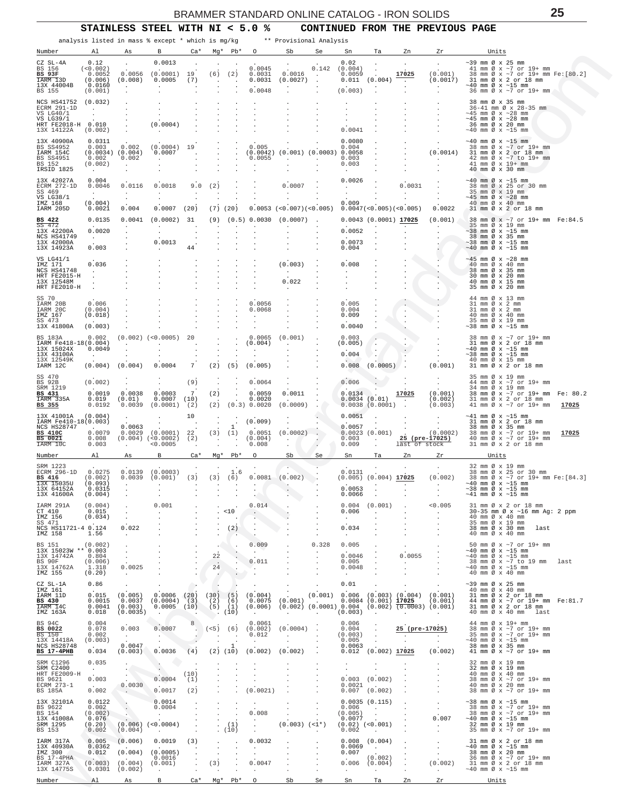<span id="page-24-0"></span>

| STAINLESS STEEL WITH NI $<$ 5.0 % |  |  | CONTINUED FROM THE PREVIOUS PAGE |  |  |  |  |
|-----------------------------------|--|--|----------------------------------|--|--|--|--|
|-----------------------------------|--|--|----------------------------------|--|--|--|--|

|                                                                                                   |                                                                |                                                                    | analysis listed in mass % except * which is mg/kg                                       |                                                   |                                                         |                                   |                                                                                                                 | ** Provisional Analysis                             |                                           |                                                       |                                                                                          |                                                   |                                                                                                                 |                                                                                                                                       |       |                                                                                                                     |       |
|---------------------------------------------------------------------------------------------------|----------------------------------------------------------------|--------------------------------------------------------------------|-----------------------------------------------------------------------------------------|---------------------------------------------------|---------------------------------------------------------|-----------------------------------|-----------------------------------------------------------------------------------------------------------------|-----------------------------------------------------|-------------------------------------------|-------------------------------------------------------|------------------------------------------------------------------------------------------|---------------------------------------------------|-----------------------------------------------------------------------------------------------------------------|---------------------------------------------------------------------------------------------------------------------------------------|-------|---------------------------------------------------------------------------------------------------------------------|-------|
| Number                                                                                            | Al                                                             | As                                                                 | в                                                                                       | $Ca*$                                             |                                                         |                                   | Mg* Pb* 0                                                                                                       | Sb                                                  | Se                                        | Sn                                                    | Ta                                                                                       | Zn                                                | Zr                                                                                                              |                                                                                                                                       | Units |                                                                                                                     |       |
| CZ SL-4A<br>BS 156<br><b>BS 93F</b><br>IARM 13D<br>13X 44004B<br>BS 155                           | 0.12<br>(<0.002)<br>0.0052<br>(0.006)<br>0.0160<br>(0.001)     | 0.0056<br>(0.008)<br>$\sim$<br>$\cdot$                             | 0.0013<br>(0.0001)<br>0.0005<br>$\cdot$                                                 | 19<br>(7)                                         | $\cdot$                                                 | $(6)$ $(2)$                       | 0.0045<br>0.0031<br>0.0031<br>0.0048                                                                            | 0.0016<br>(0.0027)                                  | 0.142<br><b>Contract</b><br>$\cdot$       | 0.02<br>(0.004)<br>0.0059<br>(0.003)                  | $0.011$ $(0.004)$                                                                        | 17025<br>$\sim$<br>$\ddot{\phantom{a}}$           | (0.001)<br>(0.0017)<br><b>Contract</b><br>$\cdot$                                                               | $\sim$ 39 mm Ø x 25 mm<br>$\sim$ 40 mm Ø x $\sim$ 15 mm                                                                               |       | 41 mm Ø x ~7 or 19+ mm<br>38 mm Ø x ~7 or 19+ mm Fe: [80.2]<br>31 mm Ø x 2 or 18 mm<br>36 mm Ø x ~7 or 19+ mm       |       |
| NCS HS41752<br>ECRM 291-1D<br>VS LG40/1<br>VS LG39/1<br>HRT FE2018-H 0.010<br>13X 14122A          | (0.032)<br>$\sim$ $\sim$<br>$\ddot{\phantom{0}}$<br>(0.002)    |                                                                    | (0.0004)<br>$\sim$ $\sim$                                                               |                                                   |                                                         |                                   |                                                                                                                 |                                                     |                                           | 0.0041                                                |                                                                                          |                                                   |                                                                                                                 | 38 mm Ø x 35 mm<br>$\sim$ 45 mm Ø x $\sim$ 28 mm<br>$\sim$ 45 mm Ø x $\sim$ 28 mm<br>36 mm Ø x 20 mm<br>$\sim$ 40 mm Ø x $\sim$ 15 mm |       | 36-41 mm Ø x 28-35 mm                                                                                               |       |
| 13X 40900A<br>BS SS4952<br>IARM 154C<br>BS SS4951<br>BS 152<br>IRSID 1825                         | 0.0311<br>0.003<br>$(0.0034)$ $(0.004)$<br>0.002<br>(0.002)    | 0.002<br>0.002<br>$\ddot{\phantom{a}}$                             | $(0.0004)$ 19<br>0.0007<br><b>Service</b>                                               |                                                   |                                                         |                                   | 0.005<br>$(0.0042)$ $(0.001)$ $(0.0003)$ 0.0058<br>0.0055                                                       | $\sim$                                              | $\sim$                                    | 0.0080<br>0.004<br>0.003<br>0.003<br>$\sim 100$       |                                                                                          |                                                   | $\cdot$<br>(0.0014)<br>$\sim$ $-$                                                                               | $\sim$ 40 mm Ø x $\sim$ 15 mm<br>41 mm Ø x 19+ mm<br>40 mm Ø x 30 mm                                                                  |       | 38 mm Ø x ~7 or 19+ mm<br>31 mm Ø x 2 or 18 mm<br>42 mm Ø x ~7 to 19+ mm                                            |       |
| 13X 42027A<br>ECRM 272-1D<br>SS 469<br>VS LG38/1<br>IMZ 168<br>IARM 205D                          | 0.004<br>0.0046<br>$\sim$<br>(0.004)<br>0.0021                 | 0.0116<br>$\sim$<br>0.004                                          | 0.0018<br>$\sim$<br>0.0007                                                              | 9.0<br>$\cdot$<br>(20)                            | (2)<br>$\cdot$                                          | $(7)$ $(20)$                      |                                                                                                                 | 0.0007<br>$\sim$<br>$0.0053$ (<0.007)(<0.005)       |                                           | 0.0026<br><b>Carl Corporation</b><br>$\cdot$<br>0.009 | $0.0047 \, (< 0.005) \, (< 0.005)$                                                       | 0.0031<br>$\sim$                                  | 0.0022                                                                                                          | $\sim$ 40 mm Ø x $\sim$ 15 mm<br>35 mm Ø x 19 mm<br>$\sim$ 45 mm Ø x $\sim$ 28 mm<br>40 mm Ø x 40 mm                                  |       | 38 mm Ø x 25 or 30 mm<br>31 mm Ø x 2 or 18 mm                                                                       |       |
| BS 422<br>SS 472<br>13X 42200A<br>NCS HS41749<br>13X 42000A<br>13X 14923A                         | 0.0135<br>0.0020<br>$\sim 10^{-11}$<br>0.003                   | 0.0041<br>$\cdot$<br>$\cdot$                                       | $(0.0002)$ 31<br>$\sim$<br>0.0013<br>$\cdot$                                            | $\cdot$<br>44                                     |                                                         |                                   | $(9)$ $(0.5)$ 0.0030 $(0.0007)$ .                                                                               |                                                     |                                           | 0.0052<br>0.0073<br>0.004                             | $0.0043$ (0.0001) 17025                                                                  |                                                   | (0.001)<br>$\sim$                                                                                               | 35 mm Ø x 19 mm<br>$\sim$ 38 mm Ø x $\sim$ 15 mm<br>38 mm Ø x 35 mm<br>$\sim$ 38 mm Ø x $\sim$ 15 mm<br>$\sim$ 40 mm Ø x $\sim$ 15 mm |       | 38 mm Ø x ~7 or 19+ mm Fe:84.5                                                                                      |       |
| VS LG41/1<br>IMZ 171<br>NCS HS41748<br>HRT FE2015-H<br>13X 12548M<br>HRT FE2010-H                 | 0.036<br>$\sim$                                                |                                                                    |                                                                                         |                                                   |                                                         |                                   |                                                                                                                 | (0.003)<br>$\sim$<br>0.022<br>$\sim$                |                                           | 0.008<br>$\blacksquare$                               |                                                                                          |                                                   | $\mathcal{L}_{\mathcal{P}}$<br>$\cdot$<br>$\sim$<br>$\cdot$<br>$\cdot$                                          | $\sim$ 45 mm Ø x $\sim$ 28 mm<br>40 mm Ø x 40 mm<br>38 mm Ø x 35 mm<br>30 mm Ø x 20 mm<br>40 mm Ø x 15 mm<br>35 mm Ø x 20 mm          |       |                                                                                                                     |       |
| SS 70<br>IARM 20B<br>IARM 20C<br>IMZ 167<br>SS 473<br>13X 41800A                                  | 0.006<br>(0.004)<br>(0.018)<br>(0.003)                         |                                                                    |                                                                                         |                                                   |                                                         |                                   | 0.0056<br>0.0068<br>$\cdot$                                                                                     |                                                     |                                           | 0.005<br>0.004<br>0.009<br>0.0040                     |                                                                                          | $\cdot$                                           |                                                                                                                 | 44 mm Ø x 13 mm<br>31 mm Ø x 2 mm<br>31 mm Ø x 2 mm<br>40 mm Ø x 40 mm<br>35 mm Ø x 19 mm<br>$\sim$ 38 mm Ø x $\sim$ 15 mm            |       |                                                                                                                     |       |
| BS 183A<br>IARM Fe418-18(0.004)<br>13X 15024X<br>13X 43100A<br>13X 12549K<br>IARM 12C             | 0.002<br>0.0049<br>$\sim 10^{-1}$<br>(0.004)                   | $\cdot$<br>$\cdot$<br>(0.004)                                      | $(0.002)$ $(0.0005)$<br>$\cdot$<br>0.0004                                               | 20<br>7                                           | (2)                                                     | (5)                               | 0.0065<br>(0.004)<br>$\cdot$<br>(0.005)                                                                         | (0.001)<br>$\sim$                                   |                                           | 0.003<br>(0.005)<br>0.004<br>0.008                    | $(0.0005)$ .                                                                             |                                                   | $\cdot$<br>$\cdot$<br>(0.001)                                                                                   | $\sim$ 40 mm Ø x $\sim$ 15 mm<br>$\sim$ 38 mm Ø x $\sim$ 15 mm<br>40 mm Ø x 15 mm                                                     |       | 38 mm Ø x ~7 or 19+ mm<br>31 mm Ø x 2 or 18 mm<br>31 mm Ø x 2 or 18 mm                                              |       |
| SS 470<br><b>BS 92B</b><br>SRM 1219<br>BS 431<br>IARM 335A<br>BS 355                              | (0.002)<br>0.0019<br>0.019<br>0.0192                           | $\cdot$<br>0.0038<br>(0.01)<br>0.0039                              | 0.0003<br>0.0007<br>(0.0001)                                                            | (9)<br>7<br>(10)<br>(2)                           | $\cdot$<br>(2)                                          | $\cdot$                           | 0.0064<br>0.0059<br>0.0020<br>$(2)$ $(0.3)$ 0.0020                                                              | 0.0011<br>(0.0009)                                  |                                           | 0.006<br>0.0134                                       | 0.0034(0.01)<br>0.0038(0.0001)                                                           | 17025<br>$\sim$                                   | $\cdot$<br>$\sim$<br>(0.001)<br>(0.002)<br>(0.003)                                                              | 35 mm Ø x 19 mm<br>34 mm Ø x 19 mm                                                                                                    |       | 44 mm Ø x ~7 or 19+ mm<br>38 mm Ø x ~7 or 19+ mm Fe: 80.2<br>31 mm Ø x 2 or 18 mm<br>41 mm Ø x ~7 or 19+ mm 17025   |       |
| 13X 41001A<br>IARM Fe410-18(0.003)<br>NCS HS28747<br><b>BS 410C</b><br><b>BS</b> 0021<br>IARM 10C | (0.004)<br>0.0079<br>0.008<br>0.003                            | 0.0063<br>0.0029<br>$\sim$                                         | $(0.0001)$ 22<br>$(0.004)$ $(<0.0002)$ $(2)$<br>< 0.0005                                | 10<br>$\sim$<br>$\ddot{\phantom{1}}$              | $\cdot$<br>$\sim$ $\sim$                                | $\mathbf{1}$<br>(3) (1)<br>$\sim$ | (0.009)<br>0.0051<br>(0.004)<br>0.008                                                                           | $\cdot$<br>(0.0002)<br>$\sim 100$<br>$\cdot$        | $\ddot{\phantom{0}}$                      | 0.0051<br>0.0057<br>0.003<br>0.009                    | $\sim$<br>0.0023(0.001)<br><b>Contractor</b><br>$\cdot$                                  | $\sim 100$<br>last of stock                       | $\sim$<br>$\sim 10^{-11}$<br>(0.0002)<br>25 (pre-17025)                                                         | $\sim$ 41 mm Ø x $\sim$ 15 mm                                                                                                         |       | 31 mm Ø x 2 or 18 mm<br>38 mm Ø x 35 mm<br>38 mm Ø x ~7 or 19+ mm<br>40 mm Ø x ~7 or 19+ mm<br>31 mm Ø x 2 or 18 mm | 17025 |
| Number                                                                                            | Al                                                             | As                                                                 | В                                                                                       | $Ca*$                                             | Mg*                                                     | $Pb*$                             | $\circ$                                                                                                         | Sb                                                  | Se                                        | Sn                                                    | Ta                                                                                       | Zn                                                | Ζr                                                                                                              |                                                                                                                                       | Units |                                                                                                                     |       |
| SRM 1223<br>ECRM 296-1D<br><b>BS</b> 416<br>13X 15035U<br>13X 64152A<br>13X 41600A                | 0.0275<br>(0.002)<br>(0.093)<br>0.0315<br>(0.004)              | 0.0139<br>0.0039<br>$\sim$                                         | (0.0003)<br>(0.001)<br>$\cdot$                                                          | (3)<br>$\ddot{\phantom{1}}$<br>$\cdot$            |                                                         | 1.6<br>$(3)$ $(6)$<br>$\,$ .      | $\sim$                                                                                                          | $0.0081 - (0.002)$                                  |                                           | 0.0131<br>0.0053<br>0.0066                            | $(0.005)$ $(0.004)$ 17025                                                                | $\sim$                                            | (0.002)<br>$\sim$ $-$                                                                                           | 32 mm Ø x 19 mm<br>$\sim$ 40 mm Ø x $\sim$ 15 mm<br>$\sim$ 38 mm Ø x $\sim$ 15 mm<br>$\sim$ 41 mm Ø x $\sim$ 15 mm                    |       | 38 mm Ø x 25 or 30 mm<br>38 mm Ø x ~7 or 19+ mm Fe: [84.3]                                                          |       |
| IARM 291A<br>CT 410<br>IMZ 156<br>SS 471<br>NCS HS11721-4 0.124<br>IMZ 158                        | (0.004)<br>0.015<br>(0.034)<br>1.56                            | $\cdot$<br>$\sim$<br>0.022<br>$\sim$                               | 0.001<br>$\sim$<br>$\cdot$                                                              | $\cdot$<br>$\cdot$                                | $\cdot$<br>$\cdot$                                      | . 10<br>(2)                       | 0.014<br>$\sim$<br>$\sim$<br>$\cdot$                                                                            | $\cdot$                                             | $\cdot$<br>$\cdot$                        | 0.004<br>0.006<br>$\sim$<br>0.034<br>$\sim 100$       | (0.001)<br>$\overline{a}$<br>$\cdot$                                                     | $\ddot{\phantom{a}}$                              | < 0.005<br>$\sim$<br>$\cdot$                                                                                    | 40 mm Ø x 40 mm<br>35 mm Ø x 19 mm<br>40 mm Ø x 40 mm                                                                                 |       | 31 mm Ø x 2 or 18 mm<br>30-35 mm Ø x ~16 mm Ag: 2 ppm<br>38 mm Ø x 30 mm last                                       |       |
| <b>BS</b> 151<br>13X 15023W ** 0.003<br>13X 14742A<br>BS 90F<br>13X 14762A<br>IMZ 155             | (0.002)<br>0.804<br>(0.006)<br>1.318<br>(0.20)                 | $\cdot$<br>$\sim$<br>$\sim$<br>0.0025<br><b>Contract</b>           | $\cdot$<br>$\cdot$                                                                      | $\cdot$<br>$\cdot$                                | $\sim$<br>22<br>$\overline{\phantom{a}}$<br>24          | $\cdot$<br>$\cdot$<br>$\cdot$     | 0.009<br>$\sim$<br>0.011<br>$\sim$                                                                              |                                                     | 0.328<br>$\cdot$<br>$\cdot$               | 0.005<br>0.0046<br>0.005<br>0.0048<br>$\sim 10^{-11}$ | $\cdot$<br>$\cdot$                                                                       | $\ddot{\phantom{a}}$<br>0.0055<br><b>Contract</b> | $\cdot$<br>$\cdot$                                                                                              | $\sim$ 40 mm Ø x $\sim$ 15 mm<br>$\sim$ 40 mm Ø x $\sim$ 15 mm<br>$\sim$ 40 mm Ø x $\sim$ 15 mm<br>40 mm $\varnothing \times 40$ mm   |       | 50 mm Ø x ~7 or 19+ mm<br>38 mm Ø x ~7 to 19 mm                                                                     | last  |
| CZ SL-1A<br>IMZ 161<br>IARM 11D<br>BS 430<br>IARM 14C<br>IMZ 163A                                 | 0.86<br>0.015<br>0.0015<br>0.018                               | $\cdot$<br>(0.005)<br>0.0037<br>$0.0041$ (0.003)<br>(0.0035)       | 0.0006<br>$(0.0004)$ (3)<br>$0.0005$ (10)<br>$\sim$                                     | $\overline{\phantom{a}}$<br>(20)<br>$\sim$ $\sim$ | $\blacksquare$<br>(30)<br>$(5)$ $(1)$<br>$\bullet$ (iō) | (5)<br>$(2)$ (6)                  | (0.004)<br>0.0075<br>$(0.006)$ $(0.002)$ $(0.0001)$ $0.004$ $(0.002)$ $\overline{(0.0003)}$ $(0.001)$<br>$\sim$ | $\cdot$<br>$(0.001)$ .<br><b>Contract Contract</b>  | $\ddot{\phantom{a}}$<br><b>Contractor</b> | 0.01<br>$(0.003)$ .                                   |                                                                                          | <b>Contract Contract</b>                          | $(0.001)$ $0.006$ $(0.003)$ $(0.004)$ $(0.001)$<br>$0.0084$ (0.001) $17025$ (0.001)<br><b>Contract Contract</b> | $\sim$ 39 mm Ø x 25 mm<br>40 mm Ø x 40 mm                                                                                             |       | 31 mm Ø x 2 or 18 mm<br>44 mm Ø x ~7 or 19+ mm Fe:81.7<br>31 mm Ø x 2 or 18 mm<br>40 mm Ø x 40 mm last              |       |
| BS 94C<br>BS 0022<br>BS 150<br>13X 14418A<br>NCS HS28748<br><b>BS 17-4PHB</b>                     | 0.004<br>0.078<br>0.002<br>(0.003)<br>0.034                    | 0.003<br><b>Contract Contract</b><br>0.0047<br>(0.003)             | 0.0007<br><b>CONTRACTOR</b><br>0.0036                                                   | 8<br>(4)                                          |                                                         | $\mathbf{1}$<br>$(2)$ $(10)$      | 0.0061<br>$(5)$ (6) (0.002)<br>0.012<br><b>Contract</b><br>(0.002)                                              | $(0.0004)$ .<br><b>Contract Contract</b><br>(0.002) | $\sim$<br>$\sim$                          | 0.006<br>$0.004$ .<br>$(0.003)$ .<br>0.005<br>0.0063  | $\sim$<br>$\sim 10^6$<br>$0.012$ $(0.002)$ 17025                                         | 25 (pre-17025)<br>1947 F                          | $\sim 100$<br>(0.002)                                                                                           | 44 mm Ø x 19+ mm<br>$\sim$ 40 mm Ø x $\sim$ 15 mm<br>38 mm Ø x 35 mm                                                                  |       | 38 mm Ø x ~7 or 19+ mm<br>35 mm Ø x ~7 or 19+ mm<br>41 mm Ø x ~7 or 19+ mm                                          |       |
| SRM C1296<br>SRM C2400<br>HRT FE2009-H<br>BS 9621<br>ECRM 273-1<br>BS 185A                        | 0.035<br>$\sim 100$<br>0.003<br>$\Delta \sim 10^{-1}$<br>0.002 | $\cdot$<br>$\sim$<br>$\cdot$ $\cdot$<br>0.0030<br>$\sim$ 10 $\sim$ | $\sim$<br>$\ddot{\phantom{a}}$<br>0.0004<br>0.0017                                      | (10)<br>(1)<br>(2)                                |                                                         | $\cdot$<br>$\cdot$                | $\cdot$<br>(0.0021)                                                                                             |                                                     | $\cdot$<br>$\cdot$                        | $\cdot$<br>$\sim$<br>$0.0021$ .                       | $\cdot$<br>$\cdot$<br>$0.003$ $(0.002)$<br>$0.007$ (0.002)                               |                                                   |                                                                                                                 | 32 mm Ø x 19 mm<br>32 mm Ø x 19 mm<br>40 mm Ø x 40 mm<br>40 mm Ø x 20 mm                                                              |       | 38 mm Ø X ~7 or 19+ mm<br>38 mm Ø x ~7 or 19+ mm                                                                    |       |
| 13X 32101A<br>BS 9622<br>BS 154<br>13X 41008A<br>SRM 1295<br>BS 153                               | 0.0122<br>0.002<br>(0.002)<br>0.076<br>(0.20)<br>0.002         | $\cdot$<br>$\mathbf{L}$<br>(0.004)                                 | 0.0014<br>0.0004<br><b>Service</b><br>$(0.006)$ $(<0.0004)$<br><b>Contract Contract</b> | $\cdot$                                           | $\cdot$                                                 | $\cdot$<br>(1)<br>(10)            | $\cdot$<br>0.008<br>$\bullet$<br>$\cdot$                                                                        | $(0.003)$ $(<1*)$<br>$\ddot{\phantom{a}}$           | $\cdot$                                   | 0.006<br>(0.005)<br>0.0077<br>0.002                   | 0.0035(0.115)<br><b>Contractor</b><br>$\sim$<br>$(0.02)$ $(<0.001)$<br><b>Contractor</b> |                                                   | $\sim$<br>0.007<br><b>Contract</b><br>$\cdot$                                                                   | $\sim$ 38 mm Ø x $\sim$ 15 mm<br>$\sim$ 40 mm Ø x $\sim$ 15 mm<br>32 mm Ø x 19 mm                                                     |       | 38 mm Ø x ~7 or 19+ mm<br>38 mm Ø x ~7 or 19+ mm<br>35 mm Ø x ~7 or 19+ mm                                          |       |
| IARM 317A<br>13X 40930A<br>IMZ 300<br>BS 17-4PHA<br>IARM 327A<br>13X 14775S                       | 0.005<br>0.0362<br>0.012                                       | (0.006)<br>(0.004)<br>$(0.003)$ $(0.004)$<br>$0.0301$ $(0.002)$    | 0.0019<br>(0.0005)<br>0.0016<br>(0.001)                                                 | (3)<br>$\cdot$<br>$\cdot$<br>$\sim$               | $\cdot$<br>$\cdot$<br>(3)                               | $\cdot$<br>$\blacksquare$         | 0.0032<br>$\sim$<br>0.0047<br>$\cdot$                                                                           |                                                     | $\cdot$                                   | 0.0069<br>0.007<br>0.006<br>$\sim$                    | $0.008$ $(0.004)$<br>$\langle \sigma \rangle$ .<br>(0.002)<br>(0.004)<br>$\sim$ $\sim$   | $\sim 100$<br>$\sim$                              | $\sim$<br>$\sim$<br>(0.002)<br><b>Contract</b>                                                                  | $\sim$ 40 mm Ø x $\sim$ 15 mm<br>38 mm Ø x 20 mm<br>$\sim$ 40 mm Ø x $\sim$ 15 mm                                                     |       | 31 mm Ø x 2 or 18 mm<br>36 mm Ø x ~7 or 19+ mm<br>31 mm Ø x 2 or 18 mm                                              |       |
| Number                                                                                            | Al                                                             | As                                                                 | B                                                                                       | Ca*                                               | Mg*                                                     | Pb*                               | $\circ$                                                                                                         | Sb                                                  | Se                                        | Sn                                                    | Ta                                                                                       | Zn                                                | Zr                                                                                                              |                                                                                                                                       | Units |                                                                                                                     |       |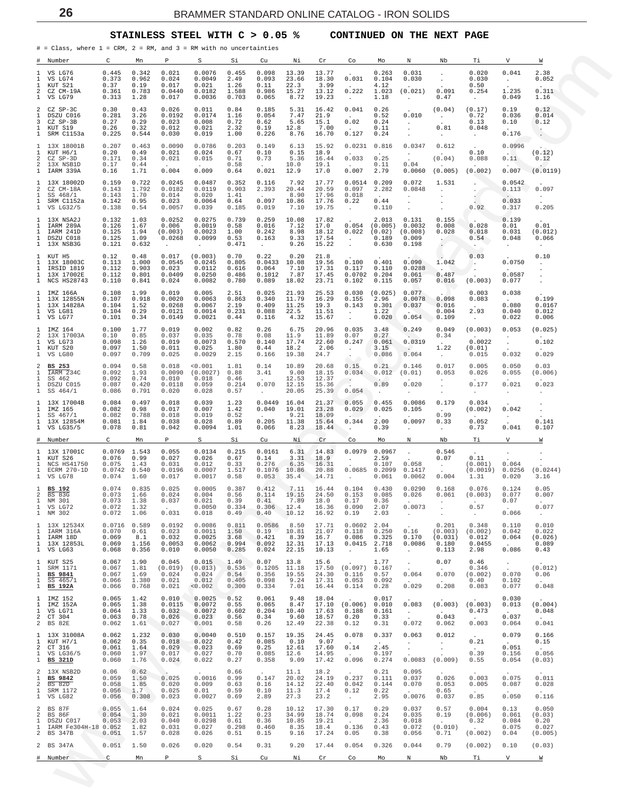#### **STAINLESS STEEL WITH C > 0.05 % CONTINUED ON THE NEXT PAGE**

<span id="page-25-0"></span>

|                                             | # = Class, where 1 = CRM, 2 = RM, and 3 = RM with no uncertainties     |                                             |                                          |                                                     |                                                 |                                          |                                               |                                          |                                           |                                                      |                                              |                                                           |                                                           |                                                    |                                                          |                                                  |
|---------------------------------------------|------------------------------------------------------------------------|---------------------------------------------|------------------------------------------|-----------------------------------------------------|-------------------------------------------------|------------------------------------------|-----------------------------------------------|------------------------------------------|-------------------------------------------|------------------------------------------------------|----------------------------------------------|-----------------------------------------------------------|-----------------------------------------------------------|----------------------------------------------------|----------------------------------------------------------|--------------------------------------------------|
| #<br>1                                      | Number<br>VS LG76                                                      | C<br>0.445                                  | Mn<br>0.342                              | P<br>0.021                                          | S<br>0.0076                                     | Si<br>0.455                              | Cu<br>0.098                                   | Νi<br>13.39                              | Cr<br>13.77                               | Co                                                   | Mo<br>0.263                                  | N<br>0.031                                                | Nb<br>$\cdot$                                             | Тi<br>0.020                                        | V<br>0.041                                               | W<br>2.38                                        |
| 1<br>1<br>2<br>1                            | VS LG74<br>KUT S21<br>CZ CM-19A<br>VS LG79                             | 0.373<br>0.37<br>0.361<br>0.313             | 0.962<br>0.19<br>0.783<br>1.28           | 0.024<br>0.017<br>0.0440<br>0.017                   | 0.0049<br>0.021<br>0.0182<br>0.0036             | 2.49<br>1.26<br>1.588<br>0.703           | 0.093<br>0.11<br>0.986<br>0.065               | 23.66<br>22.3<br>15.27<br>8.72           | 18.30<br>3.99<br>13.12<br>19.23           | 0.031<br>0.222<br>$\ddot{\phantom{a}}$               | 0.104<br>4.12<br>1.023<br>1.18               | 0.030<br>(0.021)<br>$\ddot{\phantom{a}}$                  | $\cdot$<br>0.091<br>0.47                                  | 0.030<br>0.50<br>0.254<br>$\cdot$                  | $\sim$<br>1.235<br>0.049                                 | 0.052<br>0.311<br>1.16                           |
| 2<br>1<br>3<br>1<br>1                       | CZ SP-3C<br>DSZU C016<br>CZ SP-3B<br>KUT S19<br>SRM C1153a             | 0.30<br>0.281<br>0.27<br>0.26<br>0.225      | 0.43<br>3.26<br>0.29<br>0.32<br>0.544    | 0.026<br>0.0192<br>0.023<br>0.012<br>0.030          | 0.011<br>0.0174<br>0.008<br>0.021<br>0.019      | 0.84<br>1.16<br>0.72<br>2.32<br>1.00     | 0.185<br>0.054<br>0.62<br>0.19<br>0.226       | 5.31<br>7.47<br>5.65<br>12.8<br>8.76     | 16.42<br>21.9<br>15.1<br>7.00<br>16.70    | 0.041<br>0.02<br>0.127                               | 0.26<br>0.52<br>0.24<br>0.11<br>0.24         | 0.010<br>$\cdot$<br>$\cdot$                               | (0.04)<br>$\sim$<br>0.81                                  | (0.17)<br>0.72<br>0.13<br>0.048                    | 0.19<br>0.036<br>0.10<br>0.176                           | 0.12<br>0.014<br>0.12<br>$\sim$                  |
| 1<br>1<br>2<br>2                            | 13X 18001B<br>KUT H6/1<br>CZ SP-3D<br>13X NSB1D                        | 0.207<br>0.20<br>0.171                      | 0.463<br>0.49<br>0.34                    | 0.0090<br>0.021<br>0.021                            | 0.0786<br>0.024<br>0.015                        | 0.203<br>0.67<br>0.71                    | 0.149<br>0.10<br>0.73                         | 6.13<br>0.15<br>5.36                     | 15.92<br>18.9<br>16.44                    | 0.0231<br>0.033                                      | 0.816<br>0.25                                | $\cdot$<br>0.0347<br>$\cdot$                              | $\ddot{\phantom{0}}$<br>0.612<br>(0.04)                   | $\cdot$<br>0.10<br>0.088                           | 0.0996<br>0.11                                           | $\cdot$<br>(0.12)<br>0.12                        |
| 1<br>1                                      | IARM 339A<br>13X 18002D                                                | 0.17<br>0.16<br>0.159                       | 0.44<br>1.71<br>0.722                    | 0.004<br>0.0245                                     | 0.009<br>0.0487                                 | 0.58<br>0.64<br>0.352                    | 0.021<br>0.116                                | 10.0<br>12.9<br>7.92                     | 19.1<br>17.0<br>17.77                     | 0.007<br>0.0514                                      | 0.11<br>2.79<br>0.209                        | 0.04<br>0.0060<br>0.072                                   | (0.005)<br>1.531                                          | (0.002)<br>$\cdot$                                 | 0.007<br>0.0542                                          | (0.0119)                                         |
| 2<br>1<br>1<br>$\mathbf{1}$                 | CZ CM-18A<br>SS 468/1<br>SRM C1152a<br>VS LG32/5                       | 0.143<br>0.143<br>0.142<br>0.138            | 1.792<br>1.70<br>0.95<br>0.54            | 0.0182<br>0.014<br>0.023<br>0.0057                  | 0.0119<br>0.020<br>0.0064<br>0.039              | 0.903<br>1.41<br>0.64<br>0.185           | 2.393<br>0.097<br>0.019                       | 20.44<br>8.90<br>10.86<br>7.10           | 20.59<br>17.96<br>17.76<br>19.75          | 0.097<br>0.018<br>0.22<br>$\ddot{\phantom{a}}$       | 2.282<br>$\overline{a}$<br>0.44<br>0.110     | 0.0848<br>$\cdot$<br>$\cdot$<br>$\cdot$                   | $\mathbf{r}$<br>$\cdot$<br>$\cdot$                        | $\sim$<br>0.92                                     | 0.113<br>0.033<br>0.317                                  | 0.097<br>$\sim$<br>0.205                         |
| 1<br>1<br>1<br>1<br>1                       | 13X NSA2J<br>IARM 289A<br>IARM 241D<br>DSZU C018<br>13X NSB3G          | 0.132<br>0.126<br>0.125<br>0.125<br>0.121   | 1.03<br>1.67<br>1.94<br>1.09<br>0.632    | 0.0252<br>0.006<br>(0.003)<br>0.0268<br>$\cdot$     | 0.0275<br>0.0019<br>0.0023<br>0.0099<br>$\cdot$ | 0.739<br>0.58<br>1.00<br>0.53<br>0.471   | 0.259<br>0.016<br>0.242<br>0.163<br>$\cdot$   | 10.08<br>7.12<br>8.98<br>9.33<br>9.26    | 17.82<br>17.0<br>18.12<br>17.54<br>15.22  | 0.054<br>0.022<br>$\cdot$<br>$\ddot{\phantom{a}}$    | 2.013<br>(0.005)<br>(0.02)<br>0.189<br>0.630 | 0.131<br>0.0032<br>(0.008)<br>0.009<br>0.198              | 0.155<br>0.008<br>0.028<br>$\sim$<br>$\ddot{\phantom{0}}$ | 0.028<br>0.018<br>0.54<br>$\ddot{\phantom{1}}$     | 0.139<br>0.01<br>0.031<br>0.048<br>$\ddot{\phantom{0}}$  | 0.01<br>(0.012)<br>0.066<br>$\ddot{\phantom{a}}$ |
| 1<br>1<br>1<br>1<br>1                       | KUT H5<br>13X 18003C<br>IRSID 1819<br>13X 17002E<br>NCS HS28743        | 0.12<br>0.113<br>0.112<br>0.112<br>0.110    | 0.48<br>1.000<br>0.903<br>0.801<br>0.841 | 0.017<br>0.0545<br>0.023<br>0.0409<br>0.024         | (0.003)<br>0.0245<br>0.0112<br>0.0250<br>0.0082 | 0.70<br>0.805<br>0.616<br>0.486<br>0.780 | 0.22<br>0.0433<br>0.064<br>0.1012<br>0.089    | 0.20<br>10.08<br>7.10<br>7.87<br>18.02   | 21.8<br>19.56<br>17.31<br>17.45<br>23.71  | 0.100<br>0.117<br>0.0702<br>0.102                    | 0.401<br>0.110<br>0.204<br>0.115             | 0.090<br>0.0288<br>0.061<br>0.057                         | 1.042<br>0.487<br>0.016                                   | 0.03<br>$\cdot$<br>$\ddot{\phantom{0}}$<br>(0.003) | 0.0750<br>0.0587<br>0.077                                | 0.10<br>$\cdot$<br>$\cdot$<br>$\cdot$            |
| 1<br>1<br>1<br>1<br>1                       | IMZ 166A<br>13X 12855N<br>13X 14828A<br>VS LG81<br>VS LG77             | 0.108<br>0.107<br>0.104<br>0.104<br>0.101   | 1.99<br>0.918<br>1.52<br>0.29<br>0.34    | 0.019<br>0.0020<br>0.0268<br>0.0121<br>0.0149       | 0.005<br>0.0063<br>0.0067<br>0.0014<br>0.0021   | 2.51<br>0.863<br>2.19<br>0.231<br>0.44   | 0.025<br>0.340<br>0.409<br>0.088<br>0.116     | 21.93<br>11.79<br>11.25<br>22.5<br>4.32  | 25.53<br>16.29<br>19.3<br>11.51<br>15.67  | 0.030<br>0.155<br>0.143<br>$\bullet$<br>$\cdot$      | (0.025)<br>2.96<br>0.301<br>1.22<br>0.020    | 0.077<br>0.0078<br>0.037<br>0.054                         | 0.098<br>0.016<br>0.004<br>0.109                          | 0.003<br>0.083<br>2.93<br>$\ddot{\phantom{a}}$     | 0.038<br>0.080<br>0.040<br>0.022                         | 0.199<br>0.0167<br>0.012<br>0.006                |
| 1<br>2<br>1<br>1<br>1                       | IMZ 164<br>13X 17003A<br>VS LG73<br>KUT S20<br>VS LG80                 | 0.100<br>0.10<br>0.098<br>0.097<br>0.097    | 1.77<br>0.85<br>1.26<br>1.50<br>0.709    | 0.019<br>0.037<br>0.019<br>0.011<br>0.025           | 0.002<br>0.035<br>0.0073<br>0.025<br>0.0029     | 0.82<br>0.78<br>0.570<br>1.80<br>2.15    | 0.26<br>0.08<br>0.140<br>0.44<br>0.166        | 6.75<br>11.9<br>17.74<br>18.2<br>19.38   | 20.96<br>11.89<br>22.60<br>2.06<br>24.7   | 0.035<br>0.07<br>0.247<br>$\sim$<br>$\cdot$          | 3.48<br>0.27<br>0.061<br>3.15<br>0.086       | 0.249<br>0.0319<br>$\sim$<br>0.064                        | 0.049<br>0.34<br>1.22<br>$\sim$                           | (0.003)<br>0.0022<br>(0.01)<br>0.015               | 0.053<br>$\bullet$<br>$\sim$<br>0.032                    | (0.025)<br>0.102<br>0.029                        |
| 2<br>1<br>1<br>$\mathbf{1}$<br>$\mathbf{1}$ | BS 253<br>IARM 234C<br>SS 462<br>DSZU C015<br>SS 464/1                 | 0.094<br>0.092<br>0.092<br>0.087<br>0.086   | 0.58<br>1.93<br>0.74<br>0.420<br>0.791   | 0.018<br>0.0090<br>0.010<br>0.0118<br>0.020         | 0.001<br>(0.0027)<br>0.018<br>0.059<br>0.028    | 1.81<br>0.88<br>0.46<br>0.214<br>0.57    | 0.14<br>3.41<br>0.070<br>$\ddot{\phantom{a}}$ | 10.89<br>9.00<br>12.53<br>12.15<br>20.05 | 20.68<br>18.15<br>12.37<br>15.36<br>25.39 | 0.15<br>0.034<br>$\mathcal{L}$<br>0.054              | 0.21<br>0.012<br>0.89                        | 0.146<br>(0.01)<br>0.020                                  | 0.017<br>0.053<br>$\cdot$                                 | 0.005<br>0.026<br>0.177                            | 0.050<br>0.055<br>0.021                                  | 0.03<br>(0.006)<br>0.023                         |
| 1<br>1<br>1<br>1                            | 13X 17004B<br>IMZ 165<br>SS 467/1<br>13X 12854M                        | 0.084<br>0.082<br>0.082<br>0.081            | 0.497<br>0.98<br>0.788<br>1.84           | 0.018<br>0.017<br>0.018<br>0.038                    | 0.039<br>0.007<br>0.019<br>0.028                | 1.23<br>1.42<br>0.52<br>0.89             | 0.0449<br>0.040<br>0.205                      | 16.04<br>19.01<br>9.21<br>11.38          | 21.37<br>23.28<br>18.09<br>15.64          | 0.055<br>0.029<br>0.344                              | $\sim$<br>0.455<br>0.025<br>2.00             | $\ddot{\phantom{0}}$<br>0.0086<br>0.105<br>0.0097         | 0.179<br>0.99<br>0.33                                     | $\cdot$<br>0.034<br>(0.002)<br>0.052               | $\ddot{\phantom{0}}$<br>0.042<br>$\sim$                  | $\cdot$<br>$\cdot$<br>0.141                      |
| #                                           | 1 VS LG35/5<br>Number                                                  | 0.078<br>$\mathsf{C}$                       | 0.81<br>Mn                               | 0.042<br>P                                          | 0.0094<br>S                                     | 1.01<br>Si                               | 0.066<br>Cu                                   | 8.23<br>Νi                               | 18.44<br>$\operatorname{Cr}$              | $\ddot{\phantom{0}}$<br>Co                           | 0.39<br>Mo                                   | $\cdot$<br>N                                              | $\sim$<br>Nb                                              | 0.73<br>Тi                                         | 0.041<br>V                                               | 0.107<br>W                                       |
| 1<br>1<br>1<br>$\mathbf{1}$<br>1            | 13X 17001C<br>KUT S26<br>NCS HS41750<br>ECRM 270-1D<br>VS LG78         | 0.0769<br>0.076<br>0.075<br>0.0742<br>0.074 | 1.543<br>0.99<br>1.43<br>0.540<br>1.60   | 0.055<br>0.027<br>0.031<br>0.0196<br>0.017          | 0.0134<br>0.026<br>0.012<br>0.0007<br>0.0017    | 0.215<br>0.67<br>0.33<br>1.517<br>0.58   | 0.0161<br>0.14<br>0.276<br>0.1076<br>0.053    | 6.31<br>3.31<br>6.35<br>10.86<br>35.4    | 14.83<br>18.9<br>16.31<br>20.88<br>14.71  | 0.0979<br>$\cdot$<br>0.0685<br>$\cdot$               | 0.0967<br>2.59<br>0.107<br>0.2099<br>0.061   | 0.058<br>0.1417<br>0.0062                                 | 0.546<br>0.07<br>$\sim$<br>0.004                          | 0.11<br>(0.001)<br>(0.0019)<br>1.31                | 0.064<br>0.0256<br>0.020                                 | (0.0244)<br>3.16                                 |
| 1<br>2<br>$\mathbf{1}$                      | BS 192<br><b>BS 83G</b><br>NM 301<br>1 VS LG72<br>1 NM 302             | 0.074<br>0.073<br>0.073<br>0.072<br>0.072   | 0.835<br>1.66<br>1.38<br>1.32<br>1.06    | 0.025<br>0.024<br>0.037<br><b>Contract</b><br>0.031 | 0.0005<br>0.004<br>0.021<br>0.0050<br>0.018     | 0.387<br>0.56<br>0.39<br>0.334<br>0.49   | 0.412<br>0.114<br>0.41<br>0.306<br>0.40       | 7.11<br>19.15<br>7.89<br>12.4<br>10.12   | 16.44<br>24.50<br>18.0<br>16.36<br>16.92  | 0.104<br>0.153<br>0.17<br>0.090<br>0.19              | 0.430<br>0.085<br>0.36<br>2.07<br>2.03       | 0.0290<br>0.026<br>0.0073<br>$\sim$                       | 0.168<br>0.061<br>$\sim$<br>$\sim$                        | 0.076<br>(0.003)<br>0.57<br>$\sim$ $-$             | 0.124<br>0.077<br>0.07<br><b>Carl Corporate</b><br>0.066 | 0.05<br>0.007<br>0.077<br>$\sim$                 |
|                                             | 1 13X 12534X<br>1 IARM 316A<br>1 IARM 18D<br>1 13X 12853L<br>1 VS LG63 | 0.0716<br>0.070<br>0.069<br>0.069<br>0.068  | 0.589<br>0.61<br>8.1<br>1.156<br>0.356   | 0.0192<br>0.023<br>0.032<br>0.0053<br>0.010         | 0.0086<br>0.0011<br>0.0025<br>0.0062<br>0.0050  | 0.811<br>1.50<br>3.68<br>0.994<br>0.285  | 0.0586<br>0.19<br>0.421<br>0.092<br>0.024     | 8.50<br>10.81<br>8.39<br>12.31<br>22.15  | 17.71<br>21.07<br>16.7<br>17.13<br>10.13  | 0.0602<br>0.118<br>0.086<br>$0.0415$ 2.718<br>$\sim$ | 2.04<br>0.250<br>0.325<br>1.65               | 0.16<br>0.170<br>0.0086<br>$\sim$                         | 0.201<br>(0.003)<br>(0.031)<br>0.180<br>0.113             | 0.348<br>(0.002)<br>0.012<br>0.0455<br>2.98        | 0.110<br>0.042<br>0.064<br>$\sim$<br>0.086               | 0.010<br>0.022<br>(0.026)<br>0.089<br>0.43       |
| $\mathbf{1}$<br>$\mathbf{1}$                | 1 KUT S25<br>1 SRM 1171<br>BS 9841<br>SS 465/1<br>1 BS 192A            | 0.067<br>0.067<br>0.067<br>0.066<br>0.066   | 1.90<br>1.81<br>1.69<br>1.380<br>0.768   | 0.045<br>(0.019)<br>0.024<br>0.021<br>0.021         | 0.015<br>(0.013)<br>0.024<br>0.012<br>< 0.002   | 1.49<br>0.536<br>0.54<br>0.405<br>0.300  | 0.07<br>0.1205<br>0.356<br>0.098<br>0.334     | 13.8<br>11.18<br>19.55<br>9.24<br>7.01   | 15.6<br>17.50<br>24.30<br>17.31<br>16.44  | (0.097) 0.167<br>0.116<br>0.053<br>0.114             | 1.77<br>0.57<br>0.092<br>0.28                | $\sim$<br>0.064<br><b>Carl Corporation</b><br>0.029       | 0.07<br>0.070<br>$\sim 10^{-10}$<br>0.208                 | 0.46<br>0.346<br>(0.002)<br>0.40<br>0.083          | $\sim$<br>0.070<br>0.102<br>0.077                        | (0.012)<br>0.06<br>0.048                         |
|                                             | 1 IMZ 152<br>1 IMZ 152A<br>1 VS LG71<br>2 CT 304<br>2 BS 82E           | 0.065<br>0.065<br>0.064<br>0.063<br>0.062   | 1.42<br>1.38<br>1.33<br>0.78<br>1.61     | 0.010<br>0.0115<br>0.032<br>0.026<br>0.027          | 0.0025<br>0.0072<br>0.0072<br>0.023<br>0.001    | 0.52<br>0.55<br>0.602<br>0.56<br>0.58    | 0.061<br>0.065<br>0.204<br>0.34<br>0.26       | 9.48<br>8.47<br>10.40<br>9.60<br>12.49   | 18.04<br>17.10<br>17.63<br>18.57<br>22.38 | (0.006) 0.010<br>0.188<br>0.20<br>0.12               | 0.017<br>0.161<br>0.33<br>0.31               | 0.083<br>$\sim 10^{-11}$<br>$\ddot{\phantom{a}}$<br>0.072 | (0.003)<br>$\sim 10^{-11}$<br>0.043<br>0.062              | (0.003)<br>0.473<br><b>Allen</b><br>0.003          | 0.030<br>0.013<br>0.037<br>0.064                         | (0.004)<br>0.048<br>0.041                        |
|                                             | 1 13X 31008A<br>1 KUT H7/1<br>2 CT 316<br>1 VS LG36/5<br>1 BS 321D     | 0.062<br>0.062<br>0.061<br>0.060<br>0.060   | 1.232<br>0.35<br>1.64<br>1.97<br>1.76    | 0.030<br>0.018<br>0.029<br>0.017<br>0.024           | 0.0040<br>0.022<br>0.023<br>0.027<br>0.022      | 0.510<br>0.42<br>0.69<br>0.70<br>0.27    | 0.157<br>0.085<br>0.25<br>0.085<br>0.358      | 19.35<br>0.10<br>12.61<br>12.6<br>9.09   | 24.45<br>9.07<br>17.60<br>14.95<br>17.42  | 0.078<br>$\sim$ $-$<br>0.14<br>$\sim$<br>0.096       | 0.337<br>$\sim$<br>2.45<br>0.197<br>0.274    | 0.063<br>$\sim$<br>$\sim$<br>0.0083                       | 0.012<br>$\sim$ $\sim$<br>$\sim$<br>(0.009)               | 0.21<br>$\sim$<br>0.39<br>0.55                     | 0.079<br>$\sim$<br>0.051<br>0.156<br>0.054               | 0.166<br>0.15<br>0.056<br>(0.03)                 |
| $\mathbf{1}$                                | 2 13X NSB2D<br>BS 9842<br>2 BS 82D<br>1 SRM 1172<br>1 VS LG82          | 0.06<br>0.059<br>0.058<br>0.056<br>0.056    | 0.62<br>1.50<br>1.85<br>1.7<br>0.308     | 0.025<br>0.020<br>0.025<br>0.023                    | 0.0016<br>0.009<br>0.01<br>0.0027               | 0.66<br>0.99<br>0.63<br>0.59<br>0.69     | 0.147<br>0.16<br>0.10<br>2.89                 | 11.1<br>20.02<br>14.12<br>11.3<br>27.3   | 18.2<br>24.19<br>22.40<br>17.4<br>23.2    | 0.237<br>0.042<br>0.12<br>$\sim$ $-$                 | 0.21<br>0.111<br>0.144<br>0.22<br>2.95       | 0.095<br>0.037<br>0.070<br>0.0076                         | 0.026<br>0.053<br>0.65<br>0.037                           | 0.003<br>0.005<br>0.85                             | 0.075<br>0.087<br>0.050                                  | 0.011<br>0.028<br>0.116                          |
|                                             | 2 BS 87F<br>2 BS 86F<br>1 DSZU C017<br>1 IARM Fe304H-18 0.052          | 0.055<br>0.054<br>0.053<br>0.051            | 1.64<br>1.30<br>2.03<br>1.82<br>1.57     | 0.024<br>0.021<br>0.040<br>0.031<br>0.028           | 0.025<br>0.0011<br>0.0298<br>0.027<br>0.026     | 0.67<br>1.22<br>0.61<br>0.298<br>0.51    | 0.28<br>0.23<br>0.36<br>0.460<br>0.15         | 10.12<br>34.99<br>10.85<br>8.35<br>9.16  | 17.30<br>18.74<br>19.21<br>18.4<br>17.24  | 0.17<br>0.098<br>$\sim$<br>0.136<br>0.05             | 0.29<br>0.24<br>2.36<br>0.43<br>0.38         | 0.037<br>0.035<br>0.018<br>0.072<br>0.056                 | 0.57<br>0.19<br>$\sim$<br>(0.010)<br>0.71                 | 0.004<br>(0.006)<br>0.32<br>(0.002)                | 0.13<br>0.061<br>0.084<br>0.075<br>0.04                  | 0.050<br>(0.03)<br>0.20<br>0.027<br>(0.005)      |
|                                             | 2 BS 347B                                                              |                                             |                                          |                                                     |                                                 | 0.54                                     | 0.31                                          | 9.20                                     | 17.44                                     | 0.054                                                | 0.326                                        | 0.044                                                     | 0.79                                                      | (0.002)                                            | 0.10                                                     | (0.03)                                           |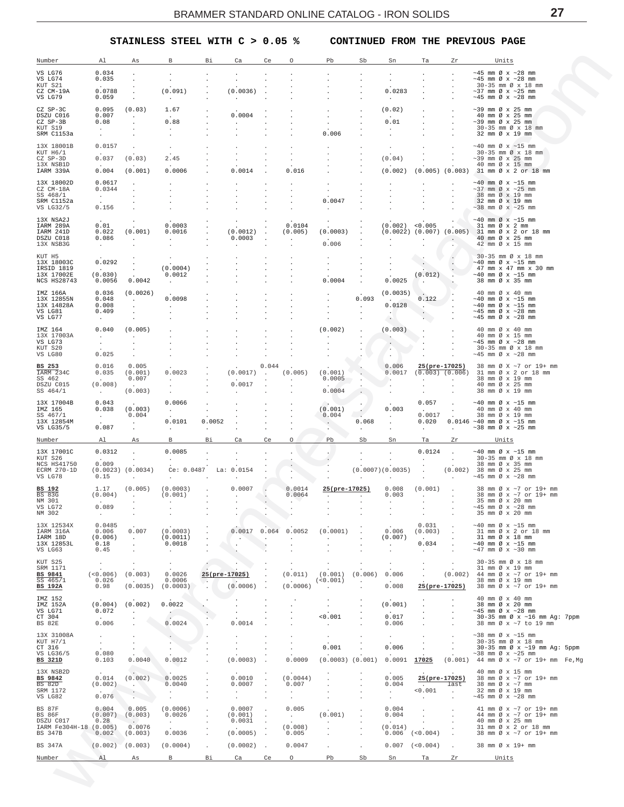## **STAINLESS STEEL WITH C > 0.05 % CONTINUED FROM THE PREVIOUS PAGE**

<span id="page-26-0"></span>

| Number                              | Al                                        | As                              | В                                     | Вi                   | Ca                | Ce                   | Ω                  | Pb                            | Sb                         | Sn                   | Ta                            | Ζr                   | Units                                                                  |  |
|-------------------------------------|-------------------------------------------|---------------------------------|---------------------------------------|----------------------|-------------------|----------------------|--------------------|-------------------------------|----------------------------|----------------------|-------------------------------|----------------------|------------------------------------------------------------------------|--|
| VS LG76<br>VS LG74                  | 0.034<br>0.035                            |                                 |                                       |                      |                   |                      |                    |                               |                            |                      | $\cdot$                       |                      | $\sim$ 45 mm Ø x $\sim$ 28 mm<br>$\sim$ 45 mm Ø x $\sim$ 28 mm         |  |
| KUT S21<br>CZ CM-19A                | 0.0788                                    |                                 | (0.091)                               |                      | (0.0036)          |                      |                    |                               |                            | 0.0283               |                               |                      | $30-35$ mm $\varnothing \times 18$ mm<br>$\sim$ 37 mm Ø x $\sim$ 25 mm |  |
| VS LG79                             | 0.059                                     |                                 | $\sim$                                |                      |                   |                      |                    |                               |                            | $\sim$               |                               |                      | $\sim$ 45 mm Ø x $\sim$ 28 mm                                          |  |
| CZ SP-3C                            | 0.095<br>0.007                            | (0.03)                          | 1.67                                  |                      | 0.0004            |                      |                    |                               |                            | (0.02)               |                               |                      | $\sim$ 39 mm Ø x 25 mm                                                 |  |
| DSZU C016<br>CZ SP-3B               | 0.08                                      |                                 | 0.88                                  |                      |                   |                      |                    |                               |                            | 0.01                 |                               |                      | 40 mm Ø x 25 mm<br>$\sim$ 39 mm Ø x 25 mm                              |  |
| KUT S19<br>SRM C1153a               | $\sim$<br>$\bullet$                       |                                 | $\cdot$                               |                      |                   |                      |                    | 0.006                         |                            |                      |                               |                      | $30-35$ mm $\varnothing \times 18$ mm<br>32 mm Ø x 19 mm               |  |
| 13X 18001B                          | 0.0157                                    |                                 | $\cdot$                               |                      |                   |                      |                    |                               |                            |                      |                               |                      | $\sim$ 40 mm Ø x $\sim$ 15 mm                                          |  |
| KUT H6/1<br>CZ SP-3D                | 0.037                                     | (0.03)                          | 2.45                                  |                      |                   |                      |                    |                               |                            | (0.04)               |                               |                      | 30-35 mm Ø x 18 mm<br>$\sim$ 39 mm Ø x 25 mm                           |  |
| 13X NSB1D<br>IARM 339A              | 0.004                                     | (0.001)                         | 0.0006                                |                      | 0.0014            |                      | 0.016              |                               |                            | (0.002)              |                               |                      | 40 mm Ø x 15 mm<br>$(0.005)$ $(0.003)$ 31 mm Ø x 2 or 18 mm            |  |
| 13X 18002D                          | 0.0617                                    |                                 |                                       |                      |                   |                      |                    |                               |                            |                      |                               |                      | $\sim$ 40 mm Ø x $\sim$ 15 mm                                          |  |
| CZ CM-18A<br>SS 468/1               | 0.0344<br>$\mathcal{A}^{\mathcal{A}}$ and |                                 |                                       |                      |                   |                      |                    |                               |                            |                      |                               |                      | $\sim$ 37 mm Ø x $\sim$ 25 mm<br>38 mm Ø x 19 mm                       |  |
| SRM C1152a<br>VS LG32/5             | 0.156                                     |                                 |                                       |                      |                   |                      |                    | 0.0047                        |                            |                      |                               |                      | 32 mm Ø x 19 mm<br>$\sim$ 38 mm Ø x $\sim$ 25 mm                       |  |
| 13X NSA2J                           |                                           |                                 |                                       |                      |                   |                      |                    |                               |                            |                      |                               |                      | $\sim$ 40 mm Ø x $\sim$ 15 mm                                          |  |
| IARM 289A<br>IARM 241D              | 0.01<br>0.022                             | (0.001)                         | 0.0003<br>0.0016                      |                      | (0.0012)          |                      | 0.0104<br>(0.005)  | (0.0003)                      |                            |                      | $(0.002)$ <0.005              |                      | 31 mm Ø x 2 mm<br>$(0.0022)$ $(0.007)$ $(0.005)$ 31 mm Ø x 2 or 18 mm  |  |
| DSZU C018                           | 0.086                                     | $\sim$                          | $\sim$                                |                      | 0.0003            |                      | $\cdot$            |                               |                            |                      |                               |                      | 40 mm Ø x 25 mm                                                        |  |
| 13X NSB3G                           | $\sim$                                    |                                 |                                       |                      |                   |                      |                    | 0.006                         |                            |                      |                               |                      | 42 mm Ø x 15 mm                                                        |  |
| KUT H5<br>13X 18003C                | 0.0292                                    |                                 |                                       |                      |                   |                      |                    |                               |                            |                      | $\sim$                        |                      | 30-35 mm Ø x 18 mm<br>$\sim$ 40 mm Ø x $\sim$ 15 mm                    |  |
| IRSID 1819<br>13X 17002E            | <b>Carl Corporation</b><br>(0.030)        |                                 | (0.0004)<br>0.0012                    |                      |                   |                      |                    |                               |                            |                      | (0.012)                       |                      | 47 mm x 47 mm x 30 mm<br>$\sim$ 40 mm Ø x $\sim$ 15 mm                 |  |
| NCS HS28743                         | 0.0056                                    | 0.0042                          |                                       |                      |                   |                      |                    | 0.0004                        |                            | 0.0025               | <b>Contract</b>               |                      | 38 mm Ø x 35 mm                                                        |  |
| IMZ 166A<br>13X 12855N              | 0.036<br>0.048                            | (0.0026)<br>$\sim$              | 0.0098                                |                      |                   |                      |                    |                               | 0.093                      | (0.0035)             | 0.122                         |                      | 40 mm Ø x 40 mm<br>$\sim$ 40 mm Ø x $\sim$ 15 mm                       |  |
| 13X 14828A<br>VS LG81               | 0.008<br>0.409                            |                                 | $\ddot{\phantom{0}}$                  |                      |                   |                      |                    |                               | $\sim$                     | 0.0128               | $\sim$ $\sim$<br>$\cdot$      |                      | $\sim$ 40 mm Ø x $\sim$ 15 mm<br>$\sim$ 45 mm Ø x $\sim$ 28 mm         |  |
| VS LG77                             | $\sim$                                    |                                 |                                       |                      |                   |                      |                    |                               |                            | <b>COLLEGE</b>       | $\cdot$ )                     |                      | $\sim$ 45 mm Ø x $\sim$ 28 mm                                          |  |
| IMZ 164                             | 0.040                                     | (0.005)                         |                                       |                      |                   |                      |                    | (0.002)                       |                            | (0.003)              |                               |                      | 40 mm Ø x 40 mm                                                        |  |
| 13X 17003A<br>VS LG73               | $\sim$<br>$\sim$                          | $\cdot$                         |                                       |                      |                   |                      |                    |                               |                            | $\sim$               |                               |                      | 40 mm Ø x 15 mm<br>$\sim$ 45 mm Ø x $\sim$ 28 mm                       |  |
| KUT S20<br>VS LG80                  | 0.025                                     |                                 |                                       |                      |                   |                      |                    |                               |                            | $\ddot{\phantom{1}}$ |                               |                      | 30-35 mm Ø x 18 mm<br>$\sim$ 45 mm Ø x $\sim$ 28 mm                    |  |
| BS 253                              | 0.016                                     | 0.005                           |                                       |                      |                   | 0.044                |                    |                               |                            | 0.006                | 25(pre-17025)                 |                      | 38 mm Ø X ~7 or 19+ mm                                                 |  |
| IARM 234C<br>SS 462                 | 0.035                                     | (0.001)<br>0.007                | 0.0023<br>$\sim$                      |                      | (0.0017)          | $\sim$               | (0.005)<br>$\cdot$ | (0.001)<br>0.0005             | $\sim$                     | 0.0017<br>$\sim$     | $(0.003)$ $(0.006)$<br>$\sim$ |                      | 31 mm Ø x 2 or 18 mm<br>38 mm Ø x 19 mm                                |  |
| DSZU C015<br>SS 464/1               | (0.008)<br>$\sim 10^{-1}$                 | (0.003)                         |                                       |                      | 0.0017            |                      |                    | 0.0004                        |                            | $\sim$               |                               | $\cdot$              | 40 mm Ø x 25 mm<br>38 mm Ø x 19 mm                                     |  |
| 13X 17004B                          | 0.043                                     |                                 | 0.0066                                |                      |                   |                      |                    |                               |                            |                      | 0.057                         | $\ddot{\phantom{a}}$ | $~10$ mm $\varnothing$ x $~15$ mm                                      |  |
| IMZ 165<br>SS 467/1                 | 0.038<br>$\sim 10^{-1}$                   | (0.003)<br>0.004                | $\sim$                                | $\cdot$              |                   |                      |                    | (0.001)<br>0.004              |                            | 0.003<br>$\sim$      | 0.0017                        | $\ddot{\phantom{0}}$ | 40 mm Ø x 40 mm<br>38 mm Ø x 19 mm                                     |  |
| 13X 12854M<br>VS LG35/5             | 0.087                                     |                                 | 0.0101                                | 0.0052               |                   |                      |                    | $\sim$ $\sim$                 | 0.068                      |                      | 0.020<br>$\sim$               |                      | $0.0146 - 40$ mm $\emptyset$ x ~15 mm<br>$\sim$ 38 mm Ø x $\sim$ 25 mm |  |
| Number                              | Al                                        | Αs                              | B                                     | $\cdot$<br>Вi        | Ca                | Ce                   | О                  | Pb                            | $\ddot{\phantom{0}}$<br>Sb | Sn                   | Ta                            | Zr                   |                                                                        |  |
| 13X 17001C                          | 0.0312                                    |                                 | 0.0085                                |                      |                   |                      |                    |                               |                            |                      | 0.0124                        |                      | Units<br>$~10$ mm $\varnothing$ x $~15$ mm                             |  |
| KUT S26                             |                                           | $\cdot$                         | $\sim$                                |                      |                   |                      |                    |                               |                            | $\cdot$              | $\sim$                        | $\ddot{\phantom{a}}$ | 30-35 mm Ø x 18 mm                                                     |  |
| NCS HS41750<br>ECRM 270-1D          | 0.009                                     | $(0.0023)$ $(0.0034)$           | Ce: 0.0487 La: 0.0154                 |                      |                   |                      |                    |                               |                            | (0.0007)(0.0035)     |                               |                      | 38 mm Ø x 35 mm<br>$(0.002)$ 38 mm Ø x 25 mm                           |  |
| VS LG78                             | 0.15                                      |                                 |                                       |                      |                   |                      |                    |                               |                            |                      |                               |                      | $\sim$ 45 mm Ø x $\sim$ 28 mm                                          |  |
| BS 192<br><b>BS 83G</b>             | 1.17<br>(0.004)                           | (0.005)<br>$\sim$               | (0.0003)<br>(0.001)                   |                      | 0.0007<br>$\cdot$ |                      | 0.0014<br>0.0064   | 25(pre-17025)<br>$\cdot$      |                            | 0.008<br>0.003       | (0.001)<br>$\sim$             | $\sim$               | 38 mm Ø x ~7 or 19+ mm<br>38 mm Ø x ~7 or 19+ mm                       |  |
| NM 301<br>VS LG72                   | 0.089                                     |                                 |                                       |                      |                   |                      |                    |                               |                            |                      |                               |                      | 35 mm Ø x 20 mm<br>$\sim$ 45 mm Ø x $\sim$ 28 mm                       |  |
| NM 302                              | $\sim$                                    | $\cdot$                         |                                       |                      |                   |                      |                    |                               |                            |                      |                               |                      | 35 mm Ø x 20 mm                                                        |  |
| 13X 12534X<br>IARM 316A             | 0.0485<br>0.006                           | 0.007                           | (0.0003)                              |                      | 0.0017            | 0.064                | 0.0052             | (0.0001)                      |                            | 0.006                | 0.031<br>(0.003)              |                      | $\sim$ 40 mm Ø x $\sim$ 15 mm<br>31 mm Ø x 2 or 18 mm                  |  |
| IARM 18D<br>13X 12853L              | (0.006)<br>0.18                           | $\ddot{\phantom{a}}$            | (0.0011)<br>0.0018                    |                      | $\cdot$           | $\cdot$              | $\cdot$            | $\ddot{\phantom{a}}$          |                            | (0.007)<br>$\cdot$   | 0.034                         |                      | 31 mm Ø x 18 mm<br>$\sim$ 40 mm Ø x $\sim$ 15 mm                       |  |
| VS LG63                             | 0.45                                      | $\blacksquare$                  | $\cdot$                               |                      |                   |                      |                    |                               |                            |                      | $\mathcal{L}_{\mathcal{A}}$   |                      | $\sim$ 47 mm Ø x $\sim$ 30 mm                                          |  |
| KUT S25<br>SRM 1171                 | $\cdot$                                   |                                 | $\cdot$                               |                      |                   |                      |                    |                               |                            | $\cdot$              | $\cdot$                       | $\cdot$              | 30-35 mm Ø x 18 mm<br>31 mm Ø x 19 mm                                  |  |
| <b>BS 9841</b><br>SS 465/1          | (<0.006)                                  | (0.003)                         | 0.0026                                |                      | 25(pre-17025)     |                      | (0.011)            | (0.001)<br>(<0.001)           | (0.006)                    | 0.006                |                               | (0.002)              | 44 mm Ø x ~7 or 19+ mm<br>38 mm Ø x 19 mm                              |  |
| BS 192A                             | 0.026<br>0.98                             | (0.0035)                        | 0.0006<br>(0.0003)                    |                      | (0.0006)          |                      | (0.0006)           | $\cdot$                       |                            | 0.008                | 25(pre-17025)                 |                      | 38 mm Ø x ~7 or 19+ mm                                                 |  |
| IMZ 152                             |                                           |                                 |                                       |                      |                   |                      |                    |                               |                            |                      |                               |                      | 40 mm Ø x 40 mm                                                        |  |
| IMZ 152A<br>VS LG71                 | (0.004)<br>0.072                          | (0.002)<br>$\ddot{\phantom{a}}$ | 0.0022<br>$\mathcal{C}^{\mathcal{C}}$ |                      |                   |                      |                    |                               |                            | (0.001)              |                               |                      | 38 mm Ø x 20 mm<br>$\sim$ 45 mm Ø x $\sim$ 28 mm                       |  |
| CT 304<br>BS 82E                    | 0.006                                     |                                 | 0.0024                                |                      | 0.0014            |                      |                    | 0.001<br>$\ddot{\phantom{0}}$ |                            | 0.017<br>0.006       | $\cdot$                       |                      | 30-35 mm Ø x ~16 mm Ag: 7ppm<br>38 mm Ø x ~7 to 19 mm                  |  |
| 13X 31008A                          | $\sim$                                    | $\cdot$                         |                                       |                      |                   |                      |                    | $\cdot$                       |                            | $\cdot$              | $\cdot$                       |                      | $\sim$ 38 mm Ø x $\sim$ 15 mm                                          |  |
| KUT H7/1<br>CT 316                  | $\sim$                                    | $\cdot$                         |                                       |                      |                   |                      |                    | 0.001                         |                            | 0.006                |                               |                      | 30-35 mm Ø x 18 mm<br>30-35 mm Ø x ~19 mm Ag: 5ppm                     |  |
| VS LG36/5<br>BS 321D                | 0.080<br>0.103                            | 0.0040                          | 0.0012                                |                      | (0.0003)          |                      | 0.0009             | $(0.0003)$ $(0.001)$          |                            | 0.0091               | 17025                         | (0.001)              | $\sim$ 38 mm Ø x $\sim$ 25 mm<br>44 mm Ø x ~7 or 19+ mm Fe,Mg          |  |
| 13X NSB2D                           |                                           |                                 |                                       |                      |                   |                      |                    |                               |                            |                      |                               |                      | 40 mm Ø x 15 mm                                                        |  |
| BS 9842<br>BS 82D                   | 0.014<br>(0.002)                          | (0.002)<br>$\cdot$              | 0.0025<br>0.0040                      |                      | 0.0010<br>0.0007  |                      | (0.0044)<br>0.007  |                               |                            | 0.005<br>0.004       | 25(pre-17025)                 | last                 | 38 mm Ø x ~7 or 19+ mm<br>38 mm $\varnothing$ x $\sim$ 7 mm            |  |
| SRM 1172                            |                                           |                                 | $\cdot$                               |                      |                   |                      | $\cdot$            |                               |                            | $\cdot$              | 0.001                         | $\mathbf{r}$         | 32 mm Ø x 19 mm                                                        |  |
| VS LG82                             | 0.076                                     |                                 |                                       |                      |                   |                      | $\cdot$            |                               |                            | $\cdot$              | $\ddot{\phantom{0}}$          |                      | $\sim$ 45 mm Ø x $\sim$ 28 mm                                          |  |
| BS 87F<br>BS 86F                    | 0.004<br>(0.007)                          | 0.005<br>(0.003)                | (0.0006)<br>0.0026                    |                      | 0.0007<br>(0.001) |                      | 0.005<br>$\sim$    | (0.001)                       |                            | 0.004<br>0.004       | $\overline{\phantom{a}}$      |                      | 41 mm Ø x ~7 or 19+ mm<br>44 mm Ø x ~7 or 19+ mm                       |  |
| DSZU C017<br>IARM Fe304H-18 (0.005) | 0.28                                      | $\sim$<br>0.0076                | $\sim$                                |                      | 0.0031            |                      | (0.008)            | $\cdot$                       |                            | (0.014)              |                               |                      | 40 mm Ø x 25 mm<br>31 mm Ø x 2 or 18 mm                                |  |
| BS 347B                             | 0.002                                     | (0.003)                         | 0.0036                                | $\cdot$              | (0.0005)          | $\ddot{\phantom{a}}$ | 0.005              |                               |                            | 0.006                | (<0.004)                      |                      | 38 mm Ø x ~7 or 19+ mm                                                 |  |
| BS 347A                             | (0.002)                                   | (0.003)                         | (0.0004)                              | $\ddot{\phantom{0}}$ | $(0.0002)$ .      |                      | 0.0047             |                               | $\cdot$                    | 0.007                | (< 0.004)                     | $\sim$               | 38 mm Ø x 19+ mm                                                       |  |
| Number                              | Al                                        | As                              | B                                     | Βi                   | Ca                | Ce                   | $\circ$            | Pb                            | Sb                         | Sn                   | Ta                            | Zr                   | Units                                                                  |  |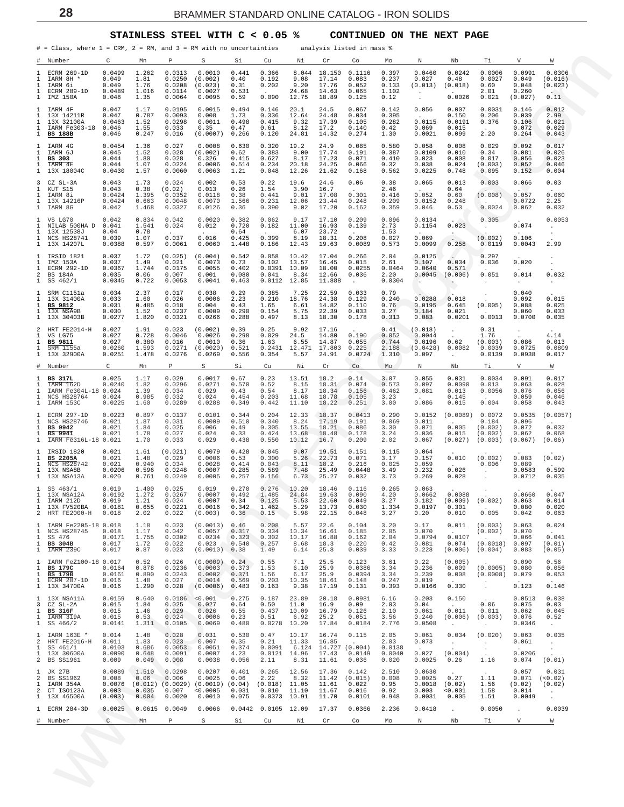#### **STAINLESS STEEL WITH C < 0.05 % CONTINUED ON THE NEXT PAGE**

<span id="page-27-0"></span>

|                                                                   | $\#$ = Class, where 1 = CRM, 2 = RM, and 3 = RM with no uncertainties                   |                                               |                                            |                                               |                                                               |                                           |                                             |                                          |                                                          | analysis listed in mass %                                 |                                           |                                                  |                                               |                                                    |                                              |                                                          |
|-------------------------------------------------------------------|-----------------------------------------------------------------------------------------|-----------------------------------------------|--------------------------------------------|-----------------------------------------------|---------------------------------------------------------------|-------------------------------------------|---------------------------------------------|------------------------------------------|----------------------------------------------------------|-----------------------------------------------------------|-------------------------------------------|--------------------------------------------------|-----------------------------------------------|----------------------------------------------------|----------------------------------------------|----------------------------------------------------------|
| #<br>1<br>1                                                       | Number<br>ECRM 269-1D<br>IARM 8H *                                                      | С<br>0.0499<br>0.049                          | Mn<br>1.262<br>1.81                        | Р<br>0.0313<br>0.0250                         | S<br>0.0010<br>(0.002)                                        | Si<br>0.441<br>0.40                       | Cu<br>0.366<br>0.192                        | Νi<br>8.044<br>9.08                      | Cr<br>18.150<br>17.14                                    | Co<br>0.1116<br>0.083                                     | Mo<br>0.397<br>0.237                      | N<br>0.0460<br>0.027                             | Nb<br>0.0242<br>0.48                          | Тi<br>0.0006<br>0.0027                             | V<br>0.0991<br>0.049                         | W<br>0.0306<br>(0.016)                                   |
| 1<br>1<br>1                                                       | IARM 6i<br>ECRM 289-1D<br>IMZ 150A                                                      | 0.049<br>0.0489<br>0.048                      | 1.76<br>1.016<br>1.35                      | 0.0208<br>0.0114<br>0.0064                    | (0.023)<br>0.0027<br>0.0095                                   | 0.31<br>0.531<br>0.59                     | 0.202<br>0.090                              | 9.20<br>24.68<br>12.75                   | 17.76<br>14.63<br>18.89                                  | 0.052<br>0.065<br>0.125                                   | 0.133<br>1.102<br>0.12                    | (0.013)<br>$\blacksquare$<br>$\sim$              | (0.018)<br>0.0026                             | 0.60<br>2.01<br>0.021                              | 0.048<br>0.260<br>(0.027)                    | (0.023)<br>0.11                                          |
| 1<br>1<br>1<br>$\mathbf{1}$<br>$\mathbf{1}$                       | IARM 4F<br>13X 14211R<br>13X 32100A<br>IARM Fe303-18<br><b>BS 188B</b>                  | 0.047<br>0.047<br>0.0463<br>0.046<br>0.046    | 1.17<br>0.787<br>1.52<br>1.55<br>0.247     | 0.0195<br>0.0093<br>0.0298<br>0.033<br>0.016  | 0.0015<br>0.008<br>0.0011<br>0.35<br>(0.0007)                 | 0.494<br>1.73<br>0.498<br>0.47<br>0.266   | 0.146<br>0.336<br>0.415<br>0.61<br>0.120    | 20.1<br>12.64<br>9.32<br>8.12<br>24.81   | 24.5<br>24.48<br>17.39<br>17.2<br>14.32                  | 0.067<br>0.034<br>0.105<br>0.140<br>0.274                 | 0.142<br>0.395<br>0.282<br>0.42<br>1.30   | 0.056<br>0.0115<br>0.069<br>0.0021               | 0.007<br>0.150<br>0.0191<br>0.015<br>0.099    | 0.0031<br>0.206<br>0.376<br>2.20                   | 0.146<br>0.039<br>0.106<br>0.072<br>0.264    | 0.012<br>2.99<br>0.021<br>0.029<br>0.043                 |
| $\mathbf{1}$<br>1<br>$\mathbf{1}$<br>1<br>$\mathbf{1}$            | IARM 4G<br>IARM 6J<br>BS 303<br>IARM 4E<br>13X 18004C                                   | 0.0454<br>0.045<br>0.044<br>0.044<br>0.0430   | 1.36<br>1.52<br>1.80<br>1.07<br>1.57       | 0.027<br>0.028<br>0.028<br>0.0224<br>0.0060   | 0.0008<br>(0.002)<br>0.326<br>0.0006<br>0.0063                | 0.630<br>0.62<br>0.415<br>0.514<br>1.21   | 0.320<br>0.383<br>0.627<br>0.234<br>0.048   | 19.2<br>9.00<br>8.17<br>20.18<br>12.26   | 24.9<br>17.74<br>17.23<br>24.25<br>21.62                 | 0.085<br>0.191<br>0.071<br>0.066<br>0.168                 | 0.580<br>0.387<br>0.410<br>0.32<br>0.562  | 0.058<br>0.0109<br>0.023<br>0.038<br>0.0225      | 0.008<br>0.010<br>0.008<br>0.024<br>0.748     | 0.029<br>0.34<br>0.017<br>(0.003)<br>0.095         | 0.092<br>0.081<br>0.056<br>0.052<br>0.152    | 0.017<br>0.026<br>0.023<br>0.046<br>0.004                |
| 3<br>$\mathbf{1}$<br>1<br>$\mathbf{1}$<br>$\mathbf{1}$            | CZ SL-3A<br>KUT S15<br>IARM 8i<br>13X 14216P<br>IARM 8G                                 | 0.043<br>0.043<br>0.0424<br>0.0424<br>0.042   | 1.73<br>0.38<br>1.395<br>0.663<br>1.468    | 0.024<br>(0.02)<br>0.0352<br>0.0048<br>0.0327 | 0.002<br>0.013<br>0.0118<br>0.0070<br>0.0126                  | 0.53<br>0.26<br>0.38<br>1.566<br>0.36     | 0.22<br>1.54<br>0.441<br>0.231<br>0.390     | 19.6<br>3.90<br>9.01<br>12.06<br>9.02    | 24.6<br>16.7<br>17.08<br>23.44<br>17.20                  | 0.06<br>0.301<br>0.248<br>0.162                           | 0.38<br>2.46<br>0.416<br>0.209<br>0.359   | 0.065<br>0.052<br>0.0152<br>0.046                | 0.013<br>0.64<br>0.60<br>0.248<br>0.53        | 0.003<br>(0.008)<br>0.0024                         | 0.066<br>0.057<br>0.0722<br>0.062            | 0.03<br>0.060<br>2.25<br>0.032                           |
| $\mathbf{1}$<br>1<br>1<br>$\mathbf{1}$                            | VS LG70<br>NILAB 500HA D<br>13X 12538J<br>NCS HS28741<br>1 13X 14207L                   | 0.042<br>0.041<br>0.04<br>0.039<br>0.0388     | 0.834<br>1.541<br>0.78<br>1.07<br>0.597    | 0.042<br>0.024<br>0.037<br>0.0061             | 0.0020<br>0.012<br>0.016<br>0.0060                            | 0.382<br>0.720<br>0.64<br>0.425<br>1.448  | 0.062<br>0.182<br>0.399<br>0.186            | 9.17<br>11.00<br>6.07<br>8.19<br>12.43   | 17.10<br>16.93<br>23.72<br>18.31<br>19.63                | 0.209<br>0.139<br>0.208<br>0.0089                         | 0.096<br>2.73<br>1.53<br>0.027<br>0.573   | 0.0134<br>0.1154<br>0.069<br>0.0099              | 0.023<br>$\sim$<br>0.258                      | 0.305<br>$\cdot$<br>(0.002)<br>0.0119              | 0.074<br>0.106<br>0.0043                     | 0.0053<br>$\cdot$<br>$\cdot$<br>2.99                     |
| $\mathbf{1}$<br>$\mathbf{1}$<br>$\mathbf{1}$<br>$\overline{a}$    | IRSID 1821<br>IMZ 153A<br>ECRM 292-1D<br><b>BS 184A</b><br>$1$ SS $462/1$               | 0.037<br>0.037<br>0.0367<br>0.035<br>0.0345   | 1.72<br>1.49<br>1.744<br>0.06<br>0.722     | (0.025)<br>0.021<br>0.0175<br>0.007<br>0.0053 | (0.004)<br>0.0073<br>0.0055<br>0.001<br>0.0041                | 0.542<br>0.73<br>0.402<br>0.080<br>0.463  | 0.058<br>0.102<br>0.0391<br>0.041<br>0.0112 | 10.42<br>13.57<br>10.09<br>8.34<br>12.85 | 17.04<br>16.45<br>18.00<br>12.66<br>11.888               | 0.266<br>0.015<br>0.0255<br>0.036<br>$\ddot{\phantom{a}}$ | 2.04<br>2.61<br>0.0464<br>2.20<br>0.0304  | 0.0125<br>0.107<br>0.0640<br>0.0045<br>$\sim$    | 0.034<br>0.571<br>(0.006)<br>$\cdot$          | 0.297<br>0.036<br>0.051<br>$\cdot$                 | 0.020<br>0.014<br>$\sim$                     | $\cdot$<br>0.032<br>$\cdot$                              |
| $\mathbf{1}$<br>1<br>1<br>$\mathbf{1}$<br>$\mathbf{1}$            | SRM C1151a<br>13X 31400A<br>BS 9812<br>13X NSA9B<br>13X 30403B                          | 0.034<br>0.033<br>0.031<br>0.030<br>0.0277    | 2.37<br>1.60<br>0.485<br>1.52<br>1.820     | 0.017<br>0.026<br>0.018<br>0.0237<br>0.0321   | 0.038<br>0.0006<br>0.004<br>0.0009<br>0.0266                  | 0.29<br>2.23<br>0.43<br>0.290<br>0.288    | 0.385<br>0.210<br>1.65<br>0.154<br>0.497    | 7.25<br>18.76<br>6.61<br>5.75<br>8.13    | 22.59<br>24.38<br>14.82<br>22.39<br>18.30                | 0.033<br>0.129<br>0.110<br>0.033<br>0.178                 | 0.79<br>0.240<br>0.76<br>3.27<br>0.313    | 0.0288<br>0.0195<br>0.184<br>0.083               | 0.018<br>0.645<br>0.021<br>0.0201             | $\cdot$<br>(0.005)<br>0.0013                       | 0.040<br>0.092<br>0.088<br>0.060<br>0.0700   | 0.015<br>0.025<br>0.033<br>0.035                         |
| 2<br>1<br>$\mathbf{1}$<br>1<br>$\mathbf{1}$                       | HRT FE2014-H<br>VS LG75<br><b>BS 9811</b><br>SRM 1155a<br>13X 32900A                    | 0.027<br>0.027<br>0.027<br>0.0260<br>0.0251   | 1.91<br>0.728<br>0.380<br>1.593<br>1.478   | 0.023<br>0.0046<br>0.016<br>0.0271<br>0.0276  | (0.002)<br>0.0026<br>0.0010<br>(0.0020)<br>0.0269             | 0.39<br>0.298<br>0.36<br>0.521<br>0.556   | 0.25<br>0.029<br>1.63<br>0.2431<br>0.354    | 9.92<br>24.5<br>6.55<br>12.471<br>5.57   | 17.16<br>14.80<br>14.87<br>17.803<br>24.91               | 0.190<br>0.055<br>0.225<br>0.0724                         | 0.41<br>0.052<br>0.744<br>2.188<br>1.310  | (0.018)<br>0.0044<br>0.0196<br>(0.0428)<br>0.097 | $\bullet$<br>0.62<br>0.0082<br>$\sim$         | 0.31<br>1.76<br>(0.003)<br>0.0039<br>0.0139        | $\cdot$<br>0.086<br>0.0725<br>0.0938         | 4.14<br>0.013<br>0.0809<br>0.017                         |
| <u>#</u><br>1                                                     | Number<br><b>BS 317L</b>                                                                | C<br>0.025                                    | Mn<br>1.17                                 | P<br>0.029                                    | S<br>0.0017                                                   | Si<br>0.67                                | Cu<br>0.23                                  | Νi<br>13.51                              | Cr<br>18.2                                               | Co<br>0.14                                                | Mo<br>3.07                                | N<br>0.055                                       | Nb<br>0.031                                   | Тi<br>0.0034                                       | V<br>0.091                                   | $\overline{\mathsf{w}}$<br>0.017                         |
| 1<br>$\mathbf{1}$<br>$\mathbf{1}$<br>$\mathbf{1}$                 | IARM 162D<br>IARM Fe304L-18 0.024<br>NCS HS28764<br>IARM 153C                           | 0.0240<br>0.024<br>0.0225                     | 1.82<br>1.39<br>0.985<br>1.60              | 0.0296<br>0.034<br>0.032<br>0.0289            | 0.0271<br>0.029<br>0.024<br>0.0288                            | 0.570<br>0.43<br>0.454<br>0.349           | 0.52<br>0.54<br>0.203<br>0.442              | 8.15<br>8.17<br>11.68<br>11.10           | 18.31<br>18.34<br>18.78<br>18.22                         | 0.074<br>0.156<br>0.105<br>0.251                          | 0.573<br>0.462<br>3.23<br>3.00            | 0.097<br>0.081<br>0.086                          | 0.0090<br>0.013<br>0.145<br>0.015             | 0.013<br>0.0056<br>0.004                           | 0.063<br>0.076<br>0.059<br>0.058             | 0.028<br>0.056<br>0.046<br>0.043                         |
| $\mathbf{1}$<br>$\mathbf{1}$<br>$\mathbf{1}$<br>$\mathbf{1}$<br>1 | ECRM 297-1D<br>NCS HS28746<br>BS 9942<br><b>BS 9941</b><br>IARM Fe316L-18 0.021         | 0.0223<br>0.021<br>0.021<br>0.021             | 0.897<br>1.87<br>1.84<br>1.78<br>1.70      | 0.0137<br>0.031<br>0.025<br>0.027<br>0.033    | 0.0101<br>0.0009<br>0.006<br>0.024<br>0.029                   | 0.344<br>0.510<br>0.49<br>0.33<br>0.438   | 0.204<br>0.340<br>0.305<br>0.424<br>0.550   | 12.33<br>8.24<br>13.55<br>13.68<br>10.12 | 18.37<br>17.19<br>18.21<br>18.48<br>16.7                 | 0.0413<br>0.191<br>0.086<br>0.178<br>0.209                | 0.290<br>0.069<br>3.30<br>3.24<br>2.02    | 0.0152<br>0.011<br>0.071<br>0.036<br>0.067       | (0.0089)<br>0.005<br>0.015<br>(0.027)         | 0.0072<br>0.184<br>(0.002)<br>(0.002)<br>(0.003)   | 0.0535<br>0.096<br>0.072<br>0.062<br>(0.067) | (0.0057)<br>0.032<br>0.068<br>(0.06)                     |
| $\mathbf{1}$<br>1<br>$\mathbf{1}$<br>$\mathbf{1}$                 | IRSID 1820<br><b>BS 2205A</b><br><b>NCS HS28742</b><br>13X NSA8B<br>1 13X NSA13A        | 0.021<br>0.021<br>0.021<br>0.0206<br>0.020    | 1.61<br>1.48<br>0.940<br>0.596<br>0.761    | (0.021)<br>0.029<br>0.034<br>0.0248<br>0.0249 | 0.0079<br>0.0006<br>0.0028<br>0.0007<br>0.0005                | 0.428<br>0.53<br>0.414<br>0.285<br>0.257  | 0.045<br>0.300<br>0.043<br>0.589<br>0.156   | 9.07<br>5.26<br>8.11<br>7.48<br>6.73     | 19.51<br>22.73<br>18.2<br>25.49<br>25.27                 | 0.151<br>0.071<br>0.216<br>0.0448<br>0.032                | 0.115<br>3.17<br>0.025<br>3.49<br>3.73    | 0.064<br>0.157<br>0.059<br>0.232<br>0.269        | 0.010<br>0.026<br>0.028                       | (0.002)<br>0.006<br>$\cdot$                        | 0.083<br>0.089<br>0.0583<br>0.0712           | (0.02)<br>0.599<br>0.035                                 |
| $\mathbf{1}$<br>$\mathbf{1}$<br>1<br>2                            | SS 463/1<br>1 13X NSA12A<br>IARM 212D<br>13X FV520BA<br>HRT FE2000-H                    | 0.019<br>0.0192<br>0.019<br>0.0181<br>0.018   | 1.400<br>1.272<br>1.21<br>0.655<br>2.02    | 0.025<br>0.0267<br>0.024<br>0.0221<br>0.022   | 0.019<br>0.0007<br>0.0007<br>0.0016<br>(0.003)                | 0.270<br>0.492<br>0.34<br>0.342<br>0.36   | 0.276<br>1.485<br>0.125<br>1.462<br>0.15    | 10.20<br>24.84<br>5.53<br>5.29<br>5.98   | 18.46<br>19.63<br>22.60<br>13.73<br>22.15                | 0.116<br>0.090<br>0.049<br>0.030<br>0.048                 | 0.265<br>4.20<br>3.27<br>1.334<br>3.27    | 0.063<br>0.0662<br>0.182<br>0.0197<br>0.20       | 0.0088<br>0.301<br>0.010                      | $(0.009)$ $(0.002)$ 0.063<br>0.005                 | 0.0660<br>0.080<br>0.042                     | 0.047<br>0.014<br>0.020<br>0.063                         |
| 1<br>1<br>1<br>1<br>$\mathbf{1}$                                  | IARM Fe2205-18 0.018<br>NCS HS28745<br>SS 476<br><b>BS 304B</b><br>IARM 239C            | 0.018<br>0.0171<br>0.017<br>0.017             | 1.18<br>1.17<br>1.755<br>1.72<br>0.87      | 0.023<br>0.042<br>0.0302<br>0.022<br>0.023    | (0.0013)<br>0.0057<br>0.0234<br>0.023<br>(0.0010)             | 0.46<br>0.317<br>0.323<br>0.540<br>0.38   | 0.208<br>0.334<br>0.302<br>0.257<br>1.49    | 5.57<br>10.34<br>10.17<br>8.68<br>6.14   | 22.6<br>16.61<br>16.88<br>18.3<br>25.8                   | 0.104<br>0.185<br>0.162<br>0.220<br>0.039                 | 3.20<br>2.05<br>2.04<br>0.42<br>3.33      | 0.17<br>0.070<br>0.0794<br>0.081<br>0.228        | 0.011<br>0.0107<br>0.074<br>(0.006)           | (0.003)<br>(0.002)<br>(0.0018)<br>(0.004)          | 0.063<br>0.070<br>0.066<br>0.097<br>0.083    | 0.024<br>0.041<br>(0.01)<br>(0.05)                       |
| 1<br>1<br>1<br>$\mathbf{1}$                                       | IARM FeZ100-18 0.017<br><b>BS 179C</b><br><b>BS 179B</b><br>ECRM 287-1D<br>1 13X 34700A | 0.0164<br>0.0161<br>0.016<br>0.016            | 0.52<br>0.878<br>0.890<br>1.48<br>1.290    | 0.026<br>0.0236<br>0.0243<br>0.027<br>0.028   | (0.0009)<br>0.0003<br>0.0002<br>0.0014<br>(0.0006)            | 0.24<br>0.373<br>0.371<br>0.569<br>0.483  | 0.55<br>1.53<br>1.56<br>0.203<br>0.163      | 7.1<br>6.10<br>6.17<br>10.35<br>9.38     | 25.5<br>25.9<br>25.9<br>18.61<br>17.19                   | 0.123<br>0.0386<br>0.0394<br>0.148<br>0.131               | 3.61<br>3.34<br>3.34<br>0.247<br>0.393    | 0.22<br>0.236<br>0.239<br>0.019<br>0.0166        | (0.005)<br>0.009<br>0.008<br>0.330            | (0.0005)<br>(0.0008)<br>$\cdot$                    | 0.090<br>0.080<br>0.079<br>0.123             | 0.56<br>0.056<br>0.053<br>0.146                          |
| 1<br>$\mathbf{3}$<br>1<br>$\mathbf{1}$<br>$\mathbf{1}$            | 13X NSA11A<br>CZ SL-2A<br><b>BS 316F</b><br>IARM 319A<br>SS 466/2                       | 0.0159<br>0.015<br>0.015<br>0.015<br>0.0141   | 0.640<br>1.84<br>1.46<br>0.53<br>1.311     | 0.0186<br>0.025<br>0.029<br>0.024<br>0.0105   | 0.001<br>0.027<br>0.026<br>0.0006<br>0.0069                   | 0.275<br>0.64<br>0.55<br>0.23<br>0.480    | 0.187<br>0.50<br>0.437<br>0.51<br>0.0278    | 23.89<br>11.0<br>10.09<br>6.92<br>10.20  | 20.18<br>16.9<br>16.79<br>25.2<br>17.84                  | 0.0981<br>0.09<br>0.126<br>0.051<br>0.0184                | 6.16<br>2.03<br>2.10<br>3.56<br>2.776     | 0.203<br>0.04<br>0.061<br>0.240<br>0.0508        | 0.150<br>$\sim$<br>0.011<br>(0.006)<br>$\sim$ | 0.06<br>0.011<br>(0.003)<br>$\ddot{\phantom{0}}$   | 0.0513<br>0.075<br>0.062<br>0.076<br>0.0346  | 0.038<br>0.03<br>0.045<br>0.52<br>$\sim$                 |
| 1<br>2<br>1<br>1                                                  | IARM 163E *<br>HRT FE2016-H<br>SS 461/1<br>13X 30600A<br>2 BS SS1961                    | 0.014<br>0.011<br>0.0103<br>0.0090<br>0.009   | 1.48<br>1.83<br>0.686<br>0.648<br>0.049    | 0.028<br>0.023<br>0.0053<br>0.0091<br>0.008   | 0.031<br>0.007<br>0.0051<br>0.0007<br>0.0038                  | 0.530<br>0.35<br>0.374<br>4.23<br>0.056   | 0.47<br>0.21<br>0.0091<br>0.0121<br>2.11    | 10.17<br>11.33<br>14.96<br>8.31          | 16.74<br>16.85<br>6.124 14.727 (0.004)<br>17.43<br>11.61 | 0.115<br>0.0149<br>0.036                                  | 2.05<br>2.03<br>0.0138<br>0.0040<br>0.020 | 0.061<br>0.073<br>0.027<br>0.0025                | 0.034<br>$\sim$<br>(0.004)<br>0.26            | (0.020)<br>$\ddot{\phantom{a}}$<br>$\cdot$<br>1.16 | 0.063<br>0.061<br>0.0206<br>0.074            | 0.035<br>$\ddot{\phantom{a}}$<br>$\cdot$<br>(0.01)       |
| 1<br>2<br>$\mathbf{1}$<br>2                                       | JK 27B<br>BS SS1962<br>IARM 354A<br>CT ISO123A<br>1 13X 46500A                          | 0.0089<br>0.008<br>0.0076<br>0.003<br>(0.003) | 1.510<br>0.06<br>(0.012)<br>0.035<br>0.004 | 0.0298<br>0.006<br>0.007<br>0.0020            | 0.0207<br>0.0025<br>$(0.0029)$ $(0.0019)$<br>0.0005<br>0.0010 | 0.401<br>0.06<br>(0.04)<br>0.031<br>0.075 | 0.265<br>2.22<br>(0.018)<br>0.010<br>0.0373 | 12.56<br>8.32<br>11.05<br>11.10<br>10.91 | 17.36<br>11.42<br>11.61<br>11.67<br>11.70                | 0.142<br>(0.015)<br>0.022<br>0.016<br>0.0101              | 2.510<br>0.008<br>0.95<br>0.92<br>0.948   | 0.0630<br>0.0025<br>0.0018<br>0.003<br>0.0031    | 0.27<br>(0.02)<br>0.001<br>0.005              | 1.11<br>1.56<br>1.58<br>1.51                       | 0.057<br>0.071<br>(0.02)<br>0.014<br>0.0049  | 0.031<br>(< 0.02)<br>(0.02)<br>$\cdot$<br>$\blacksquare$ |
|                                                                   | 1 ECRM 284-3D                                                                           | 0.0025                                        | 0.0615                                     | 0.0049                                        | 0.0066                                                        | 0.0442                                    | 0.0105                                      | 12.09                                    | 17.37                                                    | 0.0366                                                    | 2.236                                     | 0.0418                                           | $\bullet$                                     | 0.0050                                             | $\cdot$                                      | 0.0039                                                   |
| #                                                                 | Number                                                                                  | C                                             | Mn                                         | Р                                             | S                                                             | Si                                        | Cu                                          | Νi                                       | Cr                                                       | Co                                                        | Mo                                        | N                                                | Nb                                            | Тi                                                 | V                                            | W                                                        |
|                                                                   | W                                                                                       |                                               |                                            |                                               |                                                               |                                           |                                             |                                          |                                                          |                                                           |                                           |                                                  |                                               |                                                    |                                              |                                                          |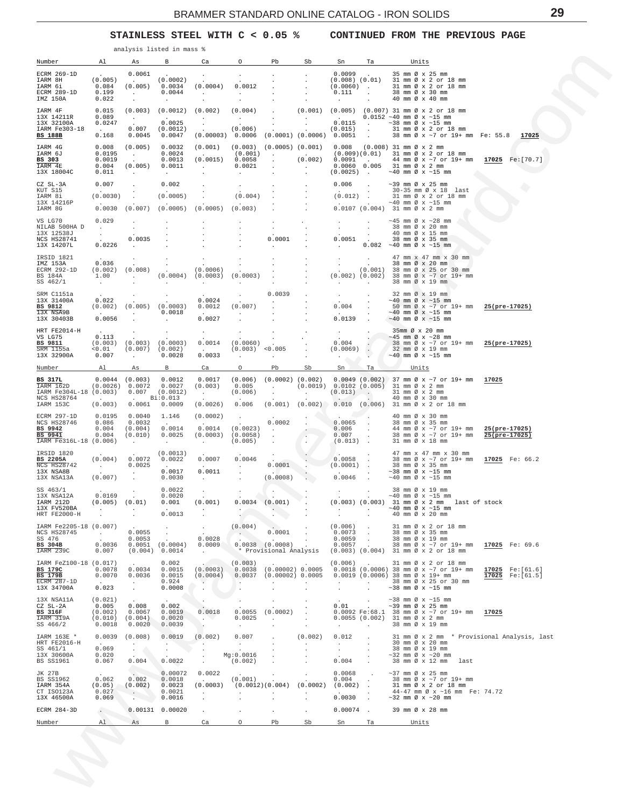**STAINLESS STEEL WITH C < 0.05 % CONTINUED FROM THE PREVIOUS PAGE**

<span id="page-28-0"></span>

| Number                                                                               | Al                                                                            | As                                                                                | B                                                                 | Ca                                                                                                                                                            | $\circ$                                                                           | Pb                                                                                      | Sb                                                             | Sn                                                               | Та                                              | Units                                                                                                                                                                                                                                                |                                      |
|--------------------------------------------------------------------------------------|-------------------------------------------------------------------------------|-----------------------------------------------------------------------------------|-------------------------------------------------------------------|---------------------------------------------------------------------------------------------------------------------------------------------------------------|-----------------------------------------------------------------------------------|-----------------------------------------------------------------------------------------|----------------------------------------------------------------|------------------------------------------------------------------|-------------------------------------------------|------------------------------------------------------------------------------------------------------------------------------------------------------------------------------------------------------------------------------------------------------|--------------------------------------|
| ECRM 269-1D<br>IARM 8H<br>IARM 6i<br>ECRM 289-1D<br>IMZ 150A                         | (0.005)<br>0.084<br>0.199<br>0.022                                            | 0.0061<br><b>Contract Contract</b><br><b>Contractor</b><br>$\cdot$                | (0.0002)<br>(0.005) 0.0034<br>0.0044<br>$\sim 10^{-11}$           | $\cdot$<br>(0.0004)<br><b>Contract Contract</b>                                                                                                               | $\sim$<br>0.0012<br><b>Carl Corporation</b>                                       | $\sim$<br>$\sim$<br>$\sim$                                                              | $\sim$<br>$\sim$<br>$\ddot{\phantom{a}}$<br>$\cdot$<br>$\cdot$ | $0.0099$ .<br>$(0.0060)$ .<br>0.111<br><b>Contract</b>           | $\sim$                                          | 35 mm Ø x 25 mm<br>$(0.008)$ $(0.01)$ 31 mm Ø x 2 or 18 mm<br>31 mm Ø x 2 or 18 mm<br>38 mm Ø x 30 mm<br>40 mm Ø x 40 mm                                                                                                                             |                                      |
| IARM 4F<br>13X 14211R<br>13X 32100A<br>IARM Fe303-18<br>BS 188B                      | 0.015<br>0.089<br>0.0247<br><b>Contract Contract</b><br>0.168                 | $\frac{1}{2}$ .                                                                   | $(0.003)$ $(0.0012)$ $(0.002)$<br>0.0025<br>$0.007$ (0.0012)      | <b>Contractor</b><br>$\frac{1}{2}$ , $\frac{1}{2}$<br>$0.0045 \qquad 0.0047 \qquad (0.00003) \quad 0.0006 \quad (0.0001) \quad (0.0006) \quad 0.0051 \quad .$ | (0.004)<br>$\mathcal{L}(\mathcal{L})$ , and $\mathcal{L}(\mathcal{L})$<br>(0.006) | <b>Contractor</b><br>$\langle \uparrow \rangle$ .                                       | <b>Contractor</b>                                              | <b>Contractor</b><br>$(0.015)$ .                                 |                                                 | $(0.001)$ $(0.005)$ $(0.007)$ 31 mm Ø x 2 or 18 mm<br>$0.0152 - 40$ mm $\emptyset$ x ~15 mm<br>$0.0115$ . $\sim 38$ mm $\emptyset$ x $\sim 15$ mm<br>31 mm Ø x 2 or 18 mm<br>38 mm Ø x ~7 or 19+ mm Fe: 55.8                                         | 17025                                |
| IARM 4G<br>IARM 6J<br>BS 303<br>IARM 4E<br>13X 18004C                                | 0.008<br>0.0195<br>0.0019<br>0.004<br>0.011                                   | (0.005)<br>$\frac{1}{2}$ .<br>(0.005)<br><b>Contractor</b>                        | 0.0032<br>0.0024<br>0.0013<br>0.0011<br><b>Contract Contract</b>  | (0.001)<br><b>Contractor</b><br>(0.0015)<br><b>Contractor</b>                                                                                                 | 0.0058<br>0.0021<br><b>Carl Corporation</b>                                       | $(0.001)$ .<br>$\sim$<br>$\sim$                                                         | <b>Contractor</b>                                              | $(0.002)$ 0.0091 .                                               |                                                 | $(0.003)$ $(0.0005)$ $(0.001)$ $0.008$ $(0.008)$ 31 mm $\emptyset \times 2$ mm<br>$(0.009)(0.01)$ 31 mm Ø x 2 or 18 mm<br>44 mm Ø x ~7 or 19+ mm 17025 Fe: [70.7]<br>$0.0060$ $0.005$ 31 mm Ø x 2 mm<br>$(0.0025)$ . $~40$ mm $\emptyset$ x $~15$ mm |                                      |
| CZ SL-3A<br>KUT S15<br>IARM 8i<br>13X 14216P<br>IARM 8G                              | 0.007<br>(0.0030)                                                             |                                                                                   | 0.002<br>(0.0005)                                                 | $0.0030$ $(0.007)$ $(0.0005)$ $(0.0005)$                                                                                                                      | (0.004)<br>(0.003)                                                                |                                                                                         |                                                                | 0.006<br>(0.012)                                                 | $\sim$<br>$\sim$                                | $\sim$ 39 mm Ø x 25 mm<br>30-35 mm Ø x 18 last<br>31 mm Ø x 2 or 18 mm<br>$\sim$ 40 mm Ø x $\sim$ 15 mm<br>$0.0107$ (0.004) 31 mm Ø x 2 mm                                                                                                           |                                      |
| VS LG70<br>NILAB 500HA D<br>13X 12538J<br>NCS HS28741<br>13X 14207L                  | 0.029<br>$\sim 10^{-10}$ m $^{-1}$<br>$\frac{1}{2}$ , $\frac{1}{2}$<br>0.0226 | $\cdot$<br>0.0035<br><b>Contract Contract</b>                                     | $\cdot$                                                           |                                                                                                                                                               |                                                                                   | $\cdot$<br>$\sim$<br>0.0001<br><b>Allen Control</b>                                     | $\cdot$                                                        | $\sim$<br>$\sim$<br>$0.0051$ .<br><b>Contract Contract</b>       | $\cdot$<br>$\sim$<br>$\sim$                     | $\sim$ 45 mm Ø x $\sim$ 28 mm<br>38 mm Ø x 20 mm<br>40 mm Ø x 15 mm<br>38 mm Ø x 35 mm<br>$0.082 -40$ mm $\emptyset$ x ~15 mm                                                                                                                        |                                      |
| IRSID 1821<br>IMZ 153A<br>ECRM 292-1D<br>BS 184A<br>SS 462/1                         | 0.036<br>1.00<br><b>Carl Corporate</b>                                        | $\cdot$<br>$(0.002)$ $(0.008)$<br><b>Contractor</b>                               | $\sim$<br>$\frac{1}{2}$ .                                         | $\cdot$<br>(0.0006)<br>$(0.0004)$ $(0.0003)$ $(0.0003)$<br>$\sim 100$                                                                                         | $\sim$                                                                            | $\sim$<br>$\sim$ $-$                                                                    | $\sim$<br>$\sim$<br>$\sim$                                     | $\sim$ $-$<br><b>Carl Corp.</b>                                  | $\sim 100$<br>$\sim$ 100 $\sim$                 | 47 mm x 47 mm x 30 mm<br>38 mm Ø x 20 mm<br>. 38 mm $\varnothing \times 20$ mm<br>. (0.001) 38 mm $\varnothing \times 25$ or 30 mm<br>$(0.002)$ $(0.002)$ 38 mm Ø x ~7 or 19+ mm<br>38 mm Ø x 19 mm                                                  |                                      |
| SRM C1151a<br>13X 31400A<br>BS 9812<br>13X NSA9B<br>13X 30403B                       | 0.022<br>$\sim 10^{-10}$ m $^{-1}$<br>0.0056                                  | $(0.002)$ $(0.005)$ $(0.0003)$<br><b>Contract Contract</b>                        | $\sim$<br>0.0018<br>$\sim 100$                                    | 0.0024<br>0.0012<br><b>Carl Corporation</b><br>0.0027                                                                                                         | (0.007)<br>$\sim$                                                                 | 0.0039                                                                                  | $\sim$<br>$\sim$                                               | <b>Contract</b><br>0.004<br>$\Delta \sim 10^{-11}$<br>$0.0139$ . | $\sim$<br>$\sim$<br>$\sim$<br>$\sim$            | 32 mm Ø x 19 mm<br>$\sim$ 40 mm Ø x $\sim$ 15 mm<br>50 mm Ø x ~7 or 19+ mm 25(pre-17025)<br>$\sim$ 40 mm Ø x $\sim$ 15 mm<br>$\sim$ 40 mm Ø x $\sim$ 15 mm                                                                                           |                                      |
| HRT FE2014-H<br>VS LG75<br>BS 9811<br>SRM 1155a<br>13X 32900A                        | 0.113<br>< 0.01<br>0.007                                                      | $(0.003)$ $(0.003)$ $(0.0003)$<br>$(0.007)$ $(0.002)$<br><b>Contract Contract</b> | 0.0028                                                            | $\sim$<br>0.0014<br>$\Delta \sim 10^{-1}$<br>0.0033                                                                                                           | (0.0060)<br>$(0.003)$ <0.005<br>$\sim$                                            | $\sim$<br><b>Service</b>                                                                | $\sim$<br>$\sim$<br>$\sim$                                     | <b>Contract</b><br>0.004<br>(0.0069)<br>$\sim$ 10                | $\sim$<br>$\mathcal{L}_{\mathcal{L}}$<br>$\sim$ | 35mm Ø x 20 mm<br>$\sim$ 45 mm Ø x $\sim$ 28 mm<br>38 mm Ø x ~7 or 19+ mm 25(pre-17025)<br>32 mm Ø x 19 mm<br>$\sim$ 40 mm Ø x $\sim$ 15 mm                                                                                                          |                                      |
| Number<br>BS 317L<br>IARM 162D<br>IARM Fe304L-18 (0.003)<br>NCS HS28764<br>IARM 153C | Al<br>$\sim 10^{11}$ km $^{-1}$<br>(0.003)                                    | As<br>$0.0044$ (0.003) 0.0012<br>$(0.0026)$ 0.0072 0.0027                         | $\mathbf{B}$<br>$0.007$ (0.0012)<br>. Bi:0.013<br>$0.0061$ 0.0009 | Ca<br>0.0017<br>(0.003)<br><b>Contractor</b><br>(0.0026)                                                                                                      | $\circ$<br>0.005<br>(0.006)                                                       | Pb<br>$\sim$                                                                            | Sb<br><b>Contractor</b>                                        | Sn<br>$(0.013)$ .<br>$\sim$                                      | Ta                                              | Units<br>$(0.006)$ $(0.0002)$ $(0.002)$ 0.0049 $(0.002)$ 37 mm $\varnothing$ x ~7 or 19+ mm 17025<br>. $(0.0019)$ 0.0102 $(0.005)$ 31 mm Ø x 2 mm<br>31 mm Ø x 2 mm<br>40 mm Ø x 30 mm<br>$0.006$ (0.001) (0.002) 0.010 (0.006) 31 mm Ø x 2 or 18 mm |                                      |
| ECRM 297-1D<br>NCS HS28746<br>BS 9942<br>BS 9941<br>IARM Fe316L-18 (0.006)           | 0.0195<br>0.086<br>0.004<br>0.004                                             | 0.0040<br>0.0032<br>(0.004)<br>(0.010)<br><b>Contractor</b>                       | 1.146<br><b>Contractor</b><br>0.0014<br>0.0025<br>$\sim$ $\sim$   | (0.0002)<br>0.0014<br>$(0.0003)$ $(0.0058)$<br><b>Contract Contract</b>                                                                                       | (0.0023)<br>(0.005)                                                               | 0.0002<br><b>Contract Contract</b><br>$\sim$<br>$\ddot{\phantom{a}}$                    |                                                                | $0.0065$ .<br>0.006<br>0.007<br>$(0.013)$ .                      | $\sim$<br>$\sim$                                | 40 mm Ø x 30 mm<br>38 mm Ø x 35 mm<br>44 mm $\emptyset$ x ~7 or 19+ mm 25(pre-17025)<br>38 mm Ø x ~7 or 19+ mm<br>31 mm Ø x 18 mm                                                                                                                    | $25(pre-17025)$                      |
| IRSID 1820<br>BS 2205A<br>NCS HS28742<br>13X NSA8B<br>13X NSA13A                     | (0.004)<br>$\sim 10^{11}$ km s $^{-1}$<br>(0.007)                             | 0.0072<br>0.0025<br>$\sim 100$ km s $^{-1}$<br>$\sim$                             | (0.0013)<br>0.0022<br>0.0017<br>0.0030                            | 0.0007<br>$\Delta \sim 10^{-11}$<br>0.0011<br>and the company                                                                                                 | 0.0046<br><b>Contract Contract</b><br>$\sim$ $\sim$<br>$\sim$                     | 0.0001<br>(0.0008)                                                                      | $\sim$ $\rightarrow$                                           | 0.0058<br>(0.0001)<br>$0.0046$ .                                 | $\bullet$<br>$\sim$<br>$\sim 10^{-1}$           | 47 mm x 47 mm x 30 mm<br>38 mm Ø x ~7 or 19+ mm 17025 Fe: 66.2<br>38 mm Ø x 35 mm<br>$\sim$ 38 mm Ø x $\sim$ 15 mm<br>$\sim$ 40 mm Ø x $\sim$ 15 mm                                                                                                  |                                      |
| SS 463/1<br>13X NSA12A<br>IARM 212D<br>13X FV520BA<br>HRT FE2000-H                   | 0.0169<br>(0.005) (0.01)<br>$\sim$ $\sim$                                     | $\cdot$                                                                           | 0.0022<br>0.0020<br>0.001<br>0.0013                               | $\cdot$<br>(0.001)                                                                                                                                            | $\sim$<br>$\cdot$                                                                 | $0.0034$ (0.001)<br>$\ddot{\cdot}$                                                      | $\sim$                                                         | $\sim$<br><b>Contract</b><br>$\sim$                              | $\bullet$<br>$\sim 10^{-11}$                    | 38 mm Ø x 19 mm<br>$\sim$ 40 mm Ø x $\sim$ 15 mm<br>(0.003) (0.003) 31 mm Ø x 2 mm last of stock<br>$\sim$ 40 mm Ø x $\sim$ 15 mm<br>40 mm Ø x 20 mm                                                                                                 |                                      |
| IARM Fe2205-18 (0.007)<br>NCS HS28745<br>SS 476<br>BS 304B<br>IARM 239C              | <b>Contractor</b><br>0.0036<br>0.007                                          | 0.0055<br>0.0053                                                                  | $\sim$<br>$\sim$ $-$<br>$0.0051$ $(0.0004)$<br>(0.004) 0.0014     | $\cdot$<br>0.0028<br>0.0009<br><b>Contractor</b>                                                                                                              | (0.004)<br>$\triangle$                                                            | $\cdot$<br>0.0001<br><b>Contractor</b><br>$0.0038$ $(0.0008)$<br>* Provisional Analysis | $\sim$<br>$\sim$<br>$\cdot$<br>$\sim 100$                      | $(0.006)$ .<br>0.0073<br>0.0059<br>$0.0057$ .                    | $\sim$<br>$\sim$                                | 31 mm Ø x 2 or 18 mm<br>38 mm Ø x 35 mm<br>38 mm Ø x 19 mm<br>38 mm Ø x ~7 or 19+ mm 17025 Fe: 69.6<br>$(0.003)$ $(0.004)$ 31 mm $\emptyset$ x 2 or 18 mm                                                                                            |                                      |
| IARM FeZ100-18 (0.017)<br>BS 179C<br><b>BS 179B</b><br>ECRM 287-1D<br>13X 34700A     | 0.0078<br>0.0070<br><b>Contractor</b><br>0.023                                | 0.0034<br>0.0036<br><b>Service</b><br>$\sim$                                      | 0.002<br>0.0015<br>0.0015<br>0.924<br>0.0008                      | (0.0003)<br>(0.0004)<br>$\sim$                                                                                                                                | (0.003)<br>$\sim$                                                                 | $0.0037$ (0.00002) 0.0005                                                               |                                                                | $(0.006)$ .<br><b>Service</b><br>$\ddot{\phantom{0}}$            | $\sim 100$<br>$\sim$                            | 31 mm Ø x 2 or 18 mm<br>0.0038 (0.00002) 0.0005 0.0018 (0.0006) 38 mm $\emptyset \times \sim 7$ or 19+ mm<br>$0.0019$ (0.0006) 38 mm $\varnothing$ x 19+ mm<br>38 mm Ø x 25 or 30 mm<br>$\sim$ 38 mm Ø x $\sim$ 15 mm                                | 17025 Fe: [61.6]<br>17025 Fe: [61.5] |
| 13X NSA11A<br>CZ SL-2A<br>BS 316F<br>IARM 319A<br>SS 466/2                           | (0.021)<br>0.005<br>(0.002)<br>(0.010)<br>0.0018                              | 0.008<br>0.0067<br>(0.004)<br>0.0020                                              | 0.002<br>0.0019<br>0.0020<br>0.0039                               | <b>Section</b><br>0.0018<br>$\sim$ $\sim$<br>$\cdot$                                                                                                          | $\cdot$<br>0.0055<br>0.0025<br>$\sim$ $-$                                         | $\cdot$<br>(0.0002)<br><b>All Control</b><br>$\cdot$                                    | $\sim$<br>$\cdot$                                              | 0.01<br><b>Contract</b>                                          | $\sim$<br><b>Contract</b><br>$\sim$ $-$         | $\sim$ 38 mm Ø x $\sim$ 15 mm<br>$\sim$ 39 mm Ø x 25 mm<br>0.0092 Fe:68.1 38 mm Ø x ~7 or 19+ mm 17025<br>$0.0055$ $(0.002)$ 31 mm Ø x 2 mm<br>38 mm Ø x 19 mm                                                                                       |                                      |
| IARM 163E *<br>HRT FE2016-H                                                          |                                                                               | $0.0039$ $(0.008)$<br><b>Contract</b>                                             | 0.0019<br><b>CONTRACTOR</b>                                       | (0.002)<br>and the contract of                                                                                                                                | 0.007<br><b>Contract</b>                                                          | $\cdot$<br>$\sim$                                                                       | (0.002)<br>$\sim$                                              | 0.012<br><b>Allen</b>                                            | $\ddot{\phantom{0}}$<br>$\cdot$                 | 31 mm Ø x 2 mm * Provisional Analysis, last<br>30 mm Ø x 20 mm                                                                                                                                                                                       |                                      |
| SS 461/1<br>13X 30600A<br>BS SS1961                                                  | 0.069<br>0.020<br>0.067                                                       | $1.8$<br>0.004                                                                    | 0.0022                                                            | $\cdot$<br>$\sim$                                                                                                                                             | Mg:0.0016<br>(0.002)                                                              | $\cdot$<br>$\sim$                                                                       | $\cdot$                                                        | $\sim$<br>0.004                                                  | $\cdot$<br>$\cdot$<br>$\sim$                    | 38 mm Ø x 19 mm<br>$\sim$ 32 mm Ø x $\sim$ 20 mm<br>38 mm Ø x 12 mm last                                                                                                                                                                             |                                      |
| JK 27B<br>BS SS1962<br>IARM 354A<br>CT ISO123A<br>13X 46500A                         | 0.062<br>(0.05)<br>0.027<br>0.069                                             | 0.002<br>(0.002)<br>$\sim$ $-$                                                    | 0.00072<br>0.0018<br>0.0023<br>0.0021<br>0.0016                   | 0.0022<br><b>Contract Contract</b><br>(0.0003)<br>$\cdot$<br>$\cdot$                                                                                          | (0.001)<br>(0.0012)(0.004)<br>$\sim$                                              |                                                                                         | $\sim$<br>(0.0002)                                             | 0.0068<br>0.004<br>(0.002)<br>0.0030                             | $\cdot$<br>$\sim$<br>$\cdot$                    | $\sim$ 37 mm Ø x 25 mm<br>38 mm Ø x ~7 or 19+ mm<br>31 mm Ø x 2 or 18 mm<br>44-47 mm Ø x ~16 mm Fe: 74.72<br>$\sim$ 32 mm Ø x $\sim$ 20 mm                                                                                                           |                                      |
| ECRM 284-3D                                                                          | $\sim$                                                                        |                                                                                   | 0.00131 0.00020                                                   | $\sim$                                                                                                                                                        | $\sim$                                                                            | $\ddot{\phantom{0}}$                                                                    | $\sim$                                                         | $0.00074$ .                                                      |                                                 | 39 mm Ø x 28 mm                                                                                                                                                                                                                                      |                                      |
| Number                                                                               | A1                                                                            | As                                                                                | $\mathbf{B}$                                                      | Ca                                                                                                                                                            | $\circ$                                                                           | Pb                                                                                      | Sb                                                             | Sn                                                               | Ta                                              | Units                                                                                                                                                                                                                                                |                                      |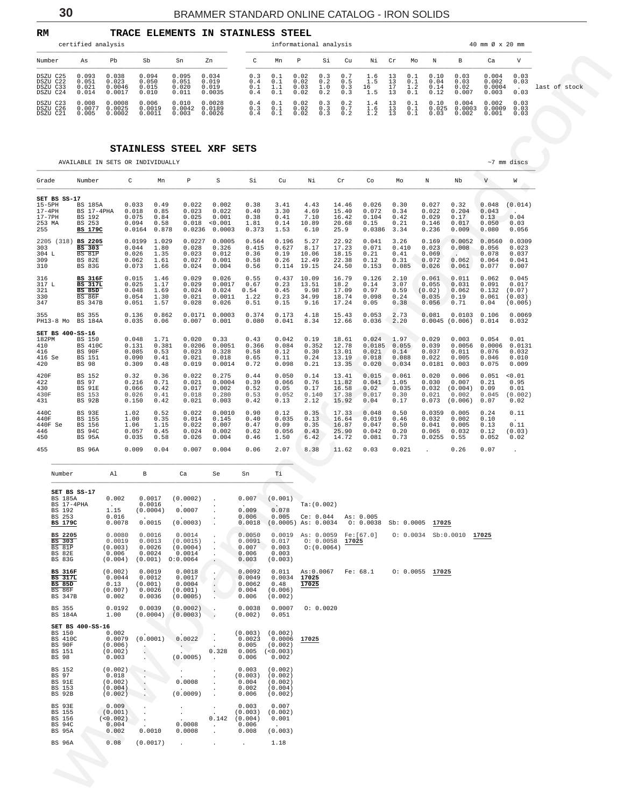<span id="page-29-0"></span>

| RM                                           |                                  |                                    | <b>TRACE ELEMENTS</b>            |                                  | IN.                               | STAINLESS STEEL |                          |                          |                              |                          |                          |                         |                 |                          |                              |                               |                                   |                      |               |
|----------------------------------------------|----------------------------------|------------------------------------|----------------------------------|----------------------------------|-----------------------------------|-----------------|--------------------------|--------------------------|------------------------------|--------------------------|--------------------------|-------------------------|-----------------|--------------------------|------------------------------|-------------------------------|-----------------------------------|----------------------|---------------|
|                                              | certified analysis               |                                    |                                  |                                  |                                   |                 |                          |                          | informational analysis       |                          |                          |                         |                 |                          |                              |                               | 40 mm Ø x 20 mm                   |                      |               |
| Number                                       | As                               | Pb                                 | Sb                               | Sn                               | Zn                                |                 | C                        | Mn                       | $\mathbb{P}$                 | Si                       | Cu                       | Νi                      | Cr              | Mo                       | N                            | B                             | Ca                                | V                    |               |
| DSZU C25<br>DSZU C22<br>DSZU C33<br>DSZU C24 | 0.093<br>0.051<br>0.021<br>0.014 | 0.038<br>0.023<br>0.0046<br>0.0017 | 0.094<br>0.050<br>0.015<br>0.010 | 0.095<br>0.051<br>0.020<br>0.011 | 0.034<br>0.019<br>0.019<br>0.0035 |                 | 0.3<br>0.4<br>0.1<br>0.4 | 0.1<br>0.1<br>1.1<br>∩ ' | 0.02<br>0.02<br>0.03<br>0.02 | 0.3<br>0.2<br>1.0<br>0.2 | 0.7<br>0.5<br>0.3<br>0.3 | 1.6<br>1.5<br>16<br>- 5 | 13<br>13<br>า ว | 0.1<br>0.1<br>1.2<br>0.1 | 0.10<br>0.04<br>0.14<br>0.12 | 0.03<br>0.03<br>0.02<br>0.007 | 0.004<br>0.002<br>0.0004<br>0.003 | 0.03<br>0.03<br>0.03 | last of stock |
| DSZU C23<br>DSZU C26<br>DSZU C21             | 0.008<br>0.0077<br>0.005         | 0.0008<br>0.0025<br>.0002          | 0.006<br>0.0019<br>0.0011        | 0.010<br>0.0042<br>0.003         | 0.0028<br>0.0189<br>0.0026        |                 | 0.4<br>0.3<br>0.4        | 0.1<br>0.1               | 0.02<br>0.02<br>0.02         | 0.3<br>0.3<br>0.3        | 0.2<br>0.7<br>0.2        | 1.4<br>1.6              | 13<br>13<br>1 3 | 0.1<br>0.1               | 0.10<br>0.025<br>0.03        | 0.004<br>0.0003<br>0.002      | 0.002<br>0.0009<br>0.001          | 0.03<br>0.03<br>0.03 |               |

### **STAINLESS STEEL XRF SETS**

| Number                                                                                 | As                                                                            | Pb                                                            | Sb                                               |                                                  | Sn                                                | Zn                                                          | C                                                        | Mn                                                  | P                                               | Si                           | Cu                                                       | Νi                                               | Cr                                     | Мo                              | N                                                                 | В                                           | Ca                                                       | V                                             |               |
|----------------------------------------------------------------------------------------|-------------------------------------------------------------------------------|---------------------------------------------------------------|--------------------------------------------------|--------------------------------------------------|---------------------------------------------------|-------------------------------------------------------------|----------------------------------------------------------|-----------------------------------------------------|-------------------------------------------------|------------------------------|----------------------------------------------------------|--------------------------------------------------|----------------------------------------|---------------------------------|-------------------------------------------------------------------|---------------------------------------------|----------------------------------------------------------|-----------------------------------------------|---------------|
| DSZU C25<br>DSZU C22<br>DSZU C33<br>DSZU C24                                           | 0.093<br>0.051<br>0.021<br>0.014                                              | 0.038<br>0.023<br>0.0046<br>0.0017                            | 0.094<br>0.050<br>0.015<br>0.010                 |                                                  | 0.095<br>0.051<br>0.020<br>0.011                  | 0.034<br>0.019<br>0.019<br>0.0035                           | 0.3<br>0.4<br>0.1<br>0.4                                 | 0.1<br>0.1<br>1.1<br>0.1                            | $0.02$<br>$0.02$<br>0.03<br>0.02                | $0.3$<br>$0.2$<br>1.0<br>0.2 | $0.7$<br>$0.5$<br>0.3<br>0.3                             | $\frac{1}{1.5}$<br>16<br>1.5                     | 13<br>13<br>17<br>13                   | 0.1<br>$\frac{0.1}{1.2}$<br>0.1 | 0.10<br>0.04<br>0.14<br>0.12                                      | 0.03<br>0.03<br>0.02<br>0.007               | 0.004<br>0.002<br>0.0004<br>0.003                        | 0.03<br>0.03<br>0.03                          | last of stock |
| DSZU C23<br>DSZU C26<br>DSZU C21                                                       | 0.008<br>0.0077<br>0.005                                                      | 0.0008<br>0.0025<br>0.0002                                    | 0.006                                            | 0.0019<br>0.0011                                 | 0.010<br>0.0042<br>0.003                          | 0.0028<br>0.0189<br>0.0026                                  | 0.4<br>0.3<br>0.4                                        | 0.1<br>0.1<br>0.1                                   | 0.02<br>0.02<br>0.02                            | 0.3<br>0.3<br>0.3            | 0.2<br>$0.7$<br>$0.2$                                    | 1.4<br>$\frac{1}{1}$ $\cdot \frac{6}{2}$         | 13<br>$\frac{13}{13}$                  | $0.1\,$<br>$0.1$<br>$0.1$       | 0.10<br>0.025<br>0.03                                             | 0.004<br>0.0003<br>0.002                    | 0.002<br>0.0009<br>0.001                                 | 0.03<br>0.03<br>0.03                          |               |
|                                                                                        |                                                                               |                                                               |                                                  |                                                  |                                                   |                                                             |                                                          |                                                     |                                                 |                              |                                                          |                                                  |                                        |                                 |                                                                   |                                             |                                                          |                                               |               |
|                                                                                        |                                                                               |                                                               |                                                  |                                                  | STAINLESS STEEL XRF SETS                          |                                                             |                                                          |                                                     |                                                 |                              |                                                          |                                                  |                                        |                                 |                                                                   |                                             |                                                          |                                               |               |
|                                                                                        | AVAILABLE IN SETS OR INDIVIDUALLY                                             |                                                               |                                                  |                                                  |                                                   |                                                             |                                                          |                                                     |                                                 |                              |                                                          |                                                  |                                        |                                 |                                                                   |                                             |                                                          | $~1$ mm discs                                 |               |
| Grade                                                                                  | Number                                                                        |                                                               | C                                                | Mn                                               | $\, {\mathbb P}$                                  | S                                                           | Si                                                       | Cu                                                  | Νi                                              |                              | $\operatorname{Cr}$                                      | Co                                               | Мo                                     |                                 | $\rm N$                                                           | Nb                                          | $\mathbf V$                                              | W                                             |               |
| SET BS SS-17<br>$15-5PH$<br>$17-4$ PH<br>17-7PH<br>253 MA<br>255                       | <b>BS 185A</b><br>BS 17-4PHA<br>BS 192<br>BS 253<br><b>BS 179C</b>            |                                                               | 0.033<br>0.018<br>0.075<br>0.094<br>0.0164 0.878 | 0.49<br>0.85<br>0.84<br>0.58                     | 0.022<br>0.023<br>0.025                           | 0.002<br>0.022<br>0.001<br>0.018 < 0.001<br>$0.0236$ 0.0003 | 0.38<br>0.40<br>0.38<br>1.81<br>0.373                    | 3.41<br>3.30<br>0.41<br>0.14<br>1.53                | 4.43<br>4.69<br>7.10<br>10.89<br>6.10           |                              | 14.46<br>15.40<br>16.42<br>20.68<br>25.9                 | 0.026<br>0.072<br>0.104<br>0.15<br>0.0386        | 0.30<br>0.34<br>0.42<br>0.21<br>3.34   |                                 | 0.027<br>0.022<br>0.029<br>0.146<br>0.236                         | 0.32<br>0.204<br>0.17<br>0.017<br>0.009     | 0.048<br>0.043<br>0.13<br>0.050<br>0.080                 | (0.014)<br>$\sim$<br>0.04<br>0.03<br>0.056    |               |
| 2205 (318) BS 2205<br>303<br>304 L<br>309<br>310                                       | BS 303<br>BS 81P<br>BS 82E<br><b>BS 83G</b>                                   |                                                               | 0.0199 1.029<br>0.044<br>0.026<br>0.062<br>0.073 | 1.80<br>1.35<br>1.61<br>1.66                     | 0.0227<br>0.028<br>0.023<br>0.027<br>0.024        | 0.0005<br>0.326<br>0.012<br>0.001<br>0.004                  | 0.564<br>0.415<br>0.36<br>0.58<br>0.56                   | 0.196<br>0.627<br>0.19<br>0.26                      | 5.27<br>8.17<br>10.06<br>12.49<br>$0.114$ 19.15 |                              | 22.92<br>17.23<br>18.15<br>22.38<br>24.50                | 0.041<br>0.071<br>0.21<br>0.12<br>0.153          | 3.26<br>0.410<br>0.41<br>0.31<br>0.085 |                                 | 0.169<br>0.023<br>0.069<br>0.072<br>0.026                         | 0.0052<br>0.008<br>$\sim$<br>0.062<br>0.061 | 0.0560<br>0.056<br>0.078<br>0.064<br>0.077               | 0.0309<br>0.023<br>0.037<br>0.041<br>0.007    |               |
| 316<br>317 L<br>321<br>330<br>347                                                      | <b>BS 316F</b><br><b>BS 317L</b><br><b>BS 85D</b><br>BS 86F<br><b>BS 347B</b> |                                                               | 0.015<br>0.025<br>0.048<br>0.054<br>0.051        | 1.46<br>1.17<br>1.69<br>1.30<br>1.57             | 0.029<br>0.029<br>0.024<br>0.021<br>0.028         | 0.026<br>0.0017<br>0.024<br>0.0011<br>0.026                 | 0.55<br>0.67<br>0.54<br>1.22<br>0.51                     | 0.23<br>0.45<br>0.23<br>0.15                        | $0.437$ 10.09<br>13.51<br>9.98<br>34.99<br>9.16 |                              | 16.79<br>18.2<br>17.09<br>18.74<br>17.24                 | 0.126<br>0.14<br>0.97<br>0.098<br>0.05           | 2.10<br>3.07<br>0.59<br>0.24<br>0.38   |                                 | 0.061<br>0.055<br>(0.02)<br>0.035<br>0.056                        | 0.011<br>0.031<br>0.062<br>0.19<br>0.71     | 0.062<br>0.091<br>0.132<br>0.061<br>0.04                 | 0.045<br>0.017<br>(0.07)<br>(0.03)<br>(0.005) |               |
| 355<br>$PH13-8$ Mo                                                                     | BS 355<br>BS 184A                                                             |                                                               | 0.136<br>0.035                                   | 0.862<br>0.06                                    | 0.0171<br>0.007                                   | 0.0003<br>0.001                                             | 0.374<br>0.080                                           | 0.173<br>0.041                                      | 4.18<br>8.34                                    |                              | 15.43<br>12.66                                           | 0.053<br>0.036                                   | 2.73<br>2.20                           |                                 | 0.081<br>0.0045(0.006)                                            | $0.0103$ $0.106$                            | 0.014                                                    | 0.0069<br>0.032                               |               |
| SET BS 400-SS-16<br>182PM<br>410<br>416<br>416 Se<br>420                               | BS 150<br><b>BS 410C</b><br>BS 90F<br>BS 151<br><b>BS 98</b>                  |                                                               | 0.048<br>0.131<br>0.085<br>0.090<br>0.309        | 1.71<br>0.381<br>0.53<br>0.41<br>0.48            | 0.020<br>0.0206<br>0.023<br>0.021<br>0.019        | 0.33<br>0.0051<br>0.328<br>0.018<br>0.0014                  | 0.43<br>0.366<br>0.58<br>0.65<br>0.72                    | 0.042<br>0.084<br>0.12<br>0.11<br>0.098             | 0.19<br>0.352<br>0.30<br>0.24<br>0.21           |                              | 18.61<br>12.78<br>13.01<br>13.19<br>13.35                | 0.024<br>0.0185 0.055<br>0.021<br>0.018<br>0.020 | 1.97<br>0.14<br>0.088<br>0.034         |                                 | 0.029<br>0.039<br>0.037<br>0.022<br>0.0181                        | 0.003<br>0.011<br>0.005<br>0.003            | 0.054<br>0.0056 0.0006 0.0131<br>0.076<br>0.046<br>0.075 | 0.01<br>0.032<br>0.010<br>0.009               |               |
| 420F<br>422<br>430<br>430F<br>431                                                      | BS 152<br>BS 97<br>BS 91E<br>BS 153<br>BS 92B                                 |                                                               | 0.32<br>0.216<br>0.066<br>0.026<br>0.150         | 0.36<br>0.71<br>0.42<br>0.41<br>0.42             | 0.022<br>0.021<br>0.017<br>0.018<br>0.021         | 0.275<br>0.0004<br>0.002<br>0.280<br>0.003                  | 0.44<br>0.39<br>0.52<br>0.53<br>0.42                     | 0.050<br>0.066<br>0.05<br>0.052<br>0.13             | 0.14<br>0.76<br>0.17<br>0.140<br>2.12           |                              | 13.41<br>11.82<br>16.58<br>17.38<br>15.92                | 0.015<br>0.041<br>0.02<br>$-0.017$<br>0.04       | 0.061<br>1.05<br>0.035<br>0.30<br>0.17 |                                 | 0.020<br>0.030<br>$0.032$ $(0.004)$<br>0.021<br>$0.073$ $(0.006)$ | 0.006<br>0.007<br>0.002                     | 0.051 < 0.01<br>0.21<br>0.09<br>0.045<br>0.07            | 0.95<br>0.01<br>(0.002)<br>0.02               |               |
| 440C<br>440F<br>440F Se<br>446<br>450                                                  | BS 93E<br>BS 155<br>BS 156<br><b>BS 94C</b><br><b>BS 95A</b>                  |                                                               | 1.02<br>1.00<br>1.06<br>0.057<br>0.035           | 0.52<br>0.35<br>1.15<br>0.45<br>0.58             | 0.022<br>0.014<br>0.022<br>0.024<br>0.026         | 0.0010<br>0.145<br>0.007<br>0.002<br>0.004                  | 0.90<br>0.40<br>0.47<br>0.62<br>0.46                     | 0.12<br>0.035<br>0.09<br>0.056<br>1.50              | 0.35<br>0.13<br>0.35<br>0.43<br>6.42            |                              | 17.33<br>16.64<br>16.87<br>25.90<br>14.72                | 0.048<br>0.019<br>0.047<br>0.042<br>0.081        | 0.50<br>0.46<br>0.50<br>0.20<br>0.73   |                                 | 0.0359<br>0.032<br>0.041<br>0.065<br>0.0255                       | 0.005<br>0.002<br>0.005<br>0.032<br>0.55    | 0.24<br>0.10<br>0.13<br>0.12<br>0.052                    | 0.11<br>0.11<br>(0.03)<br>0.02                |               |
| 455                                                                                    | <b>BS 96A</b>                                                                 |                                                               | 0.009                                            | 0.04                                             | 0.007                                             | 0.004                                                       | 0.06                                                     | 2.07                                                | 8.38                                            |                              | 11.62                                                    | 0.03                                             | 0.021                                  |                                 | $\sim$                                                            | 0.26                                        | 0.07                                                     | $\cdot$                                       |               |
| Number                                                                                 |                                                                               | Al                                                            | в                                                |                                                  | Ca                                                | Se                                                          | Sn                                                       | Тi                                                  |                                                 |                              |                                                          |                                                  |                                        |                                 |                                                                   |                                             |                                                          |                                               |               |
| SET BS SS-17<br>BS 185A<br>BS 17-4PHA<br>BS 192<br>BS 253<br><b>BS 179C</b><br>BS 2205 |                                                                               | 0.002<br><b>Contract</b><br>1.15<br>0.016<br>0.0078<br>0.0080 |                                                  | 0.0017<br>0.0016<br>(0.0004)<br>0.0015<br>0.0016 | (0.0002)<br>0.0007<br>(0.0003)<br>0.0014          | $\ddot{\phantom{a}}$                                        | $0.007$ (0.001)<br>0.009<br>0.006<br>0.0050              | 0.078                                               |                                                 | Ta:(0.002)                   | 0.005 Ce: 0.044 As: 0.005<br>0.0019 As: 0.0059 Fe:[67.0] |                                                  |                                        |                                 | 0.0018 (0.0005) As: 0.0034 0: 0.0038 Sb: 0.0005 17025             | 0: 0.0034 Sb:0.0010 17025                   |                                                          |                                               |               |
| BS 303<br>BS 81P<br>BS 82E<br><b>BS 83G</b>                                            |                                                                               | 0.0019<br>(0.003)<br>0.006<br>(0.004)                         | (0.001)                                          | 0.0013<br>0.0026<br>0.0024                       | (0.0015)<br>(0.0004)<br>0.0014<br>0:0.0064        | $\cdot$<br>$\bullet$<br>$\bullet$                           | $0.0091$ $0.017$<br>0.007 0.003<br>0.006<br>0.003        | 0.003<br>(0.003)                                    |                                                 | 0:(0.0064)                   | $0: 0.0058$ 17025                                        |                                                  |                                        |                                 |                                                                   |                                             |                                                          |                                               |               |
| <b>BS 316F</b><br><b>BS 317L</b><br><b>BS 85D</b><br><b>BS 86F</b><br>BS 347B          |                                                                               | (0.002)<br>0.0044<br>0.13<br>(0.007)<br>0.002                 | 0.0012<br>(0.001)<br>0.0026                      | 0.0019<br>0.0036                                 | 0.0018<br>0.0017<br>0.0004<br>(0.001)<br>(0.0005) | $\sim$<br>$\mathcal{I}_{\ell}$                              | 0.0092<br>0.0049<br>0.0062<br>0.004<br>0.006             | 0.011<br>0.0034 17025<br>0.48<br>(0.006)<br>(0.002) | 17025                                           |                              | As:0.0067 Fe: 68.1                                       |                                                  |                                        |                                 | $0: 0.0055$ 17025                                                 |                                             |                                                          |                                               |               |
| BS 355<br>BS 184A                                                                      |                                                                               | 0.0192<br>1.00                                                |                                                  | 0.0039<br>(0.0004)                               | (0.0002)<br>(0.0003)                              | <b>Contract</b><br>$\sim$ $\sim$                            | 0.0038<br>(0.002)                                        | 0.0007<br>0.051                                     |                                                 | 0: 0.0020                    |                                                          |                                                  |                                        |                                 |                                                                   |                                             |                                                          |                                               |               |
| BS 150<br><b>BS 410C</b><br>BS 90F<br><b>BS</b> 151<br>BS 98                           | SET BS 400-SS-16                                                              | 0.002<br>0.0079<br>(0.006)<br>(0.002)<br>0.003                | $\ddot{\phantom{0}}$                             | (0.0001)                                         | 0.0022<br>$\sim$ $-$<br>(0.0005)                  | 0.328<br>$\sim$                                             | $(0.003)$ $(0.002)$<br>0.0023<br>0.005<br>0.005<br>0.006 | 0.0006<br>(0.002)<br>(< 0.003)<br>0.002             | 17025                                           |                              |                                                          |                                                  |                                        |                                 |                                                                   |                                             |                                                          |                                               |               |
| BS 152<br>BS 97<br>BS 91E<br>BS 153<br>BS 92B                                          |                                                                               | (0.002)<br>0.018<br>(0.002)<br>(0.004)<br>(0.002)             | $\blacksquare$                                   |                                                  | 0.0008<br>(0.0009)                                |                                                             | 0.003<br>(0.003)<br>0.004<br>0.002<br>0.006              | (0.002)<br>(0.002)<br>(0.002)<br>(0.004)<br>(0.002) |                                                 |                              |                                                          |                                                  |                                        |                                 |                                                                   |                                             |                                                          |                                               |               |
| BS 93E<br>BS 155<br>BS 156<br><b>BS 94C</b><br><b>BS 95A</b>                           |                                                                               | 0.009<br>(0.001)<br>(<0.002)<br>0.004<br>0.002                |                                                  | 0.0010                                           | 0.0008<br>0.0008                                  | 0.142<br>$\sim$                                             | 0.003<br>(0.003)<br>(0.004)<br>0.006<br>0.008            | 0.007<br>(0.002)<br>0.001<br>(0.003)                |                                                 |                              |                                                          |                                                  |                                        |                                 |                                                                   |                                             |                                                          |                                               |               |
| <b>BS 96A</b>                                                                          |                                                                               | 0.08                                                          |                                                  | (0.0017)                                         | $\cdot$                                           | $\cdot$                                                     | $\ddot{\phantom{a}}$                                     | 1.18                                                |                                                 |                              |                                                          |                                                  |                                        |                                 |                                                                   |                                             |                                                          |                                               |               |

| /1-00 00 140<br><b>BS 185A</b><br>BS 17-4PHA<br>BS 192<br>BS 253<br><b>BS 179C</b>      | 0.002<br><b>Contract</b><br>1.15<br>0.016<br>0.0078 | 0.0017<br>0.0016<br>(0.0004)<br>$\sim$<br>0.0015 | (0.0002)<br>$\sim$<br>0.0007<br>$\sim$<br>(0.0003)               | $\cdot$                                                                                                                                                                                                                                               | 0.007<br><b>Contract Contract</b><br>0.009<br>0.006<br>0.0018 | (0.001)<br><b>Contract Contract</b><br>0.078<br>0.005             | Ta:(0.002)<br>Ce: 0.044<br>$(0.0005)$ As: $0.0034$ 0: 0.0038       | As: 0.005 | Sb: 0.0005 17025                   |                       |       |
|-----------------------------------------------------------------------------------------|-----------------------------------------------------|--------------------------------------------------|------------------------------------------------------------------|-------------------------------------------------------------------------------------------------------------------------------------------------------------------------------------------------------------------------------------------------------|---------------------------------------------------------------|-------------------------------------------------------------------|--------------------------------------------------------------------|-----------|------------------------------------|-----------------------|-------|
| BS 2205<br><b>BS 303</b><br><b>BS 81P</b><br>BS 82E<br><b>BS 83G</b>                    | 0.0080<br>0.0019<br>(0.003)<br>0.006<br>(0.004)     | 0.0016<br>0.0013<br>0.0026<br>0.0024             | 0.0014<br>(0.0015)<br>(0.0004)<br>0.0014<br>$(0.001)$ $0:0.0064$ | $\ddot{\phantom{0}}$<br>$\ddot{\phantom{0}}$<br>$\ddot{\phantom{0}}$<br>$\ddot{\phantom{a}}$<br>$\sim$                                                                                                                                                | 0.0050<br>0.0091<br>0.007<br>0.006<br>0.003                   | 0.017<br>0.003<br>0.003<br>(0.003)                                | $0.0019$ As: $0.0059$ Fe:[67.0]<br>$0: 0.0058$ 17025<br>0:(0.0064) |           |                                    | $0: 0.0034$ Sb:0.0010 | 17025 |
| <b>BS 316F</b><br><b>BS 317L</b><br>$BS$ 85D<br><b>BS 86F</b><br><b>BS 347B</b>         | (0.002)<br>0.0044<br>0.13<br>(0.007)<br>0.002       | 0.0019<br>0.0012<br>(0.001)<br>0.0026<br>0.0036  | 0.0018<br>0.0017<br>0.0004<br>(0.001)<br>(0.0005)                |                                                                                                                                                                                                                                                       | 0.0092<br>0.0049<br>0.0062<br>0.004<br>0.006                  | 0.011<br>0.0034 17025<br>0.48<br>(0.006)<br>(0.002)               | 17025                                                              |           | As:0.0067 Fe: 68.1 0: 0.0055 17025 |                       |       |
| BS 355<br>BS 184A                                                                       | 0.0192<br>1.00                                      | 0.0039<br>(0.0004)                               | (0.0002)<br>(0.0003)                                             | <b>The Contract of the Contract of the Contract of the Contract of the Contract of the Contract of the Contract of the Contract of the Contract of The Contract of The Contract of The Contract of The Contract of The Contract </b><br>$\sim$ $\sim$ | 0.0038<br>(0.002)                                             | 0.0007<br>0.051                                                   | 0: 0.0020                                                          |           |                                    |                       |       |
| SET BS 400-SS-16<br><b>BS 150</b><br><b>BS 410C</b><br>BS 90F<br>BS 151<br><b>BS 98</b> | 0.002<br>0.0079<br>(0.006)<br>(0.002)<br>0.003      | (0.0001)<br>$\cdot$                              | 0.0022<br>(0.0005)                                               | $\cdot$<br>$\sim$ $-$<br>0.328<br><b>Contract Contract</b>                                                                                                                                                                                            | (0.003)<br>0.0023<br>0.005<br>0.006                           | (0.002)<br>0.0006 17025<br>(0.002)<br>$0.005$ $(<0.003)$<br>0.002 |                                                                    |           |                                    |                       |       |
| <b>BS 152</b><br>BS 97<br>BS 91E<br>BS 153<br>BS 92B                                    | (0.002)<br>0.018<br>(0.002)<br>(0.004)<br>(0.002)   |                                                  | $\ddot{\phantom{0}}$<br>$\cdot$<br>0.0008<br>$\sim$<br>(0.0009)  | $\ddot{\phantom{0}}$<br>$\ddot{\phantom{0}}$<br>$\mathbf{r}$<br>$\ddot{\phantom{0}}$<br>$\mathbf{r}$                                                                                                                                                  | 0.003<br>(0.003)<br>0.004<br>0.002<br>0.006                   | (0.002)<br>(0.002)<br>(0.002)<br>(0.004)<br>(0.002)               |                                                                    |           |                                    |                       |       |
| BS 93E<br>BS 155<br>BS 156<br><b>BS 94C</b><br>BS 95A                                   | 0.009<br>(0.001)<br>(< 0.002)<br>0.004<br>0.002     | $\cdot$<br>$\cdot$<br>0.0010                     | $\cdot$<br>0.0008<br>0.0008                                      | $\ddot{\phantom{0}}$<br>$\sim$<br><b>Contractor</b><br><b>Contract Contract</b>                                                                                                                                                                       | 0.003<br>(0.003)<br>$0.142$ $(0.004)$<br>0.006<br>0.008       | 0.007<br>(0.002)<br>0.001<br>$\sim$ 100 $\mu$<br>(0.003)          |                                                                    |           |                                    |                       |       |
| <b>BS 96A</b>                                                                           | 0.08                                                | (0.0017)                                         | $\cdot$                                                          | $\sim$                                                                                                                                                                                                                                                | $\cdot$                                                       | 1.18                                                              |                                                                    |           |                                    |                       |       |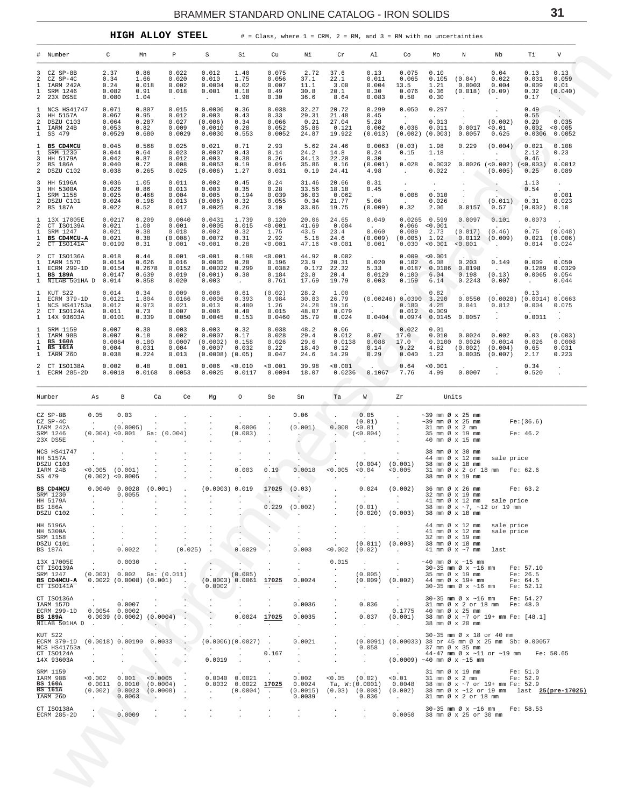| <b>HIGH ALLOY STEEI</b> |  |
|-------------------------|--|
|                         |  |

<span id="page-30-0"></span>

| #<br>3<br>2<br>1<br>2            | Number<br>CZ SP-8B<br>CZ SP-4C<br>IARM 242A<br>SRM 1246                      | C<br>2.37<br>0.34                                                   |                                                      | Mn                                        | Р                                                                 | S                                                            | Si                                                                                       | Cu                                         | Νi                                                         | Cr                                                      | Al                                                                                                                                                     | Co                                                                            | Mo                                               | Ν                                                                            | Nb                                                                                                                                                                                                                                                                                                                                                      | Тi                                                | V                                                                                                                   |
|----------------------------------|------------------------------------------------------------------------------|---------------------------------------------------------------------|------------------------------------------------------|-------------------------------------------|-------------------------------------------------------------------|--------------------------------------------------------------|------------------------------------------------------------------------------------------|--------------------------------------------|------------------------------------------------------------|---------------------------------------------------------|--------------------------------------------------------------------------------------------------------------------------------------------------------|-------------------------------------------------------------------------------|--------------------------------------------------|------------------------------------------------------------------------------|---------------------------------------------------------------------------------------------------------------------------------------------------------------------------------------------------------------------------------------------------------------------------------------------------------------------------------------------------------|---------------------------------------------------|---------------------------------------------------------------------------------------------------------------------|
|                                  |                                                                              |                                                                     |                                                      |                                           |                                                                   |                                                              |                                                                                          |                                            |                                                            |                                                         |                                                                                                                                                        |                                                                               |                                                  |                                                                              |                                                                                                                                                                                                                                                                                                                                                         |                                                   |                                                                                                                     |
|                                  | 23X DS5E                                                                     | 0.24<br>0.082<br>0.080                                              |                                                      | 0.86<br>1.66<br>0.018<br>0.91<br>1.04     | 0.022<br>0.020<br>0.002<br>0.018<br>$\cdot$                       | 0.012<br>0.010<br>0.0004<br>0.001<br>$\sim$                  | 1.40<br>1.75<br>0.02<br>0.18<br>1.98                                                     | 0.075<br>0.056<br>0.007<br>0.49<br>0.30    | 2.72<br>37.1<br>11.1<br>30.8<br>36.6                       | 37.6<br>22.1<br>3.00<br>20.1<br>8.64                    | 0.13<br>0.011<br>0.004<br>0.30<br>0.083                                                                                                                | 0.075<br>0.065<br>13.5<br>0.076<br>0.50                                       | 0.10<br>0.105<br>1.21<br>0.36<br>0.30            | (0.04)<br>0.0003<br>(0.018)<br>$\cdot$                                       | 0.04<br>0.022<br>0.004<br>(0.09)<br>$\cdot$                                                                                                                                                                                                                                                                                                             | 0.13<br>0.031<br>0.009<br>0.32<br>0.17            | 0.13<br>0.059<br>0.01<br>(0.040)                                                                                    |
| 1<br>3<br>2<br>1<br>$\mathbf{1}$ | NCS HS41747<br>HH 5157A<br>DSZU C103<br>IARM 24B<br>SS 479                   | 0.071<br>0.067<br>0.064<br>0.053                                    | 0.0529                                               | 0.807<br>0.95<br>0.287<br>0.82<br>0.680   | 0.015<br>0.012<br>0.027<br>0.009<br>0.0029                        | 0.0006<br>0.003<br>(0.006)<br>0.0010<br>0.0030               | 0.36<br>0.43<br>0.34<br>0.28<br>0.553                                                    | 0.038<br>0.33<br>0.066<br>0.052<br>0.0052  | 32.27<br>29.31<br>0.21<br>35.86<br>24.87                   | 20.72<br>21.48<br>27.04<br>0.121<br>19.922              | 0.299<br>0.45<br>5.28<br>0.002<br>(0.013)                                                                                                              | 0.050<br>$\cdot$<br>0.036<br>(0.002)                                          | 0.297<br>0.013<br>0.011<br>(0.003)               | $\cdot$<br>$\cdot$<br>0.0017<br>0.0057                                       | $\ddot{\phantom{0}}$<br>(0.002)<br>0.01<br>0.625                                                                                                                                                                                                                                                                                                        | 0.49<br>0.55<br>0.29<br>0.002<br>0.0306           | $\cdot$<br>0.035<br>< 0.005<br>0.0052                                                                               |
| 1<br>1<br>3<br>2<br>2            | BS CD4MCU<br>SRM 1230<br>HH 5179A<br>BS 186A<br>DSZU C102                    | 0.045<br>0.044<br>0.042<br>0.040<br>0.038                           |                                                      | 0.568<br>0.64<br>0.87<br>0.72<br>0.265    | 0.025<br>0.023<br>0.012<br>0.008<br>0.025                         | 0.021<br>0.0007<br>0.003<br>0.0053<br>(0.006)                | 0.71<br>0.43<br>0.38<br>0.19<br>1.27                                                     | 2.93<br>0.14<br>0.26<br>0.016<br>0.031     | 5.62<br>24.2<br>34.13<br>35.86<br>0.19                     | 24.46<br>14.8<br>22.20<br>0.16<br>24.41                 | 0.0063<br>0.24<br>0.30<br>(0.001)<br>4.98                                                                                                              | (0.03)<br>0.15<br>0.028<br>$\ddot{\phantom{a}}$                               | 1.98<br>1.18<br>0.0032<br>0.022                  | 0.229<br>$\ddot{\phantom{a}}$<br>$\cdot$                                     | (0.004)<br>$\ddot{\phantom{a}}$<br>$0.0026$ (<0.002) (<0.003)<br>(0.005)                                                                                                                                                                                                                                                                                | 0.021<br>2.12<br>0.46<br>0.25                     | 0.108<br>0.23<br>0.0012<br>0.089                                                                                    |
| 3<br>3<br>1<br>2<br>2            | HH 5196A<br>HH 5300A<br>SRM 1158<br>DSZU C101<br>BS 187A                     | 0.036<br>0.026<br>0.025<br>0.024<br>0.022                           |                                                      | 1.05<br>0.86<br>0.468<br>0.198<br>0.52    | 0.011<br>0.013<br>0.004<br>0.013<br>0.017                         | 0.002<br>0.003<br>0.005<br>(0.006)<br>0.0025                 | 0.45<br>0.35<br>0.194<br>0.32<br>0.26                                                    | 0.24<br>0.28<br>0.039<br>0.055<br>3.10     | 31.46<br>33.56<br>36.03<br>0.34<br>33.06                   | 20.66<br>18.18<br>0.062<br>21.77<br>19.75               | 0.31<br>0.45<br>$\sim$<br>5.06<br>(0.009)                                                                                                              | $\ddot{\phantom{0}}$<br>0.008<br>0.32                                         | $\cdot$<br>0.010<br>0.026<br>2.06                | $\cdot$<br>$\cdot$<br>$\cdot$<br>0.0157                                      | $\ddot{\phantom{0}}$<br>(0.011)<br>0.57                                                                                                                                                                                                                                                                                                                 | 1.13<br>0.54<br>0.31<br>(0.002)                   | $\cdot$<br>0.001<br>0.023<br>0.10                                                                                   |
| 1<br>2<br>1<br>1<br>2            | 13X 17005E<br>CT ISO139A<br>SRM 1247<br>BS CD4MCU-A<br>CT ISO141A            | 0.021<br>0.021<br>0.021                                             | 0.0217<br>0.0199                                     | 0.209<br>1.00<br>0.38<br>0.38<br>0.31     | 0.0040<br>0.001<br>0.018<br>(0.008)<br>0.001                      | 0.0431<br>0.0005<br>0.002<br>0.0072<br>< 0.001               | 1.739<br>0.015<br>0.32<br>0.31<br>0.28                                                   | 0.120<br>0.001<br>1.75<br>2.92<br>0.001    | 20.06<br>41.69<br>43.5<br>5.18<br>47.16                    | 24.65<br>0.004<br>23.4<br>24.6<br>0.001                 | 0.049<br>0.060<br>(0.009)<br>0.001                                                                                                                     | 0.0265<br>0.066<br>0.089<br>(0.005)<br>0.030                                  | 0.599<br>< 0.001<br>2.73<br>1.92<br>< 0.001      | 0.0097<br>(0.017)<br>0.0112<br>< 0.001                                       | 0.101<br>(0.46)<br>(0.009)<br>$\ddot{\phantom{1}}$                                                                                                                                                                                                                                                                                                      | 0.0073<br>0.75<br>0.021<br>0.014                  | $\cdot$<br>(0.048)<br>(0.006)<br>0.024                                                                              |
| 2<br>1<br>1<br>1<br>1            | CT ISO136A<br>IARM 157D<br>ECRM 299-1D<br><b>BS 189A</b><br>NILAB 501HA D    | 0.018<br>0.014                                                      | 0.0154<br>0.0154<br>0.0147                           | 0.44<br>0.626<br>0.2678<br>0.639<br>0.858 | 0.001<br>0.016<br>0.0152<br>0.019<br>0.020                        | 0.001<br>0.0005<br>0.00022<br>(0.001)<br>0.003               | 0.198<br>0.28<br>0.299<br>0.30<br>$\sim$                                                 | 0.001<br>0.196<br>0.0382<br>0.184<br>0.761 | 44.92<br>23.9<br>0.172<br>23.8<br>17.69                    | 0.002<br>20.31<br>22.32<br>20.4<br>19.79                | 0.020<br>5.33<br>0.0129<br>0.003                                                                                                                       | 0.009<br>0.102<br>0.0187<br>0.100<br>0.159                                    | 0.001<br>6.08<br>0.0186<br>6.04<br>6.14          | 0.203<br>0.0198<br>0.198<br>0.2243                                           | 0.149<br>(0.13)<br>0.007                                                                                                                                                                                                                                                                                                                                | 0.009<br>0.1289<br>0.0065<br>$\ddot{\phantom{a}}$ | 0.050<br>0.0329<br>0.054<br>0.044                                                                                   |
| 1<br>1<br>1<br>2<br>$\mathbf{1}$ | KUT S22<br>ECRM 379-1D<br>NCS HS41753a<br>CT ISO124A<br>14X 93603A           | 0.014<br>0.012<br>0.011                                             | 0.0121<br>0.0101                                     | 0.34<br>1.804<br>0.973<br>0.73<br>0.339   | 0.009<br>0.0166<br>0.021<br>0.007<br>0.0050                       | 0.008<br>0.0006<br>0.013<br>0.006<br>0.0045                  | 0.61<br>0.393<br>0.480<br>0.40<br>0.153                                                  | (0.02)<br>0.984<br>1.26<br>0.015<br>0.0460 | 28.2<br>30.83<br>24.28<br>48.07<br>35.79                   | 1.00<br>26.79<br>19.16<br>0.079<br>0.024                | $\sim$<br>0.0404                                                                                                                                       | $(0.00246)$ 0.0390<br>0.180<br>0.012<br>0.0974                                | 0.82<br>3.290<br>4.25<br>0.009<br>0.0145         | 0.0550<br>0.041<br>0.0057                                                    | (0.0028)<br>0.812<br>$\cdot$<br>$\ddot{\phantom{a}}$                                                                                                                                                                                                                                                                                                    | 0.13<br>(0.0014) 0.0663<br>0.004<br>0.0011        | 0.075<br>$\cdot$<br>$\ddot{\phantom{a}}$                                                                            |
| 1<br>1<br>1<br>1<br>1            | SRM 1159<br>IARM 98B<br><b>BS 160A</b><br><b>BS 161A</b><br>IARM 26D         | 0.007<br>0.007<br>0.004<br>0.038                                    | 0.0064                                               | 0.30<br>0.18<br>0.180<br>0.031<br>0.224   | 0.003<br>0.002<br>0.0007<br>0.004<br>0.013                        | 0.003<br>0.0007<br>(0.0002)<br>0.0007<br>$(0.0008)$ $(0.05)$ | 0.32<br>0.17<br>0.158<br>0.032                                                           | 0.038<br>0.028<br>0.026<br>0.22<br>0.047   | 48.2<br>29.4<br>29.6<br>18.40<br>24.6                      | 0.06<br>0.012<br>0.0138<br>0.12<br>14.29                | 0.07<br>0.088<br>0.14<br>0.29                                                                                                                          | 0.022<br>17.0<br>17.0<br>9.22<br>0.040                                        | 0.01<br>0.010<br>0.0100<br>4.82<br>1.23          | 0.0024<br>0.0026<br>(0.002)<br>0.0035                                        | 0.002<br>0.0014<br>(0.004)<br>(0.007)                                                                                                                                                                                                                                                                                                                   | 0.03<br>0.026<br>0.65<br>2.17                     | (0.003)<br>0.0008<br>0.031<br>0.223                                                                                 |
| 2                                | CT ISO138A<br>ECRM 285-2D                                                    | 0.002                                                               | 0.0018                                               | 0.48<br>0.0168                            | 0.001<br>0.0053                                                   | 0.006<br>0.0025                                              | 0.010<br>0.0117                                                                          | 0.001<br>0.0094                            | 39.98<br>18.07                                             | 0.001<br>0.0236                                         | 0.1067                                                                                                                                                 | 0.64<br>7.76                                                                  | 0.001<br>4.99                                    | 0.0007                                                                       |                                                                                                                                                                                                                                                                                                                                                         | 0.34<br>0.520                                     |                                                                                                                     |
| Number                           |                                                                              | As                                                                  | в                                                    | Ca                                        | Ce                                                                | Mg                                                           | O                                                                                        | Se                                         | Sn                                                         | Ta                                                      | W                                                                                                                                                      | Ζr                                                                            | Units                                            |                                                                              |                                                                                                                                                                                                                                                                                                                                                         |                                                   |                                                                                                                     |
|                                  | CZ SP-8B<br>CZ SP-4C<br>IARM 242A<br>SRM 1246<br>23X DS5E                    | 0.05<br>$\sim$<br>(0.004) < 0.001<br>$\Delta$                       | 0.03<br>(0.0005)                                     | Ga:                                       | (0.004)                                                           |                                                              | $\cdot$<br>0.0006<br>(0.003)<br>$\cdot$                                                  |                                            | 0.06<br>(0.001)                                            | $\cdot$<br>0.008                                        | 0.05<br>(0.01)<br>< 0.01<br>(0.004)<br>$\cdot$                                                                                                         | $\ddot{\phantom{0}}$<br>$\blacksquare$<br>$\cdot$<br>$\ddot{\phantom{a}}$     | $\sim$ 39 mm Ø x 25 mm<br>$\sim$ 39 mm Ø x 25 mm | 31 mm Ø x 2 mm<br>35 mm Ø x 19 mm<br>40 mm Ø x 15 mm                         |                                                                                                                                                                                                                                                                                                                                                         | Fe:(36.6)<br>Fe: 46.2                             |                                                                                                                     |
| SS 479                           | NCS HS41747<br>HH 5157A<br>DSZU C103<br>IARM 24B                             | ٠<br>$\cdot$<br>$< 0.005$ (0.001)<br>(0.002) < 0.0005               |                                                      |                                           |                                                                   |                                                              | 0.003<br>$\cdot$                                                                         | 0.19                                       | 0.0018                                                     | 0.005<br>$\sim$                                         | (0.004)<br>0.04<br>$\cdot$                                                                                                                             | (0.001)<br>< 0.005<br>$\sim$                                                  |                                                  | 38 mm Ø x 30 mm<br>44 mm Ø x 12 mm<br>38 mm Ø x 18 mm<br>38 mm Ø x 19 mm     | sale price<br>31 mm Ø x 2 or 18 mm Fe: 62.6                                                                                                                                                                                                                                                                                                             |                                                   |                                                                                                                     |
|                                  | BS CD4MCU<br>SRM 1230<br>HH 5179A<br>BS 186A<br>DSZU C102                    | $0.0040$ $0.0028$ $(0.001)$<br>$\cdot$<br>$\cdot$                   | 0.0055<br>$\sim$                                     |                                           |                                                                   |                                                              | $(0.0003)$ $0.019$ 17025 $(0.03)$                                                        | in the<br>0.229<br>$\ddot{\phantom{a}}$    | $\sim$ $\sim$<br>(0.002)<br>$\sim$                         |                                                         | $0.024$ $(0.002)$<br><b>Contract Contract</b><br>(0.01)                                                                                                | $\sim$ 100 $\sim$<br>$\sim 10^{-10}$<br>$(0.020)$ $(0.003)$ 38 mm Ø x 18 mm   |                                                  | 36 mm Ø x 26 mm<br>32 mm Ø x 19 mm                                           | 41 mm Ø x 12 mm sale price<br>38 mm Ø x ~7, ~12 or 19 mm                                                                                                                                                                                                                                                                                                | Fe: 63.2                                          |                                                                                                                     |
|                                  | HH 5196A<br>HH 5300A<br>SRM 1158<br>DSZU C101<br>BS 187A                     | $\cdot$<br>$\cdot$<br>$\cdot$                                       | $\cdot$<br>$\ddot{\phantom{0}}$<br>$\cdot$<br>0.0022 |                                           | (0.025)                                                           |                                                              | $\cdot$<br>$\ddot{\phantom{a}}$<br>0.0029                                                | $\mathbf{r}$<br>$\ddot{\phantom{0}}$       | $\sim$<br>$\sim$<br>0.003                                  | $\cdot$<br>$\ddot{\phantom{a}}$<br>< 0.002              | $\cdot$<br>$\cdot$<br>$(0.011)$ $(0.003)$<br>(0.02)                                                                                                    | $\ddot{\phantom{0}}$<br><b>Contractor</b>                                     |                                                  | 32 mm Ø x 19 mm<br>38 mm Ø x 18 mm<br>41 mm $\varnothing$ x $\sim$ 7 mm last | 44 mm Ø x 12 mm sale price<br>41 mm Ø x 12 mm sale price                                                                                                                                                                                                                                                                                                |                                                   |                                                                                                                     |
|                                  | 13X 17005E<br>CT ISO139A<br>SRM 1247<br>BS CD4MCU-A<br>CT ISO141A            | $\sim$<br>the company of the com-                                   | 0.0030                                               | $\sim 100$                                | $(0.003)$ 0.002 Ga: $(0.011)$<br>$0.0022$ (0.0008) (0.001) .      | $\sim$<br>(0.0003) 0.0061 17025<br>$0.0002$ .                | (0.005)                                                                                  | $\ddot{\phantom{a}}$<br>$\sim$             | $\cdot$<br>$\sim$<br>0.0024<br>$\sim 10^{-11}$             | 0.015<br>$\sim$<br>$\cdot$                              | $\sim$ 100 $\mu$<br>(0.005) 35 mm $\varnothing$ x 19 mm Fe: 26.5<br>(0.009) (0.002) 44 mm $\varnothing$ x 19+ mm Fe: 64.5<br>$\sim 10^{-10}$ m $^{-1}$ | $\sim$<br>$\frac{1}{2}$ , $\frac{1}{2}$<br><b>Contract</b>                    |                                                  | $\sim$ 40 mm Ø x $\sim$ 15 mm                                                | 30-35 mm Ø x ~16 mm Fe: 57.10<br>30-35 mm Ø x ~16 mm Fe: 52.12                                                                                                                                                                                                                                                                                          |                                                   |                                                                                                                     |
|                                  | CT ISO136A<br>IARM 157D<br>ECRM 299-1D<br>BS 189A<br>NILAB 501HA D.          | $\sim$<br>$0.0054$ 0.0002<br>0.0039(0.0002)(0.0004)                 | 0.0007<br><b>Contractor</b>                          | $\sim$                                    | $\sim$                                                            |                                                              | 0.0024 17025<br>$\sim$                                                                   | $\sim$                                     | 0.0036<br>0.0035<br>$\sim$                                 |                                                         | 0.036<br><b>Contract Contract</b><br>0.037<br><b>Contract</b>                                                                                          | $\sim 100$                                                                    |                                                  | 38 mm Ø x 20 mm                                                              | 30-35 mm Ø x ~16 mm Fe: 54.27<br>31 mm Ø x 2 or 18 mm Fe: 48.0<br>0.1775 40 mm $\varnothing$ x 25 mm<br>(0.001) 38 mm $\varnothing$ x ~7 or 19+ mm Fe: [48.1]                                                                                                                                                                                           |                                                   |                                                                                                                     |
|                                  | KUT S22<br>ECRM 379-1D (0.0018) 0.00190 0.0033 .<br>CT ISO124A<br>14X 93603A | $\cdot$<br>$\cdot$                                                  |                                                      | $\mathcal{L}$                             | <b>Contractor</b><br>$\langle \cdot \rangle$<br>$\cdot$           | <b>Contractor</b><br>0.0019                                  | $(0.0006)(0.0027)$ .<br>$\sim$ $\sim$                                                    | $\sim$<br>0.167<br>$\sim$                  | 0.0021<br><b>Carl Corporation</b><br>$\sim$                | $\ddot{\phantom{0}}$<br>$\ddot{\phantom{a}}$            | (0.0091) (0.00033) 38 or 45 mm Ø x 25 mm Sb: 0.00057<br>$\sim 10^{-10}$<br><b>Contract Contract</b>                                                    | $0.058$ . 37 mm $\emptyset$ x 35 mm<br>$(0.0009)$ ~40 mm $\emptyset$ x ~15 mm |                                                  |                                                                              | 30-35 mm Ø x 18 or 40 mm<br>44-47 mm $\emptyset$ x $\sim$ 11 or $\sim$ 19 mm Fe: 50.65                                                                                                                                                                                                                                                                  |                                                   |                                                                                                                     |
|                                  | SRM 1159<br>IARM 98B<br><b>BS 160A</b><br>BS 161A<br>IARM 26D                | $0.002$ $0.001$<br>$(0.002)$ 0.0023 $(0.0008)$<br><b>Contractor</b> | 0.0063                                               | - 2                                       | < 0.0005<br>$\sim 10$<br>$0.0011$ $0.0010$ $(0.0004)$ .<br>$\sim$ | $\cdot$                                                      | $0.0040$ $0.0021$ .<br>$0.0032$ $0.0022$ $17025$<br>$(0.0004)$ .<br>$\ddot{\phantom{a}}$ |                                            | 0.002<br>0.0024<br>$(0.0015)$ $(0.03)$ $(0.008)$<br>0.0039 | $0.05$ $(0.02)$<br>Ta, W: (0.0001)<br><b>Contractor</b> | 0.036                                                                                                                                                  | < 0.01<br><b>Contractor</b>                                                   |                                                  | 31 mm Ø x 2 or 18 mm                                                         | $\begin{tabular}{llllll} 31\hspace{1mm} \text{mm} & $\varnothing$ \hspace{1mm} $\times$ \hspace{1mm} 19$ \hspace{1mm} \text{mm} & & & \hspace{1mm} \text{Fe}: \hspace{1mm} 51.0 \\ 31\hspace{1mm} \text{mm} & $\varnothing$ \hspace{1mm} $\times$ \hspace{1mm} 2$ \hspace{1mm} \text{mm} & & & \hspace{1mm} \text{Fe}: \hspace{1mm} 52.9 \end{tabular}$ |                                                   | 0.0048 38 mm $\varnothing$ x ~7 or 19+ mm Fe: 52.9<br>(0.002) 38 mm $\varnothing$ x ~12 or 19 mm last 25(pre-17025) |
|                                  | CT ISO138A<br>ECRM 285-2D                                                    |                                                                     | 0.0009                                               | $\mathbf{r}$                              |                                                                   |                                                              |                                                                                          | $\cdot$                                    | $\cdot$<br>$\cdot$                                         | $\cdot$<br>$\cdot$                                      | $\sim$                                                                                                                                                 | 0.0050 38 mm Ø x 25 or 30 mm                                                  |                                                  |                                                                              | 30-35 mm Ø x ~16 mm Fe: 58.53                                                                                                                                                                                                                                                                                                                           |                                                   |                                                                                                                     |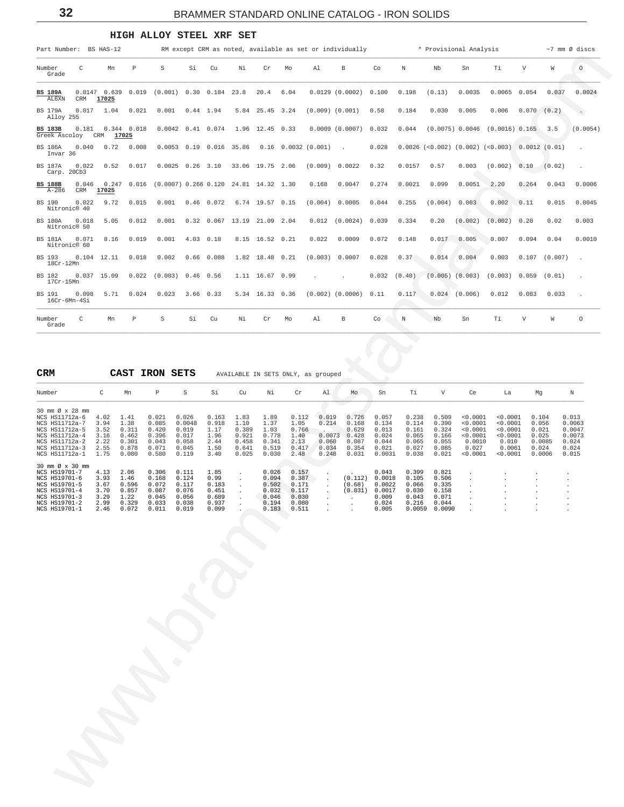## **HIGH ALLOY STEEL XRF SET**

<span id="page-31-0"></span>

| Part Number: BS HAS-12                                                                                                                        |                                                      |                                                           |                                                             |                                                              |                                                           |                                                           |                                                             |                                                             |                                                     | RM except CRM as noted, available as set or individually    |                                                                        |                                                             |                                                                     | * Provisional Analysis                                                      |                                                                             |                         |                                    | $~1$ mm $\varnothing$ discs                                    |
|-----------------------------------------------------------------------------------------------------------------------------------------------|------------------------------------------------------|-----------------------------------------------------------|-------------------------------------------------------------|--------------------------------------------------------------|-----------------------------------------------------------|-----------------------------------------------------------|-------------------------------------------------------------|-------------------------------------------------------------|-----------------------------------------------------|-------------------------------------------------------------|------------------------------------------------------------------------|-------------------------------------------------------------|---------------------------------------------------------------------|-----------------------------------------------------------------------------|-----------------------------------------------------------------------------|-------------------------|------------------------------------|----------------------------------------------------------------|
| Number<br>C<br>Grade                                                                                                                          | Mn                                                   | $\mathbb P$                                               | S                                                           | Si                                                           | Cu                                                        | Νi                                                        | Cr                                                          | Mo                                                          | Al                                                  | В                                                           | Co                                                                     | Ν                                                           | Nb                                                                  | Sn                                                                          | Тi                                                                          | V                       | W                                  | $\circ$                                                        |
| <b>BS 189A</b><br>AL6XN<br>CRM                                                                                                                | 17025                                                | $0.0147$ 0.639 0.019                                      | (0.001)                                                     | 0.30                                                         | 0.184                                                     | 23.8                                                      | 20.4                                                        | 6.04                                                        |                                                     | 0.0129(0.0002)                                              | 0.100                                                                  | 0.198                                                       | (0.13)                                                              | 0.0035                                                                      | 0.0065                                                                      | 0.054                   | 0.037                              | 0.0024                                                         |
| <b>BS 179A</b><br>0.017<br>Alloy 255                                                                                                          | 1.04                                                 | 0.021                                                     | 0.001                                                       | $0.44$ 1.94                                                  |                                                           | 5.84                                                      | 25.45 3.24                                                  |                                                             | $(0.009)$ $(0.001)$                                 |                                                             | 0.58                                                                   | 0.184                                                       | 0.030                                                               | 0.005                                                                       | 0.006                                                                       | $0.070$ $(0.2)$         |                                    | $\cdot$                                                        |
| <b>BS 183B</b><br>0.181<br>Greek Ascoloy                                                                                                      | CRM                                                  | $0.344$ 0.018<br>17025                                    |                                                             | $0.0042$ $0.41$ $0.074$                                      |                                                           |                                                           | 1.96 12.45 0.33                                             |                                                             |                                                     | 0.0009(0.0007)                                              | 0.032                                                                  | 0.044                                                       |                                                                     | $(0.0075)$ 0.0046                                                           | (0.0016) 0.165                                                              |                         | 3.5                                | (0.0054)                                                       |
| 0.040<br><b>BS 186A</b><br>Invar 36                                                                                                           | 0.72                                                 | 0.008                                                     |                                                             | $0.0053$ $0.19$ $0.016$                                      |                                                           | 35.86                                                     |                                                             |                                                             | $0.16$ 0.0032 (0.001)                               | $\ddot{\phantom{a}}$                                        | 0.028                                                                  |                                                             |                                                                     | $0.0026$ (<0.002) (0.002) (<0.003)                                          |                                                                             |                         | 0.0012(0.01)                       |                                                                |
| <b>BS 187A</b><br>0.022<br>Carp. 20Cb3                                                                                                        | 0.52                                                 | 0.017                                                     |                                                             | $0.0025$ $0.26$ 3.10                                         |                                                           |                                                           | 33.06 19.75 2.06                                            |                                                             | (0.009)                                             | 0.0022                                                      | 0.32                                                                   | 0.0157                                                      | 0.57                                                                | 0.003                                                                       | (0.002)                                                                     | 0.10                    | (0.02)                             |                                                                |
| <b>BS 188B</b><br>0.046<br>$A - 286$<br>CRM                                                                                                   | 17025                                                | $0.247$ 0.016                                             |                                                             | $(0.0007)$ 0.266 0.120                                       |                                                           |                                                           | 24.81 14.32 1.30                                            |                                                             | 0.168                                               | 0.0047                                                      | 0.274                                                                  | 0.0021                                                      | 0.099                                                               | 0.0051                                                                      | 2.20                                                                        | 0.264                   | 0.043                              | 0.0006                                                         |
| BS 190<br>0.022<br>Nitronic® 40                                                                                                               | 9.72                                                 | 0.015                                                     | 0.001                                                       |                                                              | $0.46$ 0.072                                              |                                                           | 6.74 19.57 0.15                                             |                                                             | (0.004)                                             | 0.0005                                                      | 0.044                                                                  | 0.255                                                       | (0.004)                                                             | 0.003                                                                       | 0.002                                                                       | 0.11                    | 0.015                              | 0.0045                                                         |
| <b>BS 180A</b><br>0.018<br>Nitronic® 50                                                                                                       | 5.05                                                 | 0.012                                                     | 0.001                                                       |                                                              | $0.32 \quad 0.067$                                        |                                                           | 13.19 21.09 2.04                                            |                                                             | 0.012                                               | (0.0024)                                                    | 0.039                                                                  | 0.334                                                       | 0.20                                                                | (0.002)                                                                     | (0.002)                                                                     | 0.20                    | 0.02                               | 0.003                                                          |
| 0.071<br><b>BS 181A</b><br>Nitronic® 60                                                                                                       | 8.16                                                 | 0.019                                                     | 0.001                                                       | 4.03                                                         | 0.18                                                      |                                                           | 8.15 16.52 0.21                                             |                                                             | 0.022                                               | 0.0009                                                      | 0.072                                                                  | 0.148                                                       | 0.017                                                               | 0.005                                                                       | 0.007                                                                       | 0.094                   | 0.04                               | 0.0010                                                         |
| BS 193<br>$18Cr-12Mn$                                                                                                                         | $0.104$ 12.11                                        | 0.018                                                     | 0.002                                                       | 0.66                                                         | 0.088                                                     |                                                           | 1.82 18.48 0.21                                             |                                                             | (0.003)                                             | 0.0007                                                      | 0.028                                                                  | 0.37                                                        | 0.014                                                               | 0.004                                                                       | 0.003                                                                       | 0.107                   | (0.007)                            |                                                                |
| BS 182<br>$17Cr-15Mn$                                                                                                                         | $0.037$ 15.09                                        | 0.022                                                     | (0.003)                                                     | 0.46                                                         | 0.56                                                      |                                                           | 1.11 16.67 0.99                                             |                                                             |                                                     |                                                             | 0.032                                                                  | (0.40)                                                      | $(0.005)$ $(0.003)$                                                 |                                                                             | (0.003)                                                                     | 0.059                   | (0.01)                             |                                                                |
| BS 191<br>0.098<br>16Cr-6Mn-4Si                                                                                                               | 5.71                                                 | 0.024                                                     | 0.023                                                       | 3.66 0.33                                                    |                                                           |                                                           | 5.34 16.33 0.36                                             |                                                             |                                                     | $(0.002)$ $(0.0006)$                                        | 0.11                                                                   | 0.117                                                       |                                                                     | $0.024$ (0.006)                                                             | 0.012                                                                       | 0.083                   | 0.033                              |                                                                |
| Number<br>C<br>Grade                                                                                                                          | Mn                                                   | Ρ                                                         | S                                                           | Si                                                           | Cu                                                        | Νi                                                        | Cr                                                          | Mo                                                          | Al                                                  | В                                                           | Co                                                                     | Ν                                                           | Nb                                                                  | Sn                                                                          | Тi                                                                          | V                       | W                                  | $\circ$                                                        |
|                                                                                                                                               |                                                      |                                                           |                                                             |                                                              |                                                           |                                                           |                                                             |                                                             |                                                     |                                                             |                                                                        |                                                             |                                                                     |                                                                             |                                                                             |                         |                                    |                                                                |
|                                                                                                                                               |                                                      |                                                           |                                                             |                                                              |                                                           |                                                           |                                                             |                                                             |                                                     |                                                             |                                                                        |                                                             |                                                                     |                                                                             |                                                                             |                         |                                    |                                                                |
| CRM                                                                                                                                           |                                                      | CAST IRON SETS                                            |                                                             |                                                              |                                                           |                                                           |                                                             |                                                             | AVAILABLE IN SETS ONLY, as grouped                  |                                                             |                                                                        |                                                             |                                                                     |                                                                             |                                                                             |                         |                                    |                                                                |
| Number                                                                                                                                        | C                                                    | Mn                                                        | $\, {\mathbb P}$                                            | $\rm S$                                                      | Si                                                        | Cu                                                        | Νi                                                          | Cr                                                          | Al                                                  | Mo                                                          | Sn                                                                     | Τi                                                          | V                                                                   | Ce                                                                          | La                                                                          | Mg                      |                                    | Ν                                                              |
| 30 mm Ø x 28 mm<br>NCS HS11712a-6<br>NCS HS11712a-7<br>NCS HS11712a-5<br>NCS HS11712a-4<br>NCS HS11712a-2<br>NCS HS11712a-3<br>NCS HS11712a-1 | 4.02<br>3.94<br>3.52<br>3.16<br>2.22<br>2.55<br>1.75 | 1.41<br>1.38<br>0.311<br>0.462<br>0.301<br>0.878<br>0.080 | 0.021<br>0.085<br>0.420<br>0.396<br>0.043<br>0.071<br>0.580 | 0.026<br>0.0048<br>0.019<br>0.017<br>0.058<br>0.045<br>0.119 | 0.163<br>0.918<br>1.17<br>1.96<br>2.44<br>1.50<br>3.40    | 1.83<br>1.10<br>0.389<br>0.921<br>0.458<br>0.641<br>0.025 | 1.89<br>1.37<br>1.03<br>0.778<br>0.341<br>0.519<br>0.030    | 0.112<br>1.05<br>0.766<br>1.40<br>2.13<br>0.417<br>2.48     | 0.019<br>0.214<br>0.0073<br>0.060<br>0.034<br>0.248 | 0.726<br>0.168<br>0.629<br>0.428<br>0.087<br>0.354<br>0.031 | 0.057<br>0.134<br>0.013<br>0.024<br>0.044<br>0.021<br>0.0031           | 0.238<br>0.114<br>0.161<br>0.065<br>0.065<br>0.027<br>0.038 | 0.509<br>0.390<br>0.324<br>0.166<br>0.055<br>0.085<br>0.021         | < 0.0001<br>< 0.0001<br>< 0.0001<br>< 0.0001<br>0.0010<br>0.027<br>< 0.0001 | < 0.0001<br>< 0.0001<br>< 0.0001<br>< 0.0001<br>0.010<br>0.0061<br>< 0.0001 | 0.056<br>0.021<br>0.025 | 0.104<br>0.0085<br>0.024<br>0.0006 | 0.013<br>0.0063<br>0.0047<br>0.0073<br>0.024<br>0.024<br>0.015 |
| 30 mm Ø x 30 mm<br>NCS HS19701-7<br>NCS HS19701-6<br>NCS HS19701-5<br>NCS HS19701-4<br>NCS HS19701-3<br>NCS HS19701-2<br>NCS HS19701-1        | 4.13<br>3.93<br>3.67<br>3.70<br>3.29<br>2.99<br>2.46 | 2.06<br>1.46<br>0.596<br>0.857<br>1.22<br>0.329<br>0.072  | 0.306<br>0.168<br>0.072<br>0.087<br>0.045<br>0.033<br>0.011 | 0.111<br>0.124<br>0.117<br>0.076<br>0.056<br>0.038<br>0.019  | 1.85<br>0.99<br>0.183<br>0.451<br>0.689<br>0.937<br>0.099 | $\cdot$<br>$\cdot$<br>$\cdot$<br>$\cdot$                  | 0.026<br>0.094<br>0.502<br>0.032<br>0.046<br>0.194<br>0.183 | 0.157<br>0.387<br>0.171<br>0.117<br>0.030<br>0.080<br>0.511 | $\cdot$<br>$\cdot$<br>$\cdot$<br>$\cdot$            | (0.112)<br>(0.68)                                           | 0.043<br>0.0018<br>0.0022<br>(0.031) 0.0017<br>0.009<br>0.024<br>0.005 | 0.399<br>0.105<br>0.066<br>0.030<br>0.043<br>0.216          | 0.821<br>0.506<br>0.335<br>0.158<br>0.071<br>0.044<br>0.0059 0.0090 | $\cdot$<br>$\cdot$<br>$\cdot$<br>$\cdot$                                    |                                                                             |                         |                                    |                                                                |
|                                                                                                                                               |                                                      |                                                           |                                                             |                                                              |                                                           |                                                           |                                                             |                                                             |                                                     |                                                             |                                                                        |                                                             |                                                                     |                                                                             |                                                                             |                         |                                    |                                                                |

| CRM | CAST IRON SETS |  | AVAILABLE IN SETS ONLY, as grouped |  |  |  |
|-----|----------------|--|------------------------------------|--|--|--|
|-----|----------------|--|------------------------------------|--|--|--|

| Number          | C    | Mn    | P     | S      | Si    | Cu    | Νi    | Cr    | A1     | Mo      | Sn     | Ti     | V      | Ce       | La       | Mq      | N      |
|-----------------|------|-------|-------|--------|-------|-------|-------|-------|--------|---------|--------|--------|--------|----------|----------|---------|--------|
| 30 mm Ø x 28 mm |      |       |       |        |       |       |       |       |        |         |        |        |        |          |          |         |        |
| NCS HS11712a-6  | 4.02 | 1.41  | 0.021 | 0.026  | 0.163 | 1.83  | 1.89  | 0.112 | 0.019  | 0.726   | 0.057  | 0.238  | 0.509  | < 0.0001 | < 0.0001 | 0.104   | 0.013  |
| NCS HS11712a-7  | 3.94 | 1.38  | 0.085 | 0.0048 | 0.918 | 1.10  | 1.37  | 1.05  | 0.214  | 0.168   | 0.134  | 0.114  | 0.390  | < 0.0001 | < 0.0001 | 0.056   | 0.0063 |
| NCS HS11712a-5  | 3.52 | 0.311 | 0.420 | 0.019  | 1.17  | 0.389 | 1.03  | 0.766 |        | 0.629   | 0.013  | 0.161  | 0.324  | < 0.0001 | < 0.0001 | 0.021   | 0.0047 |
| NCS HS11712a-4  | 3.16 | 0.462 | 0.396 | 0.017  | 1.96  | 0.921 | 0.778 | 1.40  | 0.0073 | 0.428   | 0.024  | 0.065  | 0.166  | < 0.0001 | < 0.0001 | 0.025   | 0.0073 |
| NCS HS11712a-2  | 2.22 | 0.301 | 0.043 | 0.058  | 2.44  | 0.458 | 0.341 | 2.13  | 0.060  | 0.087   | 0.044  | 0.065  | 0.055  | 0.0010   | 0.010    | 0.0085  | 0.024  |
| NCS HS11712a-3  | 2.55 | 0.878 | 0.071 | 0.045  | 1.50  | 0.641 | 0.519 | 0.417 | 0.034  | 0.354   | 0.021  | 0.027  | 0.085  | 0.027    | 0.0061   | 0.024   | 0.024  |
| NCS HS11712a-1  | 1.75 | 0.080 | 0.580 | 0.119  | 3.40  | 0.025 | 0.030 | 2.48  | 0.248  | 0.031   | 0.0031 | 0.038  | 0.021  | < 0.0001 | < 0.0001 | 0.0006  | 0.015  |
|                 |      |       |       |        |       |       |       |       |        |         |        |        |        |          |          |         |        |
| 30 mm Ø x 30 mm |      |       |       |        |       |       |       |       |        |         |        |        |        |          |          |         |        |
| NCS HS19701-7   | 4.13 | 2.06  | 0.306 | 0.111  | 1.85  |       | 0.026 | 0.157 |        |         | 0.043  | 0.399  | 0.821  |          |          |         |        |
| NCS HS19701-6   | 3.93 | 1.46  | 0.168 | 0.124  | 0.99  |       | 0.094 | 0.387 |        | (0.112) | 0.0018 | 0.105  | 0.506  |          |          |         |        |
| NCS HS19701-5   | 3.67 | 0.596 | 0.072 | 0.117  | 0.183 |       | 0.502 | 0.171 |        | (0.68)  | 0.0022 | 0.066  | 0.335  |          |          | $\cdot$ |        |
| NCS HS19701-4   | 3.70 | 0.857 | 0.087 | 0.076  | 0.451 |       | 0.032 | 0.117 |        | (0.031) | 0.0017 | 0.030  | 0.158  |          |          | $\cdot$ |        |
| NCS HS19701-3   | 3.29 | 1.22  | 0.045 | 0.056  | 0.689 |       | 0.046 | 0.030 |        |         | 0.009  | 0.043  | 0.071  |          |          | $\cdot$ |        |
| NCS HS19701-2   | 2.99 | 0.329 | 0.033 | 0.038  | 0.937 |       | 0.194 | 0.080 |        |         | 0.024  | 0.216  | 0.044  |          |          |         |        |
| NCS HS19701-1   | 2.46 | 0.072 | 0.011 | 0.019  | 0.099 |       | 0.183 | 0.511 |        |         | 0.005  | 0.0059 | 0.0090 |          |          | $\cdot$ |        |
|                 |      |       |       |        |       |       |       |       |        |         |        |        |        |          |          |         |        |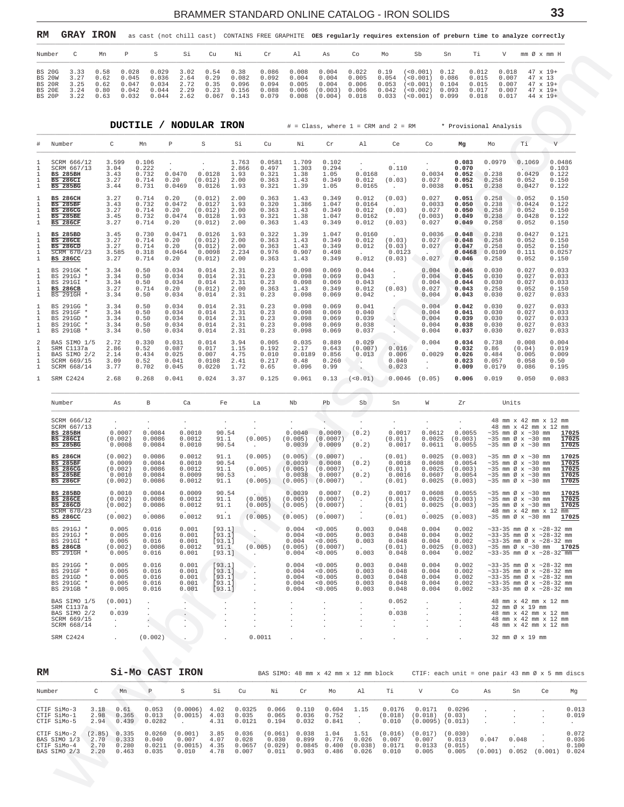<span id="page-32-0"></span>

| RM                                                                         |                                      | <b>GRAY IRON</b>                     |                                           |                                           |                                        |                      |                                          |                                 |                |                                                                                                                    |                |                                  |                                                                                                   |                |                                           |                                           | as cast (not chill cast) CONTAINS FREE GRAPHITE OES regularly requires extension of preburn time to analyze correctly |
|----------------------------------------------------------------------------|--------------------------------------|--------------------------------------|-------------------------------------------|-------------------------------------------|----------------------------------------|----------------------|------------------------------------------|---------------------------------|----------------|--------------------------------------------------------------------------------------------------------------------|----------------|----------------------------------|---------------------------------------------------------------------------------------------------|----------------|-------------------------------------------|-------------------------------------------|-----------------------------------------------------------------------------------------------------------------------|
| Number                                                                     |                                      | Mn                                   | P.                                        | S.                                        | Si                                     | Cu                   | Ni                                       | Cr                              | Al             | As                                                                                                                 | Co             | Mo                               | .sb                                                                                               | Sn             |                                           | V                                         | mm Øx mm H                                                                                                            |
| BS 20G<br><b>BS 20W</b><br><b>BS 20R</b><br><b>BS 20E</b><br><b>BS 20P</b> | 3.33<br>3.27<br>3.25<br>3.24<br>3.22 | 0.58<br>0.62<br>0.62<br>0.80<br>0.63 | 0.028<br>0.045<br>0.047<br>0.042<br>0.032 | 0.029<br>0.036<br>0.034<br>0.044<br>0.044 | 3.02 0.54 0.38<br>2.64<br>2.72<br>2.29 | 0.29<br>0.35<br>0.23 | 0.082<br>0.096<br>2.62 0.067 0.143 0.079 | 0.092<br>0.094<br>$0.156$ 0.088 | 0.004<br>0.005 | $0.086$ $0.008$ $0.004$ $0.022$ $0.19$<br>0.004<br>0.004<br>$0.006$ $(0.003)$ $0.006$<br>$0.008$ $(0.004)$ $0.018$ | 0.005<br>0.006 | 0.054<br>0.053<br>0.042<br>0.033 | $($ < 0.001) 0.12<br>$($ < 0 . 001 ) 0 . 086<br>(< 0.001)<br>(< 0.002)<br>$($ < 0 . 001 ) 0 . 099 | 0.104<br>0.093 | 0.012<br>0.015<br>0.015<br>0.017<br>0.018 | 0.018<br>0.007<br>0.007<br>0.007<br>0.017 | $47 \times 19+$<br>$47 \times 13$<br>$47 \times 19+$<br>$47 \times 19+$<br>$44 \times 19+$                            |

|                   | Number                                                              | С                                                                                       | Mn                                   | Ρ                                                 | S                                              | Si                                             | Cu                                                | Νi                                     | Cr                                         | Al                                                                                   | As                                                        | Co                                          | Mo                                             | Sb                                                                          | Sn                                                            | Τi                                                        | V                                                                                                                                                                 | mm Ø x mm H                                                                                                                                                                             |                                           |
|-------------------|---------------------------------------------------------------------|-----------------------------------------------------------------------------------------|--------------------------------------|---------------------------------------------------|------------------------------------------------|------------------------------------------------|---------------------------------------------------|----------------------------------------|--------------------------------------------|--------------------------------------------------------------------------------------|-----------------------------------------------------------|---------------------------------------------|------------------------------------------------|-----------------------------------------------------------------------------|---------------------------------------------------------------|-----------------------------------------------------------|-------------------------------------------------------------------------------------------------------------------------------------------------------------------|-----------------------------------------------------------------------------------------------------------------------------------------------------------------------------------------|-------------------------------------------|
|                   | <b>BS 20G</b><br><b>BS 20W</b><br><b>BS 20R</b><br>BS 20E<br>BS 20P | 3.33<br>3.27<br>3.25<br>3.24<br>3.22                                                    | 0.58<br>0.62<br>0.62<br>0.80<br>0.63 | 0.028<br>0.045<br>0.047<br>0.042<br>0.032         | 0.029<br>0.036<br>0.034<br>0.044<br>0.044      | 3.02<br>2.64<br>2.72<br>2.29<br>2.62           | 0.54<br>0.29<br>0.35<br>0.23<br>$0.067$ 0.143     | 0.38<br>0.082<br>0.096<br>0.156        | 0.086<br>0.092<br>0.094<br>0.088<br>0.079  | 0.008<br>0.004<br>0.005<br>0.006<br>0.008                                            | 0.004<br>0.004<br>0.004<br>(0.003) 0.006<br>(0.004) 0.018 | 0.022<br>0.005<br>0.006                     | 0.19<br>0.054<br>0.053<br>0.042<br>0.033       | $(<0.001)$ 0.12<br>(< 0.001)<br>( < 0.001)<br>(< 0.002)<br>$(<0.001)$ 0.099 | 0.086<br>0.104<br>0.093                                       | 0.012<br>0.015<br>0.015<br>0.017<br>0.018                 | 0.018<br>0.007<br>0.007<br>0.007<br>0.017                                                                                                                         | $47 \times 19+$<br>47 x 13<br>47 x 19+<br>$47 \times 19+$<br>$44 \times 19+$                                                                                                            |                                           |
|                   |                                                                     |                                                                                         |                                      |                                                   |                                                |                                                | DUCTILE / NODULAR IRON                            |                                        |                                            |                                                                                      |                                                           |                                             |                                                | # = Class, where 1 = CRM and 2 = RM * Provisional Analysis                  |                                                               |                                                           |                                                                                                                                                                   |                                                                                                                                                                                         |                                           |
|                   | # Number                                                            |                                                                                         |                                      | C                                                 | Mn                                             | $\, {\mathbb P}$                               | S                                                 | Si                                     | Cu                                         | Νi                                                                                   | Cr                                                        | Al                                          | Ce                                             | Co                                                                          | Mg                                                            | Мo                                                        | Τi                                                                                                                                                                | $\mathbf{V}$                                                                                                                                                                            |                                           |
| 1<br>1<br>1       | <b>BS 285BH</b><br><b>BS 286CI</b><br><b>BS 285BG</b>               | SCRM 666/12<br>SCRM 667/13                                                              |                                      | 3.599<br>3.04<br>3.43<br>3.27<br>3.44             | 0.106<br>0.222<br>0.732<br>0.714<br>0.731      | $\cdot$<br>0.0470<br>0.20<br>0.0469            | $\cdot$<br>0.0128<br>(0.012)<br>0.0126            | 1.763<br>2.866<br>1.93<br>2.00<br>1.93 | 0.0581<br>0.497<br>0.321<br>0.363<br>0.321 | 1.709<br>1.303<br>1.38<br>1.43<br>1.39                                               | 0.102<br>0.294<br>1.05<br>0.349<br>1.05                   | 0.0168<br>0.012<br>0.0165                   | 0.110<br>$\sim$<br>(0.03)<br>$\sim$            | $\sim$<br>0.0034<br>0.027<br>0.0038                                         | 0.083<br>0.070<br>0.052<br>0.052<br>0.051                     | 0.0979<br>0.238<br>0.258<br>0.238                         | 0.1069<br>0.0429<br>0.052<br>0.0427                                                                                                                               | 0.103<br>0.122<br>0.150<br>0.122                                                                                                                                                        | 0.0486                                    |
| 1                 | <b>BS 285BF</b><br><b>BS 286CG</b><br><b>BS 286CF</b>               | <b>BS 286CH</b><br><b>BS 285BE</b>                                                      |                                      | 3.27<br>3.43<br>3.27<br>3.45<br>3.27              | 0.714<br>0.732<br>0.714<br>0.732<br>0.714      | 0.20<br>0.0472<br>0.20<br>0.0474<br>0.20       | (0.012)<br>0.0127<br>(0.012)<br>0.0128<br>(0.012) | 2.00<br>1.93<br>2.00<br>1.93<br>2.00   | 0.363<br>0.320<br>0.363<br>0.321<br>0.363  | 1.43<br>1.386<br>1.43<br>1.38<br>1.43                                                | 0.349<br>1.047<br>0.349<br>1.047<br>0.349                 | 0.012<br>0.0164<br>0.012<br>0.0162<br>0.012 | (0.03)<br>(0.03)<br>(0.03)                     | 0.027<br>0.0033<br>0.027<br>(0.003)<br>0.027                                | 0.051<br>0.050<br>0.050<br>0.049<br>0.049                     | 0.258<br>0.238<br>0.258<br>0.238<br>0.258                 | 0.052<br>0.0424<br>0.052<br>0.0428<br>0.052                                                                                                                       | 0.150<br>0.122<br>0.150<br>0.122<br>0.150                                                                                                                                               |                                           |
| 1<br>1            |                                                                     | <b>BS 285BD</b><br><b>BS 286CE</b><br><b>BS 286CD</b><br>SCRM 670/23<br><b>BS 286CC</b> |                                      | 3.45<br>3.27<br>3.27<br>3.585<br>3.27             | 0.730<br>0.714<br>0.714<br>0.318<br>0.714      | 0.0471<br>0.20<br>0.20<br>0.0464<br>0.20       | 0.0126<br>(0.012)<br>(0.012)<br>0.0098<br>(0.012) | 1.93<br>2.00<br>2.00<br>2.234<br>2.00  | 0.322<br>0.363<br>0.363<br>0.976<br>0.363  | 1.39<br>1.43<br>1.43<br>0.907<br>1.43                                                | 1.047<br>0.349<br>0.349<br>0.498<br>0.349                 | 0.0160<br>0.012<br>0.012<br>$\sim$<br>0.012 | (0.03)<br>(0.03)<br>0.0123<br>(0.03)           | 0.0036<br>0.027<br>0.027<br>0.027                                           | 0.048<br>0.048<br>0.047<br>0.0468<br>0.046                    | 0.238<br>0.258<br>0.258<br>0.0109<br>0.258                | 0.0427<br>0.052<br>0.052<br>0.111<br>0.052                                                                                                                        | 0.121<br>0.150<br>0.150<br>0.0257<br>0.150                                                                                                                                              |                                           |
| ı                 | <b>BS 286CB</b>                                                     | BS 291GK *<br>BS 291GJ *<br>BS 291GI *<br>BS 291GH *                                    |                                      | 3.34<br>3.34<br>3.34<br>3.27<br>3.34              | 0.50<br>0.50<br>0.50<br>0.714<br>0.50          | 0.034<br>0.034<br>0.034<br>0.20<br>0.034       | 0.014<br>0.014<br>0.014<br>(0.012)<br>0.014       | 2.31<br>2.31<br>2.31<br>2.00<br>2.31   | 0.23<br>0.23<br>0.23<br>0.363<br>0.23      | 0.098<br>0.098<br>0.098<br>1.43<br>0.098                                             | 0.069<br>0.069<br>0.069<br>0.349<br>0.069                 | 0.044<br>0.043<br>0.043<br>0.012<br>0.042   | $\cdot$<br>$\sim$<br>(0.03)<br>$\sim$          | 0.004<br>0.004<br>0.004<br>0.027<br>0.004                                   | 0.046<br>0.045<br>0.044<br>0.043<br>0.043                     | 0.030<br>0.030<br>0.030<br>0.258<br>0.030                 | 0.027<br>0.027<br>0.027<br>0.052<br>0.027                                                                                                                         | 0.033<br>0.033<br>0.033<br>0.150<br>0.033                                                                                                                                               |                                           |
| 1<br>1<br>1       |                                                                     | BS 291GG *<br>BS 291GF *<br>BS 291GD *<br>BS 291GC *<br>BS 291GB *                      |                                      | 3.34<br>3.34<br>3.34<br>3.34<br>3.34              | 0.50<br>0.50<br>0.50<br>0.50<br>0.50           | 0.034<br>0.034<br>0.034<br>0.034<br>0.034      | 0.014<br>0.014<br>0.014<br>0.014<br>0.014         | 2.31<br>2.31<br>2.31<br>2.31<br>2.31   | 0.23<br>0.23<br>0.23<br>0.23<br>0.23       | 0.098<br>0.098<br>0.098<br>0.098<br>0.098                                            | 0.069<br>0.069<br>0.069<br>0.069<br>0.069                 | 0.041<br>0.040<br>0.039<br>0.038<br>0.037   | $\cdot$<br>$\sim$                              | 0.004<br>0.004<br>0.004<br>0.004<br>0.004                                   | 0.042<br>0.041<br>0.039<br>0.038<br>0.037                     | 0.030<br>0.030<br>0.030<br>0.030<br>0.030                 | 0.027<br>0.027<br>0.027<br>0.027<br>0.027                                                                                                                         | 0.033<br>0.033<br>0.033<br>0.033<br>0.033                                                                                                                                               |                                           |
| 2<br>1<br>1<br>-1 |                                                                     | BAS SIMO 1/5<br>SRM C1137a<br>BAS SIMO 2/2<br>SCRM 669/15<br>SCRM 668/14                |                                      | 2.72<br>2.86<br>2.14<br>3.09<br>3.77              | 0.330<br>0.52<br>0.434<br>0.52<br>0.702        | 0.031<br>0.087<br>0.025<br>0.041<br>0.045      | 0.014<br>0.017<br>0.007<br>0.0108<br>0.0220       | 3.94<br>1.15<br>4.75<br>2.41<br>1.72   | 0.005<br>0.192<br>0.010<br>0.217<br>0.65   | 0.035<br>2.17<br>0.0189<br>0.48<br>0.096                                             | 0.889<br>0.643<br>0.856<br>0.260<br>0.99                  | 0.029<br>(0.007)<br>0.013<br>$\sim$ $\sim$  | 0.016<br>0.006<br>0.040<br>0.023               | 0.004<br>0.0029<br>$\cdot$<br>$\cdot$                                       | 0.034<br>0.032<br>0.026<br>0.023<br>0.009                     | 0.738<br>0.86<br>0.484<br>0.057<br>0.0179                 | 0.008<br>(0.04)<br>0.005<br>0.058<br>0.086                                                                                                                        | 0.004<br>0.019<br>0.009<br>0.50<br>0.195                                                                                                                                                |                                           |
|                   |                                                                     | SRM C2424                                                                               |                                      | 2.68                                              | 0.268                                          | 0.041                                          | 0.024                                             | 3.37                                   | 0.125                                      | 0.061                                                                                | 0.13                                                      | (< 0.01)                                    | 0.0046                                         | (0.05)                                                                      | 0.006                                                         | 0.019                                                     | 0.050                                                                                                                                                             | 0.083                                                                                                                                                                                   |                                           |
|                   | Number                                                              |                                                                                         |                                      | As                                                | В                                              | Ca                                             | Fe                                                | La                                     |                                            | Nb                                                                                   | Pb                                                        | Sb                                          | Sn                                             | W                                                                           | Zr                                                            |                                                           | Units                                                                                                                                                             |                                                                                                                                                                                         |                                           |
|                   | <b>BS 285BH</b><br><b>BS 286CI</b>                                  | SCRM 666/12<br>SCRM 667/13<br><b>BS 285BG</b>                                           |                                      | $\sim$<br>0.0007<br>(0.002)<br>0.0008             | $\cdot$<br>0.0084<br>0.0086<br>0.0084          | $\sim$<br>0.0010<br>0.0012<br>0.0010           | $\sim$<br>90.54<br>91.1<br>90.54                  | $\cdot$<br>$\sim$ $-$                  | (0.005)                                    | $\cdot$<br>0.0040<br>(0.005)<br>0.0039                                               | $\sim$<br>0.0009<br>(0.0007)<br>0.0009                    | $\cdot$<br>(0.2)<br>$\sim$<br>(0.2)         | $\cdot$<br>0.0017<br>(0.01)<br>0.0017          | $\sim$<br>0.0612<br>0.0025<br>0.0611                                        | $\sim$<br>0.0055<br>(0.003)<br>0.0055                         |                                                           | $\sim$ 35 mm Ø x $\sim$ 30 mm<br>$\sim$ 35 mm Ø x $\sim$ 30 mm                                                                                                    | 48 mm x 42 mm x 12 mm<br>48 mm x 42 mm x 12 mm<br>$\sim$ 35 mm Ø x $\sim$ 30 mm <b>17025</b>                                                                                            | 17025<br>17025                            |
|                   | <b>BS 285BF</b>                                                     | <b>BS 286CH</b><br><b>BS 286CG</b><br><b>BS 285BE</b><br><b>BS 286CF</b>                |                                      | (0.002)<br>0.0009<br>(0.002)<br>0.0010<br>(0.002) | 0.0086<br>0.0084<br>0.0086<br>0.0084<br>0.0086 | 0.0012<br>0.0010<br>0.0012<br>0.0009<br>0.0012 | 91.1<br>90.54<br>91.1<br>90.53<br>91.1            | $\sim 10^{-11}$                        | (0.005)<br>(0.005)<br>(0.005)              | (0.005)<br>0.0039<br>(0.005)<br>0.0038<br>$(0.005)$ $(0.0007)$                       | (0.0007)<br>0.0008<br>(0.0007)<br>0.0007                  | (0.2)<br>$\sim$<br>(0.2)<br>$\sim$          | (0.01)<br>0.0018<br>(0.01)<br>0.0016<br>(0.01) | 0.0025<br>0.0608<br>0.0025<br>0.0607<br>0.0025                              | (0.003)<br>0.0054<br>(0.003)<br>0.0054<br>(0.003)             |                                                           | $\sim$ 35 mm Ø x $\sim$ 30 mm<br>$\sim$ 35 mm Ø x $\sim$ 30 mm<br>$\sim$ 35 mm Ø x $\sim$ 30 mm<br>$\sim$ 35 mm Ø x $\sim$ 30 mm<br>$\sim$ 35 mm Ø x $\sim$ 30 mm |                                                                                                                                                                                         | 17025<br>17025<br>17025<br>17025<br>17025 |
|                   |                                                                     | <b>BS 285BD</b><br><b>BS 286CE</b><br><b>BS 286CD</b><br>SCRM 670723<br><b>BS 286CC</b> |                                      | 0.0010<br>(0.002)<br>(0.002)<br>(0.002)           | 0.0084<br>0.0086<br>0.0086<br>0.0086           | 0.0009<br>0.0012<br>0.0012<br>0.0012           | 90.54<br>91.1<br>91.1<br>91.1                     |                                        | (0.005)<br>(0.005)                         | $0.0039$ 0.0007<br>$(0.005)$ $(0.0007)$<br>$(0.005)$ $(0.005)$ $(0.0007)$<br>(0.005) | (0.0007)                                                  | (0.2)<br>$\sim 1000$ km s $^{-1}$           | 0.0017<br>(0.01)<br>(0.01)<br>(0.01)           | 0.0608<br>0.0025                                                            | 0.0055<br>$0.0025$ $(0.003)$<br>$0.0025$ $(0.003)$<br>(0.003) |                                                           | $\sim$ 35 mm Ø x $\sim$ 30 mm<br>$\sim$ 35 mm Ø x $\sim$ 30 mm                                                                                                    | $\sim$ 35 mm Ø x $\sim$ 30 mm<br>48 mm x 42 mm x 12 mm<br>$\sim$ 35 mm Ø x $\sim$ 30 mm <b>17025</b>                                                                                    | 17025<br>17025<br>17025                   |
|                   |                                                                     | BS 291GJ *<br>BS 291GJ *<br>BS 291GI *<br>BS 286CB<br>BS 291GH *                        |                                      | 0.005<br>0.005<br>0.005<br>(0.002)<br>0.005       | 0.016<br>0.016<br>0.016<br>0.0086<br>0.016     | 0.001<br>0.001<br>0.001<br>0.0012<br>0.001     | [93.1]<br>[93.1]<br>[93.1]<br>91.1<br>[93.1]      | - 11<br>$\ddot{\phantom{a}}$           | (0.005)                                    | 0.004<br>0.004<br>0.004<br>(0.005)<br>0.004                                          | 0.005<br>0.005<br>0.005<br>(0.0007)<br>0.005              | 0.003<br>0.003<br>0.003<br>$\sim$<br>0.003  | 0.048<br>0.048<br>0.048<br>(0.01)<br>0.048     | 0.004<br>0.004<br>0.004<br>0.0025<br>0.004                                  | 0.002<br>0.002<br>0.002<br>(0.003)<br>0.002                   |                                                           |                                                                                                                                                                   | $~33-35$ mm Ø x $~28-32$ mm<br>$~33-35$ mm Ø x $~28-32$ mm<br>$\sim$ 33-35 mm Ø x $\sim$ 28-32 mm<br>$\sim$ 35 mm Ø x $\sim$ 30 mm <b>17025</b><br>$\sim$ 33-35 mm Ø x $\sim$ 28-32 mm  |                                           |
|                   |                                                                     | BS 291GG *<br>BS 291GF *<br>BS 291GD *<br>BS 291GC *<br>BS 291GB *                      |                                      | 0.005<br>0.005<br>0.005<br>0.005<br>0.005         | 0.016<br>0.016<br>0.016<br>0.016<br>0.016      | 0.001<br>0.001<br>0.001<br>0.001<br>0.001      | [93.1]<br>[93.1]<br>[93.1]<br>[93.1]<br>[93.1]    | $\sim$                                 |                                            | 0.004<br>0.004<br>0.004<br>0.004<br>0.004                                            | < 0.005<br>< 0.005<br>< 0.005<br>0.005<br>< 0.005         | 0.003<br>0.003<br>0.003<br>0.003<br>0.003   | 0.048<br>0.048<br>0.048<br>0.048<br>0.048      | 0.004<br>0.004<br>0.004<br>0.004<br>0.004                                   | 0.002<br>0.002<br>0.002<br>0.002<br>0.002                     |                                                           |                                                                                                                                                                   | $~33-35$ mm Ø x $~28-32$ mm<br>$\sim$ 33-35 mm Ø x $\sim$ 28-32 mm<br>$\sim$ 33-35 mm Ø x $\sim$ 28-32 mm<br>$\sim$ 33-35 mm Ø x $\sim$ 28-32 mm<br>$\sim$ 33-35 mm Ø x $\sim$ 28-32 mm |                                           |
|                   |                                                                     | BAS SIMO 1/5<br>SRM C1137a<br>BAS SIMO 2/2<br>SCRM 669/15<br>SCRM 668/14                |                                      | (0.001)<br>0.039<br>$\sim$<br>$\cdot$             | $\cdot$<br>÷<br>$\cdot$                        |                                                | $\blacksquare$                                    |                                        |                                            | $\cdot$                                                                              |                                                           | $\cdot$                                     | 0.052<br>0.038<br>$\cdot$<br>$\cdot$           | $\cdot$<br>$\cdot$                                                          |                                                               |                                                           | 32 mm Ø x 19 mm                                                                                                                                                   | 48 mm x 42 mm x 12 mm<br>48 mm x 42 mm x 12 mm<br>48 mm x 42 mm x 12 mm<br>48 mm x 42 mm x 12 mm                                                                                        |                                           |
|                   |                                                                     | SRM C2424                                                                               |                                      | $\cdot$                                           | (0.002)                                        |                                                | $\ddot{\phantom{0}}$                              |                                        | 0.0011                                     |                                                                                      |                                                           |                                             |                                                |                                                                             | $\cdot$                                                       |                                                           | 32 mm Ø x 19 mm                                                                                                                                                   |                                                                                                                                                                                         |                                           |
| RM                |                                                                     |                                                                                         |                                      |                                                   | Si-Mo CAST                                     | <b>IRON</b>                                    |                                                   |                                        |                                            | BAS SIMO: 48 mm x 42 mm x 12 mm block                                                |                                                           |                                             |                                                |                                                                             |                                                               | CTIF: each unit = one pair 43 mm $\emptyset$ x 5 mm discs |                                                                                                                                                                   |                                                                                                                                                                                         |                                           |
|                   | Number                                                              |                                                                                         | C                                    | Mn                                                | Ρ                                              | S                                              | Si                                                | Cu                                     | Νi                                         | Cr                                                                                   | Mo                                                        | Al                                          | Тi                                             | V                                                                           | Co                                                            | As                                                        | Sn                                                                                                                                                                | Ce                                                                                                                                                                                      | Mg                                        |
|                   | CTIF SiMo-3<br>CTIF SiMo-1<br>CTIF SiMo-5                           |                                                                                         | 3.18<br>2.98<br>2.94                 | 0.61<br>0.365<br>0.439                            | 0.053<br>0.013<br>0.0282                       | (0.0006)<br>(0.0015)<br>$\cdot$                | 4.02<br>4.03<br>4.31                              | 0.0325<br>0.035<br>0.0121              | 0.066<br>0.065<br>0.194                    | 0.110<br>0.036<br>0.032                                                              | 0.604<br>0.752<br>0.841                                   | 1.15<br>$\cdot$<br>$\cdot$                  | 0.0176<br>(0.018)<br>0.010                     | 0.0171<br>(0.018)<br>$(0.0095)$ $(0.013)$                                   | 0.0296<br>(0.03)                                              | $\cdot$                                                   |                                                                                                                                                                   |                                                                                                                                                                                         | 0.013<br>0.019<br>$\sim$                  |
|                   | CTIF SiMo-2<br>BAS SIMO 1/3<br>CTIF SiMo-4<br>BAS SIMO 2/3          |                                                                                         | (2.85)<br>2.70<br>2.70<br>2.20       | 0.335<br>0.333<br>0.280<br>0.463                  | 0.0260<br>0.040<br>0.0211<br>0.035             | (0.001)<br>0.007<br>(0.0015)<br>0.010          | 3.85<br>4.07<br>4.35<br>4.78                      | 0.036<br>0.028<br>0.0657<br>0.007      | (0.061)<br>0.030<br>(0.029)<br>0.011       | 0.038<br>0.899<br>0.0845<br>0.903                                                    | 1.04<br>0.776<br>0.400<br>0.486                           | 1.51<br>0.026<br>(0.038)<br>0.026           | (0.016)<br>0.007<br>0.0171<br>0.010            | (0.017)<br>0.007<br>0.0133<br>0.005                                         | (0.030)<br>0.013<br>(0.015)<br>0.005                          | 0.047<br>$\sim$<br>(0.001)                                | 0.048<br>0.052                                                                                                                                                    | (0.001) 0.024                                                                                                                                                                           | 0.072<br>0.036<br>0.100                   |
|                   |                                                                     |                                                                                         |                                      |                                                   |                                                |                                                |                                                   |                                        |                                            |                                                                                      |                                                           |                                             |                                                |                                                                             |                                                               |                                                           |                                                                                                                                                                   |                                                                                                                                                                                         |                                           |

| RM                         |              |               | Si-Mo CAST IRON |                      |              | BAS SIMO: 48 mm x 42 mm x 12 mm block |                 |                |                |         |                   |                              |         |         | CTIF: each unit = one pair 43 mm $\emptyset$ x 5 mm discs |         |                |
|----------------------------|--------------|---------------|-----------------|----------------------|--------------|---------------------------------------|-----------------|----------------|----------------|---------|-------------------|------------------------------|---------|---------|-----------------------------------------------------------|---------|----------------|
| Number                     |              | М'n           | P               | s                    | Si           | Cu                                    | Νi              | Cr             | Mo             | Al      | Тi                | V                            | Co      | As      | Sn                                                        | Ce.     | Mq             |
| CTIF SiMo-3<br>CTIF SiMo-1 | 3.18<br>2.98 | 0.61<br>0.365 | 0.053<br>0.013  | (0.0006)<br>(0.0015) | 4.02<br>4.03 | 0.0325<br>0.035                       | 0.066<br>0.065  | 0.110<br>0.036 | 0.604<br>0.752 | 1.15    | 0.0176<br>(0.018) | 0.0171<br>$(0.018)$ $(0.03)$ | 0.0296  |         |                                                           |         | 0.013<br>0.019 |
| CTIF SiMo-5                | 2.94         | 0.439         | 0.0282          |                      | 4.31         | 0.0121                                | 0.194           | 0.032          | 0.841          |         | 0.010             | $(0.0095)$ $(0.013)$         |         |         |                                                           |         |                |
| CTIF SiMo-2                | (2.85)       | 0.335         | 0.0260          | (0.001)              | 3.85         | 0.036                                 | $(0.061)$ 0.038 |                | 1.04           | 1.51    | (0.016)           | (0.017)                      | (0.030) |         |                                                           |         | 0.072          |
| BAS SIMO 1/3               | 2.70         | 0.333         | 0.040           | 0.007                | 4.07         | 0.028                                 | 0.030           | 0.899          | 0.776          | 0.026   | 0.007             | 0.007                        | 0.013   | 0.047   | 0.048                                                     |         | 0.036          |
| CTIF SiMo-4                | 2.70         | 0.280         | 0.0211          | (0.0015)             | 4.35         | 0.0657                                | (0.029)         | 0.0845         | 0.400          | (0.038) | 0.0171            | 0.0133                       | (0.015) |         |                                                           |         | 0.100          |
| BAS SIMO 2/3               | 2.20         | 0.463         | 0.035           | 0.010                | 4.78         | 0.007                                 | 0.011           | 0.903          | 0.486          | 0.026   | 0.010             | 0.005                        | 0.005   | (0.001) | 0.052                                                     | (0.001) | 0.024          |

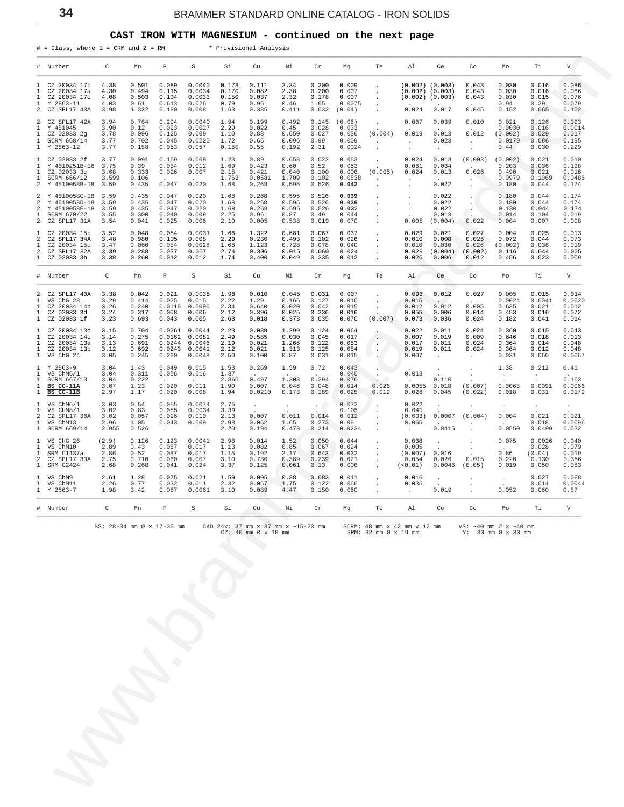### **CAST IRON WITH MAGNESIUM - continued on the next page**

<span id="page-33-0"></span>

|                                          | # = Class, where 1 = CRM and 2 = RM * Provisional Analysis                                       |                                      |                                           |                                                               |                                                                        |                                         |                                                              |                                                    |                                                             |                                             |                                                                                              |                                                                            |                                                                 |                                                                            |                                                          |                                               |                                            |
|------------------------------------------|--------------------------------------------------------------------------------------------------|--------------------------------------|-------------------------------------------|---------------------------------------------------------------|------------------------------------------------------------------------|-----------------------------------------|--------------------------------------------------------------|----------------------------------------------------|-------------------------------------------------------------|---------------------------------------------|----------------------------------------------------------------------------------------------|----------------------------------------------------------------------------|-----------------------------------------------------------------|----------------------------------------------------------------------------|----------------------------------------------------------|-----------------------------------------------|--------------------------------------------|
|                                          | # Number                                                                                         | $\overline{C}$                       | Mn                                        | P                                                             | S                                                                      | Si Si                                   | Cu                                                           | Ni                                                 | Cr                                                          | Mg                                          | Te                                                                                           | Al                                                                         | Ce                                                              | Co                                                                         | Mo                                                       | Ti                                            | V                                          |
| 1<br>1<br>1<br>1<br>2                    | CZ 20034 17b<br>CZ 20034 17a<br>CZ 20034 17c<br>Y 2863-11<br>CZ SPL17 43A                        | 4.38<br>4.30<br>4.08<br>4.03<br>3.98 | 0.501<br>0.494<br>0.503<br>0.61<br>1.322  | 0.089<br>0.115<br>0.104<br>0.613<br>0.190                     | 0.0040<br>0.0034<br>0.0033<br>0.026<br>0.008                           | 0.178<br>0.170<br>0.150<br>0.79<br>1.63 | 0.111<br>0.082<br>0.037<br>0.96<br>0.385                     | 2.34<br>2.38<br>2.32<br>0.46<br>0.411              | 0.200<br>0.200<br>0.178<br>1.65<br>0.032                    | 0.009<br>0.007<br>0.007<br>0.0075<br>(0.04) | $\sim$<br>$\ddot{\phantom{a}}$<br>$\cdot$<br>$\ddot{\phantom{a}}$<br>$\sim$                  | $(0.002)$ $(0.003)$<br>$(0.002)$ $(0.003)$<br>$(0.002)$ $(0.003)$<br>0.024 | 0.017                                                           | 0.043<br>0.043<br>0.043<br>0.045                                           | 0.030<br>0.030<br>0.030<br>0.94<br>0.152                 | 0.016<br>0.016<br>0.015<br>0.29<br>0.065      | 0.086<br>0.086<br>0.076<br>0.079<br>0.152  |
| 2<br>1<br>1<br>$\mathbf{1}$              | CZ SPL17 42A<br>Y 451045<br>CZ 02033 2g<br>SCRM 668/14<br>1 Y 2863-12                            | 3.94<br>3.90<br>3.78<br>3.77<br>3.77 | 0.764<br>0.12<br>0.096<br>0.702<br>0.158  | 0.294<br>0.023<br>0.125<br>0.045<br>0.053                     | 0.0040<br>0.0027<br>0.009<br>0.0220<br>0.057                           | 1.94<br>2.29<br>1.10<br>1.72<br>0.150   | 0.199<br>0.022<br>0.88<br>0.65<br>0.55                       | 0.492<br>0.45<br>0.650<br>0.096<br>0.192           | 0.145<br>0.028<br>0.027<br>0.99<br>2.31                     | (0.06)<br>0.033<br>0.036<br>0.009<br>0.0024 | $\sim$<br>(0.004)<br>$\sim 10^{-11}$                                                         | 0.087<br>0.019<br>$\sim 10^{-1}$<br>$\sim$                                 | 0.039<br>0.013<br>0.023<br>$\sim 100$                           | 0.010<br>0.012<br>$\sim 10^{-11}$<br>$\sim 10^{-1}$                        | 0.021<br>0.0030<br>(0.002)<br>0.0179<br>0.44             | 0.126<br>0.016<br>0.029<br>0.086<br>0.030     | 0.093<br>0.0014<br>0.017<br>0.195<br>0.229 |
| $\mathbf{1}$<br>$\mathbf{1}$             | 1 CZ 02033 2f 3.77<br>1 Y 4510251B-16 3.75<br>CZ 02033 3c<br>SCRM 666/12<br>2 Y 4510058B-18 3.59 | 3.68<br>3.599                        | 0.091<br>0.39<br>0.333<br>0.106<br>0.435  | 0.159<br>0.034<br>0.026<br><b>Contractor</b><br>0.047         | 0.009<br>0.012<br>0.007<br><b>Contractor</b><br>0.020                  | 1.23<br>1.69<br>2.15<br>1.763<br>1.68   | 0.89<br>0.423<br>0.421<br>0.0581<br>0.268                    | 0.658<br>0.60<br>0.040<br>1.709<br>0.595           | 0.022<br>0.52<br>0.100<br>0.102<br>0.526                    | 0.053<br>0.053<br>0.006<br>0.0838<br>0.042  | (0.005)<br><b>Contract</b>                                                                   | 0.024<br>0.061<br>0.024<br><b>Contract</b><br>$\sim$ $-$                   | 0.018<br>0.034<br>0.013<br>0.022                                | <b>Contractor</b><br>0.026<br><b>Contractor</b><br>$\sim 100$ km s $^{-1}$ | $(0.003)$ $(0.002)$<br>0.203<br>0.490<br>0.0979<br>0.180 | 0.021<br>0.036<br>0.021<br>0.1069<br>0.044    | 0.010<br>0.198<br>0.016<br>0.0486<br>0.174 |
| 2<br>2<br>$\overline{a}$<br>$\mathbf{1}$ | Y 4510058C-18 3.59<br>Y 4510058D-18 3.59<br>Y 4510058E-18 3.59<br>SCRM 670/22<br>2 CZ SPL17 31A  | 3.55<br>3.54                         | 0.435<br>0.435<br>0.435<br>0.300<br>0.041 | 0.047<br>0.047<br>0.047<br>0.040<br>0.025                     | 0.020<br>0.020<br>0.020<br>0.009<br>0.006                              | 1.68<br>1.68<br>1.68<br>2.25<br>2.10    | 0.268<br>0.268<br>0.268<br>0.96<br>0.005                     | 0.595<br>0.595<br>0.595<br>0.87<br>0.538           | 0.526<br>0.526<br>0.526<br>0.49<br>0.019                    | 0.039<br>0.036<br>0.032<br>0.044<br>0.070   | $\sim 10^{-1}$<br>$\alpha$ , $\alpha$ , $\alpha$ , $\alpha$                                  | $\sim$<br>$\sim$ $\sim$<br>$\sim 10^{-1}$                                  | 0.022<br>0.022<br>0.022<br>0.013<br>$0.005$ $(0.004)$ 0.022     | <b>Contract Contract</b><br><b>Contract</b><br>$\rightarrow$               | 0.180<br>0.180<br>0.180<br>0.014<br>0.004                | 0.044<br>0.044<br>0.044<br>0.104<br>0.007     | 0.174<br>0.174<br>0.174<br>0.019<br>0.008  |
| -1.<br>2<br>$\mathbf{1}$<br>2            | CZ 20034 15b<br>CZ SPL17 34A<br>CZ 20034 15c<br>CZ SPL17 32A<br>1 CZ 02033 3b                    | 3.52<br>3.48<br>3.47<br>3.39<br>3.38 | 0.048<br>0.980<br>0.060<br>0.288<br>0.260 | 0.054<br>0.105<br>0.054<br>0.037<br>0.012                     | 0.0031<br>0.008<br>0.0028<br>0.007<br>0.012                            | 1.66<br>2.29<br>1.68<br>2.74<br>1.74    | 1.322<br>0.230<br>1.123<br>0.306<br>0.400                    | 0.681<br>0.493<br>0.728<br>0.015<br>0.049          | 0.067<br>0.102<br>0.078<br>0.060<br>0.235                   | 0.037<br>0.026<br>0.040<br>0.024<br>0.012   | <b>Contract</b><br>$\sim 100$<br>$\sim$ $\sim$<br>$\sim 100$                                 | 0.029<br>0.010<br>0.010<br>0.029<br>0.026                                  | 0.021<br>0.008<br>0.030<br>(0.004)<br>0.006                     | 0.027<br>0.025<br>0.026<br>(0.002)<br>0.012                                | 0.004<br>0.072<br>(0.002)<br>0.116<br>0.456              | 0.025<br>0.044<br>0.036<br>0.044<br>0.023     | 0.013<br>0.073<br>0.019<br>0.005<br>0.009  |
|                                          | # Number C Mn P                                                                                  |                                      |                                           |                                                               | S                                                                      | Si                                      | Cu                                                           | Ni                                                 | Cr                                                          | Mg                                          | Te                                                                                           | Al <i>A</i>                                                                | Ce                                                              | Co                                                                         | Mo                                                       | Ti                                            | V                                          |
| $\mathbf{1}$<br>$\mathbf{1}$             | 2 CZ SPL17 40A<br>VS ChG 28<br>CZ 20034 14b<br>1 CZ 02033 3d<br>1 CZ 02033 1f                    | 3.38<br>3.29<br>3.26<br>3.24<br>3.23 | 0.042<br>0.414<br>0.240<br>0.317<br>0.693 | 0.021<br>0.025<br>0.008<br>0.043                              | 0.0035<br>0.015<br>$0.0115$ 0.0096<br>0.006<br>0.005                   | 1.98<br>2.22<br>2.34<br>2.12<br>2.68    | 0.010<br>1.29<br>0.640<br>0.396<br>0.018                     | 0.045<br>0.166<br>0.020<br>0.025<br>0.373          | 0.031<br>0.127<br>0.042<br>0.236<br>0.035                   | 0.007<br>0.010<br>0.015<br>0.016<br>0.070   | $\cdot$<br>$\sim$<br>$\sim 10^{-11}$                                                         | 0.015<br>0.012<br>0.055 0.006<br>$(0.007)$ 0.073 0.036                     | $0.096$ $0.012$<br>$\sim$ $\sim$<br>0.012                       | 0.027<br><b>Contract Contract</b><br>0.005<br>0.014<br>0.024               | 0.005<br>0.0024<br>0.635<br>0.453<br>0.182               | 0.015<br>0.0041<br>0.021<br>0.016<br>0.041    | 0.014<br>0.0020<br>0.012<br>0.072<br>0.014 |
| $\mathbf{1}$<br>$\mathbf{1}$             | 1 CZ 20034 13c<br>CZ 20034 14c<br>CZ 20034 13a<br>1 CZ 20034 13b 3.12<br>1 VS ChG 24             | 3.15<br>3.14<br>3.13<br>3.05         | 0.704<br>0.275<br>0.691<br>0.692<br>0.245 | 0.0261<br>0.0162<br>0.0244<br>$0.0243$ $0.0041$<br>0.260      | 0.0044<br>0.0081<br>0.0046<br>0.0048                                   | 2.23<br>2.49<br>2.19<br>2.12<br>2.50    | 0.089<br>0.585<br>0.021<br>0.021<br>0.100                    | 1.299<br>0.030<br>1.266<br>1.313<br>0.87           | 0.124<br>0.045<br>0.122<br>0.125<br>0.031                   | 0.064<br>0.017<br>0.053<br>0.054<br>0.015   | $\sim$<br>$\sqrt{1 + \frac{1}{2}}$<br>$\sim$ $\sim$                                          | 0.022<br>0.007<br>0.017<br>0.007                                           | 0.011<br>0.019<br>0.011<br>$0.019$ $0.011$<br><b>Contractor</b> | 0.024<br>0.009<br>0.024<br>0.024<br><b>Contract</b>                        | 0.360<br>0.646<br>0.364<br>0.364<br>0.031                | 0.015<br>0.018<br>0.014<br>0.012<br>0.060     | 0.043<br>0.013<br>0.048<br>0.048<br>0.0067 |
| $\mathbf{1}$<br>$\mathbf{1}$             | 1 Y 2863-9<br>VS ChM5/1<br>SCRM 667/13<br>1 BS CC-11A<br>$1$ BS $CC-11B$                         | 3.04<br>3.04<br>3.04<br>3.07<br>2.97 | 1.43<br>0.311<br>0.222<br>1.23<br>1.17    | 0.049<br>0.056<br><b>Contractor</b><br>0.020                  | 0.015<br>0.016<br><b>Contractor</b><br>$0.020$ $0.011$ $1.90$<br>0.008 | 1.53<br>1.37<br>2.866<br>1.94           | 0.269<br><b>Carl Corporation</b><br>0.497<br>0.007<br>0.0210 | 1.59<br>$\sim 10^{-11}$<br>1.303<br>0.046<br>0.173 | 0.72<br><b>Contract Contract</b><br>0.294<br>0.048<br>0.189 | 0.043<br>0.045<br>0.070<br>0.014<br>0.025   | $\mathcal{O}(\mathcal{O}_\mathcal{A})$<br><b>Contract</b><br>$\sim$ $\sim$<br>0.026<br>0.019 | 0.013<br>$\sim 10^{-10}$<br>0.0055 0.018<br>0.028                          | 0.110<br>0.045                                                  | $\sim 10^{-11}$<br>$\frac{1}{2}$ .<br>(0.007)<br>(0.022)                   | 1.38<br>$\sim 10^{-10}$ m $^{-1}$<br>0.0063<br>0.018     | 0.212<br><b>Contractor</b><br>0.0091<br>0.031 | 0.41<br>0.103<br>0.0066<br>0.0179          |
| 1<br>2                                   | $1$ VS ChM $6/1$<br>VS ChM8/1<br>CZ SPL17 36A 3.02<br>1 VS ChM13<br>1 SCRM 669/14                | 3.03<br>3.02<br>2.96<br>2.955        | 0.54<br>0.83<br>0.057<br>1.05<br>0.526    | 0.055<br>0.055<br>0.026<br>$0.043$ 0.009<br><b>Contractor</b> | 0.0074<br>0.0034<br>0.010<br><b>Contractor</b>                         | 2.75<br>3.39<br>2.13<br>2.98<br>2.201   | $\sim 10^{-11}$<br>0.007<br>0.062<br>0.194                   | $\sim$ $-$<br>0.011<br>1.65<br>0.473               | 0.014<br>0.273<br>0.214                                     | 0.072<br>0.105<br>0.012<br>0.09<br>0.0224   | $\sim$<br>$\sim 10^{-1}$<br>$\sim 10^{-1}$<br>$\sim 10^{-11}$<br>$\sim 100$                  | 0.022<br>0.041<br>0.065<br><b>Contractor</b>                               | $(0.003)$ 0.0007 $(0.004)$<br><b>Contractor</b><br>0.0415       | $\cdot$                                                                    | 0.004<br><b>Contract Contract</b><br>0.0550              | <b>Contractor</b><br>0.021<br>0.018<br>0.0499 | 0.021<br>0.0096<br>0.532                   |
| 1<br>1                                   | 1 VS ChG 26<br>VS ChM10<br>SRM C1137a<br>2 CZ SPL17 33A 2.75<br>1 SRM C2424                      | (2.9)<br>2.89<br>2.86<br>2.68        | 0.126<br>0.43<br>0.52<br>0.710<br>0.268   | 0.123<br>0.067<br>0.087<br>0.060<br>0.041                     | 0.0041<br>0.017<br>0.017<br>0.007<br>0.024                             | 2.98<br>1.13<br>1.15<br>3.10<br>3.37    | 0.014<br>0.082<br>0.192<br>0.730<br>0.125                    | 1.52<br>0.85<br>2.17<br>0.389<br>0.061             | 0.050<br>0.067<br>0.643<br>0.239<br>0.13                    | 0.044<br>0.024<br>0.032<br>0.021<br>0.006   | $\sim$<br>$\sim 10^{-11}$<br>$\sim 10^{-1}$<br>$\sim 10^{-1}$                                | 0.038<br>0.005<br>(0.007) 0.016<br>0.054<br>(< 0.01)                       | 0.026                                                           | $\sim$<br>0.015<br>$0.0046$ (0.05)                                         | 0.075<br><b>Contract</b><br>0.86<br>0.220<br>0.019       | 0.0026<br>0.028<br>(0.04)<br>0.130<br>0.050   | 0.040<br>0.079<br>0.019<br>0.356<br>0.083  |
|                                          | 1 VS ChM9<br>1 VS ChM11<br>1 Y 2863-7                                                            | 2.61<br>2.26<br>1.98                 | 1.28<br>0.77<br>3.42                      | 0.075<br>0.032<br>0.067                                       | 0.021<br>0.011<br>$0.0061$ 3.10                                        | 1.59<br>2.32                            | 0.095<br>0.067<br>0.089                                      | 0.38<br>1.75<br>4.47                               | 0.083<br>0.122<br>0.150                                     | 0.011<br>0.066<br>0.050                     | $\sim 10^{-10}$                                                                              | 0.016<br>0.035                                                             | $\sim 10^{-11}$<br>0.019                                        | <b>SALE</b>                                                                | 0.052                                                    | 0.027<br>0.014<br>0.060                       | 0.068<br>0.0044<br>0.87                    |
|                                          | # Number                                                                                         | C                                    | Mn                                        | Р                                                             | $\rm S$                                                                | Si                                      | Cu                                                           | Νi                                                 | Cr                                                          | Mq                                          | Te                                                                                           | Al                                                                         | Ce                                                              | Co                                                                         | Mo                                                       | Тi                                            | V                                          |
|                                          |                                                                                                  |                                      |                                           | BS: 28-34 mm Ø x 17-35 mm                                     |                                                                        |                                         | CKD 24x: 37 mm x 37 mm x ~15-20 mm<br>CZ: 40 mm Ø x 18 mm    |                                                    |                                                             |                                             | SCRM: 48 mm x 42 mm x 12 mm<br>SRM: 32 mm Ø x 19 mm                                          |                                                                            |                                                                 |                                                                            | VS: $\sim$ 40 mm Ø x $\sim$ 40 mm<br>Y: 30 mm Ø x 30 mm  |                                               |                                            |
|                                          |                                                                                                  |                                      |                                           |                                                               |                                                                        |                                         |                                                              |                                                    |                                                             |                                             |                                                                                              |                                                                            |                                                                 |                                                                            |                                                          |                                               |                                            |
|                                          |                                                                                                  |                                      |                                           |                                                               |                                                                        |                                         |                                                              |                                                    |                                                             |                                             |                                                                                              |                                                                            |                                                                 |                                                                            |                                                          |                                               |                                            |
|                                          |                                                                                                  |                                      |                                           |                                                               |                                                                        |                                         |                                                              |                                                    |                                                             |                                             |                                                                                              |                                                                            |                                                                 |                                                                            |                                                          |                                               |                                            |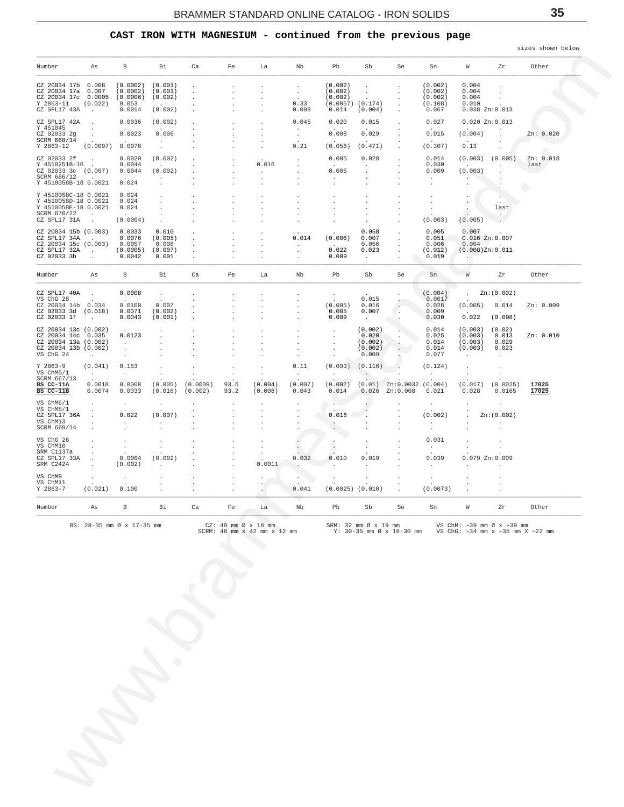### **CAST IRON WITH MAGNESIUM - continued from the previous page**

<span id="page-34-0"></span>

| (0.0002)<br>(0.001)<br>(0.002)<br>(0.002)<br>0.004<br>$\cdot$<br>$\ddot{\phantom{a}}$<br>(0.0002)<br>(0.001)<br>(0.002)<br>(0.002)<br>0.004<br>$\sim$<br>$\cdot$<br>(0.0006)<br>(0.002)<br>(0.002)<br>(0.002)<br>0.004<br>$\mathbf{r}$<br>$\ddot{\phantom{a}}$<br>(0.022)<br>0.053<br>0.33<br>(0.0057)<br>(0.174)<br>(0.108)<br>0.010<br>$\sim$<br>0.0014<br>(0.002)<br>0.008<br>0.014<br>(0.004)<br>0.067<br>0.038 Zn:0.013<br>$\sim$<br>$\cdot$<br>0.0036<br>(0.002)<br>0.045<br>0.020<br>0.015<br>0.027<br>0.020 Zn:0.013<br>$\cdot$<br>$\overline{\phantom{a}}$<br>$\cdot$<br>$\cdot$<br>0.0023<br>0.008<br>0.006<br>0.029<br>0.015<br>(0.004)<br>Zn: 0.020<br>$\cdot$<br>$\cdot$<br><b>Carl Corporation</b><br>$\sim$<br>$\sim$<br>$\sim$<br>$\sim$<br>$\sim$<br>$\mathbf{r}$<br>0.0078<br>(0.0097)<br>0.21<br>(0.056)<br>(0.471)<br>(0.307)<br>0.13<br>$\cdot$<br>0.0020<br>(0.002)<br>0.005<br>0.028<br>0.014<br>(0.003)<br>(0.005)<br>Zn: 0.018<br>$\cdot$<br>0.0044<br>0.016<br>0.030<br>last<br>$\sim$ $\sim$<br>$\sim$<br>$\sim$<br>$\cdot$<br>$\sim 100$<br>$\ddot{\phantom{0}}$<br>0.005<br>0.0044<br>(0.002)<br>0.009<br>(0.003)<br>$\cdot$<br>$\ddot{\phantom{0}}$<br>$\ddot{\phantom{0}}$<br>$\sim 10^{-10}$<br><b>Contract Contract</b><br>$\sim$<br>$\ddot{\phantom{a}}$<br>$\cdot$<br>$\cdot$<br>0.024<br>$\cdot$<br>0.024<br><b>COLL</b><br>0.024<br>$\sim$<br>0.024<br>last<br>$\hat{\mathbb{R}}$<br>$\cdot$<br>$\sim$<br>$\mathbf{A} = \mathbf{0}$ .<br>$\sim$<br>$\cdot$<br>(0.0004)<br>(0.003)<br>(0.005)<br>$\overline{a}$<br>0.0033<br>0.010<br>0.058<br>0.005<br>0.007<br>0.0076<br>(0.005)<br>0.014<br>(0.006)<br>0.007<br>0.051<br>$0.016$ $Zn:0.007$<br><b>Carl Corporation</b><br>0.0057<br>0.008<br>0.056<br>0.006<br>0.004<br>Maria Bar<br>$\sim$<br>$\cdot$<br>0.022<br>(0.0005)<br>(0.007)<br>0.023<br>(0.012)<br>$(0.008)$ Zn: $0.011$<br>$\sim 10^{-11}$<br>$\cdot$<br>0.0042<br>0.001<br>0.009<br>0.019<br>$\sim$<br>$\sim 100$<br>$\mathbf{r}$<br>$\sim$<br>В<br>Bi<br>Fe<br>Nb<br>Pb<br>Sb<br>W<br>Other<br>As<br>Ca<br>La<br>Se<br>Sn<br>Zr<br>0.0008<br>(0.004)<br>Zn:(0.002)<br>$\cdot$<br>$\cdot$<br>$\sim$<br>0.015<br>0.0017<br><b>Contract Contract</b><br>$\sim$<br>$\sim$<br>$\sim$<br>0.0100<br>0.007<br>(0.005)<br>0.016<br>0.028<br>(0.005)<br>0.014<br>Zn: 0.009<br>0.0071<br>(0.002)<br>0.005<br>0.007<br>0.009<br>$\sim$<br>$\cdot$<br>0.022<br>0.0043<br>(0.001)<br>0.009<br>0.030<br>(0.008)<br>$\sim 10^{-11}$<br>$\mathcal{A}^{\mathcal{A}}$<br>Ŀ.<br>(0.002)<br>0.014<br>(0.003)<br>(0.02)<br>$\cdot$<br>0.0123<br>0.020<br>0.025<br>(0.003)<br>0.013<br>Zn: 0.010<br>$\cdot$<br>(0.002)<br>0.014<br>(0.003)<br>0.029<br>$\sim$<br>$\cdot$<br>(0.002)<br>0.014<br>(0.003)<br>0.023<br>$\blacksquare$<br>$\cdot$<br>0.009<br>0.077<br>$\sim 10^{-11}$<br>$\cdot$<br>$\sim$<br>$\sim$<br>$\blacksquare$<br>(0.041)<br>0.153<br>0.11<br>$(0.093)$ $(0.116)$<br>(0.124)<br>$\sim 10^{-11}$<br>$\sim$<br>$\sim$<br>$\sim$<br>$\sim$<br>$\sim$ $-$<br>$\cdot$<br>$\sim$<br>0.0018<br>0.0008<br>(0.005)<br>(0.0009)<br>93.6<br>(0.004)<br>(0.007)<br>(0.002)<br>$(0.01)$ Zn:0.0032 $(0.004)$<br>(0.017)<br>(0.0025)<br>17025<br>0.0074<br>0.0033<br>(0.016)<br>(0.002)<br>93.2<br>(0.008)<br>0.043<br>0.014<br>$0.026$ Zn:0.008<br>0.021<br>0.028<br>0.0165<br>17025<br>$\cdot$<br>$\cdot$<br>$\ddot{\phantom{1}}$<br>$\cdot$<br>$\cdot$<br>$\cdot$<br>0.022<br>(0.007)<br>0.016<br>(0.002)<br>Zn:(0.002)<br>$\blacksquare$ .<br>$\blacksquare$<br>$\ddot{\phantom{a}}$<br>$\mathbf{r}$<br>$\cdot$<br>$\cdot$<br>$\ddot{\phantom{a}}$<br>$\cdot$<br>0.031<br>$\cdot$<br>$\blacksquare$<br>$\cdot$<br>$\cdot$<br>$\sim$<br>$\cdot$<br>$\cdot$<br>$\cdot$<br>0.0064<br>(0.002)<br>0.032<br>0.010<br>0.019<br>0.039<br>$0.079$ Zn: $0.009$<br>$\ddot{\phantom{a}}$<br>$\sim$<br>(0.002)<br>0.0011<br>$\lambda$<br>$\cdot$<br>$\cdot$<br>$\ddot{\phantom{a}}$<br>$\cdot$<br>(0.021)<br>0.100<br>0.041<br>$(0.0025)$ $(0.010)$<br>(0.0073)<br>В<br>Bi<br>Ca<br>Nb<br>Pb<br>W<br>Zr<br>Other<br>As<br>Fe<br>La<br>Sb<br>Se<br>Sn<br>BS: 28-35 mm Ø x 17-35 mm<br>$CZ: 40$ mm $\varnothing \times 18$ mm<br>SRM: 32 mm Ø x 19 mm<br>VS ChM: $\sim$ 39 mm Ø x $\sim$ 39 mm<br>SCRM: 48 mm x 42 mm x 12 mm<br>Y: 30-35 mm Ø x 18-30 mm<br>VS ChG: $\sim$ 34 mm x $\sim$ 35 mm X $\sim$ 22 mm | CZ 20034 17b 0.008<br>CZ 20034 17a 0.007<br>CZ 20034 17c 0.0005<br>$Y$ 2863-11<br>CZ SPL17 43A<br>CZ SPL17 42A<br>Y 451045<br>CZ 02033 2g<br>SCRM 668/14<br>$Y$ 2863-12<br>CZ 02033 2f<br>∪4 ∪4∪33 2t .<br>Y 4510251B-16 .<br>CZ 02033 3c (0.007)<br>SCRM 666/12<br>Y 4510058B-18 0.0021<br>Y 4510058C-18 0.0021<br>Y 4510058D-18 0.0021<br>Y 4510058E-18 0.0021<br>SCRM 670/22<br>CZ SPL17 31A<br>CZ 20034 15b (0.003)<br>CZ SPL17 34A<br>CZ 20034 15c (0.003)<br>CZ SPL17 32A<br>CZ 02033 3b<br>Number<br>CZ SPL17 40A<br>VS ChG 28<br>CZ 20034 14b 0.034<br>CZ 02033 3d (0.018)<br>CZ 02033 1f<br>CZ 20034 13c (0.002)<br>CZ 20034 14c 0.035<br>CZ 20034 13a (0.002)<br>CZ 20034 13b (0.002)<br>VS ChG 24<br>$Y$ 2863-9<br>VS ChM5/1<br>SCRM 667/13<br>BS CC-11A<br>BS CC-11B<br>VS ChM6/1<br>VS ChM8/1<br>CZ SPL17 36A<br>VS ChM13<br>SCRM 669/14<br>VS ChG 26<br>VS ChM10<br>SRM C1137a<br>CZ SPL17 33A<br>SRM C2424<br>VS ChM9<br>VS ChM11<br>$Y$ 2863-7<br>Number | Number | Αs | В | Bi | Ca | Fe | La | Nb | Pb | Sb | Se | Sn | W | Zr | Other |
|------------------------------------------------------------------------------------------------------------------------------------------------------------------------------------------------------------------------------------------------------------------------------------------------------------------------------------------------------------------------------------------------------------------------------------------------------------------------------------------------------------------------------------------------------------------------------------------------------------------------------------------------------------------------------------------------------------------------------------------------------------------------------------------------------------------------------------------------------------------------------------------------------------------------------------------------------------------------------------------------------------------------------------------------------------------------------------------------------------------------------------------------------------------------------------------------------------------------------------------------------------------------------------------------------------------------------------------------------------------------------------------------------------------------------------------------------------------------------------------------------------------------------------------------------------------------------------------------------------------------------------------------------------------------------------------------------------------------------------------------------------------------------------------------------------------------------------------------------------------------------------------------------------------------------------------------------------------------------------------------------------------------------------------------------------------------------------------------------------------------------------------------------------------------------------------------------------------------------------------------------------------------------------------------------------------------------------------------------------------------------------------------------------------------------------------------------------------------------------------------------------------------------------------------------------------------------------------------------------------------------------------------------------------------------------------------------------------------------------------------------------------------------------------------------------------------------------------------------------------------------------------------------------------------------------------------------------------------------------------------------------------------------------------------------------------------------------------------------------------------------------------------------------------------------------------------------------------------------------------------------------------------------------------------------------------------------------------------------------------------------------------------------------------------------------------------------------------------------------------------------------------------------------------------------------------------------------------------------------------------------------------------------------------------------------------------------------------------------------------------------------------------------------------------------------------------------------------------------------------------------------------------------------------------------------------------------------------------------------------------------------------------------------------------------------------------------------------------------------------------------------------------------------------------------------------------------------------------------------------------------------------------------------------------------------------------------------------|--------------------------------------------------------------------------------------------------------------------------------------------------------------------------------------------------------------------------------------------------------------------------------------------------------------------------------------------------------------------------------------------------------------------------------------------------------------------------------------------------------------------------------------------------------------------------------------------------------------------------------------------------------------------------------------------------------------------------------------------------------------------------------------------------------------------------------------------------------------------------------------------------------------------------------------------------------------------------|--------|----|---|----|----|----|----|----|----|----|----|----|---|----|-------|
|                                                                                                                                                                                                                                                                                                                                                                                                                                                                                                                                                                                                                                                                                                                                                                                                                                                                                                                                                                                                                                                                                                                                                                                                                                                                                                                                                                                                                                                                                                                                                                                                                                                                                                                                                                                                                                                                                                                                                                                                                                                                                                                                                                                                                                                                                                                                                                                                                                                                                                                                                                                                                                                                                                                                                                                                                                                                                                                                                                                                                                                                                                                                                                                                                                                                                                                                                                                                                                                                                                                                                                                                                                                                                                                                                                                                                                                                                                                                                                                                                                                                                                                                                                                                                                                                                                                                          |                                                                                                                                                                                                                                                                                                                                                                                                                                                                                                                                                                                                                                                                                                                                                                                                                                                                                                                                                                          |        |    |   |    |    |    |    |    |    |    |    |    |   |    |       |
|                                                                                                                                                                                                                                                                                                                                                                                                                                                                                                                                                                                                                                                                                                                                                                                                                                                                                                                                                                                                                                                                                                                                                                                                                                                                                                                                                                                                                                                                                                                                                                                                                                                                                                                                                                                                                                                                                                                                                                                                                                                                                                                                                                                                                                                                                                                                                                                                                                                                                                                                                                                                                                                                                                                                                                                                                                                                                                                                                                                                                                                                                                                                                                                                                                                                                                                                                                                                                                                                                                                                                                                                                                                                                                                                                                                                                                                                                                                                                                                                                                                                                                                                                                                                                                                                                                                                          |                                                                                                                                                                                                                                                                                                                                                                                                                                                                                                                                                                                                                                                                                                                                                                                                                                                                                                                                                                          |        |    |   |    |    |    |    |    |    |    |    |    |   |    |       |
|                                                                                                                                                                                                                                                                                                                                                                                                                                                                                                                                                                                                                                                                                                                                                                                                                                                                                                                                                                                                                                                                                                                                                                                                                                                                                                                                                                                                                                                                                                                                                                                                                                                                                                                                                                                                                                                                                                                                                                                                                                                                                                                                                                                                                                                                                                                                                                                                                                                                                                                                                                                                                                                                                                                                                                                                                                                                                                                                                                                                                                                                                                                                                                                                                                                                                                                                                                                                                                                                                                                                                                                                                                                                                                                                                                                                                                                                                                                                                                                                                                                                                                                                                                                                                                                                                                                                          |                                                                                                                                                                                                                                                                                                                                                                                                                                                                                                                                                                                                                                                                                                                                                                                                                                                                                                                                                                          |        |    |   |    |    |    |    |    |    |    |    |    |   |    |       |
|                                                                                                                                                                                                                                                                                                                                                                                                                                                                                                                                                                                                                                                                                                                                                                                                                                                                                                                                                                                                                                                                                                                                                                                                                                                                                                                                                                                                                                                                                                                                                                                                                                                                                                                                                                                                                                                                                                                                                                                                                                                                                                                                                                                                                                                                                                                                                                                                                                                                                                                                                                                                                                                                                                                                                                                                                                                                                                                                                                                                                                                                                                                                                                                                                                                                                                                                                                                                                                                                                                                                                                                                                                                                                                                                                                                                                                                                                                                                                                                                                                                                                                                                                                                                                                                                                                                                          |                                                                                                                                                                                                                                                                                                                                                                                                                                                                                                                                                                                                                                                                                                                                                                                                                                                                                                                                                                          |        |    |   |    |    |    |    |    |    |    |    |    |   |    |       |
|                                                                                                                                                                                                                                                                                                                                                                                                                                                                                                                                                                                                                                                                                                                                                                                                                                                                                                                                                                                                                                                                                                                                                                                                                                                                                                                                                                                                                                                                                                                                                                                                                                                                                                                                                                                                                                                                                                                                                                                                                                                                                                                                                                                                                                                                                                                                                                                                                                                                                                                                                                                                                                                                                                                                                                                                                                                                                                                                                                                                                                                                                                                                                                                                                                                                                                                                                                                                                                                                                                                                                                                                                                                                                                                                                                                                                                                                                                                                                                                                                                                                                                                                                                                                                                                                                                                                          |                                                                                                                                                                                                                                                                                                                                                                                                                                                                                                                                                                                                                                                                                                                                                                                                                                                                                                                                                                          |        |    |   |    |    |    |    |    |    |    |    |    |   |    |       |
|                                                                                                                                                                                                                                                                                                                                                                                                                                                                                                                                                                                                                                                                                                                                                                                                                                                                                                                                                                                                                                                                                                                                                                                                                                                                                                                                                                                                                                                                                                                                                                                                                                                                                                                                                                                                                                                                                                                                                                                                                                                                                                                                                                                                                                                                                                                                                                                                                                                                                                                                                                                                                                                                                                                                                                                                                                                                                                                                                                                                                                                                                                                                                                                                                                                                                                                                                                                                                                                                                                                                                                                                                                                                                                                                                                                                                                                                                                                                                                                                                                                                                                                                                                                                                                                                                                                                          |                                                                                                                                                                                                                                                                                                                                                                                                                                                                                                                                                                                                                                                                                                                                                                                                                                                                                                                                                                          |        |    |   |    |    |    |    |    |    |    |    |    |   |    |       |
|                                                                                                                                                                                                                                                                                                                                                                                                                                                                                                                                                                                                                                                                                                                                                                                                                                                                                                                                                                                                                                                                                                                                                                                                                                                                                                                                                                                                                                                                                                                                                                                                                                                                                                                                                                                                                                                                                                                                                                                                                                                                                                                                                                                                                                                                                                                                                                                                                                                                                                                                                                                                                                                                                                                                                                                                                                                                                                                                                                                                                                                                                                                                                                                                                                                                                                                                                                                                                                                                                                                                                                                                                                                                                                                                                                                                                                                                                                                                                                                                                                                                                                                                                                                                                                                                                                                                          |                                                                                                                                                                                                                                                                                                                                                                                                                                                                                                                                                                                                                                                                                                                                                                                                                                                                                                                                                                          |        |    |   |    |    |    |    |    |    |    |    |    |   |    |       |
|                                                                                                                                                                                                                                                                                                                                                                                                                                                                                                                                                                                                                                                                                                                                                                                                                                                                                                                                                                                                                                                                                                                                                                                                                                                                                                                                                                                                                                                                                                                                                                                                                                                                                                                                                                                                                                                                                                                                                                                                                                                                                                                                                                                                                                                                                                                                                                                                                                                                                                                                                                                                                                                                                                                                                                                                                                                                                                                                                                                                                                                                                                                                                                                                                                                                                                                                                                                                                                                                                                                                                                                                                                                                                                                                                                                                                                                                                                                                                                                                                                                                                                                                                                                                                                                                                                                                          |                                                                                                                                                                                                                                                                                                                                                                                                                                                                                                                                                                                                                                                                                                                                                                                                                                                                                                                                                                          |        |    |   |    |    |    |    |    |    |    |    |    |   |    |       |
|                                                                                                                                                                                                                                                                                                                                                                                                                                                                                                                                                                                                                                                                                                                                                                                                                                                                                                                                                                                                                                                                                                                                                                                                                                                                                                                                                                                                                                                                                                                                                                                                                                                                                                                                                                                                                                                                                                                                                                                                                                                                                                                                                                                                                                                                                                                                                                                                                                                                                                                                                                                                                                                                                                                                                                                                                                                                                                                                                                                                                                                                                                                                                                                                                                                                                                                                                                                                                                                                                                                                                                                                                                                                                                                                                                                                                                                                                                                                                                                                                                                                                                                                                                                                                                                                                                                                          |                                                                                                                                                                                                                                                                                                                                                                                                                                                                                                                                                                                                                                                                                                                                                                                                                                                                                                                                                                          |        |    |   |    |    |    |    |    |    |    |    |    |   |    |       |
|                                                                                                                                                                                                                                                                                                                                                                                                                                                                                                                                                                                                                                                                                                                                                                                                                                                                                                                                                                                                                                                                                                                                                                                                                                                                                                                                                                                                                                                                                                                                                                                                                                                                                                                                                                                                                                                                                                                                                                                                                                                                                                                                                                                                                                                                                                                                                                                                                                                                                                                                                                                                                                                                                                                                                                                                                                                                                                                                                                                                                                                                                                                                                                                                                                                                                                                                                                                                                                                                                                                                                                                                                                                                                                                                                                                                                                                                                                                                                                                                                                                                                                                                                                                                                                                                                                                                          |                                                                                                                                                                                                                                                                                                                                                                                                                                                                                                                                                                                                                                                                                                                                                                                                                                                                                                                                                                          |        |    |   |    |    |    |    |    |    |    |    |    |   |    |       |
|                                                                                                                                                                                                                                                                                                                                                                                                                                                                                                                                                                                                                                                                                                                                                                                                                                                                                                                                                                                                                                                                                                                                                                                                                                                                                                                                                                                                                                                                                                                                                                                                                                                                                                                                                                                                                                                                                                                                                                                                                                                                                                                                                                                                                                                                                                                                                                                                                                                                                                                                                                                                                                                                                                                                                                                                                                                                                                                                                                                                                                                                                                                                                                                                                                                                                                                                                                                                                                                                                                                                                                                                                                                                                                                                                                                                                                                                                                                                                                                                                                                                                                                                                                                                                                                                                                                                          |                                                                                                                                                                                                                                                                                                                                                                                                                                                                                                                                                                                                                                                                                                                                                                                                                                                                                                                                                                          |        |    |   |    |    |    |    |    |    |    |    |    |   |    |       |
|                                                                                                                                                                                                                                                                                                                                                                                                                                                                                                                                                                                                                                                                                                                                                                                                                                                                                                                                                                                                                                                                                                                                                                                                                                                                                                                                                                                                                                                                                                                                                                                                                                                                                                                                                                                                                                                                                                                                                                                                                                                                                                                                                                                                                                                                                                                                                                                                                                                                                                                                                                                                                                                                                                                                                                                                                                                                                                                                                                                                                                                                                                                                                                                                                                                                                                                                                                                                                                                                                                                                                                                                                                                                                                                                                                                                                                                                                                                                                                                                                                                                                                                                                                                                                                                                                                                                          |                                                                                                                                                                                                                                                                                                                                                                                                                                                                                                                                                                                                                                                                                                                                                                                                                                                                                                                                                                          |        |    |   |    |    |    |    |    |    |    |    |    |   |    |       |
|                                                                                                                                                                                                                                                                                                                                                                                                                                                                                                                                                                                                                                                                                                                                                                                                                                                                                                                                                                                                                                                                                                                                                                                                                                                                                                                                                                                                                                                                                                                                                                                                                                                                                                                                                                                                                                                                                                                                                                                                                                                                                                                                                                                                                                                                                                                                                                                                                                                                                                                                                                                                                                                                                                                                                                                                                                                                                                                                                                                                                                                                                                                                                                                                                                                                                                                                                                                                                                                                                                                                                                                                                                                                                                                                                                                                                                                                                                                                                                                                                                                                                                                                                                                                                                                                                                                                          |                                                                                                                                                                                                                                                                                                                                                                                                                                                                                                                                                                                                                                                                                                                                                                                                                                                                                                                                                                          |        |    |   |    |    |    |    |    |    |    |    |    |   |    |       |
|                                                                                                                                                                                                                                                                                                                                                                                                                                                                                                                                                                                                                                                                                                                                                                                                                                                                                                                                                                                                                                                                                                                                                                                                                                                                                                                                                                                                                                                                                                                                                                                                                                                                                                                                                                                                                                                                                                                                                                                                                                                                                                                                                                                                                                                                                                                                                                                                                                                                                                                                                                                                                                                                                                                                                                                                                                                                                                                                                                                                                                                                                                                                                                                                                                                                                                                                                                                                                                                                                                                                                                                                                                                                                                                                                                                                                                                                                                                                                                                                                                                                                                                                                                                                                                                                                                                                          |                                                                                                                                                                                                                                                                                                                                                                                                                                                                                                                                                                                                                                                                                                                                                                                                                                                                                                                                                                          |        |    |   |    |    |    |    |    |    |    |    |    |   |    |       |
|                                                                                                                                                                                                                                                                                                                                                                                                                                                                                                                                                                                                                                                                                                                                                                                                                                                                                                                                                                                                                                                                                                                                                                                                                                                                                                                                                                                                                                                                                                                                                                                                                                                                                                                                                                                                                                                                                                                                                                                                                                                                                                                                                                                                                                                                                                                                                                                                                                                                                                                                                                                                                                                                                                                                                                                                                                                                                                                                                                                                                                                                                                                                                                                                                                                                                                                                                                                                                                                                                                                                                                                                                                                                                                                                                                                                                                                                                                                                                                                                                                                                                                                                                                                                                                                                                                                                          |                                                                                                                                                                                                                                                                                                                                                                                                                                                                                                                                                                                                                                                                                                                                                                                                                                                                                                                                                                          |        |    |   |    |    |    |    |    |    |    |    |    |   |    |       |
|                                                                                                                                                                                                                                                                                                                                                                                                                                                                                                                                                                                                                                                                                                                                                                                                                                                                                                                                                                                                                                                                                                                                                                                                                                                                                                                                                                                                                                                                                                                                                                                                                                                                                                                                                                                                                                                                                                                                                                                                                                                                                                                                                                                                                                                                                                                                                                                                                                                                                                                                                                                                                                                                                                                                                                                                                                                                                                                                                                                                                                                                                                                                                                                                                                                                                                                                                                                                                                                                                                                                                                                                                                                                                                                                                                                                                                                                                                                                                                                                                                                                                                                                                                                                                                                                                                                                          |                                                                                                                                                                                                                                                                                                                                                                                                                                                                                                                                                                                                                                                                                                                                                                                                                                                                                                                                                                          |        |    |   |    |    |    |    |    |    |    |    |    |   |    |       |
|                                                                                                                                                                                                                                                                                                                                                                                                                                                                                                                                                                                                                                                                                                                                                                                                                                                                                                                                                                                                                                                                                                                                                                                                                                                                                                                                                                                                                                                                                                                                                                                                                                                                                                                                                                                                                                                                                                                                                                                                                                                                                                                                                                                                                                                                                                                                                                                                                                                                                                                                                                                                                                                                                                                                                                                                                                                                                                                                                                                                                                                                                                                                                                                                                                                                                                                                                                                                                                                                                                                                                                                                                                                                                                                                                                                                                                                                                                                                                                                                                                                                                                                                                                                                                                                                                                                                          |                                                                                                                                                                                                                                                                                                                                                                                                                                                                                                                                                                                                                                                                                                                                                                                                                                                                                                                                                                          |        |    |   |    |    |    |    |    |    |    |    |    |   |    |       |
|                                                                                                                                                                                                                                                                                                                                                                                                                                                                                                                                                                                                                                                                                                                                                                                                                                                                                                                                                                                                                                                                                                                                                                                                                                                                                                                                                                                                                                                                                                                                                                                                                                                                                                                                                                                                                                                                                                                                                                                                                                                                                                                                                                                                                                                                                                                                                                                                                                                                                                                                                                                                                                                                                                                                                                                                                                                                                                                                                                                                                                                                                                                                                                                                                                                                                                                                                                                                                                                                                                                                                                                                                                                                                                                                                                                                                                                                                                                                                                                                                                                                                                                                                                                                                                                                                                                                          |                                                                                                                                                                                                                                                                                                                                                                                                                                                                                                                                                                                                                                                                                                                                                                                                                                                                                                                                                                          |        |    |   |    |    |    |    |    |    |    |    |    |   |    |       |
|                                                                                                                                                                                                                                                                                                                                                                                                                                                                                                                                                                                                                                                                                                                                                                                                                                                                                                                                                                                                                                                                                                                                                                                                                                                                                                                                                                                                                                                                                                                                                                                                                                                                                                                                                                                                                                                                                                                                                                                                                                                                                                                                                                                                                                                                                                                                                                                                                                                                                                                                                                                                                                                                                                                                                                                                                                                                                                                                                                                                                                                                                                                                                                                                                                                                                                                                                                                                                                                                                                                                                                                                                                                                                                                                                                                                                                                                                                                                                                                                                                                                                                                                                                                                                                                                                                                                          |                                                                                                                                                                                                                                                                                                                                                                                                                                                                                                                                                                                                                                                                                                                                                                                                                                                                                                                                                                          |        |    |   |    |    |    |    |    |    |    |    |    |   |    |       |
|                                                                                                                                                                                                                                                                                                                                                                                                                                                                                                                                                                                                                                                                                                                                                                                                                                                                                                                                                                                                                                                                                                                                                                                                                                                                                                                                                                                                                                                                                                                                                                                                                                                                                                                                                                                                                                                                                                                                                                                                                                                                                                                                                                                                                                                                                                                                                                                                                                                                                                                                                                                                                                                                                                                                                                                                                                                                                                                                                                                                                                                                                                                                                                                                                                                                                                                                                                                                                                                                                                                                                                                                                                                                                                                                                                                                                                                                                                                                                                                                                                                                                                                                                                                                                                                                                                                                          |                                                                                                                                                                                                                                                                                                                                                                                                                                                                                                                                                                                                                                                                                                                                                                                                                                                                                                                                                                          |        |    |   |    |    |    |    |    |    |    |    |    |   |    |       |
|                                                                                                                                                                                                                                                                                                                                                                                                                                                                                                                                                                                                                                                                                                                                                                                                                                                                                                                                                                                                                                                                                                                                                                                                                                                                                                                                                                                                                                                                                                                                                                                                                                                                                                                                                                                                                                                                                                                                                                                                                                                                                                                                                                                                                                                                                                                                                                                                                                                                                                                                                                                                                                                                                                                                                                                                                                                                                                                                                                                                                                                                                                                                                                                                                                                                                                                                                                                                                                                                                                                                                                                                                                                                                                                                                                                                                                                                                                                                                                                                                                                                                                                                                                                                                                                                                                                                          |                                                                                                                                                                                                                                                                                                                                                                                                                                                                                                                                                                                                                                                                                                                                                                                                                                                                                                                                                                          |        |    |   |    |    |    |    |    |    |    |    |    |   |    |       |
|                                                                                                                                                                                                                                                                                                                                                                                                                                                                                                                                                                                                                                                                                                                                                                                                                                                                                                                                                                                                                                                                                                                                                                                                                                                                                                                                                                                                                                                                                                                                                                                                                                                                                                                                                                                                                                                                                                                                                                                                                                                                                                                                                                                                                                                                                                                                                                                                                                                                                                                                                                                                                                                                                                                                                                                                                                                                                                                                                                                                                                                                                                                                                                                                                                                                                                                                                                                                                                                                                                                                                                                                                                                                                                                                                                                                                                                                                                                                                                                                                                                                                                                                                                                                                                                                                                                                          |                                                                                                                                                                                                                                                                                                                                                                                                                                                                                                                                                                                                                                                                                                                                                                                                                                                                                                                                                                          |        |    |   |    |    |    |    |    |    |    |    |    |   |    |       |
|                                                                                                                                                                                                                                                                                                                                                                                                                                                                                                                                                                                                                                                                                                                                                                                                                                                                                                                                                                                                                                                                                                                                                                                                                                                                                                                                                                                                                                                                                                                                                                                                                                                                                                                                                                                                                                                                                                                                                                                                                                                                                                                                                                                                                                                                                                                                                                                                                                                                                                                                                                                                                                                                                                                                                                                                                                                                                                                                                                                                                                                                                                                                                                                                                                                                                                                                                                                                                                                                                                                                                                                                                                                                                                                                                                                                                                                                                                                                                                                                                                                                                                                                                                                                                                                                                                                                          |                                                                                                                                                                                                                                                                                                                                                                                                                                                                                                                                                                                                                                                                                                                                                                                                                                                                                                                                                                          |        |    |   |    |    |    |    |    |    |    |    |    |   |    |       |
|                                                                                                                                                                                                                                                                                                                                                                                                                                                                                                                                                                                                                                                                                                                                                                                                                                                                                                                                                                                                                                                                                                                                                                                                                                                                                                                                                                                                                                                                                                                                                                                                                                                                                                                                                                                                                                                                                                                                                                                                                                                                                                                                                                                                                                                                                                                                                                                                                                                                                                                                                                                                                                                                                                                                                                                                                                                                                                                                                                                                                                                                                                                                                                                                                                                                                                                                                                                                                                                                                                                                                                                                                                                                                                                                                                                                                                                                                                                                                                                                                                                                                                                                                                                                                                                                                                                                          |                                                                                                                                                                                                                                                                                                                                                                                                                                                                                                                                                                                                                                                                                                                                                                                                                                                                                                                                                                          |        |    |   |    |    |    |    |    |    |    |    |    |   |    |       |
|                                                                                                                                                                                                                                                                                                                                                                                                                                                                                                                                                                                                                                                                                                                                                                                                                                                                                                                                                                                                                                                                                                                                                                                                                                                                                                                                                                                                                                                                                                                                                                                                                                                                                                                                                                                                                                                                                                                                                                                                                                                                                                                                                                                                                                                                                                                                                                                                                                                                                                                                                                                                                                                                                                                                                                                                                                                                                                                                                                                                                                                                                                                                                                                                                                                                                                                                                                                                                                                                                                                                                                                                                                                                                                                                                                                                                                                                                                                                                                                                                                                                                                                                                                                                                                                                                                                                          |                                                                                                                                                                                                                                                                                                                                                                                                                                                                                                                                                                                                                                                                                                                                                                                                                                                                                                                                                                          |        |    |   |    |    |    |    |    |    |    |    |    |   |    |       |
|                                                                                                                                                                                                                                                                                                                                                                                                                                                                                                                                                                                                                                                                                                                                                                                                                                                                                                                                                                                                                                                                                                                                                                                                                                                                                                                                                                                                                                                                                                                                                                                                                                                                                                                                                                                                                                                                                                                                                                                                                                                                                                                                                                                                                                                                                                                                                                                                                                                                                                                                                                                                                                                                                                                                                                                                                                                                                                                                                                                                                                                                                                                                                                                                                                                                                                                                                                                                                                                                                                                                                                                                                                                                                                                                                                                                                                                                                                                                                                                                                                                                                                                                                                                                                                                                                                                                          |                                                                                                                                                                                                                                                                                                                                                                                                                                                                                                                                                                                                                                                                                                                                                                                                                                                                                                                                                                          |        |    |   |    |    |    |    |    |    |    |    |    |   |    |       |
|                                                                                                                                                                                                                                                                                                                                                                                                                                                                                                                                                                                                                                                                                                                                                                                                                                                                                                                                                                                                                                                                                                                                                                                                                                                                                                                                                                                                                                                                                                                                                                                                                                                                                                                                                                                                                                                                                                                                                                                                                                                                                                                                                                                                                                                                                                                                                                                                                                                                                                                                                                                                                                                                                                                                                                                                                                                                                                                                                                                                                                                                                                                                                                                                                                                                                                                                                                                                                                                                                                                                                                                                                                                                                                                                                                                                                                                                                                                                                                                                                                                                                                                                                                                                                                                                                                                                          |                                                                                                                                                                                                                                                                                                                                                                                                                                                                                                                                                                                                                                                                                                                                                                                                                                                                                                                                                                          |        |    |   |    |    |    |    |    |    |    |    |    |   |    |       |
|                                                                                                                                                                                                                                                                                                                                                                                                                                                                                                                                                                                                                                                                                                                                                                                                                                                                                                                                                                                                                                                                                                                                                                                                                                                                                                                                                                                                                                                                                                                                                                                                                                                                                                                                                                                                                                                                                                                                                                                                                                                                                                                                                                                                                                                                                                                                                                                                                                                                                                                                                                                                                                                                                                                                                                                                                                                                                                                                                                                                                                                                                                                                                                                                                                                                                                                                                                                                                                                                                                                                                                                                                                                                                                                                                                                                                                                                                                                                                                                                                                                                                                                                                                                                                                                                                                                                          |                                                                                                                                                                                                                                                                                                                                                                                                                                                                                                                                                                                                                                                                                                                                                                                                                                                                                                                                                                          |        |    |   |    |    |    |    |    |    |    |    |    |   |    |       |
|                                                                                                                                                                                                                                                                                                                                                                                                                                                                                                                                                                                                                                                                                                                                                                                                                                                                                                                                                                                                                                                                                                                                                                                                                                                                                                                                                                                                                                                                                                                                                                                                                                                                                                                                                                                                                                                                                                                                                                                                                                                                                                                                                                                                                                                                                                                                                                                                                                                                                                                                                                                                                                                                                                                                                                                                                                                                                                                                                                                                                                                                                                                                                                                                                                                                                                                                                                                                                                                                                                                                                                                                                                                                                                                                                                                                                                                                                                                                                                                                                                                                                                                                                                                                                                                                                                                                          |                                                                                                                                                                                                                                                                                                                                                                                                                                                                                                                                                                                                                                                                                                                                                                                                                                                                                                                                                                          |        |    |   |    |    |    |    |    |    |    |    |    |   |    |       |
|                                                                                                                                                                                                                                                                                                                                                                                                                                                                                                                                                                                                                                                                                                                                                                                                                                                                                                                                                                                                                                                                                                                                                                                                                                                                                                                                                                                                                                                                                                                                                                                                                                                                                                                                                                                                                                                                                                                                                                                                                                                                                                                                                                                                                                                                                                                                                                                                                                                                                                                                                                                                                                                                                                                                                                                                                                                                                                                                                                                                                                                                                                                                                                                                                                                                                                                                                                                                                                                                                                                                                                                                                                                                                                                                                                                                                                                                                                                                                                                                                                                                                                                                                                                                                                                                                                                                          |                                                                                                                                                                                                                                                                                                                                                                                                                                                                                                                                                                                                                                                                                                                                                                                                                                                                                                                                                                          |        |    |   |    |    |    |    |    |    |    |    |    |   |    |       |
|                                                                                                                                                                                                                                                                                                                                                                                                                                                                                                                                                                                                                                                                                                                                                                                                                                                                                                                                                                                                                                                                                                                                                                                                                                                                                                                                                                                                                                                                                                                                                                                                                                                                                                                                                                                                                                                                                                                                                                                                                                                                                                                                                                                                                                                                                                                                                                                                                                                                                                                                                                                                                                                                                                                                                                                                                                                                                                                                                                                                                                                                                                                                                                                                                                                                                                                                                                                                                                                                                                                                                                                                                                                                                                                                                                                                                                                                                                                                                                                                                                                                                                                                                                                                                                                                                                                                          |                                                                                                                                                                                                                                                                                                                                                                                                                                                                                                                                                                                                                                                                                                                                                                                                                                                                                                                                                                          |        |    |   |    |    |    |    |    |    |    |    |    |   |    |       |
|                                                                                                                                                                                                                                                                                                                                                                                                                                                                                                                                                                                                                                                                                                                                                                                                                                                                                                                                                                                                                                                                                                                                                                                                                                                                                                                                                                                                                                                                                                                                                                                                                                                                                                                                                                                                                                                                                                                                                                                                                                                                                                                                                                                                                                                                                                                                                                                                                                                                                                                                                                                                                                                                                                                                                                                                                                                                                                                                                                                                                                                                                                                                                                                                                                                                                                                                                                                                                                                                                                                                                                                                                                                                                                                                                                                                                                                                                                                                                                                                                                                                                                                                                                                                                                                                                                                                          |                                                                                                                                                                                                                                                                                                                                                                                                                                                                                                                                                                                                                                                                                                                                                                                                                                                                                                                                                                          |        |    |   |    |    |    |    |    |    |    |    |    |   |    |       |
|                                                                                                                                                                                                                                                                                                                                                                                                                                                                                                                                                                                                                                                                                                                                                                                                                                                                                                                                                                                                                                                                                                                                                                                                                                                                                                                                                                                                                                                                                                                                                                                                                                                                                                                                                                                                                                                                                                                                                                                                                                                                                                                                                                                                                                                                                                                                                                                                                                                                                                                                                                                                                                                                                                                                                                                                                                                                                                                                                                                                                                                                                                                                                                                                                                                                                                                                                                                                                                                                                                                                                                                                                                                                                                                                                                                                                                                                                                                                                                                                                                                                                                                                                                                                                                                                                                                                          |                                                                                                                                                                                                                                                                                                                                                                                                                                                                                                                                                                                                                                                                                                                                                                                                                                                                                                                                                                          |        |    |   |    |    |    |    |    |    |    |    |    |   |    |       |
|                                                                                                                                                                                                                                                                                                                                                                                                                                                                                                                                                                                                                                                                                                                                                                                                                                                                                                                                                                                                                                                                                                                                                                                                                                                                                                                                                                                                                                                                                                                                                                                                                                                                                                                                                                                                                                                                                                                                                                                                                                                                                                                                                                                                                                                                                                                                                                                                                                                                                                                                                                                                                                                                                                                                                                                                                                                                                                                                                                                                                                                                                                                                                                                                                                                                                                                                                                                                                                                                                                                                                                                                                                                                                                                                                                                                                                                                                                                                                                                                                                                                                                                                                                                                                                                                                                                                          |                                                                                                                                                                                                                                                                                                                                                                                                                                                                                                                                                                                                                                                                                                                                                                                                                                                                                                                                                                          |        |    |   |    |    |    |    |    |    |    |    |    |   |    |       |
|                                                                                                                                                                                                                                                                                                                                                                                                                                                                                                                                                                                                                                                                                                                                                                                                                                                                                                                                                                                                                                                                                                                                                                                                                                                                                                                                                                                                                                                                                                                                                                                                                                                                                                                                                                                                                                                                                                                                                                                                                                                                                                                                                                                                                                                                                                                                                                                                                                                                                                                                                                                                                                                                                                                                                                                                                                                                                                                                                                                                                                                                                                                                                                                                                                                                                                                                                                                                                                                                                                                                                                                                                                                                                                                                                                                                                                                                                                                                                                                                                                                                                                                                                                                                                                                                                                                                          |                                                                                                                                                                                                                                                                                                                                                                                                                                                                                                                                                                                                                                                                                                                                                                                                                                                                                                                                                                          |        |    |   |    |    |    |    |    |    |    |    |    |   |    |       |
|                                                                                                                                                                                                                                                                                                                                                                                                                                                                                                                                                                                                                                                                                                                                                                                                                                                                                                                                                                                                                                                                                                                                                                                                                                                                                                                                                                                                                                                                                                                                                                                                                                                                                                                                                                                                                                                                                                                                                                                                                                                                                                                                                                                                                                                                                                                                                                                                                                                                                                                                                                                                                                                                                                                                                                                                                                                                                                                                                                                                                                                                                                                                                                                                                                                                                                                                                                                                                                                                                                                                                                                                                                                                                                                                                                                                                                                                                                                                                                                                                                                                                                                                                                                                                                                                                                                                          |                                                                                                                                                                                                                                                                                                                                                                                                                                                                                                                                                                                                                                                                                                                                                                                                                                                                                                                                                                          |        |    |   |    |    |    |    |    |    |    |    |    |   |    |       |
|                                                                                                                                                                                                                                                                                                                                                                                                                                                                                                                                                                                                                                                                                                                                                                                                                                                                                                                                                                                                                                                                                                                                                                                                                                                                                                                                                                                                                                                                                                                                                                                                                                                                                                                                                                                                                                                                                                                                                                                                                                                                                                                                                                                                                                                                                                                                                                                                                                                                                                                                                                                                                                                                                                                                                                                                                                                                                                                                                                                                                                                                                                                                                                                                                                                                                                                                                                                                                                                                                                                                                                                                                                                                                                                                                                                                                                                                                                                                                                                                                                                                                                                                                                                                                                                                                                                                          |                                                                                                                                                                                                                                                                                                                                                                                                                                                                                                                                                                                                                                                                                                                                                                                                                                                                                                                                                                          |        |    |   |    |    |    |    |    |    |    |    |    |   |    |       |
|                                                                                                                                                                                                                                                                                                                                                                                                                                                                                                                                                                                                                                                                                                                                                                                                                                                                                                                                                                                                                                                                                                                                                                                                                                                                                                                                                                                                                                                                                                                                                                                                                                                                                                                                                                                                                                                                                                                                                                                                                                                                                                                                                                                                                                                                                                                                                                                                                                                                                                                                                                                                                                                                                                                                                                                                                                                                                                                                                                                                                                                                                                                                                                                                                                                                                                                                                                                                                                                                                                                                                                                                                                                                                                                                                                                                                                                                                                                                                                                                                                                                                                                                                                                                                                                                                                                                          |                                                                                                                                                                                                                                                                                                                                                                                                                                                                                                                                                                                                                                                                                                                                                                                                                                                                                                                                                                          |        |    |   |    |    |    |    |    |    |    |    |    |   |    |       |
|                                                                                                                                                                                                                                                                                                                                                                                                                                                                                                                                                                                                                                                                                                                                                                                                                                                                                                                                                                                                                                                                                                                                                                                                                                                                                                                                                                                                                                                                                                                                                                                                                                                                                                                                                                                                                                                                                                                                                                                                                                                                                                                                                                                                                                                                                                                                                                                                                                                                                                                                                                                                                                                                                                                                                                                                                                                                                                                                                                                                                                                                                                                                                                                                                                                                                                                                                                                                                                                                                                                                                                                                                                                                                                                                                                                                                                                                                                                                                                                                                                                                                                                                                                                                                                                                                                                                          |                                                                                                                                                                                                                                                                                                                                                                                                                                                                                                                                                                                                                                                                                                                                                                                                                                                                                                                                                                          |        |    |   |    |    |    |    |    |    |    |    |    |   |    |       |
|                                                                                                                                                                                                                                                                                                                                                                                                                                                                                                                                                                                                                                                                                                                                                                                                                                                                                                                                                                                                                                                                                                                                                                                                                                                                                                                                                                                                                                                                                                                                                                                                                                                                                                                                                                                                                                                                                                                                                                                                                                                                                                                                                                                                                                                                                                                                                                                                                                                                                                                                                                                                                                                                                                                                                                                                                                                                                                                                                                                                                                                                                                                                                                                                                                                                                                                                                                                                                                                                                                                                                                                                                                                                                                                                                                                                                                                                                                                                                                                                                                                                                                                                                                                                                                                                                                                                          |                                                                                                                                                                                                                                                                                                                                                                                                                                                                                                                                                                                                                                                                                                                                                                                                                                                                                                                                                                          |        |    |   |    |    |    |    |    |    |    |    |    |   |    |       |

sizes shown below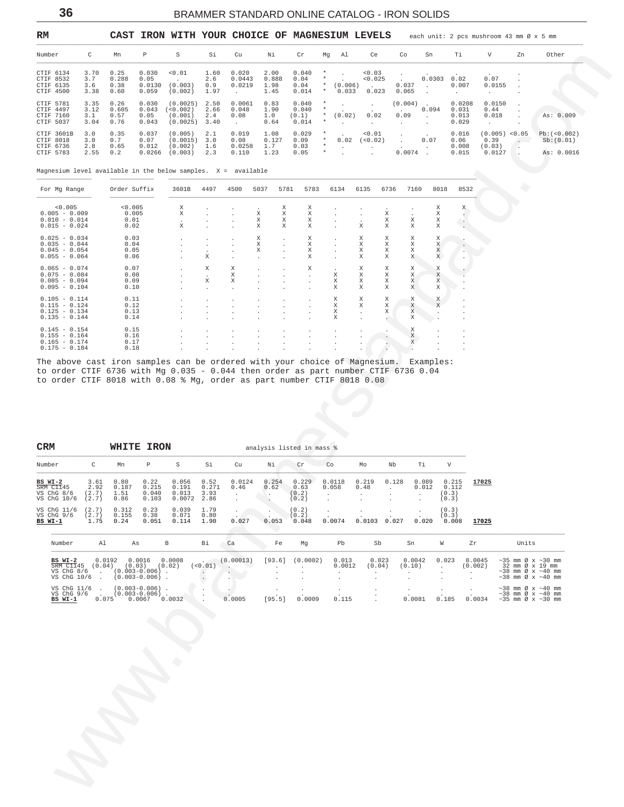36

## BRAMMER STANDARD ONLINE CATALOG - IRON SOLIDS

<span id="page-35-0"></span>

| RM                                                |                             |                               |                                  | CAST IRON WITH YOUR CHOICE OF MAGNESIUM LEVELS |                             |                                            |                               |                                  |                                         |                            |                                      |                                              |                          |                                   | each unit: 2 pcs mushroom 43 mm $\emptyset$ x 5 mm |     |                                        |
|---------------------------------------------------|-----------------------------|-------------------------------|----------------------------------|------------------------------------------------|-----------------------------|--------------------------------------------|-------------------------------|----------------------------------|-----------------------------------------|----------------------------|--------------------------------------|----------------------------------------------|--------------------------|-----------------------------------|----------------------------------------------------|-----|----------------------------------------|
| Number                                            | C                           | Mn                            | P                                | S                                              | Si                          | Cu                                         | Νi                            | Cr                               | Mq                                      | Al                         | Ce                                   | Co                                           | Sn                       | Ti                                | V                                                  | 7.n | Other                                  |
| CTIF 6134<br>CTIF 8532<br>CTIF 6135<br>CTIF 4500  | 3.70<br>3.7<br>3.6<br>3.38  | 0.25<br>0.288<br>0.38<br>0.60 | 0.030<br>0.05<br>0.0130<br>0.059 | < 0.01<br>(0.003)<br>(0.002)                   | 1.60<br>2.6<br>0.9<br>1.97  | 0.020<br>0.0443<br>0.0219                  | 2.00<br>0.888<br>1.98<br>1.45 | 0.040<br>0.04<br>0.04<br>0.014   | $\star$<br>$\star$<br>$\ast$            | $\sim$<br>(0.006)<br>0.033 | < 0.03<br>< 0.025<br>$\sim$<br>0.023 | $\sim$<br>0.037<br>0.065                     | 0.0303<br>$\sim$         | 0.02<br>0.007                     | 0.07<br>0.0155                                     |     |                                        |
| CTIF 5781<br>CTIF 4497<br>CTIF 7160<br>CTIF 5037  | 3.35<br>3.12<br>3.1<br>3.04 | 0.26<br>0.605<br>0.57<br>0.76 | 0.030<br>0.043<br>0.05<br>0.043  | (0.0025)<br>< 0.002<br>(0.001)<br>(0.0025)     | 2.50<br>2.66<br>2.4<br>3.40 | 0.0061<br>0.048<br>0.08<br><b>Contract</b> | 0.83<br>1.90<br>1.0<br>0.64   | 0.040<br>0.040<br>(0.1)<br>0.014 | $\star$<br>$\star$<br>$\star$<br>$\ast$ | (0.02)                     | $\sim$<br>0.02                       | $(0.004)$ .<br>0.09                          | 0.094<br>$\sim$          | 0.0208<br>0.031<br>0.013<br>0.029 | 0.0150<br>0.44<br>0.018                            |     | As: 0.009                              |
| CTIF 3601B<br>CTIF 8018<br>CTIF 6736<br>CTIF 5783 | 3.0<br>3.0<br>2.8<br>2.55   | 0.35<br>0.7<br>0.65<br>0.2    | 0.037<br>0.07<br>0.012<br>0.0266 | (0.005)<br>(0.0015)<br>(0.002)<br>(0.003)      | 2.1<br>3.0<br>1.6<br>2.3    | 0.019<br>0.08<br>0.0258<br>0.110           | 1.08<br>0.127<br>1.7<br>1.23  | 0.029<br>0.09<br>0.03<br>0.05    | $\star$<br>$\star$<br>$\ast$<br>$\ast$  | $\sim$<br>0.02             | < 0.01<br>(< 0.02)                   | $\ddot{\phantom{0}}$<br>$\sim$<br>$0.0074$ . | $\sim$<br>0.07<br>$\sim$ | 0.016<br>0.06<br>0.008<br>0.015   | $(0.005)$ <0.05<br>0.39<br>(0.03)<br>0.0127        |     | Pb:(<0.002)<br>Sb:(0.01)<br>As: 0.0016 |

Magnesium level available in the below samples.  $X = \alpha$ vailable

| For Mg Range                                                                                                   | Order Suffix | 3601B  | 4497                 | 4500                 | 5037         | 5781                 | 5783         | 6134         | 6135                 | 6736 | 7160      | 8018               | 8532         |
|----------------------------------------------------------------------------------------------------------------|--------------|--------|----------------------|----------------------|--------------|----------------------|--------------|--------------|----------------------|------|-----------|--------------------|--------------|
| < 0.005                                                                                                        | < 0.005      | X      |                      | $\mathbf{r}$         | $\cdot$      | Χ                    | X            |              | $\mathbf{r}$         |      |           | Χ                  | Х.           |
| $0.005 - 0.009$                                                                                                | 0.005        | X      | $\mathbf{r}$         | $\mathbf{r}$         | X            | X                    | Χ            | $\mathbf{r}$ | $\sim$               | Χ    |           | Χ                  |              |
| $0.010 - 0.014$                                                                                                | 0.01         |        | $\mathbf{r}$         | $\mathbf{r}$         | X            | X                    | X            |              | $\mathbf{r}$         | X    | X         | X                  |              |
| $0.015 - 0.024$                                                                                                | 0.02         | X      | $\mathbf{r}$         | $\mathbf{r}$         | X            | X                    | X            |              | X                    | X    | X         | X                  |              |
| $0.025 - 0.034$                                                                                                | 0.03         |        | $\mathbf{r}$         | $\sim$               | X            | $\ddot{\phantom{0}}$ | X            | $\mathbf{r}$ | X                    | Χ    | X         | X                  |              |
| $0.035 - 0.044$                                                                                                | 0.04         | $\sim$ | $\mathbf{r}$         | $\sim$               | X            | $\mathbf{r}$         | X            | $\mathbf{r}$ | $\mathbf{x}$         | X    | X         | X                  |              |
| $0.045 - 0.054$                                                                                                | 0.05         |        | $\mathbf{r}$         | $\mathbf{r}$         | X            | s.                   | X            | ÷.           | X                    | X    | X         | $\mathbf X$        |              |
| $0.055 - 0.064$                                                                                                | 0.06         |        | X                    | $\mathbf{r}$         | $\mathbf{r}$ | $\mathbf{r}$         | X            |              | X                    | X    | X         | X                  |              |
| $0.065 - 0.074$                                                                                                | 0.07         | $\sim$ | X                    | X                    | $\sim$       | $\sim$               | X            | $\mathbf{r}$ | X                    | Χ    | X         | Χ                  |              |
| $0.075 - 0.084$                                                                                                | 0.08         |        | $\mathbf{r}$         | X                    |              |                      | $\mathbf{r}$ | X            | X                    | X    | X         | X                  |              |
| $0.085 - 0.094$                                                                                                | 0.09         |        | X                    | X                    |              | $\mathbf{r}$         | $\mathbf{r}$ | X            | X                    | X    | X         | X                  |              |
| $0.095 - 0.104$                                                                                                | 0.10         |        | $\mathbf{r}$         | $\mathbf{r}$         |              | $\ddot{\phantom{0}}$ | $\mathbf{r}$ | X            | X                    | X    | X         | X                  |              |
| $0.105 - 0.114$                                                                                                | 0.11         |        | $\ddot{\phantom{0}}$ | $\bullet$            | $\mathbf{r}$ | $\cdot$              | $\cdot$      | X            | X                    | Χ    | X         | X                  | $\cdot$      |
| $0.115 - 0.124$                                                                                                | 0.12         |        | $\mathbf{r}$         | $\sim$               | $\mathbf{r}$ | $\sim$               | $\mathbf{r}$ | X            | X                    | X    | X         | X                  | $\mathbf{r}$ |
| $0.125 - 0.134$                                                                                                | 0.13         |        | $\mathbf{r}$         | $\sim$               | $\mathbf{r}$ | $\mathbf{r}$         | $\mathbf{r}$ | X            | $\mathbf{r}$         | X    | X         | $\mathbf{r}$       | $\mathbf{r}$ |
| $0.135 - 0.144$                                                                                                | 0.14         |        | $\mathbf{r}$         | $\ddot{\phantom{0}}$ |              | $\mathbf{r}$         | $\lambda$    | X            | $\mathbf{r}$         |      | X         |                    | $\cdot$      |
| $0.145 - 0.154$                                                                                                | 0.15         |        |                      |                      |              |                      |              |              |                      |      | X         | ÷.                 | $\mathbf{r}$ |
| $0.155 - 0.164$                                                                                                | 0.16         |        | $\mathbf{r}$         | $\ddot{\phantom{0}}$ | $\mathbf{r}$ | $\mathbf{r}$         | $\mathbf{r}$ | $\cdot$      | $\ddot{\phantom{0}}$ |      | X         | $\blacksquare$     | $\cdot$      |
| $0.165 - 0.174$                                                                                                | 0.17         |        |                      |                      |              |                      |              |              |                      |      | $\bar{x}$ |                    |              |
| $0.175 - 0.184$                                                                                                | 0.18         |        |                      | $\mathbf{r}$         | $\mathbf{r}$ |                      | $\mathbf{r}$ |              |                      |      |           |                    |              |
| mmata shahara dagama dagaan dagama dagama ta san magaalama dagama dagama dagama dagama dagama dagama dagama da |              |        |                      |                      |              |                      |              |              |                      |      |           | The course I was a |              |

The above cast iron samples can be ordered with your choice of Magnesium. Examples:<br>to order CTIF 6736 with Mg 0.035 - 0.044 then order as part number CTIF 6736 0.04<br>to order CTIF 8018 with 0.08 % Mg, order as part number

| <b>CRM</b>                                        |                               | WHITE                         | <b>IRON</b>                     |                                   |                               |                |               | analysis listed in mass %       |                            |               |       |                           |                                  |       |
|---------------------------------------------------|-------------------------------|-------------------------------|---------------------------------|-----------------------------------|-------------------------------|----------------|---------------|---------------------------------|----------------------------|---------------|-------|---------------------------|----------------------------------|-------|
| Number                                            | C                             | Mn                            | Р                               | S                                 | Si                            | Cu             | Νi            | Cr                              | Co                         | Mo            | Nb    | Τi                        | V                                |       |
| BS WI-2<br>SRM C1145<br>VS ChG 8/6<br>VS ChG 10/6 | 3.61<br>2.92<br>(2.7)<br>2.7) | 0.80<br>0.187<br>1.51<br>0.86 | 0.22<br>0.215<br>0.040<br>0.103 | 0.056<br>0.191<br>0.013<br>0.0072 | 0.52<br>0.271<br>3.93<br>2.86 | 0.0124<br>0.46 | 0.254<br>0.62 | 0.229<br>0.63<br>(0.2)<br>(0.2) | 0.0118<br>0.058<br>$\cdot$ | 0.219<br>0.48 | 0.128 | 0.089<br>0.012<br>$\cdot$ | 0.215<br>0.112<br>(0.3)<br>(0.3) | 17025 |
| VS ChG 11/6<br>VS ChG 9/6<br>BS WI-1              | 2.7)<br>(2.7)<br>1.75         | 0.312<br>0.155<br>0.24        | 0.23<br>0.38<br>0.051           | 0.039<br>0.071<br>0.114           | 1.79<br>0.80<br>1.90          | 0.027          | 0.053         | (0.2)<br>(0.2)<br>0.048         | 0.0074                     | 0.0103        | 0.027 | 0.020                     | (0.3)<br>(0.3)<br>0.008          | 17025 |

| Number                  | Al     | As                                         |        | Bi     | Ca        | Fe     | Mq       | Pb     | Sb     | Sn     | W     | Zr      | Units                                            |
|-------------------------|--------|--------------------------------------------|--------|--------|-----------|--------|----------|--------|--------|--------|-------|---------|--------------------------------------------------|
| $BS WI-2$               | 0.0192 | 0.0016                                     | 0.0008 |        | (0.00013) | [93.6] | (0.0002) | 0.013  | 0.023  | 0.0042 | 0.023 | 0.0045  | $\sim$ 35 mm Ø x $\sim$ 30 mm                    |
| SRM C1145<br>VS ChG 8/6 | (0.04) | (0.03)                                     | (0.02) | < 0.01 |           |        |          | 0.0012 | (0.04) | (0.10) |       | (0.002) | 32 mm Ø x 19 mm<br>$\sim$ 38 mm Ø x $\sim$ 40 mm |
| VS ChG 10/6             |        | $(0.003 - 0.006)$ .<br>$(0.003 - 0.006)$ . |        |        |           | . .    | $\sim$   |        |        |        |       |         | $\sim$ 38 mm Ø x $\sim$ 40 mm                    |
|                         |        |                                            |        |        |           |        |          |        |        |        |       |         |                                                  |
| VS ChG 11/6             |        | $(0.003 - 0.006)$ .                        |        |        |           |        |          |        |        |        |       |         | $\sim$ 38 mm Ø x $\sim$ 40 mm                    |
| VS $ChG$ 9/6            |        | $(0.003 - 0.006)$ .                        |        |        |           |        |          |        |        |        |       |         | $\sim$ 38 mm Ø x $\sim$ 40 mm                    |
| BS WI-1                 | 0.075  | 0.0067                                     | 0.0032 |        | 0.0005    | [95.5] | 0.0009   | 0.115  |        | 0.0081 | 0.185 | 0.0034  | $\sim$ 35 mm Ø x $\sim$ 30 mm                    |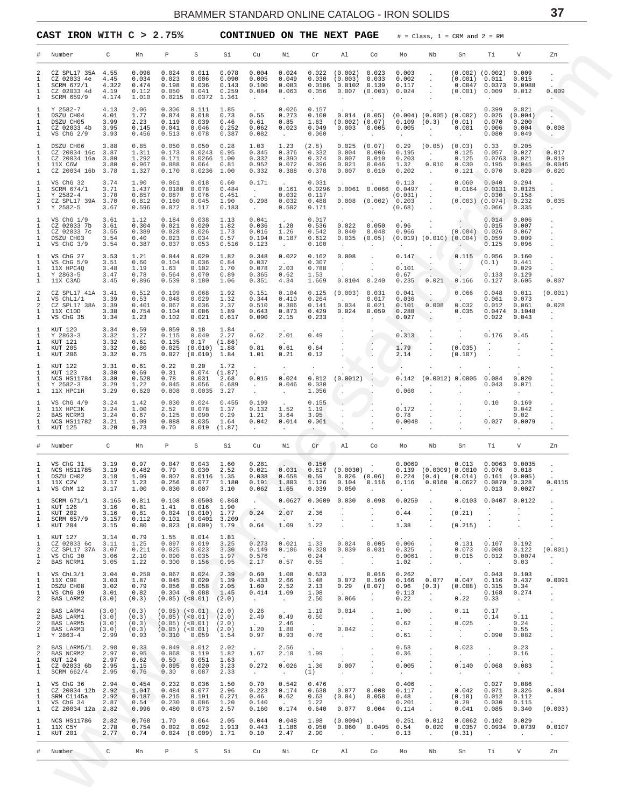<span id="page-36-0"></span>

|                                                        | CAST IRON WITH $C > 2.75\%$                                                         |                                          |                                           |                                                 |                                                                                                                               |                                           | <b>CONTINUED ON THE NEXT PAGE</b>                        |                                                          |                                                 |                                                                               |                                                         |                                           |                                                                                | $#$ = Class, 1 = CRM and 2 = RM                                                                                                          |                                                               |                                             |                                                     |
|--------------------------------------------------------|-------------------------------------------------------------------------------------|------------------------------------------|-------------------------------------------|-------------------------------------------------|-------------------------------------------------------------------------------------------------------------------------------|-------------------------------------------|----------------------------------------------------------|----------------------------------------------------------|-------------------------------------------------|-------------------------------------------------------------------------------|---------------------------------------------------------|-------------------------------------------|--------------------------------------------------------------------------------|------------------------------------------------------------------------------------------------------------------------------------------|---------------------------------------------------------------|---------------------------------------------|-----------------------------------------------------|
|                                                        | Number                                                                              | C                                        | Mn                                        | Р                                               | S                                                                                                                             | Si                                        | Cu                                                       | Νi                                                       | Cr                                              | Al                                                                            | Co                                                      | Mo                                        | Nb                                                                             | Sn                                                                                                                                       | Тi                                                            | V                                           | Zn                                                  |
| 2<br>$\mathbf{1}$<br>$\mathbf{1}$<br>1<br>1            | CZ SPL17 35A<br>CZ 02033 4e<br>SCRM 672/1<br>CZ 02033 4d<br>SCRM 659/9              | 4.55<br>4.45<br>4.322<br>4.19<br>4.174   | 0.096<br>0.034<br>0.474<br>0.112<br>1.010 | 0.024<br>0.023<br>0.198<br>0.050<br>0.0215      | 0.011<br>0.006<br>0.036<br>0.041<br>0.0372                                                                                    | 0.078<br>0.090<br>0.143<br>0.259<br>1.361 | 0.004<br>0.005<br>0.100<br>0.084<br>$\sim$               | 0.024<br>0.049<br>0.083<br>0.063<br>$\ddot{\phantom{0}}$ | 0.022<br>0.030<br>0.056<br>$\ddot{\phantom{0}}$ | (0.002)<br>(0.003) 0.033<br>$0.0186$ $0.0102$ $0.139$<br>$\ddot{\phantom{1}}$ | 0.023<br>$0.007$ $(0.003)$ $0.024$                      | 0.003<br>0.002<br>0.117                   | $\sim$<br>$\sim$<br>$\sim$<br>$\sim$                                           | (0.001) 0.011<br>(0.001) 0.009                                                                                                           | $(0.002)$ $(0.002)$ 0.009<br>0.0047 0.0373                    | 0.015<br>0.0988<br>0.012                    | 0.009                                               |
| -1<br>1<br>1<br>1<br>1                                 | Y 2582-7<br>DSZU CH04<br>DSZU CH05<br>CZ 02033 4b 3.95<br>VS ChG 2/9                | 4.13<br>4.01<br>3.99<br>3.93             | 2.06<br>1.77<br>2.23<br>0.145<br>0.456    | 0.306<br>0.074<br>0.119<br>0.041<br>0.513       | 0.111<br>0.018<br>0.039<br>0.046<br>0.078                                                                                     | 1.85<br>0.73<br>0.46<br>0.252<br>0.387    | 0.55<br>0.61<br>0.062<br>0.082                           | 0.026<br>0.273<br>0.85<br>0.023<br><b>Contract</b>       | 0.157<br>0.100<br>1.63<br>0.049<br>0.060        | $(0.002)$ $(0.07)$<br>$0.003$ 0.005<br>$\ddot{\phantom{a}}$                   | $0.014$ (0.05)                                          | 0.005<br>$\sim$                           | $\sim 100$<br>$\sim$                                                           | $(0.004)$ $(0.005)$ $(0.002)$ 0.025<br>$0.109$ $(0.3)$ $(0.01)$<br>$0.001$ $0.006$<br><b>Contract Contract</b>                           | 0.399<br>0.070<br>0.080                                       | 0.821<br>(0.004)<br>0.200<br>0.004<br>0.049 | 0.008<br>$\sim$ $\sim$                              |
| -1<br>1<br>1<br>1<br>1                                 | DSZU CH06<br>CZ 20034 16c 3.87<br>CZ 20034 16a 3.80<br>11X C6W<br>CZ 20034 16b 3.78 | 3.88<br>3.80                             | 0.85<br>1.311<br>1.292<br>0.967<br>1.327  | 0.050<br>0.173<br>0.171<br>0.088<br>0.170       | 0.050<br>$0.0243$ 0.95<br>$0.0266$ 1.00<br>0.064<br>$0.0236$ 1.00                                                             | 0.28<br>0.81                              | 1.03<br>0.345<br>0.332<br>0.952<br>0.332                 | 1.23<br>0.376<br>0.390<br>0.072<br>0.388                 | (2.8)<br>0.332<br>0.374<br>0.396<br>0.378       | $0.025$ $(0.07)$<br>0.004<br>0.007<br>0.021<br>0.007                          | 0.006<br>0.010<br>0.046<br>0.010                        | 0.29<br>0.195<br>0.203<br>1.32<br>0.202   | $(0.05)$ $(0.03)$<br><b>Contractor</b><br><b>Contractor</b>                    | 0.125<br>0.125<br>0.010 0.030<br>0.121                                                                                                   | 0.33<br>0.057<br>$0.0763$ $0.021$<br>0.195<br>0.070           | 0.205<br>0.027<br>0.045<br>0.029            | 0.017<br>0.019<br>0.0045<br>0.020                   |
| -1<br>1<br>$\mathbf{1}$<br>2<br>1                      | VS ChG 32<br>SCRM 674/1<br>Y 2582-4<br>CZ SPL17 39A 3.70<br>Y 2582-5                | 3.74<br>3.71<br>3.70<br>3.67             | 1.90<br>1.437<br>0.857<br>0.812<br>0.596  | 0.061<br>0.087<br>0.160<br>0.072                | 0.018<br>0.0180 0.078<br>0.076<br>0.045<br>0.117                                                                              | 0.60<br>0.484<br>0.451<br>1.90<br>0.183   | 0.171<br><b>Contractor</b><br>0.298<br><b>Contractor</b> | 0.161<br>0.032<br>0.032<br>0.502                         | 0.031<br>0.117<br>0.488<br>0.171                | 0.0296 0.0061 0.0066 0.0497<br><b>Contractor</b>                              | (0.031)<br>$0.008$ $(0.002)$ 0.203<br><b>Contractor</b> | 0.113<br>$(0.68)$ .                       | $\sim$ $\sim$<br><b>Contract</b><br>$\langle \frac{1}{2} \rangle$              | 0.060<br>$0.0164$ $0.0131$ $0.0125$<br>$(0.003)$ $(0.074)$<br>$\sim$                                                                     | 0.040<br>$0.030 \t 0.158$<br>0.066                            | 0.294<br>0.232<br>0.335                     | $\cdot$<br>$\cdot$<br>0.035<br>$\ddot{\phantom{a}}$ |
| -1<br>1<br>1<br>1<br>1                                 | VS $ChG$ $1/9$<br>CZ 02033 7b<br>CZ 02033 7c<br>DSZU CH03<br>VS $ChG$ $3/9$         | 3.61<br>3.61<br>3.55<br>3.54<br>3.54     | 1.12<br>0.304<br>0.389<br>0.40<br>0.387   | 0.184<br>0.021<br>0.028<br>0.023<br>0.037       | 0.038<br>0.020<br>0.026<br>0.034<br>0.053                                                                                     | 1.13<br>1.82<br>1.73<br>0.57<br>0.516     | 0.041<br>$0.036$ 1.28<br>0.016<br>0.194<br>0.123         | 1.26<br>0.187<br>$\sim$                                  | 0.017<br>0.536<br>0.542<br>0.612<br>0.100       | 0.022<br>0.040<br>$\ddot{\phantom{a}}$                                        | 0.050<br>0.048<br>$0.035$ $(0.05)$                      | 0.96<br>0.966<br>$\sim$                   | $\sim$ 10 $\sim$<br>$\sim$                                                     | $\sim$<br>$(0.004)$ 0.026<br>$(0.019)$ $(0.010)$ $(0.004)$ 0.059                                                                         | 0.014<br>0.015<br>0.125                                       | 0.006<br>0.007<br>0.067<br>0.009<br>0.096   |                                                     |
| -1<br>1<br>$\mathbf{1}$<br>1<br>1                      | VS ChG 27<br>VS $ChG5/9$<br>11X HPC40<br>Y 2863-5<br>11X C3AD                       | 3.53<br>3.51<br>3.48<br>3.47<br>3.45     | 1.21<br>0.60<br>1.19<br>0.78<br>0.896     | 0.044<br>0.104<br>1.63<br>0.564<br>0.539        | 0.029<br>0.036<br>0.102<br>0.070<br>0.180                                                                                     | 1.82<br>0.84<br>1.70<br>0.89<br>1.06      | 0.348<br>0.037<br>0.078<br>0.365<br>0.351                | 0.022<br><b>Contract</b><br>2.03<br>0.62<br>4.34         | 0.162<br>0.307<br>0.788<br>1.53<br>1.669        | 0.008<br>$\sim$<br>$\sim$<br>$0.0104$ $0.240$                                 | $\sim$                                                  | 0.147<br>0.101<br>0.67<br>0.235           | $0.021$ 0.166                                                                  | 0.115<br>$\sim$ $\sim$ $\sim$ $\sim$<br>$\sum_{i=1}^n$                                                                                   | 0.056<br>(0.1)<br>0.133<br>0.127                              | 0.160<br>0.441<br>0.029<br>0.129<br>0.605   | 0.007                                               |
| 2<br>$\mathbf{1}$<br>2<br>1<br>1                       | CZ SPL17 41A 3.41<br>VS ChL1/1<br>CZ SPL17 38A 3.39<br>11X C10D<br>VS ChG 35        | 3.39<br>3.38<br>3.34                     | 0.512<br>0.53<br>0.401<br>0.754<br>1.23   | 0.199<br>0.048<br>0.067<br>0.104<br>0.102       | 0.068<br>0.029<br>0.036<br>0.086<br>0.021                                                                                     | 1.92<br>1.32<br>2.37<br>1.89<br>0.617     | 0.151<br>0.344<br>0.510<br>0.643<br>0.090                | 0.104<br>0.410<br>0.306<br>0.873<br>2.15                 | 0.125<br>0.264<br>0.141<br>0.429<br>0.233       | (0.003) 0.031<br>0.034<br>0.024<br>$\sim$                                     | 0.017<br>0.021<br>0.059                                 | 0.041<br>0.036<br>0.101<br>0.288<br>0.027 | <b>Contract Contract</b><br>0.008<br><b>Contract Contract</b><br>$\rightarrow$ | 0.066<br><b>Contract Contract</b><br>0.032<br><b>Contractor</b>                                                                          | 0.048<br>0.061<br>0.012<br>$0.035$ $0.0474$ $0.1048$<br>0.022 | 0.011<br>0.073<br>0.061<br>0.043            | (0.001)<br>0.028                                    |
| -1<br>1<br>1<br>1<br>1                                 | KUT 120<br>$Y$ 2863-3<br>KUT 121<br>KUT 205<br>KUT 206                              | 3.34<br>3.32<br>3.32<br>3.32<br>3.32     | 0.59<br>1.27<br>0.61<br>0.80<br>0.75      | 0.059<br>0.115<br>0.135<br>0.025<br>0.027       | 0.18<br>0.049<br>0.17<br>$(0.010)$ 1.88<br>(0.010)                                                                            | 1.84<br>2.27<br>(1.86)<br>1.84            | 0.62<br><b>Contract</b><br>0.81<br>1.01                  | 2.01<br>0.61<br>0.21                                     | 0.49<br>0.64<br>0.12                            |                                                                               | $\sim$                                                  | 0.313<br>1.79<br>2.14                     | $\cdot$                                                                        | (0.035)<br>(0.107)                                                                                                                       | 0.176                                                         | 0.45                                        |                                                     |
| -1<br>1<br>1<br>1<br>1                                 | KUT 122<br>KUT 123<br>NCS HS11784<br>Y 2582-3<br>11X HPC1H                          | 3.31<br>3.30<br>3.30<br>3.29<br>3.29     | 0.61<br>0.69<br>0.528<br>1.22<br>0.620    | 0.22<br>0.31<br>0.78<br>0.045<br>0.808          | 0.20<br>$0.074$ $(1.87)$<br>0.031<br>0.056<br>0.0035                                                                          | 1.72<br>2.68<br>0.689<br>3.27             | $\sim$<br>0.015<br>$\sim 10^{-10}$ m $^{-1}$             | $\sim$<br>0.024<br>0.046<br>$\sim$                       | $\sim$<br>0.812<br>0.030<br>1.056               | $(0.0012)$ .<br><b>Contract Contract Contract</b>                             | $\sim$                                                  | $\sim$<br>0.142<br>0.060                  |                                                                                | (0.0012) 0.0005 0.084                                                                                                                    | 0.043<br>$\ddot{\phantom{0}}$                                 | 0.020<br>0.071                              |                                                     |
| -1<br>$\mathbf{1}$<br>2<br>1<br>1                      | VS ChG $4/9$<br>11X HPC3K<br>BAS NCRM3<br>NCS HS11782<br>KUT 125                    | 3.24<br>3.24<br>3.24<br>3.21<br>3.20     | 1.42<br>1.00<br>0.67<br>1.09<br>0.73      | 0.030<br>2.52<br>0.125<br>0.088<br>0.70         | 0.024<br>0.078<br>0.090<br>0.035<br>0.019                                                                                     | 0.455<br>1.37<br>0.29<br>1.64<br>(1.87)   | 0.199<br>0.132<br>1.21<br>0.042<br>$\cdot$               | 1.52<br>3.64<br>0.014<br>$\ddot{\phantom{1}}$            | 0.155<br>1.19<br>3.95<br>0.061<br>$\sim$        | $\sim$                                                                        | $\overline{\phantom{a}}$                                | 0.172<br>0.78<br>0.0048                   |                                                                                |                                                                                                                                          | 0.10<br>$\sim 10^{-11}$<br>0.027<br>$\cdot$                   | 0.169<br>0.042<br>0.02<br>0.0079            |                                                     |
|                                                        | Number                                                                              | C                                        | Мn                                        | Р                                               | S                                                                                                                             | Si                                        | Cu                                                       | Νi                                                       | $\operatorname{Cr}$                             | Al                                                                            | Co                                                      | Mo                                        | Nb                                                                             | Sn                                                                                                                                       | Тi                                                            | V                                           | Zn                                                  |
| 1<br>$\mathbf{1}$<br>$\mathbf{1}$<br>$\mathbf{1}$      | VS ChG 31<br>NCS HS11785<br>DSZU CH02<br>11X C2V<br>VS ChM 12                       | 3.19<br>3.19<br>3.18<br>3.17<br>3.17     | 0.97<br>0.482<br>1.09<br>1.23<br>1.00     | 0.047<br>0.79<br>0.007<br>0.256<br>0.030        | 0.043<br>0.030 2.52<br>$0.0116$ 1.35<br>$0.077$ 1.180<br>$0.007$ 3.10                                                         | 1.60                                      | 0.281<br>0.038<br>0.191<br>0.062                         | $\mathbf{r}$<br>0.658<br>1.803<br>1.65                   | 0.156<br>0.59<br>1.126<br>0.039                 | $0.021$ $0.031$ $0.817$ $(0.0030)$ .<br>0.104<br>0.050                        | <b>Contract Contract</b><br>0.116<br>$\sim$             | 0.0069<br>0.116<br>$\sim$                 | 0.0160<br>$\cdot$                                                              | $0.013$ $0.0063$ $0.0035$<br>$0.139$ $(0.0009)$ $0.0010$ $0.076$ $0.018$<br>$0.026$ $(0.06)$ $0.224$ $(0.4)$ $(0.014)$ $0.161$ $(0.005)$ | $0.0627$ $0.0870$ $0.328$                                     | $0.013$ $0.0027$                            | 0.0115<br>$\cdot$                                   |
| $\mathbf{1}$<br>$\mathbf{1}$<br>1<br>1<br>1            | SCRM 671/1<br>KUT 126<br>KUT 202<br>SCRM 657/9<br>KUT 204                           | 3.165<br>3.16<br>3.16<br>3.157<br>3.15   | 0.811<br>0.81<br>0.81<br>0.112<br>0.80    | 0.108<br>1.41<br>0.024<br>0.101<br>0.023        | $0.0503$ $0.868$<br>$0.016$ 1.90<br>$(0.010)$ 1.77<br>$0.0401$ 3.209<br>$(0.009)$ 1.79                                        |                                           | <b>Allen</b><br>0.24<br>0.64                             | 0.0627<br>2.07<br>1.09                                   | 0.0609<br>2.36<br>1.22                          | 0.030                                                                         | 0.098                                                   | 0.0259<br>0.44<br>1.38                    |                                                                                | (0.21)<br>(0.215)                                                                                                                        | $0.0103$ 0.0407 0.0122                                        |                                             |                                                     |
| 1<br>$\mathbf{1}$<br>2<br>$\mathbf{1}$<br>2            | KUT 127<br>CZ 02033 6c 3.11<br>CZ SPL17 37A 3.07<br>VS ChG 30<br>BAS NCRM1          | 3.14<br>3.06<br>3.05                     | 0.79<br>1.25<br>0.211<br>2.10<br>1.22     | 1.55<br>0.097<br>0.025<br>0.090<br>0.300        | 0.014<br>0.019<br>0.023<br>0.035<br>0.156                                                                                     | 1.81<br>3.25<br>3.30<br>1.97<br>0.95      | 0.273<br>0.149<br>0.576<br>2.17                          | 0.021<br>0.106<br><b>Contractor</b><br>0.57              | 1.33<br>0.328<br>0.24<br>0.55                   | 0.024<br>0.039<br>$\sim 10^{-11}$<br>$\sim$                                   | 0.005<br>0.031<br>$\sim$<br>$\sim$                      | 0.006<br>0.325<br>0.0061<br>1.02          | $\sim$<br>$\sim$<br>$\sim$ 10 $\pm$<br>$\sim$                                  | 0.131<br>0.073<br>0.015<br>$\sim 10^{-1}$                                                                                                | 0.107<br>0.008<br>0.012<br>$\sim 10^{-11}$                    | 0.192<br>0.122<br>0.0074<br>0.03            | (0.001)<br>$\blacksquare$<br>$\cdot$                |
| 1<br>1<br>$\mathbf{1}$<br>$\mathbf{1}$<br>2            | VS ChL3/1<br>11X C9E<br>DSZU CH08<br>VS ChG 39<br>BAS LARM2                         | 3.04<br>3.03<br>3.02<br>3.01<br>(3.0)    | 0.250<br>1.87<br>0.79<br>0.82<br>(0.3)    | 0.067<br>0.045<br>0.056                         | 0.024<br>0.020<br>0.058<br>$0.304$ 0.088<br>$(0.05)$ $(<0.01)$ $(2.0)$                                                        | 2.39<br>1.39<br>2.05<br>1.45              | 0.60<br>0.433<br>1.60<br>0.414<br>$\sim 10^{-11}$        | 1.08<br>2.66<br>2.52<br>1.09<br>$\sim 10^{-1}$           | 0.533<br>1.48<br>2.13<br>1.08<br>2.50           | 0.072<br>0.29<br>0.066                                                        | 0.016<br>0.169<br>(0.07)<br>$\sim$                      | 0.262<br>0.166<br>0.96<br>0.113<br>0.22   | 0.077<br>(0.3)<br>$\sim 100$<br>$\Box$                                         | 0.047<br>$(0.008)$ 0.315<br>0.22                                                                                                         | 0.043<br>0.116<br>0.168<br>0.33                               | 0.103<br>0.437<br>0.34<br>0.274<br>$\sim$   | 0.0091<br>$\cdot$<br>$\cdot$                        |
| 2<br>2<br>2<br>2<br>$\mathbf{1}$                       | BAS LARM4<br>BAS LARM1<br>BAS LARM5<br>BAS LARM3<br>$Y 2863 - 4$                    | (3.0)<br>(3.0)<br>(3.0)<br>(3.0)<br>2.99 | (0.3)<br>(0.3)<br>(0.3)<br>(0.3)<br>0.93  | 0.310                                           | $(0.05)$ $(<0.01)$ $(2.0)$<br>$(0.05)$ $(<0.01)$ $(2.0)$<br>$(0.05)$ $(<0.01)$ $(2.0)$<br>$(0.05)$ $(<0.01)$ $(2.0)$<br>0.059 | 1.54                                      | 0.26<br>2.49<br>$\sim 10^{-11}$<br>$1\,.20$<br>0.97      | 0.49<br>2.46<br>1.80<br>0.93                             | 1.19<br>0.50<br>$\sim$ $-$<br>0.76              | 0.014<br>$\sim 10^{-11}$<br>0.042<br>$\sim 10^{-11}$                          | $\cdot$<br>$\cdot$                                      | 1.00<br>0.62<br>0.61                      | $\cdot$<br>$\ddot{\phantom{a}}$                                                | 0.11<br>0.025<br>$\Box$                                                                                                                  | 0.17<br>0.14<br>$\sim 10^{-11}$<br>0.090                      | 0.11<br>0.24<br>0.55<br>0.082               | $\cdot$                                             |
| 2<br>2<br>1<br>$\mathbf{1}$<br>$\mathbf{1}$            | BAS LARM5/1 2.98<br>BAS NCRM2<br>KUT 124<br>CZ 02033 6b 2.95<br>SCRM 662/4          | 2.97<br>2.97<br>2.95                     | 0.33<br>0.95<br>0.62<br>1.15<br>0.76      | 0.049<br>0.068<br>0.50<br>0.095<br>0.30         | 0.012<br>0.119<br>0.051<br>0.020<br>0.087                                                                                     | 2.02<br>1.82<br>1.63<br>3.23<br>2.33      | 1.67<br>0.272<br><b>Contract</b>                         | 2.56<br>2.10<br>0.026<br>$\sim 10^{-11}$                 | 1.99<br>1.36<br>(1)                             | $\sim$<br>0.007<br>$\sim 10^{-11}$                                            |                                                         | 0.58<br>0.36<br>0.005<br><b>Contract</b>  | $\cdot$<br>$\cdot$<br>$\cdot$                                                  | 0.023<br>$\sim 10^{-11}$<br>0.140<br>$\sim$                                                                                              | $\sim$<br>$\sim$<br>0.068<br>$\sim 10^{-11}$                  | 0.23<br>0.16<br>0.083<br>$\sim$             |                                                     |
| 1<br>$\mathbf{1}$<br>1<br>$\mathbf{1}$<br>$\mathbf{1}$ | VS ChG 36<br>CZ 20034 12b 2.92<br>SRM C1145a<br>VS ChG 34<br>CZ 20034 12a 2.82      | 2.94<br>2.92<br>2.87                     | 0.454<br>1.047<br>0.54<br>0.996           | 0.232<br>0.484<br>0.187 0.215<br>0.230<br>0.480 | 0.036<br>0.077<br>0.191<br>0.086<br>0.073                                                                                     | 1.50<br>2.96<br>0.271<br>1.20<br>2.57     | 0.70<br>0.223<br>0.46<br>0.140<br>0.160                  | 0.542<br>0.174<br>0.62<br>0.174                          | 0.476<br>0.638<br>0.63<br>1.22<br>0.640         | 0.077<br>(0.04)<br>0.077                                                      | 0.008<br>0.058<br>0.004                                 | 0.406<br>0.117<br>0.48<br>0.201<br>0.114  | $\sim$<br>$\sim$<br>$\sim$<br>$\sim$ $\sim$<br>$\sim$                          | 0.042<br>(0.10)<br>0.29<br>0.041                                                                                                         | 0.027<br>0.071<br>0.012<br>0.030<br>0.085                     | 0.086<br>0.326<br>0.112<br>0.115<br>0.340   | 0.004<br>$\sim$<br>(0.003)                          |
| 1<br>1<br>1                                            | NCS HS11786<br>11X C5Y<br>KUT 201                                                   | 2.82<br>2.78<br>2.77                     | 0.768<br>0.754<br>0.74                    | 1.70<br>0.092<br>0.024                          | 0.064<br>0.092<br>$(0.009)$ 1.71                                                                                              | 2.05<br>1.913                             | 0.044<br>0.443<br>0.10                                   | 0.048<br>1.186<br>2.47                                   | 1.98<br>0.950<br>2.90                           | (0.0094)<br>0.060<br>$\sim$                                                   | 0.0495<br>$\sim$                                        | 0.251<br>0.54<br>0.13                     | 0.012<br>0.020<br>$\sim$                                                       | $0.0062$ $0.102$<br>(0.31)                                                                                                               | 0.0357 0.0934 0.0739<br>$\sim$                                | 0.029<br>$\cdot$                            | 0.0107<br>$\sim$                                    |
| #                                                      | Number                                                                              | $\mathbb{C}$<br>N.                       | Mn                                        | P                                               | S                                                                                                                             | Si                                        | Cu                                                       | Νi                                                       | Cr                                              | Al                                                                            | Co                                                      | Mo                                        | Nb                                                                             | Sn                                                                                                                                       | Ti                                                            | V                                           | Zn                                                  |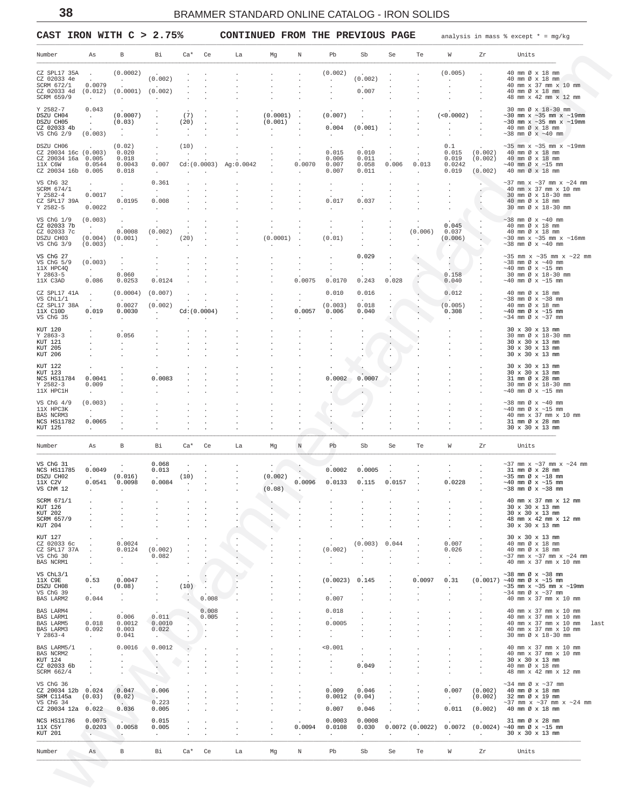<span id="page-37-0"></span>CAST IRON WITH  $C > 2.75$ %

CONTINUED FROM THE PREVIOUS PAGE

analysis in mass  $%$  except  $* = mg/kg$ 

| Number                                     | As                        | В                 | Вi                 | $Ca*$   | Ce                   | La         | Mg                      | Ν           | Pb                | Sb               | Se      | Te                | W                | Zr                 | Units                                                               |
|--------------------------------------------|---------------------------|-------------------|--------------------|---------|----------------------|------------|-------------------------|-------------|-------------------|------------------|---------|-------------------|------------------|--------------------|---------------------------------------------------------------------|
| CZ SPL17 35A                               |                           | (0.0002)          |                    |         |                      |            |                         |             | (0.002)           |                  |         |                   | (0.005)          |                    | 40 mm Ø x 18 mm                                                     |
| CZ 02033 4e<br>SCRM 672/1                  | 0.0079                    | $\sim$            | (0.002)            |         |                      |            |                         |             |                   | (0.002)          |         |                   |                  |                    | 40 mm Ø x 18 mm<br>40 mm x 37 mm x 10 mm                            |
| CZ 02033 4d<br>SCRM 659/9                  | (0.012)                   | (0.0001)          | (0.002)            |         |                      |            |                         |             |                   | 0.007            |         |                   |                  |                    | 40 mm Ø x 18 mm<br>48 mm x 42 mm x 12 mm                            |
|                                            | $\sim$                    | $\cdot$           |                    |         |                      |            |                         |             |                   |                  |         |                   |                  |                    |                                                                     |
| Y 2582-7<br>DSZU CH04                      | 0.043<br>$\cdot$          | (0.0007)          |                    | (7)     |                      |            | (0.0001)                |             | (0.007)           |                  |         |                   | (<0.0002)        |                    | 30 mm Ø x 18-30 mm<br>$\sim$ 30 mm x $\sim$ 35 mm x $\sim$ 19mm     |
| DSZU CH05<br>CZ 02033 4b                   |                           | (0.03)            |                    | (20)    |                      |            | (0.001)                 |             | 0.004             | (0.001)          |         |                   | $\blacksquare$   |                    | $\sim$ 30 mm x $\sim$ 35 mm x $\sim$ 19mm<br>40 mm Ø x 18 mm        |
| VS ChG 2/9                                 | (0.003)                   | $\cdot$           |                    | $\cdot$ |                      |            |                         |             |                   |                  |         |                   |                  |                    | $\sim$ 38 mm Ø x $\sim$ 40 mm                                       |
| DSZU CH06                                  |                           | (0.02)            |                    | (10)    |                      |            |                         |             |                   |                  |         |                   | 0.1              |                    | $\sim$ 35 mm x $\sim$ 35 mm x $\sim$ 19mm                           |
| CZ 20034 16c (0.003)<br>CZ 20034 16a 0.005 |                           | 0.020<br>0.018    |                    |         |                      |            |                         |             | 0.015<br>0.006    | 0.010<br>0.011   |         |                   | 0.015<br>0.019   | (0.002)<br>(0.002) | 40 mm Ø x 18 mm<br>40 mm Ø x 18 mm                                  |
| 11X C6W                                    | 0.0544                    | 0.0043            | 0.007              |         | Cd: (0.0003)         | Ag: 0.0042 |                         | 0.0070      | 0.007             | 0.058            | 0.006   | 0.013             | 0.0242           |                    | $~10$ mm Ø x $~15$ mm                                               |
| CZ 20034 16b 0.005                         |                           | 0.018             | $\cdot$            |         |                      |            |                         |             | 0.007             | 0.011            |         |                   | 0.019            | (0.002)            | 40 mm Ø x 18 mm                                                     |
| VS ChG 32<br>SCRM 674/1                    | $\cdot$                   |                   | 0.361<br>$\cdot$   |         |                      |            |                         |             |                   |                  |         |                   |                  |                    | $\sim$ 37 mm x $\sim$ 37 mm x $\sim$ 24 mm<br>40 mm x 37 mm x 10 mm |
| $Y$ 2582-4                                 | 0.0017                    | $\cdot$           |                    |         |                      |            |                         |             |                   |                  |         |                   |                  |                    | 30 mm Ø x 18-30 mm                                                  |
| CZ SPL17 39A<br>$Y$ 2582-5                 | $\sim 10^{-10}$<br>0.0022 | 0.0195<br>$\cdot$ | 0.008              |         |                      |            |                         |             | 0.017             | 0.037            |         |                   |                  |                    | 40 mm Ø x 18 mm<br>30 mm Ø x 18-30 mm                               |
| VS ChG 1/9                                 | (0.003)                   |                   |                    |         |                      |            |                         |             |                   |                  |         |                   |                  |                    | $\sim$ 38 mm Ø x $\sim$ 40 mm                                       |
| CZ 02033 7b                                | $\sim$                    | $\cdot$           |                    |         |                      |            |                         |             |                   |                  |         |                   | 0.045            |                    | 40 mm Ø x 18 mm                                                     |
| CZ 02033 7c<br>DSZU CH03                   | (0.004)                   | 0.0008<br>(0.001) | (0.002)<br>$\cdot$ | (20)    |                      |            | (0.0001)                |             | (0.01)            |                  |         | (0.006)           | 0.037<br>(0.006) |                    | 40 mm Ø x 18 mm<br>$\sim$ 30 mm x $\sim$ 35 mm x $\sim$ 16mm        |
| VS ChG 3/9                                 | (0.003)                   |                   |                    |         |                      |            |                         |             |                   |                  |         |                   | $\cdot$          |                    | $\sim$ 38 mm Ø x $\sim$ 40 mm                                       |
| VS ChG 27                                  |                           |                   |                    |         |                      |            |                         |             |                   | 0.029            |         |                   |                  |                    | $\sim$ 35 mm x $\sim$ 35 mm x $\sim$ 22 mm                          |
| VS ChG 5/9<br>11X HPC4Q                    | (0.003)                   |                   |                    |         |                      |            |                         |             |                   |                  |         |                   |                  |                    | $\sim$ 38 mm Ø x $\sim$ 40 mm<br>$~10$ mm Ø x $~15$ mm              |
| $Y$ 2863-5                                 | $\sim$                    | 0.060             |                    |         |                      |            |                         |             |                   |                  | $\cdot$ |                   | 0.158            |                    | 30 mm Ø x 18-30 mm                                                  |
| 11X C3AD                                   | 0.086                     | 0.0253            | 0.0124             |         |                      |            |                         | 0.0075      | 0.0170            | 0.243            | 0.028   |                   | 0.040            |                    | $~10$ mm Ø x $~15$ mm                                               |
| CZ SPL17 41A<br>VS ChL1/1                  | $\cdot$                   | (0.0004)          | (0.007)            |         |                      |            |                         |             | 0.010             | 0.016            |         |                   | 0.012            |                    | 40 mm Ø x 18 mm<br>$\sim$ 38 mm Ø x $\sim$ 38 mm                    |
| CZ SPL17 38A                               | $\sim$                    | 0.0027            | (0.002)            |         |                      |            |                         |             | (0.003)           | 0.018            |         |                   | (0.005)          |                    | 40 mm Ø x 18 mm                                                     |
| 11X C10D<br>VS ChG 35                      | 0.019                     | 0.0030<br>$\cdot$ | $\cdot$            |         | Cd: (0.0004)         |            |                         | 0.0057      | 0.006             | 0.040            |         |                   | 0.308            |                    | $~10$ mm Ø x $~15$ mm<br>$\sim$ 34 mm Ø x $\sim$ 37 mm              |
|                                            |                           |                   |                    |         |                      |            |                         |             |                   |                  |         |                   |                  |                    |                                                                     |
| KUT 120<br>$Y$ 2863-3                      |                           | 0.056             |                    |         |                      |            |                         |             |                   |                  |         |                   |                  |                    | 30 x 30 x 13 mm<br>30 mm Ø x 18-30 mm                               |
| KUT 121<br>KUT 205                         |                           | $\bullet$         |                    |         |                      |            |                         |             |                   |                  |         |                   |                  |                    | 30 x 30 x 13 mm<br>30 x 30 x 13 mm                                  |
| KUT 206                                    |                           |                   |                    |         |                      |            |                         |             |                   |                  |         |                   |                  |                    | 30 x 30 x 13 mm                                                     |
| KUT 122                                    |                           |                   |                    |         |                      |            |                         |             |                   |                  |         |                   |                  |                    | 30 x 30 x 13 mm                                                     |
| KUT 123<br>NCS HS11784                     | 0.0041                    |                   | 0.0083             |         |                      |            |                         |             | 0.0002            | 0.0007           |         |                   |                  |                    | 30 x 30 x 13 mm<br>31 mm Ø x 28 mm                                  |
| $Y$ 2582-3                                 | 0.009                     |                   |                    |         |                      |            |                         |             |                   |                  |         |                   |                  |                    | 30 mm Ø x 18-30 mm                                                  |
| 11X HPC1H                                  |                           |                   |                    |         |                      |            |                         |             |                   |                  |         |                   |                  |                    | $\sim$ 40 mm Ø x $\sim$ 15 mm                                       |
| VS ChG 4/9<br>11X HPC3K                    | (0.003)                   |                   |                    |         |                      |            |                         |             |                   |                  |         |                   |                  |                    | $\sim$ 38 mm Ø x $\sim$ 40 mm<br>$~10$ mm Ø x $~15$ mm              |
| <b>BAS NCRM3</b>                           | $\cdot$                   |                   |                    |         |                      |            |                         |             |                   |                  |         |                   |                  |                    | 40 mm x 37 mm x 10 mm                                               |
| NCS HS11782<br>KUT 125                     | 0.0065                    |                   |                    |         |                      |            |                         |             |                   |                  |         |                   |                  |                    | 31 mm Ø x 28 mm<br>30 x 30 x 13 mm                                  |
| Number                                     | As                        | В                 | Вi                 | $Ca*$   | Ce                   | La         | Mg                      | $\mathbb N$ | Pb                | Sb               | Se      | Te                | W                | Zr                 | Units                                                               |
|                                            |                           |                   |                    |         |                      |            |                         |             |                   |                  |         |                   |                  |                    |                                                                     |
| VS ChG 31<br>NCS HS11785                   | 0.0049                    |                   | 0.068<br>0.013     |         |                      |            |                         |             | 0.0002            | 0.0005           |         |                   |                  |                    | $\sim$ 37 mm $x \sim$ 37 mm $x \sim$ 24 mm<br>31 mm Ø x 28 mm       |
| DSZU CH02                                  |                           | (0.016)           |                    | (10)    |                      |            | (0.002)                 |             |                   |                  |         |                   |                  |                    | $~135$ mm Ø x $~18$ mm                                              |
| 11X C2V<br>VS ChM 12                       | 0.0541<br>$\sim$          | 0.0098<br>$\cdot$ | 0.0084<br>$\cdot$  | $\cdot$ |                      |            | $\sim$ $\sim$<br>(0.08) | 0.0096      | 0.0133<br>$\cdot$ | 0.115<br>$\cdot$ | 0.0157  |                   | 0.0228           |                    | $~\sim$ 40 mm Ø x $~\sim$ 15 mm<br>$\sim$ 38 mm Ø x $\sim$ 38 mm    |
| SCRM 671/1                                 |                           |                   |                    |         |                      |            |                         |             |                   |                  |         |                   |                  |                    | 40 mm x 37 mm x 12 mm                                               |
| KUT 126                                    |                           |                   |                    |         |                      |            |                         |             |                   |                  |         |                   |                  |                    | 30 x 30 x 13 mm                                                     |
| KUT 202<br>SCRM 657/9                      |                           |                   |                    |         |                      |            |                         |             |                   |                  |         |                   |                  |                    | 30 x 30 x 13 mm<br>48 mm x 42 mm x 12 mm                            |
| KUT 204                                    |                           |                   |                    |         |                      |            |                         |             |                   |                  |         |                   |                  |                    | 30 x 30 x 13 mm                                                     |
| KUT 127                                    |                           |                   |                    |         |                      | $\cdot$    |                         |             |                   |                  |         |                   |                  |                    | 30 x 30 x 13 mm                                                     |
| CZ 02033 6c<br>CZ SPL17 37A                |                           | 0.0024<br>0.0124  | (0.002)            |         |                      | $\cdot$    |                         |             | (0.002)           | (0.003)          | 0.044   |                   | 0.007<br>0.026   |                    | 40 mm Ø x 18 mm<br>40 mm Ø x 18 mm                                  |
| VS ChG 30                                  |                           | $\cdot$           | 0.082              |         |                      |            |                         |             | $\cdot$           |                  |         |                   | $\cdot$          |                    | $\sim$ 37 mm $x \sim$ 37 mm $x \sim$ 24 mm                          |
| BAS NCRM1                                  |                           |                   | $\cdot$            |         |                      |            |                         |             |                   |                  |         |                   |                  |                    | 40 mm x 37 mm x 10 mm                                               |
| VS ChL3/1                                  | 0.53                      | 0.0047            |                    |         |                      |            |                         |             | (0.0023)          | 0.145            |         | 0.0097            |                  |                    | $~1$ 38 mm Ø x $~1$ 38 mm<br>$(0.0017)$ ~40 mm Ø x ~15 mm           |
| 11X C9E<br>DSZU CH08                       | $\sim$                    | (0.08)            |                    | (10)    | $\cdot$              |            |                         |             | $\bullet$         |                  |         |                   | 0.31<br>$\cdot$  |                    | $\sim$ 35 mm x $\sim$ 35 mm x $\sim$ 19mm                           |
| VS ChG 39<br>BAS LARM2                     | 0.044                     | $\cdot$           |                    |         | 0.008                |            |                         |             | 0.007             |                  |         |                   |                  |                    | $\sim$ 34 mm Ø x $\sim$ 37 mm<br>40 mm x 37 mm x 10 mm              |
|                                            |                           |                   |                    |         |                      |            |                         |             |                   |                  |         |                   |                  |                    |                                                                     |
| BAS LARM4<br><b>BAS LARM1</b>              | $\cdot$                   | 0.006             | 0.011              |         | 0.008<br>0.005       |            |                         |             | 0.018             |                  |         |                   |                  |                    | 40 mm x 37 mm x 10 mm<br>40 mm x 37 mm x 10 mm                      |
| <b>BAS LARM5</b><br>BAS LARM3              | 0.018<br>0.092            | 0.0012<br>0.003   | 0.0010<br>0.022    |         | $\ddot{\phantom{a}}$ |            |                         |             | 0.0005            |                  |         |                   |                  |                    | 40 mm x 37 mm x 10 mm<br>40 mm x 37 mm x 10 mm                      |
| $Y$ 2863-4                                 | $\ddot{\phantom{0}}$      | 0.041             | $\cdot$            |         |                      |            |                         |             | $\cdot$           |                  |         |                   |                  |                    | 30 mm Ø x 18-30 mm                                                  |
| BAS LARM5/1                                |                           | 0.0016            | 0.0012             |         |                      |            |                         |             | < 0.001           |                  |         |                   |                  |                    | 40 mm x 37 mm x 10 mm                                               |
| BAS NCRM2                                  |                           | $\cdot$           | $\cdot$            |         |                      |            |                         |             | $\cdot$           |                  |         |                   |                  |                    | 40 mm x 37 mm x 10 mm                                               |
| KUT 124<br>CZ 02033 6b                     |                           |                   | $\cdot$            |         |                      |            |                         |             |                   | 0.049            |         |                   |                  |                    | 30 x 30 x 13 mm<br>40 mm Ø x 18 mm                                  |
| SCRM 662/4                                 |                           |                   |                    |         |                      |            |                         |             |                   | $\cdot$          |         |                   |                  |                    | 48 mm x 42 mm x 12 mm                                               |
| VS ChG 36                                  |                           |                   |                    |         |                      |            |                         |             |                   |                  |         |                   |                  |                    | $\sim$ 34 mm Ø x $\sim$ 37 mm                                       |
| CZ 20034 12b<br>SRM C1145a                 | 0.024<br>(0.03)           | 0.047<br>(0.02)   | 0.006              |         |                      |            |                         |             | 0.009<br>0.0012   | 0.046<br>(0.04)  |         |                   | 0.007<br>$\cdot$ | (0.002)<br>(0.002) | 40 mm Ø x 18 mm<br>32 mm Ø x 19 mm                                  |
| VS ChG 34                                  |                           | 0.036             | 0.223              |         |                      |            |                         |             | 0.007             |                  |         |                   | 0.011            |                    | $\sim$ 37 mm $x \sim$ 37 mm $x \sim$ 24 mm<br>40 mm Ø x 18 mm       |
| CZ 20034 12a 0.022                         |                           |                   | 0.005              |         |                      |            |                         |             |                   | 0.046            |         |                   |                  | (0.002)            |                                                                     |
| NCS HS11786<br>11X C5Y                     | 0.0075<br>0.0203          | 0.0058            | 0.015<br>0.005     |         |                      |            |                         | 0.0094      | 0.0003<br>0.0108  | 0.0008<br>0.030  |         | $0.0072$ (0.0022) | 0.0072           |                    | 31 mm Ø x 28 mm<br>$(0.0024)$ ~40 mm Ø x ~15 mm                     |
| KUT 201                                    | $\cdot$                   | $\cdot$           | $\cdot$            |         |                      |            |                         |             | $\cdot$           | $\cdot$          |         |                   | $\cdot$          | $\cdot$            | 30 x 30 x 13 mm                                                     |
| Number                                     | As                        | В                 | Вi                 | Ca*     | Ce                   | La         | Mg                      | Ν           | Pb                | Sb               | Se      | Te                | W                | Zr                 | Units                                                               |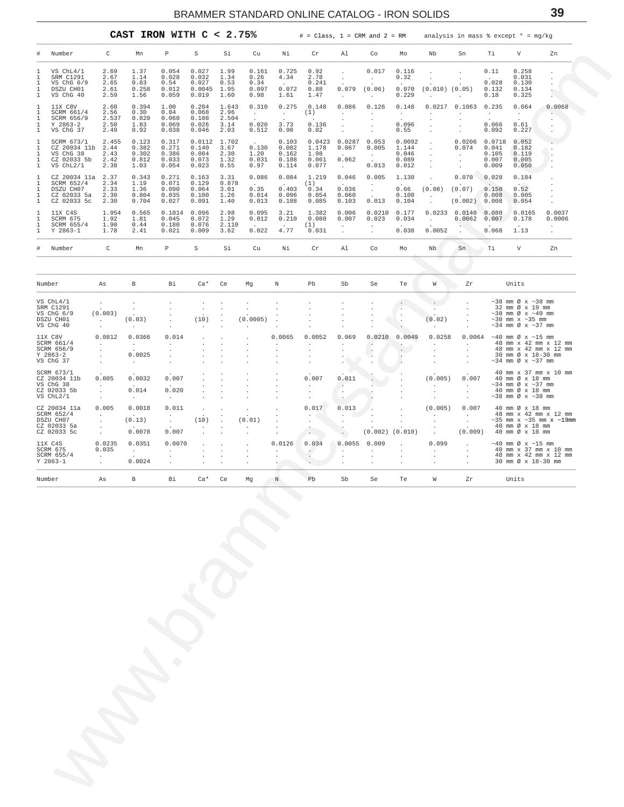<span id="page-38-0"></span>

| #<br>ı<br>1<br>1<br>1<br>1                       | Number<br>VS ChL4/1<br>SRM C1291<br>VS ChG 6/9<br>DSZU CH01<br>VS ChG 40 | C                                              |                                         |                                          |                                            |                                      | CAST IRON WITH $C < 2.75$ %            |                                       |                                         |                                                                  | $#$ = Class, 1 = CRM and 2 = RM                |                                            | analysis in mass $%$ except $* = mg/kg$              |                                              |                                        |                                                                                                                                                   |                                                                      |
|--------------------------------------------------|--------------------------------------------------------------------------|------------------------------------------------|-----------------------------------------|------------------------------------------|--------------------------------------------|--------------------------------------|----------------------------------------|---------------------------------------|-----------------------------------------|------------------------------------------------------------------|------------------------------------------------|--------------------------------------------|------------------------------------------------------|----------------------------------------------|----------------------------------------|---------------------------------------------------------------------------------------------------------------------------------------------------|----------------------------------------------------------------------|
|                                                  |                                                                          |                                                | Mn                                      | Р                                        | $\rm S$                                    | Si                                   | Cu                                     | Νi                                    | Cr                                      | Al                                                               | Co                                             | Mo                                         | Nb                                                   | Sn                                           | Тi                                     | V                                                                                                                                                 | Zn                                                                   |
| 1<br>ı<br>1<br>1                                 |                                                                          | 2.69<br>2.67<br>2.65<br>2.61<br>2.59           | 1.37<br>1.14<br>0.83<br>0.258<br>1.56   | 0.054<br>0.028<br>0.54<br>0.012<br>0.059 | 0.027<br>0.032<br>0.027<br>0.0045<br>0.019 | 1.99<br>1.34<br>0.53<br>1.95<br>1.60 | 0.161<br>0.26<br>0.34<br>0.097<br>0.98 | 0.725<br>4.34<br>0.072<br>1.61        | 0.92<br>2.78<br>0.241<br>0.88<br>1.47   | $\sim$<br>0.079<br>$\sim$                                        | 0.017<br>$\sim$<br>(0.06)<br>$\cdot$           | 0.116<br>0.32<br>0.070<br>0.229            | $\cdot$<br>$(0.010)$ $(0.05)$<br>$\cdot$             | $\cdot$                                      | 0.11<br>0.028<br>0.132<br>0.18         | 0.258<br>0.031<br>0.130<br>0.134<br>0.325                                                                                                         | $\cdot$<br>$\cdot$<br>$\ddot{\phantom{0}}$<br>$\ddot{\phantom{a}}$   |
| 1<br>1<br>1<br>1<br>$\mathbf{1}$                 | 11X C8V<br>SCRM 661/4<br>SCRM 656/9<br>$Y$ 2863-2                        | 2.60<br>2.56<br>2.537<br>2.50                  | 0.394<br>0.30<br>0.820<br>1.83          | 1.00<br>0.84<br>0.060<br>0.069           | 0.204<br>0.068<br>0.108<br>0.026           | 1.643<br>2.96<br>2.504<br>3.14       | 0.310<br>$\sim$<br>$\sim$<br>0.020     | 0.275<br>$\sim$<br>$\sim$<br>3.73     | 0.148<br>(1)<br>0.136                   | 0.086<br>$\sim$<br>$\cdot$<br>$\cdot$                            | 0.126<br>$\cdot$<br>$\cdot$<br>$\cdot$         | 0.148<br>$\sim$<br>$\overline{a}$<br>0.096 | 0.0217<br>$\cdot$<br>$\cdot$<br>$\cdot$              | 0.1063<br>$\cdot$<br>$\cdot$<br>$\cdot$      | 0.235<br>$\sim$ $-$<br>$\sim$<br>0.066 | 0.064<br>$\sim$<br>$\sim$<br>0.61                                                                                                                 | 0.0068<br>$\cdot$                                                    |
| $\mathbf{1}$<br>$1\,$<br>$1\,$<br>1<br>1         | VS ChG 37<br>SCRM 673/1<br>CZ 20034 11b<br>VS ChG 38                     | 2.49<br>2.455<br>2.44<br>2.43                  | 0.92<br>0.123<br>0.382<br>0.302         | 0.038<br>0.317<br>0.271<br>0.386         | 0.046<br>0.0112<br>0.140<br>0.084          | 2.03<br>1.702<br>3.67<br>2.30        | 0.512<br>0.130<br>1.20                 | 0.90<br>0.103<br>0.082<br>0.162       | 0.82<br>0.0423<br>1.178<br>1.98         | $\cdot$<br>0.0287<br>0.067<br>$\sim 10^{-11}$                    | 0.053<br>0.005<br>$\sim$ $-$                   | 0.55<br>0.0092<br>1.144<br>0.046           | $\cdot$<br>$\cdot$<br>$\cdot$                        | $0.0206$ 0.0718<br>0.074<br>$\cdot$          | 0.092<br>0.041<br>0.105                | 0.227<br>0.052<br>0.182<br>0.119                                                                                                                  | $\cdot$                                                              |
|                                                  | CZ 02033 5b<br>VS ChL2/1<br>CZ 20034 11a 2.37                            | 2.42<br>2.38                                   | 0.812<br>1.03<br>0.343                  | 0.033<br>0.054<br>0.271                  | 0.073<br>0.023<br>0.163                    | 1.32<br>0.55<br>3.31                 | 0.031<br>0.97<br>0.086                 | 0.188<br>0.114<br>0.084               | 0.061<br>0.077<br>1.219                 | 0.062<br>$\sim$ $-$<br>0.046                                     | 0.013<br>0.005                                 | 0.089<br>0.012<br>1.130                    | $\cdot$<br>$\cdot$<br>$\cdot$                        | $\cdot$<br>$\ddot{\phantom{a}}$<br>0.070     | 0.007<br>0.009<br>0.028                | 0.005<br>0.050<br>0.184                                                                                                                           |                                                                      |
| 1                                                | SCRM 652/4<br>DSZU CH07<br>CZ 02033 5a<br>CZ 02033 5c                    | 2.34<br>2.33<br>2.30<br>2.30                   | 1.19<br>1.36<br>0.804<br>0.704          | 0.071<br>0.090<br>0.035<br>0.027         | 0.129<br>0.064<br>0.100<br>0.091           | 0.878<br>3.01<br>1.26<br>1.40        | $\sim$<br>0.35<br>0.014<br>0.013       | $\sim$ $-$<br>0.403<br>0.096<br>0.188 | (1)<br>0.34<br>0.054<br>0.085           | $\sim$<br>0.036<br>0.060<br>0.103                                | $\cdot$<br>$\sim$<br>$\sim$<br>0.013           | 0.66<br>0.100<br>0.104                     | (0.08)<br>$\sim$<br>$\blacksquare$                   | (0.07)<br>$\sim$<br>$(0.002)$ 0.008          | $\sim$<br>0.150<br>0.008               | 0.52<br>0.005<br>0.054                                                                                                                            |                                                                      |
| $\mathbf{1}$<br>$1\,$<br>1<br>1                  | 11X C4S<br>SCRM 675<br>SCRM 655/4<br>$Y$ 2863-1                          | 1.954<br>1.92<br>1.90<br>1.78                  | 0.565<br>1.81<br>0.44<br>2.41           | 0.1014<br>0.045<br>0.180<br>0.021        | 0.096<br>0.072<br>0.076<br>0.009           | 2.98<br>1.29<br>2.110<br>3.62        | 0.095<br>0.012<br>0.022                | 3.21<br>0.210<br>4.77                 | 1.382<br>0.080<br>(1)<br>0.031          | 0.006<br>0.007<br>$\cdot$                                        | 0.0210<br>0.023                                | 0.177<br>0.034<br>0.038                    | 0.0233<br>$\blacksquare$<br>0.0052                   | 0.0140<br>0.0062                             | 0.080<br>0.007<br>0.068                | 0.0165<br>0.178<br>1.13                                                                                                                           | 0.0037<br>0.0006<br>$\cdot$<br>$\cdot$                               |
| #                                                | Number                                                                   | C                                              | Mn                                      | $\, {\mathbb P}$                         | S                                          | Si                                   | Cu                                     | Νi                                    | Cr                                      | Al                                                               | Co                                             | Mo                                         | Nb                                                   | Sn.                                          | Τi                                     | V                                                                                                                                                 | Zn                                                                   |
| Number                                           |                                                                          | As                                             | В                                       | Вi                                       | $Ca*$                                      | Ce                                   | Mg                                     | Ν                                     | Pb                                      | Sb                                                               | Se                                             | Te                                         | W                                                    | Ζr                                           |                                        | Units                                                                                                                                             |                                                                      |
| VS ChL4/1<br>SRM C1291<br>DSZU CH01<br>VS ChG 40 | VS ChG 6/9                                                               | $\cdot$<br>(0.003)<br>$\sim$ $\sim$<br>$\cdot$ | $\cdot$<br>(0.03)<br>$\cdot$            |                                          | $\blacksquare$<br>(10)                     | $\cdot$                              | $\cdot$<br>(0.0005)                    |                                       |                                         |                                                                  |                                                | $\cdot$<br>$\sim$<br>$\cdot$               | $\sim$<br>(0.02)<br>$\sim$                           |                                              |                                        | $\sim$ 38 mm Ø x $\sim$ 38 mm<br>32 mm Ø x 19 mm<br>$\sim$ 38 mm Ø x $\sim$ 40 mm<br>$\sim$ 30 mm $x \sim$ 35 mm<br>$\sim$ 34 mm Ø x $\sim$ 37 mm |                                                                      |
| 11X C8V<br>$Y$ 2863-2                            | SCRM 661/4<br>SCRM 656/9                                                 | 0.0812<br>$\sim$<br>$\cdot$<br>$\cdot$         | 0.0366<br>$\sim$<br>0.0025              | 0.014<br>$\cdot$<br>$\cdot$<br>$\cdot$   | $\cdot$                                    | $\cdot$                              |                                        | 0.0065<br>$\cdot$<br>$\cdot$          | 0.0052<br>$\cdot$<br>$\cdot$<br>$\cdot$ | 0.069<br>$\cdot$<br>$\ddot{\phantom{0}}$<br>$\ddot{\phantom{0}}$ | 0.0210<br>$\blacksquare$<br>$\cdot$<br>$\cdot$ | 0.0049<br>$\sim$                           | 0.0258<br>$\cdot$<br>$\cdot$<br>$\ddot{\phantom{a}}$ | 0.0064<br>$\mathbf{r}$<br>$\cdot$<br>$\cdot$ |                                        | $\sim$ 40 mm Ø x $\sim$ 15 mm<br>$\sim$ 34 mm Ø x $\sim$ 37 mm                                                                                    | 48 mm x 42 mm x 12 mm<br>48 mm x 42 mm x 12 mm<br>30 mm Ø x 18-30 mm |
| VS ChG 37<br>VS ChG 38                           | SCRM 673/1<br>CZ 20034 11b<br>CZ 02033 5b                                | $\cdot$<br>0.005<br>$\sim$<br>$\cdot$          | $\ddot{\phantom{a}}$<br>0.0032<br>0.014 | 0.007<br>0.020                           |                                            |                                      |                                        | $\cdot$<br>$\cdot$<br>$\cdot$         | 0.007<br>$\cdot$<br>$\cdot$             | 0.011<br>$\sim$<br>$\cdot$                                       |                                                |                                            | $\cdot$<br>(0.005)<br>$\sim$<br>$\cdot$              | 0.007<br>$\ddot{\phantom{0}}$<br>$\cdot$     |                                        | 40 mm Ø x 18 mm<br>$\sim$ 34 mm Ø x $\sim$ 37 mm<br>40 mm Ø x 18 mm                                                                               | 40 mm x 37 mm x 10 mm                                                |
| VS ChL2/1                                        | CZ 20034 11a<br>SCRM 652/4                                               | $\sim$<br>0.005                                | $\sim$<br>0.0018                        | $\cdot$<br>0.011                         |                                            |                                      |                                        |                                       | $\cdot$<br>0.017                        | $\ddot{\phantom{a}}$<br>0.013<br>$\mathcal{L}^{\mathcal{A}}$ .   |                                                |                                            | $\cdot$<br>(0.005)                                   | $\cdot$<br>0.007                             |                                        | $\sim$ 38 mm Ø x $\sim$ 38 mm<br>40 mm Ø x 18 mm                                                                                                  | 48 mm x 42 mm x 12 mm                                                |
| DSZU CH07                                        | CZ 02033 5a<br>CZ 02033 5c                                               | $\cdot$<br>$\cdot$                             | (0.13)<br>0.0078                        | $\cdot$<br>0.007                         | (10)                                       |                                      | (0.01)                                 | $\cdot$                               | $\cdot$                                 | $\cdot$                                                          | $(0.002)$ $(0.010)$                            |                                            | $\cdot$<br>$\ddot{\phantom{a}}$                      | $\cdot$<br>(0.009)                           |                                        | 40 mm Ø x 18 mm<br>40 mm Ø x 18 mm                                                                                                                | $\sim$ 35 mm x $\sim$ 35 mm x $\sim$ 19mm                            |
| 11X C4S<br>SCRM 675                              | SCRM 655/4                                                               | 0.0235<br>0.035<br>$\cdot$                     | 0.0351<br>$\sim$                        | 0.0070<br>$\cdot$                        |                                            |                                      |                                        | 0.0126<br>$\cdot$<br>$\cdot$          | 0.034<br>$\epsilon$ .<br>$\cdot$        | 0.0055<br>$\cdot$<br>$\cdot$                                     | 0.009<br>$\cdot$                               | $\cdot$                                    | 0.099<br>$\cdot$<br>$\cdot$                          | $\cdot$<br>$\ddot{\phantom{0}}$<br>$\cdot$   |                                        | $\sim$ 40 mm Ø x $\sim$ 15 mm                                                                                                                     | 40 mm x 37 mm x 10 mm<br>48 mm x 42 mm x 12 mm                       |
| $Y$ 2863-1<br>Number                             |                                                                          | $\cdot$<br>As                                  | 0.0024<br>$_{\rm B}$                    | $\cdot$<br>Вi                            | $Ca*$                                      | Ce                                   | Mg                                     | $\sim$<br>Ν                           | $\cdot$<br>Pb                           | Sb                                                               | Se                                             | Te                                         | W                                                    | Zr                                           |                                        | Units                                                                                                                                             | 30 mm Ø x 18-30 mm                                                   |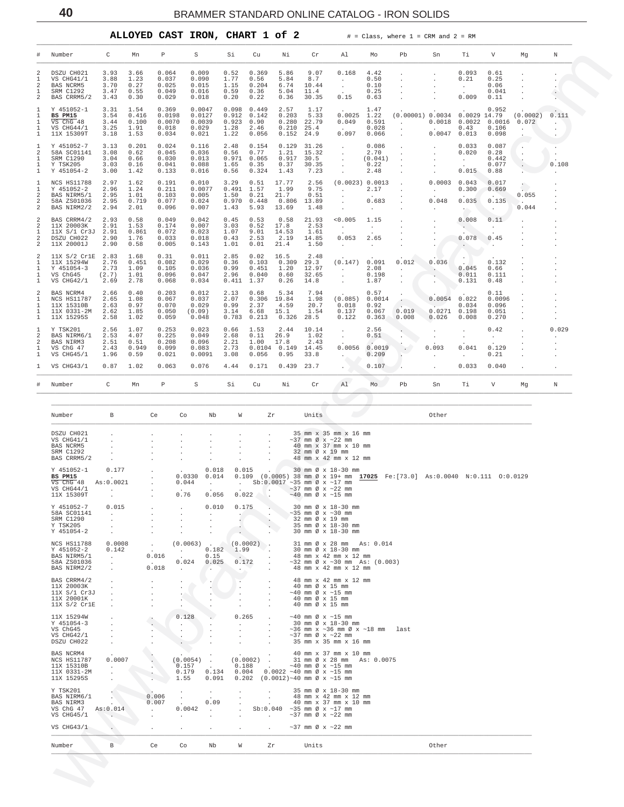<span id="page-39-0"></span>

|                                                                    |                                                                                    |                                       |                                        |                                             | ALLOYED CAST IRON, CHART 1 of 2              |                                         |                                         |                                          |                                         |                                                      |                                                                  | $#$ = Class, where $1$ = CRM and $2$ = RM |                           |                                         |                                           |                   |       |
|--------------------------------------------------------------------|------------------------------------------------------------------------------------|---------------------------------------|----------------------------------------|---------------------------------------------|----------------------------------------------|-----------------------------------------|-----------------------------------------|------------------------------------------|-----------------------------------------|------------------------------------------------------|------------------------------------------------------------------|-------------------------------------------|---------------------------|-----------------------------------------|-------------------------------------------|-------------------|-------|
| $_{\rm \#}$                                                        | Number                                                                             | C                                     | Mn                                     | $\mathbb P$                                 | S                                            | Si                                      | Cu                                      | Νi                                       | Cr                                      | Al                                                   | Mo                                                               | Pb                                        | Sn                        | Тi                                      | V                                         | Mq                | N     |
| 2<br>$\mathbf{1}$<br>$\overline{\mathcal{L}}$<br>$\mathbf{1}$<br>2 | DSZU CH021<br>VS CHG41/1<br><b>BAS NCRM5</b><br>SRM C1292<br>BAS CRRM5/2           | 3.93<br>3.88<br>3.70<br>3.47<br>3.43  | 3.66<br>1.23<br>0.27<br>0.55<br>0.30   | 0.064<br>0.037<br>0.025<br>0.049<br>0.029   | 0.009<br>0.090<br>0.015<br>0.016<br>0.018    | 0.52<br>1.77<br>1.15<br>0.59<br>0.20    | 0.369<br>0.56<br>0.204<br>0.36<br>0.22  | 5.86<br>5.84<br>6.74<br>5.04<br>0.36     | 9.07<br>8.7<br>10.44<br>11.4<br>30.35   | 0.168<br>$\mathbf{r}$<br>0.15                        | 4.42<br>0.50<br>0.10<br>0.25<br>0.63                             |                                           |                           | 0.093<br>0.21<br>0.009                  | 0.61<br>0.25<br>0.06<br>0.041<br>0.11     |                   |       |
| 1<br>$\mathbf{1}$<br>$\mathbf{1}$<br>1<br>1.                       | Y 451052-1<br>BS PM15<br>$\overline{\text{VS}}$ ChG 48<br>VS CHG44/1<br>11X 15309T | 3.31<br>3.54<br>3.44<br>3.25<br>3.18  | 1.54<br>0.416<br>0.100<br>1.91<br>1.53 | 0.369<br>0.0198<br>0.0070<br>0.018<br>0.034 | 0.0047<br>0.0127<br>0.0039<br>0.029<br>0.021 | 0.098<br>0.912<br>0.923<br>1.28<br>1.22 | 0.449<br>0.142<br>0.90<br>2.46<br>0.056 | 2.57<br>0.203<br>0.280<br>0.210<br>0.152 | 1.17<br>5.33<br>22.79<br>25.4<br>24.9   | 0.0025<br>0.049<br>$\sim$<br>0.097                   | 1.47<br>1.22<br>0.591<br>0.028<br>0.066                          | (0.00001) 0.0034                          | 0.0018<br>0.0047          | 0.0029 14.79<br>0.0022<br>0.43<br>0.013 | 0.952<br>0.0016<br>0.106<br>0.098         | (0.0002)<br>0.072 | 0.111 |
| 1<br>$\overline{2}$<br>$\mathbf{1}$<br>1<br>1                      | Y 451052-7<br>58A SC01141<br>SRM C1290<br>Y TSK205<br>Y 451054-2                   | 3.13<br>3.08<br>3.04<br>3.03<br>3.00  | 0.201<br>0.62<br>0.66<br>0.16<br>1.42  | 0.024<br>0.045<br>0.030<br>0.041<br>0.133   | 0.116<br>0.036<br>0.013<br>0.088<br>0.016    | 2.48<br>0.56<br>0.971<br>1.65<br>0.56   | 0.154<br>0.77<br>0.065<br>0.35<br>0.324 | 0.129<br>1.21<br>0.917<br>0.37<br>1.43   | 31.26<br>15.32<br>30.5<br>30.35<br>7.23 |                                                      | 0.086<br>2.70<br>(0.041)<br>0.22<br>2.48                         |                                           |                           | 0.033<br>0.020<br>0.015                 | 0.087<br>0.28<br>0.442<br>0.077<br>0.88   |                   | 0.108 |
| -1.<br>1<br>$\overline{2}$<br>$\overline{2}$<br>2                  | NCS HS11788<br>Y 451052-2<br>BAS NIRM5/1<br>58A ZS01036<br>BAS NIRM2/2             | 2.97<br>2.96<br>2.95<br>2.95<br>2.94  | 1.62<br>1.24<br>1.01<br>0.719<br>2.01  | 0.191<br>0.211<br>0.103<br>0.077<br>0.096   | 0.010<br>0.0077<br>0.005<br>0.024<br>0.007   | 3.29<br>0.491<br>1.50<br>0.970<br>1.43  | 0.51<br>1.57<br>0.21<br>0.448<br>5.93   | 17.77<br>1.99<br>21.7<br>0.806<br>13.69  | 2.56<br>9.75<br>0.51<br>13.89<br>1.48   | (0.0023) 0.0013                                      | 2.17<br>$\ddot{\phantom{0}}$<br>0.683<br>$\cdot$                 |                                           | 0.0003<br>0.048           | 0.043<br>0.300<br>0.035                 | 0.017<br>0.669<br>0.135                   | 0.055<br>0.044    |       |
| 2<br>$\overline{2}$<br>$\mathbf{1}$<br>$\mathfrak{D}$<br>2         | BAS CRRM4/2<br>11X 20003K<br>11X S/1 Cr3J<br>DSZU CH022<br>11X 20001J              | 2.93<br>2.91<br>2.91<br>2.90<br>2.90  | 0.58<br>1.53<br>0.861<br>1.76<br>0.58  | 0.049<br>0.174<br>0.072<br>0.033<br>0.005   | 0.042<br>0.007<br>0.023<br>0.018<br>0.143    | 0.45<br>3.03<br>1.07<br>0.43<br>1.01    | 0.53<br>0.52<br>9.01<br>2.53<br>0.01    | 0.58<br>17.8<br>14.53<br>2.19<br>21.4    | 21.93<br>2.53<br>1.61<br>14.85<br>1.50  | < 0.005<br>$\mathbf{r}$<br>0.053<br>$\mathbf{r}$     | 1.15<br>$\ddot{\phantom{a}}$<br>2.65<br>$\overline{\phantom{a}}$ |                                           |                           | 0.008<br>0.078                          | 0.11<br>0.45                              |                   |       |
| $\mathfrak{D}$<br>1<br>1<br>1<br>1.                                | 11X S/2 Cr1E<br>11X 15294W<br>Y 451054-3<br>VS ChG45<br>VS CHG42/1                 | 2.83<br>2.76<br>2.73<br>(2.7)<br>2.69 | 1.68<br>0.451<br>1.09<br>1.01<br>2.78  | 0.31<br>0.082<br>0.105<br>0.096<br>0.068    | 0.011<br>0.029<br>0.036<br>0.047<br>0.034    | 2.85<br>0.36<br>0.99<br>2.96<br>0.411   | 0.02<br>0.103<br>0.451<br>0.040<br>1.37 | 16.5<br>0.309<br>1.20<br>0.60<br>0.26    | 2.48<br>29.3<br>12.97<br>32.65<br>14.8  | (0.147)<br>$\overline{a}$                            | 0.091<br>2.08<br>0.198<br>1.87                                   | 0.012                                     | 0.036                     | 0.045<br>0.011<br>0.131                 | 0.132<br>0.66<br>0.111<br>0.48            |                   |       |
| $\overline{2}$<br>1<br>$\mathbf{1}$<br>1<br>1                      | BAS NCRM4<br>NCS HS11787<br>11X 15310B<br>11X 0331-2M<br>11X 15295S                | 2.66<br>2.65<br>2.63<br>2.62<br>2.58  | 0.40<br>1.08<br>0.97<br>1.85<br>1.02   | 0.203<br>0.067<br>0.070<br>0.050<br>0.059   | 0.012<br>0.037<br>0.029<br>(0.09)<br>0.048   | 2.13<br>2.07<br>0.99<br>3.14<br>0.783   | 0.68<br>0.306<br>2.37<br>6.68<br>0.213  | 5.34<br>19.84<br>4.59<br>15.1<br>0.326   | 7.94<br>1.98<br>20.7<br>1.54<br>28.5    | $\overline{a}$<br>(0.085)<br>0.018<br>0.137<br>0.122 | 0.57<br>0.0014<br>0.92<br>0.067<br>0.363                         | $\sim$<br>0.019<br>0.008                  | 0.0054<br>0.0271<br>0.026 | 0.022<br>0.034<br>0.198<br>0.008        | 0.11<br>0.0096<br>0.096<br>0.051<br>0.270 |                   |       |
| 1<br>2<br>$\overline{2}$<br>1<br>$\mathbf{1}$                      | Y TSK201<br>BAS NIRM6/1<br>BAS NIRM3<br>VS ChG 47<br>VS CHG45/1                    | 2.56<br>2.53<br>2.51<br>2.43<br>1.96  | 1.07<br>4.07<br>0.51<br>0.949<br>0.59  | 0.253<br>0.225<br>0.208<br>0.099<br>0.021   | 0.023<br>0.049<br>0.096<br>0.083<br>0.0091   | 0.66<br>2.68<br>2.21<br>2.73<br>3.08    | 1.53<br>0.11<br>1.00<br>0.0104<br>0.056 | 2.44<br>26.9<br>17.8<br>0.149<br>0.95    | 10.14<br>1.02<br>2.43<br>14.45<br>33.8  | $\sim$<br>0.0056                                     | 2.56<br>0.51<br>0.0019<br>0.209                                  |                                           | 0.093                     | 0.041                                   | 0.42<br>$\cdot$<br>0.129<br>0.21          |                   | 0.029 |
| $\mathbf{1}$                                                       | VS CHG43/1                                                                         | 0.87                                  | 1.02                                   | 0.063                                       | 0.076                                        | 4.44                                    | 0.171                                   | 0.439                                    | 23.7                                    |                                                      | 0.107                                                            |                                           |                           | 0.033                                   | 0.040                                     |                   |       |

| Number                                                                             | C                                     | Ρ<br>Mn                                                        | S                                           |                                              | Si                                                          |                                         |                                          |                                                                                                                       |                                                                                                                          |                                          |                                                                                      |                                         |                                         |                                           | Mg                                     | Ν                |
|------------------------------------------------------------------------------------|---------------------------------------|----------------------------------------------------------------|---------------------------------------------|----------------------------------------------|-------------------------------------------------------------|-----------------------------------------|------------------------------------------|-----------------------------------------------------------------------------------------------------------------------|--------------------------------------------------------------------------------------------------------------------------|------------------------------------------|--------------------------------------------------------------------------------------|-----------------------------------------|-----------------------------------------|-------------------------------------------|----------------------------------------|------------------|
| DSZU CH021<br>VS CHG41/1<br><b>BAS NCRM5</b><br>SRM C1292<br>BAS CRRM5/2           | 3.93<br>3.88<br>3.70<br>3.47<br>3.43  | 3.66<br>1.23<br>0.27<br>0.55<br>0.30                           | 0.064<br>0.037<br>0.025<br>0.049<br>0.029   | 0.009<br>0.090<br>0.015<br>0.016<br>0.018    | 0.52<br>1.77<br>1.15<br>0.59<br>0.20                        | 0.369<br>0.56<br>0.204<br>0.36<br>0.22  | 5.86<br>5.84<br>6.74<br>5.04<br>0.36     | 9.07<br>8.7<br>10.44<br>11.4<br>30.35                                                                                 | 0.168<br>$\cdot$<br>$\ddot{\phantom{1}}$<br>$\ddot{\phantom{a}}$<br>0.15                                                 | 4.42<br>0.50<br>0.10<br>0.25<br>0.63     |                                                                                      |                                         | 0.093<br>0.21<br>$\cdot$<br>0.009       | 0.61<br>0.25<br>0.06<br>0.041<br>0.11     |                                        |                  |
| Y 451052-1<br>BS PM15<br>$\overline{\text{VS}}$ ChG 48<br>VS CHG44/1<br>11X 15309T | 3.31<br>3.54<br>3.44<br>3.25<br>3.18  | 1.54<br>0.416<br>0.100<br>1.91<br>1.53                         | 0.369<br>0.0198<br>0.0070<br>0.018<br>0.034 | 0.0047<br>0.0127<br>0.0039<br>0.029<br>0.021 | 0.098<br>0.912<br>0.923<br>1.28<br>1.22                     | 0.449<br>0.142<br>0.90<br>2.46<br>0.056 | 2.57<br>0.203<br>0.280<br>0.210<br>0.152 | 1.17<br>5.33<br>22.79<br>25.4<br>24.9                                                                                 | 0.0025<br>0.049<br>$\ddot{\phantom{a}}$<br>0.097                                                                         | 1.47<br>1.22<br>0.591<br>0.028<br>0.066  | (0.00001) 0.0034<br>$\ddot{\phantom{a}}$<br>$\cdot$                                  | 0.0018<br>0.0047                        | 0.0029 14.79<br>0.0022<br>0.43<br>0.013 | 0.952<br>0.0016<br>0.106<br>0.098         | (0.0002)<br>0.072                      | 0.111<br>$\cdot$ |
| Y 451052-7<br>58A SC01141<br>SRM C1290<br>Y TSK205<br>$Y 451054 - 2$               | 3.13<br>3.08<br>3.04<br>3.03<br>3.00  | 0.201<br>0.62<br>0.66<br>0.16<br>1.42                          | 0.024<br>0.045<br>0.030<br>0.041<br>0.133   | 0.116<br>0.036<br>0.013<br>0.088<br>0.016    | 2.48<br>0.56<br>0.971<br>1.65<br>0.56                       | 0.154<br>0.77<br>0.065<br>0.35<br>0.324 | 0.129<br>1.21<br>0.917<br>0.37<br>1.43   | 31.26<br>15.32<br>30.5<br>30.35<br>7.23                                                                               | $\cdot$<br>$\cdot$<br>$\cdot$<br>$\cdot$<br>$\ddot{\phantom{a}}$                                                         | 0.086<br>2.70<br>(0.041)<br>0.22<br>2.48 |                                                                                      |                                         | 0.033<br>0.020<br>$\cdot$<br>0.015      | 0.087<br>0.28<br>0.442<br>0.077<br>0.88   |                                        | 0.108            |
| NCS HS11788<br>Y 451052-2<br>BAS NIRM5/1<br>58A ZS01036<br>BAS NIRM2/2             | 2.97<br>2.96<br>2.95<br>2.95<br>2.94  | 1.62<br>1.24<br>1.01<br>0.719<br>2.01                          | 0.191<br>0.211<br>0.103<br>0.077<br>0.096   | 0.010<br>0.0077<br>0.005<br>0.024<br>0.007   | 3.29<br>0.491<br>1.50<br>0.970<br>1.43                      | 0.51<br>1.57<br>0.21<br>0.448<br>5.93   | 17.77<br>1.99<br>21.7<br>0.806<br>13.69  | 2.56<br>9.75<br>0.51<br>13.89<br>1.48                                                                                 | (0.0023) 0.0013<br>$\cdot$<br>$\cdot$<br>$\ddot{\phantom{a}}$<br>$\cdot$                                                 | 2.17<br>0.683<br>$\cdot$                 |                                                                                      | 0.0003<br>0.048                         | 0.043<br>0.300<br>0.035<br>$\sim$       | 0.017<br>0.669<br>0.135<br>$\cdot$        | $\sqrt{2}$<br>0.055<br>$\sim$<br>0.044 |                  |
| BAS CRRM4/2<br>11X 20003K<br>11X S/1 Cr3J<br>DSZU CH022<br>11X 20001J              | 2.93<br>2.91<br>2.91<br>2.90<br>2.90  | 0.58<br>1.53<br>0.861<br>1.76<br>0.58                          | 0.049<br>0.174<br>0.072<br>0.033<br>0.005   | 0.042<br>0.007<br>0.023<br>0.018<br>0.143    | 0.45<br>3.03<br>1.07<br>0.43<br>1.01                        | 0.53<br>0.52<br>9.01<br>2.53<br>0.01    | 0.58<br>17.8<br>14.53<br>2.19<br>21.4    | 21.93<br>2.53<br>1.61<br>14.85<br>1.50                                                                                | < 0.005<br>$\ddot{\phantom{a}}$<br>0.053<br>$\ddot{\phantom{1}}$                                                         | 1.15<br>$\cdot$<br>2.65                  |                                                                                      |                                         | 0.008<br>$\sim$<br>0.078                | 0.11<br>0.45                              |                                        |                  |
| 11X S/2 Cr1E<br>11X 15294W<br>$Y 451054-3$<br>VS ChG45<br>VS CHG42/1               | 2.83<br>2.76<br>2.73<br>(2.7)<br>2.69 | 1.68<br>0.451<br>1.09<br>1.01<br>2.78                          | 0.31<br>0.082<br>0.105<br>0.096<br>0.068    | 0.011<br>0.029<br>0.036<br>0.047<br>0.034    | 2.85<br>0.36<br>0.99<br>2.96<br>0.411                       | 0.02<br>0.103<br>0.451<br>0.040<br>1.37 | 16.5<br>0.309<br>1.20<br>0.60<br>0.26    | 2.48<br>29.3<br>12.97<br>32.65<br>14.8                                                                                | (0.147)<br>$\ddot{\phantom{a}}$<br>$\cdot$<br>$\ddot{\phantom{a}}$                                                       | 0.091<br>2.08<br>0.198<br>1.87           | 0.012<br>$\ddot{\phantom{a}}$                                                        | 0.036<br>$\ddot{\phantom{0}}$<br>$\sim$ | 0.045<br>0.011<br>0.131                 | 0.132<br>0.66<br>0.111<br>0.48            |                                        |                  |
| BAS NCRM4<br>NCS HS11787<br>11X 15310B<br>11X 0331-2M<br>11X 15295S                | 2.66<br>2.65<br>2.63<br>2.62<br>2.58  | 0.40<br>1.08<br>0.97<br>1.85<br>1.02                           | 0.203<br>0.067<br>0.070<br>0.050<br>0.059   | 0.012<br>0.037<br>0.029<br>(0.09)<br>0.048   | 2.13<br>2.07<br>0.99<br>3.14<br>0.783                       | 0.68<br>0.306<br>2.37<br>6.68<br>0.213  | 5.34<br>19.84<br>4.59<br>15.1<br>0.326   | 7.94<br>1.98<br>20.7<br>1.54<br>28.5                                                                                  | (0.085)<br>0.018<br>0.137<br>0.122                                                                                       | 0.57<br>0.0014<br>0.92<br>0.067<br>0.363 | $\sim$<br>0.019<br>0.008                                                             | 0.0054<br>$\sim$<br>0.0271<br>0.026     | 0.022<br>0.034<br>0.198<br>0.008        | 0.11<br>0.0096<br>0.096<br>0.051<br>0.270 |                                        |                  |
| Y TSK201<br>BAS NIRM6/1<br>BAS NIRM3<br>VS ChG 47<br>VS CHG45/1                    | 2.56<br>2.53<br>2.51<br>2.43<br>1.96  | 1.07<br>4.07<br>0.51<br>0.949<br>0.59                          | 0.253<br>0.225<br>0.208<br>0.099<br>0.021   | 0.023<br>0.049<br>0.096<br>0.083<br>0.0091   | 0.66<br>2.68<br>2.21<br>2.73<br>3.08                        | 1.53<br>0.11<br>1.00<br>0.0104<br>0.056 | 2.44<br>26.9<br>17.8<br>0.149<br>0.95    | 10.14<br>1.02<br>2.43<br>14.45<br>33.8                                                                                | $\cdot$<br>$\sim$<br>0.0056                                                                                              | 2.56<br>0.51<br>0.0019<br>0.209          |                                                                                      | 0.093                                   | $\cdot$<br>$\cdot$<br>0.041             | 0.42<br>$\cdot$<br>0.129<br>0.21          |                                        | 0.029            |
| VS CHG43/1                                                                         | 0.87                                  | 1.02                                                           | 0.063                                       | 0.076                                        | 4.44                                                        | 0.171                                   | 0.439                                    | 23.7                                                                                                                  |                                                                                                                          | 0.107                                    |                                                                                      |                                         | 0.033                                   | 0.040                                     |                                        |                  |
| Number                                                                             | C                                     | Mn                                                             | Р                                           | S                                            | Si                                                          | Cu                                      | Νi                                       | Cr                                                                                                                    | Al.                                                                                                                      | Mo                                       | Pb                                                                                   | Sn                                      | Тi                                      | V                                         | Mg                                     | Ν                |
| Number<br>DSZU CH021<br>VS CHG41/1<br><b>BAS NCRM5</b><br>SRM C1292                | B                                     | Ce                                                             | Co                                          | Nb                                           | W                                                           | Ζr                                      |                                          | Units<br>~37 mm Ø x ~22 mm<br>32 mm Ø x 19 mm                                                                         | 35 mm x 35 mm x 16 mm<br>40 mm x 37 mm x 10 mm                                                                           |                                          |                                                                                      | Other                                   |                                         |                                           |                                        |                  |
| BAS CRRM5/2<br>Y 451052-1<br>BS PM15<br>VS ChG 48<br>VS CHG44/1<br>11X 15309T      | 0.177<br>As: 0.0021                   |                                                                | 0.0330<br>0.044<br>0.76                     | 0.018<br>0.014<br>$\cdot$<br>0.056           | 0.015<br>0.109<br>$\mathbf{r}$<br>0.022                     |                                         |                                          | 30 mm Ø x 18-30 mm<br>$Sb:0.0017$ ~35 mm Ø x ~17 mm<br>$\sim$ 37 mm Ø x $\sim$ 22 mm<br>$\sim$ 40 mm Ø x $\sim$ 15 mm | 48 mm x 42 mm x 12 mm                                                                                                    |                                          | $(0.0005)$ 38 mm $\emptyset$ x 19+ mm 17025 Fe: [73.0] As: 0.0040 N: 0.111 O: 0.0129 |                                         |                                         |                                           |                                        |                  |
| Y 451052-7<br>58A SC01141<br>SRM C1290<br>Y TSK205                                 | 0.015                                 |                                                                |                                             | 0.010                                        | 0.175                                                       |                                         |                                          | 30 mm Ø x 18-30 mm<br>~35 mm Øx ~30 mm                                                                                |                                                                                                                          |                                          |                                                                                      |                                         |                                         |                                           |                                        |                  |
| $Y 451054 - 2$                                                                     |                                       |                                                                |                                             |                                              |                                                             |                                         |                                          | 32 mm Ø x 19 mm<br>35 mm Ø x 18-30 mm<br>30 mm Ø x 18-30 mm                                                           |                                                                                                                          |                                          |                                                                                      |                                         |                                         |                                           |                                        |                  |
| NCS HS11788<br>Y 451052-2<br>BAS NIRM5/1<br>58A ZS01036<br>BAS NIRM2/2             | 0.0008<br>0.142<br>$\cdot$            | $\ddot{\phantom{a}}$<br>0.016<br>$\ddot{\phantom{a}}$<br>0.018 | (0.0063)<br>$\ddot{\phantom{a}}$<br>0.024   | $\sim$<br>0.182<br>0.15<br>0.025<br>٠.       | (0.0002)<br>1.99<br>$\overline{a}$<br>0.172<br>$\mathbf{r}$ |                                         |                                          | 30 mm Ø x 18-30 mm                                                                                                    | 31 mm Ø x 28 mm As: 0.014<br>48 mm x 42 mm x 12 mm<br>$\sim$ 32 mm Ø x $\sim$ 30 mm As: (0.003)<br>48 mm x 42 mm x 12 mm |                                          |                                                                                      |                                         |                                         |                                           |                                        |                  |
| BAS CRRM4/2<br>11X 20003K<br>11X S/1 Cr3J<br>11X 20001K<br>11X S/2 Cr1E            |                                       |                                                                |                                             |                                              |                                                             |                                         |                                          | 40 mm Ø x 15 mm<br>$\sim$ 40 mm Ø x $\sim$ 15 mm<br>40 mm Ø x 15 mm<br>40 mm Ø x 15 mm                                | 48 mm x 42 mm x 12 mm                                                                                                    |                                          |                                                                                      |                                         |                                         |                                           |                                        |                  |
| 11X 15294W<br>$Y 451054-3$<br>VS ChG45<br>VS CHG42/1<br>DSZU CH022                 |                                       |                                                                | 0.128                                       |                                              | 0.265                                                       |                                         |                                          | $\sim$ 40 mm Ø x $\sim$ 15 mm<br>30 mm Ø x 18-30 mm<br>$\sim$ 37 mm Ø x $\sim$ 22 mm                                  | $\sim$ 36 mm x $\sim$ 36 mm Ø x $\sim$ 18 mm<br>35 mm x 35 mm x 16 mm                                                    |                                          | last                                                                                 |                                         |                                         |                                           |                                        |                  |
| BAS NCRM4<br>NCS HS11787<br>11X 15310B<br>11X 0331-2M<br>11X 15295S                | 0.0007                                |                                                                | (0.0054)<br>0.157<br>0.179<br>1.55          | 0.134<br>0.091                               | (0.0002)<br>0.188<br>0.004<br>0.202                         |                                         |                                          | $\sim$ 40 mm Ø x $\sim$ 15 mm<br>$0.0022 - 40$ mm $\emptyset$ x ~15 mm<br>$(0.0012)$ ~40 mm Ø x ~15 mm                | 40 mm x 37 mm x 10 mm<br>31 mm Ø x 28 mm As: 0.0075                                                                      |                                          |                                                                                      |                                         |                                         |                                           |                                        |                  |
| Y TSK201<br>BAS NIRM6/1<br>BAS NIRM3<br>VS ChG 47<br>VS CHG45/1                    | As: 0.014                             | 0.006<br>0.007                                                 | $\cdot$<br>$\cdot$<br>0.0042                | $\cdot$<br>0.09                              |                                                             | Sb:0.040                                |                                          | 35 mm Ø x 18-30 mm<br>$\sim$ 35 mm Ø x $\sim$ 17 mm<br>~37 mm Ø x ~22 mm                                              | 48 mm x 42 mm x 12 mm<br>40 mm x 37 mm x 10 mm                                                                           |                                          |                                                                                      |                                         |                                         |                                           |                                        |                  |
| VS CHG43/1                                                                         |                                       |                                                                |                                             |                                              |                                                             |                                         |                                          | ~37 mm Ø x ~22 mm                                                                                                     |                                                                                                                          |                                          |                                                                                      |                                         |                                         |                                           |                                        |                  |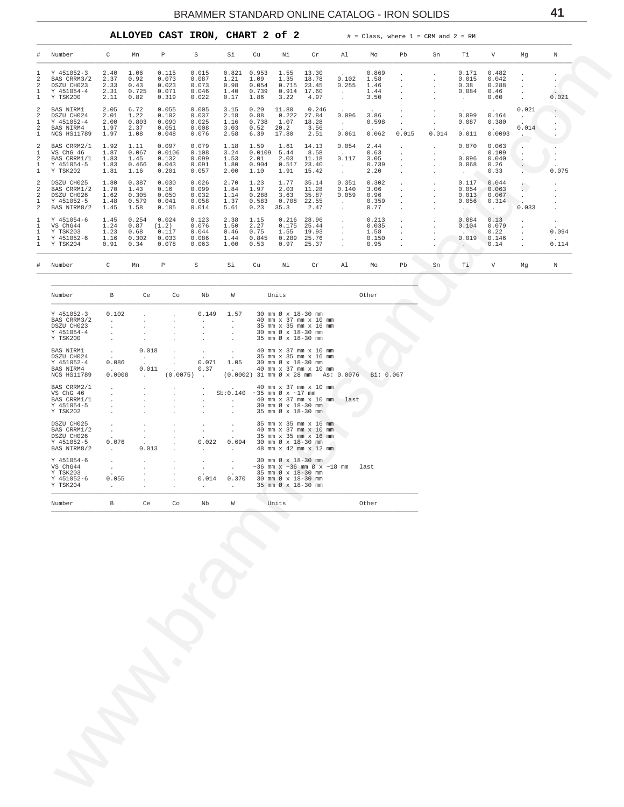<span id="page-40-0"></span>

|                                |                                                                      |                                      |                                         |                                            | ALLOYED CAST IRON, CHART 2 of 2           |                                       |                                         |                                         |                                           | #                                                      |                                         | $= Class, where 1 = CRM and 2 = RM$ |              |                                                         |                                             |                |                                                   |
|--------------------------------|----------------------------------------------------------------------|--------------------------------------|-----------------------------------------|--------------------------------------------|-------------------------------------------|---------------------------------------|-----------------------------------------|-----------------------------------------|-------------------------------------------|--------------------------------------------------------|-----------------------------------------|-------------------------------------|--------------|---------------------------------------------------------|---------------------------------------------|----------------|---------------------------------------------------|
| #                              | Number                                                               | C                                    | Mn                                      | P                                          | S                                         | Si                                    | Cu                                      | Νi                                      | $\operatorname{Cr}$                       | Al                                                     | Mo                                      | Pb                                  | Sn           | Τi                                                      | $\mathbf{V}$                                | Mq             | N                                                 |
|                                | Y 451052-3<br>BAS CRRM3/2<br>DSZU CH023<br>Y 451054-4<br>Y TSK200    | 2.40<br>2.37<br>2.33<br>2.31<br>2.11 | 1.06<br>0.92<br>0.43<br>0.725<br>0.82   | 0.115<br>0.073<br>0.023<br>0.071<br>0.319  | 0.015<br>0.087<br>0.073<br>0.046<br>0.022 | 0.821<br>1.21<br>0.98<br>1.40<br>0.17 | 0.953<br>1.09<br>0.054<br>0.739<br>1.86 | 1.55<br>1.35<br>0.715<br>0.914<br>3.22  | 13.30<br>18.78<br>23.45<br>17.60<br>4.97  | 0.102<br>0.255<br>$\mathbf{r}$                         | 0.869<br>1.58<br>1.46<br>1.44<br>3.50   |                                     | $\mathbf{r}$ | 0.171<br>0.015<br>0.38<br>0.084<br>$\ddot{\phantom{a}}$ | 0.482<br>0.042<br>0.288<br>0.46<br>0.60     |                | $\sim$<br>0.021                                   |
| $\overline{a}$                 | BAS NIRM1<br>DSZU CH024<br>Y 451052-4<br>BAS NIRM4<br>NCS HS11789    | 2.05<br>2.01<br>2.00<br>1.97<br>1.97 | 6.72<br>1.22<br>0.803<br>2.37<br>1.08   | 0.055<br>0.102<br>0.090<br>0.051<br>0.048  | 0.005<br>0.037<br>0.025<br>0.008<br>0.076 | 3.15<br>2.18<br>1.16<br>3.03<br>2.58  | 0.20<br>0.88<br>0.738<br>0.52<br>6.39   | 11.80<br>0.222<br>1.07<br>20.2<br>17.80 | 0.246<br>27.84<br>18.28<br>3.56<br>2.51   | 0.096<br>$\mathbf{r}$<br>0.061                         | 3.86<br>0.598<br>0.062                  | 0.015                               | 0.014        | 0.099<br>0.087<br>0.011                                 | $\cdot$<br>0.164<br>0.380<br>0.0093         | 0.021<br>0.014 |                                                   |
| $\mathfrak{D}$                 | BAS CRRM2/1<br>VS ChG 46<br>BAS CRRM1/1<br>Y 451054-5<br>Y TSK202    | 1.92<br>1.87<br>1.83<br>1.83<br>1.81 | 1.11<br>0.067<br>1.45<br>0.466<br>1.16  | 0.097<br>0.0106<br>0.132<br>0.043<br>0.201 | 0.079<br>0.108<br>0.099<br>0.091<br>0.057 | 1.18<br>3.24<br>1.53<br>1.80<br>2.00  | 1.59<br>0.0109<br>2.01<br>0.904<br>1.10 | 1.61<br>5.44<br>2.03<br>0.517<br>1.91   | 14.13<br>8.58<br>11.18<br>23.40<br>15.42  | 0.054<br>0.117                                         | 2.44<br>0.63<br>3.05<br>0.739<br>2.20   |                                     |              | 0.070<br>0.096<br>0.068<br>$\cdot$                      | 0.063<br>0.109<br>0.040<br>0.26<br>0.33     |                | 0.075                                             |
| 2<br>$\overline{\mathfrak{L}}$ | DSZU CH025<br>BAS CRRM1/2<br>DSZU CH026<br>Y 451052-5<br>BAS NIRM8/2 | 1.80<br>1.70<br>1.62<br>1.48<br>1.45 | 0.387<br>1.43<br>0.305<br>0.579<br>1.58 | 0.030<br>0.16<br>0.050<br>0.041<br>0.105   | 0.026<br>0.099<br>0.032<br>0.058<br>0.014 | 2.70<br>1.84<br>1.14<br>1.37<br>5.61  | 1.23<br>1.97<br>0.288<br>0.583<br>0.23  | 1.77<br>2.03<br>3.63<br>0.708<br>35.3   | 35.14<br>11.28<br>35.87<br>22.55<br>2.47  | 0.351<br>0.140<br>0.059<br>$\mathcal{L}_{\mathcal{A}}$ | 0.302<br>3.06<br>0.96<br>0.359<br>0.77  |                                     |              | 0.117<br>0.054<br>0.013<br>0.056<br>$\sim$              | 0.044<br>0.063<br>0.067<br>0.314<br>$\cdot$ | 0.033          | $\mathbf{r}$<br>$\mathbf{r}$                      |
|                                | Y 451054-6<br>VS ChG44<br>Y TSK203<br>Y 451052-6<br>Y TSK204         | 1.45<br>1.24<br>1.23<br>1.16<br>0.91 | 0.254<br>0.87<br>0.68<br>0.302<br>0.34  | 0.024<br>(1.2)<br>0.117<br>0.033<br>0.078  | 0.123<br>0.076<br>0.044<br>0.086<br>0.063 | 2.38<br>1.50<br>0.46<br>1.44<br>1.00  | 1.15<br>2.27<br>0.75<br>0.845<br>0.53   | 0.216<br>0.175<br>1.55<br>0.289<br>0.97 | 28.96<br>25.44<br>19.93<br>25.76<br>25.37 | $\lambda$                                              | 0.213<br>0.035<br>1.58<br>0.150<br>0.95 |                                     |              | 0.084<br>0.104<br>0.019                                 | 0.13<br>0.079<br>0.22<br>0.146<br>0.14      |                | $\cdot$<br>$\ddot{\phantom{0}}$<br>0.094<br>0.114 |
|                                | # Number                                                             | C                                    | Mn                                      | P                                          | s                                         | Si                                    | Cu                                      | Νi                                      | Cr                                        | Al                                                     | Mo                                      | Pb                                  | Sn           | Тi                                                      | V                                           | Mq             | N                                                 |

| Number                                                                          | $\overline{B}$                                                                   | ce ce                                                         | Co | Nb                                                 | <b>W</b>                                                                                                           | Units |                                                                                                                                                          | Other                                                  |
|---------------------------------------------------------------------------------|----------------------------------------------------------------------------------|---------------------------------------------------------------|----|----------------------------------------------------|--------------------------------------------------------------------------------------------------------------------|-------|----------------------------------------------------------------------------------------------------------------------------------------------------------|--------------------------------------------------------|
| Y 451052-3<br>BAS CRRM3/2<br>DSZU CH023<br>Y 451054-4<br>Y TSK200               | 0.102<br>$\mathbf{r}$                                                            |                                                               |    |                                                    | $0.149$ 1.57                                                                                                       |       | 30 mm Ø x 18-30 mm<br>40 mm x 37 mm x 10 mm<br>35 mm x 35 mm x 16 mm<br>30 mm Ø x 18-30 mm<br>35 mm Ø x 18-30 mm                                         |                                                        |
| <b>BAS NIRM1</b><br>DSZU CH024<br>Y 451052-4<br>BAS NIRM4<br><b>NCS HS11789</b> | <b>Carl Corporation</b><br>$\sim$<br>0.086<br><b>Contract Contract</b><br>0.0008 | 0.018<br><b>Contract Contract</b><br><b>Contract Contract</b> |    | $\overline{\phantom{a}}$<br>$\sim$ $\sim$<br>0.071 | $\sim$<br>$\sim$ $\sim$<br>$0.011$ . $0.37$ . 40 mm x 37 mm x 10 mm                                                |       | 40 mm x 37 mm x 10 mm<br>35 mm x 35 mm x 16 mm<br>$1.05$ 30 mm $\emptyset$ x 18-30 mm                                                                    | (0.0075) (0.0002) 31 mm Ø x 28 mm As: 0.0076 Bi: 0.067 |
| BAS CRRM2/1<br>VS ChG 46<br>BAS CRRM1/1<br>Y 451054-5<br>Y TSK202               |                                                                                  |                                                               |    |                                                    | . . 40 mm x 37 mm x 10 mm<br>. Sb:0.140 ~35 mm $\emptyset$ x ~17 mm<br>$\sim$ $\sim$ $\sim$<br><b>State Street</b> |       | . 40 mm x 37 mm x 10 mm last<br>$. 30 \text{ mm} \times 18-30 \text{ mm}$<br>35 mm Ø x 18-30 mm                                                          |                                                        |
| DSZU CH025<br>BAS CRRM1/2<br>DSZU CH026<br>Y 451052-5<br>BAS NIRM8/2            | $\mathbf{r}$<br>$\sim$<br>0.076<br><b>Contract Contract</b>                      | 0.013                                                         |    | 0.022<br>$\sim$ $\sim$                             | $\mathbf{r}$<br>$\mathbf{r}$<br>0.694<br><b>Contract Contract Contract</b>                                         |       | 35 mm x 35 mm x 16 mm<br>40 mm x 37 mm x 10 mm<br>35 mm x 35 mm x 16 mm<br>$30 \text{ mm } \emptyset \times 18 - 30 \text{ mm}$<br>48 mm x 42 mm x 12 mm |                                                        |
| Y 451054-6<br>VS ChG44<br>Y TSK203<br>Y 451052-6<br>Y TSK204                    | 0.055<br><b>Contract</b>                                                         |                                                               |    | $\sim$<br>0.014                                    | . . 35 mm Ø x 18-30 mm                                                                                             |       | $. 30 \text{ mm} \times 18-30 \text{ mm}$<br>$. 35 \text{ mm} \varnothing \times 18-30 \text{ mm}$<br>$0.370$ 30 mm $\emptyset \times 18-30$ mm          | $\sim$ 36 mm x ~ 36 mm $\emptyset$ x ~ 18 mm last      |
| Number                                                                          | B                                                                                | Ce                                                            | Co | Nb                                                 | W                                                                                                                  | Units |                                                                                                                                                          | Other                                                  |

41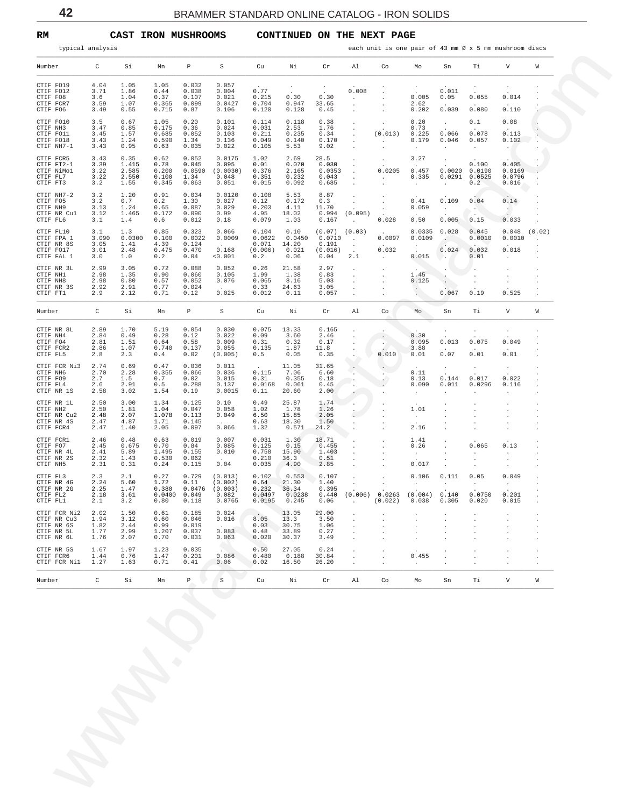<span id="page-41-0"></span>**RM CAST IRON MUSHROOMS CONTINUED ON THE NEXT PAGE** 

| Number<br>CTIF FO19<br>CTIF FO12<br>CTIF FO8<br>CTIF FCR7<br>CTIF FO6 | C                                    |                                         |                                                   |                                           |                                                  |                                            |                                            |                                                         |                                                   |                                    |                                                        |                                               |                                    |                                                  |        |
|-----------------------------------------------------------------------|--------------------------------------|-----------------------------------------|---------------------------------------------------|-------------------------------------------|--------------------------------------------------|--------------------------------------------|--------------------------------------------|---------------------------------------------------------|---------------------------------------------------|------------------------------------|--------------------------------------------------------|-----------------------------------------------|------------------------------------|--------------------------------------------------|--------|
|                                                                       |                                      | Si                                      | Mn                                                | P                                         | S                                                | Cu                                         | Νi                                         | Cr                                                      | Al                                                | Co                                 | Мo                                                     | Sn                                            | Тi                                 | V                                                | W      |
|                                                                       | 4.04<br>3.71<br>3.6<br>3.59<br>3.49  | 1.05<br>1.86<br>1.04<br>1.07<br>0.55    | 1.05<br>0.44<br>0.37<br>0.365<br>0.715            | 0.032<br>0.038<br>0.107<br>0.099<br>0.87  | 0.057<br>0.004<br>0.021<br>0.0427<br>0.106       | 0.77<br>0.215<br>0.704<br>0.120            | $\cdot$<br>0.30<br>0.947<br>0.128          | $\cdot$<br>0.30<br>33.65<br>0.45                        | 0.008<br>$\cdot$<br>$\cdot$                       |                                    | $\cdot$<br>0.005<br>2.62<br>0.202                      | 0.011<br>0.05<br>0.039                        | 0.055<br>0.080                     | $\cdot$<br>0.014<br>0.110                        |        |
| CTIF FO10<br>CTIF NH3<br>CTIF FO11<br>CTIF FO18<br>CTIF NH7-1         | 3.5<br>3.47<br>3.45<br>3.43<br>3.43  | 0.67<br>0.85<br>1.57<br>1.24<br>0.95    | 1.05<br>0.175<br>0.685<br>0.590<br>0.63           | 0.20<br>0.36<br>0.052<br>1.34<br>0.035    | 0.101<br>0.024<br>0.103<br>0.136<br>0.022        | 0.114<br>0.031<br>0.211<br>0.049<br>0.105  | 0.118<br>2.53<br>0.235<br>0.140<br>5.53    | 0.38<br>1.76<br>0.34<br>0.170<br>9.02                   | $\cdot$                                           | $\cdot$<br>(0.013)<br>$\cdot$      | 0.20<br>0.73<br>0.225<br>0.179<br>$\ddot{\phantom{a}}$ | $\cdot$<br>0.066<br>0.046<br>$\cdot$          | 0.1<br>0.078<br>0.057<br>$\cdot$   | 0.08<br>0.113<br>0.102<br>$\ddot{\phantom{0}}$   |        |
| CTIF FCR5<br>CTIF FT2-1<br>CTIF NiMol<br>CTIF FL7<br>CTIF FT3         | 3.43<br>3.39<br>3.22<br>3.22<br>3.2  | 0.35<br>1.415<br>2.585<br>2.550<br>1.55 | 0.62<br>0.78<br>0.200<br>0.100<br>0.345           | 0.052<br>0.045<br>0.0590<br>1.34<br>0.063 | 0.0175<br>0.095<br>(0.0030)<br>0.048<br>0.051    | 1.02<br>0.01<br>0.376<br>0.351<br>0.015    | 2.69<br>0.070<br>2.165<br>0.232<br>0.092   | 28.5<br>0.030<br>0.0353<br>0.043<br>0.685               |                                                   | $\cdot$<br>0.0205<br>$\cdot$       | 3.27<br>0.457<br>0.335<br>$\cdot$                      | $\cdot$<br>0.0020<br>0.0291<br>$\cdot$        | 0.100<br>0.0190<br>0.0525<br>0.2   | 0.405<br>0.0169<br>0.0796<br>0.016               |        |
| CTIF NH7-2<br>CTIF FO5<br>CTIF NH9<br>CTIF NR Cul<br>CTIF FL6         | 3.2<br>3.2<br>3.13<br>3.12<br>3.1    | 1.20<br>0.7<br>1.24<br>1.465<br>1.4     | 0.91<br>0.2<br>0.65<br>0.172<br>0.6               | 0.034<br>1.30<br>0.087<br>0.090<br>0.012  | 0.0120<br>0.027<br>0.029<br>0.99<br>0.18         | 0.108<br>0.12<br>0.203<br>4.95<br>0.079    | 5.53<br>0.172<br>4.11<br>18.02<br>1.03     | 8.87<br>0.3<br>11.70<br>0.994<br>0.167                  | (0.095)                                           | $\cdot$<br>0.028                   | 0.41<br>0.059<br>0.50                                  | 0.109<br>$\cdot$<br>0.005                     | 0.04<br>$\sim$<br>0.15             | 0.14<br>$\sim$<br>0.033                          |        |
| CTIF FL10<br>CTIF FPA 1<br>CTIF NR 8S<br>CTIF FO17<br>CTIF FAL 1      | 3.1<br>3.090<br>3.05<br>3.01<br>3.0  | 1.3<br>0.0300<br>1.41<br>2.48<br>1.0    | 0.85<br>0.100<br>4.39<br>0.475<br>0.2             | 0.323<br>0.0022<br>0.124<br>0.470<br>0.04 | 0.066<br>0.0009<br>0.168<br>0.001                | 0.104<br>0.0622<br>0.071<br>(0.006)<br>0.2 | 0.10<br>0.0450<br>14.20<br>0.021<br>0.06   | $(0.07)$ $(0.03)$<br>0.0710<br>0.191<br>(0.016)<br>0.04 | $\cdot$<br>$\cdot$<br>$\ddot{\phantom{a}}$<br>2.1 | 0.0097<br>0.032<br>$\cdot$         | 0.0335<br>0.0109<br>$\cdot$<br>0.015                   | 0.028<br>$\ddot{\phantom{a}}$<br>0.024<br>. . | 0.045<br>0.0010<br>0.032<br>0.01   | 0.048<br>0.0010<br>0.018<br>$\ddot{\phantom{0}}$ | (0.02) |
| CTIF NR 3L<br>CTIF NH1<br>CTIF NH8<br>CTIF NR 3S<br>CTIF FT1          | 2.99<br>2.98<br>2.98<br>2.92<br>2.9  | 3.05<br>1.35<br>0.80<br>2.91<br>2.12    | 0.72<br>0.90<br>0.57<br>0.77<br>0.71              | 0.088<br>0.060<br>0.052<br>0.024<br>0.12  | 0.052<br>0.105<br>0.076<br>0.025                 | 0.26<br>1.99<br>0.065<br>0.33<br>0.012     | 21.58<br>1.38<br>8.16<br>24.63<br>0.11     | 2.97<br>0.83<br>5.03<br>3.05<br>0.057                   |                                                   |                                    | 1.45<br>0.125                                          | $\ddot{\phantom{1}}$<br>$\cdot$<br>0.067      | 0.19                               | 0.525                                            |        |
| Number                                                                | C                                    | Si                                      | Mn                                                | Р                                         | S                                                | Cu                                         | Νi                                         | Cr                                                      | Al                                                | Co                                 | Mo                                                     | Sn                                            | Тi                                 | V                                                | W      |
| CTIF NR 8L<br>CTIF NH4<br>CTIF FO4<br>CTIF FCR2<br>CTIF FL5           | 2.89<br>2.84<br>2.81<br>2.86<br>2.8  | 1.70<br>0.49<br>1.51<br>1.07<br>2.3     | 5.19<br>0.28<br>0.64<br>0.740<br>0.4              | 0.054<br>0.12<br>0.58<br>0.137<br>0.02    | 0.030<br>0.022<br>0.009<br>0.055<br>(0.005)      | 0.075<br>0.09<br>0.31<br>0.135<br>0.5      | 13.33<br>3.60<br>0.32<br>1.87<br>0.05      | 0.165<br>2.46<br>0.17<br>11.8<br>0.35                   |                                                   | $\blacksquare$<br>$\cdot$<br>0.010 | 0.30<br>0.095<br>3.88<br>0.01                          | $\cdot$<br>0.013<br>0.07                      | 0.075<br>0.01                      | $\cdot$<br>0.049<br>0.01                         |        |
| CTIF FCR Ni3<br>CTIF NH6<br>CTIF FO9<br>CTIF FL4<br>CTIF NR 1S        | 2.74<br>2.70<br>2.7<br>2.6<br>2.58   | 0.69<br>2.28<br>1.5<br>2.91<br>3.02     | 0.47<br>0.355<br>0.7<br>0.5<br>1.54               | 0.036<br>0.066<br>0.02<br>0.288<br>0.19   | 0.011<br>0.036<br>0.015<br>0.137<br>0.0015       | 0.115<br>0.31<br>0.0168<br>0.11            | 11.05<br>7.06<br>0.355<br>0.061<br>20.60   | 31.65<br>6.60<br>0.18<br>0.45<br>2.00                   | $\blacksquare$<br>$\cdot$                         | $\cdot$<br>$\lambda$               | 0.11<br>0.13<br>0.090<br>$\ddot{\phantom{1}}$          | $\cdot$<br>0.144<br>0.011                     | $\cdot$<br>0.017<br>0.0296         | $\cdot$<br>0.022<br>0.116<br>$\cdot$             |        |
| CTIF NR 1L<br>CTIF NH2<br>CTIF NR Cu2<br>CTIF NR 4S<br>CTIF FCR4      | 2.50<br>2.50<br>2.48<br>2.47<br>2.47 | 3.00<br>1.81<br>2.07<br>4.87<br>1.40    | 1.34<br>1.04<br>1.078<br>1.71<br>2.05             | 0.125<br>0.047<br>0.113<br>0.145<br>0.097 | 0.10<br>0.058<br>0.049<br>0.066                  | 0.49<br>1.02<br>6.50<br>0.63<br>1.32       | 25.87<br>1.78<br>15.85<br>18.30<br>0.571   | 1.74<br>1.26<br>2.05<br>1.50<br>24.2                    | $\cdot$<br>÷                                      |                                    | 1.01<br>$\ddot{\phantom{1}}$<br>2.16                   |                                               |                                    |                                                  |        |
| CTIF FCR1<br>CTIF FO7<br>CTIF NR 4L<br>CTIF NR 2S<br>CTIF NH5         | 2.46<br>2.45<br>2.41<br>2.32<br>2.31 | 0.48<br>0.675<br>5.89<br>1.43<br>0.31   | 0.63<br>0.70<br>1.495<br>0.530<br>0.24            | 0.019<br>0.84<br>0.155<br>0.062<br>0.115  | 0.007<br>0.085<br>0.010<br>0.04                  | 0.031<br>0.125<br>0.758<br>0.210<br>0.035  | 1.30<br>0.15<br>15.90<br>36.3<br>4.90      | 18.71<br>0.455<br>1.403<br>0.51<br>2.85                 |                                                   |                                    | 1.41<br>0.26<br>$\cdot$<br>0.017                       |                                               | 0.065                              | 0.13<br>$\cdot$<br>٠<br>$\cdot$                  |        |
| CTIF FL3<br>CTIF NR 4G<br>CTIF NR 2G<br>CTIF FL2<br>CTIF FL1          | 2.3<br>2.24<br>2.25<br>2.18<br>2.1   | 2.1<br>5.60<br>1.47<br>3.61<br>3.2      | 0.27<br>1.72<br>0.380<br>$0.0400$ $0.049$<br>0.80 | 0.729<br>0.11<br>0.0476<br>0.118          | (0.013)<br>(0.002)<br>(0.003)<br>0.082<br>0.0765 | 0.102<br>0.64<br>0.232<br>0.0497<br>0.0195 | 0.553<br>21.30<br>36.34<br>0.0238<br>0.245 | 0.107<br>1.40<br>0.395<br>0.440<br>0.06                 |                                                   | $(0.006)$ 0.0263<br>(0.022)        | 0.106<br>$\cdot$<br>$(0.004)$ 0.140<br>0.038           | 0.111<br>$\cdot$<br>0.305                     | 0.05<br>$\cdot$<br>0.0750<br>0.020 | 0.049<br>$\cdot$<br>0.201<br>0.015               |        |
| CTIF FCR Ni2<br>CTIF NR Cu3<br>CTIF NR 6S<br>CTIF NR 5L<br>CTIF NR 6L | 2.02<br>1.94<br>1.82<br>1.77<br>1.76 | 1.50<br>3.12<br>2.44<br>2.99<br>2.07    | 0.61<br>0.60<br>0.99<br>1.207<br>0.70             | 0.185<br>0.046<br>0.019<br>0.037<br>0.031 | 0.024<br>0.016<br>$\sim$<br>0.083<br>0.063       | 8.05<br>0.03<br>0.48<br>0.020              | 13.05<br>13.3<br>30.75<br>33.89<br>30.37   | 29.00<br>3.50<br>1.06<br>0.27<br>3.49                   |                                                   |                                    |                                                        |                                               |                                    |                                                  |        |
| CTIF NR 5S<br>CTIF FCR6<br>CTIF FCR Nil                               | 1.67<br>1.44<br>1.27                 | 1.97<br>0.76<br>1.63                    | 1.23<br>1.47<br>0.71                              | 0.035<br>0.201<br>0.41                    | 0.086<br>0.06                                    | 0.50<br>0.480<br>0.02                      | 27.05<br>0.188<br>16.50                    | 0.24<br>30.84<br>26.20                                  |                                                   |                                    | 0.455<br>$\cdot$                                       |                                               |                                    |                                                  |        |
| Number                                                                | C                                    | Si                                      | Mn                                                | P                                         | $\rm S$                                          | Cu                                         | Νi                                         | Cr                                                      | Al                                                | Co                                 | Mo                                                     | Sn                                            | Тi                                 | V                                                | W      |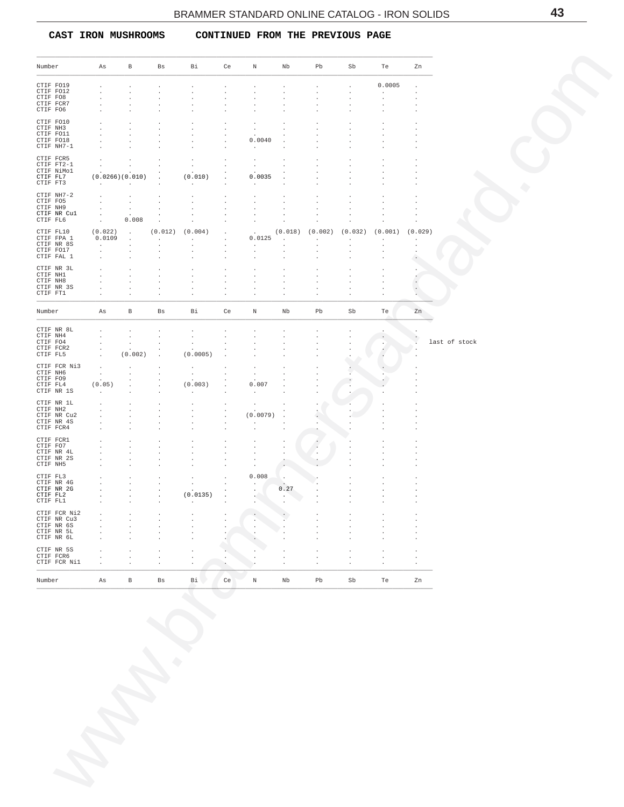<span id="page-42-0"></span> **CAST IRON MUSHROOMS CONTINUED FROM THE PREVIOUS PAGE**

| Number<br>CTIF FO19<br>CTIF FO12<br>CTIF FO8<br>CTIF FCR7<br>CTIF FO6<br>CTIF FO10<br>CTIF NH3<br>CTIF FO11<br>CTIF FO18 | As                                            | $\mathbf{B}$                       | Bs                              | Bi                           | Ce                              | N                               | Nb                 | Pb                                 | Sb                 |                                                   | Zn                 |
|--------------------------------------------------------------------------------------------------------------------------|-----------------------------------------------|------------------------------------|---------------------------------|------------------------------|---------------------------------|---------------------------------|--------------------|------------------------------------|--------------------|---------------------------------------------------|--------------------|
|                                                                                                                          |                                               |                                    |                                 |                              |                                 |                                 |                    |                                    |                    | Te                                                |                    |
|                                                                                                                          | $\cdot$                                       |                                    |                                 | $\cdot$                      |                                 |                                 |                    |                                    | $\cdot$            | 0.0005                                            | $\cdot$            |
|                                                                                                                          | $\cdot$<br>$\cdot$                            |                                    | $\cdot$<br>$\ddot{\phantom{0}}$ | $\cdot$<br>$\cdot$           | $\cdot$                         |                                 |                    | $\ddot{\phantom{a}}$<br>$\cdot$    | $\cdot$<br>$\cdot$ | $\ddot{\phantom{0}}$<br>$\cdot$                   | $\cdot$            |
|                                                                                                                          | $\cdot$<br>$\cdot$                            | $\cdot$                            | $\ddot{\phantom{0}}$<br>$\cdot$ | $\cdot$<br>$\cdot$           | $\cdot$<br>$\cdot$              | $\cdot$<br>$\cdot$              | $\cdot$            | $\cdot$<br>$\cdot$                 | $\cdot$<br>$\cdot$ | $\cdot$<br>$\cdot$                                |                    |
|                                                                                                                          | $\cdot$                                       |                                    | $\cdot$                         | $\cdot$                      |                                 | $\cdot$                         |                    |                                    |                    |                                                   |                    |
|                                                                                                                          | $\cdot$<br>$\cdot$                            |                                    | $\cdot$<br>$\cdot$              | $\cdot$<br>$\cdot$           |                                 | $\cdot$<br>$\sim$               |                    |                                    | $\cdot$            | $\cdot$<br>$\cdot$                                |                    |
| CTIF NH7-1                                                                                                               | $\cdot$<br>$\cdot$                            | $\cdot$                            | $\cdot$<br>$\cdot$              | $\cdot$<br>$\cdot$           | $\cdot$<br>$\cdot$              | 0.0040<br>$\sim$                | $\cdot$<br>$\cdot$ |                                    | $\cdot$            | $\cdot$                                           |                    |
| CTIF FCR5                                                                                                                | $\sim$                                        | $\cdot$                            | $\ddot{\phantom{a}}$            | $\cdot$                      | $\cdot$                         | $\cdot$                         | $\cdot$            |                                    |                    |                                                   |                    |
| CTIF FT2-1<br>CTIF NiMol                                                                                                 | $\sim$<br>$\ddot{\phantom{a}}$                | $\cdot$<br>$\cdot$                 | $\sim$<br>$\ddot{\phantom{1}}$  | $\cdot$                      | $\cdot$                         | $\cdot$<br>$\sim$               |                    |                                    | $\cdot$            |                                                   |                    |
| CTIF FL7<br>CTIF FT3                                                                                                     | (0.0266)(0.010)<br>and a strategic control of |                                    | $\sim$<br>$\ddot{\phantom{0}}$  | (0.010)<br>$\sim$            | $\cdot$                         | 0.0035<br>$\cdot$               |                    |                                    | $\cdot$            |                                                   |                    |
| CTIF NH7-2                                                                                                               | $\cdot$                                       | $\sim$                             | $\sim$                          | $\cdot$                      | $\cdot$                         | $\cdot$                         | $\cdot$            | $\cdot$                            | $\cdot$            | $\cdot$                                           |                    |
| CTIF FO5<br>CTIF NH9                                                                                                     | $\ddot{\phantom{a}}$<br>$\sim$                | $\cdot$<br>$\sim 100$ km s $^{-1}$ | $\ddot{\phantom{a}}$<br>$\cdot$ | $\cdot$<br>$\cdot$           |                                 | $\cdot$<br>$\cdot$              | $\cdot$            | $\cdot$<br>$\cdot$                 | $\cdot$<br>$\cdot$ | $\cdot$<br>$\cdot$                                | $\cdot$            |
| CTIF NR Cul<br>CTIF FL6                                                                                                  | $\sim 100$<br>$\sim 10^{-11}$                 | $\sim$ $-$<br>0.008                | $\cdot$<br>$\sim$               | $\cdot$<br>$\cdot$           | $\cdot$                         | $\cdot$<br>$\sim$               | $\cdot$<br>$\cdot$ | $\cdot$<br>$\cdot$                 | $\cdot$<br>$\cdot$ | $\cdot$<br>$\cdot$                                | $\cdot$<br>$\cdot$ |
| CTIF FL10                                                                                                                | (0.022)                                       | $\sim$ $-$                         |                                 | $(0.012)$ $(0.004)$          | $\cdot$                         | $\Delta \sim 10^4$              |                    |                                    |                    | $(0.018)$ $(0.002)$ $(0.032)$ $(0.001)$ $(0.029)$ |                    |
| CTIF FPA 1<br>CTIF NR 8S                                                                                                 | 0.0109<br><b>Contractor</b>                   | $\sim$<br>$\sim$                   | <b>Contractor</b><br>$\sim$     | <b>Carl Corp.</b><br>$\cdot$ | $\cdot$<br>$\cdot$              | 0.0125<br>$\sim$                | $\sim$<br>$\cdot$  | $\sim 100$ km s $^{-1}$<br>$\cdot$ | $\sim$<br>$\cdot$  | $\cdot$                                           | $\sim$<br>$\cdot$  |
| CTIF FO17<br>CTIF FAL 1                                                                                                  | $\sim$<br>$\ddot{\phantom{a}}$                | $\sim$<br>$\cdot$                  | $\ddot{\phantom{0}}$<br>$\cdot$ | $\cdot$<br>$\cdot$           | $\cdot$<br>$\cdot$              | $\cdot$<br>$\cdot$              | $\cdot$            | $\cdot$<br>$\cdot$                 | $\cdot$            |                                                   | $\cdot$            |
| CTIF NR 3L                                                                                                               | $\cdot$                                       | $\cdot$                            | $\cdot$                         | $\cdot$                      | $\cdot$                         | $\cdot$                         |                    | $\cdot$                            |                    |                                                   | $\cdot$            |
| CTIF NH1<br>CTIF NH8                                                                                                     | $\cdot$<br>$\cdot$                            | $\cdot$<br>$\cdot$                 | $\cdot$<br>$\ddot{\phantom{0}}$ | $\cdot$<br>$\cdot$           | $\cdot$<br>$\cdot$              | $\cdot$<br>$\cdot$              | $\cdot$<br>$\cdot$ | $\cdot$<br>$\cdot$                 | $\cdot$<br>$\cdot$ | $\cdot$<br>$\cdot$                                |                    |
| CTIF NR 3S<br>CTIF FT1                                                                                                   | $\cdot$<br>$\cdot$                            | $\cdot$<br>$\cdot$                 | $\ddot{\phantom{0}}$<br>$\cdot$ | $\cdot$<br>$\cdot$           | $\cdot$<br>$\cdot$              | $\cdot$                         | $\cdot$            | $\cdot$                            | $\cdot$<br>$\cdot$ | $\cdot$                                           |                    |
|                                                                                                                          |                                               |                                    |                                 |                              |                                 |                                 |                    |                                    |                    |                                                   |                    |
| Number                                                                                                                   | As                                            | В                                  | Bs                              | Bi                           | Ce                              | N                               | Nb                 | Pb                                 | Sb                 | Te                                                | Zn                 |
| CTIF NR 8L                                                                                                               | $\cdot$                                       | $\cdot$                            | $\cdot$                         | $\cdot$                      | $\cdot$                         | $\cdot$                         |                    |                                    |                    |                                                   |                    |
| CTIF NH4<br>CTIF FO4                                                                                                     | $\cdot$<br>$\sim$                             | $\cdot$<br><b>Allen</b>            | $\cdot$<br>$\sim$               | $\cdot$<br>$\sim$            | $\cdot$<br>$\cdot$              | $\ddot{\phantom{a}}$<br>$\cdot$ |                    |                                    |                    | $\cdot$                                           | $\sim$             |
| CTIF FCR2<br>CTIF FL5                                                                                                    | $\sim$<br>$\sim$                              | $\cdot$<br>(0.002)                 | $\cdot$<br>$\sim$ $\sim$        | (0.0005)                     | $\cdot$<br>$\ddot{\phantom{a}}$ | $\cdot$<br>$\cdot$              |                    |                                    |                    |                                                   | $\cdot$            |
| CTIF FCR Ni3                                                                                                             | $\cdot$                                       | $\cdot$                            | $\cdot$                         | $\cdot$                      | $\cdot$                         | $\cdot$                         |                    |                                    |                    |                                                   |                    |
| CTIF NH6<br>CTIF FO9                                                                                                     | $\sim$<br>$\ddot{\phantom{a}}$                | $\cdot$<br>$\cdot$                 | $\cdot$<br>$\cdot$              | $\cdot$                      | $\cdot$                         | $\cdot$<br>$\cdot$              |                    |                                    |                    |                                                   |                    |
| CTIF FL4<br>CTIF NR 1S                                                                                                   | (0.05)<br>$\sim 100$                          | $\sim$<br>$\cdot$                  | $\cdot$<br>$\cdot$              | (0.003)<br>$\sim$            | $\cdot$<br>$\cdot$              | 0.007<br>$\cdot$                |                    |                                    |                    | $\cdot$                                           |                    |
| CTIF NR 1L                                                                                                               | $\cdot$                                       | $\cdot$                            | $\cdot$                         | $\cdot$                      | $\cdot$                         | $\cdot$                         | $\cdot$            | $\cdot$                            |                    |                                                   |                    |
| CTIF NH2<br>CTIF NR Cu2                                                                                                  | $\cdot$<br>$\cdot$                            |                                    | $\cdot$<br>$\ddot{\phantom{0}}$ | $\cdot$<br>$\cdot$           | $\cdot$                         | (0.0079)                        |                    | ۰.                                 |                    |                                                   |                    |
| CTIF NR 4S<br>CTIF FCR4                                                                                                  | $\ddot{\phantom{a}}$<br>$\cdot$               | $\cdot$                            | $\cdot$<br>$\cdot$              | $\cdot$<br>$\cdot$           | $\cdot$                         | $\ddot{\phantom{a}}$            |                    | $\cdot$                            |                    |                                                   |                    |
| CTIF FCR1                                                                                                                | $\cdot$                                       |                                    | $\cdot$                         | $\cdot$                      |                                 |                                 |                    |                                    |                    |                                                   |                    |
| CTIF FO7<br>CTIF NR 4L                                                                                                   | $\cdot$<br>$\cdot$                            |                                    | $\cdot$<br>$\ddot{\phantom{0}}$ | $\cdot$<br>$\cdot$           |                                 | $\cdot$<br>$\cdot$              | $\cdot$<br>$\cdot$ | $\blacksquare$<br>$\cdot$          |                    |                                                   |                    |
| CTIF NR 2S<br>CTIF NH5                                                                                                   | $\cdot$<br>$\cdot$                            |                                    | $\cdot$<br>$\cdot$              | $\cdot$<br>$\cdot$           |                                 | $\cdot$<br>$\cdot$              | $\cdot$            | $\ddot{\phantom{a}}$               |                    |                                                   |                    |
| CTIF FL3                                                                                                                 | $\cdot$                                       |                                    |                                 | $\cdot$                      |                                 | 0.008                           | $\cdot$            |                                    |                    |                                                   |                    |
| CTIF NR 4G<br>CTIF NR 2G                                                                                                 | $\cdot$<br>$\cdot$                            |                                    | $\cdot$<br>$\bullet$            | $\sim$<br>$\sim$             | $\cdot$<br>$\cdot$              | $\sim$<br>$\sim$                | 0.27               |                                    |                    | $\cdot$                                           |                    |
| CTIF FL2<br>CTIF FL1                                                                                                     | $\cdot$<br>$\cdot$                            | $\cdot$                            | $\bullet$<br>$\cdot$            | (0.0135)<br>$\sim$           | $\cdot$<br>$\cdot$              | $\cdot$                         | <b>Alberta</b>     |                                    |                    |                                                   |                    |
| CTIF FCR Ni2                                                                                                             |                                               |                                    |                                 |                              |                                 |                                 |                    |                                    |                    |                                                   |                    |
| CTIF NR Cu3<br>CTIF NR 6S                                                                                                | $\cdot$                                       |                                    |                                 |                              |                                 |                                 |                    |                                    |                    |                                                   |                    |
| CTIF NR 5L<br>CTIF NR 6L                                                                                                 | $\cdot$<br>$\cdot$                            |                                    |                                 |                              |                                 |                                 |                    |                                    |                    |                                                   |                    |
| CTIF NR 5S                                                                                                               |                                               |                                    |                                 |                              |                                 |                                 |                    | $\ddot{\phantom{0}}$               |                    |                                                   |                    |
| CTIF FCR6<br>CTIF FCR Nil                                                                                                | $\cdot$                                       |                                    | ٠                               | $\cdot$                      |                                 |                                 |                    | $\cdot$                            |                    |                                                   |                    |
|                                                                                                                          |                                               |                                    |                                 |                              |                                 |                                 |                    |                                    |                    |                                                   |                    |
| Number                                                                                                                   | As                                            | $\, {\bf B}$                       | Bs                              | Вi                           | Ce                              | $\mathbb N$                     | Nb                 | Pb                                 | Sb                 | Te                                                | Zn                 |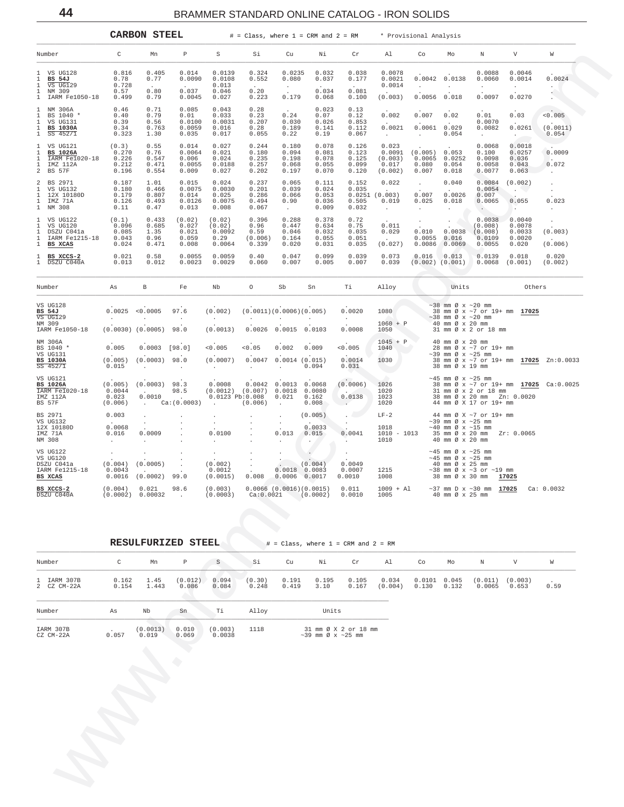<span id="page-43-0"></span>

|                                                                                                            |                                                | <b>CARBON STEEL</b>                           |                                             |                                                                     | $#$ = Class, where 1 = CRM and 2 = RM                   |                                                      |                                                    |                                                                            | * Provisional Analysis                          |                                        |                                                                                                 |                                                                              |                                                      |                                                     |
|------------------------------------------------------------------------------------------------------------|------------------------------------------------|-----------------------------------------------|---------------------------------------------|---------------------------------------------------------------------|---------------------------------------------------------|------------------------------------------------------|----------------------------------------------------|----------------------------------------------------------------------------|-------------------------------------------------|----------------------------------------|-------------------------------------------------------------------------------------------------|------------------------------------------------------------------------------|------------------------------------------------------|-----------------------------------------------------|
| Number                                                                                                     | C                                              | Mn                                            | P                                           | S                                                                   | Si                                                      | Cu                                                   | Ni                                                 | Cr                                                                         | Al                                              | Co                                     | Mo                                                                                              | N                                                                            | V                                                    | W                                                   |
| 1 VS UG128<br>$\mathbf{1}$<br>BS 54J<br>$\mathbf{1}$<br>VS UG129                                           | 0.816<br>0.78<br>0.728                         | 0.405<br>0.77                                 | 0.014<br>0.0090                             | 0.0139<br>0.0108<br>0.013                                           | 0.324<br>0.552                                          | 0.0235<br>0.080<br>$\sim 10^{-11}$                   | 0.032<br>0.037                                     | 0.038<br>0.177                                                             | 0.0078<br>0.0021<br>0.0014                      | $\sim$                                 | $0.0042$ 0.0138<br>$\ddot{\phantom{a}}$                                                         | 0.0088<br>0.0060<br>$\cdot$                                                  | 0.0046<br>0.0014<br>$\cdot$                          | 0.0024<br>$\cdot$                                   |
| $\mathbf{1}$<br>NM 309<br>IARM Fe1050-18<br>1                                                              | 0.57<br>0.499                                  | 0.80<br>0.79                                  | 0.037<br>0.0045                             | 0.046<br>0.027                                                      | 0.20<br>0.223                                           | 0.179                                                | 0.034<br>0.068                                     | 0.081<br>0.100                                                             | (0.003)                                         | $0.0056$ 0.018                         |                                                                                                 | 0.0097                                                                       | 0.0270                                               |                                                     |
| NM 306A<br>1<br>BS 1040 *<br>VS UG131<br><b>BS 1030A</b><br>1<br>$SS$ 452/1<br>1                           | 0.46<br>0.40<br>0.39<br>0.34<br>0.323          | 0.71<br>0.79<br>0.56<br>0.763<br>1.30         | 0.085<br>0.01<br>0.0100<br>0.0059<br>0.035  | 0.043<br>0.033<br>0.0031<br>0.016<br>0.017                          | 0.28<br>0.23<br>0.207<br>0.28<br>0.055                  | 0.24<br>0.030<br>0.189<br>0.22                       | 0.023<br>0.07<br>0.026<br>0.141<br>0.19            | 0.13<br>0.12<br>0.853<br>0.112<br>0.067                                    | 0.002<br>0.0021<br>$\sim$                       | 0.007<br>0.0061<br>$\sim$              | 0.02<br>0.029<br>0.054                                                                          | 0.01<br>0.0070<br>0.0082<br>$\sim$                                           | 0.03<br>0.0261<br>$\sim$                             | < 0.005<br>(0.0011)<br>0.054                        |
| VS UG121<br>1<br><b>BS 1026A</b><br>1<br>IARM Fe1020-18<br>-1<br>IMZ 112A<br>1<br>$\overline{a}$<br>BS 57F | (0.3)<br>0.270<br>0.226<br>0.212<br>0.196      | 0.55<br>0.76<br>0.547<br>0.471<br>0.554       | 0.014<br>0.0064<br>0.006<br>0.0055<br>0.009 | 0.027<br>0.021<br>0.024<br>0.0188<br>0.027                          | 0.244<br>0.180<br>0.235<br>0.257<br>0.202               | 0.180<br>0.094<br>0.198<br>0.068<br>0.197            | 0.078<br>0.081<br>0.078<br>0.055<br>0.070          | 0.126<br>0.123<br>0.125<br>0.099<br>0.120                                  | 0.023<br>0.0091<br>(0.003)<br>0.017<br>(0.002)  | (0.005)<br>0.0065<br>0.080<br>0.007    | 0.053<br>0.0252<br>0.054<br>0.018                                                               | 0.0068<br>0.100<br>0.0098<br>0.0058<br>0.0077                                | 0.0018<br>0.0257<br>0.036<br>0.043<br>0.063          | 0.0009<br>$\sim$<br>0.072<br>$\sim$                 |
| $\overline{a}$<br>BS 2971<br>VS UG132<br>1<br>12X 10180D<br>1<br>IMZ 71A<br>$\mathbf 1$<br>NM 308          | 0.187<br>0.180<br>0.179<br>0.126<br>0.11       | 1.01<br>0.466<br>0.807<br>0.493<br>0.47       | 0.015<br>0.0075<br>0.014<br>0.0126<br>0.013 | 0.024<br>0.0030<br>0.025<br>0.0075<br>0.008                         | 0.237<br>0.201<br>0.286<br>0.494<br>0.067               | 0.065<br>0.039<br>0.066<br>0.90<br>$\sim$            | 0.111<br>0.024<br>0.053<br>0.036<br>0.009          | 0.152<br>0.035<br>0.505<br>0.032                                           | 0.022<br>0.0251(0.003)<br>0.019<br>$\sim$       | $\sim$<br>0.007<br>0.025<br>$\sim$     | 0.040<br>0.0026<br>0.018                                                                        | 0.0084<br>0.0054<br>0.007<br>0.0065<br>$\sim$ $\sim$                         | (0.002)<br>$\sim$ $\sim$<br>0.055<br><b>Contract</b> | $\cdot$<br>$\cdot$<br>0.023<br>$\ddot{\phantom{1}}$ |
| VS UG122<br>1<br>1<br>VS UG120<br>DSZU C041a<br>1<br>IARM Fe1215-18<br>1<br>$\mathbf{1}$<br>BS XCAS        | (0.1)<br>0.096<br>0.085<br>0.043<br>0.024      | 0.433<br>0.685<br>1.35<br>0.96<br>0.471       | (0.02)<br>0.027<br>0.021<br>0.059<br>0.008  | (0.02)<br>(0.02)<br>0.0092<br>0.29<br>0.0064                        | 0.396<br>0.96<br>0.59<br>(0.006)<br>0.339               | 0.288<br>0.447<br>0.046<br>0.164<br>0.020            | 0.378<br>0.634<br>0.032<br>0.055<br>0.031          | 0.72<br>0.75<br>0.035<br>0.051<br>0.035                                    | 0.011<br>0.029<br>(0.027)                       | 0.010<br>$0.0055$ $0.016$              | 0.0038<br>$0.0086$ 0.0069                                                                       | 0.0038<br>(0.008)<br>(0.008)<br>0.0109<br>0.0055                             | 0.0040<br>0.0078<br>0.0033<br>0.0020<br>0.020        | (0.003)<br>(0.006)                                  |
| 1 BS XCCS-2<br>1 DSZU C040A                                                                                | 0.021<br>0.013                                 | 0.58<br>0.012                                 | 0.0055<br>0.0023                            | 0.0059<br>0.0029                                                    | 0.40<br>0.060                                           | 0.047<br>0.007                                       | 0.099<br>0.005                                     | 0.039<br>0.007                                                             | 0.073<br>0.039                                  | $0.016$ $0.013$<br>$(0.002)$ $(0.001)$ |                                                                                                 | 0.0139<br>0.0068                                                             | 0.018<br>(0.001)                                     | 0.020<br>(0.002)                                    |
| Number                                                                                                     | As                                             | В                                             | Fe                                          | Nb                                                                  | $\circ$                                                 | Sb                                                   | Sn                                                 | Ti                                                                         | Alloy                                           |                                        | Units                                                                                           |                                                                              | Others                                               |                                                     |
| VS UG128<br>BS 54J<br>VS UG129<br>NM 309                                                                   | 0.0025<br>$\sim 10^{-10}$ km $^{-1}$           | < 0.0005<br>$\sim$                            | 97.6<br>$\sim$                              | (0.002)<br>$\sim$                                                   | (0.0011)(0.0006)(0.005)<br>$\sim$                       | $\sim$                                               | $\sim 10^{-11}$                                    | 0.0020<br><b>Contract</b>                                                  | 1080<br>$1060 + P$                              |                                        | $\sim$ 38 mm Ø x $\sim$ 20 mm<br>$\sim$ 38 mm Ø x $\sim$ 20 mm<br>40 mm Ø x 20 mm               | 38 mm Ø x ~7 or 19+ mm 17025                                                 |                                                      |                                                     |
| IARM Fe1050-18<br>NM 306A                                                                                  |                                                | $(0.0030)$ $(0.0005)$                         | 98.0                                        | (0.0013)                                                            | 0.0026                                                  | 0.0015                                               | 0.0103                                             | 0.0008                                                                     | 1050<br>$1045 + P$                              |                                        | 40 mm Ø x 20 mm                                                                                 | 31 mm Ø x 2 or 18 mm                                                         |                                                      |                                                     |
| BS 1040 *<br>VS UG131<br><b>BS 1030A</b>                                                                   | 0.005<br>(0.005)                               | $0.0003$ [98.0]<br>$(0.0003)$ 98.0            |                                             | < 0.005<br>(0.0007)                                                 | < 0.05                                                  | 0.002<br>$0.0047$ $0.0014$ $(0.015)$                 | 0.009                                              | < 0.005<br>0.0014                                                          | 1040<br>1030                                    |                                        | $\sim$ 39 mm Ø x $\sim$ 25 mm                                                                   | 28 mm Ø x ~7 or 19+ mm                                                       |                                                      | 38 mm Ø x ~7 or 19+ mm 17025 Zn:0.0033              |
| SS 452/1<br>VS UG121<br><b>BS 1026A</b><br>IARM Fe1020-18<br>IMZ 112A<br><b>BS 57F</b>                     | 0.015<br>(0.005)<br>0.0044<br>0.023<br>(0.006) | $\sim$<br>$(0.0003)$ 98.3<br>0.0010<br>$\sim$ | $\ddot{\phantom{0}}$<br>98.5<br>Ca:(0.0003) | $\sim 10^{-11}$<br>0.0008<br>$0.0123$ $Pb:0.008$<br>$\sim 10^{-11}$ | $\sim$<br>$(0.0012)$ $(0.007)$ 0.0018 0.0080<br>(0.006) | $\cdot$<br>$0.0042$ 0.0013 0.0068<br>$0.021$ $0.162$ | 0.094<br>0.008                                     | 0.031<br>(0.0006)<br><b>Contract Contract Contract</b><br>0.0138<br>$\sim$ | <b>Contract</b><br>1026<br>1020<br>1023<br>1020 |                                        | 38 mm Ø x 19 mm<br>$\sim$ 45 mm Ø x $\sim$ 25 mm                                                | 31 mm Ø x 2 or 18 mm<br>38 mm Ø x 20 mm Zn: 0.0020<br>44 mm Ø X 17 or 19+ mm |                                                      | 38 mm Ø x ~7 or 19+ mm 17025 Ca:0.0025              |
| BS 2971<br>VS UG132<br>12X 10180D<br>IMZ 71A<br>NM 308                                                     | 0.003<br>0.0068<br>0.016<br>$\sim$             | $\cdot$<br>$\sim 100$<br>0.0009               |                                             | 0.0100                                                              |                                                         | $\sim$<br>0.013                                      | (0.005)<br>0.0033<br>0.015<br>$\ddot{\phantom{a}}$ | 0.0041<br>$\sim$                                                           | $LF-2$<br>1018<br>$1010 - 1013$<br>1010         |                                        | $\sim$ 39 mm Ø x $\sim$ 25 mm<br>$\sim$ 40 mm Ø x $\sim$ 15 mm<br>40 mm Ø x 20 mm               | 44 mm Ø X ~7 or 19+ mm<br>35 mm Ø x 20 mm Zr: 0.0065                         |                                                      |                                                     |
| VS UG122<br>VS UG120<br>DSZU C041a<br>IARM Fe1215-18<br>BS XCAS                                            | $\sim$<br>(0.004)<br>0.0043<br>0.0016          | $\cdot$<br>(0.0005)<br>(0.0002)               | $\blacksquare$<br>99.0                      | (0.002)<br>0.0012<br>(0.0015)                                       | $\cdot$<br>$\cdot$<br>0.008                             | 0.0006                                               | (0.004)<br>$0.0018$ $0.0083$<br>0.0017             | $\cdot$<br>0.0049<br>0.0007<br>0.0010                                      | 1215<br>1008                                    |                                        | $~10-45$ mm Ø x $~25$ mm<br>$\sim$ 45 mm Ø x $\sim$ 25 mm<br>40 mm Ø x 25 mm<br>38 mm Ø x 30 mm | $\sim$ 38 mm Ø x $\sim$ 3 or $\sim$ 19 mm                                    | 17025                                                |                                                     |
| BS XCCS-2<br>$DQZH$ $Q0403$                                                                                | (0.004)<br>(0.0002)                            | 0.021<br>0.00022                              | 98.6                                        | (0.003)<br>(0.0002)                                                 | $C0$ $\cdot$ 0 0 0 0 1                                  |                                                      | $0.0066$ $(0.0016)(0.0015)$<br>(0.0002)            | 0.011<br>0.0010                                                            | $1009 + A1$<br>100E                             |                                        | $AD$ mm $C \rightarrow D$ mm                                                                    | $\sim$ 37 mm D x $\sim$ 30 mm <b>17025</b>                                   |                                                      | Ca: 0.0032                                          |

|                            |                | RESULFURIZED STEEL |                  |                   |                 |                | $#$ = Class, where $1$ = CRM and $2$ = RM             |                |                  |                 |                |                   |                  |      |  |
|----------------------------|----------------|--------------------|------------------|-------------------|-----------------|----------------|-------------------------------------------------------|----------------|------------------|-----------------|----------------|-------------------|------------------|------|--|
| Number                     | C              | Mn                 | $\mathbb{P}$     | S                 | Si              | Cu             | Νi                                                    | Cr             | Al               | Co              | Mo             | N                 | V                | W    |  |
| 1 IARM 307B<br>2 CZ CM-22A | 0.162<br>0.154 | 1.45<br>1.443      | (0.012)<br>0.086 | 0.094<br>0.084    | (0.30)<br>0.248 | 0.191<br>0.419 | 0.195<br>3.10                                         | 0.105<br>0.167 | 0.034<br>(0.004) | 0.0101<br>0.130 | 0.045<br>0.132 | (0.011)<br>0.0065 | (0.003)<br>0.653 | 0.59 |  |
| Number                     | As             | Nb                 | Sn               | Ti                | Alloy           |                | Units                                                 |                |                  |                 |                |                   |                  |      |  |
| IARM 307B<br>CZ CM-22A     | 0.057          | (0.0013)<br>0.019  | 0.010<br>0.069   | (0.003)<br>0.0038 | 1118            |                | 31 mm Ø X 2 or 18 mm<br>$\sim$ 39 mm Ø x $\sim$ 25 mm |                |                  |                 |                |                   |                  |      |  |

44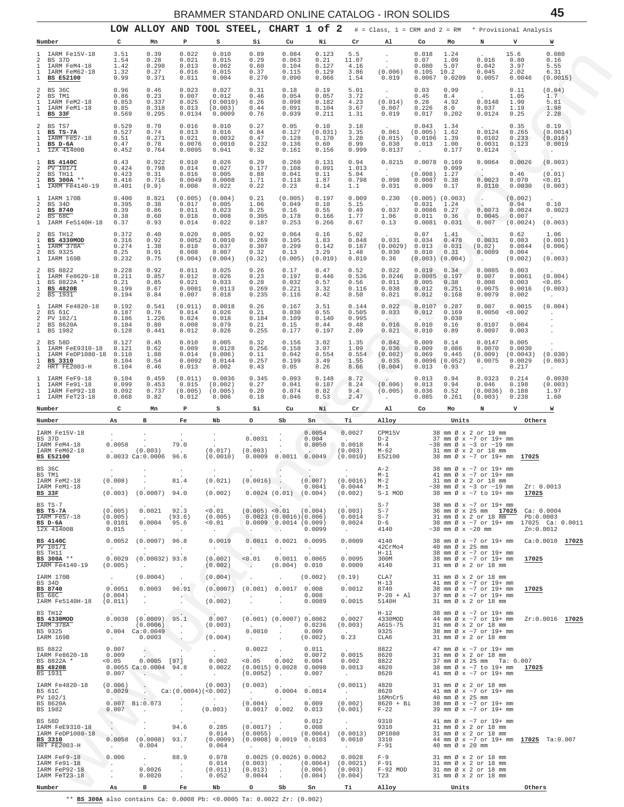<span id="page-44-0"></span>

|                                                            |                                                                                 |                                                   | LOW ALLOY AND TOOL STEEL, CHART 1 of 2                                                |                                                                                 |                                                  |                                                              |                                                                                                           |                                                      |                                                                 | <b>DINAIVIIVIEN JIANDAND UNLINE CATALOG - INUN JULIDJ</b><br>$#$ = Class, 1 = CRM and 2 = RM |                                                           |                                         | * Provisional Analysis                                                                                                                                       |                                                |                                                                   |
|------------------------------------------------------------|---------------------------------------------------------------------------------|---------------------------------------------------|---------------------------------------------------------------------------------------|---------------------------------------------------------------------------------|--------------------------------------------------|--------------------------------------------------------------|-----------------------------------------------------------------------------------------------------------|------------------------------------------------------|-----------------------------------------------------------------|----------------------------------------------------------------------------------------------|-----------------------------------------------------------|-----------------------------------------|--------------------------------------------------------------------------------------------------------------------------------------------------------------|------------------------------------------------|-------------------------------------------------------------------|
| Number                                                     |                                                                                 | c                                                 | Mn                                                                                    | Р                                                                               | s                                                | Si                                                           | Cu                                                                                                        | Νi                                                   | Cr                                                              | A1                                                                                           | Co                                                        | Mo                                      | N                                                                                                                                                            | v                                              | W                                                                 |
| 1<br>2<br>1<br>1<br>$\mathbf{1}$                           | IARM Fe15V-18<br>BS 37D<br>IARM FeM4-18<br>IARM FeM62-18<br><b>BS E52100</b>    | 3.51<br>1.54<br>1.42<br>1.32<br>0.99              | 0.39<br>0.28<br>0.298<br>0.27<br>0.371                                                | 0.022<br>0.021<br>0.013<br>0.016<br>0.011                                       | 0.010<br>0.015<br>0.062<br>0.015<br>0.004        | 0.89<br>0.29<br>0.60<br>0.37<br>0.270                        | 0.084<br>0.063<br>0.104<br>0.115<br>0.090                                                                 | 0.123<br>0.21<br>0.127<br>0.129<br>0.066             | 5.5<br>11.07<br>4.16<br>3.86<br>1.54                            | $\bullet$<br>(0.006)<br>0.019                                                                | 0.018<br>0.07<br>0.080<br>0.105<br>0.0067                 | 1.24<br>1.09<br>5.07<br>10.2<br>0.0209  | 0.016<br>0.042<br>0.045<br>0.0057                                                                                                                            | 15.6<br>0.80<br>3.97<br>2.02<br>0.0046         | 0.080<br>0.16<br>5.55<br>6.31<br>(0.0015)                         |
| 2<br>2<br>1<br>1<br>$\mathbf{1}$                           | BS 36C<br>BS TM1<br>IARM FeM2-18<br>IARM FeM1-18<br>BS 33F                      | 0.96<br>0.86<br>0.853<br>0.85<br>0.569            | 0.46<br>0.23<br>0.337<br>0.318<br>0.295                                               | 0.023<br>0.007<br>0.025<br>0.013<br>0.0134                                      | 0.027<br>0.012<br>(0.0010)<br>(0.003)<br>0.0009  | 0.31<br>0.46<br>0.26<br>0.44<br>0.76                         | 0.18<br>0.054<br>0.098<br>0.091<br>0.039                                                                  | 0.19<br>0.057<br>0.182<br>0.104<br>0.211             | 5.01<br>3.72<br>4.23<br>3.67<br>1.31                            | $\sim$<br>(0.014)<br>0.007<br>0.019                                                          | 0.03<br>0.45<br>0.28<br>0.226<br>0.017                    | 0.99<br>8.4<br>4.92<br>8.0<br>0.202     | $\sim$<br>0.0148<br>0.037<br>0.0124                                                                                                                          | 0.11<br>1.05<br>1.90<br>1.19<br>0.25           | (0.04)<br>1.7<br>5.81<br>1.98<br>2.28                             |
| 2<br>1<br>1<br>1<br>$\mathbf{1}$                           | BS TS7<br>BS TS-7A<br>IARM FeS7-18<br>BS D-6A<br>12X 41400B                     | 0.529<br>0.527<br>0.51<br>0.47<br>0.452           | 0.70<br>0.74<br>0.271<br>0.78<br>0.764                                                | 0.016<br>0.013<br>0.021<br>0.0076<br>0.0095                                     | 0.010<br>0.016<br>0.0032<br>0.0010<br>0.041      | 0.27<br>0.84<br>0.47<br>0.232<br>0.32                        | 0.05<br>0.127<br>0.128<br>0.136<br>0.161                                                                  | 0.10<br>(0.031)<br>0.170<br>0.60<br>0.156            | 3.18<br>3.35<br>3.28<br>0.99<br>0.999                           | 0.061<br>(0.015)<br>0.038<br>0.0137                                                          | 0.043<br>(0.005)<br>0.0106<br>0.013                       | 1.34<br>1.62<br>1.39<br>1.00<br>0.177   | 0.0124<br>0.0102<br>0.0031<br>0.0124                                                                                                                         | 0.35<br>0.265<br>0.233<br>0.123<br>$\sim$      | 0.19<br>(0.0014)<br>(0.016)<br>0.0019<br>$\sim$                   |
| 1<br>2<br>$\overline{a}$<br>$\mathbf{1}$<br>$\mathbf{1}$   | <b>BS 4140C</b><br>PV 101/1<br>BS TH11<br>BS 300A **<br>IARM Fe4140-19          | 0.43<br>0.424<br>0.423<br>0.416<br>0.401          | 0.922<br>0.798<br>0.31<br>0.716<br>(0.9)                                              | 0.010<br>0.014<br>0.016<br>0.0049<br>0.008                                      | 0.026<br>0.027<br>0.005<br>0.0008<br>0.022       | 0.29<br>0.177<br>0.88<br>1.71<br>0.22                        | 0.260<br>0.108<br>0.041<br>0.118<br>0.23                                                                  | 0.131<br>0.091<br>0.11<br>1.87<br>0.14               | 0.94<br>1.013<br>5.04<br>0.798<br>1.1                           | 0.0215<br>$\sim$ $\sim$<br>0.098<br>0.031                                                    | 0.0078<br>(0.008)<br>0.0087<br>0.009                      | 0.169<br>0.099<br>1.27<br>0.38<br>0.17  | 0.0064<br>$\ddot{\phantom{1}}$<br>0.0023<br>0.0110                                                                                                           | 0.0026<br>0.46<br>0.070<br>0.0030              | (0.003)<br>(0.01)<br>0.01<br>(0.003)                              |
| -1.<br>2<br>$\mathbf{1}$<br>$\overline{a}$<br>$\mathbf{1}$ | IARM 170B<br>BS 34D<br>BS 8740<br><b>BS 68C</b><br>IARM Fe5140H-18              | 0.400<br>0.395<br>0.39<br>0.38<br>0.37            | 0.821<br>0.38<br>0.86<br>0.60<br>0.93                                                 | (0.005)<br>0.017<br>0.011<br>0.018<br>0.014                                     | (0.004)<br>0.005<br>0.023<br>0.008<br>0.022      | 0.21<br>1.06<br>0.25<br>0.305<br>0.187                       | (0.005)<br>0.049<br>0.16<br>0.178<br>0.253                                                                | 0.197<br>0.10<br>0.55<br>0.166<br>0.266              | 0.009<br>5.15<br>0.49<br>1.77<br>0.67                           | 0.230<br>0.037<br>1.06<br>0.13                                                               | $(0.005)$ $(0.003)$<br>0.031<br>0.0086<br>0.011<br>0.0081 | 1.24<br>0.27<br>0.36<br>0.031           | 0.0073<br>0.0045<br>0.007                                                                                                                                    | (0.002)<br>0.94<br>0.0024<br>0.007<br>(0.0024) | 0.10<br>0.0023<br>(0.003)                                         |
| 2<br>1<br>1<br>2<br>$\mathbf{1}$                           | BS TH12<br><b>BS 4330MOD</b><br>IARM 378A<br>BS 9325<br>IARM 169B               | 0.372<br>$0.316$<br>$0.274$<br>0.25<br>0.232      | 0.40<br>0.92<br>1.38<br>0.91<br>0.75                                                  | 0.020<br>0.0052<br>0.018<br>0.008<br>(0.004)                                    | 0.005<br>0.0010<br>0.037<br>0.007<br>(0.004)     | 0.92<br>0.269<br>0.307<br>0.32<br>(0.32)                     | 0.064<br>0.105<br>0.299<br>0.13<br>(0.005)                                                                | 0.16<br>1.83<br>0.142<br>3.29<br>(0.010)             | 5.02<br>0.848<br>0.187<br>1.48<br>0.010                         | 0.031<br>(0.0029)<br>0.030<br>0.36                                                           | 0.07<br>0.034<br>0.013<br>0.010<br>$(0.003)$ $(0.004)$    | 1.41<br>0.478<br>0.031<br>0.31          | 0.0031<br>(0.02)<br>0.0089<br>$\ddot{\phantom{0}}$                                                                                                           | 0.62<br>0.083<br>0.0844<br>0.004<br>(0.002)    | 1.06<br>(0.001)<br>(0.006)<br>(0.003)                             |
| 2<br>1<br>$\mathbf{1}$<br>$\mathbf{1}$<br>2                | BS 8822<br>IARM Fe8620-18<br>BS 8822A *<br><b>BS 4820B</b><br>BS 1931           | 0.228<br>0.211<br>0.21<br>0.199<br>0.194          | 0.92<br>0.857<br>0.85<br>0.67<br>0.84                                                 | 0.011<br>0.012<br>0.021<br>0.0081<br>0.007                                      | 0.025<br>0.026<br>0.033<br>0.0113<br>0.018       | 0.26<br>0.23<br>0.28<br>0.269<br>0.235                       | 0.17<br>0.197<br>0.032<br>0.221<br>0.116                                                                  | 0.47<br>0.446<br>0.57<br>3.32<br>0.42                | 0.52<br>0.536<br>0.56<br>0.116<br>0.50                          | 0.022<br>0.0246<br>0.011<br>0.038<br>0.021                                                   | 0.019<br>0.0085<br>0.005<br>0.012<br>0.012                | 0.34<br>0.197<br>0.38<br>0.251<br>0.168 | 0.0085<br>0.007<br>0.008<br>0.0075<br>0.0079                                                                                                                 | 0.003<br>0.0061<br>0.003<br>0.0016<br>0.002    | (0.004)<br>0.05<br>(0.003)<br>$\blacksquare$                      |
| -1<br>2<br>2<br>2<br>$\mathbf{1}$                          | IARM Fe4820-18<br>BS 61C<br>PV 102/1<br>BS 8620A<br>BS 1982                     | 0.192<br>0.187<br>0.186<br>0.184<br>0.128         | 0.541<br>0.76<br>1.226<br>0.80<br>0.441                                               | (0.011)<br>0.014<br>0.024<br>0.008<br>0.012                                     | 0.0018<br>0.026<br>0.018<br>0.079<br>0.026       | 0.26<br>0.21<br>0.184<br>0.21<br>0.255                       | 0.167<br>0.030<br>0.109<br>0.15<br>0.177                                                                  | 3.51<br>0.55<br>0.140<br>0.44<br>0.197               | 0.144<br>0.505<br>0.995<br>0.48<br>2.09                         | 0.022<br>0.033<br>0.016<br>0.021                                                             | 0.0107<br>0.012<br>0.010<br>0.010                         | 0.287<br>0.169<br>0.030<br>0.16<br>0.89 | 0.007<br>0.0050<br>0.0107<br>0.0097                                                                                                                          | 0.0015<br>0.002<br>0.004<br>0.003              | (0.004)<br>$\blacksquare$                                         |
| 2<br>1<br>1<br>1<br>2                                      | <b>BS 58D</b><br>IARM FeE9310-18<br>IARM FeDP1080-18<br>BS 3310<br>HRT FE2003-H | 0.127<br>0.121<br>0.110<br>0.104<br>0.104         | 0.45<br>0.62<br>1.88<br>0.54<br>0.46                                                  | 0.010<br>0.009<br>0.014<br>0.0092<br>0.013                                      | 0.005<br>0.0128<br>(0.006)<br>0.0144<br>0.002    | 0.32<br>0.256<br>0.11<br>0.257<br>0.43                       | 0.156<br>0.158<br>0.042<br>0.199<br>0.05                                                                  | 3.02<br>3.07<br>0.554<br>3.49<br>0.26                | 1.35<br>1.09<br>0.554<br>1.55<br>8.66                           | 0.042<br>0.036<br>(0.002)<br>0.035<br>(0.004)                                                | 0.009<br>0.009<br>0.069<br>0.0096(0.052)<br>0.013         | 0.14<br>0.086<br>0.445<br>0.93          | 0.0147<br>0.0070<br>(0.009)<br>0.0075<br>$\sim$                                                                                                              | 0.005<br>0.0030<br>(0.0043)<br>0.0029<br>0.217 | (0.030)<br>(0.003)<br>$\cdot$                                     |
| -1.<br>1.<br>1<br>Number                                   | IARM FeF9-18<br>IARM Fe91-18<br>IARM FeP92-18<br>1 IARM FeT23-18                | 0.104<br>0.099<br>0.092<br>0.068<br>C             | 0.459<br>0.453<br>0.737<br>0.82<br>Mn                                                 | (0.011)<br>0.015<br>(0.005)<br>0.012<br>Р                                       | 0.0036<br>(0.002)<br>(0.005)<br>0.006<br>s       | 0.345<br>0.27<br>0.20<br>0.18<br>Si                          | 0.093<br>0.041<br>0.074<br>0.046<br>Cu                                                                    | 0.148<br>0.187<br>0.82<br>0.53<br>Ni                 | 8.72<br>8.24<br>9.4<br>2.47<br>Cr                               | $\ddot{\phantom{a}}$<br>(0.006)<br>(0.005)<br>Al                                             | 0.013<br>0.013<br>0.036<br>0.085<br>Co                    | 0.94<br>0.94<br>0.52<br>0.261<br>Mo     | 0.0323<br>0.046<br>(0.0036)<br>(0.003)<br>N                                                                                                                  | 0.214<br>0.198<br>0.188<br>0.238<br>v          | 0.0030<br>(0.003)<br>1.97<br>1.60<br>W                            |
| Number                                                     |                                                                                 | As                                                | в                                                                                     | Fe                                                                              | Nb                                               | o                                                            | Sb                                                                                                        | Sn                                                   | Тi                                                              | Alloy                                                                                        |                                                           | Units                                   |                                                                                                                                                              | Others                                         |                                                                   |
| BS 37D<br><b>BS E52100</b>                                 | IARM Fe15V-18<br>IARM FeM4-18<br>IARM FeM62-18                                  | $\cdot$<br>0.0058<br><b>Contract Contract</b>     | $\cdot$<br>(0.003)<br>$0.0033$ Ca: $0.0006$                                           | $\cdot$<br>79.0<br>96.6                                                         | $\cdot$<br>$\cdot$<br>(0.017)<br>(0.0010)        | 0.0031<br>(0.003)<br>0.0009                                  | $\cdot$<br>$\cdot$<br>0.0011                                                                              | 0.0054<br>0.004<br>0.0050<br>0.0049                  | 0.0027<br>0.0018<br>(0.003)<br>(0.0010)                         | CPM15V<br>$D-2$<br>$M-4$<br>M-62<br>E52100                                                   |                                                           |                                         | 38 mm Ø x 2 or 19 mm<br>37 mm Ø x ~7 or 19+ mm<br>$\sim$ 38 mm Ø x $\sim$ 3 or $\sim$ 19 mm<br>31 mm Ø x 2 or 18 mm<br>38 mm Ø x ~7 or 19+ mm 17025          |                                                |                                                                   |
| BS 36C<br>BS TM1<br>BS 33F                                 | IARM FeM2-18<br>IARM FeM1-18                                                    | (0.008)                                           | $(0.003)$ $(0.0007)$ 94.0                                                             | 81.4                                                                            | (0.021)<br>(0.002)                               | $(0.0016)$ .                                                 | 0.0024(0.01)(0.004)                                                                                       | (0.007)<br>0.0041                                    | (0.0016)<br>0.0044<br>(0.002)                                   | $A-2$<br>$M-1$<br>$M-2$<br>$M-1$<br>$S-1$ MOD                                                |                                                           |                                         | 38 mm Ø x ~7 or 19+ mm<br>41 mm Ø x ~7 or 19+ mm<br>31 mm Ø x 2 or 18 mm<br>$\sim$ 38 mm Ø x $\sim$ 3 or $\sim$ 19 mm<br>38 mm Ø x ~7 to 19+ mm              | 17025                                          | Zr: 0.0013                                                        |
| BS TS-7<br>BS TS-7A<br>BS D-6A                             | IARM FeS7-18<br>12X 41400B                                                      | (0.005)<br>(0.005)<br>0.0101<br>0.015             | 0.0021<br><b>Contract Contract</b><br>0.0004<br>$\sim 10^{-11}$                       | 92.3<br>(93.6)<br>95.6<br>$\sim$ 10 $\pm$                                       | < 0.01<br>(0.005)<br>< 0.01<br>$\sim$            | N.                                                           | $(0.005)$ < 0.01 $(0.004)$<br>$0.0023$ $(0.0016)(0.006)$<br>$0.0009$ $0.0014$ (0.009)<br>$\sim$ $\lambda$ | 0.0099                                               | (0.003)<br>0.0014<br>0.0024<br>$\sim 10^{-11}$                  | $S-7$<br>$S-7$<br>$S-7$<br>$D-6$<br>4140                                                     |                                                           |                                         | 38 mm Ø x ~7 or 19+ mm<br>36 mm Ø x 25 mm 17025 Ca: 0.0004<br>$31 \text{ mm } \emptyset \times 2 \text{ or } 18 \text{ mm}$<br>$\sim$ 38 mm Ø x $\sim$ 20 mm |                                                | Pb:0.0003<br>38 mm Ø x ~7 or 19+ mm 17025 Ca: 0.0011<br>Zn:0.0012 |
| <b>BS 4140C</b><br>$PV$ 101/1<br>BS TH11                   | BS 300A **<br>IARM Fe4140-19                                                    | 0.0052<br><b>Contract</b><br>0.0029<br>(0.005)    | $(0.0007)$ 96.8<br>$\sim$<br>$(0.00032)$ 93.8<br><b>Contractor</b>                    | $\sim 100$<br>$\sim 100$                                                        | 0.0019<br><b>Contract</b><br>(0.002)<br>(0.002)  | <b>ALCOHOL:</b><br>< 0.01<br>$\sim$                          | $0.0011$ $0.0021$ $0.0095$<br>$\sim$<br>(0.004) 0.010                                                     | <b>Contract</b><br>$0.0011$ $0.0065$                 | 0.0009<br><b>Contract</b><br>0.0095<br>0.0009                   | 4140<br>42CrMo4<br>$H-11$<br>300M<br>4140                                                    |                                                           | 40 mm Ø x 25 mm                         | 38 mm Ø x ~7 or 19+ mm<br>38 mm Ø x ~7 or 19+ mm<br>31 mm Ø x 2 or 18 mm                                                                                     | 17025                                          | 38 mm Ø x ~7 or 19+ mm Ca:0.0010 17025                            |
| IARM 170B<br>BS 34D<br>BS 8740<br><b>BS 68C</b>            | IARM Fe5140H-18                                                                 | <b>Contractor</b><br>0.0051<br>(0.004)<br>(0.011) | (0.0004)<br>$\sim$<br>0.0003<br><b>Contract Contract</b><br>$\sim$                    | $\sim 100$<br>96.91<br><b>Contract Contract</b><br>$\mathbf{r}$                 | (0.004)<br>(0.0007)<br><b>COLLEGE</b><br>(0.002) | $\sim$<br>(0.001)<br>$\ddot{\phantom{a}}$<br>$\mathbf{r}$    | $\ddot{\phantom{a}}$<br>0.0017<br>$\sim$<br>$\sim$                                                        | (0.002)<br>0.008<br>0.008<br>0.0089                  | (0.19)<br>$\sim$<br>0.0012<br><b>Carl Corporation</b><br>0.0015 | CLA7<br>$H-13$<br>8740<br>$P-20 + A1$<br>5140H                                               |                                                           |                                         | 31 mm Ø x 2 or 18 mm<br>41 mm Ø x ~7 or 19+ mm<br>38 mm Ø x ~7 or 19+ mm<br>37 mm Ø x ~7 or 19+ mm<br>31 mm Ø x 2 or 18 mm                                   | 17025                                          |                                                                   |
| BS TH12<br>BS 9325<br>IARM 169B                            | BS 4330MOD<br>IARM 378A                                                         | <b>Carl Corporation</b><br><b>Contractor</b>      | $0.0038$ $(0.0009)$ 95.1<br>(0.0006)<br>$0.004$ Ca: $0.0049$<br>0.0003                | $\sim 10$<br>$\mathcal{M}_{\mathcal{A}}$                                        | 0.007<br>(0.003)<br>(0.004)                      | <b>Contract Contract</b><br>0.0010<br><b>Contractor</b>      | $(0.001)$ $(0.0007)$ 0.0062<br><b>Contract</b><br>$\sim$<br>$\sim$ $\sim$                                 | 0.0236<br>0.009<br>(0.002)                           | 0.0027<br>(0.003)<br>$\sim$<br>0.23                             | $H-12$<br>4330MOD<br>A615-75<br>9325<br>CLA6                                                 |                                                           |                                         | 38 mm Ø x ~7 or 19+ mm<br>31 mm Ø x 2 or 18 mm<br>38 mm Ø x ~7 or 19+ mm<br>31 mm Ø x 2 or 18 mm                                                             |                                                | 44 mm Ø x ~7 or 19+ mm Zr:0.0016 17025                            |
| BS 8822<br><b>BS 4820B</b><br>BS 1931                      | IARM Fe8620-18<br>BS 8822A *                                                    | 0.007<br>0.009<br>< 0.05<br>0.007                 | $\cdot$<br><b>Service</b><br>$0.0005$ [97]<br>0.0055 Ca:0.0004 94.8<br><b>Section</b> | $\sim$                                                                          | $\sim$<br>0.002<br>0.0022<br><b>Contract</b>     | 0.0022<br><b>Contract Contract</b><br>< 0.05<br>$(0.0052)$ . | $\sim$<br>0.002<br>(0.0015) 0.0028                                                                        | 0.011<br>0.0072<br>0.004<br>0.0098<br>0.007          | 0.0015<br>0.002<br>0.0013<br>$\sim 10^{-10}$                    | 8822<br>8620<br>8822<br>4820<br>8620                                                         |                                                           |                                         | 47 mm Ø x ~7 or 19+ mm<br>31 mm Ø x 2 or 18 mm<br>37 mm Ø x 25 mm Ta: 0.007<br>38 mm Ø x ~7 to 19+ mm 17025<br>41 mm Ø x ~7 or 19+ mm                        |                                                |                                                                   |
| BS 61C<br>PV 102/1<br>BS 8620A<br>BS 1982                  | IARM Fe4820-18                                                                  | (0.006)<br>0.0029<br>0.007                        | $\backslash$<br><b>CONTRACTOR</b><br>$0.007$ Bi: $0.073$<br><b>Contractor</b>         | Ca:(0.0004)(<0.002)<br>$\sim 100$<br>$\sim$<br>$\sim 100$                       | (0.003)<br><b>Contractor</b><br>(0.003)          | (0.003)<br><b>Contractor</b><br>(0.004)<br>0.0017            | $\sim 10^{-11}$<br>$\sim$<br>$0.002$ $0.013$                                                              | $0.0004$ 0.0014<br><b>Contract Contract</b><br>0.009 | (0.0011)<br><b>Contract Contract</b><br>(0.002)<br>(0.001)      | 4820<br>8620<br>$16$ MnCr $5$<br>$8620 + Bi$<br>$F-22$                                       |                                                           | 40 mm Ø x 25 mm                         | 31 mm Ø x 2 or 18 mm<br>41 mm Ø x ~7 or 19+ mm<br>38 mm Ø x ~7 or 19+ mm<br>39 mm Ø x ~7 or 19+ mm                                                           |                                                |                                                                   |
| BS 58D<br>BS 3310                                          | IARM FeE9310-18<br>IARM FeDP1080-18<br>$HRT$ $FE2003-H$                         | 0.0058<br>$\sim$ $-$                              | (0.0008)<br>0.004                                                                     | 94.6<br>$\sim 100$<br>93.7<br>$\sim 100$ km s $^{-1}$                           | 0.285<br>0.014<br>(0.0009)<br>0.064              | $(0.0017)$ .<br>(0.0055)<br><b>Contractor</b>                | $\sim$<br>(0.0008) 0.0019 0.0103<br>$\sim 10^{-10}$                                                       | 0.012<br>0.008<br>(0.0064)<br>$\sim$ 100 $\mu$       | (0.0013)<br>0.0010<br>$\Delta \sim 100$                         | 9310<br>9310<br>DP1080<br>3310<br>$F-91$                                                     |                                                           | 40 mm Ø x 20 mm                         | 41 mm Ø x ~7 or 19+ mm<br>31 mm Ø x 2 or 18 mm<br>31 mm Ø x 2 or 18 mm                                                                                       |                                                | 44 mm Ø x ~7 or 19+ mm 17025 Ta:0.007                             |
|                                                            | IARM FeF9-18<br>IARM Fe91-18<br>IARM FeP92-18<br>IARM FeT23-18                  | 0.006<br>$\ddot{\phantom{1}}$<br>$\mathbf{r}$     | $\cdot$<br>$\sim$<br>0.0026<br>0.0020<br>в                                            | 88.9<br><b>Contract</b><br>$\mathcal{L}_{\mathcal{A}}$<br>$\sim 10^{-11}$<br>Fe | 0.078<br>0.014<br>(0.011)<br>0.052<br>Nb         | (0.003)<br>(0.013)<br>0.0044<br>$\circ$                      | $0.0025$ (0.0026) 0.0062<br>$\sim$ $\sim$<br>$\sim 100$<br>Sb                                             | (0.0064)<br>(0.006)<br>(0.004)                       | 0.0028<br>(0.0021)<br>(0.003)<br>(0.004)<br>Ti                  | $F-9$<br>$F-91$<br>$F-92$ MOD<br>T23<br>Alloy                                                |                                                           |                                         | 31 mm Ø x 2 or 18 mm<br>31 mm Ø x 2 or 18 mm<br>31 mm Ø x 2 or 18 mm<br>31 mm Ø x 2 or 18 mm                                                                 | Others                                         |                                                                   |
| Number                                                     |                                                                                 | As                                                |                                                                                       |                                                                                 |                                                  |                                                              |                                                                                                           | Sn                                                   |                                                                 |                                                                                              |                                                           | Units                                   |                                                                                                                                                              |                                                |                                                                   |

\*\* **BS 300A** also contains Ca: 0.0008 Pb: <0.0005 Ta: 0.0022 Zr: (0.002)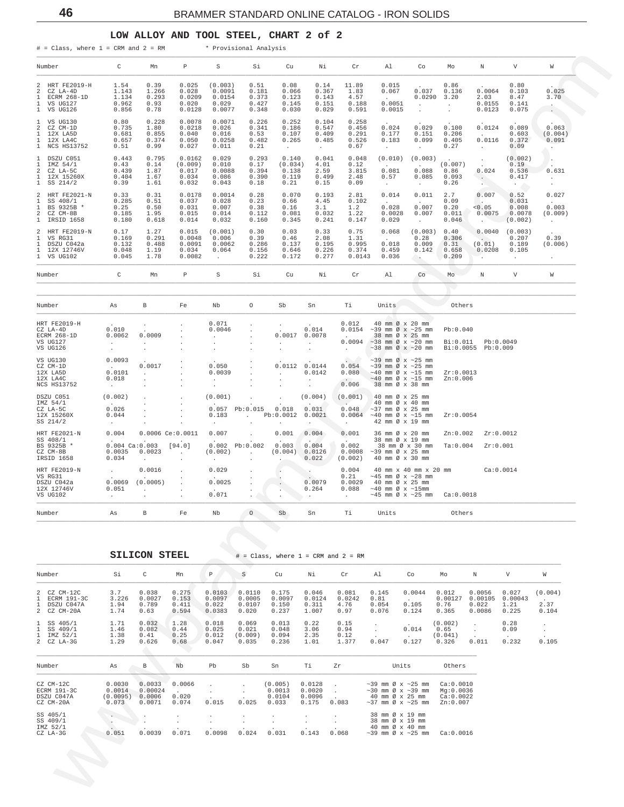#### **LOW ALLOY AND TOOL STEEL, CHART 2 of 2**

<span id="page-45-0"></span>

| $\#$ = Class, where 1 = CRM and 2 = RM                                                                 |                                                                               |                                                                   |                                                     |                                                             | * Provisional Analysis                                         |                                                                                     |                                                     |                                                      |                                                                                                                    |                                                                                            |                                                                 |                                                                |                                                                  |                                                         |  |
|--------------------------------------------------------------------------------------------------------|-------------------------------------------------------------------------------|-------------------------------------------------------------------|-----------------------------------------------------|-------------------------------------------------------------|----------------------------------------------------------------|-------------------------------------------------------------------------------------|-----------------------------------------------------|------------------------------------------------------|--------------------------------------------------------------------------------------------------------------------|--------------------------------------------------------------------------------------------|-----------------------------------------------------------------|----------------------------------------------------------------|------------------------------------------------------------------|---------------------------------------------------------|--|
| Number                                                                                                 | $\mathbb{C}$                                                                  | Mn                                                                | P.                                                  | S                                                           | Si                                                             | Cu                                                                                  | Ni                                                  | $\operatorname{Cr}$                                  | Al                                                                                                                 | Co                                                                                         | Mo                                                              | N                                                              | V                                                                | W                                                       |  |
| 2 HRT FE2019-H<br>2 CZ LA-4D<br>ECRM 268-1D<br>$\mathbf{1}$<br>1 VS UG127<br>1 VS UG126                | 1.54<br>1.143<br>1.134<br>0.962<br>0.856                                      | 0.39<br>1.266<br>0.293<br>0.93<br>0.78                            | 0.025<br>0.028<br>0.0209<br>0.020<br>0.0128         | (0.003)<br>0.0091<br>0.0154<br>0.029<br>0.0077              | 0.51<br>0.181<br>0.373<br>0.427<br>0.348                       | 0.08<br>0.066<br>0.123<br>0.145<br>0.030                                            | 0.14<br>0.367<br>0.143<br>0.151<br>0.029            | 11.89<br>1.83<br>4.57<br>0.188<br>0.591              | 0.015<br>0.067<br><b>Contractor</b><br>0.0051<br>0.0015                                                            | 0.037<br>$\sim$<br>$\sim$                                                                  | 0.86<br>0.136<br>$0.0290$ 3.20<br>$\sim$<br>$\sim$              | 0.0064<br>2.03<br>0.0155<br>0.0123                             | 0.80<br>0.103<br>8.47<br>0.141<br>0.075                          | 0.025<br>3.70<br>$\sim$<br>$\sim$                       |  |
| 1 VS UG130<br>2<br>CZ CM-1D<br>$\mathbf{1}$<br>12X LA5D<br>1 12X LA4C<br>1 NCS HS13752                 | 0.80<br>0.735<br>0.681<br>0.657<br>0.51                                       | 0.228<br>1.80<br>0.855<br>0.374<br>0.99                           | 0.0078<br>0.0218<br>0.040<br>0.050<br>0.027         | 0.0071<br>0.026<br>0.016<br>0.0258<br>0.011                 | 0.226<br>0.341<br>0.53<br>0.482<br>0.21                        | 0.252<br>0.186<br>0.107<br>0.265<br>$\sim 10^{-11}$                                 | 0.104<br>0.547<br>0.409<br>0.485<br><b>Contract</b> | 0.258<br>0.456<br>0.291<br>0.526<br>0.67             | 0.024<br>0.177<br>0.183<br>$\sim$ $-$                                                                              | 0.029<br>0.151<br>$\sim 10^{-11}$                                                          | 0.100<br>0.206<br>$0.099$ $0.405$<br>0.27                       | 0.0124<br><b>Carl Corp.</b><br>0.0116<br>$\sim 10^{-10}$       | 0.089<br>0.603<br>0.372<br>0.09                                  | 0.063<br>(0.004)<br>0.091<br>$\mathcal{N}(\mathcal{F})$ |  |
| 1 DSZU C051<br>1<br>IMZ 54/1<br>$\overline{a}$<br>CZ LA-5C<br>1 12X 15260X<br>1 SS 214/2               | 0.443<br>0.43<br>0.439<br>0.404<br>0.39                                       | 0.795<br>0.14<br>1.87<br>1.67<br>1.61                             | 0.0162<br>(0.009)<br>0.017<br>0.034<br>0.032        | 0.029<br>0.010<br>0.0088<br>0.086<br>0.043                  | 0.293<br>0.17<br>0.394<br>0.390<br>0.18                        | 0.140<br>(0.034)<br>0.138<br>0.119<br>0.21                                          | 0.041<br>4.01<br>2.59<br>0.499<br>0.15              | 0.048<br>0.12<br>3.815<br>2.48<br>0.09               | (0.010)<br>$\sim 10^{-10}$<br>0.081<br>0.57<br>$\sim 100$                                                          | (0.003)<br>$\sim 10^{-11}$                                                                 | (0.007)<br>$0.088$ 0.86<br>$0.085$ 0.093<br>0.26                | <b>Contract</b><br>0.024<br>$\sim$ $\sim$<br><b>CONTRACTOR</b> | (0.002)<br>0.19<br>0.536<br>0.417<br>$\mathcal{F}(\mathcal{E})$  | $\sim$<br>0.631<br>$\sim 10^{-11}$<br>$\sim$ $\sim$     |  |
| 2 HRT FE2021-N<br>$\mathbf{1}$<br>SS 408/1<br>$\mathbf{1}$<br>BS 9325B *<br>2 CZ CM-8B<br>1 IRSID 1658 | 0.33<br>0.285<br>0.25<br>0.185<br>0.180                                       | 0.31<br>0.51<br>0.50<br>1.95<br>0.618                             | 0.0178<br>0.037<br>0.031<br>0.015<br>0.014          | 0.0014<br>0.028<br>0.007<br>0.014<br>0.032                  | 0.28<br>0.23<br>0.38<br>0.112<br>0.160                         | 0.070<br>0.66<br>0.16<br>0.081<br>0.345                                             | 0.193<br>4.45<br>3.1<br>0.032<br>0.241              | 2.81<br>0.102<br>1.2<br>1.22<br>0.147                | 0.014<br><b>Contract</b><br>0.028<br>0.0028<br>0.029                                                               | $\sim 10^{-11}$<br>$\sim$ 100 $\pm$                                                        | $0.011$ $2.7$<br>0.09<br>0.007 0.20<br>$0.007$ $0.011$<br>0.046 | 0.007<br><b>Contract Contract</b><br>0.05<br><b>CONTRACTOR</b> | 0.52<br>0.031<br>0.008<br>$0.0075$ 0.0078<br>(0.002)             | 0.027<br>0.003<br>(0.009)<br>$\sim 100$                 |  |
| 2 HRT FE2019-N<br>1<br>VS RG31<br>DSZU C042a<br>1<br>1 12X 12746V<br>1 VS UG102                        | 0.17<br>0.169<br>0.132<br>0.048<br>0.045                                      | 1.27<br>0.291<br>0.488<br>1.19<br>1.78                            | 0.015<br>0.0048<br>0.0091<br>0.034<br>0.0082        | (0.001)<br>0.006<br>0.0062<br>0.064<br>$\ddot{\phantom{a}}$ | 0.30<br>0.39<br>0.286<br>0.156<br>0.222                        | 0.03<br>0.46<br>0.137<br>0.646<br>0.172                                             | 0.33<br>2.08<br>0.195<br>0.226<br>0.277             | 0.75<br>1.31<br>0.995<br>0.374<br>0.0143             | 0.068<br><b>Contract</b><br>0.018<br>0.459<br>0.036                                                                | 0.28<br>0.009<br>0.142<br>$\ddotsc$                                                        | (0.003) 0.40<br>0.306<br>0.31<br>0.658<br>0.209                 | $\sim$<br>(0.01)<br>$\sim$                                     | $0.0040$ $(0.003)$<br>0.207<br>0.189<br>$0.0208$ 0.105<br>$\sim$ | 0.39<br>(0.006)<br>$\sim$                               |  |
| Number                                                                                                 | $\overline{C}$                                                                | Mn                                                                | $_{\rm P}$                                          | S                                                           | Si                                                             | Cu                                                                                  | Νi                                                  | Cr                                                   | Al                                                                                                                 | Co                                                                                         | Mo                                                              | N                                                              | V                                                                | W                                                       |  |
|                                                                                                        |                                                                               |                                                                   |                                                     |                                                             |                                                                |                                                                                     |                                                     |                                                      |                                                                                                                    |                                                                                            |                                                                 |                                                                |                                                                  |                                                         |  |
| Number                                                                                                 | As                                                                            | B                                                                 | Fe                                                  | Nb                                                          | $\circ$                                                        | Sb                                                                                  | Sn                                                  | Ti                                                   | Units                                                                                                              |                                                                                            | Others                                                          |                                                                |                                                                  |                                                         |  |
| HRT FE2019-H<br>CZ LA-4D<br>ECRM 268-1D<br>VS UG127<br>VS UG126                                        | 0.010<br>0.0062<br>$\sim 100$ km s $^{-1}$<br>$\sim$ $-$                      | $\sigma_{\rm{max}}$<br>0.0009<br>$\Delta \sim 10^{-11}$<br>$\sim$ | $\cdot$<br>$\sim$<br>$\cdot$<br>$\sim$<br>$\cdot$   | 0.071<br>0.0046<br><b>Service</b><br>$\sim$<br>$\sim$       | $\sim$<br>$\sim$<br>$\cdot$<br>$\ddot{\phantom{a}}$<br>$\cdot$ | $\mathcal{L}^{\text{max}}$<br>$\sim$<br>$\sim$                                      | 0.014<br>$0.0017$ 0.0078<br>$\sim$ $-$<br>$\cdot$   | 0.012<br><b>Contract Contract</b><br>$\sim 10^{-11}$ | $0.0154 -39$ mm Ø x ~25 mm<br>0.0094 ~38 mm $\varnothing$ x ~20 mm<br>$\sim$ 38 mm Ø x $\sim$ 20 mm                | 40 mm Ø x 20 mm<br>38 mm Ø x 25 mm                                                         | Pb:0.040                                                        | Bi:0.011 Pb:0.0049<br>Bi:0.0055 Pb:0.009                       |                                                                  |                                                         |  |
| VS UG130<br>CZ CM-1D<br>12X LA5D<br>12X LA4C<br>NCS HS13752                                            | 0.0093<br><b>Contractor</b><br>0.0101<br>0.018<br><b>Contract</b>             | 0.0017<br><b>Service</b><br>$\cdot$                               | $\cdot$<br>$\cdot$                                  | 0.050<br>0.0039<br>$\sim$<br>$\cdot$                        | $\cdot$<br>$\cdot$<br>$\cdot$<br>$\cdot$                       | <b>Carl Corporation</b>                                                             | 0.0112 0.0144<br>0.0142                             | $\sim$<br>0.054<br>0.080<br>0.006                    | $\sim$ 39 mm Ø x $\sim$ 25 mm<br>$\sim$ 39 mm Ø x $\sim$ 25 mm<br>$\sim$ 40 mm Ø x $\sim$ 15 mm Zr:0.0013          | $\sim$ 40 mm Ø x $\sim$ 15 mm<br>38 mm Ø x 38 mm                                           | Zn:0.006                                                        |                                                                |                                                                  |                                                         |  |
| DSZU C051<br>IMZ 54/1<br>CZ LA-5C<br>12X 15260X<br>SS 214/2                                            | (0.002)<br>0.026<br>0.044<br>$\sim 100$                                       | $\sim$<br>$\sim$<br>$\cdot$<br>$\ddot{\phantom{0}}$               | $\cdot$<br>$\cdot$<br>$\cdot$                       | (0.001)<br>0.183<br>$\sim$                                  | $\ddot{\phantom{a}}$<br>$\mathcal{L}^{\text{max}}$<br>$\cdot$  | $\ddot{\phantom{a}}$<br>$0.057$ Pb:0.015 0.018 0.031<br>Pb:0.0012 0.0021<br>$\cdot$ | (0.004)<br>$\sim$                                   | (0.001)<br>$\sim$<br>0.048<br>$\sim$ $-$             | $\sim$ 37 mm Ø x 25 mm<br>$0.0064$ ~40 mm Ø x ~15 mm                                                               | 40 mm Ø x 25 mm<br>40 mm Ø x 40 mm<br>42 mm Ø x 19 mm                                      | Zr:0.0054                                                       |                                                                |                                                                  |                                                         |  |
| HRT FE2021-N<br>SS 408/1<br>BS 9325B *<br>CZ CM-8B<br>IRSID 1658                                       | 0.004<br>$0.004$ Ca: $0.003$ [94.0]<br>$0.0035$ 0.0023<br>0.034               | $\ddot{\phantom{a}}$                                              | $0.0006$ Ce: $0.0011$<br><b>Contract</b>            | 0.007<br>(0.002)<br>$\sim$                                  | $\sim$ 10 $\pm$<br>$0.002$ $Pb:0.002$<br><b>Contractor</b>     | 0.001<br>$0.003$ 0.004<br>(0.004) 0.0126<br><b>Contract Contract</b>                | 0.004<br>0.022                                      | 0.001<br>0.002<br>0.0008<br>(0.002)                  | $\sim$ 39 mm Ø x 25 mm                                                                                             | 36 mm Ø x 20 mm<br>38 mm Ø x 19 mm<br>38 mm Ø x 30 mm Ta:0.004 Zr:0.001<br>40 mm Ø x 30 mm | Zn:0.002                                                        |                                                                | Zr:0.0012                                                        |                                                         |  |
| HRT FE2019-N<br>VS RG31<br>DSZU C042a<br>12X 12746V<br>VS UG102                                        | <b>Contractor</b><br>$0.0069$ $(0.0005)$<br>0.051<br><b>Contract Contract</b> | 0.0016<br><b>Contractor</b><br>$\sim$ $\sim$                      | $\sim$<br>$\sim$ $\sim$<br><b>Contract Contract</b> | 0.029<br>0.0025<br>0.071                                    | $\sim$<br>$\frac{1}{2}$<br>$\sim$ $\sim$ $\sim$                | <b>Contract</b><br>$\begin{array}{ccc} 0.264 \end{array}$                           | <b>Contractor</b><br>0.0079<br>0.264                | 0.004<br>0.21<br><b>Carl Corporation</b>             | $0.0029$ 40 mm $\emptyset$ x 25 mm<br>0.088 ~40 mm Ø x ~15mm<br>$~10018$ mm Ø x $~25$ mm Ca:0.0018                 | 40 mm x 40 mm x 20 mm ca:0.0014<br>$~10-45$ mm Ø x $~28$ mm                                |                                                                 |                                                                |                                                                  |                                                         |  |
| Number                                                                                                 | As                                                                            | В                                                                 | Fe                                                  | Nb                                                          | O                                                              | Sb                                                                                  | Sn                                                  | Тi                                                   | Units                                                                                                              |                                                                                            | Others                                                          |                                                                |                                                                  |                                                         |  |
|                                                                                                        |                                                                               |                                                                   |                                                     |                                                             |                                                                |                                                                                     |                                                     |                                                      |                                                                                                                    |                                                                                            |                                                                 |                                                                |                                                                  |                                                         |  |
|                                                                                                        |                                                                               | <b>SILICON STEEL</b>                                              |                                                     |                                                             |                                                                |                                                                                     |                                                     | $\#$ = Class, where $1$ = CRM and $2$ = RM           |                                                                                                                    |                                                                                            |                                                                 |                                                                |                                                                  |                                                         |  |
| Number                                                                                                 | Si                                                                            | C                                                                 | Mn                                                  | $\mathbb P$                                                 | S                                                              | Cu                                                                                  | Νi                                                  | Cr                                                   | Al                                                                                                                 | Co                                                                                         | Mо                                                              | N                                                              | V                                                                | W                                                       |  |
| 2 CZ CM-12C<br>1 ECRM 191-3C<br>1<br>DSZU C047A<br>2 CZ CM-20A                                         | 3.7<br>3.226<br>1.94<br>1.74                                                  | 0.038<br>0.0027<br>0.789<br>0.63                                  | 0.275<br>0.153<br>0.411<br>0.594                    | 0.0103<br>0.0097<br>0.022<br>0.0383                         | 0.0110<br>0.0005<br>0.0107<br>0.020                            | 0.175<br>0.0097<br>0.150<br>0.237                                                   | 0.046<br>0.0124<br>0.311<br>1.007                   | 0.081<br>0.0242<br>4.76<br>0.97                      | 0.145<br>0.81<br>0.054<br>0.076                                                                                    | 0.0044<br>$\sim$<br>0.105<br>0.124                                                         | 0.012<br>0.00127<br>0.76<br>0.365                               | 0.0056<br>0.022<br>0.0086                                      | 0.027<br>0.00105 0.00043<br>1.21<br>0.225                        | (0.004)<br>$\overline{a}$<br>2.37<br>0.104              |  |
| $\mathbf{1}$<br>SS 405/1<br>$1$ SS $409/1$<br>1 IMZ 52/1<br>$2$ $CZ$ $LA-3G$                           | 1.71<br>1.46<br>1.38<br>1.29                                                  | 0.032<br>0.082<br>0.41<br>0.626                                   | 1.28<br>0.44<br>0.25<br>0.68                        | 0.018<br>0.025<br>0.012<br>0.047                            | 0.069<br>0.021<br>(0.009)<br>0.035                             | 0.013<br>0.048<br>0.094<br>0.236                                                    | 0.22<br>3.06<br>2.35<br>1.01                        | 0.15<br>0.94<br>0.12<br>1.377                        | $\cdot$<br>0.047                                                                                                   | 0.014<br>$\sim$<br>0.127                                                                   | (0.002)<br>0.65<br>(0.041)<br>0.326                             | $\cdot$<br>$\cdot$<br>0.011                                    | 0.28<br>0.09<br>0.232                                            | $\cdot$<br>$\sim$<br>0.105                              |  |
| Number                                                                                                 | As                                                                            | В                                                                 | Nb                                                  | Pb                                                          | Sb                                                             | Sn                                                                                  | Τi                                                  | Zr                                                   |                                                                                                                    | Units                                                                                      | Others                                                          |                                                                |                                                                  |                                                         |  |
| CZ CM-12C<br>ECRM 191-3C<br>DSZU C047A<br>CZ CM-20A                                                    | 0.0030<br>0.0014<br>(0.0095)<br>0.073                                         | 0.0033<br>0.00024<br>0.0006<br>0.0071                             | 0.0066<br>0.020<br>0.074                            | $\sim$<br>0.015                                             | $\cdot$<br>$\cdot$<br>0.025                                    | (0.005)<br>0.0013<br>0.0104<br>0.033                                                | 0.0128<br>0.0020<br>0.0096<br>0.175                 | $\ddot{\phantom{0}}$<br>$\sim$ $\sim$<br>0.083       | $\sim$ 39 mm Ø x $\sim$ 25 mm<br>$\sim$ 30 mm Ø x $\sim$ 39 mm<br>40 mm Ø x 25 mm<br>$\sim$ 37 mm Ø x $\sim$ 25 mm |                                                                                            | Ca:0.0010<br>Mg:0.0036<br>Ca:0.0022<br>Zn:0.007                 |                                                                |                                                                  |                                                         |  |
| SS 405/1<br>SS 409/1<br>IMZ 52/1                                                                       | $\cdot$<br>0.051                                                              | $\cdot$<br>0.0039                                                 | $\bullet$<br>$\cdot$<br>0.071                       | $\cdot$<br>$\cdot$<br>0.0098                                | $\cdot$<br>$\cdot$<br>0.024                                    | $\cdot$<br>0.031                                                                    | $\cdot$<br>0.143                                    | $\cdot$<br>0.068                                     | 38 mm Ø x 19 mm<br>38 mm Ø x 19 mm<br>40 mm Ø x 40 mm                                                              | $\sim$ 39 mm Ø x $\sim$ 25 mm                                                              | Ca:0.0016                                                       |                                                                |                                                                  |                                                         |  |

| Number                                                                               | Si                                    | C                                     | Mn                               | $\, {\mathbb P}$                    | S                                   | Cu                                   | Νi                                  | Cr                              | Al                              | Co                                                                                                                 | Mo                                              | N                                    | V                                         | W                                                                  |
|--------------------------------------------------------------------------------------|---------------------------------------|---------------------------------------|----------------------------------|-------------------------------------|-------------------------------------|--------------------------------------|-------------------------------------|---------------------------------|---------------------------------|--------------------------------------------------------------------------------------------------------------------|-------------------------------------------------|--------------------------------------|-------------------------------------------|--------------------------------------------------------------------|
| 2 CZ CM-12C<br>ECRM 191-3C<br>DSZU C047A<br>$\mathbf{1}$<br>2 CZ CM-20A              | 3.7<br>3.226<br>1.94<br>1.74          | 0.038<br>0.0027<br>0.789<br>0.63      | 0.275<br>0.153<br>0.411<br>0.594 | 0.0103<br>0.0097<br>0.022<br>0.0383 | 0.0110<br>0.0005<br>0.0107<br>0.020 | 0.175<br>0.0097<br>0.150<br>0.237    | 0.046<br>0.0124<br>0.311<br>1.007   | 0.081<br>0.0242<br>4.76<br>0.97 | 0.145<br>0.81<br>0.054<br>0.076 | 0.0044<br>$\mathbf{r}$<br>0.105<br>0.124                                                                           | 0.012<br>0.00127<br>0.76<br>0.365               | 0.0056<br>0.00105<br>0.022<br>0.0086 | 0.027<br>0.00043<br>1.21<br>0.225         | (0.004)<br>$\sim$<br>2.37<br>0.104                                 |
| $1$ SS $405/1$<br>SS 409/1<br>$\mathbf{1}$<br>IMZ 52/1<br>$\mathbf{1}$<br>2 CZ LA-3G | 1.71<br>1.46<br>1.38<br>1.29          | 0.032<br>0.082<br>0.41<br>0.626       | 1.28<br>0.44<br>0.25<br>0.68     | 0.018<br>0.025<br>0.012<br>0.047    | 0.069<br>0.021<br>(0.009)<br>0.035  | 0.013<br>0.048<br>0.094<br>0.236     | 0.22<br>3.06<br>2.35<br>1.01        | 0.15<br>0.94<br>0.12<br>1.377   | $\cdot$<br>0.047                | $\sim$<br>0.014<br>$\sim$<br>0.127                                                                                 | (0.002)<br>0.65<br>(0.041)<br>0.326             | $\mathbf{r}$<br>0.011                | 0.28<br>0.09<br>$\sim$ 100 $\pm$<br>0.232 | $\ddot{\phantom{0}}$<br>$\bullet$<br>$\ddot{\phantom{0}}$<br>0.105 |
| Number                                                                               | As                                    | B                                     | Nb                               | Pb                                  | Sb                                  | Sn                                   | Ti                                  | Zr                              |                                 | Units                                                                                                              | Others                                          |                                      |                                           |                                                                    |
| CZ CM-12C<br>ECRM 191-3C<br>DSZU C047A<br>CZ CM-20A                                  | 0.0030<br>0.0014<br>(0.0095)<br>0.073 | 0.0033<br>0.00024<br>0.0006<br>0.0071 | 0.0066<br>0.020<br>0.074         | 0.015                               | 0.025                               | (0.005)<br>0.0013<br>0.0104<br>0.033 | 0.0128<br>0.0020<br>0.0096<br>0.175 | 0.083                           |                                 | $\sim$ 39 mm Ø x $\sim$ 25 mm<br>$\sim$ 30 mm Ø x $\sim$ 39 mm<br>40 mm Ø x 25 mm<br>$\sim$ 37 mm Ø x $\sim$ 25 mm | Ca:0.0010<br>Mq:0.0036<br>Ca:0.0022<br>Zn:0.007 |                                      |                                           |                                                                    |
| SS 405/1<br>SS 409/1<br>IMZ 52/1<br>CZ LA-3G                                         | 0.051                                 | 0.0039                                | 0.071                            | 0.0098                              | 0.024                               | 0.031                                | $\mathbf{r}$<br>0.143               | 0.068                           |                                 | 38 mm Ø x 19 mm<br>38 mm Ø x 19 mm<br>40 mm Ø x 40 mm<br>$\sim$ 39 mm Ø x $\sim$ 25 mm                             | Ca:0.0016                                       |                                      |                                           |                                                                    |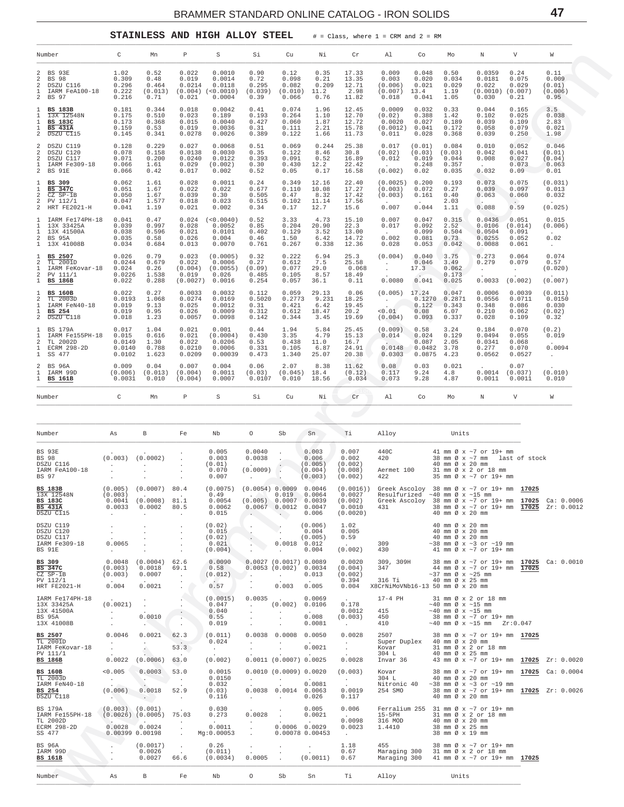**STAINLESS AND HIGH ALLOY STEEL** # = Class, where 1 = CRM and 2 = RM

<span id="page-46-0"></span>

| Number                                                                                                               | C                                                                         | Mn                                                                      | Ρ                                                     | S                                                 | Si                                                                           | Cu                                                                                                     | Νi                                              | Cr                                                              | Al                                                                                                                                         | Co                                                      | Mo                                                             | Ν                                                                                                         | V                                            | W                                                                                  |
|----------------------------------------------------------------------------------------------------------------------|---------------------------------------------------------------------------|-------------------------------------------------------------------------|-------------------------------------------------------|---------------------------------------------------|------------------------------------------------------------------------------|--------------------------------------------------------------------------------------------------------|-------------------------------------------------|-----------------------------------------------------------------|--------------------------------------------------------------------------------------------------------------------------------------------|---------------------------------------------------------|----------------------------------------------------------------|-----------------------------------------------------------------------------------------------------------|----------------------------------------------|------------------------------------------------------------------------------------|
| 2 BS 93E<br>$\overline{a}$<br>BS 98<br>$\boldsymbol{2}$<br>DSZU C116<br>$\mathbf{1}$<br>IARM FeA100-18<br>2<br>BS 97 | 1.02<br>0.309<br>0.296<br>0.222<br>0.216                                  | 0.52<br>0.48<br>0.464<br>(0.013)<br>0.71                                | 0.022<br>0.019<br>0.0214<br>(0.004)<br>0.021          | 0.0010<br>0.0014<br>0.0118<br>(<0.0010)<br>0.0004 | 0.90<br>0.72<br>0.295<br>(0.039)<br>0.39                                     | 0.12<br>0.098<br>0.082<br>(0.010)<br>0.066                                                             | 0.35<br>0.21<br>0.209<br>11.2<br>0.76           | 17.33<br>13.35<br>12.71<br>2.98<br>11.82                        | 0.009<br>0.003<br>(0.006)<br>(0.007)<br>0.018                                                                                              | 0.048<br>0.020<br>0.021<br>13.4<br>0.041                | 0.50<br>0.034<br>0.029<br>1.19<br>1.05                         | 0.0359<br>0.0181<br>0.022<br>(0.0010)<br>0.030                                                            | 0.24<br>0.075<br>0.029<br>(0.007)<br>0.21    | 0.11<br>0.009<br>(0.01)<br>(0.006)<br>0.95                                         |
| <b>BS 183B</b><br>1<br>13X 12548N<br>1<br><b>BS 183C</b><br>1<br><b>BS 431A</b><br>$\,2$<br>DSZU C115                | 0.181<br>0.175<br>0.173<br>0.159<br>0.145                                 | 0.344<br>0.510<br>0.368<br>0.53<br>0.341                                | 0.018<br>0.023<br>0.015<br>0.019<br>0.0278            | 0.0042<br>0.189<br>0.0040<br>0.0036<br>0.0026     | 0.41<br>0.193<br>0.427<br>0.31<br>0.389                                      | 0.074<br>0.264<br>0.060<br>0.111<br>0.122                                                              | 1.96<br>1.10<br>1.87<br>2.21<br>1.66            | 12.45<br>12.70<br>12.72<br>15.78<br>11.73                       | 0.0009<br>(0.02)<br>0.0020<br>(0.0012)<br>0.011                                                                                            | 0.032<br>0.388<br>0.027<br>0.041<br>0.028               | 0.33<br>1.42<br>0.189<br>0.172<br>0.368                        | 0.044<br>0.102<br>0.039<br>0.058<br>0.039                                                                 | 0.165<br>0.025<br>0.109<br>0.079<br>0.250    | 3.5<br>0.038<br>2.83<br>0.021<br>1.98                                              |
| DSZU C119<br>2<br>2<br>DSZU C120<br>2<br>DSZU C117<br>1<br>IARM Fe309-18<br>2<br>BS 91E                              | 0.128<br>0.078<br>0.071<br>0.066<br>0.066                                 | 0.229<br>0.158<br>0.200<br>1.61<br>0.42                                 | 0.027<br>0.0138<br>0.0240<br>0.029<br>0.017           | 0.0068<br>0.0030<br>0.0122<br>(0.002)<br>0.002    | 0.51<br>0.35<br>0.393<br>0.30<br>0.52                                        | 0.069<br>0.122<br>0.091<br>0.430<br>0.05                                                               | 0.244<br>8.46<br>0.52<br>12.2<br>0.17           | 25.38<br>30.8<br>16.89<br>22.42<br>16.58                        | 0.017<br>(0.02)<br>0.012<br>$\sim$<br>(0.002)                                                                                              | (0.01)<br>(0.03)<br>0.019<br>0.248<br>0.02              | 0.084<br>(0.03)<br>0.044<br>0.357<br>0.035                     | 0.010<br>0.042<br>0.008<br>$\sim$<br>0.032                                                                | 0.052<br>0.041<br>0.027<br>0.073<br>0.09     | 0.046<br>(0.01)<br>(0.04)<br>0.063<br>0.01                                         |
| 1<br>BS 309<br><b>BS 347C</b><br>2<br>CZ SP-1B<br>$\overline{a}$<br>PV 112/1<br>$\,2$<br>HRT FE2021-H                | 0.062<br>0.051<br>0.050<br>0.047<br>0.041                                 | 1.61<br>1.67<br>1.67<br>1.577<br>1.19                                   | 0.028<br>0.022<br>0.039<br>0.018<br>0.021             | 0.0011<br>0.022<br>0.30<br>0.023<br>0.002         | 0.24<br>0.677<br>0.505<br>0.515<br>0.34                                      | 0.349<br>0.110<br>0.47<br>0.102<br>0.17                                                                | 12.16<br>10.08<br>8.32<br>11.14<br>12.7         | 22.40<br>17.27<br>17.42<br>17.56<br>15.6                        | (0.0025)<br>(0.003)<br>(0.003)<br>$\sim$<br>0.007                                                                                          | 0.200<br>0.072<br>0.161<br>$\sim$<br>0.044              | 0.193<br>0.27<br>0.40<br>2.03<br>1.11                          | 0.073<br>0.039<br>0.063<br>$\sim$<br>0.088                                                                | 0.075<br>0.097<br>0.060<br>$\cdot$ .<br>0.59 | (0.031)<br>0.013<br>0.032<br>(0.025)                                               |
| IARM Fe174PH-18<br>13X 33425A<br>13X 41500A<br>$\boldsymbol{2}$<br>BS 95A<br>1<br>13X 41008B                         | 0.041<br>0.039<br>0.038<br>0.035<br>0.034                                 | 0.47<br>0.997<br>0.596<br>0.58<br>0.684                                 | 0.024<br>0.028<br>0.021<br>0.026<br>0.013             | (<0.0040)<br>0.0052<br>0.0101<br>0.004<br>0.0070  | 0.52<br>0.85<br>0.402<br>0.46<br>0.761                                       | 3.33<br>0.204<br>0.129<br>1.50<br>0.267                                                                | 4.73<br>20.90<br>3.52<br>6.42<br>0.338          | 15.10<br>22.3<br>13.00<br>14.72<br>12.36                        | 0.007<br>0.017<br>$\sim$<br>0.002<br>0.028                                                                                                 | 0.047<br>0.092<br>0.099<br>0.081<br>0.053               | 0.315<br>2.52<br>0.504<br>0.73<br>0.042                        | 0.0436<br>0.0106<br>0.0504<br>0.0255<br>0.0088                                                            | 0.051<br>(0.014)<br>0.091<br>0.052<br>0.061  | 0.015<br>(0.006)<br>0.02<br>$\sim$                                                 |
| BS 2507<br>2<br>TL 2001D<br>IARM FeKovar-18<br>2<br>PV 111/1<br>1<br>BS 186B                                         | 0.026<br>0.0244<br>0.024<br>0.0226<br>0.022                               | 0.79<br>0.679<br>0.26<br>1.538<br>0.288                                 | 0.023<br>0.022<br>(0.004)<br>0.019<br>(0.0027)        | (0.0005)<br>0.0006<br>(0.0055)<br>0.026<br>0.0016 | 0.32<br>0.27<br>(0.09)<br>0.485<br>0.254                                     | 0.222<br>0.612<br>0.077<br>0.105<br>0.057                                                              | 6.94<br>7.5<br>29.0<br>8.57<br>36.1             | 25.3<br>25.58<br>0.068<br>18.49<br>0.11                         | (0.004)<br>$\sim$<br>$\cdot$<br>0.0080                                                                                                     | 0.040<br>0.046<br>17.3<br>$\ddot{\phantom{a}}$<br>0.041 | 3.75<br>3.49<br>0.062<br>0.173<br>0.025                        | 0.273<br>0.279<br>$\ddot{\phantom{0}}$<br>0.0033                                                          | 0.064<br>0.079<br>$\sim$<br>(0.002)          | 0.074<br>0.57<br>(0.020)<br>(0.007)                                                |
| <b>BS 160B</b><br>2<br>TL 2003D<br>IARM FeN40-18<br>1<br>BS 254<br>$\,2$<br>DSZU C118                                | 0.022<br>0.0193<br>0.019<br>0.019<br>0.018                                | 0.27<br>1.068<br>9.13<br>0.95<br>1.23                                   | 0.0033<br>0.0274<br>0.025<br>0.026<br>0.0057          | 0.0032<br>0.0169<br>0.0012<br>0.0009<br>0.0098    | 0.112<br>0.5020<br>0.31<br>0.312<br>0.142                                    | 0.059<br>0.2773<br>0.421<br>0.612<br>0.344                                                             | 29.13<br>9.231<br>6.42<br>18.47<br>3.45         | 0.06<br>18.25<br>19.45<br>20.2<br>19.69                         | $(0.005)$ 17.24<br><b>Contract</b><br>< 0.01<br>(0.004)                                                                                    | 0.1270<br>0.122<br>0.08<br>0.093                        | 0.047<br>0.2871<br>0.343<br>6.07<br>0.337                      | 0.0006<br>0.0556<br>0.348<br>0.210<br>0.028                                                               | 0.0039<br>0.0711<br>0.086<br>0.062<br>0.109  | (0.011)<br>0.0150<br>0.030<br>(0.02)<br>0.32                                       |
| BS 179A<br>IARM Fe155PH-18<br>2<br>TL 2002D<br>1<br>ECRM 298-2D<br>SS 477<br>1                                       | 0.017<br>0.015<br>0.0149<br>0.0140<br>0.0102                              | 1.04<br>0.616<br>1.30<br>0.788<br>1.623                                 | 0.021<br>0.021<br>0.022<br>0.0210<br>0.0209           | 0.001<br>(0.0004)<br>0.0206<br>0.0006<br>0.00039  | 0.44<br>0.430<br>0.53<br>0.331<br>0.473                                      | 1.94<br>3.35<br>0.438<br>0.105<br>1.340                                                                | 5.84<br>4.79<br>11.0<br>6.87<br>25.07           | 25.45<br>15.13<br>16.7<br>24.91<br>20.38                        | (0.009)<br>0.014<br>0.0148<br>0.0303                                                                                                       | 0.58<br>0.024<br>0.087<br>0.0482<br>0.0875              | 3.24<br>0.129<br>2.05<br>3.78<br>4.23                          | 0.184<br>0.0494<br>0.0341<br>0.277<br>0.0562                                                              | 0.070<br>0.055<br>0.068<br>0.070<br>0.0527   | (0.2)<br>0.019<br>0.0094<br>$\cdot$                                                |
| 2<br>BS 96A<br>IARM 99D<br><b>BS 161B</b>                                                                            | 0.009<br>(0.006)<br>0.0031                                                | 0.04<br>(0.013)<br>0.010                                                | 0.007<br>(0.004)<br>(0.004)                           | 0.004<br>0.0011<br>0.0007                         | 0.06<br>(0.03)<br>0.0107                                                     | 2.07<br>(0.045)<br>0.010                                                                               | 8.38<br>18.4<br>18.56                           | 11.62<br>(0.12)<br>0.034                                        | 0.08<br>0.117<br>0.073                                                                                                                     | 0.03<br>9.24<br>9.28                                    | 0.021<br>4.8<br>4.87                                           | 0.0014<br>0.0011                                                                                          | 0.07<br>(0.037)<br>0.0011                    | (0.010)<br>0.010                                                                   |
| Number                                                                                                               | C                                                                         | Mn                                                                      | P                                                     | S                                                 | Si                                                                           | Cu                                                                                                     | Νi                                              | Cr                                                              | Al                                                                                                                                         | Co                                                      | Mo                                                             | Ν                                                                                                         | V                                            | W                                                                                  |
|                                                                                                                      |                                                                           |                                                                         |                                                       |                                                   |                                                                              |                                                                                                        |                                                 |                                                                 |                                                                                                                                            |                                                         |                                                                |                                                                                                           |                                              |                                                                                    |
| Number                                                                                                               | As                                                                        | В                                                                       | Fe                                                    | Nb                                                | $\circ$                                                                      | Sb                                                                                                     | Sn                                              | Тi                                                              | Alloy                                                                                                                                      |                                                         | Units                                                          |                                                                                                           |                                              |                                                                                    |
| BS 93E<br>BS 98<br>DSZU C116<br>IARM FeA100-18<br>BS 97                                                              | (0.003)<br>$\sim$<br>$\ddot{\phantom{a}}$                                 | (0.0002)<br>$\ddot{\phantom{a}}$                                        |                                                       | 0.005<br>0.003<br>(0.01)<br>0.070<br>0.007        | 0.0040<br>0.0038<br>(0.0009)<br>$\ddot{\phantom{a}}$                         | $\mathcal{A}$                                                                                          | 0.003<br>0.006<br>(0.005)<br>(0.004)<br>(0.003) | 0.007<br>0.002<br>(0.002)<br>(0.008)<br>(0.002)                 | 440C<br>420<br>Aermet 100<br>422                                                                                                           |                                                         | 40 mm Ø x 20 mm                                                | 41 mm Ø x ~7 or 19+ mm<br>38 mm Ø x ~7 mm last of stock<br>31 mm Ø x 2 or 18 mm<br>35 mm Ø x ~7 or 19+ mm |                                              |                                                                                    |
| <b>BS 183B</b><br>13X 12548N<br>BS 183C<br><b>BS 431A</b><br>DSZU C115                                               | (0.003)<br>0.0041<br>0.0033<br>$\cdot$                                    | $(0.005)$ $(0.0007)$ 80.4<br>(0.0008)<br>0.0002<br>$\ddot{\phantom{a}}$ | 81.1<br>80.5<br>$\cdot$                               | (0.0075)<br>0.49<br>0.0054<br>0.0062<br>0.015     | <b>CONTRACTOR</b>                                                            | (0.0054) 0.0009 0.0046<br>0.019<br>(0.005) 0.0007 0.0039<br>$0.0067$ $0.0012$ 0.0047                   | 0.0064<br>0.006                                 | (0.002)<br>0.0010<br>(0.0020)                                   | $(0.0016)$ Greek Ascoloy 38 mm $\emptyset$ x ~7 or 19+ mm 17025<br>0.0027 Resulfurized ~40 mm $\emptyset$ x ~15 mm<br>Greek Ascoloy<br>431 |                                                         | 40 mm Ø x 20 mm                                                |                                                                                                           |                                              | 38 mm Ø x ~7 or 19+ mm 17025 Ca: 0.0006<br>38 mm Ø x ~7 or 19+ mm 17025 Zr: 0.0012 |
| DSZU C119<br>DSZU C120<br>DSZU C117<br>IARM Fe309-18<br>BS 91E                                                       | $\cdot$<br>$\cdot$<br>0.0065<br>$\sim 10^{-11}$                           | $\cdot$                                                                 | $\cdot$<br>$\cdot$<br>$\cdot$<br>$\cdot$              | (0.02)<br>0.015<br>(0.02)<br>0.021<br>(0.004)     | $\mathcal{L}_{\mathcal{A}}$<br>$\sim$                                        | $\blacksquare$ .<br>$0.0018$ $0.012$<br>$\cdot$                                                        | (0.006)<br>0.004<br>(0.005)<br>0.004            | 1.02<br>0.005<br>0.59<br>$\sim 10^{-11}$<br>(0.002)             | 309<br>430                                                                                                                                 |                                                         | 40 mm Ø x 20 mm<br>40 mm Ø x 20 mm<br>40 mm Ø x 20 mm          | $\sim$ 38 mm Ø x $\sim$ 3 or $\sim$ 19 mm<br>41 mm Ø x ~7 or 19+ mm                                       |                                              |                                                                                    |
| BS 309<br>BS 347C<br>CZ SP-1B<br>PV 112/1<br>HRT FE2021-H                                                            | 0.0048<br>(0.003)<br>(0.003)<br>0.004                                     | (0.0004)<br>0.0018<br>0.0007<br>0.0021                                  | 62.6<br>69.1<br>$\cdot$<br>$\cdot$<br>$\sim$          | 0.0090<br>0.58<br>(0.012)<br>0.57                 | $\sim$                                                                       | $0.0027$ (0.0017) 0.0089<br>0.0053(0.002)<br>$\sim$<br>0.003                                           | 0.0034<br>0.013<br>0.005                        | 0.0020<br>(0.004)<br>(0.002)<br>0.394<br>0.004                  | 309, 309H<br>347<br>316 Ti<br>X8CrNiMoVNb16-13 50 mm Ø x 20 mm                                                                             |                                                         | $\sim$ 37 mm Ø x $\sim$ 25 mm<br>40 mm Ø x 25 mm               | 44 mm Ø x ~7 or 19+ mm 17025                                                                              |                                              | 38 mm Ø x ~7 or 19+ mm 17025 Ca: 0.0010                                            |
| IARM Fe174PH-18<br>13X 33425A<br>13X 41500A<br>BS 95A<br>13X 41008B                                                  | (0.0021)<br>$\sim$<br>$\cdot$<br>$\cdot$                                  | $\cdot$<br>$\cdot$<br>0.0010<br>AND OF                                  | $\cdot$<br>$\cdot$<br>$\cdot$<br>$\ddot{\phantom{0}}$ | (0.0015)<br>0.047<br>0.040<br>0.55<br>0.019       | 0.0035<br>$\cdot$<br>$\cdot$<br>$\ddot{\phantom{0}}$<br>$\ddot{\phantom{0}}$ | $\sim$<br>(0.002)<br>$\ddot{\phantom{0}}$<br>$\cdot$<br>$\cdot$                                        | 0.0069<br>0.0106<br>$\sim$<br>0.008<br>0.0081   | 0.178<br>0.0012<br>(0.003)<br><b>Contract</b>                   | 17-4 PH<br>415<br>450<br>410                                                                                                               |                                                         | $\sim$ 40 mm Ø x $\sim$ 15 mm<br>$\sim$ 40 mm Ø x $\sim$ 15 mm | 31 mm Ø x 2 or 18 mm<br>38 mm Ø x ~7 or 19+ mm<br>$\sim$ 40 mm Ø x $\sim$ 15 mm Zr:0.047                  |                                              |                                                                                    |
| BS 2507<br>TL 2001D<br>IARM FeKovar-18<br>PV 111/1<br><b>BS 186B</b>                                                 | 0.0046<br>$\cdot$<br>$\sim$<br>0.0022                                     | 0.0021<br>$\cdot$<br>Ò<br>(0.0006)                                      | 62.3<br>$\sim$ $\sim$<br>53.3<br>63.0                 | (0.011)<br>0.024<br><b>Contract</b><br>(0.002)    | $\ddot{\phantom{a}}$<br>$\sim$                                               | $0.0038$ $0.0008$<br>$0.0011$ (0.0007) 0.0025                                                          | 0.0050<br>0.0021                                | 0.0028<br>$\sim$<br>$\ddot{\phantom{a}}$<br>0.0028              | 2507<br>Super Duplex<br>Kovar<br>304 L<br>Invar 36                                                                                         |                                                         | 40 mm Ø x 20 mm<br>40 mm Ø x 25 mm                             | 38 mm Ø x ~7 or 19+ mm 17025<br>31 mm Ø x 2 or 18 mm                                                      |                                              | 43 mm Ø x ~7 or 19+ mm 17025 Zr: 0.0020                                            |
| <b>BS 160B</b><br>TL 2003D<br>IARM FeN40-18<br>BS 254<br>DSZU C118                                                   | 0.005<br>$\sim 10^{-11}$<br>(0.006)<br>$\mathcal{A} \subset \mathcal{A}$  | 0.0003<br>0.0018<br>$\sim$ $\rightarrow$                                | 53.0<br>$\sim$ 100 $\mu$<br>52.9<br>$\sim$            | 0.0015<br>0.0150<br>0.032<br>(0.03)<br>0.116      | <b>Contract</b><br><b>Contract Contract</b>                                  | $0.0010$ $(0.0009)$ $0.0020$<br><b>Contract</b><br>$\sim$<br>$0.0038$ $0.0014$ 0.0063<br>$\sim$ $\sim$ | 0.0081<br>0.026                                 | (0.003)<br>$\frac{1}{2}$ .<br>0.0019<br>0.117                   | Kovar<br>304 L<br>Nitronic 40<br>254 SMO                                                                                                   |                                                         | 40 mm Ø x 20 mm<br>40 mm Ø x 20 mm                             | $\sim$ 38 mm Ø x $\sim$ 3 or $\sim$ 19 mm                                                                 |                                              | 38 mm Ø x ~7 or 19+ mm 17025 Ca: 0.0004<br>38 mm Ø x ~7 or 19+ mm 17025 Zr: 0.0026 |
| BS 179A<br>IARM Fe155PH-18<br>TL 2002D<br>ECRM 298-2D<br>SS 477                                                      | $(0.003)$ $(0.001)$<br>$(0.0026)$ $(0.0005)$<br>0.0028<br>0.00399 0.00198 | 0.0024                                                                  | 75.03<br>$\sim$ $-$<br>$\sim$<br>$\sim$               | 0.030<br>0.273<br>$\sim$<br>0.0011<br>Mg: 0.00053 | 0.0028<br>$\ddot{\phantom{a}}$<br>$\cdot$<br>$\ddot{\phantom{a}}$            | $\sim$<br>$\ddot{\phantom{a}}$<br>$0.0006$ 0.0029<br>0.00078 0.00453                                   | 0.005<br>0.0021                                 | 0.006<br>$\sim 10^{-11}$<br>0.0098<br>0.0023<br><b>Contract</b> | 15-5PH<br>316 MOD<br>1.4410                                                                                                                |                                                         | 40 mm Ø x 20 mm<br>38 mm Ø x 25 mm<br>38 mm Ø x 19 mm          | Ferralium 255 31 mm $\emptyset$ x ~7 or 19+ mm<br>31 mm Ø x 2 or 18 mm                                    |                                              |                                                                                    |
| BS 96A<br>IARM 99D                                                                                                   | $\cdot$                                                                   | (0.0017)<br>0.0026<br>0.0027                                            | $\sim$<br>$\overline{a}$<br>66.6                      | 0.26<br>(0.011)<br>(0.0034)                       | $\sim$<br>$\sim$<br>0.0005                                                   | $\cdot$                                                                                                | $\cdot$<br>(0.0011)                             | 1.18<br>0.67<br>0.67                                            | 455<br>Maraging 300<br>Maraging 300                                                                                                        |                                                         |                                                                | 38 mm Ø x ~7 or 19+ mm<br>31 mm Ø x 2 or 18 mm<br>41 mm Ø x ~7 or 19+ mm 17025                            |                                              |                                                                                    |
| <b>BS 161B</b>                                                                                                       |                                                                           |                                                                         |                                                       |                                                   |                                                                              |                                                                                                        |                                                 |                                                                 |                                                                                                                                            |                                                         |                                                                |                                                                                                           |                                              |                                                                                    |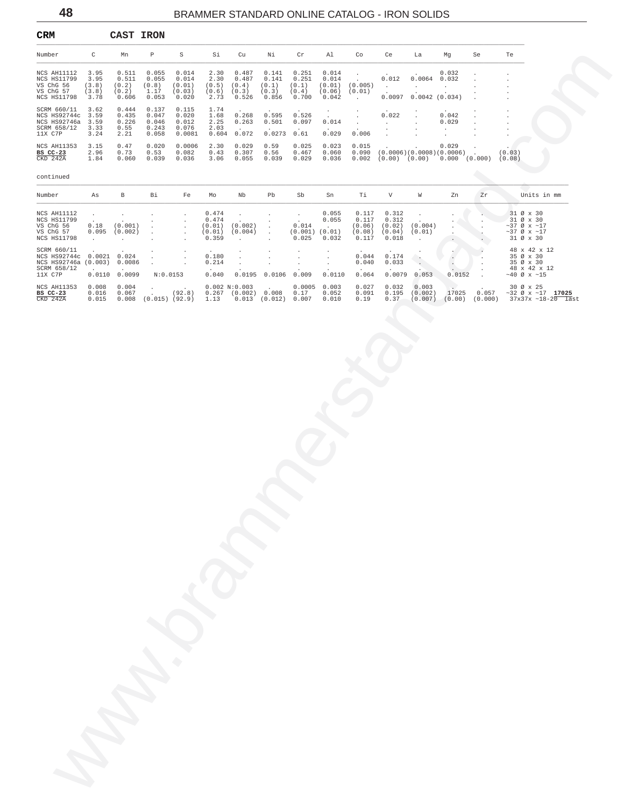<span id="page-47-0"></span>

| CRM                                                                                               |                                        | CAST IRON                                                     |                                                                 |                                                               |                                                            |                                                                                                                                  |                                                                |                                                              |                                                               |                                                           |                                                          |                                                                                       |                                                                                                       |                      |                                                                                                               |
|---------------------------------------------------------------------------------------------------|----------------------------------------|---------------------------------------------------------------|-----------------------------------------------------------------|---------------------------------------------------------------|------------------------------------------------------------|----------------------------------------------------------------------------------------------------------------------------------|----------------------------------------------------------------|--------------------------------------------------------------|---------------------------------------------------------------|-----------------------------------------------------------|----------------------------------------------------------|---------------------------------------------------------------------------------------|-------------------------------------------------------------------------------------------------------|----------------------|---------------------------------------------------------------------------------------------------------------|
| Number                                                                                            | $\mathbb{C}$                           | Mn                                                            | $\mathbb{P}$                                                    | $S$ and $S$                                                   | Si                                                         | Cu                                                                                                                               | Νi                                                             | Cr                                                           | Al                                                            | Co                                                        | Ce                                                       | La                                                                                    | Mg                                                                                                    | Se                   | Te                                                                                                            |
| NCS AH11112<br>NCS HS11799<br>VS ChG 56<br>VS ChG 57<br>NCS HS11798                               | 3.95<br>3.95<br>(3.8)<br>(3.8)<br>3.78 | 0.511<br>0.511<br>(0.2)<br>(0.2)<br>0.606                     | 0.055<br>0.055<br>(0.8)<br>1.17<br>0.053                        | 0.014<br>0.014<br>(0.01)<br>(0.03)<br>0.020                   | 2.30<br>2.30<br>$(0.5)$ $(0.4)$<br>$(0.6)$ $(0.3)$<br>2.73 | 0.487<br>0.487<br>0.526                                                                                                          | 0.141<br>0.141<br>(0.1)<br>(0.3)<br>0.856                      | 0.251<br>0.251<br>(0.1)<br>(0.4)<br>0.700                    | 0.014<br>0.014<br>(0.01)<br>(0.06)<br>0.042                   | $\cdot$<br>$\sim$<br>(0.005)<br>(0.01)<br>$\sim 10^{-11}$ | <b>Carl Corporation</b>                                  | $0.012$ $0.0064$ 0.032<br><b>Contractor</b><br>$\cdot$<br>$0.0097$ $0.0042$ $(0.034)$ | 0.032<br><b>Contract Contract</b>                                                                     |                      | $\cdot$                                                                                                       |
| SCRM 660/11<br>NCS HS92744c 3.59<br>NCS HS92746a<br>SCRM 658/12<br>11X C7P                        | 3.62<br>3.59<br>3.33<br>3.24           | 0.444<br>0.435<br>0.226<br>0.55<br>2.21                       | 0.137<br>0.047<br>0.046<br>0.243<br>0.058                       | 0.115<br>0.020<br>0.012<br>0.076<br>0.0081                    | 1.74<br>1.68<br>2.25<br>2.03                               | 0.268<br>0.263<br>$0.604$ 0.072                                                                                                  | 0.595<br>0.501<br>$0.0273$ $0.61$                              | 0.526<br>0.097                                               | $\ddot{\phantom{0}}$<br>$\mathcal{L}^{(1)}$<br>0.014<br>0.029 | $\sim$<br>$\sim$ $\sim$<br>0.006                          | 0.022<br><b>Carl Corporation</b><br>$\ddot{\phantom{0}}$ | $\sim$                                                                                | 0.042<br>0.029<br>$\cdot$<br>$\cdot$                                                                  |                      |                                                                                                               |
| NCS AH11353<br>BS CC-23<br>CKD 242A                                                               | 3.15<br>2.96<br>1.84                   | 0.47<br>0.73<br>0.060                                         | 0.020<br>0.53<br>0.039                                          | 0.0006<br>0.082<br>0.036                                      | 2.30<br>0.43<br>3.06                                       | 0.029<br>0.307<br>0.055                                                                                                          | 0.59<br>0.56<br>0.039                                          | 0.025<br>0.467<br>0.029                                      | 0.023<br>0.060<br>0.036                                       | 0.015                                                     |                                                          |                                                                                       | 0.029<br>$0.090$ $(0.0006)(0.0008)(0.0006)$ .<br>$0.002$ $(0.00)$ $(0.00)$ $0.000$ $(0.000)$ $(0.08)$ |                      | (0.03)                                                                                                        |
| continued                                                                                         |                                        |                                                               |                                                                 |                                                               |                                                            |                                                                                                                                  |                                                                |                                                              |                                                               |                                                           |                                                          |                                                                                       |                                                                                                       |                      |                                                                                                               |
| Number                                                                                            | As                                     | B                                                             | Bi                                                              | Fe                                                            | Mo                                                         | Nb                                                                                                                               | Pb                                                             | Sb                                                           | Sn                                                            | Тi                                                        | V                                                        | W                                                                                     | Zn                                                                                                    | Zr                   | Units in mm                                                                                                   |
| NCS AH11112<br>NCS HS11799<br>VS ChG 56<br>VS ChG 57<br>NCS HS11798                               | $\sim$<br>$\sim$<br>$\sim$             | $\sim$<br>$0.18$ $(0.001)$<br>$0.095$ $(0.002)$<br>$\sim$ $-$ | $\cdot$<br>$\cdot$<br>$\sim$<br>$\cdot$<br>$\ddot{\phantom{0}}$ | $\sim$<br>$\cdot$<br>$\sim$<br>$\sim$<br>$\ddot{\phantom{1}}$ | 0.474<br>0.474<br>(0.01)<br>0.359                          | $\sim$<br>$(0.01)$ $(0.002)$<br>(0.004)<br>$\sim$                                                                                | $\sim$<br>$\sim$ $-$<br>$\sim$ $-$<br>$\sim 10^{-1}$<br>$\sim$ | $\sim 100$<br>$\sim$<br>0.014<br>$(0.001)$ $(0.01)$<br>0.025 | 0.055<br>0.055<br><b>Contract</b><br>0.032                    | 0.117<br>0.117<br>(0.06)<br>(0.08)<br>0.117               | 0.312<br>0.312<br>(0.02)<br>(0.04)<br>0.018              | $\sim$<br>(0.004)<br>(0.01)<br>$\sim$                                                 | $\cdot$<br>$\ddot{\phantom{a}}$<br>$\ddot{\phantom{a}}$                                               | $\ddot{\phantom{0}}$ | 31 Ø x 30<br>31 Ø x 30<br>$\sim$ 37 Ø x $\sim$ 17<br>$\sim$ 37 Ø x $\sim$ 17<br>31 Ø x 30                     |
| SCRM 660/11<br>NCS HS92744c 0.0021 0.024<br>NCS HS92746a (0.003) 0.0086<br>SCRM 658/12<br>11X C7P |                                        | 0.0110 0.0099                                                 | $\blacksquare$<br>$\ddot{\phantom{0}}$<br>N:0.0153              | $\blacksquare$<br>$\cdot$<br>$\cdot$                          | 0.180<br>0.214<br>0.040                                    | $\cdot$<br>$\cdot$<br>$\cdot$                                                                                                    | $\cdot$<br>$\cdot$<br>$\cdot$<br>$0.0195$ 0.0106 0.009         | $\cdot$<br>$\cdot$<br>$\cdot$                                | $\cdot$<br>$\cdot$<br>0.0110                                  | 0.044<br>0.040<br>0.064                                   | 0.174<br>0.033<br>0.0079                                 | $\cdot$<br>$\sim$<br>0.053                                                            | $\sim$<br>$\sim$<br>0.0152                                                                            | $\sim 10$            | 48 x 42 x 12<br>35 Ø x 30<br>35 Ø x 30<br>48 x 42 x 12<br>$\sim40$ Ø x $\sim15$                               |
| <b>NCS AH11353</b><br>BS CC-23<br>$CKD$ 242A                                                      | 0.008<br>0.016                         | 0.004<br>0.067                                                |                                                                 | (92.8)                                                        |                                                            | 0.002 N:0.003<br>$0.267$ $(0.002)$ $0.008$ $0.17$<br>$0.015$ $0.008$ $(0.015)$ $(92.9)$ $1.13$ $0.013$ $(0.012)$ $0.007$ $0.010$ | $\sim$                                                         |                                                              | $0.0005$ 0.003<br>0.052                                       | 0.027<br>0.091<br>0.19                                    | 0.032<br>0.37                                            | 0.003                                                                                 |                                                                                                       |                      | 30 Ø x 25<br>0.195 (0.002) 17025 0.057 ~32 Ø x ~17 17025<br>$(0.007)$ $(0.00)$ $(0.000)$ $37x37x -18-20$ last |
|                                                                                                   |                                        |                                                               |                                                                 |                                                               |                                                            |                                                                                                                                  |                                                                |                                                              |                                                               |                                                           |                                                          |                                                                                       |                                                                                                       |                      |                                                                                                               |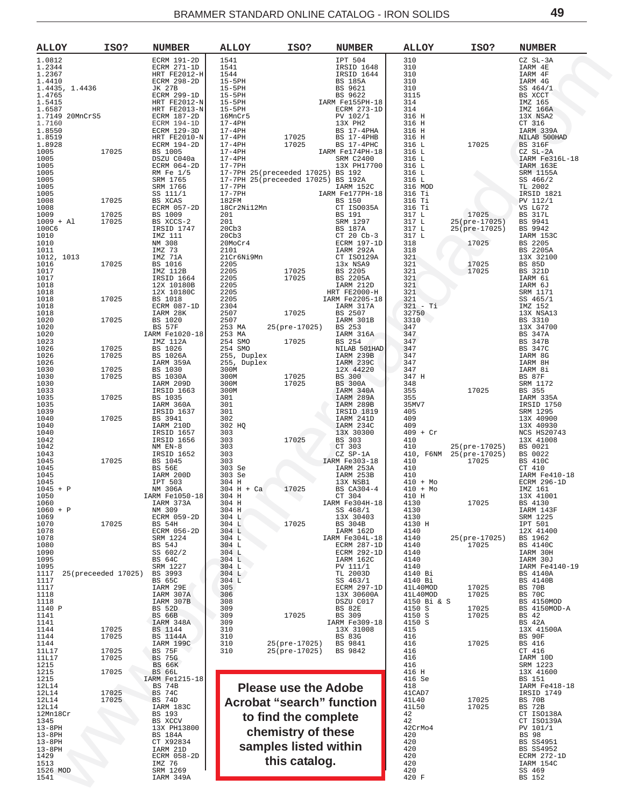<span id="page-48-0"></span>

| <b>ALLOY</b>              | ISO?                | <b>NUMBER</b>                   | <b>ALLOY</b>                                                     | ISO?                        | <b>NUMBER</b>                                                                                                                                                                                                                                                                                                                                     | ALLOY                                     | ISO?                           | <b>NUMBER</b>                  |
|---------------------------|---------------------|---------------------------------|------------------------------------------------------------------|-----------------------------|---------------------------------------------------------------------------------------------------------------------------------------------------------------------------------------------------------------------------------------------------------------------------------------------------------------------------------------------------|-------------------------------------------|--------------------------------|--------------------------------|
| 1.0812<br>1.2344          |                     | ECRM 191-2D<br>ECRM 271-1D      | 1541                                                             |                             | IPT 504<br>IRSID 1648                                                                                                                                                                                                                                                                                                                             | 310<br>310                                |                                | CZ SL-3A<br>IARM 4E            |
| 1.2367<br>1.4410          |                     | HRT FE2012-H<br>ECRM 298-2D     |                                                                  |                             | IRSID 1644<br>BS 185A                                                                                                                                                                                                                                                                                                                             | 310<br>310                                |                                | IARM 4F<br>IARM 4G             |
| 1.4435, 1.4436<br>1.4765  |                     | JK 27B<br>ECRM 299-1D           |                                                                  |                             | BS 9621<br>BS 9622                                                                                                                                                                                                                                                                                                                                | 310<br>3115                               |                                | SS 464/1<br>BS XCCT            |
| 1.5415                    |                     | HRT FE2012-N                    | 1544<br>15-5PH<br>15-5PH<br>15-5PH<br>15-5PH<br>16-0PH<br>16-0PH |                             | IARM Fe155PH-18                                                                                                                                                                                                                                                                                                                                   | 314                                       |                                | IMZ 165                        |
| 1.6587<br>1.7149 20MnCrS5 |                     | HRT FE2013-N<br>ECRM 187-2D     | 16MnCr5<br>17-4PH                                                |                             | ECRM 273-1D<br>PV 102/1                                                                                                                                                                                                                                                                                                                           | 314<br>316 H                              |                                | IMZ 166A<br>13X NSA2           |
| 1.7160<br>1.8550          |                     | ECRM 194-1D<br>ECRM 129-3D      | $17-4PH$                                                         |                             | 13X PH2<br>BS 17-4PHA                                                                                                                                                                                                                                                                                                                             | 316 H<br>316 H                            |                                | CT 316<br>IARM 339A            |
| 1.8519<br>1.8928          |                     | HRT FE2010-N<br>ECRM 194-2D     | 17-4PH<br>17-4PH                                                 | 17025<br>17025              | $BS$ 17-4PHB<br>BS 17-4PHC                                                                                                                                                                                                                                                                                                                        | 316 H<br>316 L                            | 17025                          | NILAB 500HAD<br><b>BS 316F</b> |
| 1005<br>1005              | 17025               | BS 1005<br>DSZU C040a           | $17-4PH$<br>$17-4PH$                                             |                             | IARM Fe174PH-18<br>SRM C2400                                                                                                                                                                                                                                                                                                                      | 316 L<br>316 L                            |                                | $CZ$ $SL-2A$<br>IARM Fe316L-18 |
| 1005<br>1005              |                     | ECRM 064-2D<br>RM Fe 1/5        | 17-7PH                                                           |                             | 13X PH17700                                                                                                                                                                                                                                                                                                                                       | 316 L<br>316 L                            |                                | IARM 163E<br>SRM 1155A         |
| 1005                      |                     | SRM 1765                        |                                                                  |                             | 17-7PH 25(preceeded 17025) BS 192<br>17-7PH 25(preceeded 17025) BS 192A<br>$\begin{array}{c} 20.192 \\ \text{BS} 192A \\ \text{IARM} 152C \\ \text{M} F^{a177} \end{array}$                                                                                                                                                                       | 316 L                                     |                                | SS 466/2                       |
| 1005<br>1005              |                     | SRM 1766<br>SS 111/1            | 17-7PH<br>17-7PH                                                 |                             | IARM Fe177PH-18                                                                                                                                                                                                                                                                                                                                   | 316 MOD<br>316 Ti                         |                                | TL 2002<br>IRSID 1821          |
| 1008<br>1008              | 17025               | BS XCAS<br>ECRM 057-2D          | 182FM<br>18Cr2Ni12Mn                                             |                             | BS 150<br>CT ISO035A<br>BS 191<br>SRM 1297<br>PS 1073<br>CT ISO035A                                                                                                                                                                                                                                                                               | 316 Ti<br>316 Ti                          |                                | PV 112/1<br>VS LG72            |
| 1009<br>$1009 + A1$       | 17025<br>17025      | BS 1009<br>BS XCCS-2            | 201                                                              |                             | BS 191<br>SRM 1297<br>BS 187A<br>CT 20 Cb-3<br>ECRM 197-1D<br>TAPM 197-1D                                                                                                                                                                                                                                                                         | 317 L<br>317 L                            | 17025<br>25(pre-17025)         | <b>BS 317L</b><br>BS 9941      |
| 100C6<br>1010             |                     | IRSID 1747<br>IMZ 111           | 20 <sub>cb3</sub><br>20 <sub>cb3</sub>                           |                             |                                                                                                                                                                                                                                                                                                                                                   | 317 L<br>317 L                            | 25(pre-17025)                  | BS 9942<br>IARM 153C           |
| 1010<br>1011              |                     | NM 308<br>IMZ 73                | 20MoCr4<br>2101                                                  |                             |                                                                                                                                                                                                                                                                                                                                                   | 318<br>318                                | 17025                          | BS 2205<br>BS 2205A            |
| 1012, 1013<br>1016        | 17025               | IMZ 71A<br>BS 1016              | 21Cr6Ni9Mn<br>2205                                               |                             | IARM 292A<br>CT ISO129A<br>13x NSA9                                                                                                                                                                                                                                                                                                               | $\begin{array}{c} 321 \\ 321 \end{array}$ | 17025                          | 13X 32100<br><b>BS 85D</b>     |
| 1017<br>1017              |                     | IMZ 112B                        | 2205<br>2205                                                     | 17025<br>17025              | BS 2205                                                                                                                                                                                                                                                                                                                                           | 321<br>321                                | 17025                          | <b>BS 321D</b><br>IARM 6i      |
| 1018                      |                     | IRSID 1664<br>12X 10180B        | 2205                                                             |                             | BS 2205A<br>IARM 212D                                                                                                                                                                                                                                                                                                                             | 321                                       |                                | IARM 6J                        |
| 1018<br>1018              | 17025               | 12X 10180C<br>BS 1018           | 2205<br>2205                                                     |                             | HRT FE2000-H<br>IARM Fe2205-18                                                                                                                                                                                                                                                                                                                    | 321<br>321                                |                                | SRM 1171<br>SS 465/1           |
| 1018<br>1018              |                     | ECRM 087-1D<br>IARM 28K         | 2304<br>2507                                                     | 17025                       | IARM 317A<br>BS 2507                                                                                                                                                                                                                                                                                                                              | $321 - Ti$<br>32750                       |                                | IMZ 152<br>13X NSA13           |
| 1020<br>1020              | 17025               | BS 1020<br>BS 57F               | 2507<br>253 MA                                                   | 25(pre-17025)               | IARM 301B<br>BS 253                                                                                                                                                                                                                                                                                                                               | 3310<br>347                               |                                | BS 3310<br>13X 34700           |
| 1020<br>1023              |                     | IARM Fe1020-18<br>IMZ 112A      | 253 MA<br>254 SMO                                                | 17025                       | IARM 316A                                                                                                                                                                                                                                                                                                                                         | 347                                       |                                | BS 347A<br><b>BS 347B</b>      |
| 1026<br>1026              | 17025<br>17025      | BS 1026<br>BS 1026A             | 254 SMO<br>255, Duplex                                           |                             | $\begin{tabular}{c c} \bf 3S & \bf 251 \\ \bf NLARM & \bf 239B & \bf 347 \\ \bf 74RM & \bf 239C & \bf 347 \\ \bf 12M & \bf 129D & \bf 347 \\ \bf 14M & \bf 239C & \bf 347 \\ \bf 14M & \bf 347 \\ \bf 14M & \bf 14M \\ \bf 15M & \bf 14M \\ \bf 16M & \bf 12M \\ \bf 18M & \bf 12M \\ \bf 18M & \bf 12M \\ \bf 19M & \bf 12M \\ \bf 19M & \bf 12$ |                                           |                                | BS 347C<br>IARM 8G             |
| 1026<br>1030              | 17025               | IARM 359A<br>BS 1030            | 255, Duplex<br>300M                                              |                             |                                                                                                                                                                                                                                                                                                                                                   |                                           |                                | IARM 8H<br>IARM 8i             |
| 1030                      | 17025               | BS 1030A                        | 300M                                                             | 17025                       | BS 300<br>BS 300A                                                                                                                                                                                                                                                                                                                                 | 347 H                                     |                                | <b>BS 87F</b>                  |
| 1030<br>1033              |                     | IARM 209D<br>IRSID 1663         | 300M<br>300M                                                     | 17025                       | IARM 340A                                                                                                                                                                                                                                                                                                                                         | 348                                       | 17025                          | SRM 1172<br>BS 355             |
| 1035<br>1035              | 17025               | BS 1035<br>IARM 360A            | 301<br>301                                                       |                             | IARM 289A<br>IARM 289B                                                                                                                                                                                                                                                                                                                            | $355$<br>$355$<br>$35MV7$                 |                                | IARM 335A<br>IRSID 1750        |
| 1039<br>1040              | 17025               | IRSID 1637<br>BS 3941           | 301<br>302                                                       |                             | IRSID 1819<br>IARM 241D                                                                                                                                                                                                                                                                                                                           | 35MV7<br>405<br>409<br>409                |                                | SRM 1295<br>13X 40900          |
| 1040<br>1040              |                     | IARM 210D<br>IRSID 1657         | 302 HQ<br>303                                                    |                             | IARM 234C<br>13X 30300                                                                                                                                                                                                                                                                                                                            |                                           | $409$<br>$409$<br>$409$ + Cr   | 13X 40930<br>NCS HS20743       |
| 1042<br>1042              |                     | IRSID 1656<br>NM EN-8           | 303<br>303                                                       | 17025                       | BS 303                                                                                                                                                                                                                                                                                                                                            | 410<br>410                                | 25(pre-17025)                  | 13X 41008<br>BS 0021           |
| 1043<br>1045              | 17025               | IRSID 1652<br>BS 1045           | 303<br>303                                                       |                             | CT 303<br>CZ SP-1A<br>IARM Fe303-18                                                                                                                                                                                                                                                                                                               | 410, F6NM<br>410                          | 25(pre-17025) BS 0022<br>17025 | BS 410C                        |
| 1045                      |                     | BS 56E                          | 303 Se<br>303 Se                                                 |                             | IARM 253A                                                                                                                                                                                                                                                                                                                                         | 410                                       |                                | CT 410                         |
| 1045<br>1045              |                     | IARM 200D<br>IPT 503            | 304 H                                                            |                             | IARM 253B<br>13X NSB1                                                                                                                                                                                                                                                                                                                             | 410<br>$410 + Mo$                         |                                | IARM Fe410-18<br>ECRM 296-1D   |
| $1045 + P$<br>1050        |                     | NM 306A<br>IARM Fe1050-18       | $304$ H + Ca<br>304 H                                            | 17025                       | BS CA304-4<br>CT 304                                                                                                                                                                                                                                                                                                                              | $410 + Mo$<br>410 H                       |                                | IMZ 161<br>13X 41001           |
| 1060<br>$1060 + P$        |                     | IARM 373A<br>NM 309             | 304 H<br>304 H                                                   |                             | IARM Fe304H-18<br>SS 468/1                                                                                                                                                                                                                                                                                                                        | 4130<br>4130                              | 17025                          | BS 4130<br>IARM 143F           |
| 1069<br>1070              | 17025               | ECRM 059-2D<br><b>BS 54H</b>    | 304 L<br>304 L                                                   | 17025                       | 13X 30403<br>BS 304B                                                                                                                                                                                                                                                                                                                              | 4130<br>4130 H                            |                                | SRM 1225<br>IPT 501            |
| 1078<br>1078              |                     | ECRM 056-2D<br>SRM 1224         | 304 L<br>304 L                                                   |                             | IARM 162D<br>IARM Fe304L-18                                                                                                                                                                                                                                                                                                                       | 4140<br>4140                              | 25(pre-17025)                  | 12X 41400<br>BS 1962           |
| 1080<br>1090              |                     | <b>BS 54J</b><br>SS 602/2       | 304 L<br>304 L                                                   |                             | ECRM 287-1D<br><b>ECRM 292-1D</b>                                                                                                                                                                                                                                                                                                                 | 4140<br>4140                              | 17025                          | <b>BS 4140C</b><br>IARM 30H    |
| 1095<br>1095              |                     | BS 64C<br>SRM 1227              | 304 L<br>304 L                                                   |                             | IARM 162C<br>PV 111/1                                                                                                                                                                                                                                                                                                                             | 4140<br>4140                              |                                | IARM 30J<br>IARM Fe4140-19     |
| 1117<br>1117              | 25(preceeded 17025) | BS 3993<br>BS 65C               | 304 L<br>304 L                                                   |                             | TL 2003D<br>SS 463/1                                                                                                                                                                                                                                                                                                                              | 4140 Bi<br>4140 Bi                        |                                | BS 4140A<br>BS 4140B           |
| 1117<br>1118              |                     | IARM 29E<br>IARM 307A           | 305<br>306                                                       |                             | ECRM 297-1D<br>13X 30600A                                                                                                                                                                                                                                                                                                                         | 41L40MOD<br>41L40MOD                      | 17025<br>17025                 | BS<br>70 B<br><b>BS 70C</b>    |
| 1118                      |                     | IARM 307B                       | 308                                                              |                             | DSZU C017                                                                                                                                                                                                                                                                                                                                         | 4150 Bi & S                               |                                | BS 4150MOD                     |
| 1140 P<br>1141            |                     | <b>BS 52D</b><br><b>BS 66B</b>  | 309<br>309                                                       | 17025                       | BS 82E<br>BS 309                                                                                                                                                                                                                                                                                                                                  | 4150 S<br>4150 S                          | 17025<br>17025                 | BS 4150MOD-A<br>BS 42          |
| 1141<br>1144              | 17025               | IARM 348A<br>BS 1144            | 309<br>310                                                       |                             | IARM Fe309-18<br>13X 31008                                                                                                                                                                                                                                                                                                                        | 4150 S<br>415                             |                                | BS 42A<br>13X 41500A           |
| 1144<br>1144              | 17025               | <b>BS 1144A</b><br>IARM 199C    | 310<br>310                                                       | 25(pre-17025)               | <b>BS 83G</b><br>BS 9841                                                                                                                                                                                                                                                                                                                          | 416<br>416                                | 17025                          | BS 90F<br>BS 416               |
| 11L17<br>11L17            | 17025<br>17025      | <b>BS 75F</b><br>75G<br>BS      | 310                                                              | 25(pre-17025)               | BS 9842                                                                                                                                                                                                                                                                                                                                           | 416<br>416                                |                                | CT 416<br>IARM 10D             |
| 1215<br>1215              | 17025               | <b>BS 66K</b><br><b>BS 66L</b>  |                                                                  |                             |                                                                                                                                                                                                                                                                                                                                                   | 416<br>416 H                              |                                | SRM 1223<br>13X 41600          |
| 1215<br>12L14             |                     | IARM Fe1215-18<br><b>BS 74B</b> |                                                                  |                             |                                                                                                                                                                                                                                                                                                                                                   | 416 Se<br>418                             |                                | BS 151<br>IARM Fe418-18        |
| 12L14<br>12L14            | 17025<br>17025      | BS<br>74C                       |                                                                  | <b>Please use the Adobe</b> |                                                                                                                                                                                                                                                                                                                                                   | 41CAD7                                    | 17025                          | IRSID 1749<br><b>BS 70B</b>    |
| 12L14                     |                     | <b>BS 74D</b><br>IARM 183C      |                                                                  |                             | <b>Acrobat "search" function</b>                                                                                                                                                                                                                                                                                                                  | 41L40<br>41L50                            | 17025                          | <b>BS 72B</b>                  |
| 12Mn18Cr<br>1345          |                     | BS 193<br>BS XCCV               |                                                                  | to find the complete        |                                                                                                                                                                                                                                                                                                                                                   | 42<br>42                                  |                                | CT ISO138A<br>CT ISO139A       |
| $13-8$ PH<br>$13-8$ PH    |                     | 13X PH13800<br>BS 184A          |                                                                  | chemistry of these          |                                                                                                                                                                                                                                                                                                                                                   | 42CrMo4<br>420                            |                                | PV 101/1<br><b>BS 98</b>       |
| $13-8$ PH<br>$13-8$ PH    |                     | CT X92834<br>IARM 21D           |                                                                  | samples listed within       |                                                                                                                                                                                                                                                                                                                                                   | 420<br>420                                |                                | <b>BS SS4951</b><br>BS SS4952  |
| 1429<br>1513              |                     | ECRM 058-2D<br>IMZ 76           |                                                                  | this catalog.               |                                                                                                                                                                                                                                                                                                                                                   | 420<br>420                                |                                | ECRM 272-1D<br>IARM 154C       |
| 1526 MOD<br>1541          |                     | SRM 1269<br>IARM 349A           |                                                                  |                             |                                                                                                                                                                                                                                                                                                                                                   | 420<br>420 F                              |                                | SS 469<br>BS 152               |
|                           |                     |                                 |                                                                  |                             |                                                                                                                                                                                                                                                                                                                                                   |                                           |                                |                                |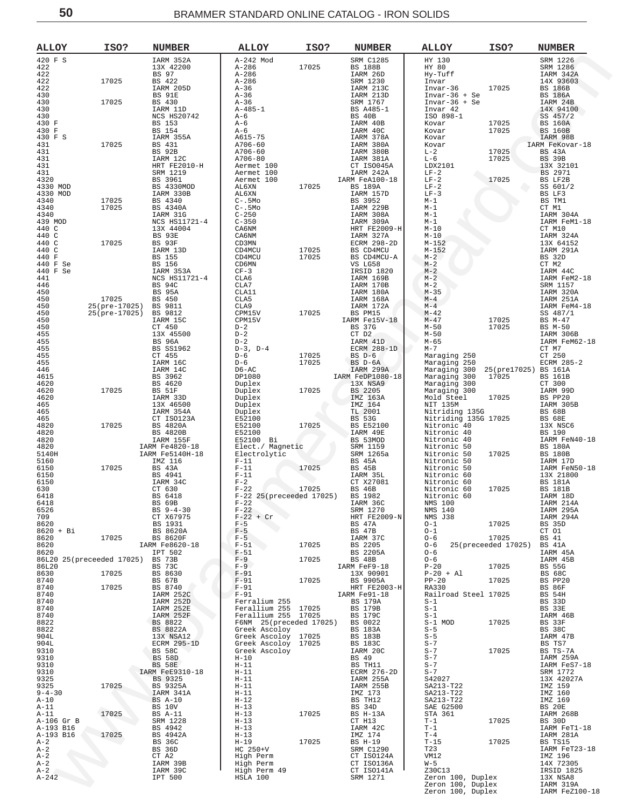| <b>ALLOY</b>         | ISO?                      | <b>NUMBER</b>                   | <b>ALLOY</b>                               | ISO?  | <b>NUMBER</b>               | <b>ALLOY</b>                                      | ISO?                | <b>NUMBER</b>                    |
|----------------------|---------------------------|---------------------------------|--------------------------------------------|-------|-----------------------------|---------------------------------------------------|---------------------|----------------------------------|
| 420 F S              |                           | IARM 352A                       | A-242 Mod                                  |       | <b>SRM C1285</b>            | HY 130                                            |                     | SRM 1226                         |
| 422<br>422           |                           | 13X 42200<br>BS 97              | $A - 286$<br>$A - 286$                     | 17025 | <b>BS 188B</b><br>IARM 26D  | HY 80<br>Hy-Tuff                                  |                     | SRM 1286<br>IARM 342A            |
| 422                  | 17025                     | BS 422                          | A-286                                      |       | SRM 1230                    | Invar                                             |                     | 14X 93603                        |
| 422                  |                           | IARM 205D                       | A-36                                       |       | IARM 213C                   | Invar-36                                          | 17025               | <b>BS 186B</b>                   |
| 430<br>430           | 17025                     | BS 91E<br>BS 430                | $A-36$<br>$A - 36$                         |       | IARM 213D<br>SRM 1767       | $Invar-36 + Se$<br>$Invar-36 + Se$                |                     | <b>BS 186A</b><br>IARM 24B       |
| 430                  |                           | IARM 11D                        | $A-485-1$                                  |       | BS A485-1                   | Invar 42                                          |                     | 14X 94100                        |
| 430<br>430 F         |                           | NCS HS20742<br>BS 153           | $A-6$<br>$A-6$                             |       | BS 40B<br>IARM 40B          | ISO 898-1<br>Kovar                                | 17025               | SS 457/2<br><b>BS 160A</b>       |
| 430 F                |                           | BS 154                          | $A-6$                                      |       | IARM 40C                    | Kovar                                             | 17025               | <b>BS 160B</b>                   |
| 430 F S              | 17025                     | IARM 355A                       | A615-75<br>A706-60                         |       | IARM 378A                   | Kovar                                             |                     | IARM 98B                         |
| 431<br>431           |                           | BS 431<br>BS 92B                | A706-60                                    |       | IARM 380A<br>IARM 380B      | Kovar<br>$L-2$                                    | 17025               | IARM FeKovar-18<br>BS 43A        |
| 431                  |                           | IARM 12C                        | A706-80                                    |       | IARM 381A                   | $L-6$                                             | 17025               | <b>BS 39B</b>                    |
| 431<br>431           |                           | HRT FE2010-H<br>SRM 1219        | Aermet 100<br>Aermet 100                   |       | CT ISO045A<br>IARM 242A     | LDX2101<br>$LF-2$                                 |                     | 13X 32101<br>BS 2971             |
| 4320                 |                           | BS 3961                         | Aermet 100                                 |       | IARM FeA100-18              | $LF-2$                                            | 17025               | BS LF2B                          |
| 4330 MOD<br>4330 MOD |                           | BS 4330MOD<br>IARM 330B         | AL6XN<br>AL6XN                             | 17025 | <b>BS 189A</b><br>IARM 157D | $LF-2$<br>$LF-3$                                  |                     | SS 601/2<br>BS LF3               |
| 4340                 | 17025                     | BS 4340                         | $C-$ .5 $Mo$                               |       | BS 3952                     | $M-1$                                             |                     | BS TM1                           |
| 4340                 | 17025                     | BS 4340A                        | $C-$ .5 $Mo$                               |       | IARM 229B                   | $M-1$                                             |                     | CT M1                            |
| 4340<br>439 MOD      |                           | IARM 31G<br>NCS HS11721-4       | $C - 250$<br>$C - 350$                     |       | IARM 308A<br>IARM 309A      | $M-1$<br>$M-1$                                    |                     | IARM 304A<br>IARM FeM1-18        |
| 440 C                |                           | 13X 44004                       | CA6NM                                      |       | HRT FE2009-H                | $M-10$                                            |                     | CT M10                           |
| 440 C<br>440 C       | 17025                     | BS 93E<br>BS 93F                | CA6NM<br>CD3MN                             |       | IARM 327A<br>ECRM 298-2D    | $M-10$<br>$M - 152$                               |                     | IARM 324A<br>13X 64152           |
| 440 C                |                           | IARM 13D                        | CD4MCU                                     | 17025 | BS CD4MCU                   | $M - 152$                                         |                     | IARM 291A                        |
| 440 F                |                           | <b>BS</b> 155                   | CD4MCU                                     | 17025 | BS CD4MCU-A                 | $M-2$                                             |                     | BS 32D                           |
| 440 F Se<br>440 F Se |                           | <b>BS</b> 156<br>IARM 353A      | CD6MN<br>$CF-3$                            |       | VS LG58<br>IRSID 1820       | $M-2$<br>$M-2$                                    |                     | CT M2<br>IARM 44C                |
| 441                  |                           | NCS HS11721-4                   | CLA6                                       |       | IARM 169B                   | $M-2$                                             |                     | IARM FeM2-18                     |
| 446<br>450           |                           | <b>BS 94C</b><br><b>BS 95A</b>  | CLA7<br>CLA11                              |       | IARM 170B<br>IARM 180A      | $M-2$<br>$M - 35$                                 |                     | SRM 1157<br>IARM 320A            |
| 450                  | 17025                     | BS 450                          | CLA5                                       |       | IARM 168A                   | $M-4$                                             |                     | IARM 251A                        |
| 450                  | 25(pre-17025) BS 9811     |                                 | CLA9                                       |       | IARM 172A                   | $M - 4$                                           |                     | IARM FeM4-18                     |
| 450<br>450           | 25(pre-17025)             | BS 9812<br>IARM 15C             | CPM15V<br>CPM15V                           | 17025 | BS PM15<br>IARM Fe15V-18    | $M - 42$<br>$M - 47$                              | 17025               | SS 487/1<br>BS M-47              |
| 450                  |                           | CT 450                          | $D-2$                                      |       | <b>BS 37G</b>               | $M-50$                                            | 17025               | BS M-50                          |
| 455<br>455           |                           | 13X 45500<br><b>BS 96A</b>      | $D-2$<br>$D-2$                             |       | CT D2<br>IARM 41D           | $M-50$<br>$M - 65$                                |                     | IARM 306B<br>IARM FeM62-18       |
| 455                  |                           | <b>BS SS1962</b>                | $D-3$ , $D-4$                              |       | ECRM 288-1D                 | $M - 7$                                           |                     | CT M7                            |
| 455                  |                           | CT 455                          | D-6                                        | 17025 | $BS$ $D-6$                  | Maraging 250                                      |                     | CT 250                           |
| 455<br>446           |                           | IARM 16C<br>IARM 14C            | D-6<br>D6-AC                               | 17025 | BS D-6A<br>IARM 299A        | Maraging 250<br>Maraging 300 25(pre17025) BS 161A |                     | ECRM 285-2                       |
| 4615                 |                           | BS 3962                         | DP1080                                     |       | IARM FeDP1080-18            | Maraging 300                                      | 17025               | <b>BS 161B</b>                   |
| 4620<br>4620         | 17025                     | BS 4620<br>BS 51F               | Duplex<br>Duplex                           | 17025 | 13X NSA9<br>BS 2205         | Maraging 300<br>Maraging 300                      |                     | CT 300<br>IARM 99D               |
| 4620                 |                           | IARM 33D                        | Duplex                                     |       | IMZ 163A                    | Mold Steel                                        | 17025               | BS PP20                          |
| 465                  |                           | 13X 46500                       | Duplex                                     |       | IMZ 164                     | NIT 135M                                          |                     | IARM 305B                        |
| 465<br>465           |                           | IARM 354A<br>CT ISO123A         | Duplex<br>E52100                           |       | TL 2001<br>BS 53G           | Nitriding 135G<br>Nitriding 135G 17025            |                     | BS 68B<br>BS 68E                 |
| 4820                 | 17025                     | BS 4820A                        | E52100                                     | 17025 | <b>BS E52100</b>            | Nitronic 40                                       |                     | 13X NSC6                         |
| 4820<br>4820         |                           | BS 4820B<br>IARM 155F           | E52100<br>E52100 Bi                        |       | IARM 49E<br>BS 53MOD        | Nitronic 40<br>Nitronic 40                        |                     | BS 190<br>IARM FeN40-18          |
| 4820                 |                           | IARM Fe4820-18                  | Elect./ Magnetic                           |       | SRM 1159                    | Nitronic 50                                       |                     | <b>BS 180A</b>                   |
| 5140H                |                           | IARM Fe5140H-18                 | Electrolytic                               |       | SRM 1265a                   | Nitronic 50                                       | 17025               | <b>BS 180B</b>                   |
| 5160<br>6150         | 17025                     | IMZ 116<br>BS 43A               | $F-11$<br>$F-11$                           | 17025 | BS 45A<br>BS 45B            | Nitronic 50<br>Nitronic 50                        |                     | IARM 17D<br>IARM FeN50-18        |
| 6150                 |                           | BS 4941                         | $F-11$                                     |       | IARM 35L                    | Nitronic 60                                       |                     | 13X 21800                        |
| 6150<br>630          |                           | IARM 34C<br>CT 630              | $F-2$<br>$F-22$                            | 17025 | CT X27081<br>BS 46B         | Nitronic 60<br>Nitronic 60                        | 17025               | <b>BS 181A</b><br><b>BS 181B</b> |
| 6418                 |                           | BS 6418                         | F-22 25 (preceeded 17025)                  |       | BS 1982                     | Nitronic 60                                       |                     | IARM 18D                         |
| 6418                 |                           | BS 69B                          | $F-22$                                     |       | IARM 36C                    | <b>NMS 100</b>                                    |                     | IARM 214A                        |
| 6526<br>709          |                           | $BS \, 9 - 4 - 30$<br>CT X67975 | $F-22$<br>$F-22 + Cr$                      |       | SRM 1270<br>HRT FE2009-N    | NMS 140<br>NMS J38                                |                     | IARM 295A<br>IARM 294A           |
| 8620                 |                           | BS 1931                         | $F-5$                                      |       | BS 47A                      | $O - 1$                                           | 17025               | BS 35D                           |
| $8620 + Bi$<br>8620  | 17025                     | BS 8620A<br>BS 8620F            | $F-5$<br>$F - 5$                           |       | BS 47B<br>IARM 37C          | $O - 1$<br>$O - 6$                                | 17025               | CT 01<br>BS 41                   |
| 8620                 |                           | IARM Fe8620-18                  | $F-51$                                     | 17025 | BS 2205                     | $O - 6$                                           | 25(preceeded 17025) | BS 41A                           |
| 8620                 |                           | IPT 502                         | $F-51$                                     |       | BS 2205A                    | $O - 6$                                           |                     | IARM 45A                         |
| 86L20                | 86L20 25(preceeded 17025) | BS 73B<br><b>BS 73C</b>         | $F-9$<br>$F-9$                             | 17025 | BS 48B<br>IARM FeF9-18      | $O - 6$<br>$P-20$                                 | 17025               | IARM 45B<br><b>BS 55G</b>        |
| 8630                 | 17025                     | BS 8630                         | $F-91$                                     |       | 13X 90901                   | $P-20 + A1$                                       |                     | <b>BS 68C</b>                    |
| 8740<br>8740         | 17025                     | <b>BS 67B</b><br>BS 8740        | $F-91$<br>$F-91$                           | 17025 | BS 9905A<br>HRT FE2003-H    | $PP-20$<br><b>RA330</b>                           | 17025               | BS PP20<br><b>BS 86F</b>         |
| 8740                 |                           | IARM 252C                       | $F-91$                                     |       | IARM Fe91-18                | Railroad Steel 17025                              |                     | <b>BS 54H</b>                    |
| 8740                 |                           | IARM 252D                       | Ferralium 255                              |       | <b>BS 179A</b>              | S-1                                               |                     | BS 33D                           |
| 8740<br>8740         |                           | IARM 252E<br>IARM 252F          | Ferallium 255 17025<br>Ferallium 255 17025 |       | <b>BS 179B</b><br>BS 179C   | $S-1$<br>$S-1$                                    |                     | BS 33E<br>IARM 46B               |
| 8822                 |                           | BS 8822                         | F6NM 25(preceded 17025)                    |       | BS 0022                     | S-1 MOD                                           | 17025               | BS 33F                           |
| 8822<br>904L         |                           | BS 8822A<br>13X NSA12           | Greek Ascoloy<br>Greek Ascoloy 17025       |       | BS 183A<br><b>BS 183B</b>   | $S-5$<br>$S-5$                                    |                     | <b>BS 38C</b><br>IARM 47B        |
| 904L                 |                           | ECRM 295-1D                     | Greek Ascoloy 17025                        |       | BS 183C                     | $S-7$                                             |                     | BS TS7                           |
| 9310                 |                           | BS 58C                          | Greek Ascoloy                              |       | IARM 20C                    | $S-7$                                             | 17025               | BS TS-7A                         |
| 9310<br>9310         |                           | <b>BS 58D</b><br><b>BS 58E</b>  | $H-10$<br>$H-11$                           |       | BS 49<br>BS TH11            | $S-7$<br>$S-7$                                    |                     | IARM 259A<br>IARM FeS7-18        |
| 9310                 |                           | IARM FeE9310-18                 | $H-11$                                     |       | ECRM 276-2D                 | $S-7$                                             |                     | SRM 1772                         |
| 9325<br>9325         | 17025                     | BS 9325<br>BS 9325A             | $H-11$<br>$H-11$                           |       | IARM 255A<br>IARM 255B      | S42027<br>SA213-T22                               |                     | 13X 42027A<br>IMZ 159            |
| $9 - 4 - 30$         |                           | IARM 341A                       | $H-11$                                     |       | IMZ 173                     | SA213-T22                                         |                     | IMZ 160                          |
| $A-10$               |                           | BS A-10                         | $H-12$                                     |       | BS TH12                     | SA213-T22                                         |                     | IMZ 169                          |
| $A-11$<br>A-11       | 17025                     | BS 10V<br>BS A-11               | $H-13$<br>$H-13$                           | 17025 | BS 34D<br>BS H-13A          | SAE G2500<br>STA 361                              |                     | BS 20E<br>IARM 268B              |
| A-106 Gr B           |                           | SRM 1228                        | $H-13$                                     |       | CT H13                      | $T-1$                                             | 17025               | BS 30D                           |
| A-193 B16            |                           | BS 4942                         | $H-13$                                     |       | IARM 42C                    | $T-1$                                             |                     | IARM FeT1-18                     |
| A-193 B16<br>A-2     | 17025                     | BS 4942A<br>BS 36C              | $H-13$<br>H-19                             | 17025 | IMZ 174<br>BS H-19          | $T-4$<br>$T - 15$                                 | 17025               | IARM 281A<br>BS TS15             |
| $A-2$                |                           | BS 36D                          | HC 250+V                                   |       | SRM C1290                   | T23                                               |                     | IARM FeT23-18                    |
| $A-2$                |                           | CT A2                           | High Perm                                  |       | CT ISO124A                  | VM12                                              |                     | IMZ 196                          |
| $A-2$<br>$A-2$       |                           | IARM 39B<br>IARM 39C            | High Perm<br>High Perm 49                  |       | CT ISO136A<br>CT ISO141A    | $W - 5$<br>Z30C13                                 |                     | 14X 72305<br>IRSID 1825          |
| $A - 242$            |                           | IPT 500                         | HSLA 100                                   |       | SRM 1271                    | Zeron 100, Duplex                                 |                     | 13X NSA8                         |
|                      |                           |                                 |                                            |       |                             | Zeron 100, Duplex<br>Zeron 100, Duplex            |                     | IARM 319A<br>IARM FeZ100-18      |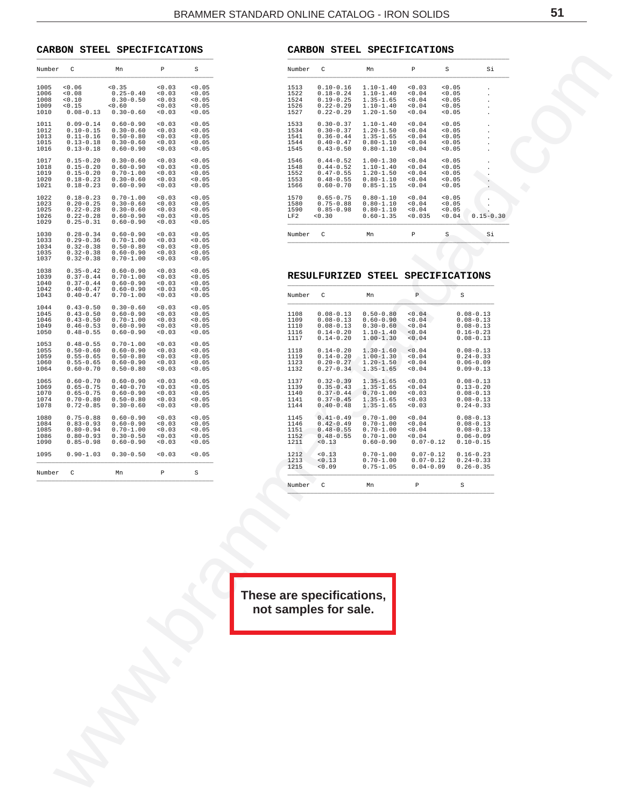#### <span id="page-50-0"></span>**CARBON STEEL SPECIFICATIONS** \_\_\_\_\_\_\_\_\_\_\_\_\_\_\_\_\_\_\_\_\_\_\_\_\_\_\_\_\_\_\_\_\_\_\_\_\_\_\_\_\_\_\_\_\_\_\_

| Number C                             |                                                                                   | Mn                                                                                | $\mathbb{P}$                           | $\mbox{\bf S}$                               | Number C                             |                                                                                   | Mn                                                                                | $\mathbb P$                                                 | S                                            | Si                                                                                |  |  |
|--------------------------------------|-----------------------------------------------------------------------------------|-----------------------------------------------------------------------------------|----------------------------------------|----------------------------------------------|--------------------------------------|-----------------------------------------------------------------------------------|-----------------------------------------------------------------------------------|-------------------------------------------------------------|----------------------------------------------|-----------------------------------------------------------------------------------|--|--|
| 1005<br>1006<br>1008<br>1009<br>1010 | 0.06<br>0.08<br>0.10<br>0.15<br>$0.08 - 0.13$                                     | 0.35<br>$0.25 - 0.40$<br>$0.30 - 0.50$<br>0.60<br>$0.30 - 0.60$                   | 0.03<br>0.03<br>0.03<br>0.03<br>0.03   | < 0.05<br>< 0.05<br>< 0.05<br>< 0.05<br>0.05 | 1513<br>1522<br>1524<br>1526<br>1527 | $0.10 - 0.16$<br>$0.18 - 0.24$<br>$0.19 - 0.25$<br>$0.22 - 0.29$<br>$0.22 - 0.29$ | $1.10 - 1.40$<br>$1.10 - 1.40$<br>$1.35 - 1.65$<br>$1.10 - 1.40$<br>$1.20 - 1.50$ | < 0.03<br>0.04<br>0.04<br>0.04<br>0.04                      | < 0.05<br>0.05<br>0.05<br>0.05<br>0.05       |                                                                                   |  |  |
| 1011<br>1012<br>1013<br>1015<br>1016 | $0.09 - 0.14$<br>$0.10 - 0.15$<br>$0.11 - 0.16$<br>$0.13 - 0.18$<br>$0.13 - 0.18$ | $0.60 - 0.90$<br>$0.30 - 0.60$<br>$0.50 - 0.80$<br>$0.30 - 0.60$<br>$0.60 - 0.90$ | < 0.03<br>0.03<br>0.03<br>0.03<br>0.03 | < 0.05<br>< 0.05<br>< 0.05<br>< 0.05<br>0.05 | 1533<br>1534<br>1541<br>1544<br>1545 | $0.30 - 0.37$<br>$0.30 - 0.37$<br>$0.36 - 0.44$<br>$0.40 - 0.47$<br>$0.43 - 0.50$ | $1.10 - 1.40$<br>$1.20 - 1.50$<br>$1.35 - 1.65$<br>$0.80 - 1.10$<br>$0.80 - 1.10$ | 0.04<br>0.04<br>0.04<br>0.04<br>0.04                        | 0.05<br>< 0.05<br>< 0.05<br>0.05<br>0.05     | $\cdot$<br>$\cdot$                                                                |  |  |
| 1017<br>1018<br>1019<br>1020<br>1021 | $0.15 - 0.20$<br>$0.15 - 0.20$<br>$0.15 - 0.20$<br>$0.18 - 0.23$<br>$0.18 - 0.23$ | $0.30 - 0.60$<br>$0.60 - 0.90$<br>$0.70 - 1.00$<br>$0.30 - 0.60$<br>$0.60 - 0.90$ | 0.03<br>0.03<br>0.03<br>0.03<br>< 0.03 | < 0.05<br>< 0.05<br>< 0.05<br>< 0.05<br>0.05 | 1546<br>1548<br>1552<br>1553<br>1566 | $0.44 - 0.52$<br>$0.44 - 0.52$<br>$0.47 - 0.55$<br>$0.48 - 0.55$<br>$0.60 - 0.70$ | $1.00 - 1.30$<br>$1.10 - 1.40$<br>$1.20 - 1.50$<br>$0.80 - 1.10$<br>$0.85 - 1.15$ | 0.04<br>0.04<br>0.04<br>0.04<br>0.04                        | < 0.05<br>< 0.05<br>< 0.05<br>< 0.05<br>0.05 |                                                                                   |  |  |
| 1022<br>1023<br>1025<br>1026<br>1029 | $0.18 - 0.23$<br>$0.20 - 0.25$<br>$0.22 - 0.28$<br>$0.22 - 0.28$<br>$0.25 - 0.31$ | $0.70 - 1.00$<br>$0.30 - 0.60$<br>$0.30 - 0.60$<br>$0.60 - 0.90$<br>$0.60 - 0.90$ | 0.03<br>0.03<br>0.03<br>0.03<br>< 0.03 | < 0.05<br>< 0.05<br>< 0.05<br>< 0.05<br>0.05 | 1570<br>1580<br>1590<br>LF2          | $0.65 - 0.75$<br>$0.75 - 0.88$<br>$0.85 - 0.98$<br>0.30                           | $0.80 - 1.10$<br>$0.80 - 1.10$<br>$0.80 - 1.10$<br>$0.60 - 1.35$                  | 0.04<br>0.04<br>0.04<br>< 0.035                             | 0.05<br>< 0.05<br>0.05<br>< 0.04             | $\cdot$<br>$0.15 - 0.30$                                                          |  |  |
| 1030<br>1033<br>1034<br>1035<br>1037 | $0.28 - 0.34$<br>$0.29 - 0.36$<br>$0.32 - 0.38$<br>$0.32 - 0.38$<br>$0.32 - 0.38$ | $0.60 - 0.90$<br>$0.70 - 1.00$<br>$0.50 - 0.80$<br>$0.60 - 0.90$<br>$0.70 - 1.00$ | 0.03<br>0.03<br>0.03<br>0.03<br>< 0.03 | < 0.05<br>< 0.05<br>< 0.05<br>< 0.05<br>0.05 | Number C                             |                                                                                   | Mn                                                                                | $\, {\mathbb P}$                                            | S                                            | Si                                                                                |  |  |
| 1038<br>1039                         | $0.35 - 0.42$<br>$0.37 - 0.44$                                                    | $0.60 - 0.90$<br>$0.70 - 1.00$                                                    | 0.03<br>0.03                           | < 0.05<br>< 0.05                             |                                      | RESULFURIZED STEEL SPECIFICATIONS                                                 |                                                                                   |                                                             |                                              |                                                                                   |  |  |
| 1040<br>1042<br>1043                 | $0.37 - 0.44$<br>$0.40 - 0.47$<br>$0.40 - 0.47$                                   | $0.60 - 0.90$<br>$0.60 - 0.90$<br>$0.70 - 1.00$                                   | 0.03<br>0.03<br>< 0.03                 | < 0.05<br>< 0.05<br>0.05                     | Number C                             |                                                                                   | Mn                                                                                | $\mathbb{P}$                                                | $\,$ s                                       |                                                                                   |  |  |
| 1044<br>1045<br>1046<br>1049<br>1050 | $0.43 - 0.50$<br>$0.43 - 0.50$<br>$0.43 - 0.50$<br>$0.46 - 0.53$<br>$0.48 - 0.55$ | $0.30 - 0.60$<br>$0.60 - 0.90$<br>$0.70 - 1.00$<br>$0.60 - 0.90$<br>$0.60 - 0.90$ | 0.03<br>0.03<br>0.03<br>0.03<br>0.03   | < 0.05<br>< 0.05<br>< 0.05<br>< 0.05<br>0.05 | 1108<br>1109<br>1110<br>1116<br>1117 | $0.08 - 0.13$<br>$0.08 - 0.13$<br>$0.08 - 0.13$<br>$0.14 - 0.20$<br>$0.14 - 0.20$ | $0.50 - 0.80$<br>$0.60 - 0.90$<br>$0.30 - 0.60$<br>$1.10 - 1.40$<br>$1.00 - 1.30$ | 0.04<br>0.04<br>< 0.04<br>0.04<br>< 0.04                    |                                              | $0.08 - 0.13$<br>$0.08 - 0.13$<br>$0.08 - 0.13$<br>$0.16 - 0.23$<br>$0.08 - 0.13$ |  |  |
| 1053<br>1055<br>1059<br>1060<br>1064 | $0.48 - 0.55$<br>$0.50 - 0.60$<br>$0.55 - 0.65$<br>$0.55 - 0.65$<br>$0.60 - 0.70$ | $0.70 - 1.00$<br>$0.60 - 0.90$<br>$0.50 - 0.80$<br>$0.60 - 0.90$<br>$0.50 - 0.80$ | 0.03<br>0.03<br>0.03<br>0.03<br>< 0.03 | < 0.05<br>< 0.05<br>< 0.05<br>< 0.05<br>0.05 | 1118<br>1119<br>1123<br>1132         | $0.14 - 0.20$<br>$0.14 - 0.20$<br>$0.20 - 0.27$<br>$0.27 - 0.34$                  | $1.30 - 1.60$<br>$1.00 - 1.30$<br>$1.20 - 1.50$<br>$1.35 - 1.65$                  | < 0.04<br>0.04<br>0.04<br>0.04                              |                                              | $0.08 - 0.13$<br>$0.24 - 0.33$<br>$0.06 - 0.09$<br>$0.09 - 0.13$                  |  |  |
| 1065<br>1069<br>1070<br>1074<br>1078 | $0.60 - 0.70$<br>$0.65 - 0.75$<br>$0.65 - 0.75$<br>$0.70 - 0.80$<br>$0.72 - 0.85$ | $0.60 - 0.90$<br>$0.40 - 0.70$<br>$0.60 - 0.90$<br>$0.50 - 0.80$<br>$0.30 - 0.60$ | 0.03<br>0.03<br>0.03<br>0.03<br>< 0.03 | < 0.05<br>< 0.05<br>< 0.05<br>< 0.05<br>0.05 | 1137<br>1139<br>1140<br>1141<br>1144 | $0.32 - 0.39$<br>$0.35 - 0.43$<br>$0.37 - 0.44$<br>$0.37 - 0.45$<br>$0.40 - 0.48$ | $1.35 - 1.65$<br>$1.35 - 1.65$<br>$0.70 - 1.00$<br>$1.35 - 1.65$<br>$1.35 - 1.65$ | 0.03<br>0.04<br>0.03<br>0.03<br>0.03                        |                                              | $0.08 - 0.13$<br>$0.13 - 0.20$<br>$0.08 - 0.13$<br>$0.08 - 0.13$<br>$0.24 - 0.33$ |  |  |
| 1080<br>1084<br>1085<br>1086<br>1090 | $0.75 - 0.88$<br>$0.83 - 0.93$<br>$0.80 - 0.94$<br>$0.80 - 0.93$<br>$0.85 - 0.98$ | $0.60 - 0.90$<br>$0.60 - 0.90$<br>$0.70 - 1.00$<br>$0.30 - 0.50$<br>$0.60 - 0.90$ | < 0.03<br>0.03<br>0.03<br>0.03<br>0.03 | < 0.05<br>< 0.05<br>< 0.05<br>0.05<br>0.05   | 1145<br>1146<br>1151<br>1152<br>1211 | $0.41 - 0.49$<br>$0.42 - 0.49$<br>$0.48 - 0.55$<br>$0.48 - 0.55$<br>< 0.13        | $0.70 - 1.00$<br>$0.70 - 1.00$<br>$0.70 - 1.00$<br>$0.70 - 1.00$<br>$0.60 - 0.90$ | 0.04<br>0.04<br>0.04<br>0.04<br>$0.07 - 0.12$ $0.10 - 0.15$ |                                              | $0.08 - 0.13$<br>$0.08 - 0.13$<br>$0.08 - 0.13$<br>$0.06 - 0.09$                  |  |  |
| 1095                                 | $0.90 - 1.03$                                                                     | $0.30 - 0.50$                                                                     | 0.03                                   | < 0.05                                       | 1212<br>1213<br>1215                 | < 0.13<br>< 0.13<br>0.09                                                          | $0.70 - 1.00$<br>$0.70 - 1.00$<br>$0.75 - 1.05$                                   | $0.07 - 0.12$<br>$0.07 - 0.12$<br>$0.04 - 0.09$             |                                              | $0.16 - 0.23$<br>$0.24 - 0.33$<br>$0.26 - 0.35$                                   |  |  |
| Number C                             |                                                                                   | Mn                                                                                | $\, {\mathbb P}$                       | S                                            | Number                               | $\mathtt{C}$                                                                      | Mn                                                                                | $\, {\bf P}$                                                | S                                            |                                                                                   |  |  |
|                                      |                                                                                   |                                                                                   |                                        |                                              |                                      | These are specifications,<br>not samples for sale.                                |                                                                                   |                                                             |                                              |                                                                                   |  |  |
|                                      |                                                                                   |                                                                                   |                                        |                                              |                                      |                                                                                   |                                                                                   |                                                             |                                              |                                                                                   |  |  |
|                                      |                                                                                   |                                                                                   |                                        |                                              |                                      |                                                                                   |                                                                                   |                                                             |                                              |                                                                                   |  |  |
|                                      |                                                                                   |                                                                                   |                                        |                                              |                                      |                                                                                   |                                                                                   |                                                             |                                              |                                                                                   |  |  |

|          | CARBON STEEL SPECIFICATIONS |    |  |  |  |  |
|----------|-----------------------------|----|--|--|--|--|
| Number C |                             | Mn |  |  |  |  |

| Number                               | C                                                                                 | Mn                                                                                | P                                            | S                                              | Si             |
|--------------------------------------|-----------------------------------------------------------------------------------|-----------------------------------------------------------------------------------|----------------------------------------------|------------------------------------------------|----------------|
| 1513<br>1522<br>1524<br>1526<br>1527 | $0.10 - 0.16$<br>$0.18 - 0.24$<br>$0.19 - 0.25$<br>$0.22 - 0.29$<br>$0.22 - 0.29$ | $1.10 - 1.40$<br>$1.10 - 1.40$<br>$1.35 - 1.65$<br>$1.10 - 1.40$<br>$1.20 - 1.50$ | 0.03<br>< 0.04<br>< 0.04<br>< 0.04<br>< 0.04 | < 0.05<br>< 0.05<br>< 0.05<br>< 0.05<br>< 0.05 | $\blacksquare$ |
| 1533                                 | $0.30 - 0.37$                                                                     | $1.10 - 1.40$                                                                     | 0.04                                         | 0.05                                           |                |
| 1534                                 | $0.30 - 0.37$                                                                     | $1.20 - 1.50$                                                                     | < 0.04                                       | < 0.05                                         |                |
| 1541                                 | $0.36 - 0.44$                                                                     | $1.35 - 1.65$                                                                     | < 0.04                                       | < 0.05                                         |                |
| 1544                                 | $0.40 - 0.47$                                                                     | $0.80 - 1.10$                                                                     | < 0.04                                       | < 0.05                                         | ٠              |
| 1545                                 | $0.43 - 0.50$                                                                     | $0.80 - 1.10$                                                                     | < 0.04                                       | 0.05                                           |                |
| 1546                                 | $0.44 - 0.52$                                                                     | $1.00 - 1.30$                                                                     | 0.04                                         | < 0.05                                         |                |
| 1548                                 | $0.44 - 0.52$                                                                     | $1.10 - 1.40$                                                                     | 0.04                                         | 0.05                                           |                |
| 1552                                 | $0.47 - 0.55$                                                                     | $1.20 - 1.50$                                                                     | < 0.04                                       | < 0.05                                         |                |
| 1553                                 | $0.48 - 0.55$                                                                     | $0.80 - 1.10$                                                                     | < 0.04                                       | 0.05                                           |                |
| 1566                                 | $0.60 - 0.70$                                                                     | $0.85 - 1.15$                                                                     | < 0.04                                       | < 0.05                                         |                |
| 1570                                 | $0.65 - 0.75$                                                                     | $0.80 - 1.10$                                                                     | 0.04                                         | < 0.05                                         | $0.15 - 0.30$  |
| 1580                                 | $0.75 - 0.88$                                                                     | $0.80 - 1.10$                                                                     | < 0.04                                       | < 0.05                                         |                |
| 1590                                 | $0.85 - 0.98$                                                                     | $0.80 - 1.10$                                                                     | < 0.04                                       | < 0.05                                         |                |
| LF2                                  | 0.30                                                                              | $0.60 - 1.35$                                                                     | < 0.035                                      | < 0.04                                         |                |
| Number                               | C                                                                                 | Mn                                                                                | P                                            | S                                              | Si             |

#### **RESULFURIZED STEEL SPECIFICATIONS**  $\overline{\phantom{a}}$  , and the contribution of the contribution of  $\overline{\phantom{a}}$  , and the contribution of  $\overline{\phantom{a}}$

| Number | C             | Mn            | P             | S             |
|--------|---------------|---------------|---------------|---------------|
| 1108   | $0.08 - 0.13$ | $0.50 - 0.80$ | 0.04          | $0.08 - 0.13$ |
| 1109   | $0.08 - 0.13$ | $0.60 - 0.90$ | 0.04          | $0.08 - 0.13$ |
| 1110   | $0.08 - 0.13$ | $0.30 - 0.60$ | 0.04          | $0.08 - 0.13$ |
| 1116   | $0.14 - 0.20$ | $1.10 - 1.40$ | 0.04          | $0.16 - 0.23$ |
| 1117   | $0.14 - 0.20$ | $1.00 - 1.30$ | 0.04          | $0.08 - 0.13$ |
| 1118   | $0.14 - 0.20$ | $1.30 - 1.60$ | 0.04          | $0.08 - 0.13$ |
| 1119   | $0.14 - 0.20$ | $1.00 - 1.30$ | 0.04          | $0.24 - 0.33$ |
| 1123   | $0.20 - 0.27$ | $1.20 - 1.50$ | 0.04          | $0.06 - 0.09$ |
| 1132   | $0.27 - 0.34$ | $1.35 - 1.65$ | < 0.04        | $0.09 - 0.13$ |
| 1137   | $0.32 - 0.39$ | $1.35 - 1.65$ | 0.03          | $0.08 - 0.13$ |
| 1139   | $0.35 - 0.43$ | $1.35 - 1.65$ | 0.04          | $0.13 - 0.20$ |
| 1140   | $0.37 - 0.44$ | $0.70 - 1.00$ | 0.03          | $0.08 - 0.13$ |
| 1141   | $0.37 - 0.45$ | $1.35 - 1.65$ | 0.03          | $0.08 - 0.13$ |
| 1144   | $0.40 - 0.48$ | $1.35 - 1.65$ | 0.03          | $0.24 - 0.33$ |
| 1145   | $0.41 - 0.49$ | $0.70 - 1.00$ | 0.04          | $0.08 - 0.13$ |
| 1146   | $0.42 - 0.49$ | $0.70 - 1.00$ | < 0.04        | $0.08 - 0.13$ |
| 1151   | $0.48 - 0.55$ | $0.70 - 1.00$ | 0.04          | $0.08 - 0.13$ |
| 1152   | $0.48 - 0.55$ | $0.70 - 1.00$ | 0.04          | $0.06 - 0.09$ |
| 1211   | < 0.13        | $0.60 - 0.90$ | $0.07 - 0.12$ | $0.10 - 0.15$ |
| 1212   | < 0.13        | $0.70 - 1.00$ | $0.07 - 0.12$ | $0.16 - 0.23$ |
| 1213   | < 0.13        | $0.70 - 1.00$ | $0.07 - 0.12$ | $0.24 - 0.33$ |
| 1215   | 0.09          | $0.75 - 1.05$ | $0.04 - 0.09$ | $0.26 - 0.35$ |
| Number | C             | Mn            | P             | S             |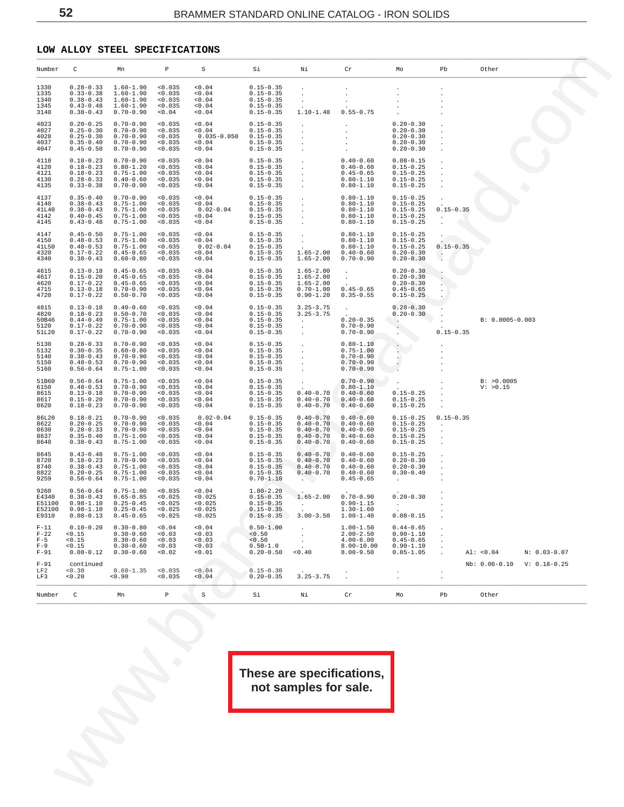### <span id="page-51-0"></span>**LOW ALLOY STEEL SPECIFICATIONS**

| Number                                       | С                                                                                 | Mn                                                                                              | $\mathbb{P}$                                        | S                                                             | Si                                                                                | Νi                                                                                          | Cr                                                                                                        | Mo                                                                                | Pb                       | Other                         |
|----------------------------------------------|-----------------------------------------------------------------------------------|-------------------------------------------------------------------------------------------------|-----------------------------------------------------|---------------------------------------------------------------|-----------------------------------------------------------------------------------|---------------------------------------------------------------------------------------------|-----------------------------------------------------------------------------------------------------------|-----------------------------------------------------------------------------------|--------------------------|-------------------------------|
| 1330<br>1335<br>1340<br>1345<br>3140         | $0.33 - 0.38$<br>$0.38 - 0.43$<br>$0.43 - 0.48$<br>$0.38 - 0.43$                  | $0.28 - 0.33$ 1.60-1.90<br>$1.60 - 1.90$<br>$1.60 - 1.90$<br>$1.60 - 1.90$<br>$0.70 - 0.90$     | < 0.035<br>< 0.035<br>< 0.035<br>< 0.035<br>< 0.04  | 0.04<br>0.04<br>0.04<br>0.04<br>0.04                          | $0.15 - 0.35$<br>$0.15 - 0.35$<br>$0.15 - 0.35$<br>$0.15 - 0.35$<br>$0.15 - 0.35$ | $\sim$<br>$1.10 - 1.40$                                                                     | $\sim$<br>$0.55 - 0.75$                                                                                   |                                                                                   |                          |                               |
| 4023<br>4027<br>4028<br>4037<br>4047         | $0.20 - 0.25$<br>$0.25 - 0.30$<br>$0.25 - 0.30$<br>$0.35 - 0.40$<br>$0.45 - 0.50$ | $0.70 - 0.90$<br>$0.70 - 0.90$<br>$0.70 - 0.90$<br>$0.70 - 0.90$<br>$0.70 - 0.90$               | < 0.035<br>< 0.035<br>< 0.035<br>< 0.035<br>< 0.035 | 0.04<br>0.04<br>$0.035 - 0.050$ $0.15 - 0.35$<br>0.04<br>0.04 | $0.15 - 0.35$<br>$0.15 - 0.35$<br>$0.15 - 0.35$<br>$0.15 - 0.35$                  | $\sim$ $\sim$<br>$\sim 100$<br>$\sim 100$<br>$\sim 100$<br>$\sim 100$                       | $\sim$<br>$\sim$<br>$\ddot{\phantom{0}}$                                                                  | $0.20 - 0.30$<br>$0.20 - 0.30$<br>$0.20 - 0.30$<br>$0.20 - 0.30$<br>$0.20 - 0.30$ |                          |                               |
| 4118<br>4120<br>4121<br>4130<br>4135         | $0.18 - 0.23$<br>$0.18 - 0.23$<br>$0.18 - 0.23$<br>$0.28 - 0.33$<br>$0.33 - 0.38$ | $0.70 - 0.90$<br>$0.80 - 1.20$<br>$0.75 - 1.00$<br>$0.40 - 0.60$<br>$0.70 - 0.90$               | < 0.035<br>< 0.035<br>< 0.035<br>< 0.035<br>< 0.035 | 0.04<br>0.04<br>0.04<br>0.04<br>< 0.04                        | $0.15 - 0.35$<br>$0.15 - 0.35$<br>$0.15 - 0.35$<br>$0.15 - 0.35$<br>$0.15 - 0.35$ | $\sim 100$<br>$\sim 100$ km s $^{-1}$                                                       | $0.40 - 0.60$<br>$0.40$<br>$0.45-0.65$<br>$0.80-1.10$<br>$0.80-1.10$<br>$0.20-1.1$                        | $0.08 - 0.15$<br>$0.15 - 0.25$<br>$0.15 - 0.25$<br>$0.15 - 0.25$<br>$0.15 - 0.25$ |                          |                               |
| 4137<br>4140<br>41L40<br>4142<br>4145        | $0.35 - 0.40$<br>$0.38 - 0.43$<br>$0.38 - 0.43$<br>$0.40 - 0.45$<br>$0.43 - 0.48$ | $0.70 - 0.90$<br>$0.75 - 1.00$<br>$0.75 - 1.00$<br>$0.75 - 1.00$<br>$0.75 - 1.00$               | < 0.035<br>< 0.035<br>< 0.035<br>< 0.035<br>< 0.035 | 0.04<br>< 0.04<br>$0.02 - 0.04$<br>0.04<br>0.04               | $0.15 - 0.35$<br>$0.15 - 0.35$<br>$0.15 - 0.35$<br>$0.15 - 0.35$<br>$0.15 - 0.35$ | $\sim$                                                                                      | $0.80 - 1.10$<br>$0.80 - 1.10$<br>$0.80 - 1.10$<br>$0.80 - 1.10$<br>$0.80 - 1.10$                         | $0.15 - 0.25$<br>$0.15 - 0.25$<br>$0.15 - 0.25$<br>$0.15 - 0.25$<br>$0.15 - 0.25$ | $0.15 - 0.35$<br>$\cdot$ |                               |
| 4147<br>4150<br>41L50<br>4320<br>4340        | $0.45 - 0.50$<br>$0.48 - 0.53$<br>$0.48 - 0.53$<br>$0.17 - 0.22$<br>$0.38 - 0.43$ | $0.75 - 1.00$<br>$0.75 - 1.00$<br>$0.75 - 1.00$<br>$0.45 - 0.65$<br>$0.60 - 0.80$               | < 0.035<br>< 0.035<br>< 0.035<br>< 0.035<br>< 0.035 | 0.04<br>< 0.04<br>$0.02 - 0.04$<br>< 0.04<br>0.04             | $0.15 - 0.35$<br>$0.15 - 0.35$<br>$0.15 - 0.35$<br>$0.15 - 0.35$<br>$0.15 - 0.35$ | $\sim$ $-$<br>$\sim$ $\sim$<br>$1.65 - 2.00$<br>$1.65 - 2.00$                               | $0.80 - 1.10$<br>$0.80 - 1.10$<br>$0.80 - 1.10$<br>$0.40 - 0.60$<br>$0.70 - 0.90$                         | $0.15 - 0.25$<br>$0.15 - 0.25$<br>$0.15 - 0.25$<br>$0.20 - 0.30$<br>$0.20 - 0.30$ | $0.15 - 0.35$<br>$\sim$  |                               |
| 4615<br>4617<br>4620<br>4715<br>4720         | $0.13 - 0.18$<br>$0.15 - 0.20$<br>$0.17 - 0.22$<br>$0.13 - 0.18$<br>$0.17 - 0.22$ | $0.45 - 0.65$<br>$0.45 - 0.65$<br>$0.45 - 0.65$<br>$0.70 - 0.90$<br>$0.50 - 0.70$               | < 0.035<br>< 0.035<br>< 0.035<br>< 0.035<br>< 0.035 | 0.04<br>0.04<br>0.04<br>0.04<br>0.04                          | $0.15 - 0.35$<br>$0.15 - 0.35$<br>$0.15 - 0.35$<br>$0.15 - 0.35$<br>$0.15 - 0.35$ | $1.65 - 2.00$<br>$1.65 - 2.00$<br>$1.65 - 2.00$<br>$0.70 - 1.00$<br>$0.90 - 1.20$           | $\sim$<br>$\sim$<br>$0.45 - 0.65$<br>$0.35 - 0.55$                                                        | $0.20 - 0.30$<br>$0.20 - 0.30$<br>$0.20 - 0.30$<br>$0.45 - 0.65$<br>$0.15 - 0.25$ |                          |                               |
| 4815<br>4820<br>50B46<br>5120<br>51L20       | $0.13 - 0.18$<br>$0.18 - 0.23$<br>$0.44 - 0.49$<br>$0.17 - 0.22$<br>$0.17 - 0.22$ | $0.40 - 0.60$<br>$0.50 - 0.70$<br>$0.75 - 1.00$<br>$0.70 - 0.90$<br>$0.70 - 0.90$               | < 0.035<br>< 0.035<br>< 0.035<br>< 0.035<br>< 0.035 | 0.04<br>0.04<br>0.04<br>0.04<br>< 0.04                        | $0.15 - 0.35$<br>$0.15 - 0.35$<br>$0.15 - 0.35$<br>$0.15 - 0.35$<br>$0.15 - 0.35$ | $3.25 - 3.75$<br>$3.25 - 3.75$<br><b>Contract Contract</b><br>$\sim 10^{-11}$<br>$\sim 100$ | $\sim$<br>$0.20 - 0.35$<br>$0.70 - 0.90$<br>$0.70 - 0.90$                                                 | $0.20 - 0.30$<br>$0.20 - 0.30$<br>Contractor and the contractor<br>$\sim$         | $0.15 - 0.35$            | B: 0.0005-0.003               |
| 5130<br>5132<br>5140<br>5150<br>5160         | $0.28 - 0.33$<br>$0.30 - 0.35$<br>$0.38 - 0.43$<br>$0.48 - 0.53$<br>$0.56 - 0.64$ | $0.70 - 0.90$<br>$0.60 - 0.80$<br>$0.70 - 0.90$<br>$0.70 - 0.90$<br>$0.75 - 1.00$               | < 0.035<br>< 0.035<br>< 0.035<br>< 0.035<br>< 0.035 | 0.04<br>0.04<br>0.04<br>0.04<br>0.04                          | $0.15 - 0.35$<br>$0.15 - 0.35$<br>$0.15 - 0.35$<br>$0.15 - 0.35$<br>$0.15 - 0.35$ | $\sim 10^{-1}$<br>$\sim 100$<br>$\sim 100$<br>$\sim 100$                                    | $0.80 - 1.10$<br>$0.75 - 1.00$<br>$0.70 - 0.90$<br>$0.70 - 0.90$<br>$0.70 - 0.90$                         | $\sim$<br><b>ALCOHOL:</b><br>$\sim$                                               |                          |                               |
| 51B60<br>6150<br>8615<br>8617<br>8620        | $0.56 - 0.64$<br>$0.48 - 0.53$<br>$0.13 - 0.18$<br>$0.15 - 0.20$<br>$0.18 - 0.23$ | $0.75 - 1.00$<br>$0.70 - 0.90$<br>$0.70 - 0.90$<br>$0.70 - 0.90$<br>$0.70 - 0.90$               | < 0.035<br>< 0.035<br>< 0.035<br>< 0.035<br>< 0.035 | 0.04<br>0.04<br>0.04<br>0.04<br>< 0.04                        | $0.15 - 0.35$<br>$0.15 - 0.35$<br>$0.15 - 0.35$<br>$0.15 - 0.35$<br>$0.15 - 0.35$ | $\sim$ $\sim$<br>$0.40 - 0.70$                                                              | $0.70 - 0.90$<br>$0.80 - 1.10$<br>$0.40 - 0.70$ $0.40 - 0.60$<br>$0.40 - 0.70$ 0.40-0.60<br>$0.40 - 0.60$ | $\mathcal{L}^{(1)}$ .<br>$0.15 - 0.25$<br>$0.15 - 0.25$<br>$0.15 - 0.25$          | $\sim$                   | B: >0.0005<br>V: >0.15        |
| 86L20<br>8622<br>8630<br>8637<br>8640        | $0.18 - 0.21$<br>$0.20 - 0.25$<br>$0.28 - 0.33$<br>$0.35 - 0.40$<br>$0.38 - 0.43$ | $0.70 - 0.90$<br>$0.70 - 0.90$<br>$0.70 - 0.90$<br>$0.75 - 1.00$<br>$0.75 - 1.00$               | < 0.035<br>< 0.035<br>< 0.035<br>< 0.035<br>< 0.035 | $0.02 - 0.04$<br>< 0.04<br>0.04<br>0.04<br>0.04               | $0.15 - 0.35$<br>$0.15 - 0.35$<br>$0.15 - 0.35$<br>$0.15 - 0.35$<br>$0.15 - 0.35$ | $0.40 - 0.70$<br>$0.40 - 0.70$<br>$0.40 - 0.70$<br>$0.40 - 0.70$                            | $0.40 - 0.60$<br>$0.40 - 0.60$<br>$0.40 - 0.60$<br>$0.40 - 0.60$<br>$0.40 - 0.70$ 0.40-0.60               | $0.15 - 0.25$<br>$0.15 - 0.25$<br>$0.15 - 0.25$<br>$0.15 - 0.25$<br>$0.15 - 0.25$ | $0.15 - 0.35$<br>$\cdot$ |                               |
| 8645<br>8720<br>8740<br>8822<br>9259         | $0.43 - 0.48$<br>$0.18 - 0.23$<br>$0.38 - 0.43$<br>$0.20 - 0.25$<br>$0.56 - 0.64$ | $0.75 - 1.00$<br>$0.70 - 0.90$<br>$0.75 - 1.00$<br>$0.75 - 1.00$<br>$0.75 - 1.00$               | < 0.035<br>< 0.035<br>< 0.035<br>< 0.035<br>< 0.035 | 0.04<br>0.04<br>0.04<br>0.04<br>< 0.04                        | $0.15 - 0.35$<br>$0.15 - 0.35$<br>$0.15 - 0.35$<br>$0.15 - 0.35$<br>$0.70 - 1.10$ | $0.40 - 0.70$<br>$0.40 - 0.70$<br>$0.40 - 0.70$<br>$0.40 - 0.70$<br>$\sim$ $\sim$           | $0.40 - 0.60$<br>$0.40 - 0.60$<br>$0.40 - 0.60$<br>$0.40 - 0.60$<br>$0.45 - 0.65$                         | $0.15 - 0.25$<br>$0.20 - 0.30$<br>$0.20 - 0.30$<br>$0.30 - 0.40$                  |                          |                               |
| 9260<br>E4340<br>E51100<br>E52100<br>E9310   | $0.56 - 0.64$<br>$0.38 - 0.43$<br>$0.98 - 1.10$<br>$0.08 - 0.13$                  | $0.75 - 1.00$<br>$0.65 - 0.85$<br>$0.25 - 0.45$<br>$0.98 - 1.10$ $0.25 - 0.45$<br>$0.45 - 0.65$ | < 0.035<br>< 0.025<br>< 0.025<br>< 0.025<br>0.025   | < 0.04<br>< 0.025<br>< 0.025<br>< 0.025<br>0.025              | $1.80-2.20$<br>0.15-0.35<br>0.15-0.35<br>$0.15 - 0.35$<br>$0.15 - 0.35$           | $1.65 - 2.00$ 0.70-0.90<br>and the company<br>$3.00 - 3.50$                                 | $0.90 - 1.15$<br>$1.30 - 1.60$<br>$1.00 - 1.40$                                                           | $0.20 - 0.30$<br>and a state of the<br>$0.08 - 0.15$                              |                          |                               |
| $F-11$<br>$F-22$<br>$F-5$<br>$F-9$<br>$F-91$ | $0.10 - 0.20$<br>< 0.15<br>< 0.15<br>< 0.15<br>$0.08 - 0.12$                      | $0.30 - 0.80$<br>$0.30 - 0.60$<br>$0.30 - 0.60$<br>$0.30 - 0.60$<br>$0.30 - 0.60$               | < 0.04<br>0.03<br>0.03<br>0.03<br>< 0.02            | 0.04<br>0.03<br>0.03<br>0.03<br>0.01                          | $0.50 - 1.00$<br>< 0.50<br>0.50<br>$0.50 - 1.0$<br>$0.20 - 0.50$                  | < 0.40                                                                                      | $1.00 - 1.50$<br>$2.00 - 2.50$<br>$4.00 - 6.00$<br>$8.00 - 10.00$<br>$8.00 - 9.50$                        | $0.44 - 0.65$<br>$0.90 - 1.10$<br>$0.45 - 0.65$<br>$0.90 - 1.10$<br>$0.85 - 1.05$ |                          | $N: 0.03 - 0.07$<br>Al: <0.04 |
| $F-91$<br>LF2<br>LF3                         | continued<br>0.30<br>< 0.20                                                       | $0.60 - 1.35$<br>0.90                                                                           | < 0.035<br>0.035                                    | < 0.04<br>0.04                                                | $0.15 - 0.30$<br>$0.20 - 0.35$                                                    | $3.25 - 3.75$                                                                               |                                                                                                           |                                                                                   |                          | Nb: 0.06-0.10 V: 0.18-0.25    |
| Number                                       | C                                                                                 | Mn                                                                                              | Р                                                   | $\rm S$                                                       | Si                                                                                | Νi                                                                                          | Cr                                                                                                        | Мo                                                                                | Pb                       | Other                         |
|                                              |                                                                                   |                                                                                                 |                                                     |                                                               |                                                                                   | These are specifications,<br>not samples for sale.                                          |                                                                                                           |                                                                                   |                          |                               |
|                                              |                                                                                   |                                                                                                 |                                                     |                                                               |                                                                                   |                                                                                             |                                                                                                           |                                                                                   |                          |                               |
|                                              |                                                                                   |                                                                                                 |                                                     |                                                               |                                                                                   |                                                                                             |                                                                                                           |                                                                                   |                          |                               |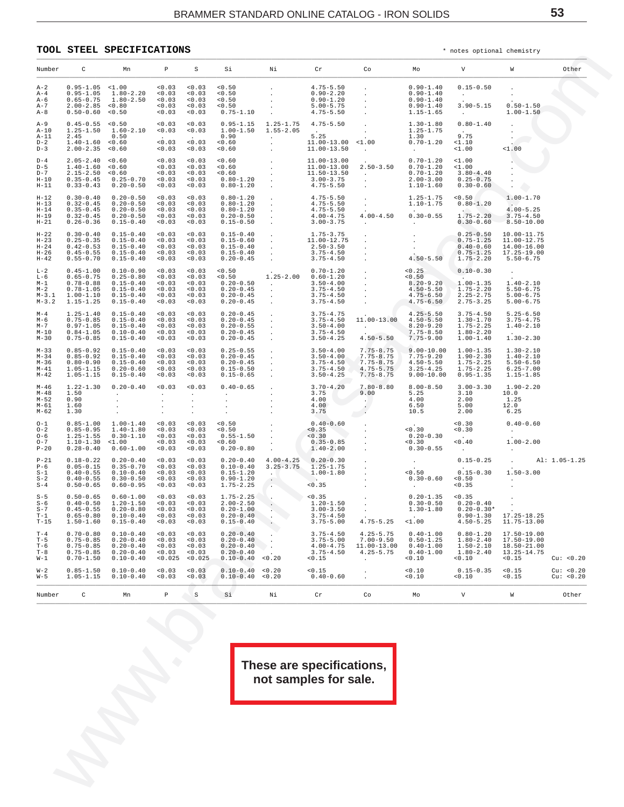### <span id="page-52-0"></span>**TOOL STEEL SPECIFICATIONS** \* notes optional chemistry

| Number                                             | $\mathbb{C}$                                                                      | Mn                                                                                                                             | $\mathbb{P}$                                                                                                                                                                                                                                                                                                                                                                                | S                                                                                          | Si                                                                                | $\mathbf{N}$ i | Cr                                                                                                          | Co                                                                                                                                                                                                                                                                                                                                                        | Mo                                                                        | notes operance encarrery<br><b>V</b> M                                   |                                                                          | Other                   |
|----------------------------------------------------|-----------------------------------------------------------------------------------|--------------------------------------------------------------------------------------------------------------------------------|---------------------------------------------------------------------------------------------------------------------------------------------------------------------------------------------------------------------------------------------------------------------------------------------------------------------------------------------------------------------------------------------|--------------------------------------------------------------------------------------------|-----------------------------------------------------------------------------------|----------------|-------------------------------------------------------------------------------------------------------------|-----------------------------------------------------------------------------------------------------------------------------------------------------------------------------------------------------------------------------------------------------------------------------------------------------------------------------------------------------------|---------------------------------------------------------------------------|--------------------------------------------------------------------------|--------------------------------------------------------------------------|-------------------------|
| $A-2$                                              |                                                                                   |                                                                                                                                |                                                                                                                                                                                                                                                                                                                                                                                             |                                                                                            |                                                                                   |                |                                                                                                             |                                                                                                                                                                                                                                                                                                                                                           |                                                                           |                                                                          |                                                                          |                         |
| $A - 4$<br>A-6<br>$A-7$<br>A-8                     |                                                                                   |                                                                                                                                |                                                                                                                                                                                                                                                                                                                                                                                             |                                                                                            |                                                                                   |                |                                                                                                             | $\begin{array}{cccccccc} 0.95 {\rm -}1.05 & <1.00 & <0.03 & <0.03 & <0.50 \\ 0.95 {\rm -}1.05 & 1.80 {\rm -}2.20 & <0.03 & <0.03 & <0.50 \\ 0.6 {\rm -}0.75 & 1.80 {\rm -}2.50 & <0.03 & <0.03 & <0.50 \\ 0.6 {\rm -}0.60 & <0.03 & <0.03 & <0.03 & <0.50 \\ 2.00 {\rm -}2.85 & <0.03 & <0.03 & <0.03 & <0.50 \\ 0.6 {\rm -}$                             |                                                                           |                                                                          |                                                                          |                         |
| $A-9$<br>A-10<br>$A-11$<br>$D-2$<br>$D-3$          |                                                                                   |                                                                                                                                |                                                                                                                                                                                                                                                                                                                                                                                             |                                                                                            |                                                                                   |                |                                                                                                             |                                                                                                                                                                                                                                                                                                                                                           |                                                                           |                                                                          |                                                                          |                         |
| $D-4$<br>$D-5$<br>$D-7$<br>$H-10$<br>$H-11$        |                                                                                   |                                                                                                                                |                                                                                                                                                                                                                                                                                                                                                                                             |                                                                                            |                                                                                   |                |                                                                                                             | $\begin{array}{cccccccc} 2.05-2.40&<0.60\\ 1.40-1.60&<0.60\\ 2.15-2.50&<0.60\\ 0.35-0.43&0.20-0.50\\ 0.33-0.43&0.20-0.50\\ \end{array} \quad \begin{array}{cccccccc} 0.03&<0.03&<0.60\\ <0.03&<0.03&<0.60\\ <0.03&<0.03&<0.60\\ <0.03&<0.03&<0.60\\ <0.03&<0.03&<0.60\\ <0.03&<0.03&0.$                                                                   |                                                                           |                                                                          |                                                                          |                         |
| $H-12$<br>$H-13$<br>$H-14$<br>$H-19$<br>$H-21$     | $0.30 - 0.40$<br>$0.32 - 0.45$<br>$0.35 - 0.45$                                   | $0.20 - 0.50$<br>$0.20 - 0.50$<br>$0.20 - 0.50$<br>$0.32 - 0.45$ $0.20 - 0.50$<br>$0.26 - 0.36$ $0.15 - 0.40$                  |                                                                                                                                                                                                                                                                                                                                                                                             |                                                                                            |                                                                                   |                |                                                                                                             | $\begin{array}{cccccccc} \texttt{<0.03} & \texttt{<0.03} & \texttt{<0.03} & \texttt{0.80-1.20} & \texttt{.} & \texttt{4.75-5.50} & \texttt{.} & \texttt{1.25-1.75} & \texttt{<0.50} & \texttt{1.00-1.70} \\ \texttt{<0.03} & \texttt{<0.03} & \texttt{0.80-1.20} & \texttt{.} & \texttt{4.75-5.50} & \texttt{1.10-1.75} & \texttt{0.80-1.20} & \texttt{.$ |                                                                           |                                                                          |                                                                          |                         |
| $H-22$<br>$H-23$<br>$H-24$<br>$H-26$<br>$H-42$     |                                                                                   |                                                                                                                                |                                                                                                                                                                                                                                                                                                                                                                                             |                                                                                            |                                                                                   |                |                                                                                                             |                                                                                                                                                                                                                                                                                                                                                           |                                                                           |                                                                          |                                                                          |                         |
| $L-2$<br>L-6<br>$M-1$<br>$M-2$                     | $0.45 - 1.00$<br>$0.65 - 0.75$<br>$0.78 - 0.88$<br>$M-3.2$ 1.15-1.25              | $0.10 - 0.90$<br>$0.25 - 0.80$<br>$0.15 - 0.40$<br>$0.78 - 1.05$ $0.15 - 0.40$<br>$M-3.1$ 1.00-1.10 0.15-0.40<br>$0.15 - 0.40$ |                                                                                                                                                                                                                                                                                                                                                                                             |                                                                                            |                                                                                   |                |                                                                                                             |                                                                                                                                                                                                                                                                                                                                                           |                                                                           |                                                                          |                                                                          |                         |
| $M - 4$<br>м-6<br>$M - 7$<br>$M-10$<br>$M-30$      | $1.25 - 1.40$<br>$0.75 - 0.85$<br>$0.97 - 1.05$<br>$0.75 - 0.85$                  | $0.15 - 0.40$<br>$0.15 - 0.40$<br>$0.15 - 0.40$<br>$0.84 - 1.05$ $0.10 - 0.40$<br>$0.15 - 0.40$                                | 0.03                                                                                                                                                                                                                                                                                                                                                                                        | < 0.03<br>$< 0.03$ $< 0.03$<br>$< 0.03$ $< 0.03$<br>$< 0.03$ $< 0.03$<br>$< 0.03$ $< 0.03$ |                                                                                   |                |                                                                                                             | $\begin{array}{cccccccc} 0.20-0.45 & 3.75-4.75 & 4.25-5.50 & 3.75-4.50 & 5.26-5.50 \\ 0.20-0.45 & 3.75-4.50 & 11.00-13.00 & 4.50-5.50 & 1.30-1.70 & 3.75-4.75 \\ 0.20-0.55 & 3.50-4.00 & 8.20-9.20 & 1.75-2.25 & 1.40-2.10 \\ 0.20-0.45 & 3.50-4.25 & 4.50-5.50 & $                                                                                       |                                                                           |                                                                          |                                                                          |                         |
| $M - 33$<br>$M-34$<br>$M - 36$<br>$M-41$<br>$M-42$ |                                                                                   |                                                                                                                                |                                                                                                                                                                                                                                                                                                                                                                                             |                                                                                            |                                                                                   |                |                                                                                                             |                                                                                                                                                                                                                                                                                                                                                           |                                                                           |                                                                          |                                                                          |                         |
| M-46<br>M-48<br>$M-52$<br>M-61<br>M-62             | $1.22 - 1.30$<br>1.50<br>0.90<br>1.60<br>1.30                                     | $0.20 - 0.40$ < $0.03$ < $0.03$<br>the committee of the                                                                        | $\frac{1}{2} \sum_{i=1}^{2} \frac{1}{2} \sum_{j=1}^{2} \frac{1}{2} \sum_{j=1}^{2} \frac{1}{2} \sum_{j=1}^{2} \frac{1}{2} \sum_{j=1}^{2} \frac{1}{2} \sum_{j=1}^{2} \frac{1}{2} \sum_{j=1}^{2} \frac{1}{2} \sum_{j=1}^{2} \frac{1}{2} \sum_{j=1}^{2} \frac{1}{2} \sum_{j=1}^{2} \frac{1}{2} \sum_{j=1}^{2} \frac{1}{2} \sum_{j=1}^{2} \frac{1}{2} \sum_{j=1}^{2$<br>$\sim$ $-$<br>$\sim$ $-$ | <b>Contract Contract</b><br>$\sim 100$ km s $^{-1}$<br>$\sim 100$<br><b>Contract</b>       |                                                                                   |                |                                                                                                             |                                                                                                                                                                                                                                                                                                                                                           |                                                                           |                                                                          |                                                                          |                         |
| $O - 1$<br>$O - 2$<br>$O - 6$<br>$O - 7$<br>$P-20$ |                                                                                   |                                                                                                                                |                                                                                                                                                                                                                                                                                                                                                                                             |                                                                                            |                                                                                   |                |                                                                                                             | $\begin{array}{cccccccc} 0.85-1.00 & 1.00-1.40 & <0.03 & <0.03 & <0.03 & <0.50 & . & . & . & . & . & . & . & . & . & . \\ 0.85-0.95 & 1.40-1.80 & <0.03 & <0.03 & <0.50 & . & . & . & . & . & . & . & . & . & . \\ 1.25-1.55 & 0.30-1.10 & <0.03 & <0.03 & <0.50 & . & . & . & . & . & . & . & . & . \\ 1.10-1.30 & <0.10 & <0.03 & <0.03$                |                                                                           |                                                                          |                                                                          |                         |
| $P-21$<br>$P - 6$<br>$S-1$<br>$S-2$<br>$S-4$       |                                                                                   |                                                                                                                                |                                                                                                                                                                                                                                                                                                                                                                                             |                                                                                            |                                                                                   |                |                                                                                                             | $\begin{array}{cccccccccccc} 0.18-0.22 & 0.20-0.40 & <0.03 & <0.03 & 0.20-0.40 & 4.00-4.25 & 0.20-0.30 & . & . & . & 0.15-0.25 & . & \text{Al} \\ 0.05-0.15 & 0.35-0.70 & <0.03 & <0.03 & 0.10-0.40 & 3.25-3.75 & 1.25-1.75 & . & . & . & . & . & . & . & . & . & . & . & . & . \\ 0.40-0.55 & 0.10-0.40 & <0.0$                                          |                                                                           |                                                                          | $0.15-0.25 \qquad . \qquad {\rm Al:} \ \ 1.05-1.25$                      |                         |
| $S - 5$<br>$S-6$<br>$S-7$<br>$T-1$<br>$T-15$       | $0.65 - 0.80$<br>$1.50 - 1.60$                                                    | $0.10 - 0.40$<br>$0.15 - 0.40$                                                                                                 | 0.03<br>0.03                                                                                                                                                                                                                                                                                                                                                                                | 0.03<br>0.03                                                                               | $0.20 - 0.40$<br>$0.15 - 0.40$                                                    |                | $0.45 - 0.55$ $0.20 - 0.80$ $< 0.03$ $< 0.03$ $0.20 - 1.00$ . 3.00-3.50 .<br>$3.75 - 4.50$<br>$3.75 - 5.00$ | $4.75 - 5.25$                                                                                                                                                                                                                                                                                                                                             | $-1.00$                                                                   | $1.30-1.80$ $0.20-0.30*$<br>$0.90 - 1.30$<br>$4.50 - 5.25$               | $17.25 - 18.25$<br>11.75-13.00                                           |                         |
| $T-4$<br>$T-5$<br>$T-6$<br>$T-8$<br>$W-1$          | $0.70 - 0.80$<br>$0.75 - 0.85$<br>$0.75 - 0.85$<br>$0.75 - 0.85$<br>$0.70 - 1.50$ | $0.10 - 0.40$<br>$0.20 - 0.40$<br>$0.20 - 0.40$<br>$0.20 - 0.40$<br>$0.10 - 0.40$                                              | 0.03<br>0.03<br>0.03<br>0.03<br>0.025                                                                                                                                                                                                                                                                                                                                                       | 0.03<br>0.03<br>0.03<br>0.03<br>< 0.025                                                    | $0.20 - 0.40$<br>$0.20 - 0.40$<br>$0.20 - 0.40$<br>$0.20 - 0.40$<br>$0.10 - 0.40$ | 0.20           | $3.75 - 4.50$<br>$3.75 - 5.00$<br>$4.00 - 4.75$<br>$3.75 - 4.50$<br>0.15                                    | $4.25 - 5.75$<br>$7.00 - 9.50$<br>11.00-13.00<br>$4.25 - 5.75$                                                                                                                                                                                                                                                                                            | $0.40 - 1.00$<br>$0.50 - 1.25$<br>$0.40 - 1.00$<br>$0.40 - 1.00$<br><0.10 | $0.80 - 1.20$<br>$1.80 - 2.40$<br>$1.50 - 2.10$<br>$1.80 - 2.40$<br>0.10 | $17.50 - 19.00$<br>$17.50 - 19.00$<br>18.50-21.00<br>13.25-14.75<br>0.15 | Cu: <0.20               |
| $W - 2$<br>$W - 5$                                 | $0.85 - 1.50$<br>$1.05 - 1.15$                                                    | $0.10 - 0.40$<br>$0.10 - 0.40$                                                                                                 | 0.03<br>0.03                                                                                                                                                                                                                                                                                                                                                                                | 0.03<br>0.03                                                                               | $0.10 - 0.40$<br>$0.10 - 0.40$                                                    | 0.20<br>0.20   | < 0.15<br>$0.40 - 0.60$                                                                                     |                                                                                                                                                                                                                                                                                                                                                           | <0.10<br><0.10                                                            | $0.15 - 0.35$<br>0.10                                                    | 0.15<br>0.15                                                             | Cu: < 0.20<br>Cu: <0.20 |
| Number                                             | C                                                                                 | Mn                                                                                                                             | $\, {\mathbb P}$                                                                                                                                                                                                                                                                                                                                                                            | S                                                                                          | Si                                                                                | Νi             | Cr                                                                                                          | Co                                                                                                                                                                                                                                                                                                                                                        | Mо                                                                        | V                                                                        | W                                                                        | Other                   |
|                                                    |                                                                                   |                                                                                                                                |                                                                                                                                                                                                                                                                                                                                                                                             |                                                                                            |                                                                                   |                | These are specifications,<br>not samples for sale.                                                          |                                                                                                                                                                                                                                                                                                                                                           |                                                                           |                                                                          |                                                                          |                         |
|                                                    |                                                                                   |                                                                                                                                |                                                                                                                                                                                                                                                                                                                                                                                             |                                                                                            |                                                                                   |                |                                                                                                             |                                                                                                                                                                                                                                                                                                                                                           |                                                                           |                                                                          |                                                                          |                         |
|                                                    |                                                                                   |                                                                                                                                |                                                                                                                                                                                                                                                                                                                                                                                             |                                                                                            |                                                                                   |                |                                                                                                             |                                                                                                                                                                                                                                                                                                                                                           |                                                                           |                                                                          |                                                                          |                         |
|                                                    |                                                                                   |                                                                                                                                |                                                                                                                                                                                                                                                                                                                                                                                             |                                                                                            |                                                                                   |                |                                                                                                             |                                                                                                                                                                                                                                                                                                                                                           |                                                                           |                                                                          |                                                                          |                         |